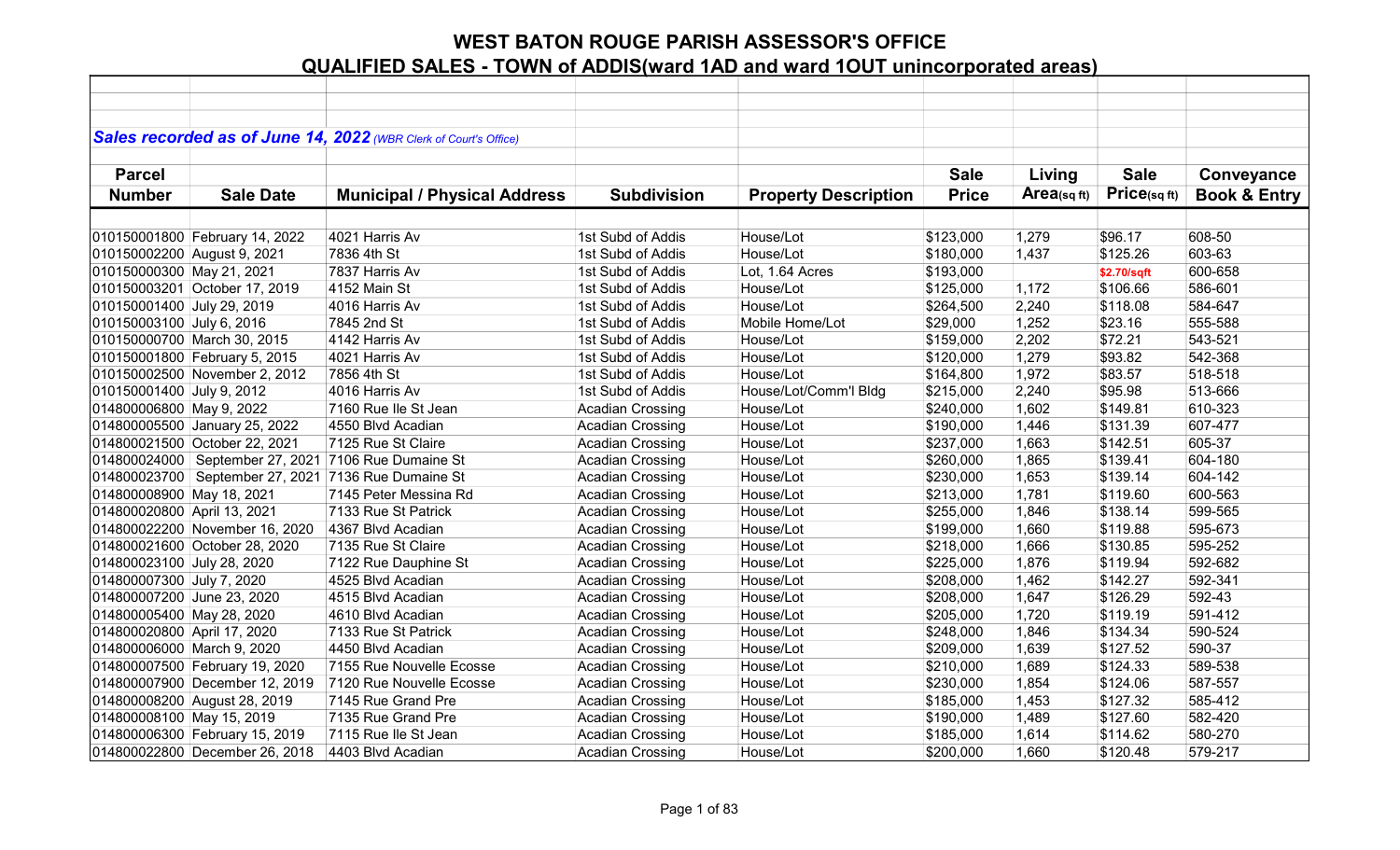|                             |                                | Sales recorded as of June 14, 2022 (WBR Clerk of Court's Office) |                         |                             |              |             |             |                         |
|-----------------------------|--------------------------------|------------------------------------------------------------------|-------------------------|-----------------------------|--------------|-------------|-------------|-------------------------|
|                             |                                |                                                                  |                         |                             |              |             |             |                         |
| <b>Parcel</b>               |                                |                                                                  |                         |                             | <b>Sale</b>  | Living      | <b>Sale</b> | Conveyance              |
| <b>Number</b>               | <b>Sale Date</b>               | <b>Municipal / Physical Address</b>                              | <b>Subdivision</b>      | <b>Property Description</b> | <b>Price</b> | Area(sq ft) | Price(sqft) | <b>Book &amp; Entry</b> |
|                             |                                |                                                                  |                         |                             |              |             |             |                         |
|                             | 010150001800 February 14, 2022 | 4021 Harris Av                                                   | 1st Subd of Addis       | House/Lot                   | \$123,000    | 1,279       | \$96.17     | 608-50                  |
| 010150002200 August 9, 2021 |                                | 7836 4th St                                                      | 1st Subd of Addis       | House/Lot                   | \$180,000    | 1,437       | \$125.26    | 603-63                  |
| 010150000300 May 21, 2021   |                                | 7837 Harris Av                                                   | 1st Subd of Addis       | Lot, 1.64 Acres             | \$193,000    |             | \$2.70/sqft | 600-658                 |
|                             | 010150003201 October 17, 2019  | 4152 Main St                                                     | 1st Subd of Addis       | House/Lot                   | \$125,000    | 1,172       | \$106.66    | 586-601                 |
| 010150001400 July 29, 2019  |                                | 4016 Harris Av                                                   | 1st Subd of Addis       | House/Lot                   | \$264,500    | 2,240       | \$118.08    | 584-647                 |
| 010150003100 July 6, 2016   |                                | 7845 2nd St                                                      | 1st Subd of Addis       | Mobile Home/Lot             | \$29,000     | 1,252       | \$23.16     | 555-588                 |
|                             | 010150000700 March 30, 2015    | 4142 Harris Av                                                   | 1st Subd of Addis       | House/Lot                   | \$159,000    | 2,202       | \$72.21     | 543-521                 |
|                             | 010150001800 February 5, 2015  | 4021 Harris Av                                                   | 1st Subd of Addis       | House/Lot                   | \$120,000    | 1,279       | \$93.82     | 542-368                 |
|                             | 010150002500 November 2, 2012  | 7856 4th St                                                      | 1st Subd of Addis       | House/Lot                   | \$164,800    | 1,972       | \$83.57     | 518-518                 |
| 010150001400 July 9, 2012   |                                | 4016 Harris Av                                                   | 1st Subd of Addis       | House/Lot/Comm'l Bldg       | \$215,000    | 2,240       | \$95.98     | 513-666                 |
| 014800006800 May 9, 2022    |                                | 7160 Rue Ile St Jean                                             | <b>Acadian Crossing</b> | House/Lot                   | \$240,000    | 1,602       | \$149.81    | 610-323                 |
|                             | 014800005500 January 25, 2022  | 4550 Blvd Acadian                                                | <b>Acadian Crossing</b> | House/Lot                   | \$190,000    | 1,446       | \$131.39    | 607-477                 |
|                             | 014800021500 October 22, 2021  | 7125 Rue St Claire                                               | <b>Acadian Crossing</b> | House/Lot                   | \$237,000    | 1,663       | \$142.51    | 605-37                  |
|                             |                                | 014800024000   September 27, 2021   7106 Rue Dumaine St          | <b>Acadian Crossing</b> | House/Lot                   | \$260,000    | 1,865       | \$139.41    | 604-180                 |
|                             |                                | 014800023700   September 27, 2021   7136 Rue Dumaine St          | <b>Acadian Crossing</b> | House/Lot                   | \$230,000    | 1,653       | \$139.14    | 604-142                 |
| 014800008900 May 18, 2021   |                                | 7145 Peter Messina Rd                                            | <b>Acadian Crossing</b> | House/Lot                   | \$213,000    | 1,781       | \$119.60    | 600-563                 |
| 014800020800 April 13, 2021 |                                | 7133 Rue St Patrick                                              | <b>Acadian Crossing</b> | House/Lot                   | \$255,000    | 1,846       | \$138.14    | 599-565                 |
|                             | 014800022200 November 16, 2020 | 4367 Blvd Acadian                                                | <b>Acadian Crossing</b> | House/Lot                   | \$199,000    | 1,660       | \$119.88    | 595-673                 |
|                             | 014800021600 October 28, 2020  | 7135 Rue St Claire                                               | <b>Acadian Crossing</b> | House/Lot                   | \$218,000    | 1,666       | \$130.85    | 595-252                 |
| 014800023100 July 28, 2020  |                                | 7122 Rue Dauphine St                                             | <b>Acadian Crossing</b> | House/Lot                   | \$225,000    | 1,876       | \$119.94    | 592-682                 |
| 014800007300 July 7, 2020   |                                | 4525 Blvd Acadian                                                | <b>Acadian Crossing</b> | House/Lot                   | \$208,000    | 1,462       | \$142.27    | 592-341                 |
| 014800007200 June 23, 2020  |                                | 4515 Blvd Acadian                                                | <b>Acadian Crossing</b> | House/Lot                   | \$208,000    | 1,647       | \$126.29    | 592-43                  |
| 014800005400 May 28, 2020   |                                | 4610 Blvd Acadian                                                | <b>Acadian Crossing</b> | House/Lot                   | \$205,000    | 1,720       | \$119.19    | 591-412                 |
| 014800020800 April 17, 2020 |                                | 7133 Rue St Patrick                                              | <b>Acadian Crossing</b> | House/Lot                   | \$248,000    | 1,846       | \$134.34    | 590-524                 |
| 014800006000 March 9, 2020  |                                | 4450 Blvd Acadian                                                | <b>Acadian Crossing</b> | House/Lot                   | \$209,000    | 1,639       | \$127.52    | 590-37                  |
|                             | 014800007500 February 19, 2020 | 7155 Rue Nouvelle Ecosse                                         | <b>Acadian Crossing</b> | House/Lot                   | \$210,000    | 1,689       | \$124.33    | 589-538                 |
|                             | 014800007900 December 12, 2019 | 7120 Rue Nouvelle Ecosse                                         | <b>Acadian Crossing</b> | House/Lot                   | \$230,000    | 1,854       | \$124.06    | 587-557                 |
|                             | 014800008200 August 28, 2019   | 7145 Rue Grand Pre                                               | <b>Acadian Crossing</b> | House/Lot                   | \$185,000    | 1,453       | \$127.32    | 585-412                 |
| 014800008100 May 15, 2019   |                                | 7135 Rue Grand Pre                                               | Acadian Crossing        | House/Lot                   | \$190,000    | 1,489       | \$127.60    | 582-420                 |
|                             | 014800006300 February 15, 2019 | 7115 Rue Ile St Jean                                             | <b>Acadian Crossing</b> | House/Lot                   | \$185,000    | 1,614       | \$114.62    | 580-270                 |
|                             | 014800022800 December 26, 2018 | 4403 Blvd Acadian                                                | <b>Acadian Crossing</b> | House/Lot                   | \$200,000    | 1,660       | \$120.48    | 579-217                 |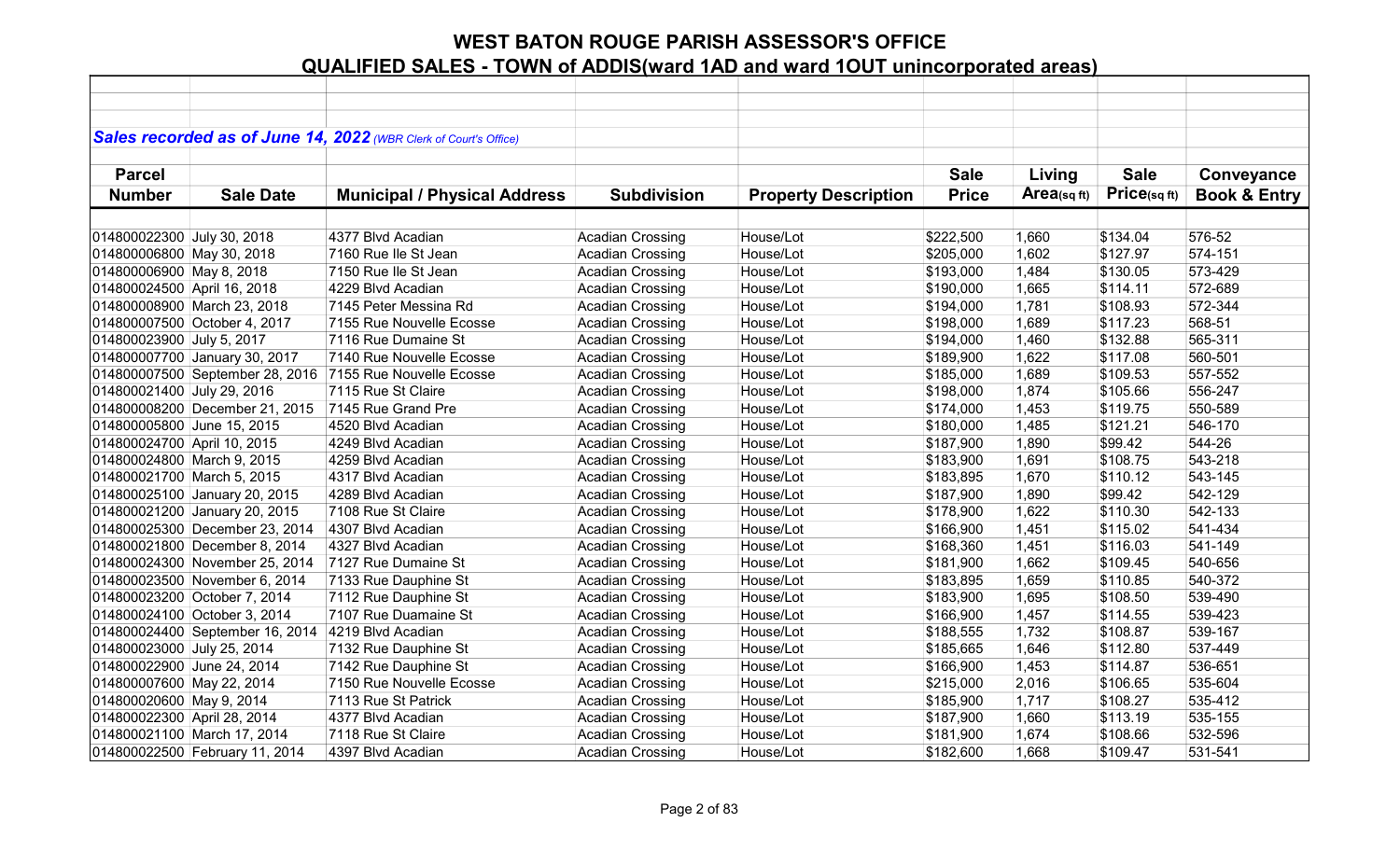|                             |                                 | Sales recorded as of June 14, 2022 (WBR Clerk of Court's Office) |                         |                             |              |                |              |                         |
|-----------------------------|---------------------------------|------------------------------------------------------------------|-------------------------|-----------------------------|--------------|----------------|--------------|-------------------------|
|                             |                                 |                                                                  |                         |                             |              |                |              |                         |
| <b>Parcel</b>               |                                 |                                                                  |                         |                             | <b>Sale</b>  | Living         | <b>Sale</b>  | Conveyance              |
| <b>Number</b>               | <b>Sale Date</b>                | <b>Municipal / Physical Address</b>                              | <b>Subdivision</b>      | <b>Property Description</b> | <b>Price</b> | $Area$ (sq ft) | Price(sq ft) | <b>Book &amp; Entry</b> |
|                             |                                 |                                                                  |                         |                             |              |                |              |                         |
| 014800022300 July 30, 2018  |                                 | 4377 Blvd Acadian                                                | <b>Acadian Crossing</b> | House/Lot                   | \$222,500    | 1,660          | \$134.04     | 576-52                  |
| 014800006800 May 30, 2018   |                                 | 7160 Rue Ile St Jean                                             | <b>Acadian Crossing</b> | House/Lot                   | \$205,000    | 1,602          | \$127.97     | 574-151                 |
| 014800006900 May 8, 2018    |                                 | 7150 Rue Ile St Jean                                             | <b>Acadian Crossing</b> | House/Lot                   | \$193,000    | 1,484          | \$130.05     | 573-429                 |
| 014800024500 April 16, 2018 |                                 | 4229 Blvd Acadian                                                | <b>Acadian Crossing</b> | House/Lot                   | \$190,000    | 1,665          | \$114.11     | 572-689                 |
|                             | 014800008900 March 23, 2018     | 7145 Peter Messina Rd                                            | <b>Acadian Crossing</b> | House/Lot                   | \$194,000    | 1,781          | \$108.93     | 572-344                 |
|                             | 014800007500 October 4, 2017    | 7155 Rue Nouvelle Ecosse                                         | <b>Acadian Crossing</b> | House/Lot                   | \$198,000    | 1,689          | \$117.23     | 568-51                  |
| 014800023900 July 5, 2017   |                                 | 7116 Rue Dumaine St                                              | <b>Acadian Crossing</b> | House/Lot                   | \$194,000    | 1,460          | \$132.88     | 565-311                 |
|                             | 014800007700 January 30, 2017   | 7140 Rue Nouvelle Ecosse                                         | <b>Acadian Crossing</b> | House/Lot                   | \$189,900    | 1,622          | \$117.08     | 560-501                 |
|                             | 014800007500 September 28, 2016 | 7155 Rue Nouvelle Ecosse                                         | <b>Acadian Crossing</b> | House/Lot                   | \$185,000    | 1,689          | \$109.53     | 557-552                 |
| 014800021400 July 29, 2016  |                                 | 7115 Rue St Claire                                               | <b>Acadian Crossing</b> | House/Lot                   | \$198,000    | 1,874          | \$105.66     | 556-247                 |
|                             | 014800008200 December 21, 2015  | 7145 Rue Grand Pre                                               | <b>Acadian Crossing</b> | House/Lot                   | \$174,000    | 1,453          | \$119.75     | 550-589                 |
| 014800005800 June 15, 2015  |                                 | 4520 Blvd Acadian                                                | <b>Acadian Crossing</b> | House/Lot                   | \$180,000    | 1,485          | \$121.21     | 546-170                 |
| 014800024700 April 10, 2015 |                                 | 4249 Blvd Acadian                                                | <b>Acadian Crossing</b> | House/Lot                   | \$187,900    | 1,890          | \$99.42      | 544-26                  |
| 014800024800 March 9, 2015  |                                 | 4259 Blvd Acadian                                                | Acadian Crossing        | House/Lot                   | \$183,900    | 1,691          | \$108.75     | 543-218                 |
| 014800021700 March 5, 2015  |                                 | 4317 Blvd Acadian                                                | <b>Acadian Crossing</b> | House/Lot                   | \$183,895    | 1,670          | \$110.12     | 543-145                 |
|                             | 014800025100 January 20, 2015   | 4289 Blvd Acadian                                                | <b>Acadian Crossing</b> | House/Lot                   | \$187,900    | 1,890          | \$99.42      | 542-129                 |
|                             | 014800021200 January 20, 2015   | 7108 Rue St Claire                                               | <b>Acadian Crossing</b> | House/Lot                   | \$178,900    | 1,622          | \$110.30     | 542-133                 |
|                             | 014800025300 December 23, 2014  | 4307 Blvd Acadian                                                | <b>Acadian Crossing</b> | House/Lot                   | \$166,900    | 1,451          | \$115.02     | 541-434                 |
|                             | 014800021800 December 8, 2014   | 4327 Blvd Acadian                                                | <b>Acadian Crossing</b> | House/Lot                   | \$168,360    | 1,451          | \$116.03     | 541-149                 |
|                             | 014800024300 November 25, 2014  | 7127 Rue Dumaine St                                              | <b>Acadian Crossing</b> | House/Lot                   | \$181,900    | 1,662          | \$109.45     | 540-656                 |
|                             | 014800023500 November 6, 2014   | 7133 Rue Dauphine St                                             | <b>Acadian Crossing</b> | House/Lot                   | \$183,895    | 1,659          | \$110.85     | 540-372                 |
|                             | 014800023200 October 7, 2014    | 7112 Rue Dauphine St                                             | <b>Acadian Crossing</b> | House/Lot                   | \$183,900    | 1,695          | \$108.50     | 539-490                 |
|                             | 014800024100 October 3, 2014    | 7107 Rue Duamaine St                                             | <b>Acadian Crossing</b> | House/Lot                   | \$166,900    | 1,457          | \$114.55     | 539-423                 |
|                             | 014800024400 September 16, 2014 | 4219 Blvd Acadian                                                | <b>Acadian Crossing</b> | House/Lot                   | \$188,555    | 1,732          | \$108.87     | 539-167                 |
| 014800023000 July 25, 2014  |                                 | 7132 Rue Dauphine St                                             | <b>Acadian Crossing</b> | House/Lot                   | \$185,665    | 1,646          | \$112.80     | 537-449                 |
| 014800022900 June 24, 2014  |                                 | 7142 Rue Dauphine St                                             | <b>Acadian Crossing</b> | House/Lot                   | \$166,900    | 1,453          | \$114.87     | 536-651                 |
| 014800007600 May 22, 2014   |                                 | 7150 Rue Nouvelle Ecosse                                         | <b>Acadian Crossing</b> | House/Lot                   | \$215,000    | 2,016          | \$106.65     | 535-604                 |
| 014800020600 May 9, 2014    |                                 | 7113 Rue St Patrick                                              | <b>Acadian Crossing</b> | House/Lot                   | \$185,900    | 1,717          | \$108.27     | 535-412                 |
| 014800022300 April 28, 2014 |                                 | 4377 Blvd Acadian                                                | <b>Acadian Crossing</b> | House/Lot                   | \$187,900    | 1,660          | \$113.19     | 535-155                 |
|                             | 014800021100 March 17, 2014     | 7118 Rue St Claire                                               | <b>Acadian Crossing</b> | House/Lot                   | \$181,900    | 1,674          | \$108.66     | 532-596                 |
|                             | 014800022500 February 11, 2014  | 4397 Blvd Acadian                                                | <b>Acadian Crossing</b> | House/Lot                   | \$182,600    | 1,668          | \$109.47     | 531-541                 |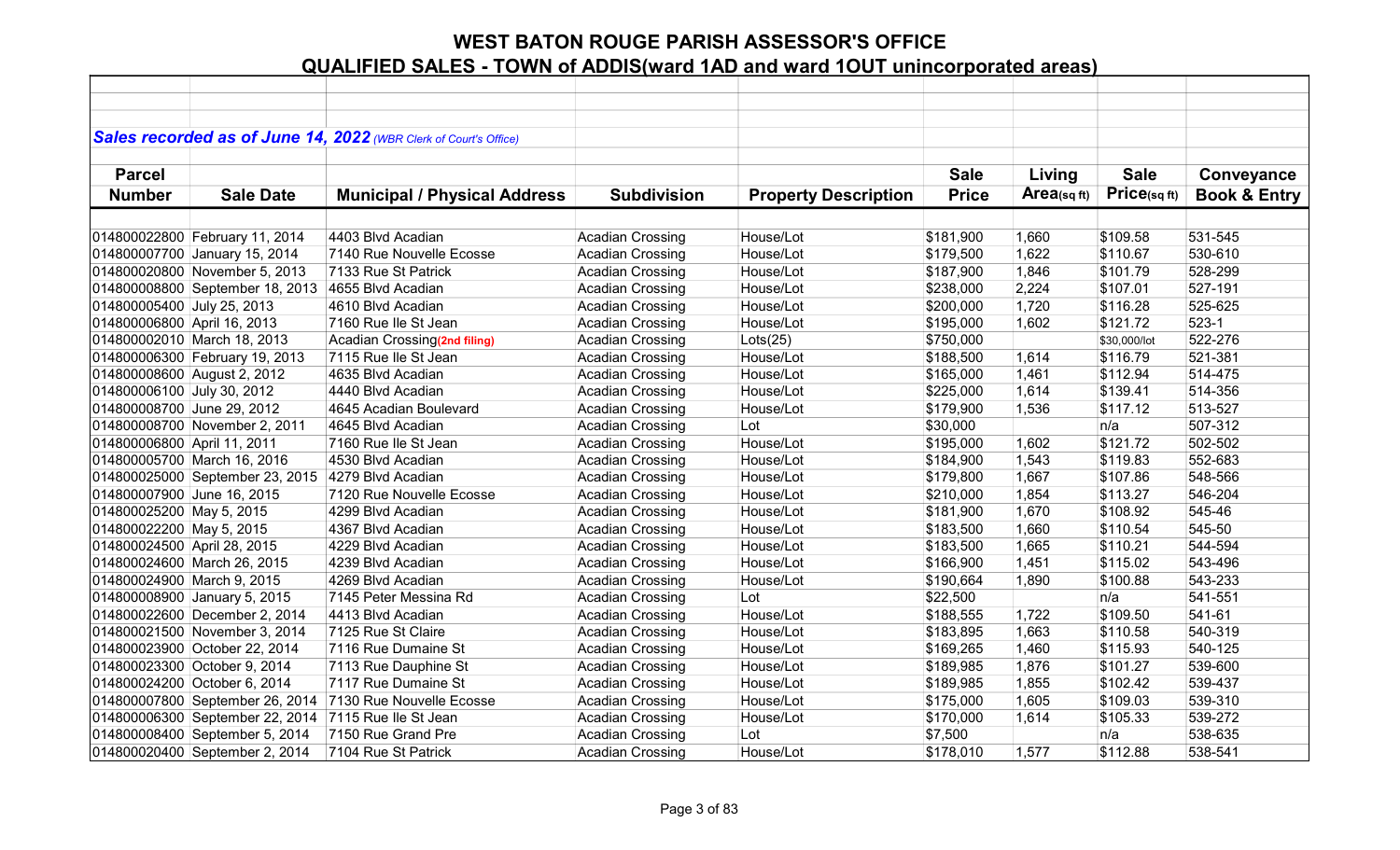|                             |                                 | Sales recorded as of June 14, 2022 (WBR Clerk of Court's Office) |                         |                             |              |            |              |                         |
|-----------------------------|---------------------------------|------------------------------------------------------------------|-------------------------|-----------------------------|--------------|------------|--------------|-------------------------|
| <b>Parcel</b>               |                                 |                                                                  |                         |                             | <b>Sale</b>  | Living     | <b>Sale</b>  | Conveyance              |
| <b>Number</b>               | <b>Sale Date</b>                | <b>Municipal / Physical Address</b>                              | <b>Subdivision</b>      | <b>Property Description</b> | <b>Price</b> | Area(sqft) | Price(sqft)  | <b>Book &amp; Entry</b> |
|                             |                                 |                                                                  |                         |                             |              |            |              |                         |
|                             | 014800022800 February 11, 2014  | 4403 Blvd Acadian                                                | <b>Acadian Crossing</b> | House/Lot                   | \$181,900    | 1,660      | \$109.58     | 531-545                 |
|                             | 014800007700 January 15, 2014   | 7140 Rue Nouvelle Ecosse                                         | <b>Acadian Crossing</b> | House/Lot                   | \$179,500    | 1,622      | \$110.67     | 530-610                 |
|                             | 014800020800 November 5, 2013   | 7133 Rue St Patrick                                              | <b>Acadian Crossing</b> | House/Lot                   | \$187,900    | 1,846      | \$101.79     | 528-299                 |
|                             | 014800008800 September 18, 2013 | 4655 Blvd Acadian                                                | <b>Acadian Crossing</b> | House/Lot                   | \$238,000    | 2,224      | \$107.01     | 527-191                 |
| 014800005400 July 25, 2013  |                                 | 4610 Blvd Acadian                                                | <b>Acadian Crossing</b> | House/Lot                   | \$200,000    | 1,720      | \$116.28     | 525-625                 |
| 014800006800 April 16, 2013 |                                 | 7160 Rue Ile St Jean                                             | <b>Acadian Crossing</b> | House/Lot                   | \$195,000    | 1,602      | \$121.72     | $523-1$                 |
|                             | 014800002010 March 18, 2013     | Acadian Crossing(2nd filing)                                     | <b>Acadian Crossing</b> | Lots(25)                    | \$750,000    |            | \$30,000/lot | 522-276                 |
|                             | 014800006300 February 19, 2013  | 7115 Rue Ile St Jean                                             | <b>Acadian Crossing</b> | House/Lot                   | \$188,500    | 1,614      | \$116.79     | 521-381                 |
| 014800008600 August 2, 2012 |                                 | 4635 Blvd Acadian                                                | <b>Acadian Crossing</b> | House/Lot                   | \$165,000    | 1,461      | \$112.94     | 514-475                 |
| 014800006100 July 30, 2012  |                                 | 4440 Blvd Acadian                                                | <b>Acadian Crossing</b> | House/Lot                   | \$225,000    | 1,614      | \$139.41     | 514-356                 |
| 014800008700 June 29, 2012  |                                 | 4645 Acadian Boulevard                                           | <b>Acadian Crossing</b> | House/Lot                   | \$179,900    | 1,536      | \$117.12     | 513-527                 |
|                             | 014800008700 November 2, 2011   | 4645 Blvd Acadian                                                | <b>Acadian Crossing</b> | Lot                         | \$30,000     |            | n/a          | 507-312                 |
| 014800006800 April 11, 2011 |                                 | 7160 Rue Ile St Jean                                             | <b>Acadian Crossing</b> | House/Lot                   | \$195,000    | 1,602      | \$121.72     | 502-502                 |
|                             | 014800005700 March 16, 2016     | 4530 Blvd Acadian                                                | <b>Acadian Crossing</b> | House/Lot                   | \$184,900    | 1,543      | \$119.83     | 552-683                 |
|                             | 014800025000 September 23, 2015 | 4279 Blvd Acadian                                                | <b>Acadian Crossing</b> | House/Lot                   | \$179,800    | 1,667      | \$107.86     | 548-566                 |
| 014800007900 June 16, 2015  |                                 | 7120 Rue Nouvelle Ecosse                                         | <b>Acadian Crossing</b> | House/Lot                   | \$210,000    | 1,854      | \$113.27     | 546-204                 |
| 014800025200 May 5, 2015    |                                 | 4299 Blvd Acadian                                                | <b>Acadian Crossing</b> | House/Lot                   | \$181,900    | 1,670      | \$108.92     | 545-46                  |
| 014800022200 May 5, 2015    |                                 | 4367 Blvd Acadian                                                | <b>Acadian Crossing</b> | House/Lot                   | \$183,500    | 1,660      | \$110.54     | 545-50                  |
| 014800024500 April 28, 2015 |                                 | 4229 Blvd Acadian                                                | <b>Acadian Crossing</b> | House/Lot                   | \$183,500    | 1,665      | \$110.21     | 544-594                 |
|                             | 014800024600 March 26, 2015     | 4239 Blvd Acadian                                                | <b>Acadian Crossing</b> | House/Lot                   | \$166,900    | 1,451      | \$115.02     | 543-496                 |
| 014800024900 March 9, 2015  |                                 | 4269 Blvd Acadian                                                | <b>Acadian Crossing</b> | House/Lot                   | \$190,664    | 1,890      | \$100.88     | 543-233                 |
|                             | 014800008900 January 5, 2015    | 7145 Peter Messina Rd                                            | <b>Acadian Crossing</b> | Lot                         | \$22,500     |            | n/a          | 541-551                 |
|                             | 014800022600 December 2, 2014   | 4413 Blvd Acadian                                                | <b>Acadian Crossing</b> | House/Lot                   | \$188,555    | 1,722      | \$109.50     | 541-61                  |
|                             | 014800021500 November 3, 2014   | 7125 Rue St Claire                                               | <b>Acadian Crossing</b> | House/Lot                   | \$183,895    | 1,663      | \$110.58     | 540-319                 |
|                             | 014800023900 October 22, 2014   | 7116 Rue Dumaine St                                              | <b>Acadian Crossing</b> | House/Lot                   | \$169,265    | 1,460      | \$115.93     | 540-125                 |
|                             | 014800023300 October 9, 2014    | 7113 Rue Dauphine St                                             | <b>Acadian Crossing</b> | House/Lot                   | \$189,985    | 1,876      | \$101.27     | 539-600                 |
|                             | 014800024200 October 6, 2014    | 7117 Rue Dumaine St                                              | <b>Acadian Crossing</b> | House/Lot                   | \$189,985    | 1,855      | \$102.42     | 539-437                 |
|                             | 014800007800 September 26, 2014 | 7130 Rue Nouvelle Ecosse                                         | <b>Acadian Crossing</b> | House/Lot                   | \$175,000    | 1,605      | \$109.03     | 539-310                 |
|                             | 014800006300 September 22, 2014 | 7115 Rue Ile St Jean                                             | <b>Acadian Crossing</b> | House/Lot                   | \$170,000    | 1,614      | \$105.33     | 539-272                 |
|                             | 014800008400 September 5, 2014  | 7150 Rue Grand Pre                                               | <b>Acadian Crossing</b> | Lot                         | \$7,500      |            | n/a          | 538-635                 |
|                             | 014800020400 September 2, 2014  | 7104 Rue St Patrick                                              | <b>Acadian Crossing</b> | House/Lot                   | \$178,010    | 1,577      | \$112.88     | 538-541                 |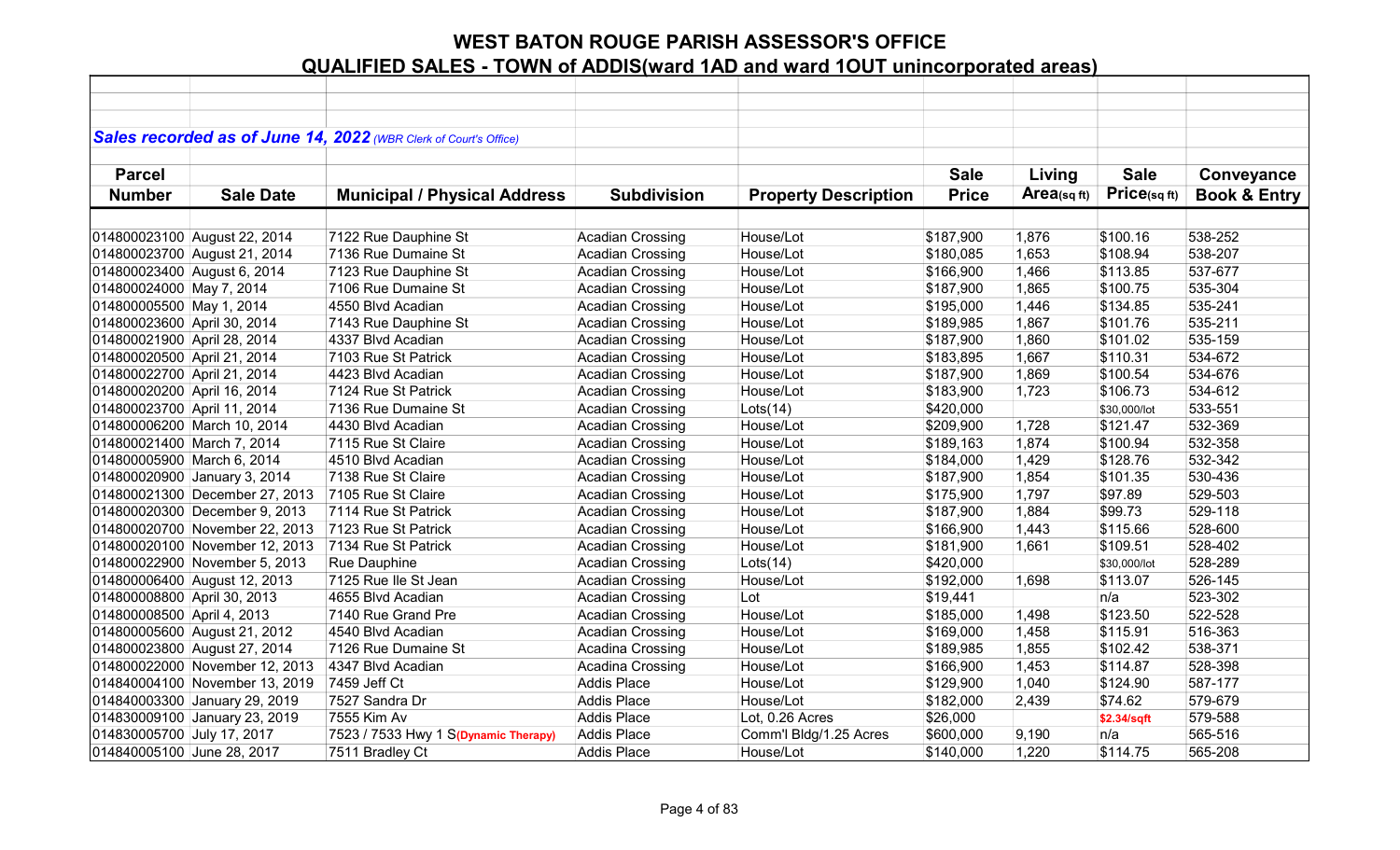|                             |                                | Sales recorded as of June 14, 2022 (WBR Clerk of Court's Office) |                         |                             |              |                |              |                         |
|-----------------------------|--------------------------------|------------------------------------------------------------------|-------------------------|-----------------------------|--------------|----------------|--------------|-------------------------|
|                             |                                |                                                                  |                         |                             |              |                |              |                         |
| <b>Parcel</b>               |                                |                                                                  |                         |                             | <b>Sale</b>  | Living         | <b>Sale</b>  | Conveyance              |
| <b>Number</b>               | <b>Sale Date</b>               | <b>Municipal / Physical Address</b>                              | <b>Subdivision</b>      | <b>Property Description</b> | <b>Price</b> | Area(sq $ft$ ) | Price(sqft)  | <b>Book &amp; Entry</b> |
|                             |                                |                                                                  |                         |                             |              |                |              |                         |
|                             | 014800023100 August 22, 2014   | 7122 Rue Dauphine St                                             | <b>Acadian Crossing</b> | House/Lot                   | \$187,900    | 1,876          | \$100.16     | 538-252                 |
|                             | 014800023700 August 21, 2014   | 7136 Rue Dumaine St                                              | <b>Acadian Crossing</b> | House/Lot                   | \$180,085    | 1,653          | \$108.94     | 538-207                 |
| 014800023400 August 6, 2014 |                                | 7123 Rue Dauphine St                                             | <b>Acadian Crossing</b> | House/Lot                   | \$166,900    | 1,466          | \$113.85     | 537-677                 |
| 014800024000 May 7, 2014    |                                | 7106 Rue Dumaine St                                              | <b>Acadian Crossing</b> | House/Lot                   | \$187,900    | 1,865          | \$100.75     | 535-304                 |
| 014800005500 May 1, 2014    |                                | 4550 Blvd Acadian                                                | <b>Acadian Crossing</b> | House/Lot                   | \$195,000    | 1,446          | \$134.85     | 535-241                 |
| 014800023600 April 30, 2014 |                                | 7143 Rue Dauphine St                                             | <b>Acadian Crossing</b> | House/Lot                   | \$189,985    | 1,867          | \$101.76     | 535-211                 |
| 014800021900 April 28, 2014 |                                | 4337 Blvd Acadian                                                | <b>Acadian Crossing</b> | House/Lot                   | \$187,900    | 1,860          | \$101.02     | 535-159                 |
| 014800020500 April 21, 2014 |                                | 7103 Rue St Patrick                                              | <b>Acadian Crossing</b> | House/Lot                   | \$183,895    | 1,667          | \$110.31     | 534-672                 |
| 014800022700 April 21, 2014 |                                | 4423 Blvd Acadian                                                | <b>Acadian Crossing</b> | House/Lot                   | \$187,900    | 1,869          | \$100.54     | 534-676                 |
| 014800020200 April 16, 2014 |                                | 7124 Rue St Patrick                                              | <b>Acadian Crossing</b> | House/Lot                   | \$183,900    | 1,723          | \$106.73     | 534-612                 |
| 014800023700 April 11, 2014 |                                | 7136 Rue Dumaine St                                              | <b>Acadian Crossing</b> | Lots(14)                    | \$420,000    |                | \$30,000/lot | 533-551                 |
|                             | 014800006200 March 10, 2014    | 4430 Blvd Acadian                                                | <b>Acadian Crossing</b> | House/Lot                   | \$209,900    | 1,728          | \$121.47     | 532-369                 |
| 014800021400 March 7, 2014  |                                | 7115 Rue St Claire                                               | <b>Acadian Crossing</b> | House/Lot                   | \$189,163    | 1,874          | \$100.94     | 532-358                 |
| 014800005900 March 6, 2014  |                                | 4510 Blvd Acadian                                                | <b>Acadian Crossing</b> | House/Lot                   | \$184,000    | 1,429          | \$128.76     | 532-342                 |
|                             | 014800020900 January 3, 2014   | 7138 Rue St Claire                                               | <b>Acadian Crossing</b> | House/Lot                   | \$187,900    | 1,854          | \$101.35     | 530-436                 |
|                             | 014800021300 December 27, 2013 | 7105 Rue St Claire                                               | <b>Acadian Crossing</b> | House/Lot                   | \$175,900    | 1,797          | \$97.89      | 529-503                 |
|                             | 014800020300 December 9, 2013  | 7114 Rue St Patrick                                              | <b>Acadian Crossing</b> | House/Lot                   | \$187,900    | 1,884          | \$99.73      | 529-118                 |
|                             | 014800020700 November 22, 2013 | 7123 Rue St Patrick                                              | <b>Acadian Crossing</b> | House/Lot                   | \$166,900    | 1,443          | \$115.66     | 528-600                 |
|                             | 014800020100 November 12, 2013 | 7134 Rue St Patrick                                              | <b>Acadian Crossing</b> | House/Lot                   | \$181,900    | 1,661          | \$109.51     | 528-402                 |
|                             | 014800022900 November 5, 2013  | Rue Dauphine                                                     | <b>Acadian Crossing</b> | Lots(14)                    | \$420,000    |                | \$30,000/lot | 528-289                 |
|                             | 014800006400 August 12, 2013   | 7125 Rue Ile St Jean                                             | <b>Acadian Crossing</b> | House/Lot                   | \$192,000    | 1,698          | \$113.07     | 526-145                 |
| 014800008800 April 30, 2013 |                                | 4655 Blvd Acadian                                                | <b>Acadian Crossing</b> | Lot                         | \$19,441     |                | n/a          | 523-302                 |
| 014800008500 April 4, 2013  |                                | 7140 Rue Grand Pre                                               | <b>Acadian Crossing</b> | House/Lot                   | \$185,000    | 1,498          | \$123.50     | 522-528                 |
|                             | 014800005600 August 21, 2012   | 4540 Blvd Acadian                                                | <b>Acadian Crossing</b> | House/Lot                   | \$169,000    | 1,458          | \$115.91     | 516-363                 |
|                             | 014800023800 August 27, 2014   | 7126 Rue Dumaine St                                              | Acadina Crossing        | House/Lot                   | \$189,985    | 1,855          | \$102.42     | 538-371                 |
|                             | 014800022000 November 12, 2013 | 4347 Blvd Acadian                                                | Acadina Crossing        | House/Lot                   | \$166,900    | 1,453          | \$114.87     | 528-398                 |
|                             | 014840004100 November 13, 2019 | 7459 Jeff Ct                                                     | <b>Addis Place</b>      | House/Lot                   | \$129,900    | 1,040          | \$124.90     | 587-177                 |
|                             | 014840003300 January 29, 2019  | 7527 Sandra Dr                                                   | <b>Addis Place</b>      | House/Lot                   | \$182,000    | 2,439          | \$74.62      | 579-679                 |
|                             | 014830009100 January 23, 2019  | 7555 Kim Av                                                      | <b>Addis Place</b>      | Lot, 0.26 Acres             | \$26,000     |                | \$2.34/sqft  | 579-588                 |
| 014830005700 July 17, 2017  |                                | 7523 / 7533 Hwy 1 S(Dynamic Therapy)                             | <b>Addis Place</b>      | Comm'l Bldg/1.25 Acres      | \$600,000    | 9,190          | n/a          | 565-516                 |
| 014840005100 June 28, 2017  |                                | 7511 Bradley Ct                                                  | <b>Addis Place</b>      | House/Lot                   | \$140,000    | 1,220          | \$114.75     | 565-208                 |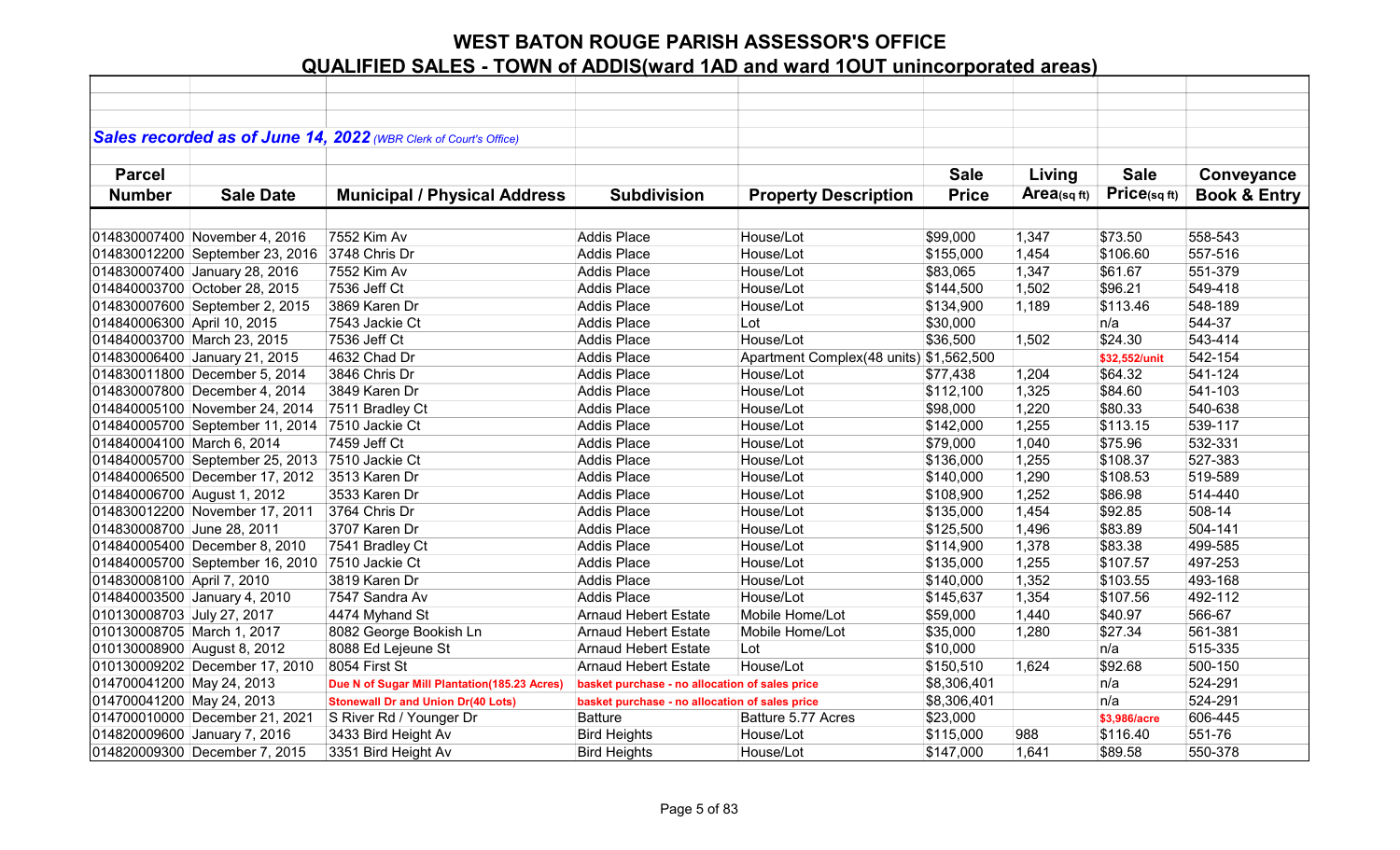|                             |                                                | Sales recorded as of June 14, 2022 (WBR Clerk of Court's Office) |                                                |                                         |              |            |               |                         |
|-----------------------------|------------------------------------------------|------------------------------------------------------------------|------------------------------------------------|-----------------------------------------|--------------|------------|---------------|-------------------------|
|                             |                                                |                                                                  |                                                |                                         |              |            |               |                         |
| <b>Parcel</b>               |                                                |                                                                  |                                                |                                         | <b>Sale</b>  | Living     | <b>Sale</b>   | Conveyance              |
| <b>Number</b>               | <b>Sale Date</b>                               | <b>Municipal / Physical Address</b>                              | <b>Subdivision</b>                             | <b>Property Description</b>             | <b>Price</b> | Area(sqft) | Price(sqft)   | <b>Book &amp; Entry</b> |
|                             |                                                |                                                                  |                                                |                                         |              |            |               |                         |
|                             | 014830007400 November 4, 2016                  | 7552 Kim Av                                                      | <b>Addis Place</b>                             | House/Lot                               | \$99,000     | 1,347      | \$73.50       | 558-543                 |
|                             | 014830012200 September 23, 2016                | 3748 Chris Dr                                                    | <b>Addis Place</b>                             | House/Lot                               | \$155,000    | 1,454      | \$106.60      | 557-516                 |
|                             | 014830007400 January 28, 2016                  | 7552 Kim Av                                                      | <b>Addis Place</b>                             | House/Lot                               | \$83,065     | 1,347      | \$61.67       | 551-379                 |
|                             | 014840003700 October 28, 2015                  | 7536 Jeff Ct                                                     | <b>Addis Place</b>                             | House/Lot                               | \$144,500    | 1,502      | \$96.21       | 549-418                 |
|                             | 014830007600 September 2, 2015                 | 3869 Karen Dr                                                    | <b>Addis Place</b>                             | House/Lot                               | \$134,900    | 1,189      | \$113.46      | 548-189                 |
| 014840006300 April 10, 2015 |                                                | 7543 Jackie Ct                                                   | <b>Addis Place</b>                             | Lot                                     | \$30,000     |            | n/a           | 544-37                  |
|                             | 014840003700 March 23, 2015                    | 7536 Jeff Ct                                                     | <b>Addis Place</b>                             | House/Lot                               | \$36,500     | 1,502      | \$24.30       | 543-414                 |
|                             | 014830006400 January 21, 2015                  | 4632 Chad Dr                                                     | <b>Addis Place</b>                             | Apartment Complex(48 units) \$1,562,500 |              |            | \$32,552/unit | 542-154                 |
|                             | 014830011800 December 5, 2014                  | 3846 Chris Dr                                                    | <b>Addis Place</b>                             | House/Lot                               | \$77,438     | 1,204      | \$64.32       | 541-124                 |
|                             | 014830007800 December 4, 2014                  | 3849 Karen Dr                                                    | <b>Addis Place</b>                             | House/Lot                               | \$112,100    | 1,325      | \$84.60       | 541-103                 |
|                             | 014840005100 November 24, 2014                 | 7511 Bradley Ct                                                  | <b>Addis Place</b>                             | House/Lot                               | \$98,000     | 1,220      | \$80.33       | 540-638                 |
|                             | 014840005700 September 11, 2014                | 7510 Jackie Ct                                                   | Addis Place                                    | House/Lot                               | \$142,000    | 1,255      | \$113.15      | 539-117                 |
| 014840004100 March 6, 2014  |                                                | 7459 Jeff Ct                                                     | Addis Place                                    | House/Lot                               | \$79,000     | 1,040      | \$75.96       | 532-331                 |
|                             | 014840005700 September 25, 2013 7510 Jackie Ct |                                                                  | <b>Addis Place</b>                             | House/Lot                               | \$136,000    | 1,255      | \$108.37      | 527-383                 |
|                             | 014840006500 December 17, 2012                 | 3513 Karen Dr                                                    | <b>Addis Place</b>                             | House/Lot                               | \$140,000    | 1,290      | \$108.53      | 519-589                 |
| 014840006700 August 1, 2012 |                                                | 3533 Karen Dr                                                    | <b>Addis Place</b>                             | House/Lot                               | \$108,900    | 1,252      | \$86.98       | 514-440                 |
|                             | 014830012200 November 17, 2011                 | 3764 Chris Dr                                                    | <b>Addis Place</b>                             | House/Lot                               | \$135,000    | 1,454      | \$92.85       | 508-14                  |
| 014830008700 June 28, 2011  |                                                | 3707 Karen Dr                                                    | <b>Addis Place</b>                             | House/Lot                               | \$125,500    | 1,496      | \$83.89       | 504-141                 |
|                             | 014840005400 December 8, 2010                  | 7541 Bradley Ct                                                  | Addis Place                                    | House/Lot                               | \$114,900    | 1,378      | \$83.38       | 499-585                 |
|                             | 014840005700 September 16, 2010                | 7510 Jackie Ct                                                   | <b>Addis Place</b>                             | House/Lot                               | \$135,000    | 1,255      | \$107.57      | 497-253                 |
| 014830008100 April 7, 2010  |                                                | 3819 Karen Dr                                                    | Addis Place                                    | House/Lot                               | \$140,000    | 1,352      | \$103.55      | 493-168                 |
|                             | 014840003500 January 4, 2010                   | 7547 Sandra Av                                                   | <b>Addis Place</b>                             | House/Lot                               | \$145,637    | 1,354      | \$107.56      | 492-112                 |
| 010130008703 July 27, 2017  |                                                | 4474 Myhand St                                                   | <b>Arnaud Hebert Estate</b>                    | Mobile Home/Lot                         | \$59,000     | 1,440      | \$40.97       | 566-67                  |
| 010130008705 March 1, 2017  |                                                | 8082 George Bookish Ln                                           | <b>Arnaud Hebert Estate</b>                    | Mobile Home/Lot                         | \$35,000     | 1,280      | \$27.34       | 561-381                 |
| 010130008900 August 8, 2012 |                                                | 8088 Ed Lejeune St                                               | <b>Arnaud Hebert Estate</b>                    | Lot                                     | \$10,000     |            | n/a           | 515-335                 |
|                             | 010130009202 December 17, 2010                 | 8054 First St                                                    | <b>Arnaud Hebert Estate</b>                    | House/Lot                               | \$150,510    | 1,624      | \$92.68       | 500-150                 |
| 014700041200 May 24, 2013   |                                                | Due N of Sugar Mill Plantation(185.23 Acres)                     | basket purchase - no allocation of sales price |                                         | \$8,306,401  |            | n/a           | 524-291                 |
| 014700041200 May 24, 2013   |                                                | <b>Stonewall Dr and Union Dr(40 Lots)</b>                        | basket purchase - no allocation of sales price |                                         | \$8,306,401  |            | n/a           | 524-291                 |
|                             | 014700010000 December 21, 2021                 | S River Rd / Younger Dr                                          | <b>Batture</b>                                 | Batture 5.77 Acres                      | \$23,000     |            | \$3,986/acre  | 606-445                 |
|                             | 014820009600 January 7, 2016                   | 3433 Bird Height Av                                              | <b>Bird Heights</b>                            | House/Lot                               | \$115,000    | 988        | \$116.40      | 551-76                  |
|                             | 014820009300 December 7, 2015                  | 3351 Bird Height Av                                              | <b>Bird Heights</b>                            | House/Lot                               | \$147,000    | 1,641      | \$89.58       | 550-378                 |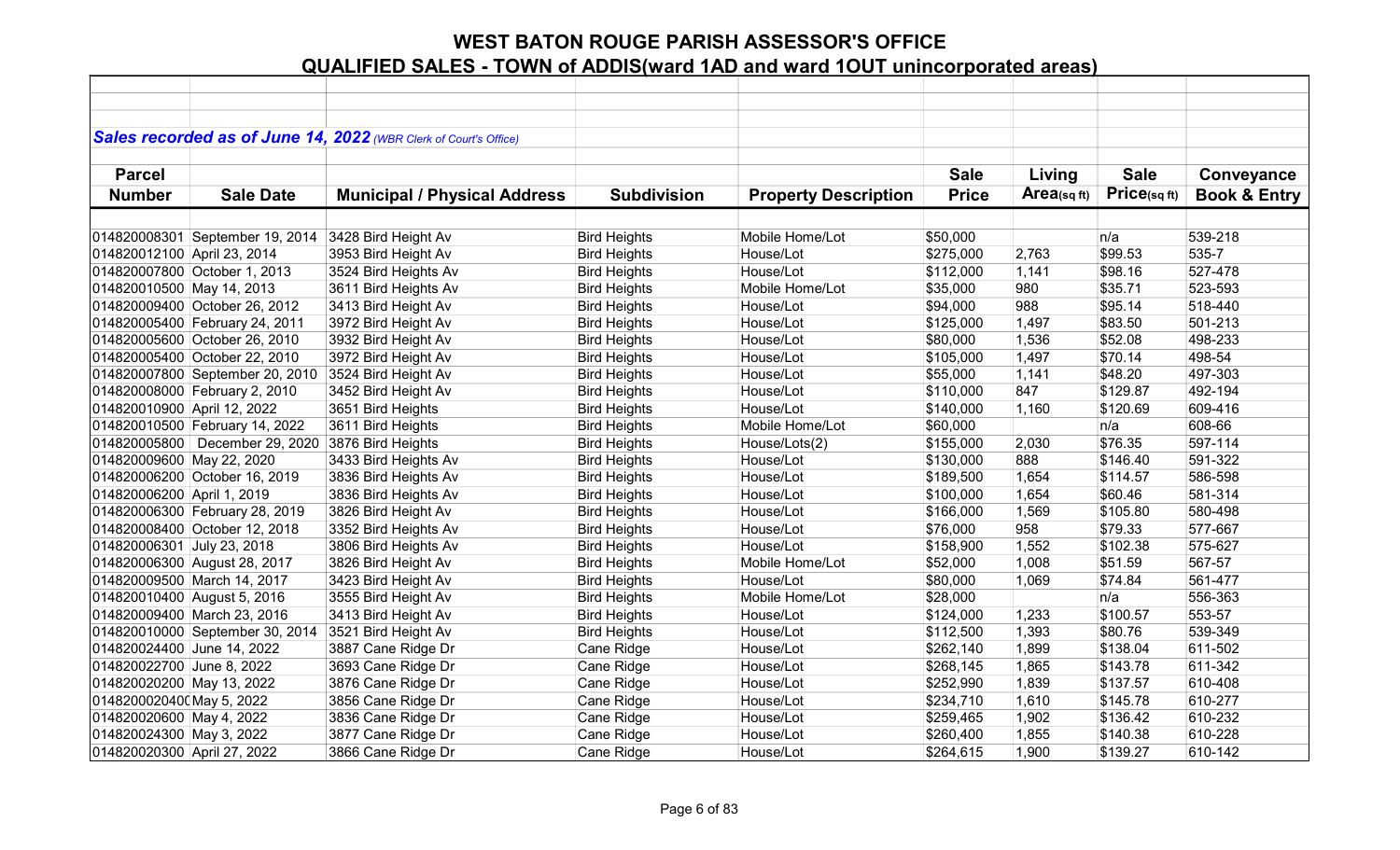|                             |                                  | Sales recorded as of June 14, 2022 (WBR Clerk of Court's Office) |                     |                             |              |             |              |                         |
|-----------------------------|----------------------------------|------------------------------------------------------------------|---------------------|-----------------------------|--------------|-------------|--------------|-------------------------|
|                             |                                  |                                                                  |                     |                             |              |             |              |                         |
| <b>Parcel</b>               |                                  |                                                                  |                     |                             | <b>Sale</b>  | Living      | <b>Sale</b>  | Conveyance              |
| <b>Number</b>               | <b>Sale Date</b>                 | <b>Municipal / Physical Address</b>                              | <b>Subdivision</b>  | <b>Property Description</b> | <b>Price</b> | Area(sq ft) | Price(sq ft) | <b>Book &amp; Entry</b> |
|                             |                                  |                                                                  |                     |                             |              |             |              |                         |
|                             | 014820008301 September 19, 2014  | 3428 Bird Height Av                                              | <b>Bird Heights</b> | Mobile Home/Lot             | \$50,000     |             | n/a          | 539-218                 |
| 014820012100 April 23, 2014 |                                  | 3953 Bird Height Av                                              | <b>Bird Heights</b> | House/Lot                   | \$275,000    | 2,763       | \$99.53      | 535-7                   |
|                             | 014820007800 October 1, 2013     | 3524 Bird Heights Av                                             | <b>Bird Heights</b> | House/Lot                   | \$112,000    | 1,141       | \$98.16      | 527-478                 |
|                             |                                  |                                                                  |                     | Mobile Home/Lot             |              | 980         | \$35.71      | 523-593                 |
| 014820010500 May 14, 2013   |                                  | 3611 Bird Heights Av                                             | <b>Bird Heights</b> |                             | \$35,000     |             |              |                         |
|                             | 014820009400 October 26, 2012    | 3413 Bird Height Av                                              | <b>Bird Heights</b> | House/Lot                   | \$94,000     | 988         | \$95.14      | 518-440                 |
|                             | 014820005400 February 24, 2011   | 3972 Bird Height Av                                              | <b>Bird Heights</b> | House/Lot                   | \$125,000    | 1,497       | \$83.50      | 501-213                 |
|                             | 014820005600 October 26, 2010    | 3932 Bird Height Av                                              | <b>Bird Heights</b> | House/Lot                   | \$80,000     | 1,536       | \$52.08      | 498-233                 |
|                             | 014820005400 October 22, 2010    | 3972 Bird Height Av                                              | <b>Bird Heights</b> | House/Lot                   | \$105,000    | 1,497       | \$70.14      | 498-54                  |
|                             | 014820007800 September 20, 2010  | 3524 Bird Height Av                                              | <b>Bird Heights</b> | House/Lot                   | \$55,000     | 1,141       | \$48.20      | 497-303                 |
|                             | 014820008000 February 2, 2010    | 3452 Bird Height Av                                              | <b>Bird Heights</b> | House/Lot                   | \$110,000    | 847         | \$129.87     | 492-194                 |
| 014820010900 April 12, 2022 |                                  | 3651 Bird Heights                                                | <b>Bird Heights</b> | House/Lot                   | \$140,000    | 1,160       | \$120.69     | 609-416                 |
|                             | 014820010500 February 14, 2022   | 3611 Bird Heights                                                | <b>Bird Heights</b> | Mobile Home/Lot             | \$60,000     |             | n/a          | 608-66                  |
|                             | 014820005800   December 29, 2020 | 3876 Bird Heights                                                | <b>Bird Heights</b> | House/Lots(2)               | \$155,000    | 2,030       | \$76.35      | 597-114                 |
| 014820009600 May 22, 2020   |                                  | 3433 Bird Heights Av                                             | <b>Bird Heights</b> | House/Lot                   | \$130,000    | 888         | \$146.40     | 591-322                 |
|                             | 014820006200 October 16, 2019    | 3836 Bird Heights Av                                             | <b>Bird Heights</b> | House/Lot                   | \$189,500    | 1,654       | \$114.57     | 586-598                 |
| 014820006200 April 1, 2019  |                                  | 3836 Bird Heights Av                                             | <b>Bird Heights</b> | House/Lot                   | \$100,000    | 1,654       | \$60.46      | 581-314                 |
|                             | 014820006300 February 28, 2019   | 3826 Bird Height Av                                              | <b>Bird Heights</b> | House/Lot                   | \$166,000    | 1,569       | \$105.80     | 580-498                 |
|                             | 014820008400 October 12, 2018    | 3352 Bird Heights Av                                             | <b>Bird Heights</b> | House/Lot                   | \$76,000     | 958         | \$79.33      | 577-667                 |
| 014820006301 July 23, 2018  |                                  | 3806 Bird Heights Av                                             | <b>Bird Heights</b> | House/Lot                   | \$158,900    | 1,552       | \$102.38     | 575-627                 |
|                             | 014820006300 August 28, 2017     | 3826 Bird Height Av                                              | <b>Bird Heights</b> | Mobile Home/Lot             | \$52,000     | 1,008       | \$51.59      | 567-57                  |
|                             | 014820009500 March 14, 2017      | 3423 Bird Height Av                                              | <b>Bird Heights</b> | House/Lot                   | \$80,000     | 1,069       | \$74.84      | 561-477                 |
| 014820010400 August 5, 2016 |                                  | 3555 Bird Height Av                                              | <b>Bird Heights</b> | Mobile Home/Lot             | \$28,000     |             | n/a          | 556-363                 |
|                             | 014820009400 March 23, 2016      | 3413 Bird Height Av                                              | <b>Bird Heights</b> | House/Lot                   | \$124,000    | 1,233       | \$100.57     | 553-57                  |
|                             | 014820010000 September 30, 2014  | 3521 Bird Height Av                                              | <b>Bird Heights</b> | House/Lot                   | \$112,500    | 1,393       | \$80.76      | 539-349                 |
| 014820024400 June 14, 2022  |                                  | 3887 Cane Ridge Dr                                               | Cane Ridge          | House/Lot                   | \$262,140    | 1,899       | \$138.04     | 611-502                 |
| 014820022700 June 8, 2022   |                                  | 3693 Cane Ridge Dr                                               | Cane Ridge          | House/Lot                   | \$268,145    | 1,865       | \$143.78     | 611-342                 |
| 014820020200 May 13, 2022   |                                  | 3876 Cane Ridge Dr                                               | Cane Ridge          | House/Lot                   | \$252,990    | 1,839       | \$137.57     | 610-408                 |
| 0148200020400 May 5, 2022   |                                  | 3856 Cane Ridge Dr                                               | Cane Ridge          | House/Lot                   | \$234,710    | 1,610       | \$145.78     | 610-277                 |
| 014820020600 May 4, 2022    |                                  | 3836 Cane Ridge Dr                                               | Cane Ridge          | House/Lot                   | \$259,465    | 1,902       | \$136.42     | 610-232                 |
| 014820024300 May 3, 2022    |                                  | 3877 Cane Ridge Dr                                               | Cane Ridge          | House/Lot                   | \$260,400    | 1,855       | \$140.38     | 610-228                 |
| 014820020300 April 27, 2022 |                                  | 3866 Cane Ridge Dr                                               | Cane Ridge          | House/Lot                   | \$264,615    | 1,900       | \$139.27     | 610-142                 |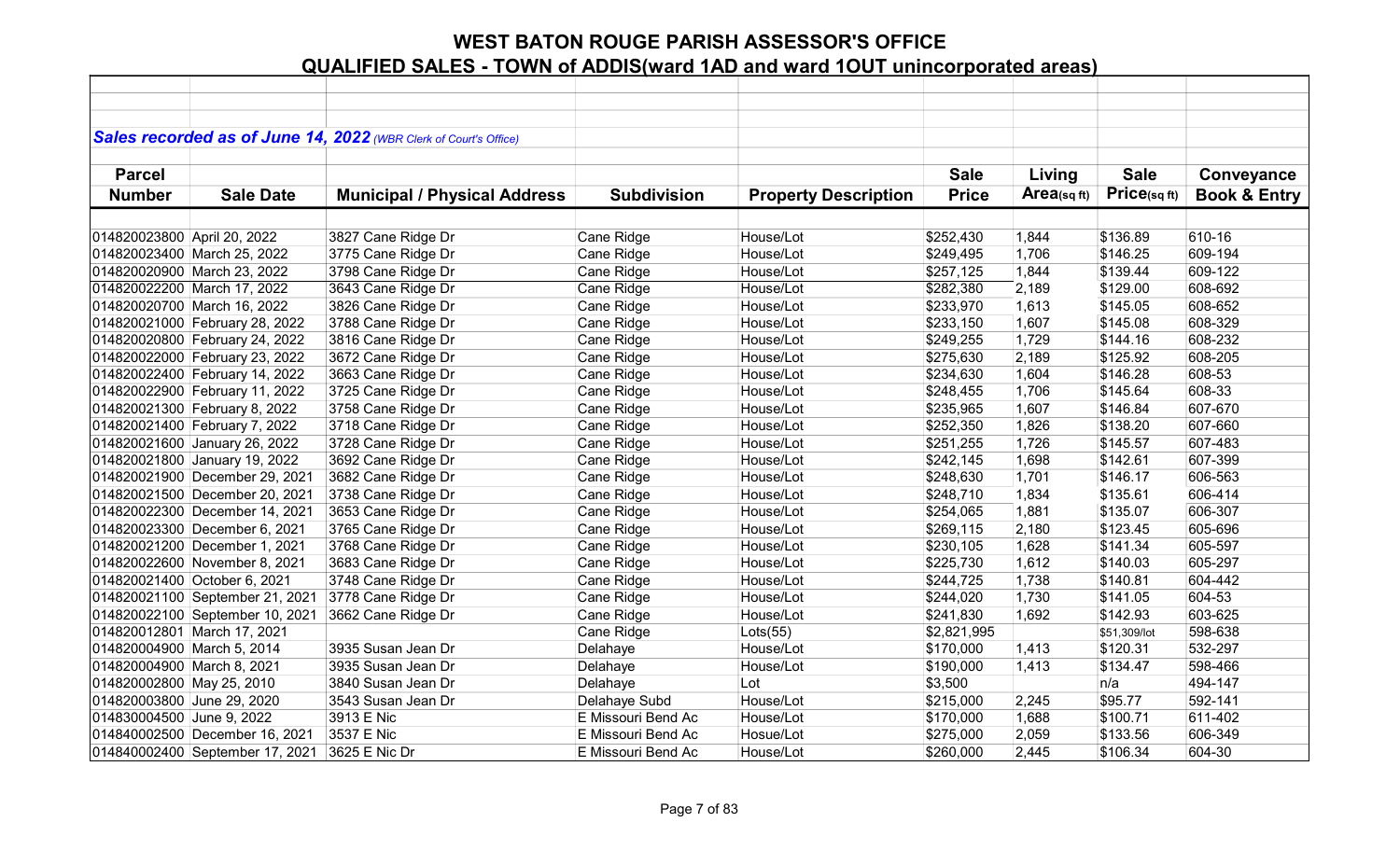|                             |                                 | Sales recorded as of June 14, 2022 (WBR Clerk of Court's Office) |                    |                             |              |                |              |                         |
|-----------------------------|---------------------------------|------------------------------------------------------------------|--------------------|-----------------------------|--------------|----------------|--------------|-------------------------|
|                             |                                 |                                                                  |                    |                             |              |                |              |                         |
| <b>Parcel</b>               |                                 |                                                                  |                    |                             | <b>Sale</b>  | Living         | <b>Sale</b>  | Conveyance              |
| <b>Number</b>               | <b>Sale Date</b>                | <b>Municipal / Physical Address</b>                              | <b>Subdivision</b> | <b>Property Description</b> | <b>Price</b> | $Area$ (sq ft) | Price(sqft)  | <b>Book &amp; Entry</b> |
|                             |                                 |                                                                  |                    |                             |              |                |              |                         |
| 014820023800 April 20, 2022 |                                 | 3827 Cane Ridge Dr                                               | Cane Ridge         | House/Lot                   | \$252,430    | 1,844          | \$136.89     | 610-16                  |
|                             | 014820023400 March 25, 2022     | 3775 Cane Ridge Dr                                               | Cane Ridge         | House/Lot                   | \$249,495    | 1,706          | \$146.25     | 609-194                 |
|                             | 014820020900 March 23, 2022     | 3798 Cane Ridge Dr                                               | Cane Ridge         | House/Lot                   | \$257,125    | 1,844          | \$139.44     | 609-122                 |
|                             | 014820022200 March 17, 2022     | 3643 Cane Ridge Dr                                               | Cane Ridge         | House/Lot                   | \$282,380    | 2,189          | \$129.00     | 608-692                 |
|                             | 014820020700 March 16, 2022     | 3826 Cane Ridge Dr                                               | Cane Ridge         | House/Lot                   | \$233,970    | 1,613          | \$145.05     | 608-652                 |
|                             | 014820021000 February 28, 2022  | 3788 Cane Ridge Dr                                               | Cane Ridge         | House/Lot                   | \$233,150    | 1,607          | \$145.08     | 608-329                 |
|                             | 014820020800 February 24, 2022  | 3816 Cane Ridge Dr                                               | Cane Ridge         | House/Lot                   | \$249,255    | 1,729          | \$144.16     | 608-232                 |
|                             | 014820022000 February 23, 2022  | 3672 Cane Ridge Dr                                               | Cane Ridge         | House/Lot                   | \$275,630    | 2,189          | \$125.92     | 608-205                 |
|                             | 014820022400 February 14, 2022  | 3663 Cane Ridge Dr                                               | Cane Ridge         | House/Lot                   | \$234,630    | 1,604          | \$146.28     | 608-53                  |
|                             | 014820022900 February 11, 2022  | 3725 Cane Ridge Dr                                               | Cane Ridge         | House/Lot                   | \$248,455    | 1,706          | \$145.64     | 608-33                  |
|                             | 014820021300 February 8, 2022   | 3758 Cane Ridge Dr                                               | Cane Ridge         | House/Lot                   | \$235,965    | 1,607          | \$146.84     | 607-670                 |
|                             | 014820021400 February 7, 2022   | 3718 Cane Ridge Dr                                               | Cane Ridge         | House/Lot                   | \$252,350    | 1,826          | \$138.20     | 607-660                 |
|                             | 014820021600 January 26, 2022   | 3728 Cane Ridge Dr                                               | Cane Ridge         | House/Lot                   | \$251,255    | 1,726          | \$145.57     | 607-483                 |
|                             | 014820021800 January 19, 2022   | 3692 Cane Ridge Dr                                               | Cane Ridge         | House/Lot                   | \$242,145    | 1,698          | \$142.61     | 607-399                 |
|                             | 014820021900 December 29, 2021  | 3682 Cane Ridge Dr                                               | Cane Ridge         | House/Lot                   | \$248,630    | 1,701          | \$146.17     | 606-563                 |
|                             | 014820021500 December 20, 2021  | 3738 Cane Ridge Dr                                               | Cane Ridge         | House/Lot                   | \$248,710    | 1,834          | \$135.61     | 606-414                 |
|                             | 014820022300 December 14, 2021  | 3653 Cane Ridge Dr                                               | Cane Ridge         | House/Lot                   | \$254,065    | 1,881          | \$135.07     | 606-307                 |
|                             | 014820023300 December 6, 2021   | 3765 Cane Ridge Dr                                               | Cane Ridge         | House/Lot                   | \$269,115    | 2,180          | \$123.45     | 605-696                 |
|                             | 014820021200 December 1, 2021   | 3768 Cane Ridge Dr                                               | Cane Ridge         | House/Lot                   | \$230,105    | 1,628          | \$141.34     | 605-597                 |
|                             | 014820022600 November 8, 2021   | 3683 Cane Ridge Dr                                               | Cane Ridge         | House/Lot                   | \$225,730    | 1,612          | \$140.03     | 605-297                 |
|                             | 014820021400 October 6, 2021    | 3748 Cane Ridge Dr                                               | Cane Ridge         | House/Lot                   | \$244,725    | 1,738          | \$140.81     | 604-442                 |
|                             | 014820021100 September 21, 2021 | 3778 Cane Ridge Dr                                               | Cane Ridge         | House/Lot                   | \$244,020    | 1,730          | \$141.05     | 604-53                  |
|                             | 014820022100 September 10, 2021 | 3662 Cane Ridge Dr                                               | Cane Ridge         | House/Lot                   | \$241,830    | 1,692          | \$142.93     | 603-625                 |
|                             | 014820012801 March 17, 2021     |                                                                  | Cane Ridge         | Lots(55)                    | \$2,821,995  |                | \$51,309/lot | 598-638                 |
| 014820004900 March 5, 2014  |                                 | 3935 Susan Jean Dr                                               | Delahaye           | House/Lot                   | \$170,000    | 1,413          | \$120.31     | 532-297                 |
| 014820004900 March 8, 2021  |                                 | 3935 Susan Jean Dr                                               | Delahaye           | House/Lot                   | \$190,000    | 1,413          | \$134.47     | 598-466                 |
| 014820002800 May 25, 2010   |                                 | 3840 Susan Jean Dr                                               | Delahaye           | Lot                         | \$3,500      |                | n/a          | 494-147                 |
| 014820003800 June 29, 2020  |                                 | 3543 Susan Jean Dr                                               | Delahaye Subd      | House/Lot                   | \$215,000    | 2,245          | \$95.77      | 592-141                 |
| 014830004500 June 9, 2022   |                                 | 3913 E Nic                                                       | E Missouri Bend Ac | House/Lot                   | \$170,000    | 1,688          | \$100.71     | 611-402                 |
|                             | 014840002500 December 16, 2021  | 3537 E Nic                                                       | E Missouri Bend Ac | Hosue/Lot                   | \$275,000    | 2,059          | \$133.56     | 606-349                 |
|                             | 014840002400 September 17, 2021 | 3625 E Nic Dr                                                    | E Missouri Bend Ac | House/Lot                   | \$260,000    | 2,445          | \$106.34     | 604-30                  |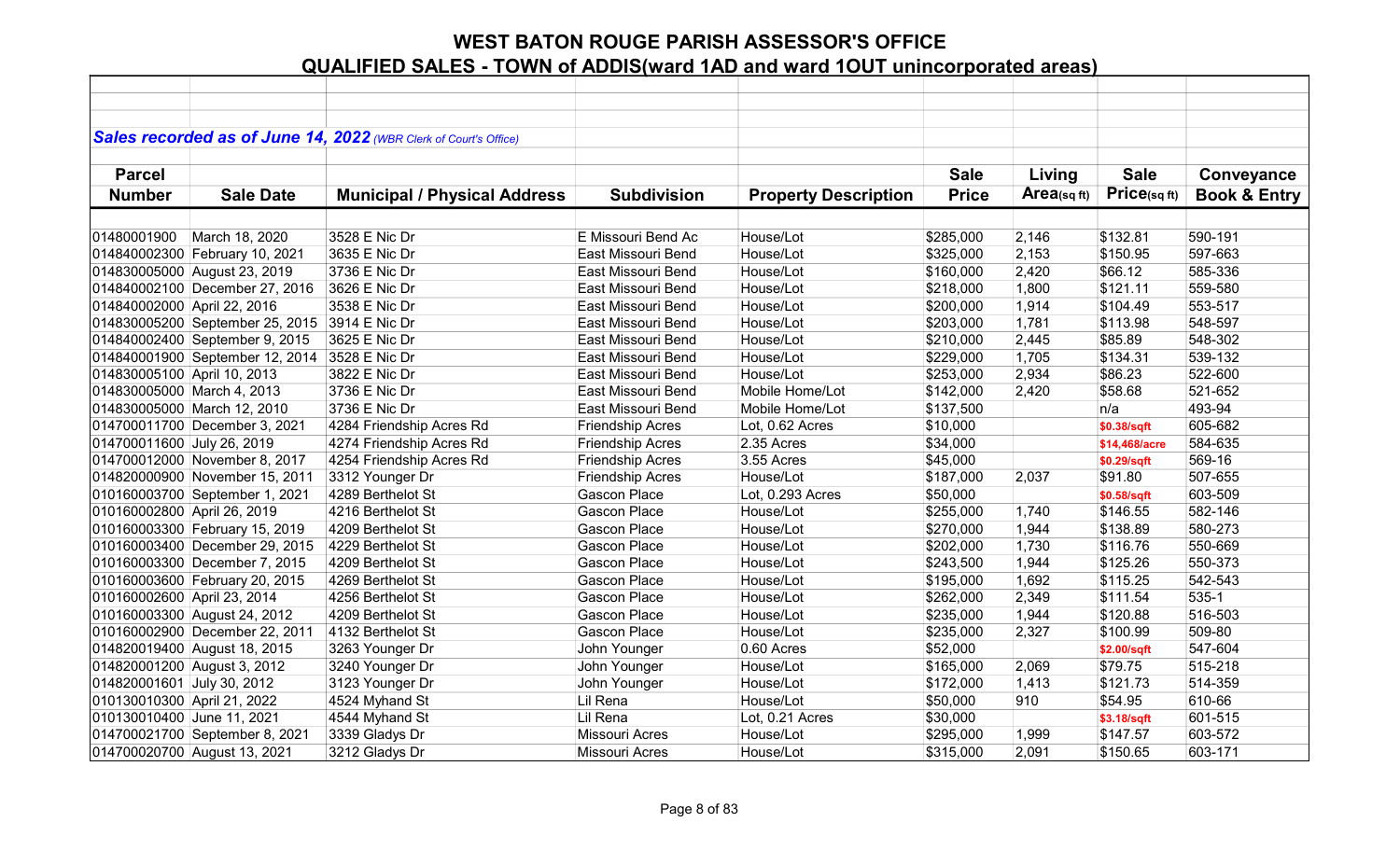|                             |                                 | Sales recorded as of June 14, 2022 (WBR Clerk of Court's Office) |                           |                             |              |            |               |                         |
|-----------------------------|---------------------------------|------------------------------------------------------------------|---------------------------|-----------------------------|--------------|------------|---------------|-------------------------|
|                             |                                 |                                                                  |                           |                             |              |            |               |                         |
| <b>Parcel</b>               |                                 |                                                                  |                           |                             | <b>Sale</b>  | Living     | <b>Sale</b>   | Conveyance              |
| <b>Number</b>               | <b>Sale Date</b>                | <b>Municipal / Physical Address</b>                              | <b>Subdivision</b>        | <b>Property Description</b> | <b>Price</b> | Area(sqft) | Price(sqft)   | <b>Book &amp; Entry</b> |
|                             |                                 |                                                                  |                           |                             |              |            |               |                         |
| 01480001900                 | March 18, 2020                  | 3528 E Nic Dr                                                    | E Missouri Bend Ac        | House/Lot                   | \$285,000    | 2,146      | \$132.81      | 590-191                 |
|                             | 014840002300 February 10, 2021  | 3635 E Nic Dr                                                    | <b>East Missouri Bend</b> | House/Lot                   | \$325,000    | 2,153      | \$150.95      | 597-663                 |
|                             | 014830005000 August 23, 2019    | 3736 E Nic Dr                                                    | East Missouri Bend        | House/Lot                   | \$160,000    | 2,420      | \$66.12       | 585-336                 |
|                             | 014840002100 December 27, 2016  | 3626 E Nic Dr                                                    | East Missouri Bend        | House/Lot                   | \$218,000    | 1,800      | \$121.11      | 559-580                 |
| 014840002000 April 22, 2016 |                                 | 3538 E Nic Dr                                                    | East Missouri Bend        | House/Lot                   | \$200,000    | 1,914      | \$104.49      | 553-517                 |
|                             | 014830005200 September 25, 2015 | 3914 E Nic Dr                                                    | East Missouri Bend        | House/Lot                   | \$203,000    | 1,781      | \$113.98      | 548-597                 |
|                             | 014840002400 September 9, 2015  | 3625 E Nic Dr                                                    | East Missouri Bend        | House/Lot                   | \$210,000    | 2,445      | \$85.89       | 548-302                 |
|                             | 014840001900 September 12, 2014 | 3528 E Nic Dr                                                    | East Missouri Bend        | House/Lot                   | \$229,000    | 1,705      | \$134.31      | 539-132                 |
| 014830005100 April 10, 2013 |                                 | 3822 E Nic Dr                                                    | East Missouri Bend        | House/Lot                   | \$253,000    | 2,934      | \$86.23       | 522-600                 |
| 014830005000 March 4, 2013  |                                 | 3736 E Nic Dr                                                    | East Missouri Bend        | Mobile Home/Lot             | \$142,000    | 2,420      | \$58.68       | 521-652                 |
|                             | 014830005000 March 12, 2010     | 3736 E Nic Dr                                                    | East Missouri Bend        | Mobile Home/Lot             | \$137,500    |            | n/a           | 493-94                  |
|                             | 014700011700 December 3, 2021   | 4284 Friendship Acres Rd                                         | <b>Friendship Acres</b>   | Lot, 0.62 Acres             | \$10,000     |            | \$0.38/sqft   | 605-682                 |
| 014700011600 July 26, 2019  |                                 | 4274 Friendship Acres Rd                                         | <b>Friendship Acres</b>   | 2.35 Acres                  | \$34,000     |            | \$14,468/acre | 584-635                 |
|                             | 014700012000 November 8, 2017   | 4254 Friendship Acres Rd                                         | Friendship Acres          | 3.55 Acres                  | \$45,000     |            | \$0.29/sqft   | 569-16                  |
|                             | 014820000900 November 15, 2011  | 3312 Younger Dr                                                  | <b>Friendship Acres</b>   | House/Lot                   | \$187,000    | 2,037      | \$91.80       | 507-655                 |
|                             | 010160003700 September 1, 2021  | 4289 Berthelot St                                                | Gascon Place              | Lot, 0.293 Acres            | \$50,000     |            | \$0.58/sqft   | 603-509                 |
| 010160002800 April 26, 2019 |                                 | 4216 Berthelot St                                                | Gascon Place              | House/Lot                   | \$255,000    | 1,740      | \$146.55      | 582-146                 |
|                             | 010160003300 February 15, 2019  | 4209 Berthelot St                                                | <b>Gascon Place</b>       | House/Lot                   | \$270,000    | 1,944      | \$138.89      | 580-273                 |
|                             | 010160003400 December 29, 2015  | 4229 Berthelot St                                                | Gascon Place              | House/Lot                   | \$202,000    | 1,730      | \$116.76      | 550-669                 |
|                             | 010160003300 December 7, 2015   | 4209 Berthelot St                                                | Gascon Place              | House/Lot                   | \$243,500    | 1,944      | \$125.26      | 550-373                 |
|                             | 010160003600 February 20, 2015  | 4269 Berthelot St                                                | <b>Gascon Place</b>       | House/Lot                   | \$195,000    | 1,692      | \$115.25      | 542-543                 |
| 010160002600 April 23, 2014 |                                 | 4256 Berthelot St                                                | Gascon Place              | House/Lot                   | \$262,000    | 2,349      | \$111.54      | $535-1$                 |
|                             | 010160003300 August 24, 2012    | 4209 Berthelot St                                                | <b>Gascon Place</b>       | House/Lot                   | \$235,000    | 1,944      | \$120.88      | 516-503                 |
|                             | 010160002900 December 22, 2011  | 4132 Berthelot St                                                | Gascon Place              | House/Lot                   | \$235,000    | 2,327      | \$100.99      | 509-80                  |
|                             | 014820019400 August 18, 2015    | 3263 Younger Dr                                                  | John Younger              | 0.60 Acres                  | \$52,000     |            | \$2.00/sqft   | 547-604                 |
| 014820001200 August 3, 2012 |                                 | 3240 Younger Dr                                                  | John Younger              | House/Lot                   | \$165,000    | 2,069      | \$79.75       | 515-218                 |
| 014820001601 July 30, 2012  |                                 | 3123 Younger Dr                                                  | John Younger              | House/Lot                   | \$172,000    | 1,413      | \$121.73      | 514-359                 |
| 010130010300 April 21, 2022 |                                 | 4524 Myhand St                                                   | Lil Rena                  | House/Lot                   | \$50,000     | 910        | \$54.95       | 610-66                  |
| 010130010400 June 11, 2021  |                                 | 4544 Myhand St                                                   | Lil Rena                  | Lot, 0.21 Acres             | \$30,000     |            | \$3.18/sqft   | 601-515                 |
|                             | 014700021700 September 8, 2021  | 3339 Gladys Dr                                                   | Missouri Acres            | House/Lot                   | \$295,000    | 1,999      | \$147.57      | 603-572                 |
|                             | 014700020700 August 13, 2021    | 3212 Gladys Dr                                                   | Missouri Acres            | House/Lot                   | \$315,000    | 2,091      | \$150.65      | 603-171                 |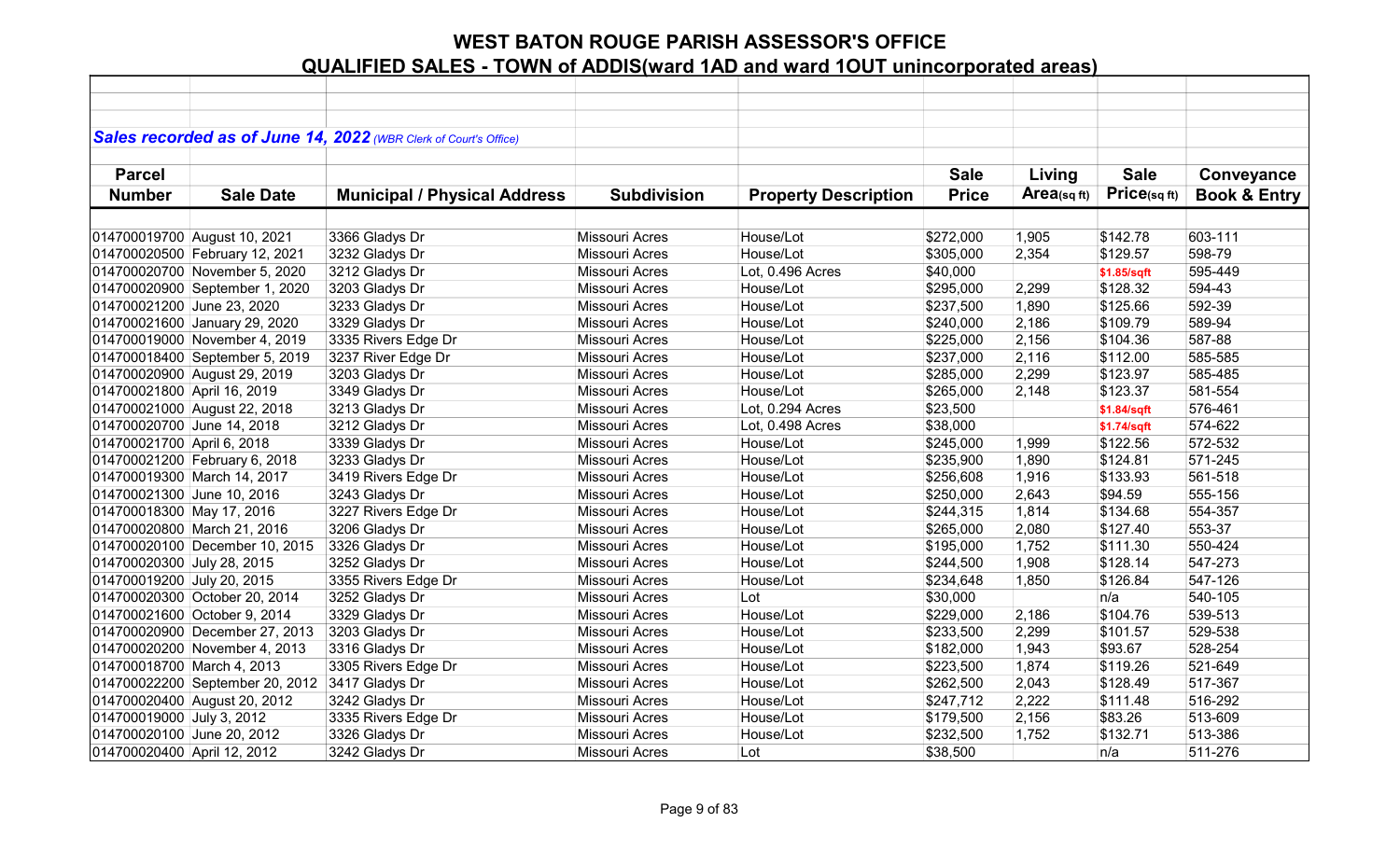|                             |                                 | Sales recorded as of June 14, 2022 (WBR Clerk of Court's Office) |                       |                             |              |            |             |                         |
|-----------------------------|---------------------------------|------------------------------------------------------------------|-----------------------|-----------------------------|--------------|------------|-------------|-------------------------|
|                             |                                 |                                                                  |                       |                             |              |            |             |                         |
| <b>Parcel</b>               |                                 |                                                                  |                       |                             | <b>Sale</b>  | Living     | <b>Sale</b> | Conveyance              |
| <b>Number</b>               | <b>Sale Date</b>                | <b>Municipal / Physical Address</b>                              | <b>Subdivision</b>    | <b>Property Description</b> | <b>Price</b> | Area(sqft) | Price(sqft) | <b>Book &amp; Entry</b> |
|                             |                                 |                                                                  |                       |                             |              |            |             |                         |
|                             | 014700019700 August 10, 2021    | 3366 Gladys Dr                                                   | <b>Missouri Acres</b> | House/Lot                   | \$272,000    | 1,905      | \$142.78    | 603-111                 |
|                             | 014700020500 February 12, 2021  | 3232 Gladys Dr                                                   | Missouri Acres        | House/Lot                   | \$305,000    | 2,354      | \$129.57    | 598-79                  |
|                             | 014700020700 November 5, 2020   | 3212 Gladys Dr                                                   | <b>Missouri Acres</b> | Lot, 0.496 Acres            | \$40,000     |            | \$1.85/sqft | 595-449                 |
|                             | 014700020900 September 1, 2020  | 3203 Gladys Dr                                                   | <b>Missouri Acres</b> | House/Lot                   | \$295,000    | 2,299      | \$128.32    | 594-43                  |
| 014700021200 June 23, 2020  |                                 | 3233 Gladys Dr                                                   | Missouri Acres        | House/Lot                   | \$237,500    | 1,890      | \$125.66    | 592-39                  |
|                             | 014700021600 January 29, 2020   | 3329 Gladys Dr                                                   | Missouri Acres        | House/Lot                   | \$240,000    | 2,186      | \$109.79    | 589-94                  |
|                             | 014700019000 November 4, 2019   | 3335 Rivers Edge Dr                                              | <b>Missouri Acres</b> | House/Lot                   | \$225,000    | 2,156      | \$104.36    | 587-88                  |
|                             | 014700018400 September 5, 2019  | 3237 River Edge Dr                                               | <b>Missouri Acres</b> | House/Lot                   | \$237,000    | 2,116      | \$112.00    | 585-585                 |
|                             | 014700020900 August 29, 2019    | 3203 Gladys Dr                                                   | <b>Missouri Acres</b> | House/Lot                   | \$285,000    | 2,299      | \$123.97    | 585-485                 |
| 014700021800 April 16, 2019 |                                 | 3349 Gladys Dr                                                   | <b>Missouri Acres</b> | House/Lot                   | \$265,000    | 2,148      | \$123.37    | 581-554                 |
|                             | 014700021000 August 22, 2018    | 3213 Gladys Dr                                                   | Missouri Acres        | Lot, 0.294 Acres            | \$23,500     |            | \$1.84/sqft | 576-461                 |
| 014700020700 June 14, 2018  |                                 | 3212 Gladys Dr                                                   | <b>Missouri Acres</b> | Lot, 0.498 Acres            | \$38,000     |            | \$1.74/sqft | 574-622                 |
| 014700021700 April 6, 2018  |                                 | 3339 Gladys Dr                                                   | <b>Missouri Acres</b> | House/Lot                   | \$245,000    | 1,999      | \$122.56    | 572-532                 |
|                             | 014700021200 February 6, 2018   | 3233 Gladys Dr                                                   | Missouri Acres        | House/Lot                   | \$235,900    | 1,890      | \$124.81    | 571-245                 |
|                             | 014700019300 March 14, 2017     | 3419 Rivers Edge Dr                                              | Missouri Acres        | House/Lot                   | \$256,608    | 1,916      | \$133.93    | 561-518                 |
| 014700021300 June 10, 2016  |                                 | 3243 Gladys Dr                                                   | Missouri Acres        | House/Lot                   | \$250,000    | 2,643      | \$94.59     | 555-156                 |
| 014700018300 May 17, 2016   |                                 | 3227 Rivers Edge Dr                                              | <b>Missouri Acres</b> | House/Lot                   | \$244,315    | 1,814      | \$134.68    | 554-357                 |
|                             | 014700020800 March 21, 2016     | 3206 Gladys Dr                                                   | <b>Missouri Acres</b> | House/Lot                   | \$265,000    | 2,080      | \$127.40    | 553-37                  |
|                             | 014700020100 December 10, 2015  | 3326 Gladys Dr                                                   | Missouri Acres        | House/Lot                   | \$195,000    | 1,752      | \$111.30    | 550-424                 |
| 014700020300 July 28, 2015  |                                 | 3252 Gladys Dr                                                   | <b>Missouri Acres</b> | House/Lot                   | \$244,500    | 1,908      | \$128.14    | 547-273                 |
| 014700019200 July 20, 2015  |                                 | 3355 Rivers Edge Dr                                              | <b>Missouri Acres</b> | House/Lot                   | \$234,648    | 1,850      | \$126.84    | 547-126                 |
|                             | 014700020300 October 20, 2014   | 3252 Gladys Dr                                                   | <b>Missouri Acres</b> | Lot                         | \$30,000     |            | n/a         | 540-105                 |
|                             | 014700021600 October 9, 2014    | 3329 Gladys Dr                                                   | Missouri Acres        | House/Lot                   | \$229,000    | 2,186      | \$104.76    | 539-513                 |
|                             | 014700020900 December 27, 2013  | 3203 Gladys Dr                                                   | <b>Missouri Acres</b> | House/Lot                   | \$233,500    | 2,299      | \$101.57    | 529-538                 |
|                             | 014700020200 November 4, 2013   | 3316 Gladys Dr                                                   | <b>Missouri Acres</b> | House/Lot                   | \$182,000    | 1,943      | \$93.67     | 528-254                 |
| 014700018700 March 4, 2013  |                                 | 3305 Rivers Edge Dr                                              | <b>Missouri Acres</b> | House/Lot                   | \$223,500    | 1,874      | \$119.26    | 521-649                 |
|                             | 014700022200 September 20, 2012 | 3417 Gladys Dr                                                   | Missouri Acres        | House/Lot                   | \$262,500    | 2,043      | \$128.49    | 517-367                 |
|                             | 014700020400 August 20, 2012    | 3242 Gladys Dr                                                   | <b>Missouri Acres</b> | House/Lot                   | \$247,712    | 2,222      | \$111.48    | 516-292                 |
| 014700019000 July 3, 2012   |                                 | 3335 Rivers Edge Dr                                              | Missouri Acres        | House/Lot                   | \$179,500    | 2,156      | \$83.26     | 513-609                 |
| 014700020100 June 20, 2012  |                                 | 3326 Gladys Dr                                                   | Missouri Acres        | House/Lot                   | \$232,500    | 1,752      | \$132.71    | 513-386                 |
| 014700020400 April 12, 2012 |                                 | 3242 Gladys Dr                                                   | Missouri Acres        | Lot                         | \$38,500     |            | n/a         | 511-276                 |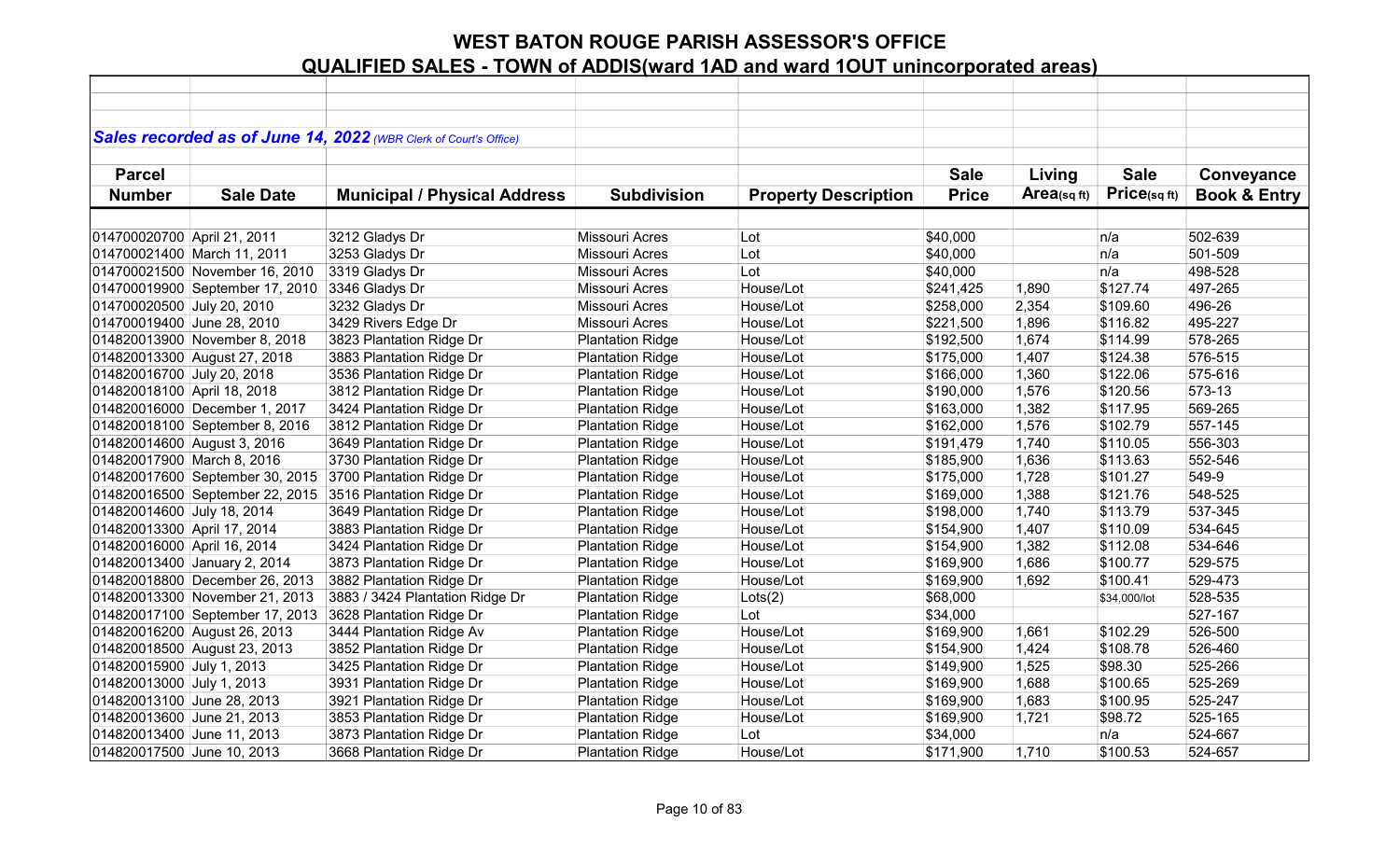|                             |                                 | Sales recorded as of June 14, 2022 (WBR Clerk of Court's Office) |                         |                             |              |            |              |                         |
|-----------------------------|---------------------------------|------------------------------------------------------------------|-------------------------|-----------------------------|--------------|------------|--------------|-------------------------|
| <b>Parcel</b>               |                                 |                                                                  |                         |                             | <b>Sale</b>  | Living     | <b>Sale</b>  | Conveyance              |
| <b>Number</b>               | <b>Sale Date</b>                | <b>Municipal / Physical Address</b>                              | <b>Subdivision</b>      | <b>Property Description</b> | <b>Price</b> | Area(sqft) | Price(sqft)  | <b>Book &amp; Entry</b> |
|                             |                                 |                                                                  |                         |                             |              |            |              |                         |
| 014700020700 April 21, 2011 |                                 | 3212 Gladys Dr                                                   | <b>Missouri Acres</b>   | Lot                         | \$40,000     |            | n/a          | 502-639                 |
|                             | 014700021400 March 11, 2011     | 3253 Gladys Dr                                                   | Missouri Acres          | Lot                         | \$40,000     |            | n/a          | 501-509                 |
|                             | 014700021500 November 16, 2010  | 3319 Gladys Dr                                                   | <b>Missouri Acres</b>   | Lot                         | \$40,000     |            | n/a          | 498-528                 |
|                             | 014700019900 September 17, 2010 | 3346 Gladys Dr                                                   | <b>Missouri Acres</b>   | House/Lot                   | \$241,425    | 1,890      | \$127.74     | 497-265                 |
| 014700020500 July 20, 2010  |                                 | 3232 Gladys Dr                                                   | Missouri Acres          | House/Lot                   | \$258,000    | 2,354      | \$109.60     | 496-26                  |
| 014700019400 June 28, 2010  |                                 | 3429 Rivers Edge Dr                                              | <b>Missouri Acres</b>   | House/Lot                   | \$221,500    | 1,896      | \$116.82     | 495-227                 |
|                             | 014820013900 November 8, 2018   | 3823 Plantation Ridge Dr                                         | <b>Plantation Ridge</b> | House/Lot                   | \$192,500    | 1,674      | \$114.99     | 578-265                 |
|                             | 014820013300 August 27, 2018    | 3883 Plantation Ridge Dr                                         | <b>Plantation Ridge</b> | House/Lot                   | \$175,000    | 1,407      | \$124.38     | 576-515                 |
| 014820016700 July 20, 2018  |                                 | 3536 Plantation Ridge Dr                                         | <b>Plantation Ridge</b> | House/Lot                   | \$166,000    | 1,360      | \$122.06     | 575-616                 |
| 014820018100 April 18, 2018 |                                 | 3812 Plantation Ridge Dr                                         | <b>Plantation Ridge</b> | House/Lot                   | \$190,000    | 1,576      | \$120.56     | 573-13                  |
|                             | 014820016000 December 1, 2017   | 3424 Plantation Ridge Dr                                         | <b>Plantation Ridge</b> | House/Lot                   | \$163,000    | 1,382      | \$117.95     | 569-265                 |
|                             | 014820018100 September 8, 2016  | 3812 Plantation Ridge Dr                                         | <b>Plantation Ridge</b> | House/Lot                   | \$162,000    | 1,576      | \$102.79     | 557-145                 |
| 014820014600 August 3, 2016 |                                 | 3649 Plantation Ridge Dr                                         | <b>Plantation Ridge</b> | House/Lot                   | \$191,479    | 1,740      | \$110.05     | 556-303                 |
| 014820017900 March 8, 2016  |                                 | 3730 Plantation Ridge Dr                                         | <b>Plantation Ridge</b> | House/Lot                   | \$185,900    | 1,636      | \$113.63     | 552-546                 |
|                             | 014820017600 September 30, 2015 | 3700 Plantation Ridge Dr                                         | <b>Plantation Ridge</b> | House/Lot                   | \$175,000    | 1,728      | \$101.27     | 549-9                   |
|                             | 014820016500 September 22, 2015 | 3516 Plantation Ridge Dr                                         | <b>Plantation Ridge</b> | House/Lot                   | \$169,000    | 1,388      | \$121.76     | 548-525                 |
| 014820014600 July 18, 2014  |                                 | 3649 Plantation Ridge Dr                                         | <b>Plantation Ridge</b> | House/Lot                   | \$198,000    | 1,740      | \$113.79     | 537-345                 |
| 014820013300 April 17, 2014 |                                 | 3883 Plantation Ridge Dr                                         | <b>Plantation Ridge</b> | House/Lot                   | \$154,900    | 1,407      | \$110.09     | 534-645                 |
| 014820016000 April 16, 2014 |                                 | 3424 Plantation Ridge Dr                                         | <b>Plantation Ridge</b> | House/Lot                   | \$154,900    | 1,382      | \$112.08     | 534-646                 |
|                             | 014820013400 January 2, 2014    | 3873 Plantation Ridge Dr                                         | <b>Plantation Ridge</b> | House/Lot                   | \$169,900    | 1,686      | \$100.77     | 529-575                 |
|                             | 014820018800 December 26, 2013  | 3882 Plantation Ridge Dr                                         | <b>Plantation Ridge</b> | House/Lot                   | \$169,900    | 1,692      | \$100.41     | 529-473                 |
|                             | 014820013300 November 21, 2013  | 3883 / 3424 Plantation Ridge Dr                                  | <b>Plantation Ridge</b> | Lots(2)                     | \$68,000     |            | \$34,000/lot | 528-535                 |
|                             | 014820017100 September 17, 2013 | 3628 Plantation Ridge Dr                                         | <b>Plantation Ridge</b> | Lot                         | \$34,000     |            |              | 527-167                 |
|                             | 014820016200 August 26, 2013    | 3444 Plantation Ridge Av                                         | <b>Plantation Ridge</b> | House/Lot                   | \$169,900    | 1,661      | \$102.29     | 526-500                 |
|                             | 014820018500 August 23, 2013    | 3852 Plantation Ridge Dr                                         | <b>Plantation Ridge</b> | House/Lot                   | \$154,900    | 1,424      | \$108.78     | 526-460                 |
| 014820015900 July 1, 2013   |                                 | 3425 Plantation Ridge Dr                                         | <b>Plantation Ridge</b> | House/Lot                   | \$149,900    | 1,525      | \$98.30      | 525-266                 |
| 014820013000 July 1, 2013   |                                 | 3931 Plantation Ridge Dr                                         | <b>Plantation Ridge</b> | House/Lot                   | \$169,900    | 1,688      | \$100.65     | 525-269                 |
| 014820013100 June 28, 2013  |                                 | 3921 Plantation Ridge Dr                                         | <b>Plantation Ridge</b> | House/Lot                   | \$169,900    | 1,683      | \$100.95     | 525-247                 |
| 014820013600 June 21, 2013  |                                 | 3853 Plantation Ridge Dr                                         | <b>Plantation Ridge</b> | House/Lot                   | \$169,900    | 1,721      | \$98.72      | 525-165                 |
| 014820013400 June 11, 2013  |                                 | 3873 Plantation Ridge Dr                                         | <b>Plantation Ridge</b> | Lot                         | \$34,000     |            | n/a          | 524-667                 |
| 014820017500 June 10, 2013  |                                 | 3668 Plantation Ridge Dr                                         | <b>Plantation Ridge</b> | House/Lot                   | \$171,900    | 1,710      | \$100.53     | 524-657                 |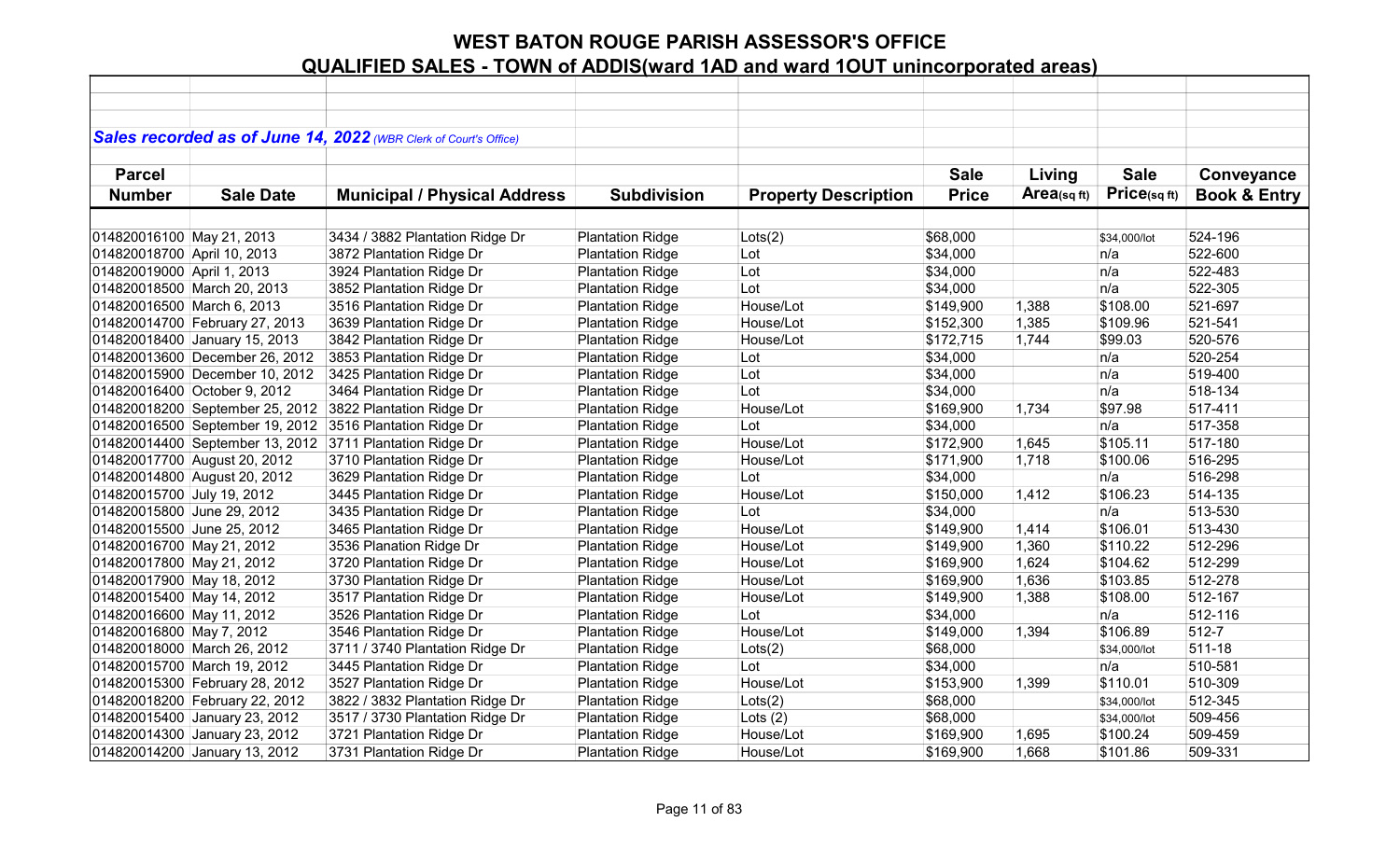|                             |                                 | Sales recorded as of June 14, 2022 (WBR Clerk of Court's Office) |                         |                             |              |             |              |                         |
|-----------------------------|---------------------------------|------------------------------------------------------------------|-------------------------|-----------------------------|--------------|-------------|--------------|-------------------------|
|                             |                                 |                                                                  |                         |                             |              |             |              |                         |
| <b>Parcel</b>               |                                 |                                                                  |                         |                             | <b>Sale</b>  | Living      | <b>Sale</b>  | Conveyance              |
| <b>Number</b>               | <b>Sale Date</b>                | <b>Municipal / Physical Address</b>                              | <b>Subdivision</b>      | <b>Property Description</b> | <b>Price</b> | Area(sq ft) | Price(sqft)  | <b>Book &amp; Entry</b> |
|                             |                                 |                                                                  |                         |                             |              |             |              |                         |
| 014820016100 May 21, 2013   |                                 | 3434 / 3882 Plantation Ridge Dr                                  | <b>Plantation Ridge</b> | Lots(2)                     | \$68,000     |             | \$34,000/lot | 524-196                 |
| 014820018700 April 10, 2013 |                                 | 3872 Plantation Ridge Dr                                         | <b>Plantation Ridge</b> | Lot                         | \$34,000     |             | n/a          | 522-600                 |
| 014820019000 April 1, 2013  |                                 | 3924 Plantation Ridge Dr                                         | <b>Plantation Ridge</b> | Lot                         | \$34,000     |             | n/a          | 522-483                 |
|                             | 014820018500 March 20, 2013     | 3852 Plantation Ridge Dr                                         | <b>Plantation Ridge</b> | Lot                         | \$34,000     |             | n/a          | 522-305                 |
| 014820016500 March 6, 2013  |                                 | 3516 Plantation Ridge Dr                                         | <b>Plantation Ridge</b> | House/Lot                   | \$149,900    | 1,388       | \$108.00     | 521-697                 |
|                             | 014820014700 February 27, 2013  | 3639 Plantation Ridge Dr                                         | <b>Plantation Ridge</b> | House/Lot                   | \$152,300    | 1,385       | \$109.96     | 521-541                 |
|                             | 014820018400 January 15, 2013   | 3842 Plantation Ridge Dr                                         | <b>Plantation Ridge</b> | House/Lot                   | \$172,715    | 1,744       | \$99.03      | 520-576                 |
|                             | 014820013600 December 26, 2012  | 3853 Plantation Ridge Dr                                         | <b>Plantation Ridge</b> | Lot                         | \$34,000     |             | n/a          | 520-254                 |
|                             | 014820015900 December 10, 2012  | 3425 Plantation Ridge Dr                                         | <b>Plantation Ridge</b> | Lot                         | \$34,000     |             | n/a          | 519-400                 |
|                             | 014820016400 October 9, 2012    | 3464 Plantation Ridge Dr                                         | <b>Plantation Ridge</b> | Lot                         | \$34,000     |             | n/a          | 518-134                 |
|                             | 014820018200 September 25, 2012 | 3822 Plantation Ridge Dr                                         | <b>Plantation Ridge</b> | House/Lot                   | \$169,900    | 1,734       | \$97.98      | 517-411                 |
|                             | 014820016500 September 19, 2012 | 3516 Plantation Ridge Dr                                         | <b>Plantation Ridge</b> | Lot                         | \$34,000     |             | n/a          | 517-358                 |
|                             |                                 | 014820014400 September 13, 2012 3711 Plantation Ridge Dr         | <b>Plantation Ridge</b> | House/Lot                   | \$172,900    | 1,645       | \$105.11     | 517-180                 |
|                             | 014820017700 August 20, 2012    | 3710 Plantation Ridge Dr                                         | <b>Plantation Ridge</b> | House/Lot                   | \$171,900    | 1,718       | \$100.06     | 516-295                 |
|                             | 014820014800 August 20, 2012    | 3629 Plantation Ridge Dr                                         | <b>Plantation Ridge</b> | Lot                         | \$34,000     |             | n/a          | 516-298                 |
| 014820015700 July 19, 2012  |                                 | 3445 Plantation Ridge Dr                                         | <b>Plantation Ridge</b> | House/Lot                   | \$150,000    | 1,412       | \$106.23     | 514-135                 |
| 014820015800 June 29, 2012  |                                 | 3435 Plantation Ridge Dr                                         | <b>Plantation Ridge</b> | Lot                         | \$34,000     |             | n/a          | 513-530                 |
| 014820015500 June 25, 2012  |                                 | 3465 Plantation Ridge Dr                                         | <b>Plantation Ridge</b> | House/Lot                   | \$149,900    | 1,414       | \$106.01     | 513-430                 |
| 014820016700 May 21, 2012   |                                 | 3536 Planation Ridge Dr                                          | <b>Plantation Ridge</b> | House/Lot                   | \$149,900    | 1,360       | \$110.22     | 512-296                 |
| 014820017800 May 21, 2012   |                                 | 3720 Plantation Ridge Dr                                         | <b>Plantation Ridge</b> | House/Lot                   | \$169,900    | 1,624       | \$104.62     | 512-299                 |
| 014820017900 May 18, 2012   |                                 | 3730 Plantation Ridge Dr                                         | <b>Plantation Ridge</b> | House/Lot                   | \$169,900    | 1,636       | \$103.85     | 512-278                 |
| 014820015400 May 14, 2012   |                                 | 3517 Plantation Ridge Dr                                         | <b>Plantation Ridge</b> | House/Lot                   | \$149,900    | 1,388       | \$108.00     | 512-167                 |
| 014820016600 May 11, 2012   |                                 | 3526 Plantation Ridge Dr                                         | <b>Plantation Ridge</b> | Lot                         | \$34,000     |             | n/a          | 512-116                 |
| 014820016800 May 7, 2012    |                                 | 3546 Plantation Ridge Dr                                         | <b>Plantation Ridge</b> | House/Lot                   | \$149,000    | 1,394       | \$106.89     | 512-7                   |
|                             | 014820018000 March 26, 2012     | 3711 / 3740 Plantation Ridge Dr                                  | <b>Plantation Ridge</b> | Lots(2)                     | \$68,000     |             | \$34,000/lot | 511-18                  |
|                             | 014820015700 March 19, 2012     | 3445 Plantation Ridge Dr                                         | <b>Plantation Ridge</b> | Lot                         | \$34,000     |             | n/a          | 510-581                 |
|                             | 014820015300 February 28, 2012  | 3527 Plantation Ridge Dr                                         | <b>Plantation Ridge</b> | House/Lot                   | \$153,900    | 1,399       | \$110.01     | 510-309                 |
|                             | 014820018200 February 22, 2012  | 3822 / 3832 Plantation Ridge Dr                                  | <b>Plantation Ridge</b> | Lots(2)                     | \$68,000     |             | \$34,000/lot | 512-345                 |
|                             | 014820015400 January 23, 2012   | 3517 / 3730 Plantation Ridge Dr                                  | <b>Plantation Ridge</b> | Lots $(2)$                  | \$68,000     |             | \$34,000/lot | 509-456                 |
|                             | 014820014300 January 23, 2012   | 3721 Plantation Ridge Dr                                         | <b>Plantation Ridge</b> | House/Lot                   | \$169,900    | 1,695       | \$100.24     | 509-459                 |
|                             | 014820014200 January 13, 2012   | 3731 Plantation Ridge Dr                                         | <b>Plantation Ridge</b> | House/Lot                   | \$169,900    | 1,668       | \$101.86     | 509-331                 |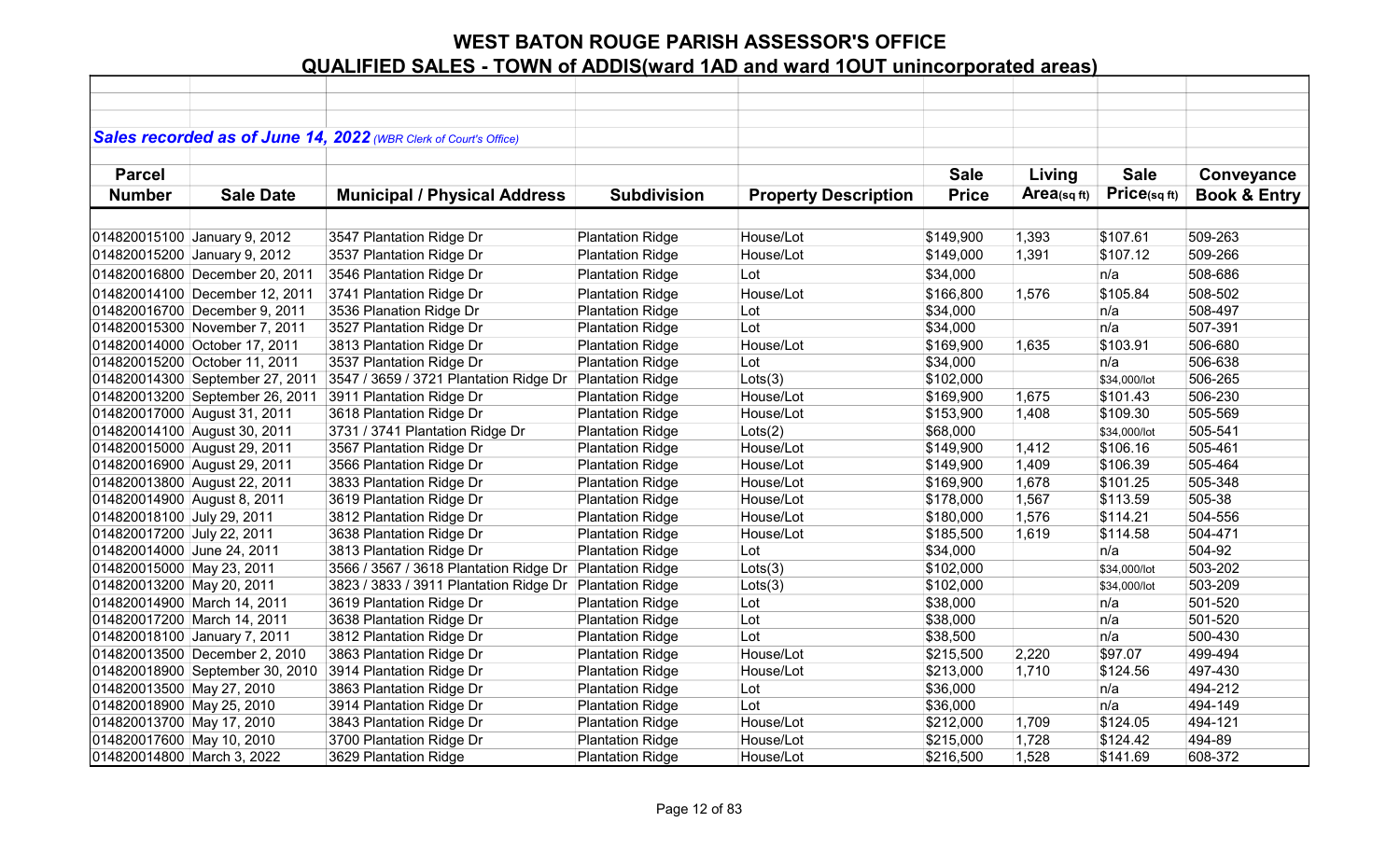|                             |                                 | Sales recorded as of June 14, 2022 (WBR Clerk of Court's Office) |                         |                             |              |             |              |                         |
|-----------------------------|---------------------------------|------------------------------------------------------------------|-------------------------|-----------------------------|--------------|-------------|--------------|-------------------------|
|                             |                                 |                                                                  |                         |                             |              |             |              |                         |
| <b>Parcel</b>               |                                 |                                                                  |                         |                             | <b>Sale</b>  | Living      | <b>Sale</b>  | Conveyance              |
| <b>Number</b>               | <b>Sale Date</b>                | <b>Municipal / Physical Address</b>                              | <b>Subdivision</b>      | <b>Property Description</b> | <b>Price</b> | Area(sq ft) | Price(sqft)  | <b>Book &amp; Entry</b> |
|                             |                                 |                                                                  |                         |                             |              |             |              |                         |
|                             | 014820015100 January 9, 2012    | 3547 Plantation Ridge Dr                                         | <b>Plantation Ridge</b> | House/Lot                   | \$149,900    | 1,393       | \$107.61     | 509-263                 |
|                             | 014820015200 January 9, 2012    | 3537 Plantation Ridge Dr                                         | <b>Plantation Ridge</b> | House/Lot                   | \$149,000    | 1,391       | \$107.12     | 509-266                 |
|                             | 014820016800 December 20, 2011  | 3546 Plantation Ridge Dr                                         | <b>Plantation Ridge</b> | Lot                         | \$34,000     |             | n/a          | 508-686                 |
|                             | 014820014100 December 12, 2011  | 3741 Plantation Ridge Dr                                         | <b>Plantation Ridge</b> | House/Lot                   | \$166,800    | 1,576       | \$105.84     | 508-502                 |
|                             | 014820016700 December 9, 2011   | 3536 Planation Ridge Dr                                          | <b>Plantation Ridge</b> | Lot                         | \$34,000     |             | n/a          | 508-497                 |
|                             | 014820015300 November 7, 2011   | 3527 Plantation Ridge Dr                                         | <b>Plantation Ridge</b> | Lot                         | \$34,000     |             | n/a          | 507-391                 |
|                             | 014820014000 October 17, 2011   | 3813 Plantation Ridge Dr                                         | <b>Plantation Ridge</b> | House/Lot                   | \$169,900    | 1,635       | \$103.91     | 506-680                 |
|                             | 014820015200 October 11, 2011   | 3537 Plantation Ridge Dr                                         | <b>Plantation Ridge</b> | Lot                         | \$34,000     |             | n/a          | 506-638                 |
|                             | 014820014300 September 27, 2011 | 3547 / 3659 / 3721 Plantation Ridge Dr                           | <b>Plantation Ridge</b> | Lots(3)                     | \$102,000    |             | \$34,000/lot | 506-265                 |
|                             | 014820013200 September 26, 2011 | 3911 Plantation Ridge Dr                                         | <b>Plantation Ridge</b> | House/Lot                   | \$169,900    | 1,675       | \$101.43     | 506-230                 |
|                             | 014820017000 August 31, 2011    | 3618 Plantation Ridge Dr                                         | <b>Plantation Ridge</b> | House/Lot                   | \$153,900    | 1,408       | \$109.30     | 505-569                 |
|                             | 014820014100 August 30, 2011    | 3731 / 3741 Plantation Ridge Dr                                  | <b>Plantation Ridge</b> | Lots(2)                     | \$68,000     |             | \$34,000/lot | 505-541                 |
|                             | 014820015000 August 29, 2011    | 3567 Plantation Ridge Dr                                         | <b>Plantation Ridge</b> | House/Lot                   | \$149,900    | 1,412       | \$106.16     | 505-461                 |
|                             | 014820016900 August 29, 2011    | 3566 Plantation Ridge Dr                                         | <b>Plantation Ridge</b> | House/Lot                   | \$149,900    | 1,409       | \$106.39     | 505-464                 |
|                             | 014820013800 August 22, 2011    | 3833 Plantation Ridge Dr                                         | <b>Plantation Ridge</b> | House/Lot                   | \$169,900    | 1,678       | \$101.25     | 505-348                 |
| 014820014900 August 8, 2011 |                                 | 3619 Plantation Ridge Dr                                         | <b>Plantation Ridge</b> | House/Lot                   | \$178,000    | 1,567       | \$113.59     | 505-38                  |
| 014820018100 July 29, 2011  |                                 | 3812 Plantation Ridge Dr                                         | <b>Plantation Ridge</b> | House/Lot                   | \$180,000    | 1,576       | \$114.21     | 504-556                 |
| 014820017200 July 22, 2011  |                                 | 3638 Plantation Ridge Dr                                         | <b>Plantation Ridge</b> | House/Lot                   | \$185,500    | 1,619       | \$114.58     | 504-471                 |
| 014820014000 June 24, 2011  |                                 | 3813 Plantation Ridge Dr                                         | <b>Plantation Ridge</b> | Lot                         | \$34,000     |             | n/a          | 504-92                  |
| 014820015000 May 23, 2011   |                                 | 3566 / 3567 / 3618 Plantation Ridge Dr                           | <b>Plantation Ridge</b> | Lots(3)                     | \$102,000    |             | \$34,000/lot | 503-202                 |
| 014820013200 May 20, 2011   |                                 | 3823 / 3833 / 3911 Plantation Ridge Dr Plantation Ridge          |                         | Lots(3)                     | \$102,000    |             | \$34,000/lot | 503-209                 |
|                             | 014820014900 March 14, 2011     | 3619 Plantation Ridge Dr                                         | <b>Plantation Ridge</b> | Lot                         | \$38,000     |             | n/a          | 501-520                 |
| 014820017200 March 14, 2011 |                                 | 3638 Plantation Ridge Dr                                         | <b>Plantation Ridge</b> | Lot                         | \$38,000     |             | n/a          | 501-520                 |
|                             | 014820018100 January 7, 2011    | 3812 Plantation Ridge Dr                                         | <b>Plantation Ridge</b> | Lot                         | \$38,500     |             | n/a          | 500-430                 |
|                             | 014820013500 December 2, 2010   | 3863 Plantation Ridge Dr                                         | <b>Plantation Ridge</b> | House/Lot                   | \$215,500    | 2,220       | \$97.07      | 499-494                 |
|                             | 014820018900 September 30, 2010 | 3914 Plantation Ridge Dr                                         | <b>Plantation Ridge</b> | House/Lot                   | \$213,000    | 1,710       | \$124.56     | 497-430                 |
| 014820013500 May 27, 2010   |                                 | 3863 Plantation Ridge Dr                                         | <b>Plantation Ridge</b> | Lot                         | \$36,000     |             | n/a          | 494-212                 |
| 014820018900 May 25, 2010   |                                 | 3914 Plantation Ridge Dr                                         | <b>Plantation Ridge</b> | Lot                         | \$36,000     |             | n/a          | 494-149                 |
| 014820013700 May 17, 2010   |                                 | 3843 Plantation Ridge Dr                                         | <b>Plantation Ridge</b> | House/Lot                   | \$212,000    | 1,709       | \$124.05     | 494-121                 |
| 014820017600 May 10, 2010   |                                 | 3700 Plantation Ridge Dr                                         | <b>Plantation Ridge</b> | House/Lot                   | \$215,000    | 1,728       | \$124.42     | 494-89                  |
| 014820014800 March 3, 2022  |                                 | 3629 Plantation Ridge                                            | <b>Plantation Ridge</b> | House/Lot                   | \$216,500    | 1,528       | \$141.69     | 608-372                 |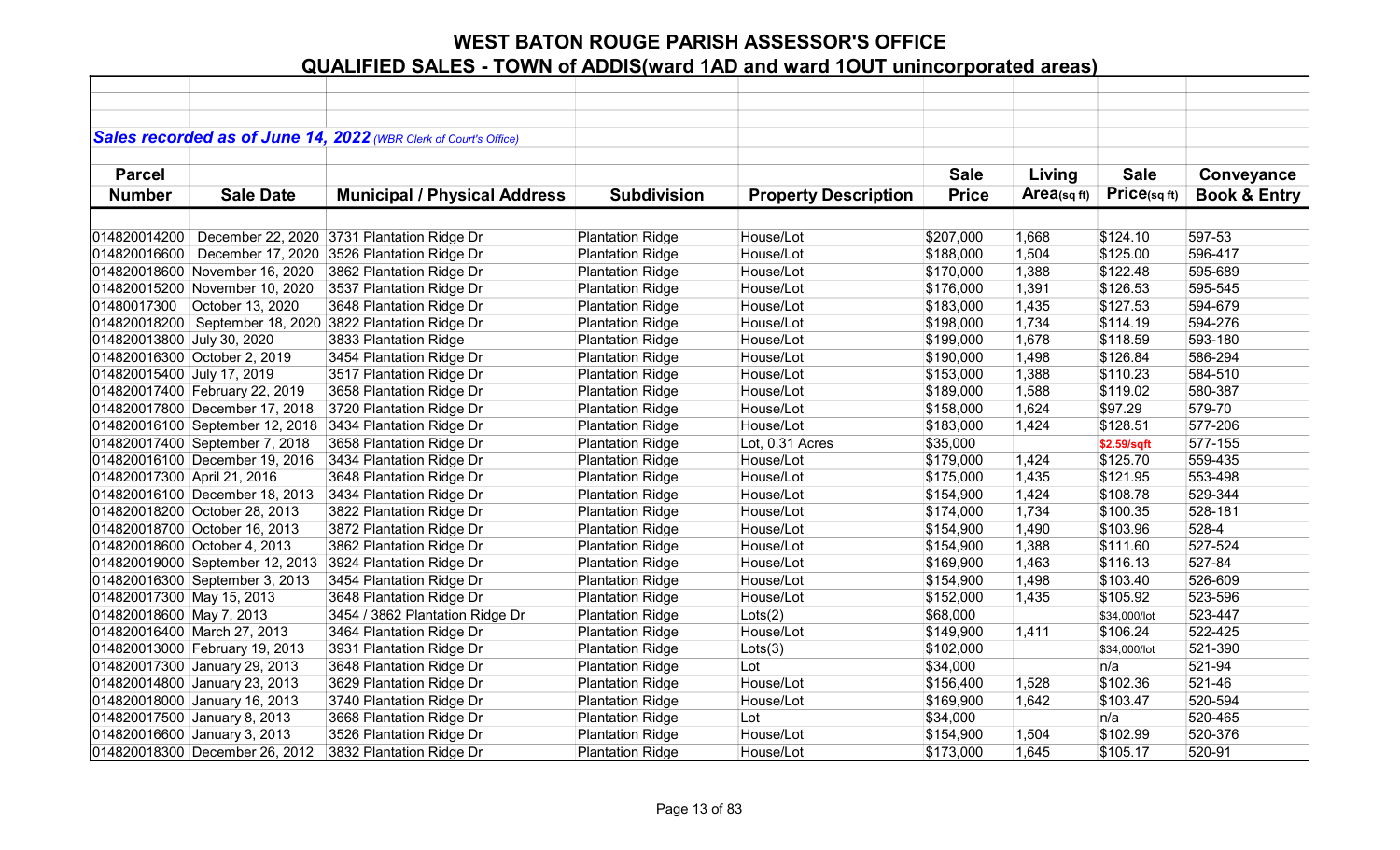|                             |                                 | Sales recorded as of June 14, 2022 (WBR Clerk of Court's Office) |                         |                             |              |             |                   |                         |
|-----------------------------|---------------------------------|------------------------------------------------------------------|-------------------------|-----------------------------|--------------|-------------|-------------------|-------------------------|
|                             |                                 |                                                                  |                         |                             |              |             |                   |                         |
| <b>Parcel</b>               |                                 |                                                                  |                         |                             | <b>Sale</b>  | Living      | <b>Sale</b>       | Conveyance              |
| <b>Number</b>               | <b>Sale Date</b>                | <b>Municipal / Physical Address</b>                              | <b>Subdivision</b>      | <b>Property Description</b> | <b>Price</b> | Area(sq ft) | $Price_{(sq ft)}$ | <b>Book &amp; Entry</b> |
|                             |                                 |                                                                  |                         |                             |              |             |                   |                         |
| 014820014200                |                                 | December 22, 2020 3731 Plantation Ridge Dr                       | <b>Plantation Ridge</b> | House/Lot                   | \$207,000    | 1,668       | \$124.10          | 597-53                  |
| 014820016600                | December 17, 2020               | 3526 Plantation Ridge Dr                                         | <b>Plantation Ridge</b> | House/Lot                   | \$188,000    | 1,504       | \$125.00          | 596-417                 |
|                             | 014820018600 November 16, 2020  | 3862 Plantation Ridge Dr                                         | <b>Plantation Ridge</b> | House/Lot                   | \$170,000    | 1,388       | \$122.48          | 595-689                 |
|                             | 014820015200 November 10, 2020  | 3537 Plantation Ridge Dr                                         | <b>Plantation Ridge</b> | House/Lot                   | \$176,000    | 1,391       | \$126.53          | 595-545                 |
| 01480017300                 | October 13, 2020                | 3648 Plantation Ridge Dr                                         | <b>Plantation Ridge</b> | House/Lot                   | \$183,000    | 1,435       | \$127.53          | 594-679                 |
|                             |                                 | 014820018200 September 18, 2020 3822 Plantation Ridge Dr         | <b>Plantation Ridge</b> | House/Lot                   | \$198,000    | 1,734       | \$114.19          | 594-276                 |
| 014820013800 July 30, 2020  |                                 | 3833 Plantation Ridge                                            | <b>Plantation Ridge</b> | House/Lot                   | \$199,000    | 1,678       | \$118.59          | 593-180                 |
|                             | 014820016300 October 2, 2019    | 3454 Plantation Ridge Dr                                         | <b>Plantation Ridge</b> | House/Lot                   | \$190,000    | 1,498       | \$126.84          | 586-294                 |
| 014820015400 July 17, 2019  |                                 | 3517 Plantation Ridge Dr                                         | <b>Plantation Ridge</b> | House/Lot                   | \$153,000    | 1,388       | \$110.23          | 584-510                 |
|                             | 014820017400 February 22, 2019  | 3658 Plantation Ridge Dr                                         | <b>Plantation Ridge</b> | House/Lot                   | \$189,000    | 1,588       | \$119.02          | 580-387                 |
|                             | 014820017800 December 17, 2018  | 3720 Plantation Ridge Dr                                         | <b>Plantation Ridge</b> | House/Lot                   | \$158,000    | 1,624       | \$97.29           | 579-70                  |
|                             | 014820016100 September 12, 2018 | 3434 Plantation Ridge Dr                                         | <b>Plantation Ridge</b> | House/Lot                   | \$183,000    | 1,424       | \$128.51          | 577-206                 |
|                             | 014820017400 September 7, 2018  | 3658 Plantation Ridge Dr                                         | <b>Plantation Ridge</b> | Lot, 0.31 Acres             | \$35,000     |             | \$2.59/sqft       | 577-155                 |
|                             | 014820016100 December 19, 2016  | 3434 Plantation Ridge Dr                                         | <b>Plantation Ridge</b> | House/Lot                   | \$179,000    | 1,424       | \$125.70          | 559-435                 |
| 014820017300 April 21, 2016 |                                 | 3648 Plantation Ridge Dr                                         | <b>Plantation Ridge</b> | House/Lot                   | \$175,000    | 1,435       | \$121.95          | 553-498                 |
|                             | 014820016100 December 18, 2013  | 3434 Plantation Ridge Dr                                         | <b>Plantation Ridge</b> | House/Lot                   | \$154,900    | 1,424       | \$108.78          | 529-344                 |
|                             | 014820018200 October 28, 2013   | 3822 Plantation Ridge Dr                                         | <b>Plantation Ridge</b> | House/Lot                   | \$174,000    | 1,734       | \$100.35          | 528-181                 |
|                             | 014820018700 October 16, 2013   | 3872 Plantation Ridge Dr                                         | <b>Plantation Ridge</b> | House/Lot                   | \$154,900    | 1,490       | \$103.96          | 528-4                   |
|                             | 014820018600 October 4, 2013    | 3862 Plantation Ridge Dr                                         | <b>Plantation Ridge</b> | House/Lot                   | \$154,900    | 1,388       | \$111.60          | 527-524                 |
|                             | 014820019000 September 12, 2013 | 3924 Plantation Ridge Dr                                         | <b>Plantation Ridge</b> | House/Lot                   | \$169,900    | 1,463       | \$116.13          | 527-84                  |
|                             | 014820016300 September 3, 2013  | 3454 Plantation Ridge Dr                                         | <b>Plantation Ridge</b> | House/Lot                   | \$154,900    | 1,498       | \$103.40          | 526-609                 |
| 014820017300 May 15, 2013   |                                 | 3648 Plantation Ridge Dr                                         | <b>Plantation Ridge</b> | House/Lot                   | \$152,000    | 1,435       | \$105.92          | 523-596                 |
| 014820018600 May 7, 2013    |                                 | 3454 / 3862 Plantation Ridge Dr                                  | <b>Plantation Ridge</b> | Lots(2)                     | \$68,000     |             | \$34,000/lot      | 523-447                 |
|                             | 014820016400 March 27, 2013     | 3464 Plantation Ridge Dr                                         | <b>Plantation Ridge</b> | House/Lot                   | \$149,900    | 1,411       | \$106.24          | 522-425                 |
|                             | 014820013000 February 19, 2013  | 3931 Plantation Ridge Dr                                         | <b>Plantation Ridge</b> | Lots(3)                     | \$102,000    |             | \$34,000/lot      | 521-390                 |
|                             | 014820017300 January 29, 2013   | 3648 Plantation Ridge Dr                                         | <b>Plantation Ridge</b> | Lot                         | \$34,000     |             | n/a               | 521-94                  |
|                             | 014820014800 January 23, 2013   | 3629 Plantation Ridge Dr                                         | <b>Plantation Ridge</b> | House/Lot                   | \$156,400    | 1,528       | \$102.36          | 521-46                  |
|                             | 014820018000 January 16, 2013   | 3740 Plantation Ridge Dr                                         | <b>Plantation Ridge</b> | House/Lot                   | \$169,900    | 1,642       | \$103.47          | 520-594                 |
|                             | 014820017500 January 8, 2013    | 3668 Plantation Ridge Dr                                         | <b>Plantation Ridge</b> | Lot                         | \$34,000     |             | n/a               | 520-465                 |
|                             | 014820016600 January 3, 2013    | 3526 Plantation Ridge Dr                                         | <b>Plantation Ridge</b> | House/Lot                   | \$154,900    | 1,504       | \$102.99          | 520-376                 |
|                             | 014820018300 December 26, 2012  | 3832 Plantation Ridge Dr                                         | <b>Plantation Ridge</b> | House/Lot                   | \$173,000    | 1,645       | \$105.17          | 520-91                  |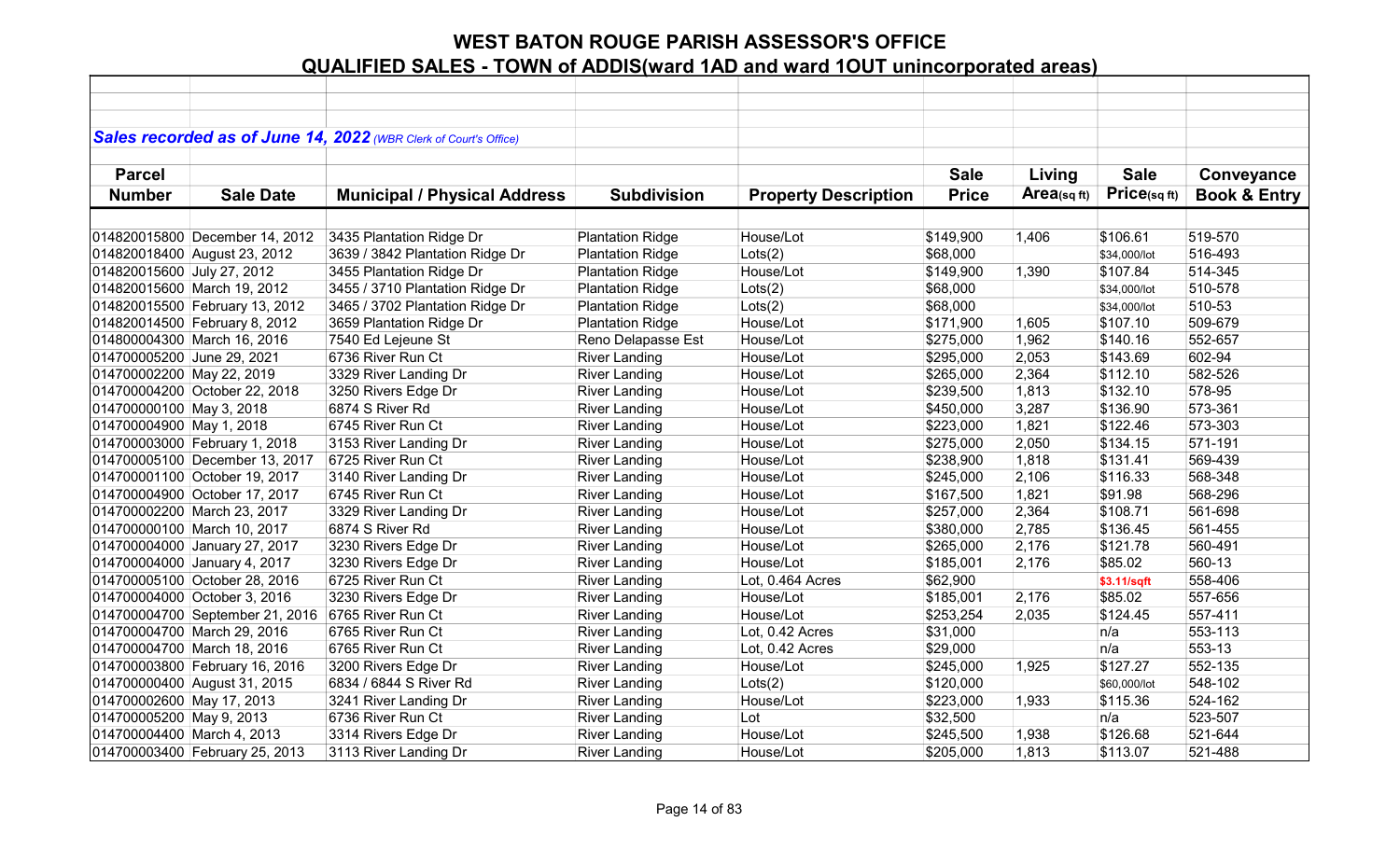|                            |                                 | Sales recorded as of June 14, 2022 (WBR Clerk of Court's Office) |                         |                             |              |            |              |                         |
|----------------------------|---------------------------------|------------------------------------------------------------------|-------------------------|-----------------------------|--------------|------------|--------------|-------------------------|
| <b>Parcel</b>              |                                 |                                                                  |                         |                             | <b>Sale</b>  | Living     | <b>Sale</b>  | Conveyance              |
| <b>Number</b>              | <b>Sale Date</b>                | <b>Municipal / Physical Address</b>                              | <b>Subdivision</b>      | <b>Property Description</b> | <b>Price</b> | Area(sqft) | Price(sqft)  | <b>Book &amp; Entry</b> |
|                            |                                 |                                                                  |                         |                             |              |            |              |                         |
|                            | 014820015800 December 14, 2012  | 3435 Plantation Ridge Dr                                         | <b>Plantation Ridge</b> | House/Lot                   | \$149,900    | 1,406      | \$106.61     | 519-570                 |
|                            | 014820018400 August 23, 2012    | 3639 / 3842 Plantation Ridge Dr                                  | <b>Plantation Ridge</b> | Lots(2)                     | \$68,000     |            | \$34,000/lot | 516-493                 |
| 014820015600 July 27, 2012 |                                 | 3455 Plantation Ridge Dr                                         | <b>Plantation Ridge</b> | House/Lot                   | \$149,900    | 1,390      | \$107.84     | 514-345                 |
|                            | 014820015600 March 19, 2012     | 3455 / 3710 Plantation Ridge Dr                                  | <b>Plantation Ridge</b> | Lots(2)                     | \$68,000     |            | \$34,000/lot | 510-578                 |
|                            | 014820015500 February 13, 2012  | 3465 / 3702 Plantation Ridge Dr                                  | <b>Plantation Ridge</b> | Lots(2)                     | \$68,000     |            | \$34,000/lot | 510-53                  |
|                            | 014820014500 February 8, 2012   | 3659 Plantation Ridge Dr                                         | <b>Plantation Ridge</b> | House/Lot                   | \$171,900    | 1,605      | \$107.10     | 509-679                 |
|                            | 014800004300 March 16, 2016     | 7540 Ed Lejeune St                                               | Reno Delapasse Est      | House/Lot                   | \$275,000    | 1,962      | \$140.16     | 552-657                 |
| 014700005200 June 29, 2021 |                                 | 6736 River Run Ct                                                | <b>River Landing</b>    | House/Lot                   | \$295,000    | 2,053      | \$143.69     | 602-94                  |
| 014700002200 May 22, 2019  |                                 | 3329 River Landing Dr                                            | <b>River Landing</b>    | House/Lot                   | \$265,000    | 2,364      | \$112.10     | 582-526                 |
|                            | 014700004200 October 22, 2018   | 3250 Rivers Edge Dr                                              | <b>River Landing</b>    | House/Lot                   | \$239,500    | 1,813      | \$132.10     | 578-95                  |
| 014700000100 May 3, 2018   |                                 | 6874 S River Rd                                                  | <b>River Landing</b>    | House/Lot                   | \$450,000    | 3,287      | \$136.90     | 573-361                 |
| 014700004900 May 1, 2018   |                                 | 6745 River Run Ct                                                | <b>River Landing</b>    | House/Lot                   | \$223,000    | 1,821      | \$122.46     | 573-303                 |
|                            | 014700003000 February 1, 2018   | 3153 River Landing Dr                                            | <b>River Landing</b>    | House/Lot                   | \$275,000    | 2,050      | \$134.15     | 571-191                 |
|                            | 014700005100 December 13, 2017  | 6725 River Run Ct                                                | <b>River Landing</b>    | House/Lot                   | \$238,900    | 1,818      | \$131.41     | 569-439                 |
|                            | 014700001100 October 19, 2017   | 3140 River Landing Dr                                            | <b>River Landing</b>    | House/Lot                   | \$245,000    | 2,106      | \$116.33     | 568-348                 |
|                            | 014700004900 October 17, 2017   | 6745 River Run Ct                                                | <b>River Landing</b>    | House/Lot                   | \$167,500    | 1,821      | \$91.98      | 568-296                 |
|                            | 014700002200 March 23, 2017     | 3329 River Landing Dr                                            | <b>River Landing</b>    | House/Lot                   | \$257,000    | 2,364      | \$108.71     | 561-698                 |
|                            | 014700000100 March 10, 2017     | 6874 S River Rd                                                  | <b>River Landing</b>    | House/Lot                   | \$380,000    | 2,785      | \$136.45     | 561-455                 |
|                            | 014700004000 January 27, 2017   | 3230 Rivers Edge Dr                                              | <b>River Landing</b>    | House/Lot                   | \$265,000    | 2,176      | \$121.78     | 560-491                 |
|                            | 014700004000 January 4, 2017    | 3230 Rivers Edge Dr                                              | <b>River Landing</b>    | House/Lot                   | \$185,001    | 2,176      | \$85.02      | 560-13                  |
|                            | 014700005100 October 28, 2016   | 6725 River Run Ct                                                | <b>River Landing</b>    | Lot, 0.464 Acres            | \$62,900     |            | \$3.11/sqft  | 558-406                 |
|                            | 014700004000 October 3, 2016    | 3230 Rivers Edge Dr                                              | <b>River Landing</b>    | House/Lot                   | \$185,001    | 2,176      | \$85.02      | 557-656                 |
|                            | 014700004700 September 21, 2016 | 6765 River Run Ct                                                | <b>River Landing</b>    | House/Lot                   | \$253,254    | 2,035      | \$124.45     | 557-411                 |
|                            | 014700004700 March 29, 2016     | 6765 River Run Ct                                                | <b>River Landing</b>    | Lot, 0.42 Acres             | \$31,000     |            | n/a          | 553-113                 |
|                            | 014700004700 March 18, 2016     | 6765 River Run Ct                                                | <b>River Landing</b>    | Lot, 0.42 Acres             | \$29,000     |            | n/a          | 553-13                  |
|                            | 014700003800 February 16, 2016  | 3200 Rivers Edge Dr                                              | <b>River Landing</b>    | House/Lot                   | \$245,000    | 1,925      | \$127.27     | 552-135                 |
|                            | 014700000400 August 31, 2015    | 6834 / 6844 S River Rd                                           | <b>River Landing</b>    | Lots(2)                     | \$120,000    |            | \$60,000/lot | 548-102                 |
| 014700002600 May 17, 2013  |                                 | 3241 River Landing Dr                                            | <b>River Landing</b>    | House/Lot                   | \$223,000    | 1,933      | \$115.36     | 524-162                 |
| 014700005200 May 9, 2013   |                                 | 6736 River Run Ct                                                | <b>River Landing</b>    | Lot                         | \$32,500     |            | n/a          | 523-507                 |
| 014700004400 March 4, 2013 |                                 | 3314 Rivers Edge Dr                                              | <b>River Landing</b>    | House/Lot                   | \$245,500    | 1,938      | \$126.68     | 521-644                 |
|                            | 014700003400 February 25, 2013  | 3113 River Landing Dr                                            | <b>River Landing</b>    | House/Lot                   | \$205,000    | 1,813      | \$113.07     | 521-488                 |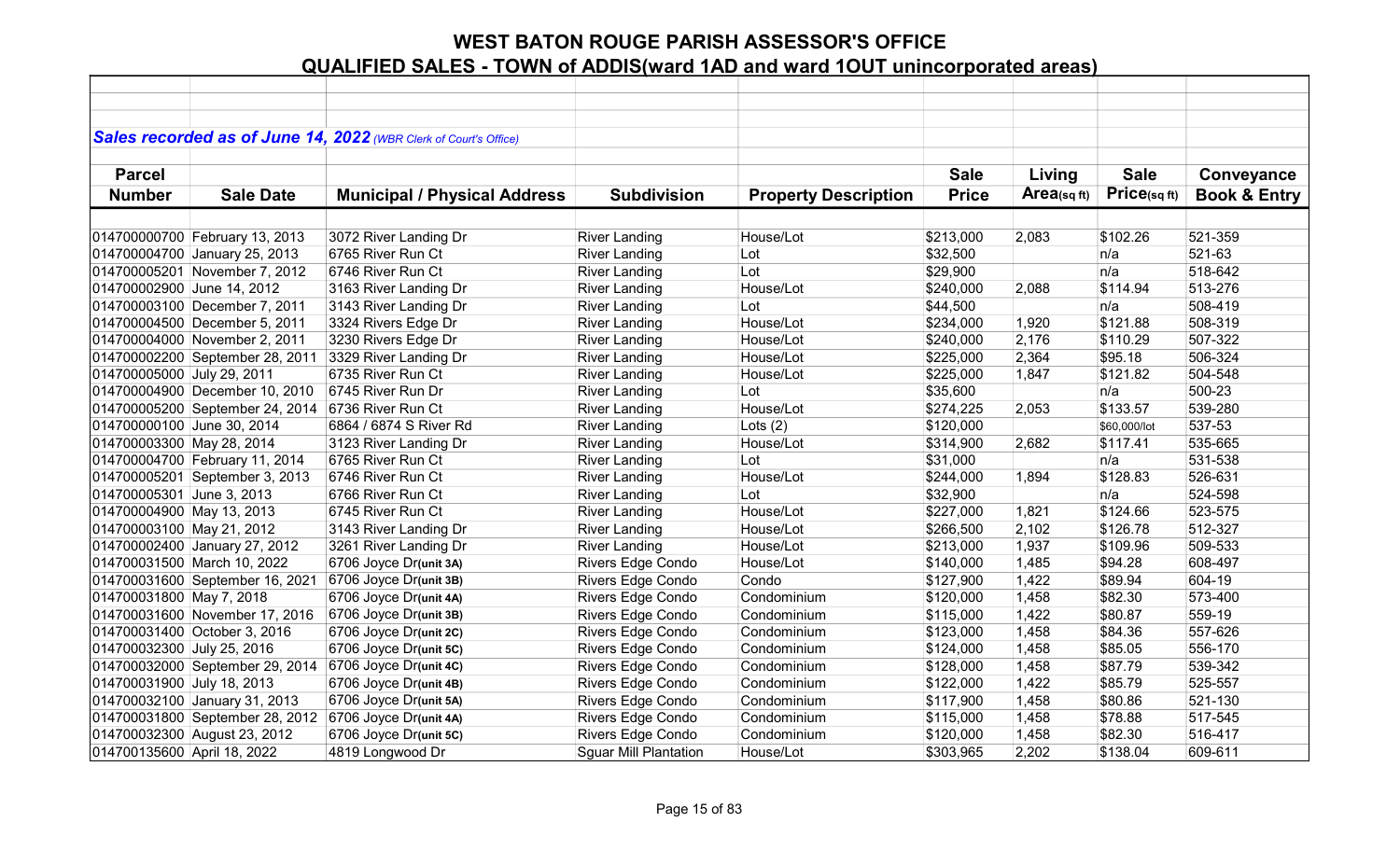|                             |                                 | Sales recorded as of June 14, 2022 (WBR Clerk of Court's Office) |                              |                             |              |                |              |                         |
|-----------------------------|---------------------------------|------------------------------------------------------------------|------------------------------|-----------------------------|--------------|----------------|--------------|-------------------------|
|                             |                                 |                                                                  |                              |                             |              |                |              |                         |
| <b>Parcel</b>               |                                 |                                                                  |                              |                             | <b>Sale</b>  | Living         | <b>Sale</b>  | Conveyance              |
| <b>Number</b>               | <b>Sale Date</b>                | <b>Municipal / Physical Address</b>                              | <b>Subdivision</b>           | <b>Property Description</b> | <b>Price</b> | Area(sq $ft$ ) | Price(sqft)  | <b>Book &amp; Entry</b> |
|                             |                                 |                                                                  |                              |                             |              |                |              |                         |
|                             | 014700000700 February 13, 2013  | 3072 River Landing Dr                                            | <b>River Landing</b>         | House/Lot                   | \$213,000    | 2,083          | \$102.26     | 521-359                 |
|                             | 014700004700 January 25, 2013   | 6765 River Run Ct                                                | <b>River Landing</b>         | Lot                         | \$32,500     |                | n/a          | 521-63                  |
|                             | 014700005201 November 7, 2012   | 6746 River Run Ct                                                | <b>River Landing</b>         | Lot                         | \$29,900     |                | n/a          | 518-642                 |
| 014700002900 June 14, 2012  |                                 | 3163 River Landing Dr                                            | <b>River Landing</b>         | House/Lot                   | \$240,000    | 2,088          | \$114.94     | 513-276                 |
|                             | 014700003100 December 7, 2011   | 3143 River Landing Dr                                            | <b>River Landing</b>         | Lot                         | \$44,500     |                | n/a          | 508-419                 |
|                             | 014700004500 December 5, 2011   | 3324 Rivers Edge Dr                                              | <b>River Landing</b>         | House/Lot                   | \$234,000    | 1,920          | \$121.88     | 508-319                 |
|                             | 014700004000 November 2, 2011   | 3230 Rivers Edge Dr                                              | <b>River Landing</b>         | House/Lot                   | \$240,000    | 2,176          | \$110.29     | 507-322                 |
|                             | 014700002200 September 28, 2011 | 3329 River Landing Dr                                            | <b>River Landing</b>         | House/Lot                   | \$225,000    | 2,364          | \$95.18      | 506-324                 |
| 014700005000 July 29, 2011  |                                 | 6735 River Run Ct                                                | <b>River Landing</b>         | House/Lot                   | \$225,000    | 1,847          | \$121.82     | 504-548                 |
|                             | 014700004900 December 10, 2010  | 6745 River Run Dr                                                | <b>River Landing</b>         | Lot                         | \$35,600     |                | n/a          | 500-23                  |
|                             | 014700005200 September 24, 2014 | 6736 River Run Ct                                                | <b>River Landing</b>         | House/Lot                   | \$274,225    | 2,053          | \$133.57     | 539-280                 |
| 014700000100 June 30, 2014  |                                 | 6864 / 6874 S River Rd                                           | <b>River Landing</b>         | Lots $(2)$                  | \$120,000    |                | \$60,000/lot | 537-53                  |
| 014700003300 May 28, 2014   |                                 | 3123 River Landing Dr                                            | <b>River Landing</b>         | House/Lot                   | \$314,900    | 2,682          | \$117.41     | 535-665                 |
|                             | 014700004700 February 11, 2014  | 6765 River Run Ct                                                | <b>River Landing</b>         | Lot                         | \$31,000     |                | n/a          | 531-538                 |
|                             | 014700005201 September 3, 2013  | 6746 River Run Ct                                                | <b>River Landing</b>         | House/Lot                   | \$244,000    | 1,894          | \$128.83     | 526-631                 |
| 014700005301 June 3, 2013   |                                 | 6766 River Run Ct                                                | <b>River Landing</b>         | Lot                         | \$32,900     |                | n/a          | 524-598                 |
| 014700004900 May 13, 2013   |                                 | 6745 River Run Ct                                                | <b>River Landing</b>         | House/Lot                   | \$227,000    | 1,821          | \$124.66     | 523-575                 |
| 014700003100 May 21, 2012   |                                 | 3143 River Landing Dr                                            | <b>River Landing</b>         | House/Lot                   | \$266,500    | 2,102          | \$126.78     | 512-327                 |
|                             | 014700002400 January 27, 2012   | 3261 River Landing Dr                                            | <b>River Landing</b>         | House/Lot                   | \$213,000    | 1,937          | \$109.96     | 509-533                 |
|                             | 014700031500 March 10, 2022     | 6706 Joyce Dr(unit 3A)                                           | Rivers Edge Condo            | House/Lot                   | \$140,000    | 1,485          | \$94.28      | 608-497                 |
|                             | 014700031600 September 16, 2021 | 6706 Joyce Dr(unit 3B)                                           | Rivers Edge Condo            | Condo                       | \$127,900    | 1,422          | \$89.94      | 604-19                  |
| 014700031800 May 7, 2018    |                                 | 6706 Joyce Dr(unit 4A)                                           | Rivers Edge Condo            | Condominium                 | \$120,000    | 1,458          | \$82.30      | 573-400                 |
|                             | 014700031600 November 17, 2016  | 6706 Joyce Dr(unit 3B)                                           | Rivers Edge Condo            | Condominium                 | \$115,000    | 1,422          | \$80.87      | 559-19                  |
|                             | 014700031400 October 3, 2016    | 6706 Joyce Dr(unit 2C)                                           | Rivers Edge Condo            | Condominium                 | \$123,000    | 1,458          | \$84.36      | 557-626                 |
| 014700032300 July 25, 2016  |                                 | 6706 Joyce Dr(unit 5C)                                           | Rivers Edge Condo            | Condominium                 | \$124,000    | 1,458          | \$85.05      | 556-170                 |
|                             | 014700032000 September 29, 2014 | 6706 Joyce Dr(unit 4C)                                           | Rivers Edge Condo            | Condominium                 | \$128,000    | 1,458          | \$87.79      | 539-342                 |
| 014700031900 July 18, 2013  |                                 | 6706 Joyce Dr(unit 4B)                                           | Rivers Edge Condo            | Condominium                 | \$122,000    | 1,422          | \$85.79      | 525-557                 |
|                             | 014700032100 January 31, 2013   | 6706 Joyce Dr(unit 5A)                                           | Rivers Edge Condo            | Condominium                 | \$117,900    | 1,458          | \$80.86      | 521-130                 |
|                             | 014700031800 September 28, 2012 | 6706 Joyce Dr(unit 4A)                                           | Rivers Edge Condo            | Condominium                 | \$115,000    | 1,458          | \$78.88      | 517-545                 |
|                             | 014700032300 August 23, 2012    | 6706 Joyce Dr(unit 5C)                                           | Rivers Edge Condo            | Condominium                 | \$120,000    | 1,458          | \$82.30      | 516-417                 |
| 014700135600 April 18, 2022 |                                 | 4819 Longwood Dr                                                 | <b>Sguar Mill Plantation</b> | House/Lot                   | \$303,965    | 2,202          | \$138.04     | 609-611                 |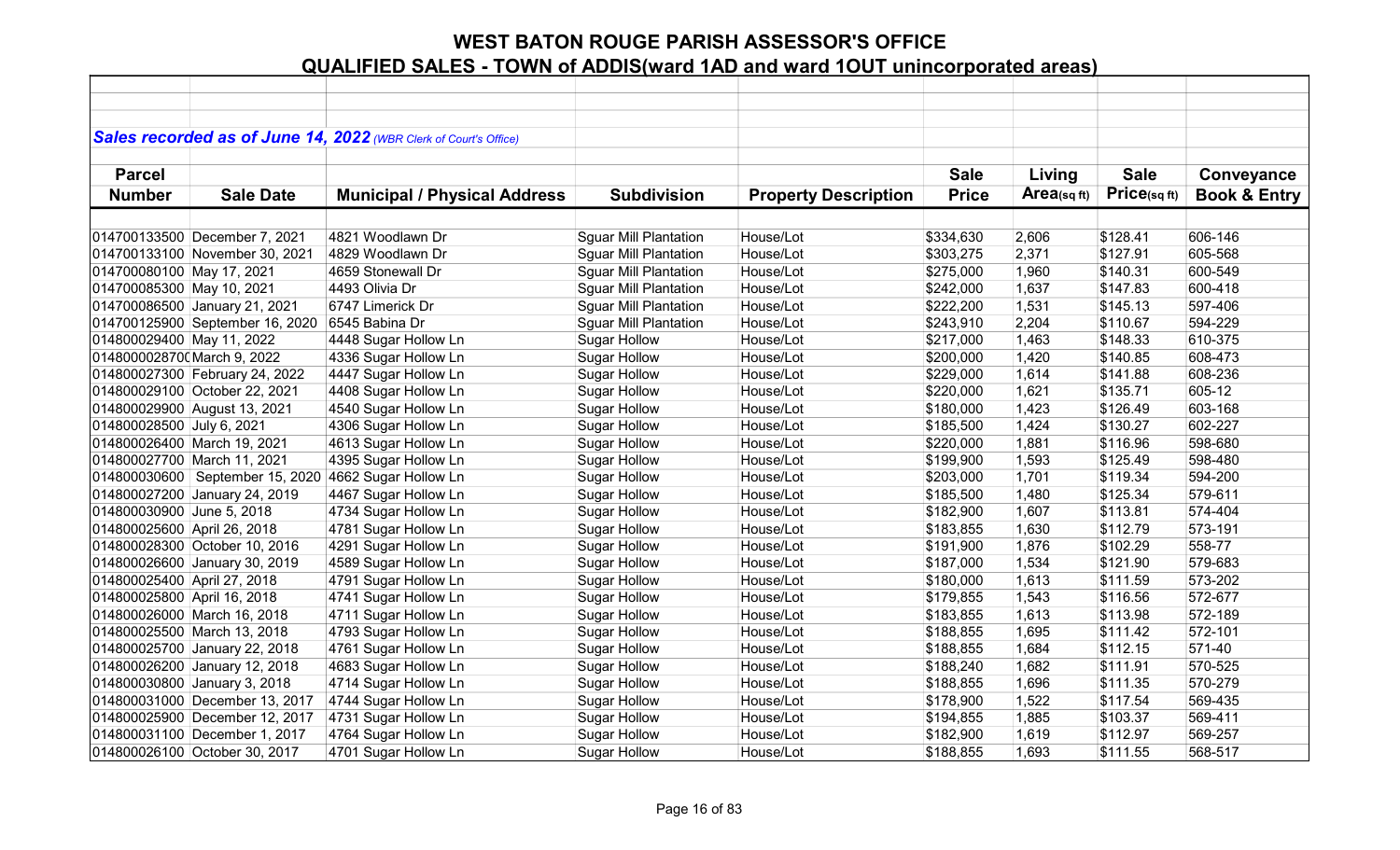|                             |                                 | Sales recorded as of June 14, 2022 (WBR Clerk of Court's Office) |                              |                             |              |             |             |                         |
|-----------------------------|---------------------------------|------------------------------------------------------------------|------------------------------|-----------------------------|--------------|-------------|-------------|-------------------------|
|                             |                                 |                                                                  |                              |                             |              |             |             |                         |
| <b>Parcel</b>               |                                 |                                                                  |                              |                             | <b>Sale</b>  | Living      | <b>Sale</b> | Conveyance              |
| <b>Number</b>               | <b>Sale Date</b>                | <b>Municipal / Physical Address</b>                              | <b>Subdivision</b>           | <b>Property Description</b> | <b>Price</b> | Area(sq ft) | Price(sqft) | <b>Book &amp; Entry</b> |
|                             |                                 |                                                                  |                              |                             |              |             |             |                         |
|                             | 014700133500 December 7, 2021   | 4821 Woodlawn Dr                                                 | <b>Sguar Mill Plantation</b> | House/Lot                   | \$334,630    | 2,606       | \$128.41    | 606-146                 |
|                             | 014700133100 November 30, 2021  | 4829 Woodlawn Dr                                                 | <b>Sguar Mill Plantation</b> | House/Lot                   | \$303,275    | 2,371       | \$127.91    | 605-568                 |
| 014700080100 May 17, 2021   |                                 | 4659 Stonewall Dr                                                | <b>Sguar Mill Plantation</b> | House/Lot                   | \$275,000    | 1,960       | \$140.31    | 600-549                 |
| 014700085300 May 10, 2021   |                                 | 4493 Olivia Dr                                                   | <b>Sguar Mill Plantation</b> | House/Lot                   | \$242,000    | 1,637       | \$147.83    | 600-418                 |
|                             | 014700086500 January 21, 2021   | 6747 Limerick Dr                                                 | <b>Sguar Mill Plantation</b> | House/Lot                   | \$222,200    | 1,531       | \$145.13    | 597-406                 |
|                             | 014700125900 September 16, 2020 | 6545 Babina Dr                                                   | <b>Sguar Mill Plantation</b> | House/Lot                   | \$243,910    | 2,204       | \$110.67    | 594-229                 |
| 014800029400 May 11, 2022   |                                 | 4448 Sugar Hollow Ln                                             | <b>Sugar Hollow</b>          | House/Lot                   | \$217,000    | 1,463       | \$148.33    | 610-375                 |
| 0148000028700 March 9, 2022 |                                 | 4336 Sugar Hollow Ln                                             | Sugar Hollow                 | House/Lot                   | \$200,000    | 1,420       | \$140.85    | 608-473                 |
|                             | 014800027300 February 24, 2022  | 4447 Sugar Hollow Ln                                             | Sugar Hollow                 | House/Lot                   | \$229,000    | 1,614       | \$141.88    | 608-236                 |
|                             | 014800029100 October 22, 2021   | 4408 Sugar Hollow Ln                                             | <b>Sugar Hollow</b>          | House/Lot                   | \$220,000    | 1,621       | \$135.71    | 605-12                  |
|                             | 014800029900 August 13, 2021    | 4540 Sugar Hollow Ln                                             | <b>Sugar Hollow</b>          | House/Lot                   | \$180,000    | 1,423       | \$126.49    | 603-168                 |
| 014800028500 July 6, 2021   |                                 | 4306 Sugar Hollow Ln                                             | <b>Sugar Hollow</b>          | House/Lot                   | \$185,500    | 1,424       | \$130.27    | 602-227                 |
|                             | 014800026400 March 19, 2021     | 4613 Sugar Hollow Ln                                             | <b>Sugar Hollow</b>          | House/Lot                   | \$220,000    | 1,881       | \$116.96    | 598-680                 |
|                             | 014800027700 March 11, 2021     | 4395 Sugar Hollow Ln                                             | <b>Sugar Hollow</b>          | House/Lot                   | \$199,900    | 1,593       | \$125.49    | 598-480                 |
|                             | 014800030600 September 15, 2020 | 4662 Sugar Hollow Ln                                             | <b>Sugar Hollow</b>          | House/Lot                   | \$203,000    | 1,701       | \$119.34    | 594-200                 |
|                             | 014800027200 January 24, 2019   | 4467 Sugar Hollow Ln                                             | Sugar Hollow                 | House/Lot                   | \$185,500    | 1,480       | \$125.34    | 579-611                 |
| 014800030900 June 5, 2018   |                                 | 4734 Sugar Hollow Ln                                             | Sugar Hollow                 | House/Lot                   | \$182,900    | 1,607       | \$113.81    | 574-404                 |
| 014800025600 April 26, 2018 |                                 | 4781 Sugar Hollow Ln                                             | Sugar Hollow                 | House/Lot                   | \$183,855    | 1,630       | \$112.79    | 573-191                 |
|                             | 014800028300 October 10, 2016   | 4291 Sugar Hollow Ln                                             | <b>Sugar Hollow</b>          | House/Lot                   | \$191,900    | 1,876       | \$102.29    | 558-77                  |
|                             | 014800026600 January 30, 2019   | 4589 Sugar Hollow Ln                                             | <b>Sugar Hollow</b>          | House/Lot                   | \$187,000    | 1,534       | \$121.90    | 579-683                 |
| 014800025400 April 27, 2018 |                                 | 4791 Sugar Hollow Ln                                             | <b>Sugar Hollow</b>          | House/Lot                   | \$180,000    | 1,613       | \$111.59    | 573-202                 |
| 014800025800 April 16, 2018 |                                 | 4741 Sugar Hollow Ln                                             | <b>Sugar Hollow</b>          | House/Lot                   | \$179,855    | 1,543       | \$116.56    | 572-677                 |
|                             | 014800026000 March 16, 2018     | 4711 Sugar Hollow Ln                                             | <b>Sugar Hollow</b>          | House/Lot                   | \$183,855    | 1,613       | \$113.98    | 572-189                 |
|                             | 014800025500 March 13, 2018     | 4793 Sugar Hollow Ln                                             | <b>Sugar Hollow</b>          | House/Lot                   | \$188,855    | 1,695       | \$111.42    | 572-101                 |
|                             | 014800025700 January 22, 2018   | 4761 Sugar Hollow Ln                                             | Sugar Hollow                 | House/Lot                   | \$188,855    | 1,684       | \$112.15    | 571-40                  |
|                             | 014800026200 January 12, 2018   | 4683 Sugar Hollow Ln                                             | <b>Sugar Hollow</b>          | House/Lot                   | \$188,240    | 1,682       | \$111.91    | 570-525                 |
|                             | 014800030800 January 3, 2018    | 4714 Sugar Hollow Ln                                             | Sugar Hollow                 | House/Lot                   | \$188,855    | 1,696       | \$111.35    | 570-279                 |
|                             | 014800031000 December 13, 2017  | 4744 Sugar Hollow Ln                                             | <b>Sugar Hollow</b>          | House/Lot                   | \$178,900    | 1,522       | \$117.54    | 569-435                 |
|                             | 014800025900 December 12, 2017  | 4731 Sugar Hollow Ln                                             | <b>Sugar Hollow</b>          | House/Lot                   | \$194,855    | 1,885       | \$103.37    | 569-411                 |
|                             | 014800031100 December 1, 2017   | 4764 Sugar Hollow Ln                                             | <b>Sugar Hollow</b>          | House/Lot                   | \$182,900    | 1,619       | \$112.97    | 569-257                 |
|                             | 014800026100 October 30, 2017   | 4701 Sugar Hollow Ln                                             | <b>Sugar Hollow</b>          | House/Lot                   | \$188,855    | 1,693       | \$111.55    | 568-517                 |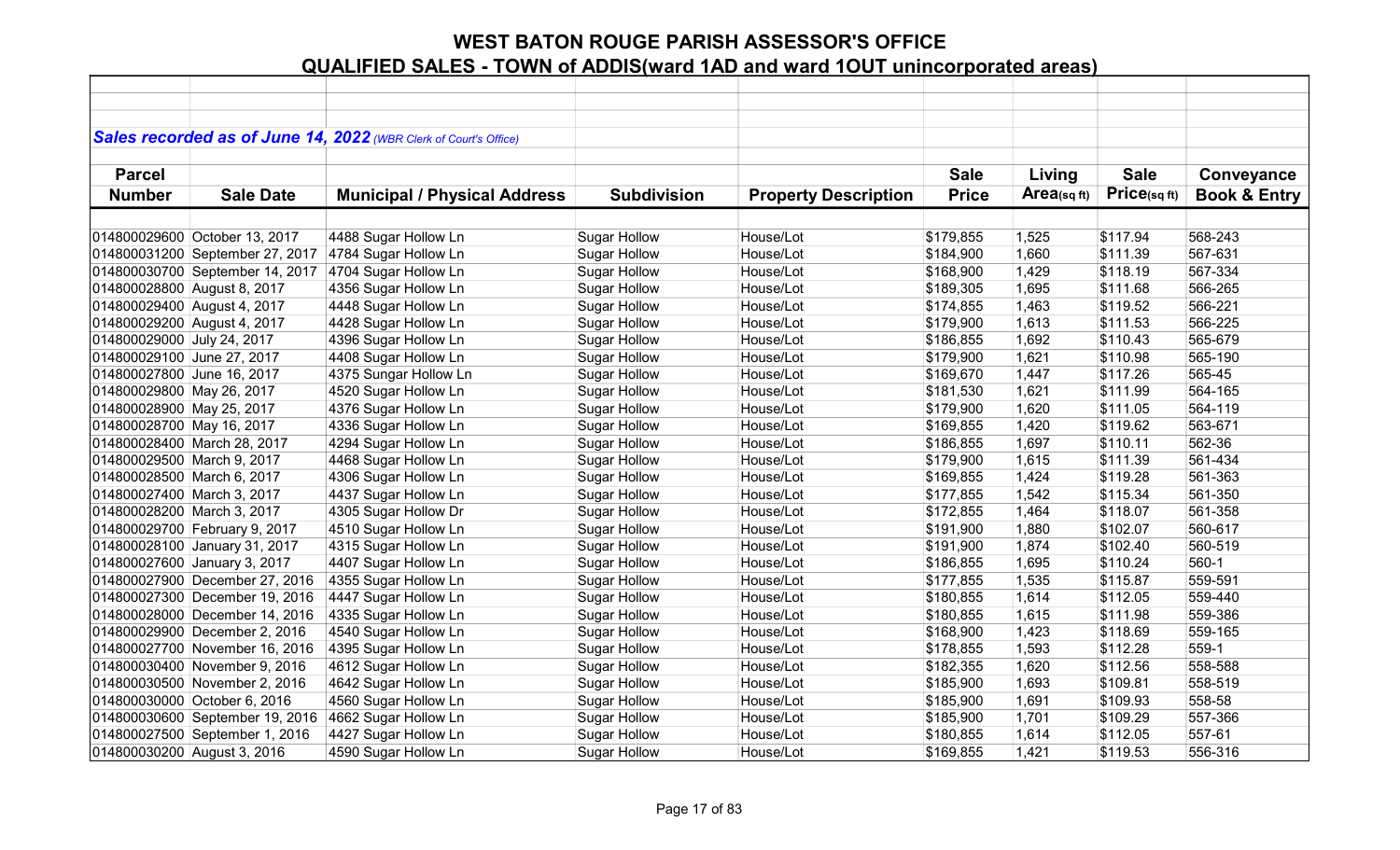|                             |                                 | Sales recorded as of June 14, 2022 (WBR Clerk of Court's Office) |                     |                             |              |            |             |                         |
|-----------------------------|---------------------------------|------------------------------------------------------------------|---------------------|-----------------------------|--------------|------------|-------------|-------------------------|
|                             |                                 |                                                                  |                     |                             |              |            |             |                         |
| <b>Parcel</b>               |                                 |                                                                  |                     |                             | <b>Sale</b>  | Living     | <b>Sale</b> | Conveyance              |
| <b>Number</b>               | <b>Sale Date</b>                | <b>Municipal / Physical Address</b>                              | <b>Subdivision</b>  | <b>Property Description</b> | <b>Price</b> | Area(sqft) | Price(sqft) | <b>Book &amp; Entry</b> |
|                             |                                 |                                                                  |                     |                             |              |            |             |                         |
|                             | 014800029600 October 13, 2017   | 4488 Sugar Hollow Ln                                             | <b>Sugar Hollow</b> | House/Lot                   | \$179,855    | 1,525      | \$117.94    | 568-243                 |
|                             | 014800031200 September 27, 2017 | 4784 Sugar Hollow Ln                                             | <b>Sugar Hollow</b> | House/Lot                   | \$184,900    | 1,660      | \$111.39    | 567-631                 |
|                             | 014800030700 September 14, 2017 | 4704 Sugar Hollow Ln                                             | <b>Sugar Hollow</b> | House/Lot                   | \$168,900    | 1,429      | \$118.19    | 567-334                 |
| 014800028800 August 8, 2017 |                                 | 4356 Sugar Hollow Ln                                             | <b>Sugar Hollow</b> | House/Lot                   | \$189,305    | 1,695      | \$111.68    | 566-265                 |
| 014800029400 August 4, 2017 |                                 | 4448 Sugar Hollow Ln                                             | <b>Sugar Hollow</b> | House/Lot                   | \$174,855    | 1,463      | \$119.52    | 566-221                 |
| 014800029200 August 4, 2017 |                                 | 4428 Sugar Hollow Ln                                             | <b>Sugar Hollow</b> | House/Lot                   | \$179,900    | 1,613      | \$111.53    | 566-225                 |
| 014800029000 July 24, 2017  |                                 | 4396 Sugar Hollow Ln                                             | <b>Sugar Hollow</b> | House/Lot                   | \$186,855    | 1,692      | \$110.43    | 565-679                 |
| 014800029100 June 27, 2017  |                                 | 4408 Sugar Hollow Ln                                             | <b>Sugar Hollow</b> | House/Lot                   | \$179,900    | 1,621      | \$110.98    | 565-190                 |
| 014800027800 June 16, 2017  |                                 | 4375 Sungar Hollow Ln                                            | Sugar Hollow        | House/Lot                   | \$169,670    | 1,447      | \$117.26    | 565-45                  |
| 014800029800 May 26, 2017   |                                 | 4520 Sugar Hollow Ln                                             | <b>Sugar Hollow</b> | House/Lot                   | \$181,530    | 1,621      | \$111.99    | 564-165                 |
| 014800028900 May 25, 2017   |                                 | 4376 Sugar Hollow Ln                                             | <b>Sugar Hollow</b> | House/Lot                   | \$179,900    | 1,620      | \$111.05    | 564-119                 |
| 014800028700 May 16, 2017   |                                 | 4336 Sugar Hollow Ln                                             | <b>Sugar Hollow</b> | House/Lot                   | \$169,855    | 1,420      | \$119.62    | 563-671                 |
|                             | 014800028400 March 28, 2017     | 4294 Sugar Hollow Ln                                             | <b>Sugar Hollow</b> | House/Lot                   | \$186,855    | 1,697      | \$110.11    | 562-36                  |
| 014800029500 March 9, 2017  |                                 | 4468 Sugar Hollow Ln                                             | <b>Sugar Hollow</b> | House/Lot                   | \$179,900    | 1,615      | \$111.39    | 561-434                 |
| 014800028500 March 6, 2017  |                                 | 4306 Sugar Hollow Ln                                             | <b>Sugar Hollow</b> | House/Lot                   | \$169,855    | 1,424      | \$119.28    | 561-363                 |
| 014800027400 March 3, 2017  |                                 | 4437 Sugar Hollow Ln                                             | <b>Sugar Hollow</b> | House/Lot                   | \$177,855    | 1,542      | \$115.34    | 561-350                 |
| 014800028200 March 3, 2017  |                                 | 4305 Sugar Hollow Dr                                             | <b>Sugar Hollow</b> | House/Lot                   | \$172,855    | 1,464      | \$118.07    | 561-358                 |
|                             | 014800029700 February 9, 2017   | 4510 Sugar Hollow Ln                                             | <b>Sugar Hollow</b> | House/Lot                   | \$191,900    | 1,880      | \$102.07    | 560-617                 |
|                             | 014800028100 January 31, 2017   | 4315 Sugar Hollow Ln                                             | <b>Sugar Hollow</b> | House/Lot                   | \$191,900    | 1,874      | \$102.40    | 560-519                 |
|                             | 014800027600 January 3, 2017    | 4407 Sugar Hollow Ln                                             | <b>Sugar Hollow</b> | House/Lot                   | \$186,855    | 1,695      | \$110.24    | 560-1                   |
|                             | 014800027900 December 27, 2016  | 4355 Sugar Hollow Ln                                             | <b>Sugar Hollow</b> | House/Lot                   | \$177,855    | 1,535      | \$115.87    | 559-591                 |
|                             | 014800027300 December 19, 2016  | 4447 Sugar Hollow Ln                                             | <b>Sugar Hollow</b> | House/Lot                   | \$180,855    | 1,614      | \$112.05    | 559-440                 |
|                             | 014800028000 December 14, 2016  | 4335 Sugar Hollow Ln                                             | <b>Sugar Hollow</b> | House/Lot                   | \$180,855    | 1,615      | \$111.98    | 559-386                 |
|                             | 014800029900 December 2, 2016   | 4540 Sugar Hollow Ln                                             | <b>Sugar Hollow</b> | House/Lot                   | \$168,900    | 1,423      | \$118.69    | 559-165                 |
|                             | 014800027700 November 16, 2016  | 4395 Sugar Hollow Ln                                             | <b>Sugar Hollow</b> | House/Lot                   | \$178,855    | 1,593      | \$112.28    | 559-1                   |
|                             | 014800030400 November 9, 2016   | 4612 Sugar Hollow Ln                                             | <b>Sugar Hollow</b> | House/Lot                   | \$182,355    | 1,620      | \$112.56    | 558-588                 |
|                             | 014800030500 November 2, 2016   | 4642 Sugar Hollow Ln                                             | <b>Sugar Hollow</b> | House/Lot                   | \$185,900    | 1,693      | \$109.81    | 558-519                 |
|                             | 014800030000 October 6, 2016    | 4560 Sugar Hollow Ln                                             | <b>Sugar Hollow</b> | House/Lot                   | \$185,900    | 1,691      | \$109.93    | 558-58                  |
|                             | 014800030600 September 19, 2016 | 4662 Sugar Hollow Ln                                             | <b>Sugar Hollow</b> | House/Lot                   | \$185,900    | 1,701      | \$109.29    | 557-366                 |
|                             | 014800027500 September 1, 2016  | 4427 Sugar Hollow Ln                                             | <b>Sugar Hollow</b> | House/Lot                   | \$180,855    | 1,614      | \$112.05    | 557-61                  |
| 014800030200 August 3, 2016 |                                 | 4590 Sugar Hollow Ln                                             | <b>Sugar Hollow</b> | House/Lot                   | \$169,855    | 1,421      | \$119.53    | 556-316                 |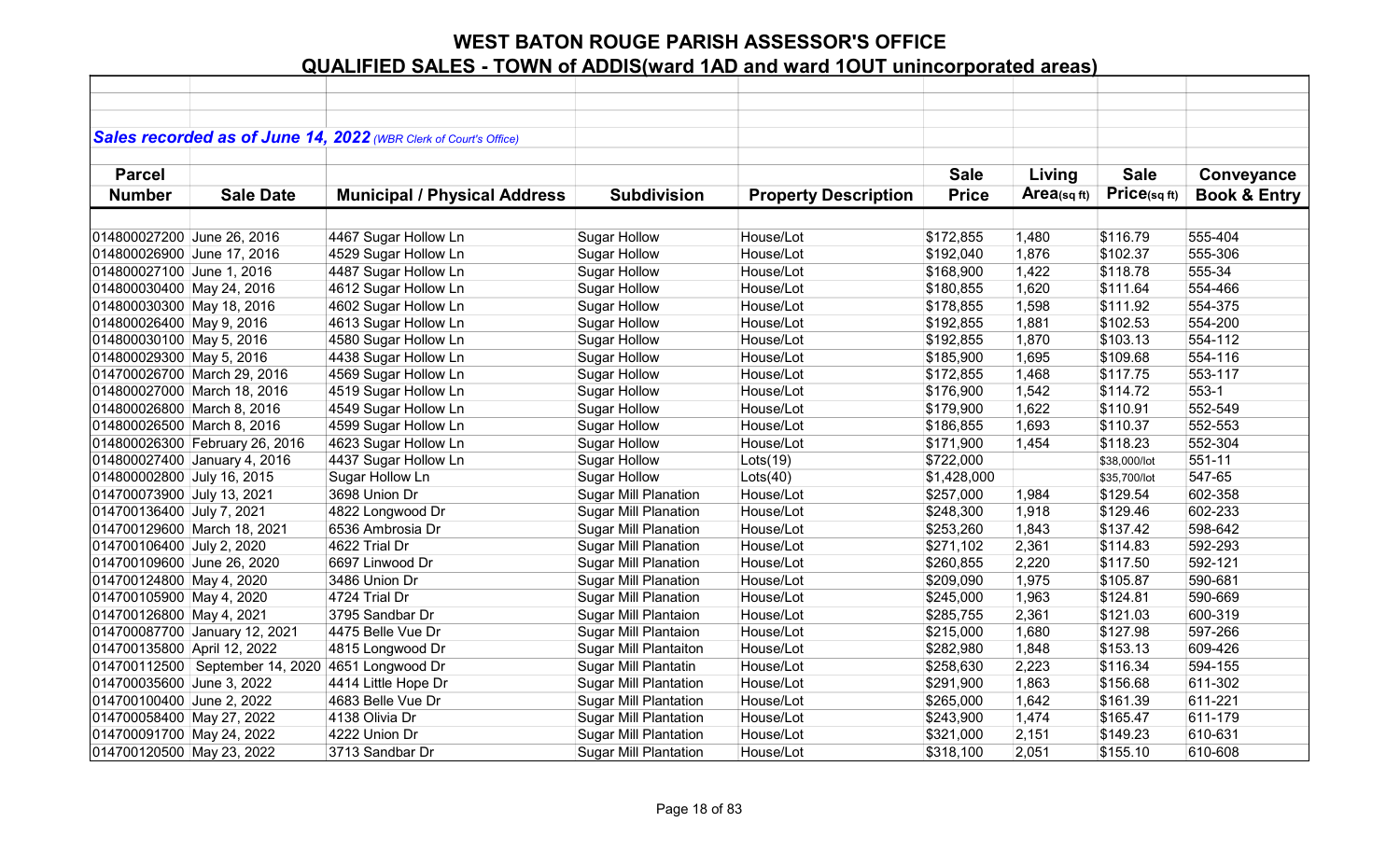|                             |                                                  | Sales recorded as of June 14, 2022 (WBR Clerk of Court's Office) |                              |                             |              |             |              |                         |
|-----------------------------|--------------------------------------------------|------------------------------------------------------------------|------------------------------|-----------------------------|--------------|-------------|--------------|-------------------------|
|                             |                                                  |                                                                  |                              |                             |              |             |              |                         |
| <b>Parcel</b>               |                                                  |                                                                  |                              |                             | <b>Sale</b>  | Living      | <b>Sale</b>  | Conveyance              |
| <b>Number</b>               | <b>Sale Date</b>                                 | <b>Municipal / Physical Address</b>                              | <b>Subdivision</b>           | <b>Property Description</b> | <b>Price</b> | Area(sq ft) | Price(sqft)  | <b>Book &amp; Entry</b> |
|                             |                                                  |                                                                  |                              |                             |              |             |              |                         |
| 014800027200 June 26, 2016  |                                                  | 4467 Sugar Hollow Ln                                             | <b>Sugar Hollow</b>          | House/Lot                   | \$172,855    | 1,480       | \$116.79     | 555-404                 |
| 014800026900 June 17, 2016  |                                                  | 4529 Sugar Hollow Ln                                             | <b>Sugar Hollow</b>          | House/Lot                   | \$192,040    | 1,876       | \$102.37     | 555-306                 |
| 014800027100 June 1, 2016   |                                                  | 4487 Sugar Hollow Ln                                             | <b>Sugar Hollow</b>          | House/Lot                   | \$168,900    | 1,422       | \$118.78     | 555-34                  |
| 014800030400 May 24, 2016   |                                                  | 4612 Sugar Hollow Ln                                             | <b>Sugar Hollow</b>          | House/Lot                   | \$180,855    | 1,620       | \$111.64     | 554-466                 |
| 014800030300 May 18, 2016   |                                                  | 4602 Sugar Hollow Ln                                             | <b>Sugar Hollow</b>          | House/Lot                   | \$178,855    | 1,598       | \$111.92     | 554-375                 |
| 014800026400 May 9, 2016    |                                                  | 4613 Sugar Hollow Ln                                             | <b>Sugar Hollow</b>          | House/Lot                   | \$192,855    | 1,881       | \$102.53     | 554-200                 |
| 014800030100 May 5, 2016    |                                                  | 4580 Sugar Hollow Ln                                             | <b>Sugar Hollow</b>          | House/Lot                   | \$192,855    | 1,870       | \$103.13     | 554-112                 |
| 014800029300 May 5, 2016    |                                                  | 4438 Sugar Hollow Ln                                             | <b>Sugar Hollow</b>          | House/Lot                   | \$185,900    | 1,695       | \$109.68     | 554-116                 |
|                             | 014700026700 March 29, 2016                      | 4569 Sugar Hollow Ln                                             | <b>Sugar Hollow</b>          | House/Lot                   | \$172,855    | 1,468       | \$117.75     | 553-117                 |
|                             | 014800027000 March 18, 2016                      | 4519 Sugar Hollow Ln                                             | <b>Sugar Hollow</b>          | House/Lot                   | \$176,900    | 1,542       | \$114.72     | 553-1                   |
| 014800026800 March 8, 2016  |                                                  | 4549 Sugar Hollow Ln                                             | <b>Sugar Hollow</b>          | House/Lot                   | \$179,900    | 1,622       | \$110.91     | 552-549                 |
| 014800026500 March 8, 2016  |                                                  | 4599 Sugar Hollow Ln                                             | <b>Sugar Hollow</b>          | House/Lot                   | \$186,855    | 1,693       | \$110.37     | 552-553                 |
|                             | 014800026300 February 26, 2016                   | 4623 Sugar Hollow Ln                                             | <b>Sugar Hollow</b>          | House/Lot                   | \$171,900    | 1,454       | \$118.23     | 552-304                 |
|                             | 014800027400 January 4, 2016                     | 4437 Sugar Hollow Ln                                             | <b>Sugar Hollow</b>          | Lots(19)                    | \$722,000    |             | \$38,000/lot | 551-11                  |
| 014800002800 July 16, 2015  |                                                  | Sugar Hollow Ln                                                  | <b>Sugar Hollow</b>          | Lots(40)                    | \$1,428,000  |             | \$35,700/lot | 547-65                  |
| 014700073900 July 13, 2021  |                                                  | 3698 Union Dr                                                    | <b>Sugar Mill Planation</b>  | House/Lot                   | \$257,000    | 1,984       | \$129.54     | 602-358                 |
| 014700136400 July 7, 2021   |                                                  | 4822 Longwood Dr                                                 | <b>Sugar Mill Planation</b>  | House/Lot                   | \$248,300    | 1,918       | \$129.46     | 602-233                 |
| 014700129600 March 18, 2021 |                                                  | 6536 Ambrosia Dr                                                 | <b>Sugar Mill Planation</b>  | House/Lot                   | \$253,260    | 1,843       | \$137.42     | 598-642                 |
| 014700106400 July 2, 2020   |                                                  | 4622 Trial Dr                                                    | Sugar Mill Planation         | House/Lot                   | \$271,102    | 2,361       | \$114.83     | 592-293                 |
| 014700109600 June 26, 2020  |                                                  | 6697 Linwood Dr                                                  | <b>Sugar Mill Planation</b>  | House/Lot                   | \$260,855    | 2,220       | \$117.50     | 592-121                 |
| 014700124800 May 4, 2020    |                                                  | 3486 Union Dr                                                    | <b>Sugar Mill Planation</b>  | House/Lot                   | \$209,090    | 1,975       | \$105.87     | 590-681                 |
| 014700105900 May 4, 2020    |                                                  | 4724 Trial Dr                                                    | <b>Sugar Mill Planation</b>  | House/Lot                   | \$245,000    | 1,963       | \$124.81     | 590-669                 |
| 014700126800 May 4, 2021    |                                                  | 3795 Sandbar Dr                                                  | Sugar Mill Plantaion         | House/Lot                   | \$285,755    | 2,361       | \$121.03     | 600-319                 |
|                             | 014700087700 January 12, 2021                    | 4475 Belle Vue Dr                                                | Sugar Mill Plantaion         | House/Lot                   | \$215,000    | 1,680       | \$127.98     | 597-266                 |
| 014700135800 April 12, 2022 |                                                  | 4815 Longwood Dr                                                 | <b>Sugar Mill Plantaiton</b> | House/Lot                   | \$282,980    | 1,848       | \$153.13     | 609-426                 |
|                             | 014700112500 September 14, 2020 4651 Longwood Dr |                                                                  | Sugar Mill Plantatin         | House/Lot                   | \$258,630    | 2,223       | \$116.34     | 594-155                 |
| 014700035600 June 3, 2022   |                                                  | 4414 Little Hope Dr                                              | <b>Sugar Mill Plantation</b> | House/Lot                   | \$291,900    | 1,863       | \$156.68     | 611-302                 |
| 014700100400 June 2, 2022   |                                                  | 4683 Belle Vue Dr                                                | <b>Sugar Mill Plantation</b> | House/Lot                   | \$265,000    | 1,642       | \$161.39     | 611-221                 |
| 014700058400 May 27, 2022   |                                                  | 4138 Olivia Dr                                                   | <b>Sugar Mill Plantation</b> | House/Lot                   | \$243,900    | 1,474       | \$165.47     | 611-179                 |
| 014700091700 May 24, 2022   |                                                  | 4222 Union Dr                                                    | <b>Sugar Mill Plantation</b> | House/Lot                   | \$321,000    | 2,151       | \$149.23     | 610-631                 |
| 014700120500 May 23, 2022   |                                                  | 3713 Sandbar Dr                                                  | <b>Sugar Mill Plantation</b> | House/Lot                   | \$318,100    | 2,051       | \$155.10     | 610-608                 |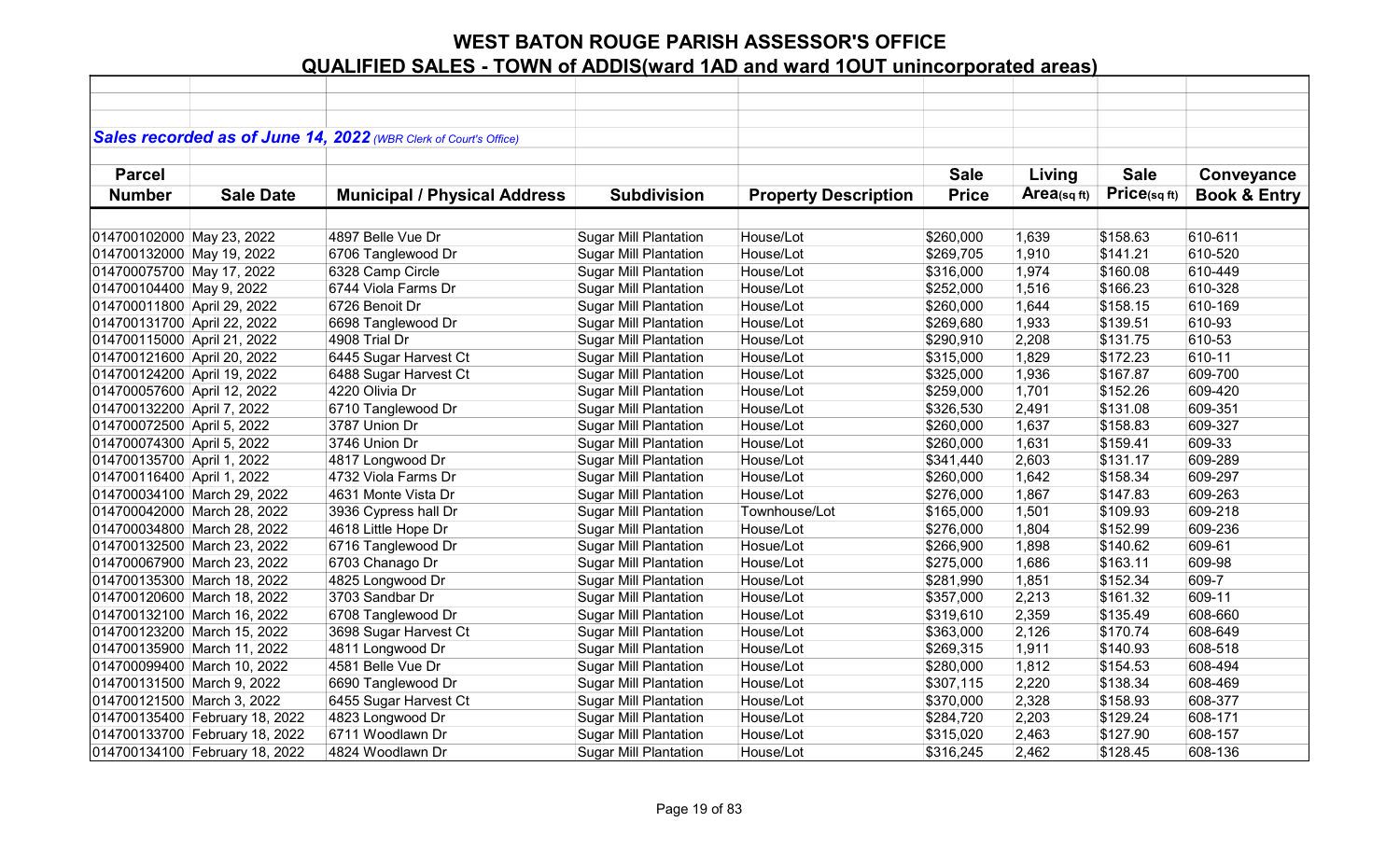|                             |                                | Sales recorded as of June 14, 2022 (WBR Clerk of Court's Office) |                              |                             |              |            |             |                         |
|-----------------------------|--------------------------------|------------------------------------------------------------------|------------------------------|-----------------------------|--------------|------------|-------------|-------------------------|
|                             |                                |                                                                  |                              |                             |              |            |             |                         |
| <b>Parcel</b>               |                                |                                                                  |                              |                             | <b>Sale</b>  | Living     | <b>Sale</b> | Conveyance              |
| <b>Number</b>               | <b>Sale Date</b>               | <b>Municipal / Physical Address</b>                              | <b>Subdivision</b>           | <b>Property Description</b> | <b>Price</b> | Area(sqft) | Price(sqft) | <b>Book &amp; Entry</b> |
|                             |                                |                                                                  |                              |                             |              |            |             |                         |
| 014700102000 May 23, 2022   |                                | 4897 Belle Vue Dr                                                | <b>Sugar Mill Plantation</b> | House/Lot                   | \$260,000    | 1,639      | \$158.63    | 610-611                 |
| 014700132000 May 19, 2022   |                                | 6706 Tanglewood Dr                                               | <b>Sugar Mill Plantation</b> | House/Lot                   | \$269,705    | 1,910      | \$141.21    | 610-520                 |
| 014700075700 May 17, 2022   |                                | 6328 Camp Circle                                                 | <b>Sugar Mill Plantation</b> | House/Lot                   | \$316,000    | 1,974      | \$160.08    | 610-449                 |
| 014700104400 May 9, 2022    |                                | 6744 Viola Farms Dr                                              | <b>Sugar Mill Plantation</b> | House/Lot                   | \$252,000    | 1,516      | \$166.23    | 610-328                 |
| 014700011800 April 29, 2022 |                                | 6726 Benoit Dr                                                   | <b>Sugar Mill Plantation</b> | House/Lot                   | \$260,000    | 1,644      | \$158.15    | 610-169                 |
| 014700131700 April 22, 2022 |                                | 6698 Tanglewood Dr                                               | <b>Sugar Mill Plantation</b> | House/Lot                   | \$269,680    | 1,933      | \$139.51    | 610-93                  |
| 014700115000 April 21, 2022 |                                | 4908 Trial Dr                                                    | <b>Sugar Mill Plantation</b> | House/Lot                   | \$290,910    | 2,208      | \$131.75    | 610-53                  |
| 014700121600 April 20, 2022 |                                | 6445 Sugar Harvest Ct                                            | <b>Sugar Mill Plantation</b> | House/Lot                   | \$315,000    | 1,829      | \$172.23    | 610-11                  |
| 014700124200 April 19, 2022 |                                | 6488 Sugar Harvest Ct                                            | <b>Sugar Mill Plantation</b> | House/Lot                   | \$325,000    | 1,936      | \$167.87    | 609-700                 |
| 014700057600 April 12, 2022 |                                | 4220 Olivia Dr                                                   | <b>Sugar Mill Plantation</b> | House/Lot                   | \$259,000    | 1,701      | \$152.26    | 609-420                 |
| 014700132200 April 7, 2022  |                                | 6710 Tanglewood Dr                                               | <b>Sugar Mill Plantation</b> | House/Lot                   | \$326,530    | 2,491      | \$131.08    | 609-351                 |
| 014700072500 April 5, 2022  |                                | 3787 Union Dr                                                    | <b>Sugar Mill Plantation</b> | House/Lot                   | \$260,000    | 1,637      | \$158.83    | 609-327                 |
| 014700074300 April 5, 2022  |                                | 3746 Union Dr                                                    | <b>Sugar Mill Plantation</b> | House/Lot                   | \$260,000    | 1,631      | \$159.41    | 609-33                  |
| 014700135700 April 1, 2022  |                                | 4817 Longwood Dr                                                 | <b>Sugar Mill Plantation</b> | House/Lot                   | \$341,440    | 2,603      | \$131.17    | 609-289                 |
| 014700116400 April 1, 2022  |                                | 4732 Viola Farms Dr                                              | <b>Sugar Mill Plantation</b> | House/Lot                   | \$260,000    | 1,642      | \$158.34    | 609-297                 |
|                             | 014700034100 March 29, 2022    | 4631 Monte Vista Dr                                              | <b>Sugar Mill Plantation</b> | House/Lot                   | \$276,000    | 1,867      | \$147.83    | 609-263                 |
|                             | 014700042000 March 28, 2022    | 3936 Cypress hall Dr                                             | Sugar Mill Plantation        | Townhouse/Lot               | \$165,000    | 1,501      | \$109.93    | 609-218                 |
| 014700034800 March 28, 2022 |                                | 4618 Little Hope Dr                                              | <b>Sugar Mill Plantation</b> | House/Lot                   | \$276,000    | 1,804      | \$152.99    | 609-236                 |
|                             | 014700132500 March 23, 2022    | 6716 Tanglewood Dr                                               | <b>Sugar Mill Plantation</b> | Hosue/Lot                   | \$266,900    | 1,898      | \$140.62    | 609-61                  |
| 014700067900 March 23, 2022 |                                | 6703 Chanago Dr                                                  | <b>Sugar Mill Plantation</b> | House/Lot                   | \$275,000    | 1,686      | \$163.11    | 609-98                  |
| 014700135300 March 18, 2022 |                                | 4825 Longwood Dr                                                 | <b>Sugar Mill Plantation</b> | House/Lot                   | \$281,990    | 1,851      | \$152.34    | 609-7                   |
| 014700120600 March 18, 2022 |                                | 3703 Sandbar Dr                                                  | <b>Sugar Mill Plantation</b> | House/Lot                   | \$357,000    | 2,213      | \$161.32    | 609-11                  |
|                             | 014700132100 March 16, 2022    | 6708 Tanglewood Dr                                               | <b>Sugar Mill Plantation</b> | House/Lot                   | \$319,610    | 2,359      | \$135.49    | 608-660                 |
|                             | 014700123200 March 15, 2022    | 3698 Sugar Harvest Ct                                            | <b>Sugar Mill Plantation</b> | House/Lot                   | \$363,000    | 2,126      | \$170.74    | 608-649                 |
|                             | 014700135900 March 11, 2022    | 4811 Longwood Dr                                                 | <b>Sugar Mill Plantation</b> | House/Lot                   | \$269,315    | 1,911      | \$140.93    | 608-518                 |
|                             | 014700099400 March 10, 2022    | 4581 Belle Vue Dr                                                | <b>Sugar Mill Plantation</b> | House/Lot                   | \$280,000    | 1,812      | \$154.53    | 608-494                 |
| 014700131500 March 9, 2022  |                                | 6690 Tanglewood Dr                                               | <b>Sugar Mill Plantation</b> | House/Lot                   | \$307,115    | 2,220      | \$138.34    | 608-469                 |
| 014700121500 March 3, 2022  |                                | 6455 Sugar Harvest Ct                                            | <b>Sugar Mill Plantation</b> | House/Lot                   | \$370,000    | 2,328      | \$158.93    | 608-377                 |
|                             | 014700135400 February 18, 2022 | 4823 Longwood Dr                                                 | <b>Sugar Mill Plantation</b> | House/Lot                   | \$284,720    | 2,203      | \$129.24    | 608-171                 |
|                             | 014700133700 February 18, 2022 | 6711 Woodlawn Dr                                                 | <b>Sugar Mill Plantation</b> | House/Lot                   | \$315,020    | 2,463      | \$127.90    | 608-157                 |
|                             | 014700134100 February 18, 2022 | 4824 Woodlawn Dr                                                 | <b>Sugar Mill Plantation</b> | House/Lot                   | \$316,245    | 2,462      | \$128.45    | 608-136                 |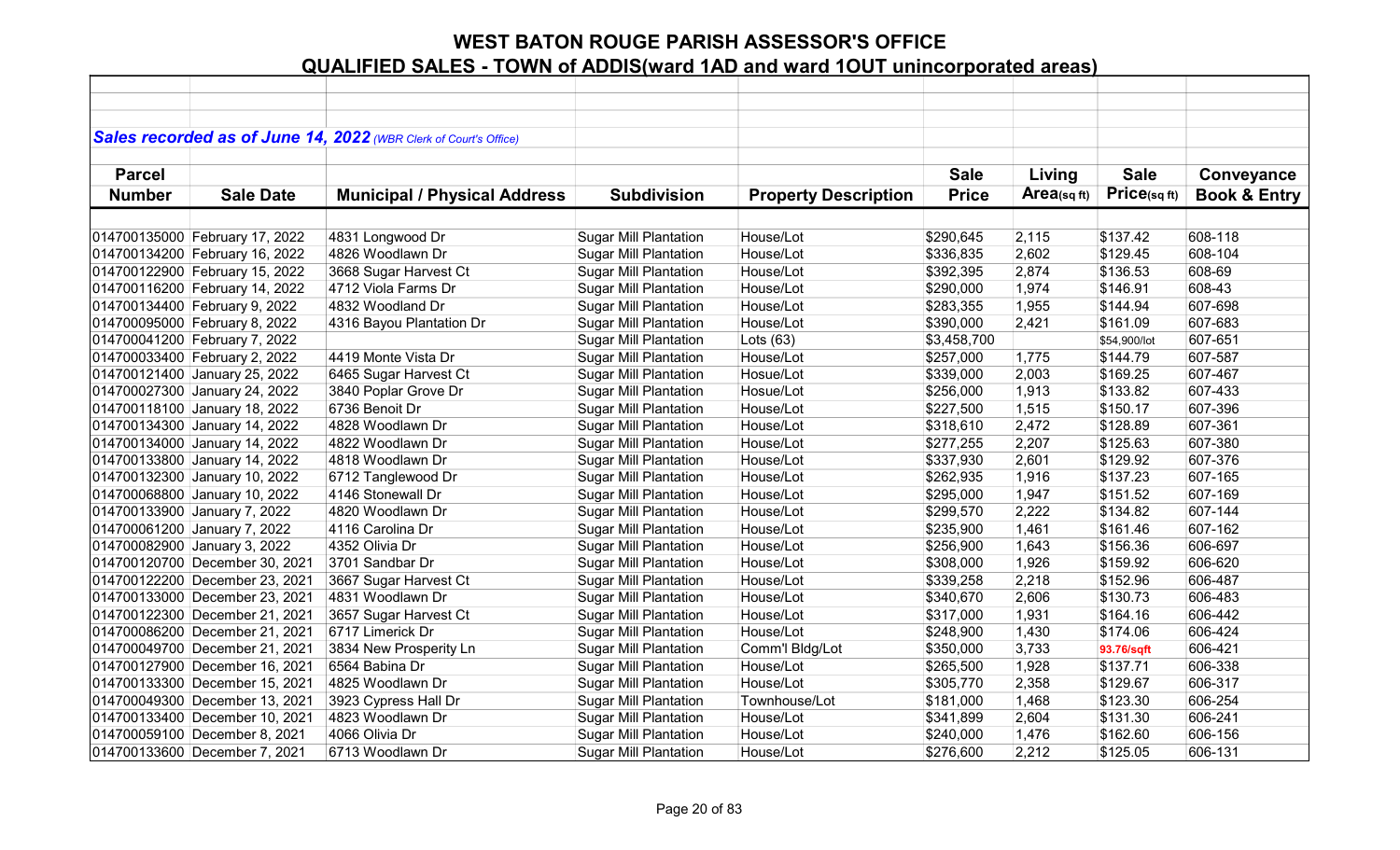|               |                                | Sales recorded as of June 14, 2022 (WBR Clerk of Court's Office) |                              |                             |              |            |              |                         |
|---------------|--------------------------------|------------------------------------------------------------------|------------------------------|-----------------------------|--------------|------------|--------------|-------------------------|
|               |                                |                                                                  |                              |                             |              |            |              |                         |
| <b>Parcel</b> |                                |                                                                  |                              |                             | <b>Sale</b>  | Living     | <b>Sale</b>  | Conveyance              |
| <b>Number</b> | <b>Sale Date</b>               | <b>Municipal / Physical Address</b>                              | <b>Subdivision</b>           | <b>Property Description</b> | <b>Price</b> | Area(sqft) | Price(sqft)  | <b>Book &amp; Entry</b> |
|               |                                |                                                                  |                              |                             |              |            |              |                         |
|               | 014700135000 February 17, 2022 | 4831 Longwood Dr                                                 | <b>Sugar Mill Plantation</b> | House/Lot                   | \$290,645    | 2,115      | \$137.42     | 608-118                 |
|               | 014700134200 February 16, 2022 | 4826 Woodlawn Dr                                                 | <b>Sugar Mill Plantation</b> | House/Lot                   | \$336,835    | 2,602      | \$129.45     | 608-104                 |
|               | 014700122900 February 15, 2022 | 3668 Sugar Harvest Ct                                            | <b>Sugar Mill Plantation</b> | House/Lot                   | \$392,395    | 2,874      | \$136.53     | 608-69                  |
|               | 014700116200 February 14, 2022 | 4712 Viola Farms Dr                                              | <b>Sugar Mill Plantation</b> | House/Lot                   | \$290,000    | 1,974      | \$146.91     | 608-43                  |
|               | 014700134400 February 9, 2022  | 4832 Woodland Dr                                                 | <b>Sugar Mill Plantation</b> | House/Lot                   | \$283,355    | 1,955      | \$144.94     | 607-698                 |
|               | 014700095000 February 8, 2022  | 4316 Bayou Plantation Dr                                         | <b>Sugar Mill Plantation</b> | House/Lot                   | \$390,000    | 2,421      | \$161.09     | 607-683                 |
|               | 014700041200 February 7, 2022  |                                                                  | <b>Sugar Mill Plantation</b> | Lots $(63)$                 | \$3,458,700  |            | \$54,900/lot | 607-651                 |
|               | 014700033400 February 2, 2022  | 4419 Monte Vista Dr                                              | <b>Sugar Mill Plantation</b> | House/Lot                   | \$257,000    | 1,775      | \$144.79     | 607-587                 |
|               | 014700121400 January 25, 2022  | 6465 Sugar Harvest Ct                                            | <b>Sugar Mill Plantation</b> | Hosue/Lot                   | \$339,000    | 2,003      | \$169.25     | 607-467                 |
|               | 014700027300 January 24, 2022  | 3840 Poplar Grove Dr                                             | <b>Sugar Mill Plantation</b> | Hosue/Lot                   | \$256,000    | 1,913      | \$133.82     | 607-433                 |
|               | 014700118100 January 18, 2022  | 6736 Benoit Dr                                                   | <b>Sugar Mill Plantation</b> | House/Lot                   | \$227,500    | 1,515      | \$150.17     | 607-396                 |
|               | 014700134300 January 14, 2022  | 4828 Woodlawn Dr                                                 | <b>Sugar Mill Plantation</b> | House/Lot                   | \$318,610    | 2,472      | \$128.89     | 607-361                 |
|               | 014700134000 January 14, 2022  | 4822 Woodlawn Dr                                                 | <b>Sugar Mill Plantation</b> | House/Lot                   | \$277,255    | 2,207      | \$125.63     | 607-380                 |
|               | 014700133800 January 14, 2022  | 4818 Woodlawn Dr                                                 | <b>Sugar Mill Plantation</b> | House/Lot                   | \$337,930    | 2,601      | \$129.92     | 607-376                 |
|               | 014700132300 January 10, 2022  | 6712 Tanglewood Dr                                               | <b>Sugar Mill Plantation</b> | House/Lot                   | \$262,935    | 1,916      | \$137.23     | 607-165                 |
|               | 014700068800 January 10, 2022  | 4146 Stonewall Dr                                                | <b>Sugar Mill Plantation</b> | House/Lot                   | \$295,000    | 1,947      | \$151.52     | 607-169                 |
|               | 014700133900 January 7, 2022   | 4820 Woodlawn Dr                                                 | <b>Sugar Mill Plantation</b> | House/Lot                   | \$299,570    | 2,222      | \$134.82     | 607-144                 |
|               | 014700061200 January 7, 2022   | 4116 Carolina Dr                                                 | <b>Sugar Mill Plantation</b> | House/Lot                   | \$235,900    | 1,461      | \$161.46     | 607-162                 |
|               | 014700082900 January 3, 2022   | 4352 Olivia Dr                                                   | <b>Sugar Mill Plantation</b> | House/Lot                   | \$256,900    | 1,643      | \$156.36     | 606-697                 |
|               | 014700120700 December 30, 2021 | 3701 Sandbar Dr                                                  | <b>Sugar Mill Plantation</b> | House/Lot                   | \$308,000    | 1,926      | \$159.92     | 606-620                 |
|               | 014700122200 December 23, 2021 | 3667 Sugar Harvest Ct                                            | <b>Sugar Mill Plantation</b> | House/Lot                   | \$339,258    | 2,218      | \$152.96     | 606-487                 |
|               | 014700133000 December 23, 2021 | 4831 Woodlawn Dr                                                 | <b>Sugar Mill Plantation</b> | House/Lot                   | \$340,670    | 2,606      | \$130.73     | 606-483                 |
|               | 014700122300 December 21, 2021 | 3657 Sugar Harvest Ct                                            | <b>Sugar Mill Plantation</b> | House/Lot                   | \$317,000    | 1,931      | \$164.16     | 606-442                 |
|               | 014700086200 December 21, 2021 | 6717 Limerick Dr                                                 | <b>Sugar Mill Plantation</b> | House/Lot                   | \$248,900    | 1,430      | \$174.06     | 606-424                 |
|               | 014700049700 December 21, 2021 | 3834 New Prosperity Ln                                           | <b>Sugar Mill Plantation</b> | Comm'l Bldg/Lot             | \$350,000    | 3,733      | 93.76/sqft   | 606-421                 |
|               | 014700127900 December 16, 2021 | 6564 Babina Dr                                                   | <b>Sugar Mill Plantation</b> | House/Lot                   | \$265,500    | 1,928      | \$137.71     | 606-338                 |
|               | 014700133300 December 15, 2021 | 4825 Woodlawn Dr                                                 | <b>Sugar Mill Plantation</b> | House/Lot                   | \$305,770    | 2,358      | \$129.67     | 606-317                 |
|               | 014700049300 December 13, 2021 | 3923 Cypress Hall Dr                                             | <b>Sugar Mill Plantation</b> | Townhouse/Lot               | \$181,000    | 1,468      | \$123.30     | 606-254                 |
|               | 014700133400 December 10, 2021 | 4823 Woodlawn Dr                                                 | <b>Sugar Mill Plantation</b> | House/Lot                   | \$341,899    | 2,604      | \$131.30     | 606-241                 |
|               | 014700059100 December 8, 2021  | 4066 Olivia Dr                                                   | <b>Sugar Mill Plantation</b> | House/Lot                   | \$240,000    | 1,476      | \$162.60     | 606-156                 |
|               | 014700133600 December 7, 2021  | 6713 Woodlawn Dr                                                 | <b>Sugar Mill Plantation</b> | House/Lot                   | \$276,600    | 2,212      | \$125.05     | 606-131                 |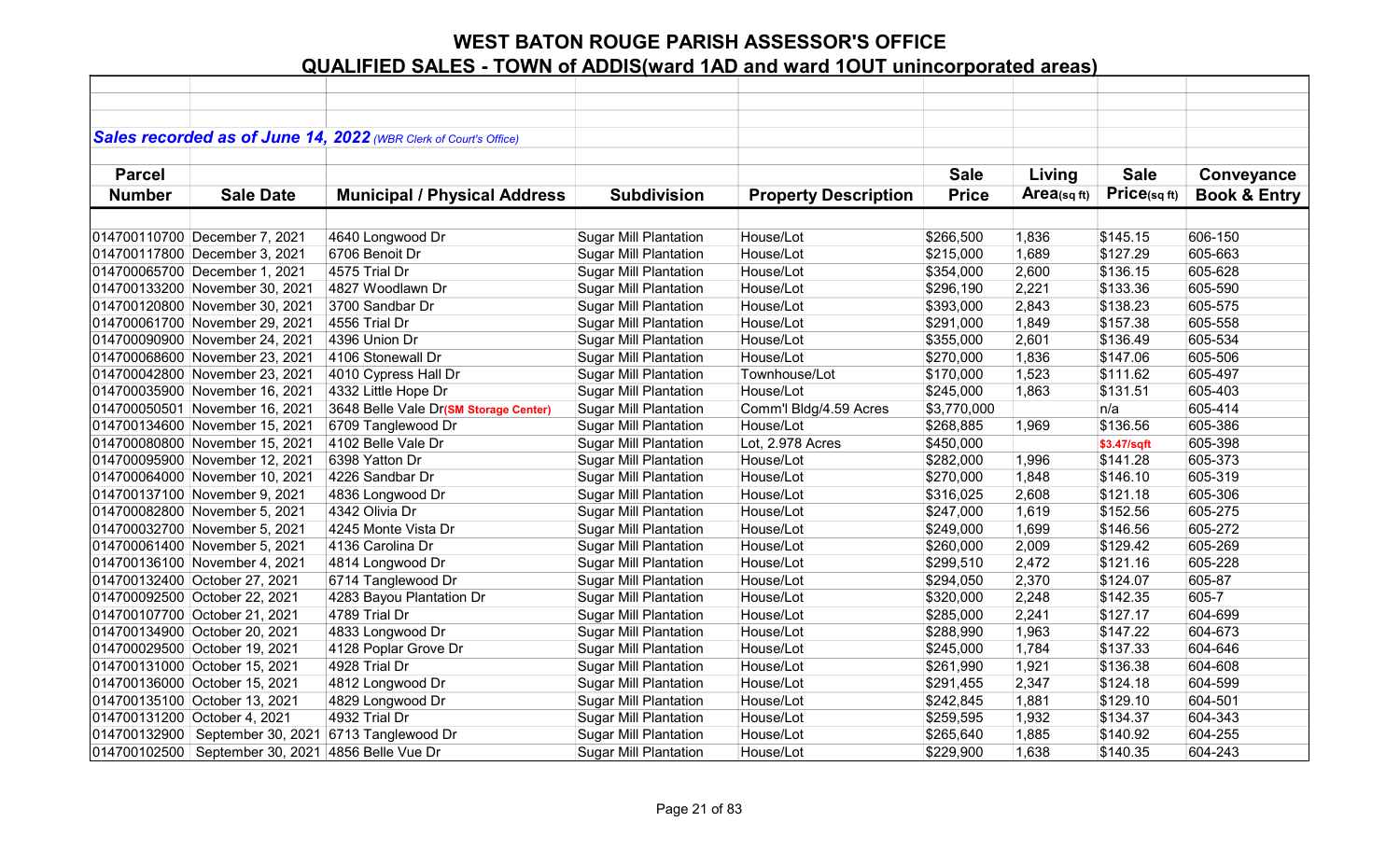|               |                                                       | Sales recorded as of June 14, 2022 (WBR Clerk of Court's Office) |                              |                             |              |                         |             |                         |
|---------------|-------------------------------------------------------|------------------------------------------------------------------|------------------------------|-----------------------------|--------------|-------------------------|-------------|-------------------------|
|               |                                                       |                                                                  |                              |                             |              |                         |             |                         |
| <b>Parcel</b> |                                                       |                                                                  |                              |                             | <b>Sale</b>  | Living                  | <b>Sale</b> | Conveyance              |
| <b>Number</b> | <b>Sale Date</b>                                      | <b>Municipal / Physical Address</b>                              | <b>Subdivision</b>           | <b>Property Description</b> | <b>Price</b> | Area <sub>(sq ft)</sub> | Price(sqft) | <b>Book &amp; Entry</b> |
|               |                                                       |                                                                  |                              |                             |              |                         |             |                         |
|               |                                                       |                                                                  |                              |                             |              |                         |             |                         |
|               | 014700110700 December 7, 2021                         | 4640 Longwood Dr                                                 | <b>Sugar Mill Plantation</b> | House/Lot                   | \$266,500    | 1,836                   | \$145.15    | 606-150                 |
|               | 014700117800 December 3, 2021                         | 6706 Benoit Dr                                                   | <b>Sugar Mill Plantation</b> | House/Lot                   | \$215,000    | 1,689                   | \$127.29    | 605-663                 |
|               | 014700065700 December 1, 2021                         | 4575 Trial Dr                                                    | <b>Sugar Mill Plantation</b> | House/Lot                   | \$354,000    | 2,600                   | \$136.15    | 605-628                 |
|               | 014700133200 November 30, 2021                        | 4827 Woodlawn Dr                                                 | <b>Sugar Mill Plantation</b> | House/Lot                   | \$296,190    | 2,221                   | \$133.36    | 605-590                 |
|               | 014700120800 November 30, 2021                        | 3700 Sandbar Dr                                                  | <b>Sugar Mill Plantation</b> | House/Lot                   | \$393,000    | 2,843                   | \$138.23    | 605-575                 |
|               | 014700061700 November 29, 2021                        | 4556 Trial Dr                                                    | <b>Sugar Mill Plantation</b> | House/Lot                   | \$291,000    | 1,849                   | \$157.38    | 605-558                 |
|               | 014700090900 November 24, 2021                        | 4396 Union Dr                                                    | <b>Sugar Mill Plantation</b> | House/Lot                   | \$355,000    | 2,601                   | \$136.49    | 605-534                 |
|               | 014700068600 November 23, 2021                        | 4106 Stonewall Dr                                                | <b>Sugar Mill Plantation</b> | House/Lot                   | \$270,000    | 1,836                   | \$147.06    | 605-506                 |
|               | 014700042800 November 23, 2021                        | 4010 Cypress Hall Dr                                             | <b>Sugar Mill Plantation</b> | Townhouse/Lot               | \$170,000    | 1,523                   | \$111.62    | 605-497                 |
|               | 014700035900 November 16, 2021                        | 4332 Little Hope Dr                                              | <b>Sugar Mill Plantation</b> | House/Lot                   | \$245,000    | 1,863                   | \$131.51    | 605-403                 |
|               | 014700050501 November 16, 2021                        | 3648 Belle Vale Dr(SM Storage Center)                            | <b>Sugar Mill Plantation</b> | Comm'l Bldg/4.59 Acres      | \$3,770,000  |                         | n/a         | 605-414                 |
|               | 014700134600 November 15, 2021                        | 6709 Tanglewood Dr                                               | <b>Sugar Mill Plantation</b> | House/Lot                   | \$268,885    | 1,969                   | \$136.56    | 605-386                 |
|               | 014700080800 November 15, 2021                        | 4102 Belle Vale Dr                                               | <b>Sugar Mill Plantation</b> | Lot, 2.978 Acres            | \$450,000    |                         | \$3.47/sqft | 605-398                 |
|               | 014700095900 November 12, 2021                        | 6398 Yatton Dr                                                   | <b>Sugar Mill Plantation</b> | House/Lot                   | \$282,000    | 1,996                   | \$141.28    | 605-373                 |
|               | 014700064000 November 10, 2021                        | 4226 Sandbar Dr                                                  | <b>Sugar Mill Plantation</b> | House/Lot                   | \$270,000    | 1,848                   | \$146.10    | 605-319                 |
|               | 014700137100 November 9, 2021                         | 4836 Longwood Dr                                                 | <b>Sugar Mill Plantation</b> | House/Lot                   | \$316,025    | 2,608                   | \$121.18    | 605-306                 |
|               | 014700082800 November 5, 2021                         | 4342 Olivia Dr                                                   | <b>Sugar Mill Plantation</b> | House/Lot                   | \$247,000    | 1,619                   | \$152.56    | 605-275                 |
|               | 014700032700 November 5, 2021                         | 4245 Monte Vista Dr                                              | <b>Sugar Mill Plantation</b> | House/Lot                   | \$249,000    | 1,699                   | \$146.56    | 605-272                 |
|               | 014700061400 November 5, 2021                         | 4136 Carolina Dr                                                 | <b>Sugar Mill Plantation</b> | House/Lot                   | \$260,000    | 2,009                   | \$129.42    | 605-269                 |
|               | 014700136100 November 4, 2021                         | 4814 Longwood Dr                                                 | <b>Sugar Mill Plantation</b> | House/Lot                   | \$299,510    | 2,472                   | \$121.16    | 605-228                 |
|               | 014700132400 October 27, 2021                         | 6714 Tanglewood Dr                                               | <b>Sugar Mill Plantation</b> | House/Lot                   | \$294,050    | 2,370                   | \$124.07    | 605-87                  |
|               | 014700092500 October 22, 2021                         | 4283 Bayou Plantation Dr                                         | <b>Sugar Mill Plantation</b> | House/Lot                   | \$320,000    | 2,248                   | \$142.35    | 605-7                   |
|               | 014700107700 October 21, 2021                         | 4789 Trial Dr                                                    | <b>Sugar Mill Plantation</b> | House/Lot                   | \$285,000    | 2,241                   | \$127.17    | 604-699                 |
|               | 014700134900 October 20, 2021                         | 4833 Longwood Dr                                                 | <b>Sugar Mill Plantation</b> | House/Lot                   | \$288,990    | 1,963                   | \$147.22    | 604-673                 |
|               | 014700029500 October 19, 2021                         | 4128 Poplar Grove Dr                                             | <b>Sugar Mill Plantation</b> | House/Lot                   | \$245,000    | 1,784                   | \$137.33    | 604-646                 |
|               | 014700131000 October 15, 2021                         | 4928 Trial Dr                                                    | <b>Sugar Mill Plantation</b> | House/Lot                   | \$261,990    | 1,921                   | \$136.38    | 604-608                 |
|               | 014700136000 October 15, 2021                         | 4812 Longwood Dr                                                 | <b>Sugar Mill Plantation</b> | House/Lot                   | \$291,455    | 2,347                   | \$124.18    | 604-599                 |
|               | 014700135100 October 13, 2021                         | 4829 Longwood Dr                                                 | <b>Sugar Mill Plantation</b> | House/Lot                   | \$242,845    | 1,881                   | \$129.10    | 604-501                 |
|               | 014700131200 October 4, 2021                          | 4932 Trial Dr                                                    | <b>Sugar Mill Plantation</b> | House/Lot                   | \$259,595    | 1,932                   | \$134.37    | 604-343                 |
|               | 014700132900 September 30, 2021                       | 6713 Tanglewood Dr                                               | <b>Sugar Mill Plantation</b> | House/Lot                   | \$265,640    | 1,885                   | \$140.92    | 604-255                 |
|               | 014700102500   September 30, 2021   4856 Belle Vue Dr |                                                                  | <b>Sugar Mill Plantation</b> | House/Lot                   | \$229,900    | 1,638                   | \$140.35    | 604-243                 |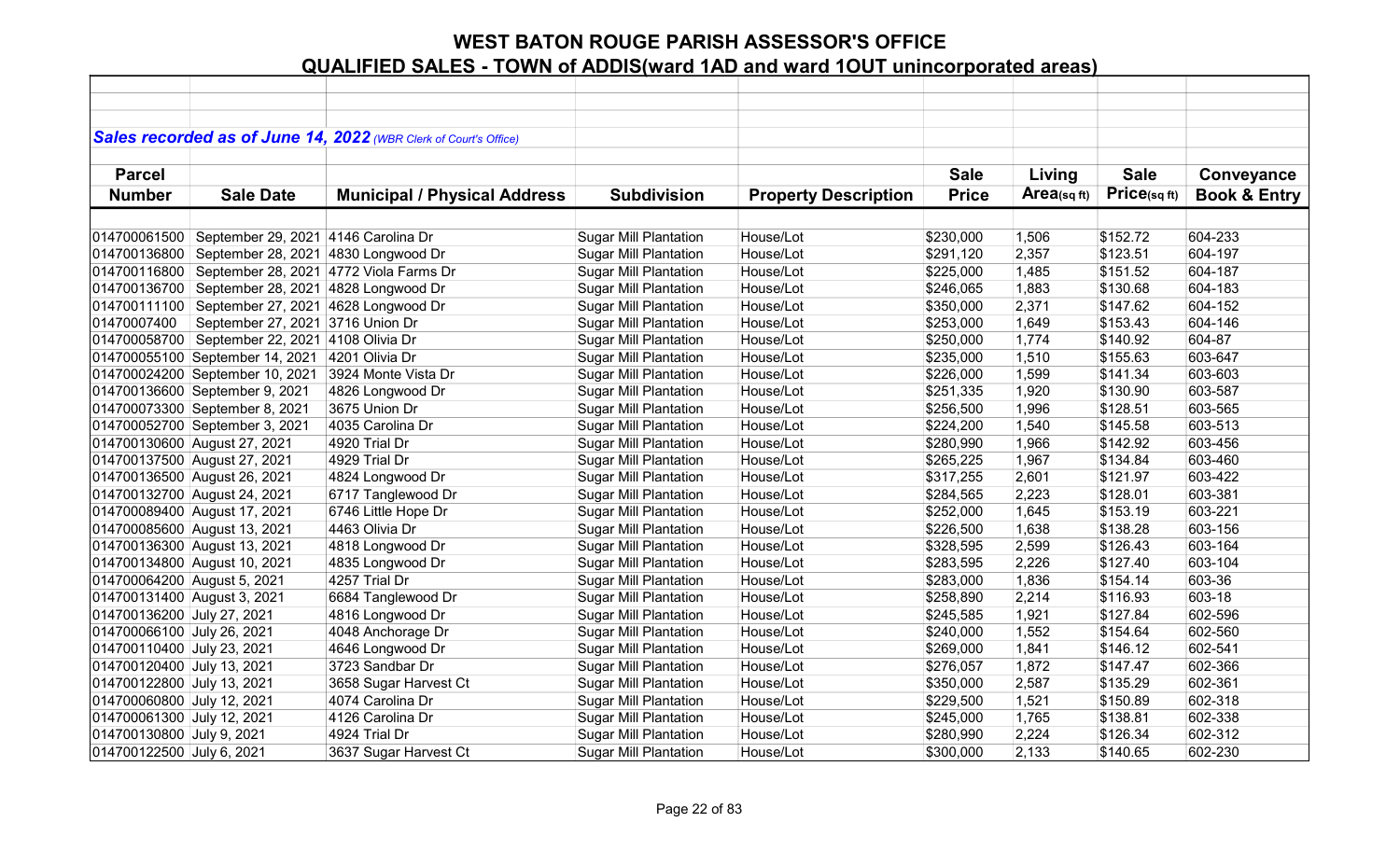|                             |                                                | Sales recorded as of June 14, 2022 (WBR Clerk of Court's Office) |                              |                             |              |            |              |                         |
|-----------------------------|------------------------------------------------|------------------------------------------------------------------|------------------------------|-----------------------------|--------------|------------|--------------|-------------------------|
|                             |                                                |                                                                  |                              |                             |              |            |              |                         |
| <b>Parcel</b>               |                                                |                                                                  |                              |                             | <b>Sale</b>  | Living     | <b>Sale</b>  | Conveyance              |
| <b>Number</b>               | <b>Sale Date</b>                               | <b>Municipal / Physical Address</b>                              | <b>Subdivision</b>           | <b>Property Description</b> | <b>Price</b> | Area(sqft) | Price(sq ft) | <b>Book &amp; Entry</b> |
|                             |                                                |                                                                  |                              |                             |              |            |              |                         |
| 014700061500                | September 29, 2021 4146 Carolina Dr            |                                                                  | <b>Sugar Mill Plantation</b> | House/Lot                   | \$230,000    | 1,506      | \$152.72     | 604-233                 |
| 014700136800                | September 28, 2021 4830 Longwood Dr            |                                                                  | <b>Sugar Mill Plantation</b> | House/Lot                   | \$291,120    | 2,357      | \$123.51     | 604-197                 |
| 014700116800                |                                                | September 28, 2021 4772 Viola Farms Dr                           | <b>Sugar Mill Plantation</b> | House/Lot                   | \$225,000    | 1,485      | \$151.52     | 604-187                 |
| 014700136700                | September 28, 2021 4828 Longwood Dr            |                                                                  | <b>Sugar Mill Plantation</b> | House/Lot                   | \$246,065    | 1,883      | \$130.68     | 604-183                 |
| 014700111100                | September 27, 2021 4628 Longwood Dr            |                                                                  | <b>Sugar Mill Plantation</b> | House/Lot                   | \$350,000    | 2,371      | \$147.62     | 604-152                 |
| 01470007400                 | September 27, 2021 3716 Union Dr               |                                                                  | <b>Sugar Mill Plantation</b> | House/Lot                   | \$253,000    | 1,649      | \$153.43     | 604-146                 |
|                             | 014700058700 September 22, 2021 4108 Olivia Dr |                                                                  | <b>Sugar Mill Plantation</b> | House/Lot                   | \$250,000    | 1,774      | \$140.92     | 604-87                  |
|                             | 014700055100 September 14, 2021                | 4201 Olivia Dr                                                   | <b>Sugar Mill Plantation</b> | House/Lot                   | \$235,000    | 1,510      | \$155.63     | 603-647                 |
|                             | 014700024200 September 10, 2021                | 3924 Monte Vista Dr                                              | <b>Sugar Mill Plantation</b> | House/Lot                   | \$226,000    | 1,599      | \$141.34     | 603-603                 |
|                             | 014700136600 September 9, 2021                 | 4826 Longwood Dr                                                 | <b>Sugar Mill Plantation</b> | House/Lot                   | \$251,335    | 1,920      | \$130.90     | 603-587                 |
|                             | 014700073300 September 8, 2021                 | 3675 Union Dr                                                    | <b>Sugar Mill Plantation</b> | House/Lot                   | \$256,500    | 1,996      | \$128.51     | 603-565                 |
|                             | 014700052700 September 3, 2021                 | 4035 Carolina Dr                                                 | <b>Sugar Mill Plantation</b> | House/Lot                   | \$224,200    | 1,540      | \$145.58     | 603-513                 |
|                             | 014700130600 August 27, 2021                   | 4920 Trial Dr                                                    | <b>Sugar Mill Plantation</b> | House/Lot                   | \$280,990    | 1,966      | \$142.92     | 603-456                 |
|                             | 014700137500 August 27, 2021                   | 4929 Trial Dr                                                    | <b>Sugar Mill Plantation</b> | House/Lot                   | \$265,225    | 1,967      | \$134.84     | 603-460                 |
|                             | 014700136500 August 26, 2021                   | 4824 Longwood Dr                                                 | <b>Sugar Mill Plantation</b> | House/Lot                   | \$317,255    | 2,601      | \$121.97     | 603-422                 |
|                             | 014700132700 August 24, 2021                   | 6717 Tanglewood Dr                                               | <b>Sugar Mill Plantation</b> | House/Lot                   | \$284,565    | 2,223      | \$128.01     | 603-381                 |
|                             | 014700089400 August 17, 2021                   | 6746 Little Hope Dr                                              | <b>Sugar Mill Plantation</b> | House/Lot                   | \$252,000    | 1,645      | \$153.19     | 603-221                 |
|                             | 014700085600 August 13, 2021                   | 4463 Olivia Dr                                                   | <b>Sugar Mill Plantation</b> | House/Lot                   | \$226,500    | 1,638      | \$138.28     | 603-156                 |
|                             | 014700136300 August 13, 2021                   | 4818 Longwood Dr                                                 | <b>Sugar Mill Plantation</b> | House/Lot                   | \$328,595    | 2,599      | \$126.43     | 603-164                 |
|                             | 014700134800 August 10, 2021                   | 4835 Longwood Dr                                                 | <b>Sugar Mill Plantation</b> | House/Lot                   | \$283,595    | 2,226      | \$127.40     | 603-104                 |
| 014700064200 August 5, 2021 |                                                | 4257 Trial Dr                                                    | <b>Sugar Mill Plantation</b> | House/Lot                   | \$283,000    | 1,836      | \$154.14     | 603-36                  |
| 014700131400 August 3, 2021 |                                                | 6684 Tanglewood Dr                                               | <b>Sugar Mill Plantation</b> | House/Lot                   | \$258,890    | 2,214      | \$116.93     | 603-18                  |
| 014700136200 July 27, 2021  |                                                | 4816 Longwood Dr                                                 | <b>Sugar Mill Plantation</b> | House/Lot                   | \$245,585    | 1,921      | \$127.84     | 602-596                 |
| 014700066100 July 26, 2021  |                                                | 4048 Anchorage Dr                                                | <b>Sugar Mill Plantation</b> | House/Lot                   | \$240,000    | 1,552      | \$154.64     | 602-560                 |
| 014700110400 July 23, 2021  |                                                | 4646 Longwood Dr                                                 | <b>Sugar Mill Plantation</b> | House/Lot                   | \$269,000    | 1,841      | \$146.12     | 602-541                 |
| 014700120400 July 13, 2021  |                                                | 3723 Sandbar Dr                                                  | <b>Sugar Mill Plantation</b> | House/Lot                   | \$276,057    | 1,872      | \$147.47     | 602-366                 |
| 014700122800 July 13, 2021  |                                                | 3658 Sugar Harvest Ct                                            | <b>Sugar Mill Plantation</b> | House/Lot                   | \$350,000    | 2,587      | \$135.29     | 602-361                 |
| 014700060800 July 12, 2021  |                                                | 4074 Carolina Dr                                                 | <b>Sugar Mill Plantation</b> | House/Lot                   | \$229,500    | 1,521      | \$150.89     | 602-318                 |
| 014700061300 July 12, 2021  |                                                | 4126 Carolina Dr                                                 | <b>Sugar Mill Plantation</b> | House/Lot                   | \$245,000    | 1,765      | \$138.81     | 602-338                 |
| 014700130800 July 9, 2021   |                                                | 4924 Trial Dr                                                    | <b>Sugar Mill Plantation</b> | House/Lot                   | \$280,990    | 2,224      | \$126.34     | 602-312                 |
| 014700122500 July 6, 2021   |                                                | 3637 Sugar Harvest Ct                                            | <b>Sugar Mill Plantation</b> | House/Lot                   | \$300,000    | 2,133      | \$140.65     | 602-230                 |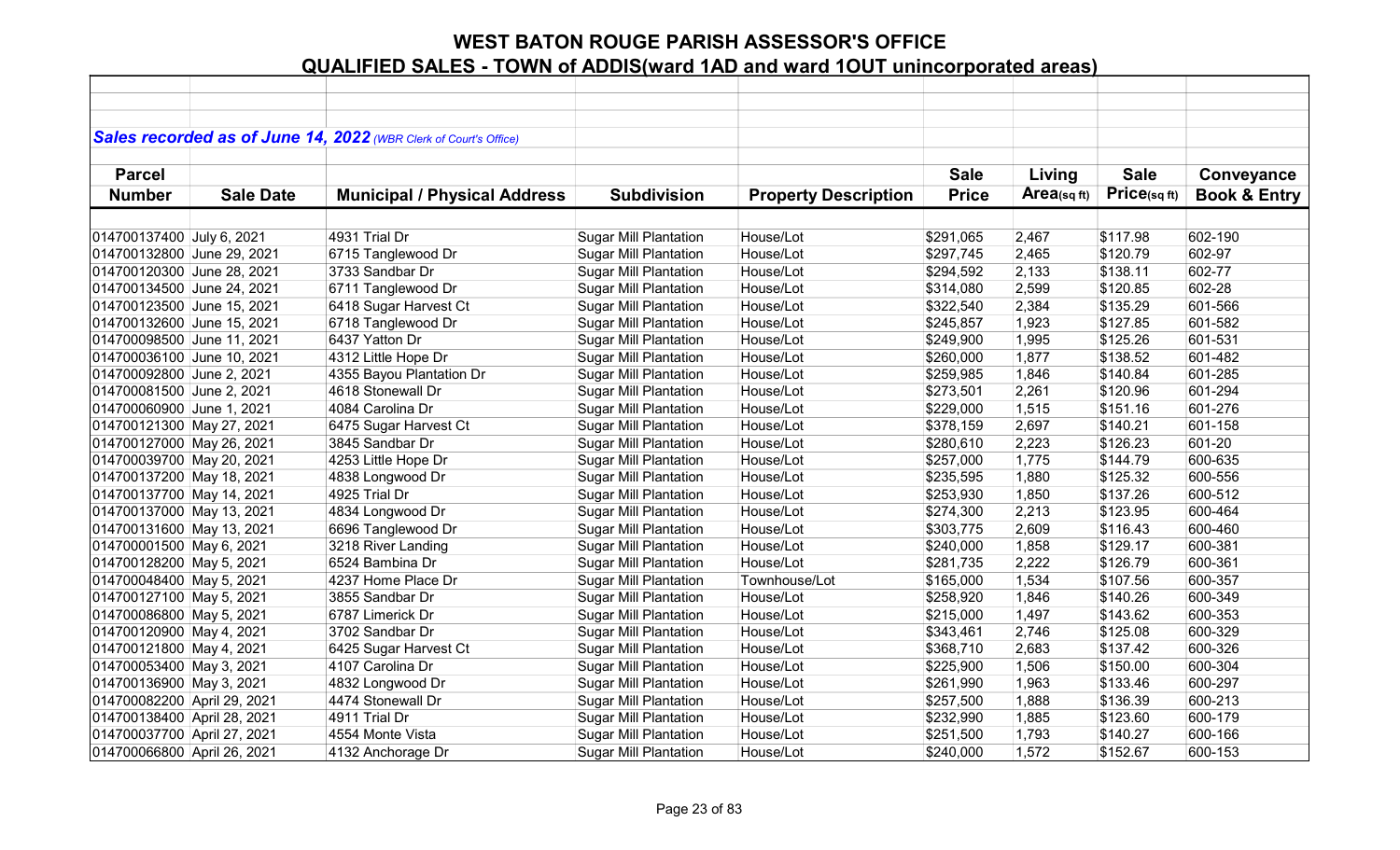|                             |                  | Sales recorded as of June 14, 2022 (WBR Clerk of Court's Office) |                              |                             |              |             |             |                         |
|-----------------------------|------------------|------------------------------------------------------------------|------------------------------|-----------------------------|--------------|-------------|-------------|-------------------------|
|                             |                  |                                                                  |                              |                             |              |             |             |                         |
| <b>Parcel</b>               |                  |                                                                  |                              |                             | <b>Sale</b>  | Living      | <b>Sale</b> | Conveyance              |
| <b>Number</b>               | <b>Sale Date</b> | <b>Municipal / Physical Address</b>                              | <b>Subdivision</b>           | <b>Property Description</b> | <b>Price</b> | Area(sq ft) | Price(sqft) | <b>Book &amp; Entry</b> |
|                             |                  |                                                                  |                              |                             |              |             |             |                         |
| 014700137400 July 6, 2021   |                  | 4931 Trial Dr                                                    | <b>Sugar Mill Plantation</b> | House/Lot                   | \$291,065    | 2,467       | \$117.98    | 602-190                 |
| 014700132800 June 29, 2021  |                  | 6715 Tanglewood Dr                                               | <b>Sugar Mill Plantation</b> | House/Lot                   | \$297,745    | 2,465       | \$120.79    | 602-97                  |
| 014700120300 June 28, 2021  |                  | 3733 Sandbar Dr                                                  | <b>Sugar Mill Plantation</b> | House/Lot                   | \$294,592    | 2,133       | \$138.11    | 602-77                  |
| 014700134500 June 24, 2021  |                  | 6711 Tanglewood Dr                                               | <b>Sugar Mill Plantation</b> | House/Lot                   | \$314,080    | 2,599       | \$120.85    | 602-28                  |
| 014700123500 June 15, 2021  |                  | 6418 Sugar Harvest Ct                                            | <b>Sugar Mill Plantation</b> | House/Lot                   | \$322,540    | 2,384       | \$135.29    | 601-566                 |
| 014700132600 June 15, 2021  |                  | 6718 Tanglewood Dr                                               | <b>Sugar Mill Plantation</b> | House/Lot                   | \$245,857    | 1,923       | \$127.85    | 601-582                 |
| 014700098500 June 11, 2021  |                  | 6437 Yatton Dr                                                   | Sugar Mill Plantation        | House/Lot                   | \$249,900    | 1,995       | \$125.26    | 601-531                 |
| 014700036100 June 10, 2021  |                  | 4312 Little Hope Dr                                              | <b>Sugar Mill Plantation</b> | House/Lot                   | \$260,000    | 1,877       | \$138.52    | 601-482                 |
| 014700092800 June 2, 2021   |                  | 4355 Bayou Plantation Dr                                         | <b>Sugar Mill Plantation</b> | House/Lot                   | \$259,985    | 1,846       | \$140.84    | 601-285                 |
| 014700081500 June 2, 2021   |                  | 4618 Stonewall Dr                                                | <b>Sugar Mill Plantation</b> | House/Lot                   | \$273,501    | 2,261       | \$120.96    | 601-294                 |
| 014700060900 June 1, 2021   |                  | 4084 Carolina Dr                                                 | <b>Sugar Mill Plantation</b> | House/Lot                   | \$229,000    | 1,515       | \$151.16    | 601-276                 |
| 014700121300 May 27, 2021   |                  | 6475 Sugar Harvest Ct                                            | <b>Sugar Mill Plantation</b> | House/Lot                   | \$378,159    | 2,697       | \$140.21    | 601-158                 |
| 014700127000 May 26, 2021   |                  | 3845 Sandbar Dr                                                  | <b>Sugar Mill Plantation</b> | House/Lot                   | \$280,610    | 2,223       | \$126.23    | 601-20                  |
| 014700039700 May 20, 2021   |                  | 4253 Little Hope Dr                                              | <b>Sugar Mill Plantation</b> | House/Lot                   | \$257,000    | 1,775       | \$144.79    | 600-635                 |
| 014700137200 May 18, 2021   |                  | 4838 Longwood Dr                                                 | <b>Sugar Mill Plantation</b> | House/Lot                   | \$235,595    | 1,880       | \$125.32    | 600-556                 |
| 014700137700 May 14, 2021   |                  | 4925 Trial Dr                                                    | <b>Sugar Mill Plantation</b> | House/Lot                   | \$253,930    | 1,850       | \$137.26    | 600-512                 |
| 014700137000 May 13, 2021   |                  | 4834 Longwood Dr                                                 | Sugar Mill Plantation        | House/Lot                   | \$274,300    | 2,213       | \$123.95    | 600-464                 |
| 014700131600 May 13, 2021   |                  | 6696 Tanglewood Dr                                               | <b>Sugar Mill Plantation</b> | House/Lot                   | \$303,775    | 2,609       | \$116.43    | 600-460                 |
| 014700001500 May 6, 2021    |                  | 3218 River Landing                                               | <b>Sugar Mill Plantation</b> | House/Lot                   | \$240,000    | 1,858       | \$129.17    | 600-381                 |
| 014700128200 May 5, 2021    |                  | 6524 Bambina Dr                                                  | <b>Sugar Mill Plantation</b> | House/Lot                   | \$281,735    | 2,222       | \$126.79    | 600-361                 |
| 014700048400 May 5, 2021    |                  | 4237 Home Place Dr                                               | <b>Sugar Mill Plantation</b> | Townhouse/Lot               | \$165,000    | 1,534       | \$107.56    | 600-357                 |
| 014700127100 May 5, 2021    |                  | 3855 Sandbar Dr                                                  | <b>Sugar Mill Plantation</b> | House/Lot                   | \$258,920    | 1,846       | \$140.26    | 600-349                 |
| 014700086800 May 5, 2021    |                  | 6787 Limerick Dr                                                 | <b>Sugar Mill Plantation</b> | House/Lot                   | \$215,000    | 1,497       | \$143.62    | 600-353                 |
| 014700120900 May 4, 2021    |                  | 3702 Sandbar Dr                                                  | <b>Sugar Mill Plantation</b> | House/Lot                   | \$343,461    | 2,746       | \$125.08    | 600-329                 |
| 014700121800 May 4, 2021    |                  | 6425 Sugar Harvest Ct                                            | <b>Sugar Mill Plantation</b> | House/Lot                   | \$368,710    | 2,683       | \$137.42    | 600-326                 |
| 014700053400 May 3, 2021    |                  | 4107 Carolina Dr                                                 | <b>Sugar Mill Plantation</b> | House/Lot                   | \$225,900    | 1,506       | \$150.00    | 600-304                 |
| 014700136900 May 3, 2021    |                  | 4832 Longwood Dr                                                 | <b>Sugar Mill Plantation</b> | House/Lot                   | \$261,990    | 1,963       | \$133.46    | 600-297                 |
| 014700082200 April 29, 2021 |                  | 4474 Stonewall Dr                                                | <b>Sugar Mill Plantation</b> | House/Lot                   | \$257,500    | 1,888       | \$136.39    | 600-213                 |
| 014700138400 April 28, 2021 |                  | 4911 Trial Dr                                                    | <b>Sugar Mill Plantation</b> | House/Lot                   | \$232,990    | 1,885       | \$123.60    | 600-179                 |
| 014700037700 April 27, 2021 |                  | 4554 Monte Vista                                                 | <b>Sugar Mill Plantation</b> | House/Lot                   | \$251,500    | 1,793       | \$140.27    | 600-166                 |
| 014700066800 April 26, 2021 |                  | 4132 Anchorage Dr                                                | <b>Sugar Mill Plantation</b> | House/Lot                   | \$240,000    | 1,572       | \$152.67    | 600-153                 |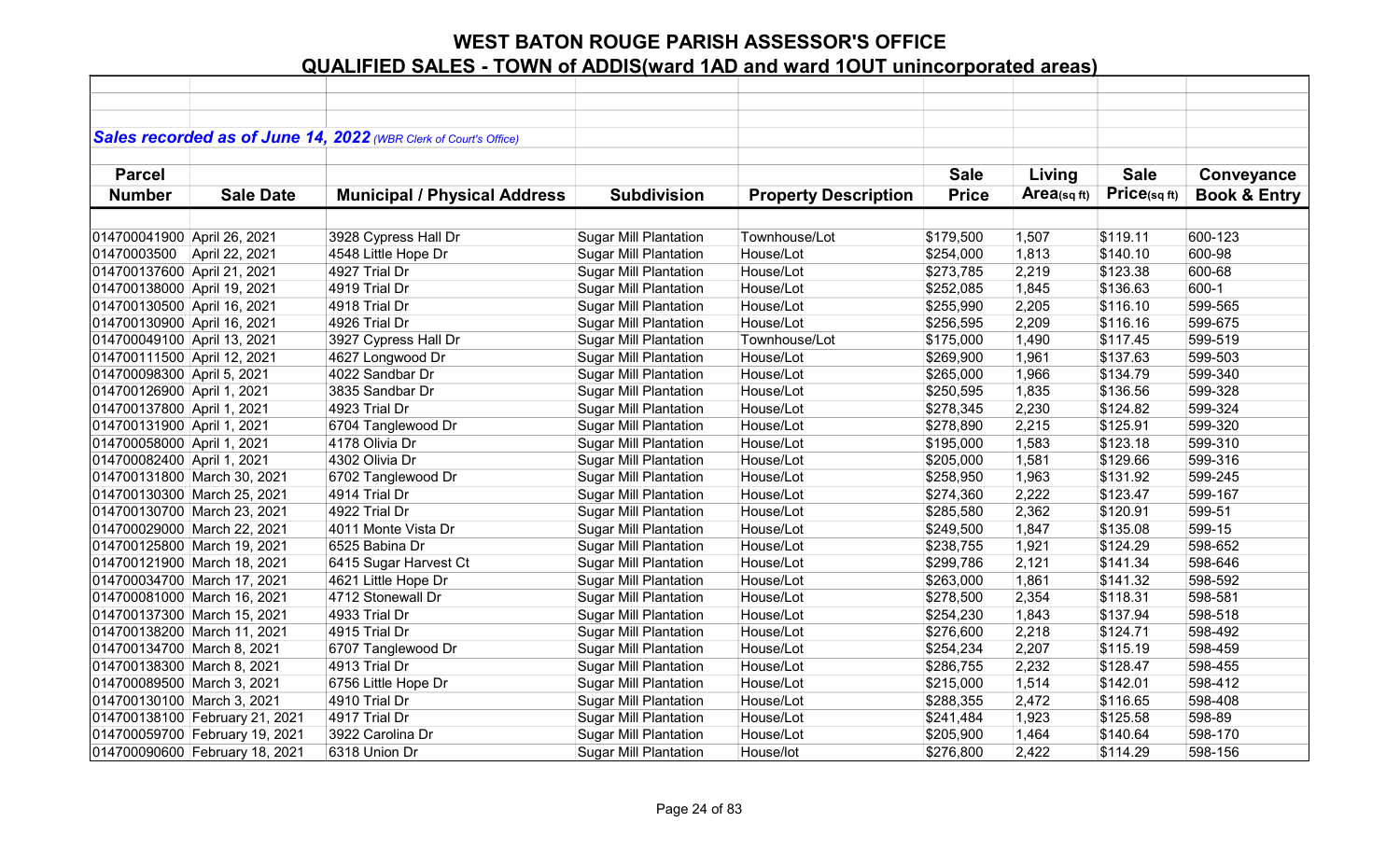|                             |                                | Sales recorded as of June 14, 2022 (WBR Clerk of Court's Office) |                              |                             |              |            |              |                         |
|-----------------------------|--------------------------------|------------------------------------------------------------------|------------------------------|-----------------------------|--------------|------------|--------------|-------------------------|
|                             |                                |                                                                  |                              |                             |              |            |              |                         |
| <b>Parcel</b>               |                                |                                                                  |                              |                             | <b>Sale</b>  | Living     | <b>Sale</b>  | Conveyance              |
| <b>Number</b>               | <b>Sale Date</b>               | <b>Municipal / Physical Address</b>                              | <b>Subdivision</b>           | <b>Property Description</b> | <b>Price</b> | Area(sqft) | Price(sq ft) | <b>Book &amp; Entry</b> |
|                             |                                |                                                                  |                              |                             |              |            |              |                         |
| 014700041900 April 26, 2021 |                                | 3928 Cypress Hall Dr                                             | <b>Sugar Mill Plantation</b> | Townhouse/Lot               | \$179,500    | 1,507      | \$119.11     | 600-123                 |
| 01470003500 April 22, 2021  |                                | 4548 Little Hope Dr                                              | <b>Sugar Mill Plantation</b> | House/Lot                   | \$254,000    | 1,813      | \$140.10     | 600-98                  |
| 014700137600 April 21, 2021 |                                | 4927 Trial Dr                                                    | <b>Sugar Mill Plantation</b> | House/Lot                   | \$273,785    | 2,219      | \$123.38     | 600-68                  |
| 014700138000 April 19, 2021 |                                | 4919 Trial Dr                                                    | <b>Sugar Mill Plantation</b> | House/Lot                   | \$252,085    | 1,845      | \$136.63     | 600-1                   |
| 014700130500 April 16, 2021 |                                | 4918 Trial Dr                                                    | <b>Sugar Mill Plantation</b> | House/Lot                   | \$255,990    | 2,205      | \$116.10     | 599-565                 |
| 014700130900 April 16, 2021 |                                | 4926 Trial Dr                                                    | <b>Sugar Mill Plantation</b> | House/Lot                   | \$256,595    | 2,209      | \$116.16     | 599-675                 |
| 014700049100 April 13, 2021 |                                | 3927 Cypress Hall Dr                                             | <b>Sugar Mill Plantation</b> | Townhouse/Lot               | \$175,000    | 1,490      | \$117.45     | 599-519                 |
| 014700111500 April 12, 2021 |                                | 4627 Longwood Dr                                                 | <b>Sugar Mill Plantation</b> | House/Lot                   | \$269,900    | 1,961      | \$137.63     | 599-503                 |
| 014700098300 April 5, 2021  |                                | 4022 Sandbar Dr                                                  | <b>Sugar Mill Plantation</b> | House/Lot                   | \$265,000    | 1,966      | \$134.79     | 599-340                 |
| 014700126900 April 1, 2021  |                                | 3835 Sandbar Dr                                                  | <b>Sugar Mill Plantation</b> | House/Lot                   | \$250,595    | 1,835      | \$136.56     | 599-328                 |
| 014700137800 April 1, 2021  |                                | 4923 Trial Dr                                                    | <b>Sugar Mill Plantation</b> | House/Lot                   | \$278,345    | 2,230      | \$124.82     | 599-324                 |
| 014700131900 April 1, 2021  |                                | 6704 Tanglewood Dr                                               | <b>Sugar Mill Plantation</b> | House/Lot                   | \$278,890    | 2,215      | \$125.91     | 599-320                 |
| 014700058000 April 1, 2021  |                                | 4178 Olivia Dr                                                   | <b>Sugar Mill Plantation</b> | House/Lot                   | \$195,000    | 1,583      | \$123.18     | 599-310                 |
| 014700082400 April 1, 2021  |                                | 4302 Olivia Dr                                                   | <b>Sugar Mill Plantation</b> | House/Lot                   | \$205,000    | 1,581      | \$129.66     | 599-316                 |
|                             | 014700131800 March 30, 2021    | 6702 Tanglewood Dr                                               | <b>Sugar Mill Plantation</b> | House/Lot                   | \$258,950    | 1,963      | \$131.92     | 599-245                 |
|                             | 014700130300 March 25, 2021    | 4914 Trial Dr                                                    | <b>Sugar Mill Plantation</b> | House/Lot                   | \$274,360    | 2,222      | \$123.47     | 599-167                 |
|                             | 014700130700 March 23, 2021    | 4922 Trial Dr                                                    | <b>Sugar Mill Plantation</b> | House/Lot                   | \$285,580    | 2,362      | \$120.91     | 599-51                  |
|                             | 014700029000 March 22, 2021    | 4011 Monte Vista Dr                                              | <b>Sugar Mill Plantation</b> | House/Lot                   | \$249,500    | 1,847      | \$135.08     | 599-15                  |
|                             | 014700125800 March 19, 2021    | 6525 Babina Dr                                                   | <b>Sugar Mill Plantation</b> | House/Lot                   | \$238,755    | 1,921      | \$124.29     | 598-652                 |
|                             | 014700121900 March 18, 2021    | 6415 Sugar Harvest Ct                                            | <b>Sugar Mill Plantation</b> | House/Lot                   | \$299,786    | 2,121      | \$141.34     | 598-646                 |
|                             | 014700034700 March 17, 2021    | 4621 Little Hope Dr                                              | <b>Sugar Mill Plantation</b> | House/Lot                   | \$263,000    | 1,861      | \$141.32     | 598-592                 |
|                             | 014700081000 March 16, 2021    | 4712 Stonewall Dr                                                | <b>Sugar Mill Plantation</b> | House/Lot                   | \$278,500    | 2,354      | \$118.31     | 598-581                 |
|                             | 014700137300 March 15, 2021    | 4933 Trial Dr                                                    | <b>Sugar Mill Plantation</b> | House/Lot                   | \$254,230    | 1,843      | \$137.94     | 598-518                 |
|                             | 014700138200 March 11, 2021    | 4915 Trial Dr                                                    | <b>Sugar Mill Plantation</b> | House/Lot                   | \$276,600    | 2,218      | \$124.71     | 598-492                 |
| 014700134700 March 8, 2021  |                                | 6707 Tanglewood Dr                                               | <b>Sugar Mill Plantation</b> | House/Lot                   | \$254,234    | 2,207      | \$115.19     | 598-459                 |
| 014700138300 March 8, 2021  |                                | 4913 Trial Dr                                                    | <b>Sugar Mill Plantation</b> | House/Lot                   | \$286,755    | 2,232      | \$128.47     | 598-455                 |
| 014700089500 March 3, 2021  |                                | 6756 Little Hope Dr                                              | <b>Sugar Mill Plantation</b> | House/Lot                   | \$215,000    | 1,514      | \$142.01     | 598-412                 |
| 014700130100 March 3, 2021  |                                | 4910 Trial Dr                                                    | <b>Sugar Mill Plantation</b> | House/Lot                   | \$288,355    | 2,472      | \$116.65     | 598-408                 |
|                             | 014700138100 February 21, 2021 | 4917 Trial Dr                                                    | <b>Sugar Mill Plantation</b> | House/Lot                   | \$241,484    | 1,923      | \$125.58     | 598-89                  |
|                             | 014700059700 February 19, 2021 | 3922 Carolina Dr                                                 | <b>Sugar Mill Plantation</b> | House/Lot                   | \$205,900    | 1,464      | \$140.64     | 598-170                 |
|                             | 014700090600 February 18, 2021 | 6318 Union Dr                                                    | <b>Sugar Mill Plantation</b> | House/lot                   | \$276,800    | 2,422      | \$114.29     | 598-156                 |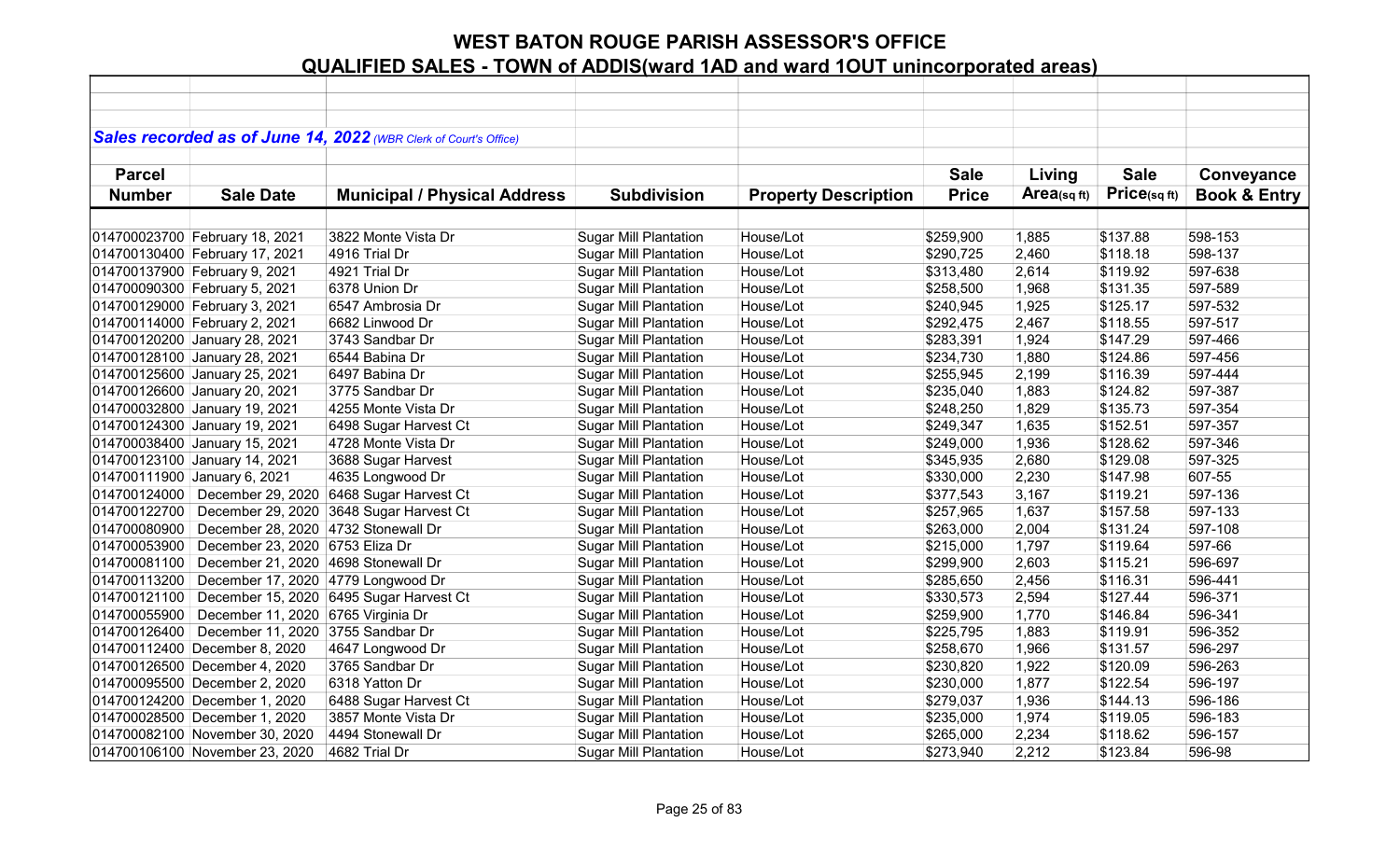|               |                                     | Sales recorded as of June 14, 2022 (WBR Clerk of Court's Office) |                              |                             |              |            |             |                         |
|---------------|-------------------------------------|------------------------------------------------------------------|------------------------------|-----------------------------|--------------|------------|-------------|-------------------------|
|               |                                     |                                                                  |                              |                             |              |            |             |                         |
| <b>Parcel</b> |                                     |                                                                  |                              |                             | <b>Sale</b>  | Living     | <b>Sale</b> | Conveyance              |
| <b>Number</b> | <b>Sale Date</b>                    | <b>Municipal / Physical Address</b>                              | <b>Subdivision</b>           | <b>Property Description</b> | <b>Price</b> | Area(sqft) | Price(sqft) | <b>Book &amp; Entry</b> |
|               |                                     |                                                                  |                              |                             |              |            |             |                         |
|               | 014700023700 February 18, 2021      | 3822 Monte Vista Dr                                              | <b>Sugar Mill Plantation</b> | House/Lot                   | \$259,900    | 1,885      | \$137.88    | 598-153                 |
|               | 014700130400 February 17, 2021      | 4916 Trial Dr                                                    | <b>Sugar Mill Plantation</b> | House/Lot                   | \$290,725    | 2,460      | \$118.18    | 598-137                 |
|               | 014700137900 February 9, 2021       | 4921 Trial Dr                                                    | <b>Sugar Mill Plantation</b> | House/Lot                   | \$313,480    | 2,614      | \$119.92    | 597-638                 |
|               | 014700090300 February 5, 2021       | 6378 Union Dr                                                    | <b>Sugar Mill Plantation</b> | House/Lot                   | \$258,500    | 1,968      | \$131.35    | 597-589                 |
|               | 014700129000 February 3, 2021       | 6547 Ambrosia Dr                                                 | <b>Sugar Mill Plantation</b> | House/Lot                   | \$240,945    | 1,925      | \$125.17    | 597-532                 |
|               | 014700114000 February 2, 2021       | 6682 Linwood Dr                                                  | <b>Sugar Mill Plantation</b> | House/Lot                   | \$292,475    | 2,467      | \$118.55    | 597-517                 |
|               | 014700120200 January 28, 2021       | 3743 Sandbar Dr                                                  | <b>Sugar Mill Plantation</b> | House/Lot                   | \$283,391    | 1,924      | \$147.29    | 597-466                 |
|               | 014700128100 January 28, 2021       | 6544 Babina Dr                                                   | <b>Sugar Mill Plantation</b> | House/Lot                   | \$234,730    | 1,880      | \$124.86    | 597-456                 |
|               | 014700125600 January 25, 2021       | 6497 Babina Dr                                                   | <b>Sugar Mill Plantation</b> | House/Lot                   | \$255,945    | 2,199      | \$116.39    | 597-444                 |
|               | 014700126600 January 20, 2021       | 3775 Sandbar Dr                                                  | <b>Sugar Mill Plantation</b> | House/Lot                   | \$235,040    | 1,883      | \$124.82    | 597-387                 |
|               | 014700032800 January 19, 2021       | 4255 Monte Vista Dr                                              | <b>Sugar Mill Plantation</b> | House/Lot                   | \$248,250    | 1,829      | \$135.73    | 597-354                 |
|               | 014700124300 January 19, 2021       | 6498 Sugar Harvest Ct                                            | <b>Sugar Mill Plantation</b> | House/Lot                   | \$249,347    | 1,635      | \$152.51    | 597-357                 |
|               | 014700038400 January 15, 2021       | 4728 Monte Vista Dr                                              | <b>Sugar Mill Plantation</b> | House/Lot                   | \$249,000    | 1,936      | \$128.62    | 597-346                 |
|               | 014700123100 January 14, 2021       | 3688 Sugar Harvest                                               | <b>Sugar Mill Plantation</b> | House/Lot                   | \$345,935    | 2,680      | \$129.08    | 597-325                 |
|               | 014700111900 January 6, 2021        | 4635 Longwood Dr                                                 | <b>Sugar Mill Plantation</b> | House/Lot                   | \$330,000    | 2,230      | \$147.98    | 607-55                  |
| 014700124000  | December 29, 2020                   | 6468 Sugar Harvest Ct                                            | <b>Sugar Mill Plantation</b> | House/Lot                   | \$377,543    | 3,167      | \$119.21    | 597-136                 |
| 014700122700  | December 29, 2020                   | 3648 Sugar Harvest Ct                                            | <b>Sugar Mill Plantation</b> | House/Lot                   | \$257,965    | 1,637      | \$157.58    | 597-133                 |
| 014700080900  | December 28, 2020 4732 Stonewall Dr |                                                                  | <b>Sugar Mill Plantation</b> | House/Lot                   | \$263,000    | 2,004      | \$131.24    | 597-108                 |
| 014700053900  | December 23, 2020 6753 Eliza Dr     |                                                                  | <b>Sugar Mill Plantation</b> | House/Lot                   | \$215,000    | 1,797      | \$119.64    | 597-66                  |
| 014700081100  | December 21, 2020                   | 4698 Stonewall Dr                                                | <b>Sugar Mill Plantation</b> | House/Lot                   | \$299,900    | 2,603      | \$115.21    | 596-697                 |
| 014700113200  | December 17, 2020 4779 Longwood Dr  |                                                                  | <b>Sugar Mill Plantation</b> | House/Lot                   | \$285,650    | 2,456      | \$116.31    | 596-441                 |
| 014700121100  |                                     | December 15, 2020 6495 Sugar Harvest Ct                          | <b>Sugar Mill Plantation</b> | House/Lot                   | \$330,573    | 2,594      | \$127.44    | 596-371                 |
| 014700055900  | December 11, 2020 6765 Virginia Dr  |                                                                  | <b>Sugar Mill Plantation</b> | House/Lot                   | \$259,900    | 1,770      | \$146.84    | 596-341                 |
| 014700126400  | December 11, 2020                   | 3755 Sandbar Dr                                                  | <b>Sugar Mill Plantation</b> | House/Lot                   | \$225,795    | 1,883      | \$119.91    | 596-352                 |
|               | 014700112400 December 8, 2020       | 4647 Longwood Dr                                                 | <b>Sugar Mill Plantation</b> | House/Lot                   | \$258,670    | 1,966      | \$131.57    | 596-297                 |
|               | 014700126500 December 4, 2020       | 3765 Sandbar Dr                                                  | <b>Sugar Mill Plantation</b> | House/Lot                   | \$230,820    | 1,922      | \$120.09    | 596-263                 |
|               | 014700095500 December 2, 2020       | 6318 Yatton Dr                                                   | <b>Sugar Mill Plantation</b> | House/Lot                   | \$230,000    | 1,877      | \$122.54    | 596-197                 |
|               | 014700124200 December 1, 2020       | 6488 Sugar Harvest Ct                                            | <b>Sugar Mill Plantation</b> | House/Lot                   | \$279,037    | 1,936      | \$144.13    | 596-186                 |
|               | 014700028500 December 1, 2020       | 3857 Monte Vista Dr                                              | <b>Sugar Mill Plantation</b> | House/Lot                   | \$235,000    | 1,974      | \$119.05    | 596-183                 |
|               | 014700082100 November 30, 2020      | 4494 Stonewall Dr                                                | <b>Sugar Mill Plantation</b> | House/Lot                   | \$265,000    | 2,234      | \$118.62    | 596-157                 |
|               | 014700106100 November 23, 2020      | 4682 Trial Dr                                                    | <b>Sugar Mill Plantation</b> | House/Lot                   | \$273,940    | 2,212      | \$123.84    | 596-98                  |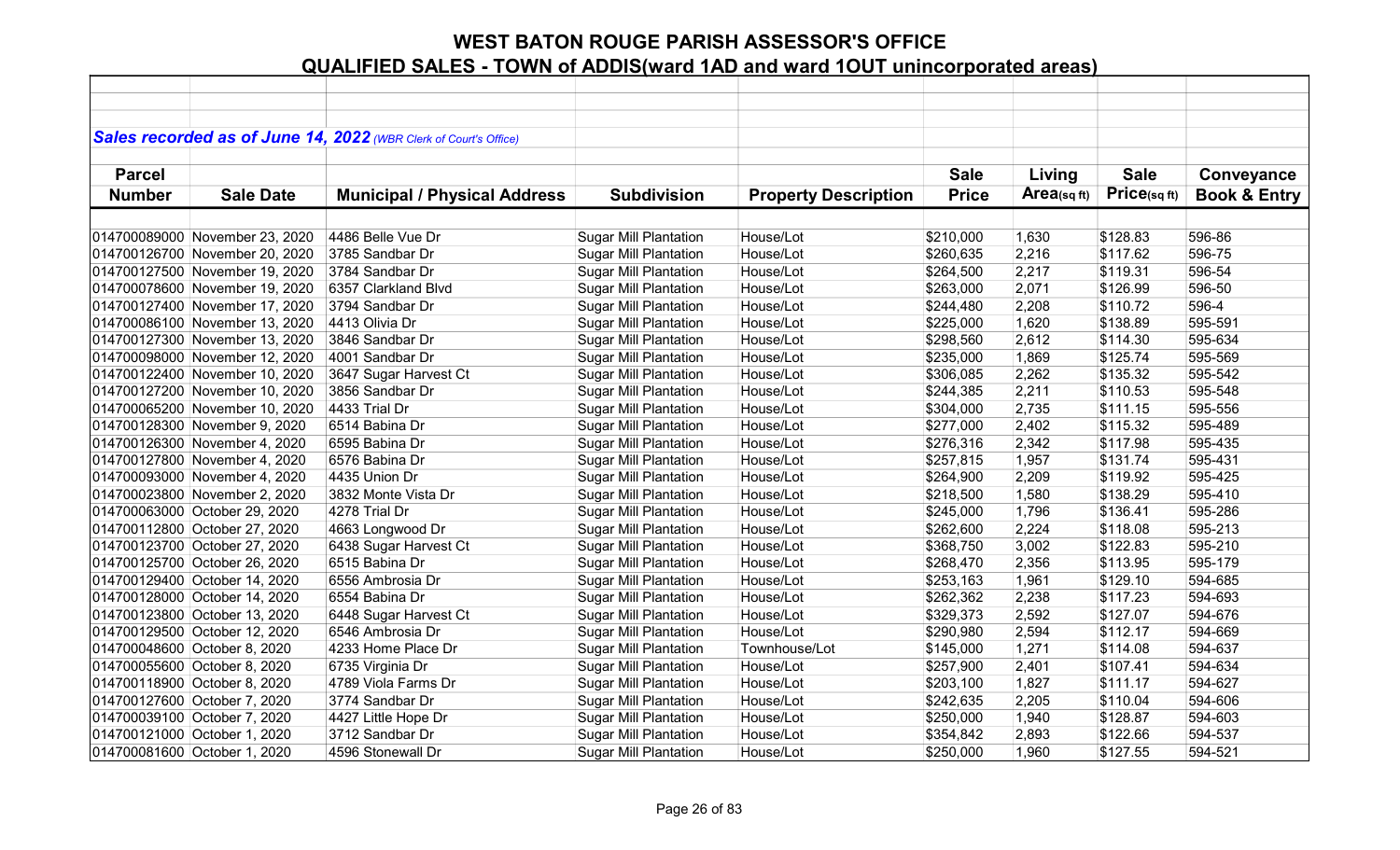|               |                                | Sales recorded as of June 14, 2022 (WBR Clerk of Court's Office) |                              |                             |              |            |             |                         |
|---------------|--------------------------------|------------------------------------------------------------------|------------------------------|-----------------------------|--------------|------------|-------------|-------------------------|
|               |                                |                                                                  |                              |                             |              |            |             |                         |
| <b>Parcel</b> |                                |                                                                  |                              |                             | <b>Sale</b>  | Living     | <b>Sale</b> | Conveyance              |
| <b>Number</b> | <b>Sale Date</b>               | <b>Municipal / Physical Address</b>                              | <b>Subdivision</b>           | <b>Property Description</b> | <b>Price</b> | Area(sqft) | Price(sqft) | <b>Book &amp; Entry</b> |
|               |                                |                                                                  |                              |                             |              |            |             |                         |
|               | 014700089000 November 23, 2020 | 4486 Belle Vue Dr                                                | <b>Sugar Mill Plantation</b> | House/Lot                   | \$210,000    | 1,630      | \$128.83    | 596-86                  |
|               | 014700126700 November 20, 2020 | 3785 Sandbar Dr                                                  | <b>Sugar Mill Plantation</b> | House/Lot                   | \$260,635    | 2,216      | \$117.62    | 596-75                  |
|               | 014700127500 November 19, 2020 | 3784 Sandbar Dr                                                  | <b>Sugar Mill Plantation</b> | House/Lot                   | \$264,500    | 2,217      | \$119.31    | 596-54                  |
|               | 014700078600 November 19, 2020 | 6357 Clarkland Blvd                                              | <b>Sugar Mill Plantation</b> | House/Lot                   | \$263,000    | 2,071      | \$126.99    | 596-50                  |
|               | 014700127400 November 17, 2020 | 3794 Sandbar Dr                                                  | <b>Sugar Mill Plantation</b> | House/Lot                   | \$244,480    | 2,208      | \$110.72    | 596-4                   |
|               | 014700086100 November 13, 2020 | 4413 Olivia Dr                                                   | <b>Sugar Mill Plantation</b> | House/Lot                   | \$225,000    | 1,620      | \$138.89    | 595-591                 |
|               | 014700127300 November 13, 2020 | 3846 Sandbar Dr                                                  | <b>Sugar Mill Plantation</b> | House/Lot                   | \$298,560    | 2,612      | \$114.30    | 595-634                 |
|               | 014700098000 November 12, 2020 | 4001 Sandbar Dr                                                  | <b>Sugar Mill Plantation</b> | House/Lot                   | \$235,000    | 1,869      | \$125.74    | 595-569                 |
|               | 014700122400 November 10, 2020 | 3647 Sugar Harvest Ct                                            | <b>Sugar Mill Plantation</b> | House/Lot                   | \$306,085    | 2,262      | \$135.32    | 595-542                 |
|               | 014700127200 November 10, 2020 | 3856 Sandbar Dr                                                  | <b>Sugar Mill Plantation</b> | House/Lot                   | \$244,385    | 2,211      | \$110.53    | 595-548                 |
|               | 014700065200 November 10, 2020 | 4433 Trial Dr                                                    | <b>Sugar Mill Plantation</b> | House/Lot                   | \$304,000    | 2,735      | \$111.15    | 595-556                 |
|               | 014700128300 November 9, 2020  | 6514 Babina Dr                                                   | <b>Sugar Mill Plantation</b> | House/Lot                   | \$277,000    | 2,402      | \$115.32    | 595-489                 |
|               | 014700126300 November 4, 2020  | 6595 Babina Dr                                                   | <b>Sugar Mill Plantation</b> | House/Lot                   | \$276,316    | 2,342      | \$117.98    | 595-435                 |
|               | 014700127800 November 4, 2020  | 6576 Babina Dr                                                   | <b>Sugar Mill Plantation</b> | House/Lot                   | \$257,815    | 1,957      | \$131.74    | 595-431                 |
|               | 014700093000 November 4, 2020  | 4435 Union Dr                                                    | <b>Sugar Mill Plantation</b> | House/Lot                   | \$264,900    | 2,209      | \$119.92    | 595-425                 |
|               | 014700023800 November 2, 2020  | 3832 Monte Vista Dr                                              | <b>Sugar Mill Plantation</b> | House/Lot                   | \$218,500    | 1,580      | \$138.29    | 595-410                 |
|               | 014700063000 October 29, 2020  | 4278 Trial Dr                                                    | <b>Sugar Mill Plantation</b> | House/Lot                   | \$245,000    | 1,796      | \$136.41    | 595-286                 |
|               | 014700112800 October 27, 2020  | 4663 Longwood Dr                                                 | <b>Sugar Mill Plantation</b> | House/Lot                   | \$262,600    | 2,224      | \$118.08    | 595-213                 |
|               | 014700123700 October 27, 2020  | 6438 Sugar Harvest Ct                                            | <b>Sugar Mill Plantation</b> | House/Lot                   | \$368,750    | 3,002      | \$122.83    | 595-210                 |
|               | 014700125700 October 26, 2020  | 6515 Babina Dr                                                   | <b>Sugar Mill Plantation</b> | House/Lot                   | \$268,470    | 2,356      | \$113.95    | 595-179                 |
|               | 014700129400 October 14, 2020  | 6556 Ambrosia Dr                                                 | <b>Sugar Mill Plantation</b> | House/Lot                   | \$253,163    | 1,961      | \$129.10    | 594-685                 |
|               | 014700128000 October 14, 2020  | 6554 Babina Dr                                                   | <b>Sugar Mill Plantation</b> | House/Lot                   | \$262,362    | 2,238      | \$117.23    | 594-693                 |
|               | 014700123800 October 13, 2020  | 6448 Sugar Harvest Ct                                            | <b>Sugar Mill Plantation</b> | House/Lot                   | \$329,373    | 2,592      | \$127.07    | 594-676                 |
|               | 014700129500 October 12, 2020  | 6546 Ambrosia Dr                                                 | <b>Sugar Mill Plantation</b> | House/Lot                   | \$290,980    | 2,594      | \$112.17    | 594-669                 |
|               | 014700048600 October 8, 2020   | 4233 Home Place Dr                                               | <b>Sugar Mill Plantation</b> | Townhouse/Lot               | \$145,000    | 1,271      | \$114.08    | 594-637                 |
|               | 014700055600 October 8, 2020   | 6735 Virginia Dr                                                 | <b>Sugar Mill Plantation</b> | House/Lot                   | \$257,900    | 2,401      | \$107.41    | 594-634                 |
|               | 014700118900 October 8, 2020   | 4789 Viola Farms Dr                                              | <b>Sugar Mill Plantation</b> | House/Lot                   | \$203,100    | 1,827      | \$111.17    | 594-627                 |
|               | 014700127600 October 7, 2020   | 3774 Sandbar Dr                                                  | <b>Sugar Mill Plantation</b> | House/Lot                   | \$242,635    | 2,205      | \$110.04    | 594-606                 |
|               | 014700039100 October 7, 2020   | 4427 Little Hope Dr                                              | <b>Sugar Mill Plantation</b> | House/Lot                   | \$250,000    | 1,940      | \$128.87    | 594-603                 |
|               | 014700121000 October 1, 2020   | 3712 Sandbar Dr                                                  | <b>Sugar Mill Plantation</b> | House/Lot                   | \$354,842    | 2,893      | \$122.66    | 594-537                 |
|               | 014700081600 October 1, 2020   | 4596 Stonewall Dr                                                | <b>Sugar Mill Plantation</b> | House/Lot                   | \$250,000    | 1,960      | \$127.55    | 594-521                 |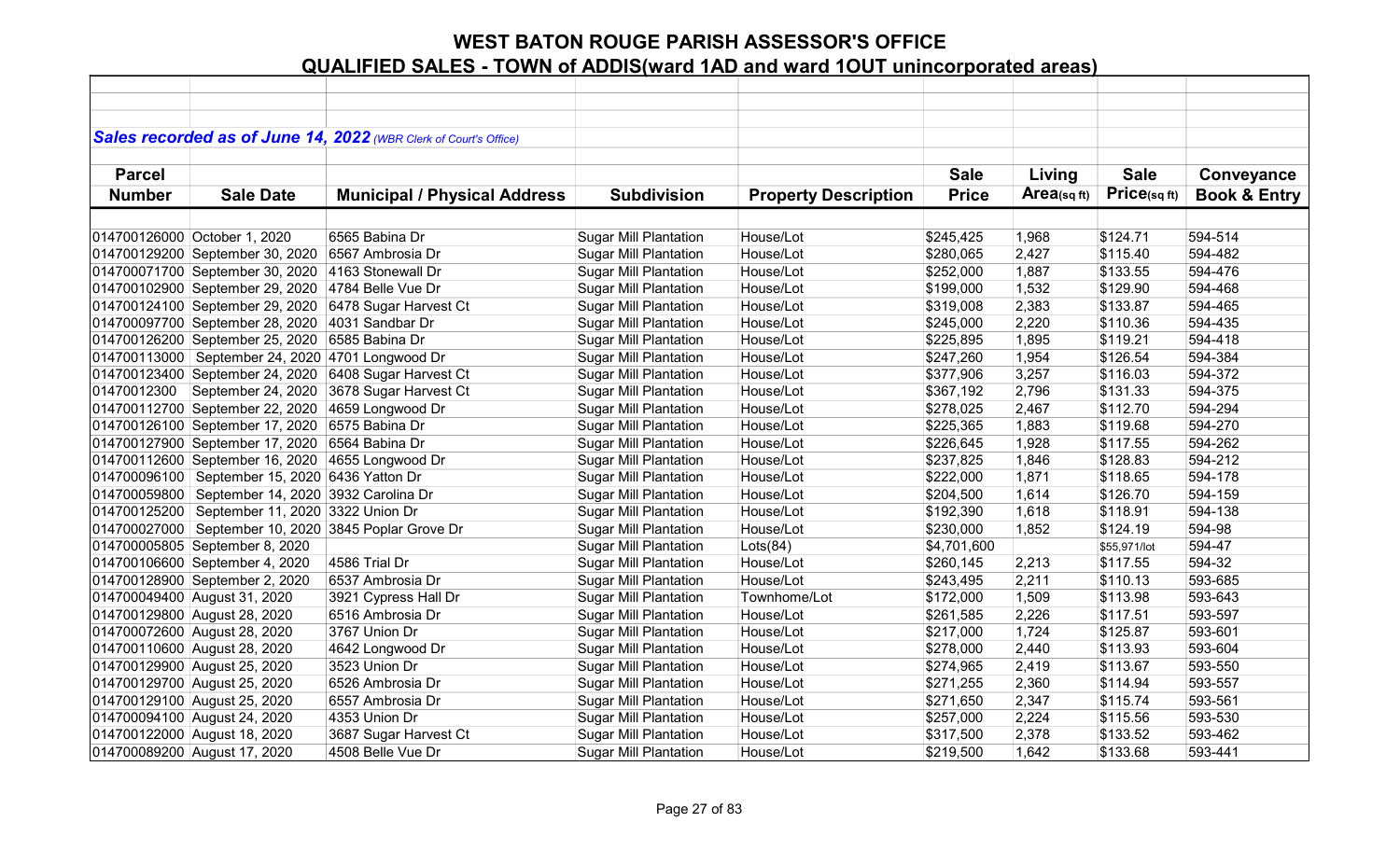|               |                                                  | Sales recorded as of June 14, 2022 (WBR Clerk of Court's Office) |                              |                             |              |            |              |                         |
|---------------|--------------------------------------------------|------------------------------------------------------------------|------------------------------|-----------------------------|--------------|------------|--------------|-------------------------|
|               |                                                  |                                                                  |                              |                             |              |            |              |                         |
| <b>Parcel</b> |                                                  |                                                                  |                              |                             | <b>Sale</b>  | Living     | <b>Sale</b>  | Conveyance              |
| <b>Number</b> | <b>Sale Date</b>                                 | <b>Municipal / Physical Address</b>                              | <b>Subdivision</b>           | <b>Property Description</b> | <b>Price</b> | Area(sqft) | Price(sqft)  | <b>Book &amp; Entry</b> |
|               |                                                  |                                                                  |                              |                             |              |            |              |                         |
|               | 014700126000 October 1, 2020                     | 6565 Babina Dr                                                   | <b>Sugar Mill Plantation</b> | House/Lot                   | \$245,425    | 1,968      | \$124.71     | 594-514                 |
|               | 014700129200 September 30, 2020                  | 6567 Ambrosia Dr                                                 | <b>Sugar Mill Plantation</b> | House/Lot                   | \$280,065    | 2,427      | \$115.40     | 594-482                 |
|               | 014700071700 September 30, 2020                  | 4163 Stonewall Dr                                                | <b>Sugar Mill Plantation</b> | House/Lot                   | \$252,000    | 1,887      | \$133.55     | 594-476                 |
|               | 014700102900 September 29, 2020                  | 4784 Belle Vue Dr                                                | <b>Sugar Mill Plantation</b> | House/Lot                   | \$199,000    | 1,532      | \$129.90     | 594-468                 |
|               | 014700124100 September 29, 2020                  | 6478 Sugar Harvest Ct                                            | <b>Sugar Mill Plantation</b> | House/Lot                   | \$319,008    | 2,383      | \$133.87     | 594-465                 |
|               | 014700097700 September 28, 2020                  | 4031 Sandbar Dr                                                  | <b>Sugar Mill Plantation</b> | House/Lot                   | \$245,000    | 2,220      | \$110.36     | 594-435                 |
|               | 014700126200 September 25, 2020                  | 6585 Babina Dr                                                   | <b>Sugar Mill Plantation</b> | House/Lot                   | \$225,895    | 1,895      | \$119.21     | 594-418                 |
|               | 014700113000 September 24, 2020 4701 Longwood Dr |                                                                  | <b>Sugar Mill Plantation</b> | House/Lot                   | \$247,260    | 1,954      | \$126.54     | 594-384                 |
|               | 014700123400 September 24, 2020                  | 6408 Sugar Harvest Ct                                            | <b>Sugar Mill Plantation</b> | House/Lot                   | \$377,906    | 3,257      | \$116.03     | 594-372                 |
| 01470012300   | September 24, 2020                               | 3678 Sugar Harvest Ct                                            | <b>Sugar Mill Plantation</b> | House/Lot                   | \$367,192    | 2,796      | \$131.33     | 594-375                 |
|               | 014700112700 September 22, 2020 4659 Longwood Dr |                                                                  | <b>Sugar Mill Plantation</b> | House/Lot                   | \$278,025    | 2,467      | \$112.70     | 594-294                 |
|               | 014700126100 September 17, 2020                  | 6575 Babina Dr                                                   | <b>Sugar Mill Plantation</b> | House/Lot                   | \$225,365    | 1,883      | \$119.68     | 594-270                 |
|               | 014700127900 September 17, 2020                  | 6564 Babina Dr                                                   | <b>Sugar Mill Plantation</b> | House/Lot                   | \$226,645    | 1,928      | \$117.55     | 594-262                 |
|               | 014700112600 September 16, 2020 4655 Longwood Dr |                                                                  | <b>Sugar Mill Plantation</b> | House/Lot                   | \$237,825    | 1,846      | \$128.83     | 594-212                 |
|               | 014700096100 September 15, 2020 6436 Yatton Dr   |                                                                  | <b>Sugar Mill Plantation</b> | House/Lot                   | \$222,000    | 1,871      | \$118.65     | 594-178                 |
| 014700059800  | September 14, 2020 3932 Carolina Dr              |                                                                  | <b>Sugar Mill Plantation</b> | House/Lot                   | \$204,500    | 1,614      | \$126.70     | 594-159                 |
|               | 014700125200 September 11, 2020 3322 Union Dr    |                                                                  | <b>Sugar Mill Plantation</b> | House/Lot                   | \$192,390    | 1,618      | \$118.91     | 594-138                 |
| 014700027000  |                                                  | September 10, 2020 3845 Poplar Grove Dr                          | <b>Sugar Mill Plantation</b> | House/Lot                   | \$230,000    | 1,852      | \$124.19     | 594-98                  |
|               | 014700005805 September 8, 2020                   |                                                                  | <b>Sugar Mill Plantation</b> | Lots(84)                    | \$4,701,600  |            | \$55,971/lot | 594-47                  |
|               | 014700106600 September 4, 2020                   | 4586 Trial Dr                                                    | <b>Sugar Mill Plantation</b> | House/Lot                   | \$260,145    | 2,213      | \$117.55     | 594-32                  |
|               | 014700128900 September 2, 2020                   | 6537 Ambrosia Dr                                                 | <b>Sugar Mill Plantation</b> | House/Lot                   | \$243,495    | 2,211      | \$110.13     | 593-685                 |
|               | 014700049400 August 31, 2020                     | 3921 Cypress Hall Dr                                             | <b>Sugar Mill Plantation</b> | Townhome/Lot                | \$172,000    | 1,509      | \$113.98     | 593-643                 |
|               | 014700129800 August 28, 2020                     | 6516 Ambrosia Dr                                                 | <b>Sugar Mill Plantation</b> | House/Lot                   | \$261,585    | 2,226      | \$117.51     | 593-597                 |
|               | 014700072600 August 28, 2020                     | 3767 Union Dr                                                    | <b>Sugar Mill Plantation</b> | House/Lot                   | \$217,000    | 1,724      | \$125.87     | 593-601                 |
|               | 014700110600 August 28, 2020                     | 4642 Longwood Dr                                                 | <b>Sugar Mill Plantation</b> | House/Lot                   | \$278,000    | 2,440      | \$113.93     | 593-604                 |
|               | 014700129900 August 25, 2020                     | 3523 Union Dr                                                    | <b>Sugar Mill Plantation</b> | House/Lot                   | \$274,965    | 2,419      | \$113.67     | 593-550                 |
|               | 014700129700 August 25, 2020                     | 6526 Ambrosia Dr                                                 | <b>Sugar Mill Plantation</b> | House/Lot                   | \$271,255    | 2,360      | \$114.94     | 593-557                 |
|               | 014700129100 August 25, 2020                     | 6557 Ambrosia Dr                                                 | <b>Sugar Mill Plantation</b> | House/Lot                   | \$271,650    | 2,347      | \$115.74     | 593-561                 |
|               | 014700094100 August 24, 2020                     | 4353 Union Dr                                                    | <b>Sugar Mill Plantation</b> | House/Lot                   | \$257,000    | 2,224      | \$115.56     | 593-530                 |
|               | 014700122000 August 18, 2020                     | 3687 Sugar Harvest Ct                                            | <b>Sugar Mill Plantation</b> | House/Lot                   | \$317,500    | 2,378      | \$133.52     | 593-462                 |
|               | 014700089200 August 17, 2020                     | 4508 Belle Vue Dr                                                | <b>Sugar Mill Plantation</b> | House/Lot                   | \$219,500    | 1,642      | \$133.68     | 593-441                 |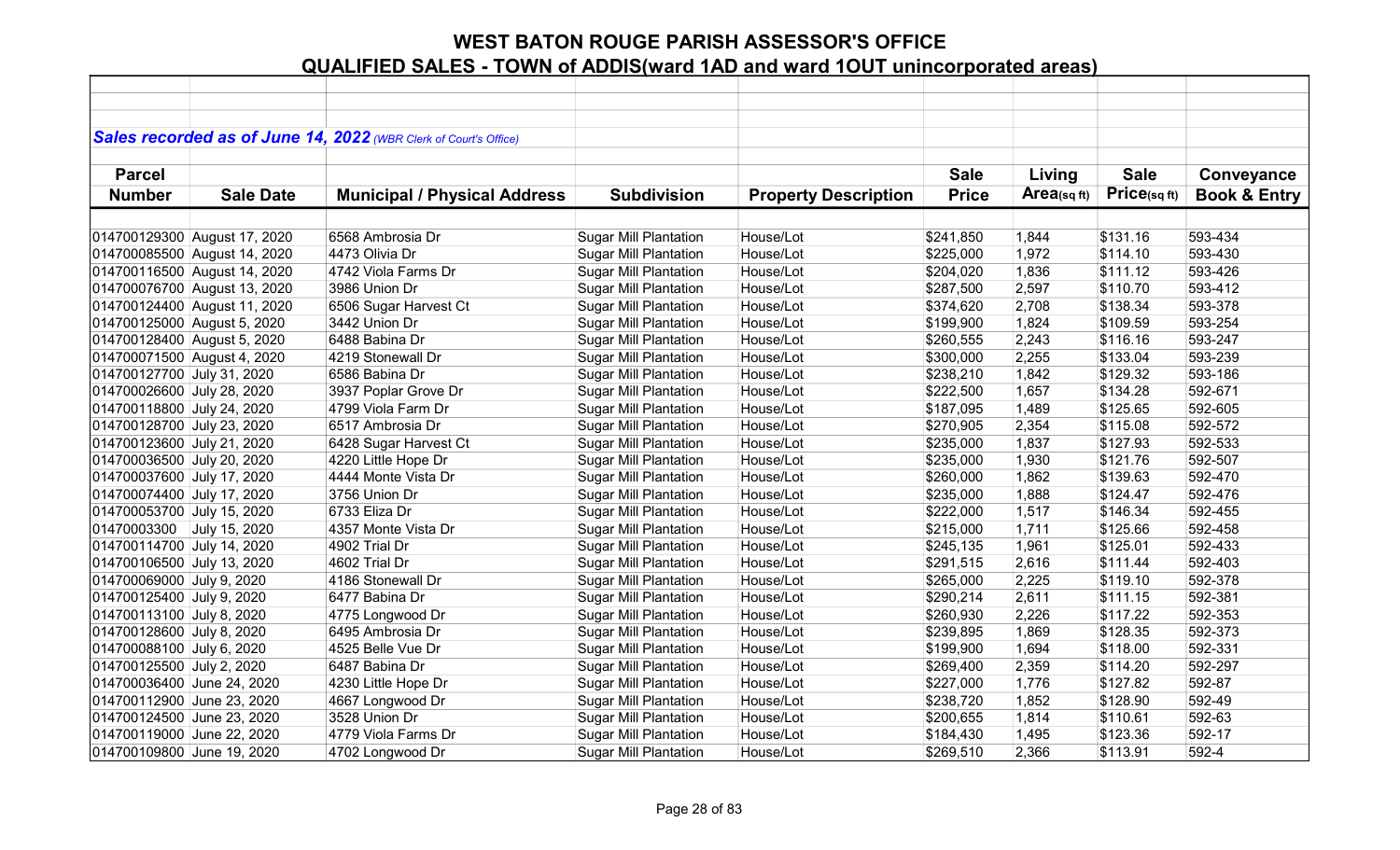|                             |                              | Sales recorded as of June 14, 2022 (WBR Clerk of Court's Office) |                              |                             |              |            |             |                         |
|-----------------------------|------------------------------|------------------------------------------------------------------|------------------------------|-----------------------------|--------------|------------|-------------|-------------------------|
|                             |                              |                                                                  |                              |                             |              |            |             |                         |
| <b>Parcel</b>               |                              |                                                                  |                              |                             | <b>Sale</b>  | Living     | <b>Sale</b> | Conveyance              |
| <b>Number</b>               | <b>Sale Date</b>             | <b>Municipal / Physical Address</b>                              | <b>Subdivision</b>           | <b>Property Description</b> | <b>Price</b> | Area(sqft) | Price(sqft) | <b>Book &amp; Entry</b> |
|                             |                              |                                                                  |                              |                             |              |            |             |                         |
|                             | 014700129300 August 17, 2020 | 6568 Ambrosia Dr                                                 | <b>Sugar Mill Plantation</b> | House/Lot                   | \$241,850    | 1,844      | \$131.16    | 593-434                 |
|                             | 014700085500 August 14, 2020 | 4473 Olivia Dr                                                   | <b>Sugar Mill Plantation</b> | House/Lot                   | \$225,000    | 1,972      | \$114.10    | 593-430                 |
|                             | 014700116500 August 14, 2020 | 4742 Viola Farms Dr                                              | <b>Sugar Mill Plantation</b> | House/Lot                   | \$204,020    | 1,836      | \$111.12    | 593-426                 |
|                             | 014700076700 August 13, 2020 | 3986 Union Dr                                                    | <b>Sugar Mill Plantation</b> | House/Lot                   | \$287,500    | 2,597      | \$110.70    | 593-412                 |
|                             | 014700124400 August 11, 2020 | 6506 Sugar Harvest Ct                                            | <b>Sugar Mill Plantation</b> | House/Lot                   | \$374,620    | 2,708      | \$138.34    | 593-378                 |
| 014700125000 August 5, 2020 |                              | 3442 Union Dr                                                    | <b>Sugar Mill Plantation</b> | House/Lot                   | \$199,900    | 1,824      | \$109.59    | 593-254                 |
| 014700128400 August 5, 2020 |                              | 6488 Babina Dr                                                   | <b>Sugar Mill Plantation</b> | House/Lot                   | \$260,555    | 2,243      | \$116.16    | 593-247                 |
| 014700071500 August 4, 2020 |                              | 4219 Stonewall Dr                                                | <b>Sugar Mill Plantation</b> | House/Lot                   | \$300,000    | 2,255      | \$133.04    | 593-239                 |
| 014700127700 July 31, 2020  |                              | 6586 Babina Dr                                                   | <b>Sugar Mill Plantation</b> | House/Lot                   | \$238,210    | 1,842      | \$129.32    | 593-186                 |
| 014700026600 July 28, 2020  |                              | 3937 Poplar Grove Dr                                             | <b>Sugar Mill Plantation</b> | House/Lot                   | \$222,500    | 1,657      | \$134.28    | 592-671                 |
| 014700118800 July 24, 2020  |                              | 4799 Viola Farm Dr                                               | <b>Sugar Mill Plantation</b> | House/Lot                   | \$187,095    | 1,489      | \$125.65    | 592-605                 |
| 014700128700 July 23, 2020  |                              | 6517 Ambrosia Dr                                                 | <b>Sugar Mill Plantation</b> | House/Lot                   | \$270,905    | 2,354      | \$115.08    | 592-572                 |
| 014700123600 July 21, 2020  |                              | 6428 Sugar Harvest Ct                                            | <b>Sugar Mill Plantation</b> | House/Lot                   | \$235,000    | 1,837      | \$127.93    | 592-533                 |
| 014700036500 July 20, 2020  |                              | 4220 Little Hope Dr                                              | <b>Sugar Mill Plantation</b> | House/Lot                   | \$235,000    | 1,930      | \$121.76    | 592-507                 |
| 014700037600 July 17, 2020  |                              | 4444 Monte Vista Dr                                              | <b>Sugar Mill Plantation</b> | House/Lot                   | \$260,000    | 1,862      | \$139.63    | 592-470                 |
| 014700074400 July 17, 2020  |                              | 3756 Union Dr                                                    | <b>Sugar Mill Plantation</b> | House/Lot                   | \$235,000    | 1,888      | \$124.47    | 592-476                 |
| 014700053700 July 15, 2020  |                              | 6733 Eliza Dr                                                    | <b>Sugar Mill Plantation</b> | House/Lot                   | \$222,000    | 1,517      | \$146.34    | 592-455                 |
| 01470003300                 | July 15, 2020                | 4357 Monte Vista Dr                                              | <b>Sugar Mill Plantation</b> | House/Lot                   | \$215,000    | 1,711      | \$125.66    | 592-458                 |
| 014700114700 July 14, 2020  |                              | 4902 Trial Dr                                                    | <b>Sugar Mill Plantation</b> | House/Lot                   | \$245,135    | 1,961      | \$125.01    | 592-433                 |
| 014700106500 July 13, 2020  |                              | 4602 Trial Dr                                                    | <b>Sugar Mill Plantation</b> | House/Lot                   | \$291,515    | 2,616      | \$111.44    | 592-403                 |
| 014700069000 July 9, 2020   |                              | 4186 Stonewall Dr                                                | <b>Sugar Mill Plantation</b> | House/Lot                   | \$265,000    | 2,225      | \$119.10    | 592-378                 |
| 014700125400 July 9, 2020   |                              | 6477 Babina Dr                                                   | <b>Sugar Mill Plantation</b> | House/Lot                   | \$290,214    | 2,611      | \$111.15    | 592-381                 |
| 014700113100 July 8, 2020   |                              | 4775 Longwood Dr                                                 | <b>Sugar Mill Plantation</b> | House/Lot                   | \$260,930    | 2,226      | \$117.22    | 592-353                 |
| 014700128600 July 8, 2020   |                              | 6495 Ambrosia Dr                                                 | <b>Sugar Mill Plantation</b> | House/Lot                   | \$239,895    | 1,869      | \$128.35    | 592-373                 |
| 014700088100 July 6, 2020   |                              | 4525 Belle Vue Dr                                                | <b>Sugar Mill Plantation</b> | House/Lot                   | \$199,900    | 1,694      | \$118.00    | 592-331                 |
| 014700125500 July 2, 2020   |                              | 6487 Babina Dr                                                   | <b>Sugar Mill Plantation</b> | House/Lot                   | \$269,400    | 2,359      | \$114.20    | 592-297                 |
| 014700036400 June 24, 2020  |                              | 4230 Little Hope Dr                                              | <b>Sugar Mill Plantation</b> | House/Lot                   | \$227,000    | 1,776      | \$127.82    | 592-87                  |
| 014700112900 June 23, 2020  |                              | 4667 Longwood Dr                                                 | <b>Sugar Mill Plantation</b> | House/Lot                   | \$238,720    | 1,852      | \$128.90    | 592-49                  |
| 014700124500 June 23, 2020  |                              | 3528 Union Dr                                                    | <b>Sugar Mill Plantation</b> | House/Lot                   | \$200,655    | 1,814      | \$110.61    | 592-63                  |
| 014700119000 June 22, 2020  |                              | 4779 Viola Farms Dr                                              | <b>Sugar Mill Plantation</b> | House/Lot                   | \$184,430    | 1,495      | \$123.36    | 592-17                  |
| 014700109800 June 19, 2020  |                              | 4702 Longwood Dr                                                 | <b>Sugar Mill Plantation</b> | House/Lot                   | \$269,510    | 2,366      | \$113.91    | 592-4                   |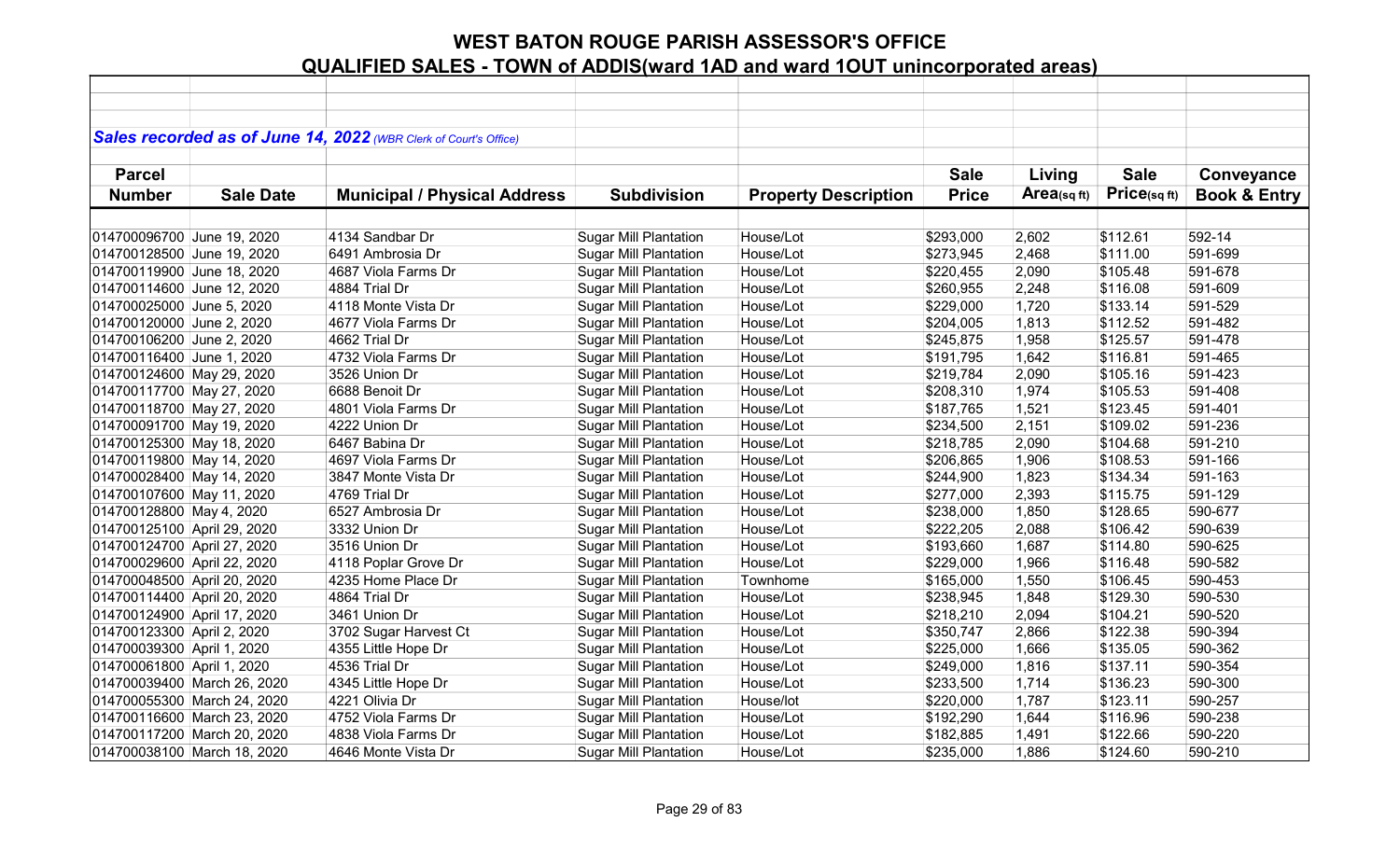|                             |                  | Sales recorded as of June 14, 2022 (WBR Clerk of Court's Office) |                              |                             |              |             |             |                         |
|-----------------------------|------------------|------------------------------------------------------------------|------------------------------|-----------------------------|--------------|-------------|-------------|-------------------------|
|                             |                  |                                                                  |                              |                             |              |             |             |                         |
| <b>Parcel</b>               |                  |                                                                  |                              |                             | <b>Sale</b>  | Living      | <b>Sale</b> | Conveyance              |
| <b>Number</b>               | <b>Sale Date</b> | <b>Municipal / Physical Address</b>                              | <b>Subdivision</b>           | <b>Property Description</b> | <b>Price</b> | Area(sq ft) | Price(sqft) | <b>Book &amp; Entry</b> |
|                             |                  |                                                                  |                              |                             |              |             |             |                         |
| 014700096700 June 19, 2020  |                  | 4134 Sandbar Dr                                                  | <b>Sugar Mill Plantation</b> | House/Lot                   | \$293,000    | 2,602       | \$112.61    | 592-14                  |
| 014700128500 June 19, 2020  |                  | 6491 Ambrosia Dr                                                 | <b>Sugar Mill Plantation</b> | House/Lot                   | \$273,945    | 2,468       | \$111.00    | 591-699                 |
|                             |                  |                                                                  |                              |                             |              |             |             | 591-678                 |
| 014700119900 June 18, 2020  |                  | 4687 Viola Farms Dr                                              | <b>Sugar Mill Plantation</b> | House/Lot                   | \$220,455    | 2,090       | \$105.48    |                         |
| 014700114600 June 12, 2020  |                  | 4884 Trial Dr                                                    | <b>Sugar Mill Plantation</b> | House/Lot                   | \$260,955    | 2,248       | \$116.08    | 591-609                 |
| 014700025000 June 5, 2020   |                  | 4118 Monte Vista Dr                                              | <b>Sugar Mill Plantation</b> | House/Lot                   | \$229,000    | 1,720       | \$133.14    | 591-529                 |
| 014700120000 June 2, 2020   |                  | 4677 Viola Farms Dr                                              | <b>Sugar Mill Plantation</b> | House/Lot                   | \$204,005    | 1,813       | \$112.52    | 591-482                 |
| 014700106200 June 2, 2020   |                  | 4662 Trial Dr                                                    | Sugar Mill Plantation        | House/Lot                   | \$245,875    | 1,958       | \$125.57    | 591-478                 |
| 014700116400 June 1, 2020   |                  | 4732 Viola Farms Dr                                              | <b>Sugar Mill Plantation</b> | House/Lot                   | \$191,795    | 1,642       | \$116.81    | 591-465                 |
| 014700124600 May 29, 2020   |                  | 3526 Union Dr                                                    | <b>Sugar Mill Plantation</b> | House/Lot                   | \$219,784    | 2,090       | \$105.16    | 591-423                 |
| 014700117700 May 27, 2020   |                  | 6688 Benoit Dr                                                   | <b>Sugar Mill Plantation</b> | House/Lot                   | \$208,310    | 1,974       | \$105.53    | 591-408                 |
| 014700118700 May 27, 2020   |                  | 4801 Viola Farms Dr                                              | <b>Sugar Mill Plantation</b> | House/Lot                   | \$187,765    | 1,521       | \$123.45    | 591-401                 |
| 014700091700 May 19, 2020   |                  | 4222 Union Dr                                                    | <b>Sugar Mill Plantation</b> | House/Lot                   | \$234,500    | 2,151       | \$109.02    | 591-236                 |
| 014700125300 May 18, 2020   |                  | 6467 Babina Dr                                                   | <b>Sugar Mill Plantation</b> | House/Lot                   | \$218,785    | 2,090       | \$104.68    | 591-210                 |
| 014700119800 May 14, 2020   |                  | 4697 Viola Farms Dr                                              | <b>Sugar Mill Plantation</b> | House/Lot                   | \$206,865    | 1,906       | \$108.53    | 591-166                 |
| 014700028400 May 14, 2020   |                  | 3847 Monte Vista Dr                                              | <b>Sugar Mill Plantation</b> | House/Lot                   | \$244,900    | 1,823       | \$134.34    | 591-163                 |
| 014700107600 May 11, 2020   |                  | 4769 Trial Dr                                                    | <b>Sugar Mill Plantation</b> | House/Lot                   | \$277,000    | 2,393       | \$115.75    | 591-129                 |
| 014700128800 May 4, 2020    |                  | 6527 Ambrosia Dr                                                 | Sugar Mill Plantation        | House/Lot                   | \$238,000    | 1,850       | \$128.65    | 590-677                 |
| 014700125100 April 29, 2020 |                  | 3332 Union Dr                                                    | <b>Sugar Mill Plantation</b> | House/Lot                   | \$222,205    | 2,088       | \$106.42    | 590-639                 |
| 014700124700 April 27, 2020 |                  | 3516 Union Dr                                                    | <b>Sugar Mill Plantation</b> | House/Lot                   | \$193,660    | 1,687       | \$114.80    | 590-625                 |
| 014700029600 April 22, 2020 |                  | 4118 Poplar Grove Dr                                             | <b>Sugar Mill Plantation</b> | House/Lot                   | \$229,000    | 1,966       | \$116.48    | 590-582                 |
| 014700048500 April 20, 2020 |                  | 4235 Home Place Dr                                               | <b>Sugar Mill Plantation</b> | Townhome                    | \$165,000    | 1,550       | \$106.45    | 590-453                 |
| 014700114400 April 20, 2020 |                  | 4864 Trial Dr                                                    | <b>Sugar Mill Plantation</b> | House/Lot                   | \$238,945    | 1,848       | \$129.30    | 590-530                 |
| 014700124900 April 17, 2020 |                  | 3461 Union Dr                                                    | <b>Sugar Mill Plantation</b> | House/Lot                   | \$218,210    | 2,094       | \$104.21    | 590-520                 |
| 014700123300 April 2, 2020  |                  | 3702 Sugar Harvest Ct                                            | <b>Sugar Mill Plantation</b> | House/Lot                   | \$350,747    | 2,866       | \$122.38    | 590-394                 |
| 014700039300 April 1, 2020  |                  | 4355 Little Hope Dr                                              | <b>Sugar Mill Plantation</b> | House/Lot                   | \$225,000    | 1,666       | \$135.05    | 590-362                 |
| 014700061800 April 1, 2020  |                  | 4536 Trial Dr                                                    | <b>Sugar Mill Plantation</b> | House/Lot                   | \$249,000    | 1,816       | \$137.11    | 590-354                 |
| 014700039400 March 26, 2020 |                  | 4345 Little Hope Dr                                              | <b>Sugar Mill Plantation</b> | House/Lot                   | \$233,500    | 1,714       | \$136.23    | 590-300                 |
| 014700055300 March 24, 2020 |                  | 4221 Olivia Dr                                                   | <b>Sugar Mill Plantation</b> | House/lot                   | \$220,000    | 1,787       | \$123.11    | 590-257                 |
| 014700116600 March 23, 2020 |                  | 4752 Viola Farms Dr                                              | <b>Sugar Mill Plantation</b> | House/Lot                   | \$192,290    | 1,644       | \$116.96    | 590-238                 |
| 014700117200 March 20, 2020 |                  | 4838 Viola Farms Dr                                              | <b>Sugar Mill Plantation</b> | House/Lot                   | \$182,885    | 1,491       | \$122.66    | 590-220                 |
| 014700038100 March 18, 2020 |                  | 4646 Monte Vista Dr                                              | <b>Sugar Mill Plantation</b> | House/Lot                   | \$235,000    | 1,886       | \$124.60    | 590-210                 |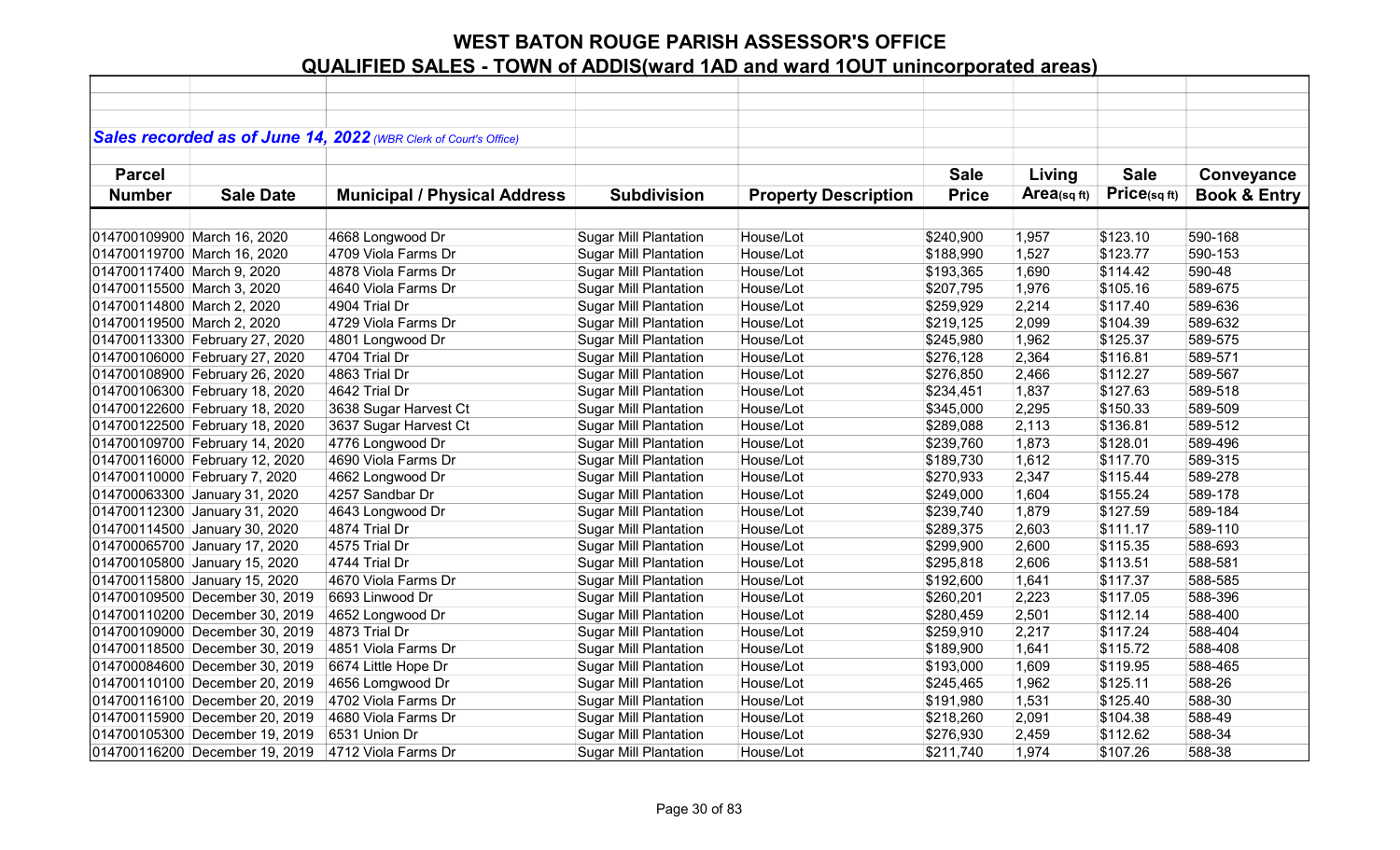|                            |                                | Sales recorded as of June 14, 2022 (WBR Clerk of Court's Office) |                              |                             |              |            |              |                         |
|----------------------------|--------------------------------|------------------------------------------------------------------|------------------------------|-----------------------------|--------------|------------|--------------|-------------------------|
|                            |                                |                                                                  |                              |                             |              |            |              |                         |
| <b>Parcel</b>              |                                |                                                                  |                              |                             | <b>Sale</b>  | Living     | <b>Sale</b>  | Conveyance              |
| <b>Number</b>              | <b>Sale Date</b>               | <b>Municipal / Physical Address</b>                              | <b>Subdivision</b>           | <b>Property Description</b> | <b>Price</b> | Area(sqft) | Price(sq ft) | <b>Book &amp; Entry</b> |
|                            |                                |                                                                  |                              |                             |              |            |              |                         |
|                            | 014700109900 March 16, 2020    | 4668 Longwood Dr                                                 | <b>Sugar Mill Plantation</b> | House/Lot                   | \$240,900    | 1,957      | \$123.10     | 590-168                 |
|                            | 014700119700 March 16, 2020    | 4709 Viola Farms Dr                                              | <b>Sugar Mill Plantation</b> | House/Lot                   | \$188,990    | 1,527      | \$123.77     | 590-153                 |
| 014700117400 March 9, 2020 |                                | 4878 Viola Farms Dr                                              | <b>Sugar Mill Plantation</b> | House/Lot                   | \$193,365    | 1,690      | \$114.42     | 590-48                  |
| 014700115500 March 3, 2020 |                                | 4640 Viola Farms Dr                                              | <b>Sugar Mill Plantation</b> | House/Lot                   | \$207,795    | 1,976      | \$105.16     | 589-675                 |
| 014700114800 March 2, 2020 |                                | 4904 Trial Dr                                                    | <b>Sugar Mill Plantation</b> | House/Lot                   | \$259,929    | 2,214      | \$117.40     | 589-636                 |
| 014700119500 March 2, 2020 |                                | 4729 Viola Farms Dr                                              | <b>Sugar Mill Plantation</b> | House/Lot                   | \$219,125    | 2,099      | \$104.39     | 589-632                 |
|                            | 014700113300 February 27, 2020 | 4801 Longwood Dr                                                 | <b>Sugar Mill Plantation</b> | House/Lot                   | \$245,980    | 1,962      | \$125.37     | 589-575                 |
|                            | 014700106000 February 27, 2020 | 4704 Trial Dr                                                    | <b>Sugar Mill Plantation</b> | House/Lot                   | \$276,128    | 2,364      | \$116.81     | 589-571                 |
|                            | 014700108900 February 26, 2020 | 4863 Trial Dr                                                    | <b>Sugar Mill Plantation</b> | House/Lot                   | \$276,850    | 2,466      | \$112.27     | 589-567                 |
|                            | 014700106300 February 18, 2020 | 4642 Trial Dr                                                    | <b>Sugar Mill Plantation</b> | House/Lot                   | \$234,451    | 1,837      | \$127.63     | 589-518                 |
|                            | 014700122600 February 18, 2020 | 3638 Sugar Harvest Ct                                            | <b>Sugar Mill Plantation</b> | House/Lot                   | \$345,000    | 2,295      | \$150.33     | 589-509                 |
|                            | 014700122500 February 18, 2020 | 3637 Sugar Harvest Ct                                            | <b>Sugar Mill Plantation</b> | House/Lot                   | \$289,088    | 2,113      | \$136.81     | 589-512                 |
|                            | 014700109700 February 14, 2020 | 4776 Longwood Dr                                                 | <b>Sugar Mill Plantation</b> | House/Lot                   | \$239,760    | 1,873      | \$128.01     | 589-496                 |
|                            | 014700116000 February 12, 2020 | 4690 Viola Farms Dr                                              | <b>Sugar Mill Plantation</b> | House/Lot                   | \$189,730    | 1,612      | \$117.70     | 589-315                 |
|                            | 014700110000 February 7, 2020  | 4662 Longwood Dr                                                 | <b>Sugar Mill Plantation</b> | House/Lot                   | \$270,933    | 2,347      | \$115.44     | 589-278                 |
|                            | 014700063300 January 31, 2020  | 4257 Sandbar Dr                                                  | <b>Sugar Mill Plantation</b> | House/Lot                   | \$249,000    | 1,604      | \$155.24     | 589-178                 |
|                            | 014700112300 January 31, 2020  | 4643 Longwood Dr                                                 | <b>Sugar Mill Plantation</b> | House/Lot                   | \$239,740    | 1,879      | \$127.59     | 589-184                 |
|                            | 014700114500 January 30, 2020  | 4874 Trial Dr                                                    | <b>Sugar Mill Plantation</b> | House/Lot                   | \$289,375    | 2,603      | \$111.17     | 589-110                 |
|                            | 014700065700 January 17, 2020  | 4575 Trial Dr                                                    | <b>Sugar Mill Plantation</b> | House/Lot                   | \$299,900    | 2,600      | \$115.35     | 588-693                 |
|                            | 014700105800 January 15, 2020  | 4744 Trial Dr                                                    | <b>Sugar Mill Plantation</b> | House/Lot                   | \$295,818    | 2,606      | \$113.51     | 588-581                 |
|                            | 014700115800 January 15, 2020  | 4670 Viola Farms Dr                                              | <b>Sugar Mill Plantation</b> | House/Lot                   | \$192,600    | 1,641      | \$117.37     | 588-585                 |
|                            | 014700109500 December 30, 2019 | 6693 Linwood Dr                                                  | <b>Sugar Mill Plantation</b> | House/Lot                   | \$260,201    | 2,223      | \$117.05     | 588-396                 |
|                            | 014700110200 December 30, 2019 | 4652 Longwood Dr                                                 | <b>Sugar Mill Plantation</b> | House/Lot                   | \$280,459    | 2,501      | \$112.14     | 588-400                 |
|                            | 014700109000 December 30, 2019 | 4873 Trial Dr                                                    | <b>Sugar Mill Plantation</b> | House/Lot                   | \$259,910    | 2,217      | \$117.24     | 588-404                 |
|                            | 014700118500 December 30, 2019 | 4851 Viola Farms Dr                                              | <b>Sugar Mill Plantation</b> | House/Lot                   | \$189,900    | 1,641      | \$115.72     | 588-408                 |
|                            | 014700084600 December 30, 2019 | 6674 Little Hope Dr                                              | <b>Sugar Mill Plantation</b> | House/Lot                   | \$193,000    | 1,609      | \$119.95     | 588-465                 |
|                            | 014700110100 December 20, 2019 | 4656 Lomgwood Dr                                                 | <b>Sugar Mill Plantation</b> | House/Lot                   | \$245,465    | 1,962      | \$125.11     | 588-26                  |
|                            | 014700116100 December 20, 2019 | 4702 Viola Farms Dr                                              | <b>Sugar Mill Plantation</b> | House/Lot                   | \$191,980    | 1,531      | \$125.40     | 588-30                  |
|                            | 014700115900 December 20, 2019 | 4680 Viola Farms Dr                                              | <b>Sugar Mill Plantation</b> | House/Lot                   | \$218,260    | 2,091      | \$104.38     | 588-49                  |
|                            | 014700105300 December 19, 2019 | 6531 Union Dr                                                    | <b>Sugar Mill Plantation</b> | House/Lot                   | \$276,930    | 2,459      | \$112.62     | 588-34                  |
|                            | 014700116200 December 19, 2019 | 4712 Viola Farms Dr                                              | <b>Sugar Mill Plantation</b> | House/Lot                   | \$211,740    | 1,974      | \$107.26     | 588-38                  |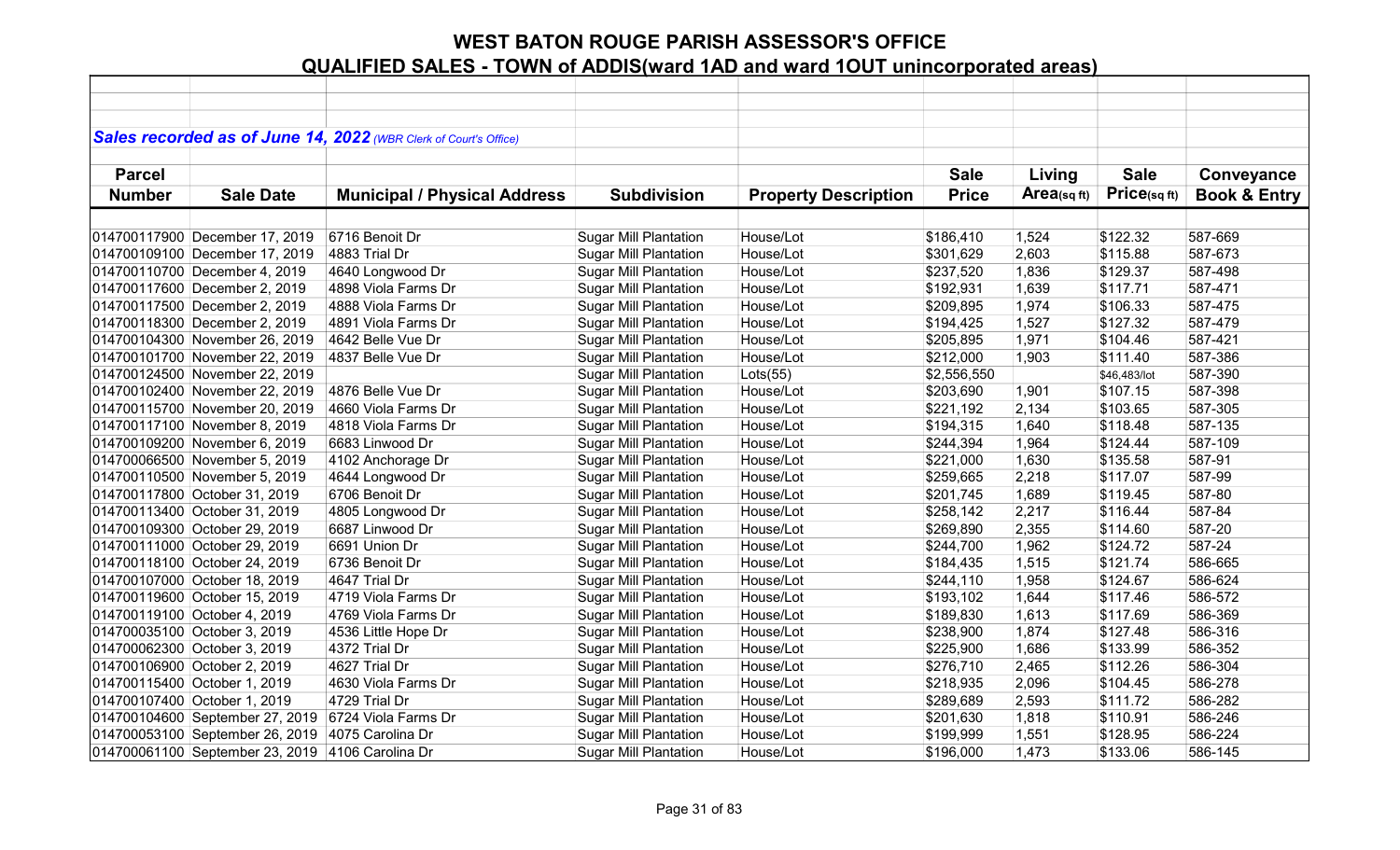|               |                                                  | Sales recorded as of June 14, 2022 (WBR Clerk of Court's Office) |                              |                             |              |            |              |                         |
|---------------|--------------------------------------------------|------------------------------------------------------------------|------------------------------|-----------------------------|--------------|------------|--------------|-------------------------|
|               |                                                  |                                                                  |                              |                             |              |            |              |                         |
| <b>Parcel</b> |                                                  |                                                                  |                              |                             | <b>Sale</b>  | Living     | <b>Sale</b>  | Conveyance              |
| <b>Number</b> | <b>Sale Date</b>                                 | <b>Municipal / Physical Address</b>                              | <b>Subdivision</b>           | <b>Property Description</b> | <b>Price</b> | Area(sqft) | Price(sqft)  | <b>Book &amp; Entry</b> |
|               |                                                  |                                                                  |                              |                             |              |            |              |                         |
|               | 014700117900 December 17, 2019                   | 6716 Benoit Dr                                                   | <b>Sugar Mill Plantation</b> | House/Lot                   | \$186,410    | 1,524      | \$122.32     | 587-669                 |
|               | 014700109100 December 17, 2019                   | 4883 Trial Dr                                                    | <b>Sugar Mill Plantation</b> | House/Lot                   | \$301,629    | 2,603      | \$115.88     | 587-673                 |
|               | 014700110700 December 4, 2019                    | 4640 Longwood Dr                                                 | <b>Sugar Mill Plantation</b> | House/Lot                   | \$237,520    | 1,836      | \$129.37     | 587-498                 |
|               | 014700117600 December 2, 2019                    | 4898 Viola Farms Dr                                              | <b>Sugar Mill Plantation</b> | House/Lot                   | \$192,931    | 1,639      | \$117.71     | 587-471                 |
|               | 014700117500 December 2, 2019                    | 4888 Viola Farms Dr                                              | <b>Sugar Mill Plantation</b> | House/Lot                   | \$209,895    | 1,974      | \$106.33     | 587-475                 |
|               | 014700118300 December 2, 2019                    | 4891 Viola Farms Dr                                              | <b>Sugar Mill Plantation</b> | House/Lot                   | \$194,425    | 1,527      | \$127.32     | 587-479                 |
|               | 014700104300 November 26, 2019                   | 4642 Belle Vue Dr                                                | <b>Sugar Mill Plantation</b> | House/Lot                   | \$205,895    | 1,971      | \$104.46     | 587-421                 |
|               | 014700101700 November 22, 2019                   | 4837 Belle Vue Dr                                                | <b>Sugar Mill Plantation</b> | House/Lot                   | \$212,000    | 1,903      | \$111.40     | 587-386                 |
|               | 014700124500 November 22, 2019                   |                                                                  | <b>Sugar Mill Plantation</b> | Lots(55)                    | \$2,556,550  |            | \$46,483/lot | 587-390                 |
|               | 014700102400 November 22, 2019                   | 4876 Belle Vue Dr                                                | <b>Sugar Mill Plantation</b> | House/Lot                   | \$203,690    | 1,901      | \$107.15     | 587-398                 |
|               | 014700115700 November 20, 2019                   | 4660 Viola Farms Dr                                              | <b>Sugar Mill Plantation</b> | House/Lot                   | \$221,192    | 2,134      | \$103.65     | 587-305                 |
|               | 014700117100 November 8, 2019                    | 4818 Viola Farms Dr                                              | <b>Sugar Mill Plantation</b> | House/Lot                   | \$194,315    | 1,640      | \$118.48     | 587-135                 |
|               | 014700109200 November 6, 2019                    | 6683 Linwood Dr                                                  | <b>Sugar Mill Plantation</b> | House/Lot                   | \$244,394    | 1,964      | \$124.44     | 587-109                 |
|               | 014700066500 November 5, 2019                    | 4102 Anchorage Dr                                                | <b>Sugar Mill Plantation</b> | House/Lot                   | \$221,000    | 1,630      | \$135.58     | 587-91                  |
|               | 014700110500 November 5, 2019                    | 4644 Longwood Dr                                                 | <b>Sugar Mill Plantation</b> | House/Lot                   | \$259,665    | 2,218      | \$117.07     | 587-99                  |
|               | 014700117800 October 31, 2019                    | 6706 Benoit Dr                                                   | <b>Sugar Mill Plantation</b> | House/Lot                   | \$201,745    | 1,689      | \$119.45     | 587-80                  |
|               | 014700113400 October 31, 2019                    | 4805 Longwood Dr                                                 | <b>Sugar Mill Plantation</b> | House/Lot                   | \$258,142    | 2,217      | \$116.44     | 587-84                  |
|               | 014700109300 October 29, 2019                    | 6687 Linwood Dr                                                  | <b>Sugar Mill Plantation</b> | House/Lot                   | \$269,890    | 2,355      | \$114.60     | 587-20                  |
|               | 014700111000 October 29, 2019                    | 6691 Union Dr                                                    | <b>Sugar Mill Plantation</b> | House/Lot                   | \$244,700    | 1,962      | \$124.72     | 587-24                  |
|               | 014700118100 October 24, 2019                    | 6736 Benoit Dr                                                   | <b>Sugar Mill Plantation</b> | House/Lot                   | \$184,435    | 1,515      | \$121.74     | 586-665                 |
|               | 014700107000 October 18, 2019                    | 4647 Trial Dr                                                    | <b>Sugar Mill Plantation</b> | House/Lot                   | \$244,110    | 1,958      | \$124.67     | 586-624                 |
|               | 014700119600 October 15, 2019                    | 4719 Viola Farms Dr                                              | <b>Sugar Mill Plantation</b> | House/Lot                   | \$193,102    | 1,644      | \$117.46     | 586-572                 |
|               | 014700119100 October 4, 2019                     | 4769 Viola Farms Dr                                              | <b>Sugar Mill Plantation</b> | House/Lot                   | \$189,830    | 1,613      | \$117.69     | 586-369                 |
|               | 014700035100 October 3, 2019                     | 4536 Little Hope Dr                                              | <b>Sugar Mill Plantation</b> | House/Lot                   | \$238,900    | 1,874      | \$127.48     | 586-316                 |
|               | 014700062300 October 3, 2019                     | 4372 Trial Dr                                                    | <b>Sugar Mill Plantation</b> | House/Lot                   | \$225,900    | 1,686      | \$133.99     | 586-352                 |
|               | 014700106900 October 2, 2019                     | 4627 Trial Dr                                                    | <b>Sugar Mill Plantation</b> | House/Lot                   | \$276,710    | 2,465      | \$112.26     | 586-304                 |
|               | 014700115400 October 1, 2019                     | 4630 Viola Farms Dr                                              | <b>Sugar Mill Plantation</b> | House/Lot                   | \$218,935    | 2,096      | \$104.45     | 586-278                 |
|               | 014700107400 October 1, 2019                     | 4729 Trial Dr                                                    | <b>Sugar Mill Plantation</b> | House/Lot                   | \$289,689    | 2,593      | \$111.72     | 586-282                 |
|               | 014700104600 September 27, 2019                  | 6724 Viola Farms Dr                                              | <b>Sugar Mill Plantation</b> | House/Lot                   | \$201,630    | 1,818      | \$110.91     | 586-246                 |
|               | 014700053100 September 26, 2019                  | 4075 Carolina Dr                                                 | <b>Sugar Mill Plantation</b> | House/Lot                   | \$199,999    | 1,551      | \$128.95     | 586-224                 |
|               | 014700061100 September 23, 2019 4106 Carolina Dr |                                                                  | <b>Sugar Mill Plantation</b> | House/Lot                   | \$196,000    | 1,473      | \$133.06     | 586-145                 |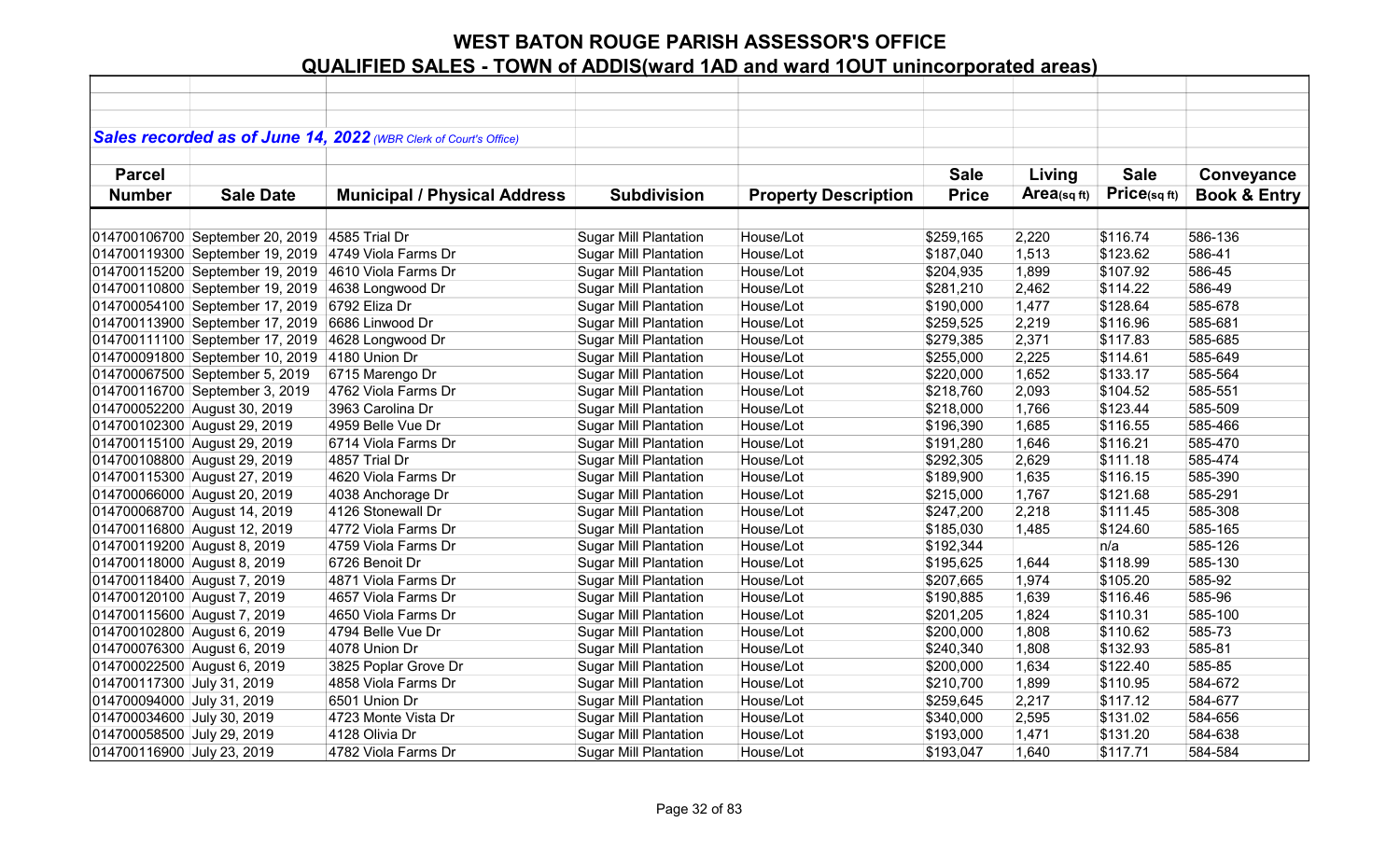|                             |                                                     | Sales recorded as of June 14, 2022 (WBR Clerk of Court's Office) |                              |                             |              |            |             |                         |
|-----------------------------|-----------------------------------------------------|------------------------------------------------------------------|------------------------------|-----------------------------|--------------|------------|-------------|-------------------------|
|                             |                                                     |                                                                  |                              |                             |              |            |             |                         |
| <b>Parcel</b>               |                                                     |                                                                  |                              |                             | <b>Sale</b>  | Living     | <b>Sale</b> | Conveyance              |
| <b>Number</b>               | <b>Sale Date</b>                                    | <b>Municipal / Physical Address</b>                              | <b>Subdivision</b>           | <b>Property Description</b> | <b>Price</b> | Area(sqft) | Price(sqft) | <b>Book &amp; Entry</b> |
|                             |                                                     |                                                                  |                              |                             |              |            |             |                         |
|                             | 014700106700 September 20, 2019 4585 Trial Dr       |                                                                  | <b>Sugar Mill Plantation</b> | House/Lot                   | \$259,165    | 2,220      | \$116.74    | 586-136                 |
|                             | 014700119300 September 19, 2019 4749 Viola Farms Dr |                                                                  | <b>Sugar Mill Plantation</b> | House/Lot                   | \$187,040    | 1,513      | \$123.62    | 586-41                  |
|                             | 014700115200 September 19, 2019                     | 4610 Viola Farms Dr                                              | <b>Sugar Mill Plantation</b> | House/Lot                   | \$204,935    | 1,899      | \$107.92    | 586-45                  |
|                             | 014700110800 September 19, 2019                     | 4638 Longwood Dr                                                 | <b>Sugar Mill Plantation</b> | House/Lot                   | \$281,210    | 2,462      | \$114.22    | 586-49                  |
|                             | 014700054100 September 17, 2019                     | 6792 Eliza Dr                                                    | <b>Sugar Mill Plantation</b> | House/Lot                   | \$190,000    | 1,477      | \$128.64    | 585-678                 |
|                             | 014700113900 September 17, 2019                     | 6686 Linwood Dr                                                  | <b>Sugar Mill Plantation</b> | House/Lot                   | \$259,525    | 2,219      | \$116.96    | 585-681                 |
|                             | 014700111100 September 17, 2019                     | 4628 Longwood Dr                                                 | <b>Sugar Mill Plantation</b> | House/Lot                   | \$279,385    | 2,371      | \$117.83    | 585-685                 |
|                             | 014700091800 September 10, 2019                     | 4180 Union Dr                                                    | <b>Sugar Mill Plantation</b> | House/Lot                   | \$255,000    | 2,225      | \$114.61    | 585-649                 |
|                             | 014700067500 September 5, 2019                      | 6715 Marengo Dr                                                  | <b>Sugar Mill Plantation</b> | House/Lot                   | \$220,000    | 1,652      | \$133.17    | 585-564                 |
|                             | 014700116700 September 3, 2019                      | 4762 Viola Farms Dr                                              | <b>Sugar Mill Plantation</b> | House/Lot                   | \$218,760    | 2,093      | \$104.52    | 585-551                 |
|                             | 014700052200 August 30, 2019                        | 3963 Carolina Dr                                                 | <b>Sugar Mill Plantation</b> | House/Lot                   | \$218,000    | 1,766      | \$123.44    | 585-509                 |
|                             | 014700102300 August 29, 2019                        | 4959 Belle Vue Dr                                                | <b>Sugar Mill Plantation</b> | House/Lot                   | \$196,390    | 1,685      | \$116.55    | 585-466                 |
|                             | 014700115100 August 29, 2019                        | 6714 Viola Farms Dr                                              | <b>Sugar Mill Plantation</b> | House/Lot                   | \$191,280    | 1,646      | \$116.21    | 585-470                 |
|                             | 014700108800 August 29, 2019                        | 4857 Trial Dr                                                    | <b>Sugar Mill Plantation</b> | House/Lot                   | \$292,305    | 2,629      | \$111.18    | 585-474                 |
|                             | 014700115300 August 27, 2019                        | 4620 Viola Farms Dr                                              | <b>Sugar Mill Plantation</b> | House/Lot                   | \$189,900    | 1,635      | \$116.15    | 585-390                 |
|                             | 014700066000 August 20, 2019                        | 4038 Anchorage Dr                                                | <b>Sugar Mill Plantation</b> | House/Lot                   | \$215,000    | 1,767      | \$121.68    | 585-291                 |
|                             | 014700068700 August 14, 2019                        | 4126 Stonewall Dr                                                | <b>Sugar Mill Plantation</b> | House/Lot                   | \$247,200    | 2,218      | \$111.45    | 585-308                 |
|                             | 014700116800 August 12, 2019                        | 4772 Viola Farms Dr                                              | <b>Sugar Mill Plantation</b> | House/Lot                   | \$185,030    | 1,485      | \$124.60    | 585-165                 |
| 014700119200 August 8, 2019 |                                                     | 4759 Viola Farms Dr                                              | <b>Sugar Mill Plantation</b> | House/Lot                   | \$192,344    |            | n/a         | 585-126                 |
| 014700118000 August 8, 2019 |                                                     | 6726 Benoit Dr                                                   | <b>Sugar Mill Plantation</b> | House/Lot                   | \$195,625    | 1,644      | \$118.99    | 585-130                 |
| 014700118400 August 7, 2019 |                                                     | 4871 Viola Farms Dr                                              | <b>Sugar Mill Plantation</b> | House/Lot                   | \$207,665    | 1,974      | \$105.20    | 585-92                  |
| 014700120100 August 7, 2019 |                                                     | 4657 Viola Farms Dr                                              | <b>Sugar Mill Plantation</b> | House/Lot                   | \$190,885    | 1,639      | \$116.46    | 585-96                  |
| 014700115600 August 7, 2019 |                                                     | 4650 Viola Farms Dr                                              | <b>Sugar Mill Plantation</b> | House/Lot                   | \$201,205    | 1,824      | \$110.31    | 585-100                 |
| 014700102800 August 6, 2019 |                                                     | 4794 Belle Vue Dr                                                | <b>Sugar Mill Plantation</b> | House/Lot                   | \$200,000    | 1,808      | \$110.62    | 585-73                  |
| 014700076300 August 6, 2019 |                                                     | 4078 Union Dr                                                    | <b>Sugar Mill Plantation</b> | House/Lot                   | \$240,340    | 1,808      | \$132.93    | 585-81                  |
| 014700022500 August 6, 2019 |                                                     | 3825 Poplar Grove Dr                                             | <b>Sugar Mill Plantation</b> | House/Lot                   | \$200,000    | 1,634      | \$122.40    | 585-85                  |
| 014700117300 July 31, 2019  |                                                     | 4858 Viola Farms Dr                                              | <b>Sugar Mill Plantation</b> | House/Lot                   | \$210,700    | 1,899      | \$110.95    | 584-672                 |
| 014700094000 July 31, 2019  |                                                     | 6501 Union Dr                                                    | <b>Sugar Mill Plantation</b> | House/Lot                   | \$259,645    | 2,217      | \$117.12    | 584-677                 |
| 014700034600 July 30, 2019  |                                                     | 4723 Monte Vista Dr                                              | <b>Sugar Mill Plantation</b> | House/Lot                   | \$340,000    | 2,595      | \$131.02    | 584-656                 |
| 014700058500 July 29, 2019  |                                                     | 4128 Olivia Dr                                                   | <b>Sugar Mill Plantation</b> | House/Lot                   | \$193,000    | 1,471      | \$131.20    | 584-638                 |
| 014700116900 July 23, 2019  |                                                     | 4782 Viola Farms Dr                                              | <b>Sugar Mill Plantation</b> | House/Lot                   | \$193,047    | 1,640      | \$117.71    | 584-584                 |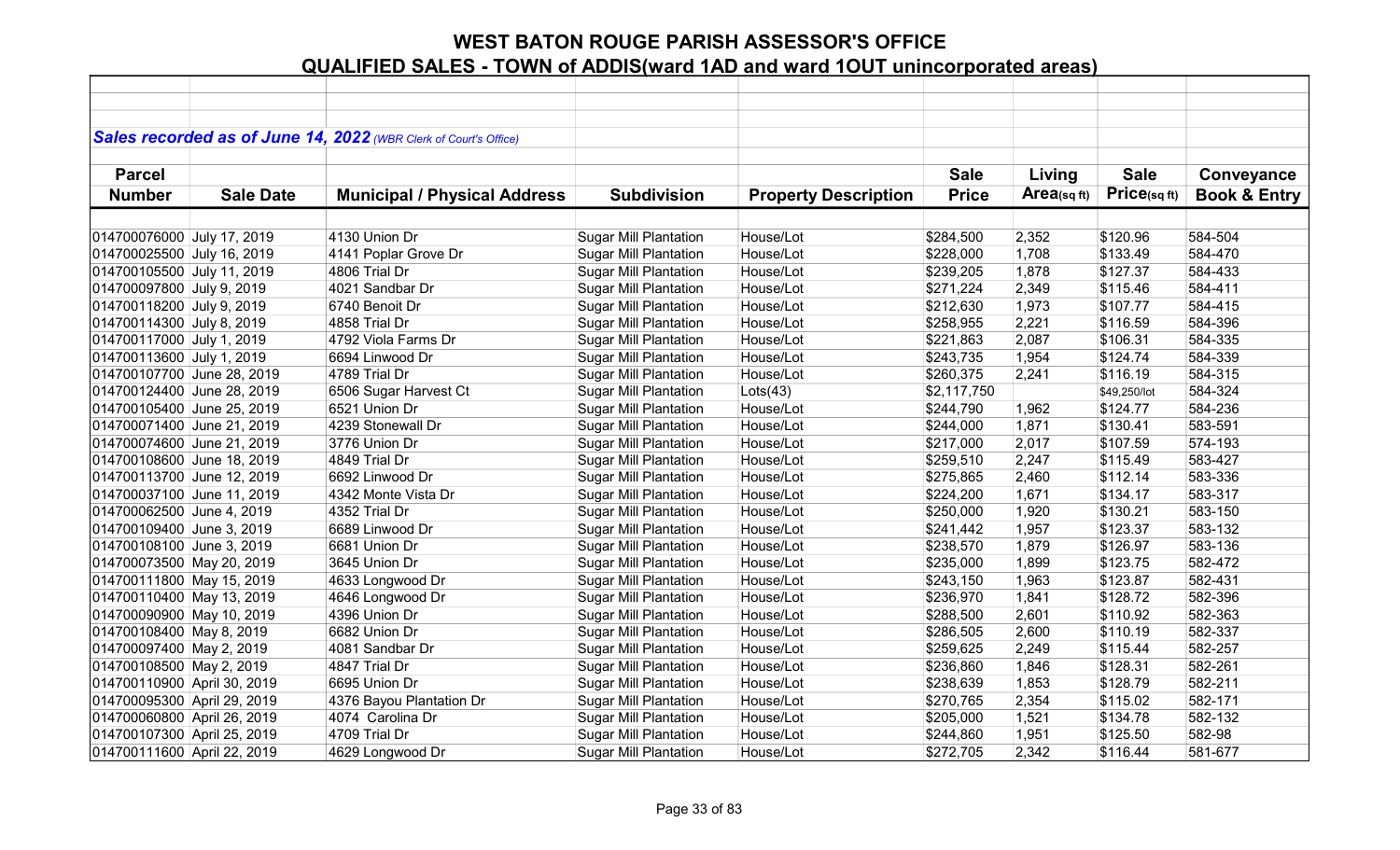|                             |                  | Sales recorded as of June 14, 2022 (WBR Clerk of Court's Office) |                              |                             |              |            |              |                         |
|-----------------------------|------------------|------------------------------------------------------------------|------------------------------|-----------------------------|--------------|------------|--------------|-------------------------|
|                             |                  |                                                                  |                              |                             |              |            |              |                         |
| <b>Parcel</b>               |                  |                                                                  |                              |                             | <b>Sale</b>  | Living     | <b>Sale</b>  | Conveyance              |
| <b>Number</b>               | <b>Sale Date</b> | <b>Municipal / Physical Address</b>                              | <b>Subdivision</b>           | <b>Property Description</b> | <b>Price</b> | Area(sqft) | Price(sqft)  | <b>Book &amp; Entry</b> |
|                             |                  |                                                                  |                              |                             |              |            |              |                         |
| 014700076000 July 17, 2019  |                  | 4130 Union Dr                                                    | <b>Sugar Mill Plantation</b> | House/Lot                   | \$284,500    | 2,352      | \$120.96     | 584-504                 |
| 014700025500 July 16, 2019  |                  | 4141 Poplar Grove Dr                                             | <b>Sugar Mill Plantation</b> | House/Lot                   | \$228,000    | 1,708      | \$133.49     | 584-470                 |
| 014700105500 July 11, 2019  |                  | 4806 Trial Dr                                                    | <b>Sugar Mill Plantation</b> | House/Lot                   | \$239,205    | 1,878      | \$127.37     | 584-433                 |
| 014700097800 July 9, 2019   |                  | 4021 Sandbar Dr                                                  | <b>Sugar Mill Plantation</b> | House/Lot                   | \$271,224    | 2,349      | \$115.46     | 584-411                 |
| 014700118200 July 9, 2019   |                  | 6740 Benoit Dr                                                   | <b>Sugar Mill Plantation</b> | House/Lot                   | \$212,630    | 1,973      | \$107.77     | 584-415                 |
| 014700114300 July 8, 2019   |                  | 4858 Trial Dr                                                    | <b>Sugar Mill Plantation</b> | House/Lot                   | \$258,955    | 2,221      | \$116.59     | 584-396                 |
| 014700117000 July 1, 2019   |                  | 4792 Viola Farms Dr                                              | <b>Sugar Mill Plantation</b> | House/Lot                   | \$221,863    | 2,087      | \$106.31     | 584-335                 |
| 014700113600 July 1, 2019   |                  | 6694 Linwood Dr                                                  | <b>Sugar Mill Plantation</b> | House/Lot                   | \$243,735    | 1,954      | \$124.74     | 584-339                 |
| 014700107700 June 28, 2019  |                  | 4789 Trial Dr                                                    | <b>Sugar Mill Plantation</b> | House/Lot                   | \$260,375    | 2,241      | \$116.19     | 584-315                 |
| 014700124400 June 28, 2019  |                  | 6506 Sugar Harvest Ct                                            | <b>Sugar Mill Plantation</b> | Lots(43)                    | \$2,117,750  |            | \$49,250/lot | 584-324                 |
| 014700105400 June 25, 2019  |                  | 6521 Union Dr                                                    | <b>Sugar Mill Plantation</b> | House/Lot                   | \$244,790    | 1,962      | \$124.77     | 584-236                 |
| 014700071400 June 21, 2019  |                  | 4239 Stonewall Dr                                                | <b>Sugar Mill Plantation</b> | House/Lot                   | \$244,000    | 1,871      | \$130.41     | 583-591                 |
| 014700074600 June 21, 2019  |                  | 3776 Union Dr                                                    | <b>Sugar Mill Plantation</b> | House/Lot                   | \$217,000    | 2,017      | \$107.59     | 574-193                 |
| 014700108600 June 18, 2019  |                  | 4849 Trial Dr                                                    | <b>Sugar Mill Plantation</b> | House/Lot                   | \$259,510    | 2,247      | \$115.49     | 583-427                 |
| 014700113700 June 12, 2019  |                  | 6692 Linwood Dr                                                  | <b>Sugar Mill Plantation</b> | House/Lot                   | \$275,865    | 2,460      | \$112.14     | 583-336                 |
| 014700037100 June 11, 2019  |                  | 4342 Monte Vista Dr                                              | <b>Sugar Mill Plantation</b> | House/Lot                   | \$224,200    | 1,671      | \$134.17     | 583-317                 |
| 014700062500 June 4, 2019   |                  | 4352 Trial Dr                                                    | <b>Sugar Mill Plantation</b> | House/Lot                   | \$250,000    | 1,920      | \$130.21     | 583-150                 |
| 014700109400 June 3, 2019   |                  | 6689 Linwood Dr                                                  | <b>Sugar Mill Plantation</b> | House/Lot                   | \$241,442    | 1,957      | \$123.37     | 583-132                 |
| 014700108100 June 3, 2019   |                  | 6681 Union Dr                                                    | <b>Sugar Mill Plantation</b> | House/Lot                   | \$238,570    | 1,879      | \$126.97     | 583-136                 |
| 014700073500 May 20, 2019   |                  | 3645 Union Dr                                                    | <b>Sugar Mill Plantation</b> | House/Lot                   | \$235,000    | 1,899      | \$123.75     | 582-472                 |
| 014700111800 May 15, 2019   |                  | 4633 Longwood Dr                                                 | <b>Sugar Mill Plantation</b> | House/Lot                   | \$243,150    | 1,963      | \$123.87     | 582-431                 |
| 014700110400 May 13, 2019   |                  | 4646 Longwood Dr                                                 | <b>Sugar Mill Plantation</b> | House/Lot                   | \$236,970    | 1,841      | \$128.72     | 582-396                 |
| 014700090900 May 10, 2019   |                  | 4396 Union Dr                                                    | <b>Sugar Mill Plantation</b> | House/Lot                   | \$288,500    | 2,601      | \$110.92     | 582-363                 |
| 014700108400 May 8, 2019    |                  | 6682 Union Dr                                                    | <b>Sugar Mill Plantation</b> | House/Lot                   | \$286,505    | 2,600      | \$110.19     | 582-337                 |
| 014700097400 May 2, 2019    |                  | 4081 Sandbar Dr                                                  | <b>Sugar Mill Plantation</b> | House/Lot                   | \$259,625    | 2,249      | \$115.44     | 582-257                 |
| 014700108500 May 2, 2019    |                  | 4847 Trial Dr                                                    | <b>Sugar Mill Plantation</b> | House/Lot                   | \$236,860    | 1,846      | \$128.31     | 582-261                 |
| 014700110900 April 30, 2019 |                  | 6695 Union Dr                                                    | <b>Sugar Mill Plantation</b> | House/Lot                   | \$238,639    | 1,853      | \$128.79     | 582-211                 |
| 014700095300 April 29, 2019 |                  | 4376 Bayou Plantation Dr                                         | <b>Sugar Mill Plantation</b> | House/Lot                   | \$270,765    | 2,354      | \$115.02     | 582-171                 |
| 014700060800 April 26, 2019 |                  | 4074 Carolina Dr                                                 | <b>Sugar Mill Plantation</b> | House/Lot                   | \$205,000    | 1,521      | \$134.78     | 582-132                 |
| 014700107300 April 25, 2019 |                  | 4709 Trial Dr                                                    | <b>Sugar Mill Plantation</b> | House/Lot                   | \$244,860    | 1,951      | \$125.50     | 582-98                  |
| 014700111600 April 22, 2019 |                  | 4629 Longwood Dr                                                 | <b>Sugar Mill Plantation</b> | House/Lot                   | \$272,705    | 2,342      | \$116.44     | 581-677                 |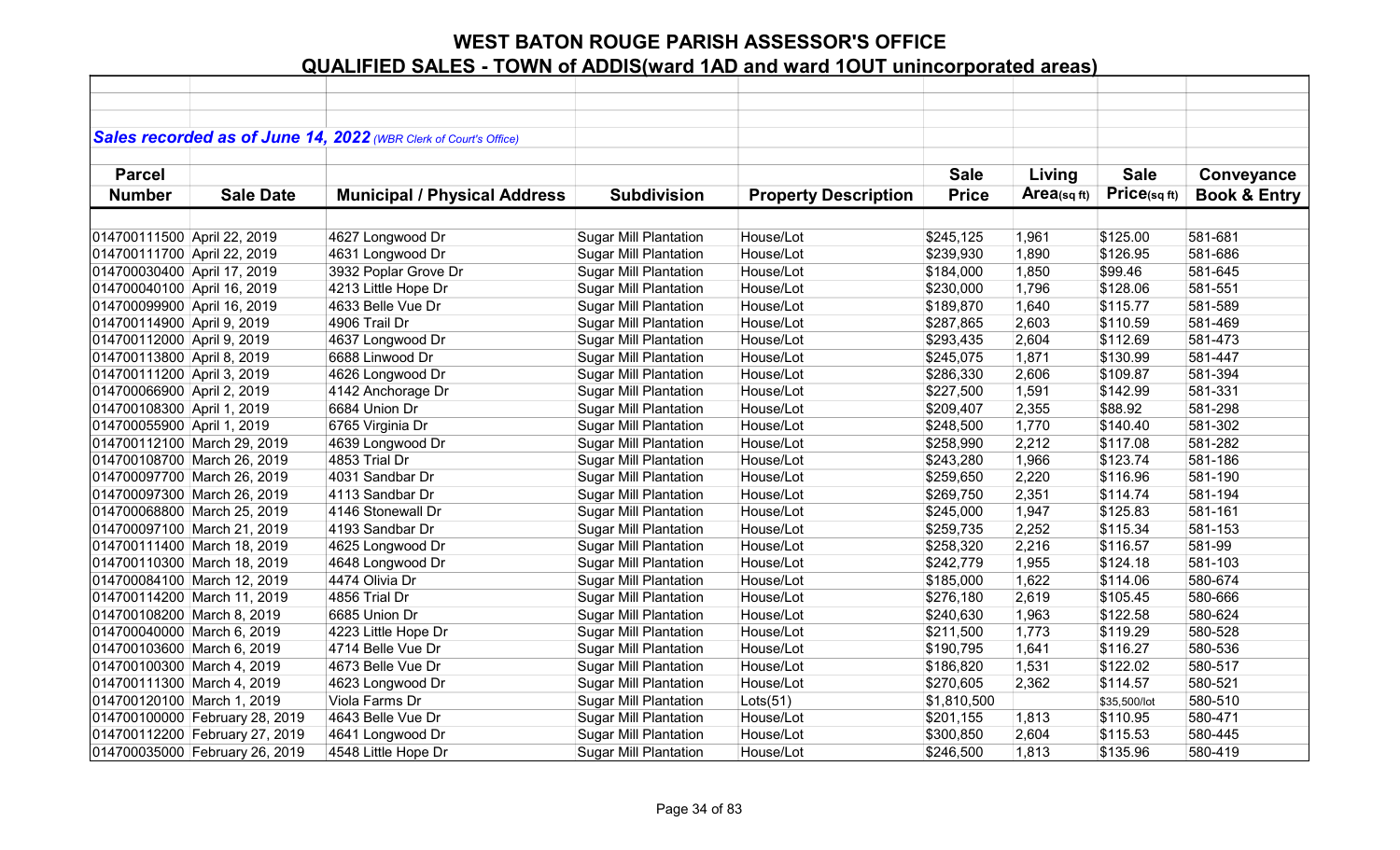|                             |                                | Sales recorded as of June 14, 2022 (WBR Clerk of Court's Office) |                              |                             |              |            |              |                         |
|-----------------------------|--------------------------------|------------------------------------------------------------------|------------------------------|-----------------------------|--------------|------------|--------------|-------------------------|
|                             |                                |                                                                  |                              |                             |              |            |              |                         |
| <b>Parcel</b>               |                                |                                                                  |                              |                             | <b>Sale</b>  | Living     | <b>Sale</b>  | Conveyance              |
| <b>Number</b>               | <b>Sale Date</b>               | <b>Municipal / Physical Address</b>                              | <b>Subdivision</b>           | <b>Property Description</b> | <b>Price</b> | Area(sqft) | Price(sqft)  | <b>Book &amp; Entry</b> |
|                             |                                |                                                                  |                              |                             |              |            |              |                         |
| 014700111500 April 22, 2019 |                                | 4627 Longwood Dr                                                 | <b>Sugar Mill Plantation</b> | House/Lot                   | \$245,125    | 1,961      | \$125.00     | 581-681                 |
| 014700111700 April 22, 2019 |                                | 4631 Longwood Dr                                                 | <b>Sugar Mill Plantation</b> | House/Lot                   | \$239,930    | 1,890      | \$126.95     | 581-686                 |
| 014700030400 April 17, 2019 |                                | 3932 Poplar Grove Dr                                             | <b>Sugar Mill Plantation</b> | House/Lot                   | \$184,000    | 1,850      | \$99.46      | 581-645                 |
| 014700040100 April 16, 2019 |                                | 4213 Little Hope Dr                                              | <b>Sugar Mill Plantation</b> | House/Lot                   | \$230,000    | 1,796      | \$128.06     | 581-551                 |
| 014700099900 April 16, 2019 |                                | 4633 Belle Vue Dr                                                | <b>Sugar Mill Plantation</b> | House/Lot                   | \$189,870    | 1,640      | \$115.77     | 581-589                 |
| 014700114900 April 9, 2019  |                                | 4906 Trail Dr                                                    | <b>Sugar Mill Plantation</b> | House/Lot                   | \$287,865    | 2,603      | \$110.59     | 581-469                 |
| 014700112000 April 9, 2019  |                                | 4637 Longwood Dr                                                 | <b>Sugar Mill Plantation</b> | House/Lot                   | \$293,435    | 2,604      | \$112.69     | 581-473                 |
| 014700113800 April 8, 2019  |                                | 6688 Linwood Dr                                                  | <b>Sugar Mill Plantation</b> | House/Lot                   | \$245,075    | 1,871      | \$130.99     | 581-447                 |
| 014700111200 April 3, 2019  |                                | 4626 Longwood Dr                                                 | Sugar Mill Plantation        | House/Lot                   | \$286,330    | 2,606      | \$109.87     | 581-394                 |
| 014700066900 April 2, 2019  |                                | 4142 Anchorage Dr                                                | <b>Sugar Mill Plantation</b> | House/Lot                   | \$227,500    | 1,591      | \$142.99     | 581-331                 |
| 014700108300 April 1, 2019  |                                | 6684 Union Dr                                                    | <b>Sugar Mill Plantation</b> | House/Lot                   | \$209,407    | 2,355      | \$88.92      | 581-298                 |
| 014700055900 April 1, 2019  |                                | 6765 Virginia Dr                                                 | <b>Sugar Mill Plantation</b> | House/Lot                   | \$248,500    | 1,770      | \$140.40     | 581-302                 |
| 014700112100 March 29, 2019 |                                | 4639 Longwood Dr                                                 | <b>Sugar Mill Plantation</b> | House/Lot                   | \$258,990    | 2,212      | \$117.08     | 581-282                 |
| 014700108700 March 26, 2019 |                                | 4853 Trial Dr                                                    | <b>Sugar Mill Plantation</b> | House/Lot                   | \$243,280    | 1,966      | \$123.74     | 581-186                 |
| 014700097700 March 26, 2019 |                                | 4031 Sandbar Dr                                                  | <b>Sugar Mill Plantation</b> | House/Lot                   | \$259,650    | 2,220      | \$116.96     | 581-190                 |
| 014700097300 March 26, 2019 |                                | 4113 Sandbar Dr                                                  | <b>Sugar Mill Plantation</b> | House/Lot                   | \$269,750    | 2,351      | \$114.74     | 581-194                 |
| 014700068800 March 25, 2019 |                                | 4146 Stonewall Dr                                                | Sugar Mill Plantation        | House/Lot                   | \$245,000    | 1,947      | \$125.83     | 581-161                 |
| 014700097100 March 21, 2019 |                                | 4193 Sandbar Dr                                                  | <b>Sugar Mill Plantation</b> | House/Lot                   | \$259,735    | 2,252      | \$115.34     | 581-153                 |
| 014700111400 March 18, 2019 |                                | 4625 Longwood Dr                                                 | <b>Sugar Mill Plantation</b> | House/Lot                   | \$258,320    | 2,216      | \$116.57     | 581-99                  |
| 014700110300 March 18, 2019 |                                | 4648 Longwood Dr                                                 | <b>Sugar Mill Plantation</b> | House/Lot                   | \$242,779    | 1,955      | \$124.18     | 581-103                 |
| 014700084100 March 12, 2019 |                                | 4474 Olivia Dr                                                   | <b>Sugar Mill Plantation</b> | House/Lot                   | \$185,000    | 1,622      | \$114.06     | 580-674                 |
| 014700114200 March 11, 2019 |                                | 4856 Trial Dr                                                    | <b>Sugar Mill Plantation</b> | House/Lot                   | \$276,180    | 2,619      | \$105.45     | 580-666                 |
| 014700108200 March 8, 2019  |                                | 6685 Union Dr                                                    | <b>Sugar Mill Plantation</b> | House/Lot                   | \$240,630    | 1,963      | \$122.58     | 580-624                 |
| 014700040000 March 6, 2019  |                                | 4223 Little Hope Dr                                              | <b>Sugar Mill Plantation</b> | House/Lot                   | \$211,500    | 1,773      | \$119.29     | 580-528                 |
| 014700103600 March 6, 2019  |                                | 4714 Belle Vue Dr                                                | <b>Sugar Mill Plantation</b> | House/Lot                   | \$190,795    | 1,641      | \$116.27     | 580-536                 |
| 014700100300 March 4, 2019  |                                | 4673 Belle Vue Dr                                                | <b>Sugar Mill Plantation</b> | House/Lot                   | \$186,820    | 1,531      | \$122.02     | 580-517                 |
| 014700111300 March 4, 2019  |                                | 4623 Longwood Dr                                                 | <b>Sugar Mill Plantation</b> | House/Lot                   | \$270,605    | 2,362      | \$114.57     | 580-521                 |
| 014700120100 March 1, 2019  |                                | Viola Farms Dr                                                   | <b>Sugar Mill Plantation</b> | Lots(51)                    | \$1,810,500  |            | \$35,500/lot | 580-510                 |
|                             | 014700100000 February 28, 2019 | 4643 Belle Vue Dr                                                | <b>Sugar Mill Plantation</b> | House/Lot                   | \$201,155    | 1,813      | \$110.95     | 580-471                 |
|                             | 014700112200 February 27, 2019 | 4641 Longwood Dr                                                 | <b>Sugar Mill Plantation</b> | House/Lot                   | \$300,850    | 2,604      | \$115.53     | 580-445                 |
|                             | 014700035000 February 26, 2019 | 4548 Little Hope Dr                                              | <b>Sugar Mill Plantation</b> | House/Lot                   | \$246,500    | 1,813      | \$135.96     | 580-419                 |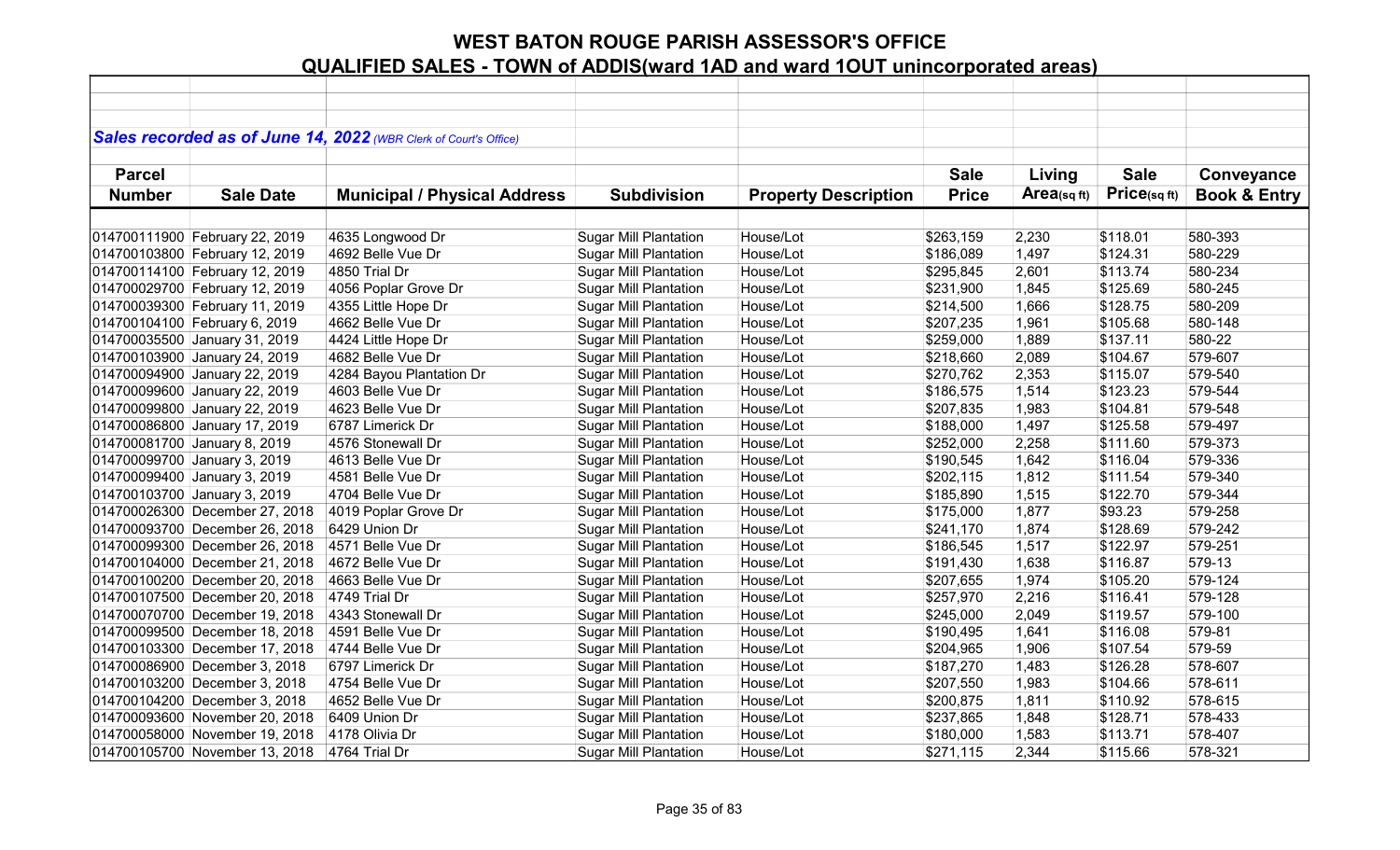|               |                                | Sales recorded as of June 14, 2022 (WBR Clerk of Court's Office) |                              |                             |              |            |             |                         |
|---------------|--------------------------------|------------------------------------------------------------------|------------------------------|-----------------------------|--------------|------------|-------------|-------------------------|
|               |                                |                                                                  |                              |                             |              |            |             |                         |
| <b>Parcel</b> |                                |                                                                  |                              |                             | <b>Sale</b>  | Living     | <b>Sale</b> | Conveyance              |
| <b>Number</b> | <b>Sale Date</b>               | <b>Municipal / Physical Address</b>                              | <b>Subdivision</b>           | <b>Property Description</b> | <b>Price</b> | Area(sqft) | Price(sqft) | <b>Book &amp; Entry</b> |
|               |                                |                                                                  |                              |                             |              |            |             |                         |
|               | 014700111900 February 22, 2019 | 4635 Longwood Dr                                                 | <b>Sugar Mill Plantation</b> | House/Lot                   | \$263,159    | 2,230      | \$118.01    | 580-393                 |
|               | 014700103800 February 12, 2019 | 4692 Belle Vue Dr                                                | <b>Sugar Mill Plantation</b> | House/Lot                   | \$186,089    | 1,497      | \$124.31    | 580-229                 |
|               | 014700114100 February 12, 2019 | 4850 Trial Dr                                                    | <b>Sugar Mill Plantation</b> | House/Lot                   | \$295,845    | 2,601      | \$113.74    | 580-234                 |
|               | 014700029700 February 12, 2019 | 4056 Poplar Grove Dr                                             | <b>Sugar Mill Plantation</b> | House/Lot                   | \$231,900    | 1,845      | \$125.69    | 580-245                 |
|               | 014700039300 February 11, 2019 | 4355 Little Hope Dr                                              | <b>Sugar Mill Plantation</b> | House/Lot                   | \$214,500    | 1,666      | \$128.75    | 580-209                 |
|               | 014700104100 February 6, 2019  | 4662 Belle Vue Dr                                                | <b>Sugar Mill Plantation</b> | House/Lot                   | \$207,235    | 1,961      | \$105.68    | 580-148                 |
|               | 014700035500 January 31, 2019  | 4424 Little Hope Dr                                              | <b>Sugar Mill Plantation</b> | House/Lot                   | \$259,000    | 1,889      | \$137.11    | 580-22                  |
|               | 014700103900 January 24, 2019  | 4682 Belle Vue Dr                                                | <b>Sugar Mill Plantation</b> | House/Lot                   | \$218,660    | 2,089      | \$104.67    | 579-607                 |
|               | 014700094900 January 22, 2019  | 4284 Bayou Plantation Dr                                         | <b>Sugar Mill Plantation</b> | House/Lot                   | \$270,762    | 2,353      | \$115.07    | 579-540                 |
|               | 014700099600 January 22, 2019  | 4603 Belle Vue Dr                                                | <b>Sugar Mill Plantation</b> | House/Lot                   | \$186,575    | 1,514      | \$123.23    | 579-544                 |
|               | 014700099800 January 22, 2019  | 4623 Belle Vue Dr                                                | <b>Sugar Mill Plantation</b> | House/Lot                   | \$207,835    | 1,983      | \$104.81    | 579-548                 |
|               | 014700086800 January 17, 2019  | 6787 Limerick Dr                                                 | <b>Sugar Mill Plantation</b> | House/Lot                   | \$188,000    | 1,497      | \$125.58    | 579-497                 |
|               | 014700081700 January 8, 2019   | 4576 Stonewall Dr                                                | <b>Sugar Mill Plantation</b> | House/Lot                   | \$252,000    | 2,258      | \$111.60    | 579-373                 |
|               | 014700099700 January 3, 2019   | 4613 Belle Vue Dr                                                | <b>Sugar Mill Plantation</b> | House/Lot                   | \$190,545    | 1,642      | \$116.04    | 579-336                 |
|               | 014700099400 January 3, 2019   | 4581 Belle Vue Dr                                                | <b>Sugar Mill Plantation</b> | House/Lot                   | \$202,115    | 1,812      | \$111.54    | 579-340                 |
|               | 014700103700 January 3, 2019   | 4704 Belle Vue Dr                                                | <b>Sugar Mill Plantation</b> | House/Lot                   | \$185,890    | 1,515      | \$122.70    | 579-344                 |
|               | 014700026300 December 27, 2018 | 4019 Poplar Grove Dr                                             | <b>Sugar Mill Plantation</b> | House/Lot                   | \$175,000    | 1,877      | \$93.23     | 579-258                 |
|               | 014700093700 December 26, 2018 | 6429 Union Dr                                                    | <b>Sugar Mill Plantation</b> | House/Lot                   | \$241,170    | 1,874      | \$128.69    | 579-242                 |
|               | 014700099300 December 26, 2018 | 4571 Belle Vue Dr                                                | <b>Sugar Mill Plantation</b> | House/Lot                   | \$186,545    | 1,517      | \$122.97    | 579-251                 |
|               | 014700104000 December 21, 2018 | 4672 Belle Vue Dr                                                | <b>Sugar Mill Plantation</b> | House/Lot                   | \$191,430    | 1,638      | \$116.87    | 579-13                  |
|               | 014700100200 December 20, 2018 | 4663 Belle Vue Dr                                                | <b>Sugar Mill Plantation</b> | House/Lot                   | \$207,655    | 1,974      | \$105.20    | 579-124                 |
|               | 014700107500 December 20, 2018 | 4749 Trial Dr                                                    | <b>Sugar Mill Plantation</b> | House/Lot                   | \$257,970    | 2,216      | \$116.41    | 579-128                 |
|               | 014700070700 December 19, 2018 | 4343 Stonewall Dr                                                | <b>Sugar Mill Plantation</b> | House/Lot                   | \$245,000    | 2,049      | \$119.57    | 579-100                 |
|               | 014700099500 December 18, 2018 | 4591 Belle Vue Dr                                                | <b>Sugar Mill Plantation</b> | House/Lot                   | \$190,495    | 1,641      | \$116.08    | 579-81                  |
|               | 014700103300 December 17, 2018 | 4744 Belle Vue Dr                                                | <b>Sugar Mill Plantation</b> | House/Lot                   | \$204,965    | 1,906      | \$107.54    | 579-59                  |
|               | 014700086900 December 3, 2018  | 6797 Limerick Dr                                                 | <b>Sugar Mill Plantation</b> | House/Lot                   | \$187,270    | 1,483      | \$126.28    | 578-607                 |
|               | 014700103200 December 3, 2018  | 4754 Belle Vue Dr                                                | <b>Sugar Mill Plantation</b> | House/Lot                   | \$207,550    | 1,983      | \$104.66    | 578-611                 |
|               | 014700104200 December 3, 2018  | 4652 Belle Vue Dr                                                | <b>Sugar Mill Plantation</b> | House/Lot                   | \$200,875    | 1,811      | \$110.92    | 578-615                 |
|               | 014700093600 November 20, 2018 | 6409 Union Dr                                                    | <b>Sugar Mill Plantation</b> | House/Lot                   | \$237,865    | 1,848      | \$128.71    | 578-433                 |
|               | 014700058000 November 19, 2018 | 4178 Olivia Dr                                                   | <b>Sugar Mill Plantation</b> | House/Lot                   | \$180,000    | 1,583      | \$113.71    | 578-407                 |
|               | 014700105700 November 13, 2018 | 4764 Trial Dr                                                    | <b>Sugar Mill Plantation</b> | House/Lot                   | \$271,115    | 2,344      | \$115.66    | 578-321                 |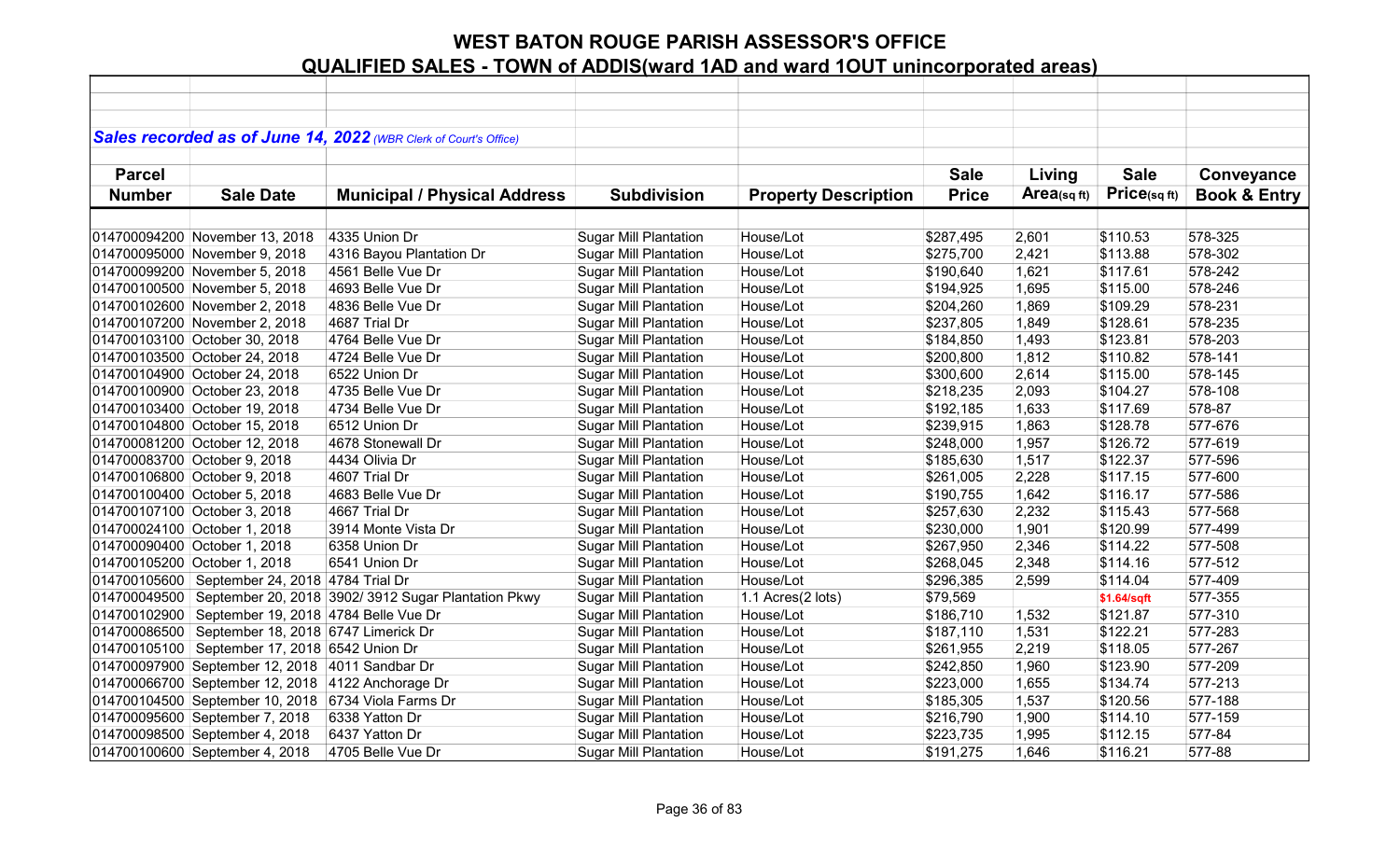|               |                                                     | Sales recorded as of June 14, 2022 (WBR Clerk of Court's Office) |                              |                             |              |            |             |                         |
|---------------|-----------------------------------------------------|------------------------------------------------------------------|------------------------------|-----------------------------|--------------|------------|-------------|-------------------------|
|               |                                                     |                                                                  |                              |                             |              |            |             |                         |
| <b>Parcel</b> |                                                     |                                                                  |                              |                             | <b>Sale</b>  | Living     | <b>Sale</b> | Conveyance              |
| <b>Number</b> | <b>Sale Date</b>                                    | <b>Municipal / Physical Address</b>                              | <b>Subdivision</b>           | <b>Property Description</b> | <b>Price</b> | Area(sqft) | Price(sqft) | <b>Book &amp; Entry</b> |
|               |                                                     |                                                                  |                              |                             |              |            |             |                         |
|               | 014700094200 November 13, 2018                      | 4335 Union Dr                                                    | <b>Sugar Mill Plantation</b> | House/Lot                   | \$287,495    | 2,601      | \$110.53    | 578-325                 |
|               | 014700095000 November 9, 2018                       | 4316 Bayou Plantation Dr                                         | <b>Sugar Mill Plantation</b> | House/Lot                   | \$275,700    | 2,421      | \$113.88    | 578-302                 |
|               | 014700099200 November 5, 2018                       | 4561 Belle Vue Dr                                                | <b>Sugar Mill Plantation</b> | House/Lot                   | \$190,640    | 1,621      | \$117.61    | 578-242                 |
|               | 014700100500 November 5, 2018                       | 4693 Belle Vue Dr                                                | <b>Sugar Mill Plantation</b> | House/Lot                   | \$194,925    | 1,695      | \$115.00    | 578-246                 |
|               | 014700102600 November 2, 2018                       | 4836 Belle Vue Dr                                                | <b>Sugar Mill Plantation</b> | House/Lot                   | \$204,260    | 1,869      | \$109.29    | 578-231                 |
|               | 014700107200 November 2, 2018                       | 4687 Trial Dr                                                    | <b>Sugar Mill Plantation</b> | House/Lot                   | \$237,805    | 1,849      | \$128.61    | 578-235                 |
|               | 014700103100 October 30, 2018                       | 4764 Belle Vue Dr                                                | <b>Sugar Mill Plantation</b> | House/Lot                   | \$184,850    | 1,493      | \$123.81    | 578-203                 |
|               | 014700103500 October 24, 2018                       | 4724 Belle Vue Dr                                                | <b>Sugar Mill Plantation</b> | House/Lot                   | \$200,800    | 1,812      | \$110.82    | 578-141                 |
|               | 014700104900 October 24, 2018                       | 6522 Union Dr                                                    | <b>Sugar Mill Plantation</b> | House/Lot                   | \$300,600    | 2,614      | \$115.00    | 578-145                 |
|               | 014700100900 October 23, 2018                       | 4735 Belle Vue Dr                                                | <b>Sugar Mill Plantation</b> | House/Lot                   | \$218,235    | 2,093      | \$104.27    | 578-108                 |
|               | 014700103400 October 19, 2018                       | 4734 Belle Vue Dr                                                | <b>Sugar Mill Plantation</b> | House/Lot                   | \$192,185    | 1,633      | \$117.69    | 578-87                  |
|               | 014700104800 October 15, 2018                       | 6512 Union Dr                                                    | <b>Sugar Mill Plantation</b> | House/Lot                   | \$239,915    | 1,863      | \$128.78    | 577-676                 |
|               | 014700081200 October 12, 2018                       | 4678 Stonewall Dr                                                | <b>Sugar Mill Plantation</b> | House/Lot                   | \$248,000    | 1,957      | \$126.72    | 577-619                 |
|               | 014700083700 October 9, 2018                        | 4434 Olivia Dr                                                   | <b>Sugar Mill Plantation</b> | House/Lot                   | \$185,630    | 1,517      | \$122.37    | 577-596                 |
|               | 014700106800 October 9, 2018                        | 4607 Trial Dr                                                    | <b>Sugar Mill Plantation</b> | House/Lot                   | \$261,005    | 2,228      | \$117.15    | 577-600                 |
|               | 014700100400 October 5, 2018                        | 4683 Belle Vue Dr                                                | <b>Sugar Mill Plantation</b> | House/Lot                   | \$190,755    | 1,642      | \$116.17    | 577-586                 |
|               | 014700107100 October 3, 2018                        | 4667 Trial Dr                                                    | <b>Sugar Mill Plantation</b> | House/Lot                   | \$257,630    | 2,232      | \$115.43    | 577-568                 |
|               | 014700024100 October 1, 2018                        | 3914 Monte Vista Dr                                              | <b>Sugar Mill Plantation</b> | House/Lot                   | \$230,000    | 1,901      | \$120.99    | 577-499                 |
|               | 014700090400 October 1, 2018                        | 6358 Union Dr                                                    | <b>Sugar Mill Plantation</b> | House/Lot                   | \$267,950    | 2,346      | \$114.22    | 577-508                 |
|               | 014700105200 October 1, 2018                        | 6541 Union Dr                                                    | <b>Sugar Mill Plantation</b> | House/Lot                   | \$268,045    | 2,348      | \$114.16    | 577-512                 |
|               | 014700105600 September 24, 2018 4784 Trial Dr       |                                                                  | <b>Sugar Mill Plantation</b> | House/Lot                   | \$296,385    | 2,599      | \$114.04    | 577-409                 |
| 014700049500  |                                                     | September 20, 2018 3902/ 3912 Sugar Plantation Pkwy              | <b>Sugar Mill Plantation</b> | 1.1 Acres(2 lots)           | \$79,569     |            | \$1.64/sqft | 577-355                 |
| 014700102900  | September 19, 2018 4784 Belle Vue Dr                |                                                                  | <b>Sugar Mill Plantation</b> | House/Lot                   | \$186,710    | 1,532      | \$121.87    | 577-310                 |
|               | 014700086500 September 18, 2018 6747 Limerick Dr    |                                                                  | <b>Sugar Mill Plantation</b> | House/Lot                   | \$187,110    | 1,531      | \$122.21    | 577-283                 |
| 014700105100  | September 17, 2018 6542 Union Dr                    |                                                                  | <b>Sugar Mill Plantation</b> | House/Lot                   | \$261,955    | 2,219      | \$118.05    | 577-267                 |
|               | 014700097900 September 12, 2018 4011 Sandbar Dr     |                                                                  | <b>Sugar Mill Plantation</b> | House/Lot                   | \$242,850    | 1,960      | \$123.90    | 577-209                 |
|               | 014700066700 September 12, 2018 4122 Anchorage Dr   |                                                                  | <b>Sugar Mill Plantation</b> | House/Lot                   | \$223,000    | 1,655      | \$134.74    | 577-213                 |
|               | 014700104500 September 10, 2018 6734 Viola Farms Dr |                                                                  | <b>Sugar Mill Plantation</b> | House/Lot                   | \$185,305    | 1,537      | \$120.56    | 577-188                 |
|               | 014700095600 September 7, 2018                      | 6338 Yatton Dr                                                   | <b>Sugar Mill Plantation</b> | House/Lot                   | \$216,790    | 1,900      | \$114.10    | 577-159                 |
|               | 014700098500 September 4, 2018                      | 6437 Yatton Dr                                                   | <b>Sugar Mill Plantation</b> | House/Lot                   | \$223,735    | 1,995      | \$112.15    | 577-84                  |
|               | 014700100600 September 4, 2018                      | 4705 Belle Vue Dr                                                | <b>Sugar Mill Plantation</b> | House/Lot                   | \$191,275    | 1,646      | \$116.21    | 577-88                  |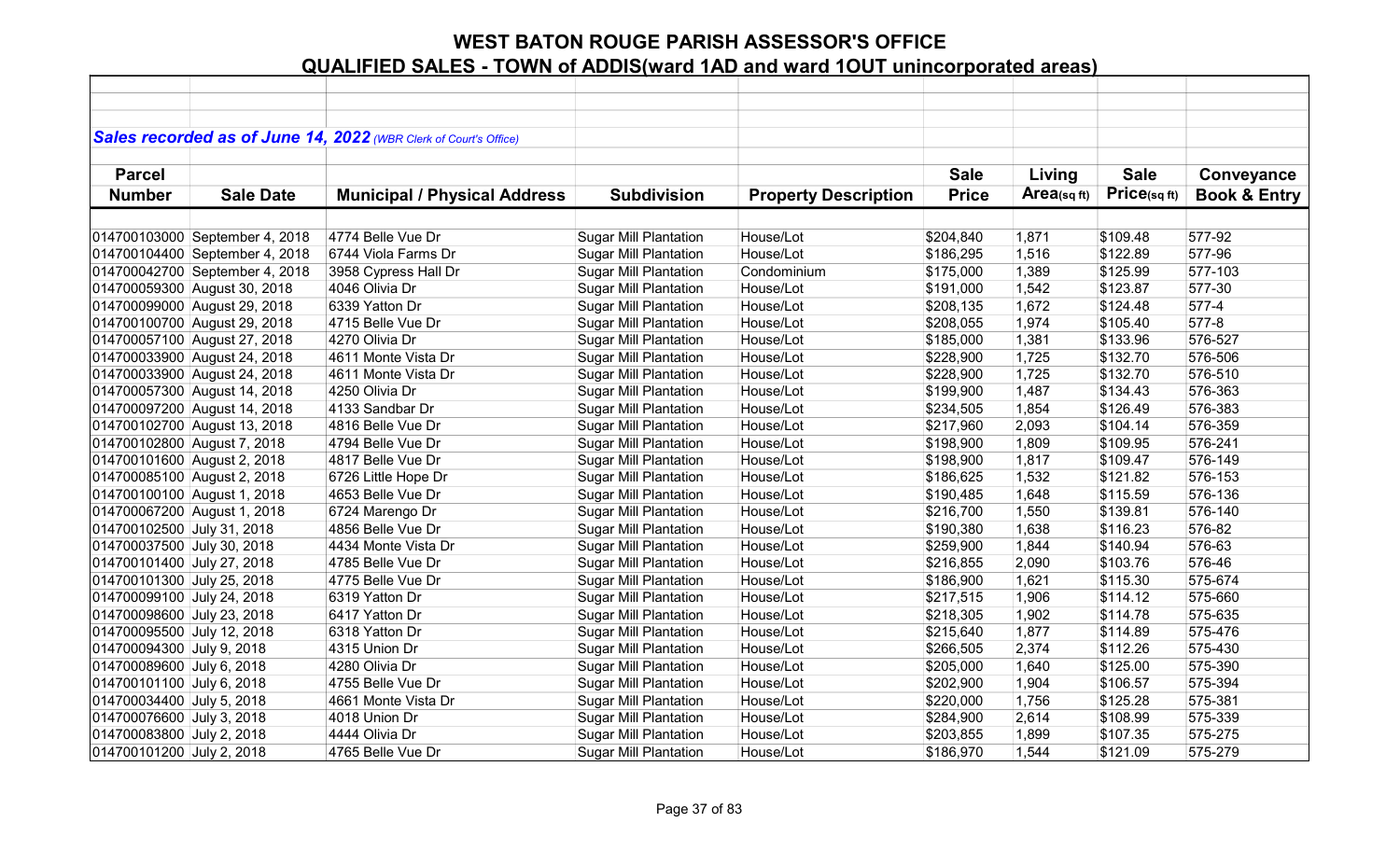|                             |                                | Sales recorded as of June 14, 2022 (WBR Clerk of Court's Office) |                              |                             |              |             |             |                         |
|-----------------------------|--------------------------------|------------------------------------------------------------------|------------------------------|-----------------------------|--------------|-------------|-------------|-------------------------|
|                             |                                |                                                                  |                              |                             |              |             |             |                         |
| <b>Parcel</b>               |                                |                                                                  |                              |                             | <b>Sale</b>  | Living      | <b>Sale</b> | Conveyance              |
| <b>Number</b>               | <b>Sale Date</b>               | <b>Municipal / Physical Address</b>                              | <b>Subdivision</b>           | <b>Property Description</b> | <b>Price</b> | Area(sq ft) | Price(sqft) | <b>Book &amp; Entry</b> |
|                             |                                |                                                                  |                              |                             |              |             |             |                         |
|                             | 014700103000 September 4, 2018 | 4774 Belle Vue Dr                                                | <b>Sugar Mill Plantation</b> | House/Lot                   | \$204,840    | 1,871       | \$109.48    | 577-92                  |
|                             | 014700104400 September 4, 2018 | 6744 Viola Farms Dr                                              | <b>Sugar Mill Plantation</b> | House/Lot                   | \$186,295    | 1,516       | \$122.89    | 577-96                  |
|                             | 014700042700 September 4, 2018 | 3958 Cypress Hall Dr                                             | <b>Sugar Mill Plantation</b> | Condominium                 | \$175,000    | 1,389       | \$125.99    | 577-103                 |
|                             | 014700059300 August 30, 2018   | 4046 Olivia Dr                                                   | <b>Sugar Mill Plantation</b> | House/Lot                   | \$191,000    | 1,542       | \$123.87    | 577-30                  |
|                             | 014700099000 August 29, 2018   | 6339 Yatton Dr                                                   | <b>Sugar Mill Plantation</b> | House/Lot                   | \$208,135    | 1,672       | \$124.48    | 577-4                   |
|                             | 014700100700 August 29, 2018   | 4715 Belle Vue Dr                                                | <b>Sugar Mill Plantation</b> | House/Lot                   | \$208,055    | 1,974       | \$105.40    | 577-8                   |
|                             | 014700057100 August 27, 2018   | 4270 Olivia Dr                                                   | <b>Sugar Mill Plantation</b> | House/Lot                   | \$185,000    | 1,381       | \$133.96    | 576-527                 |
|                             | 014700033900 August 24, 2018   | 4611 Monte Vista Dr                                              | <b>Sugar Mill Plantation</b> | House/Lot                   | \$228,900    | 1,725       | \$132.70    | 576-506                 |
|                             | 014700033900 August 24, 2018   | 4611 Monte Vista Dr                                              | <b>Sugar Mill Plantation</b> | House/Lot                   | \$228,900    | 1,725       | \$132.70    | 576-510                 |
|                             | 014700057300 August 14, 2018   | 4250 Olivia Dr                                                   | <b>Sugar Mill Plantation</b> | House/Lot                   | \$199,900    | 1,487       | \$134.43    | 576-363                 |
|                             | 014700097200 August 14, 2018   | 4133 Sandbar Dr                                                  | <b>Sugar Mill Plantation</b> | House/Lot                   | \$234,505    | 1,854       | \$126.49    | 576-383                 |
|                             | 014700102700 August 13, 2018   | 4816 Belle Vue Dr                                                | <b>Sugar Mill Plantation</b> | House/Lot                   | \$217,960    | 2,093       | \$104.14    | 576-359                 |
| 014700102800 August 7, 2018 |                                | 4794 Belle Vue Dr                                                | <b>Sugar Mill Plantation</b> | House/Lot                   | \$198,900    | 1,809       | \$109.95    | 576-241                 |
| 014700101600 August 2, 2018 |                                | 4817 Belle Vue Dr                                                | <b>Sugar Mill Plantation</b> | House/Lot                   | \$198,900    | 1,817       | \$109.47    | 576-149                 |
| 014700085100 August 2, 2018 |                                | 6726 Little Hope Dr                                              | <b>Sugar Mill Plantation</b> | House/Lot                   | \$186,625    | 1,532       | \$121.82    | 576-153                 |
| 014700100100 August 1, 2018 |                                | 4653 Belle Vue Dr                                                | <b>Sugar Mill Plantation</b> | House/Lot                   | \$190,485    | 1,648       | \$115.59    | 576-136                 |
| 014700067200 August 1, 2018 |                                | 6724 Marengo Dr                                                  | <b>Sugar Mill Plantation</b> | House/Lot                   | \$216,700    | 1,550       | \$139.81    | 576-140                 |
| 014700102500 July 31, 2018  |                                | 4856 Belle Vue Dr                                                | <b>Sugar Mill Plantation</b> | House/Lot                   | \$190,380    | 1,638       | \$116.23    | 576-82                  |
| 014700037500 July 30, 2018  |                                | 4434 Monte Vista Dr                                              | <b>Sugar Mill Plantation</b> | House/Lot                   | \$259,900    | 1,844       | \$140.94    | 576-63                  |
| 014700101400 July 27, 2018  |                                | 4785 Belle Vue Dr                                                | <b>Sugar Mill Plantation</b> | House/Lot                   | \$216,855    | 2,090       | \$103.76    | 576-46                  |
| 014700101300 July 25, 2018  |                                | 4775 Belle Vue Dr                                                | <b>Sugar Mill Plantation</b> | House/Lot                   | \$186,900    | 1,621       | \$115.30    | 575-674                 |
| 014700099100 July 24, 2018  |                                | 6319 Yatton Dr                                                   | <b>Sugar Mill Plantation</b> | House/Lot                   | \$217,515    | 1,906       | \$114.12    | 575-660                 |
| 014700098600 July 23, 2018  |                                | 6417 Yatton Dr                                                   | <b>Sugar Mill Plantation</b> | House/Lot                   | \$218,305    | 1,902       | \$114.78    | 575-635                 |
| 014700095500 July 12, 2018  |                                | 6318 Yatton Dr                                                   | <b>Sugar Mill Plantation</b> | House/Lot                   | \$215,640    | 1,877       | \$114.89    | 575-476                 |
| 014700094300 July 9, 2018   |                                | 4315 Union Dr                                                    | Sugar Mill Plantation        | House/Lot                   | \$266,505    | 2,374       | \$112.26    | 575-430                 |
| 014700089600 July 6, 2018   |                                | 4280 Olivia Dr                                                   | <b>Sugar Mill Plantation</b> | House/Lot                   | \$205,000    | 1,640       | \$125.00    | 575-390                 |
| 014700101100 July 6, 2018   |                                | 4755 Belle Vue Dr                                                | <b>Sugar Mill Plantation</b> | House/Lot                   | \$202,900    | 1,904       | \$106.57    | 575-394                 |
| 014700034400 July 5, 2018   |                                | 4661 Monte Vista Dr                                              | <b>Sugar Mill Plantation</b> | House/Lot                   | \$220,000    | 1,756       | \$125.28    | 575-381                 |
| 014700076600 July 3, 2018   |                                | 4018 Union Dr                                                    | <b>Sugar Mill Plantation</b> | House/Lot                   | \$284,900    | 2,614       | \$108.99    | 575-339                 |
| 014700083800 July 2, 2018   |                                | 4444 Olivia Dr                                                   | <b>Sugar Mill Plantation</b> | House/Lot                   | \$203,855    | 1,899       | \$107.35    | 575-275                 |
| 014700101200 July 2, 2018   |                                | 4765 Belle Vue Dr                                                | <b>Sugar Mill Plantation</b> | House/Lot                   | \$186,970    | 1,544       | \$121.09    | 575-279                 |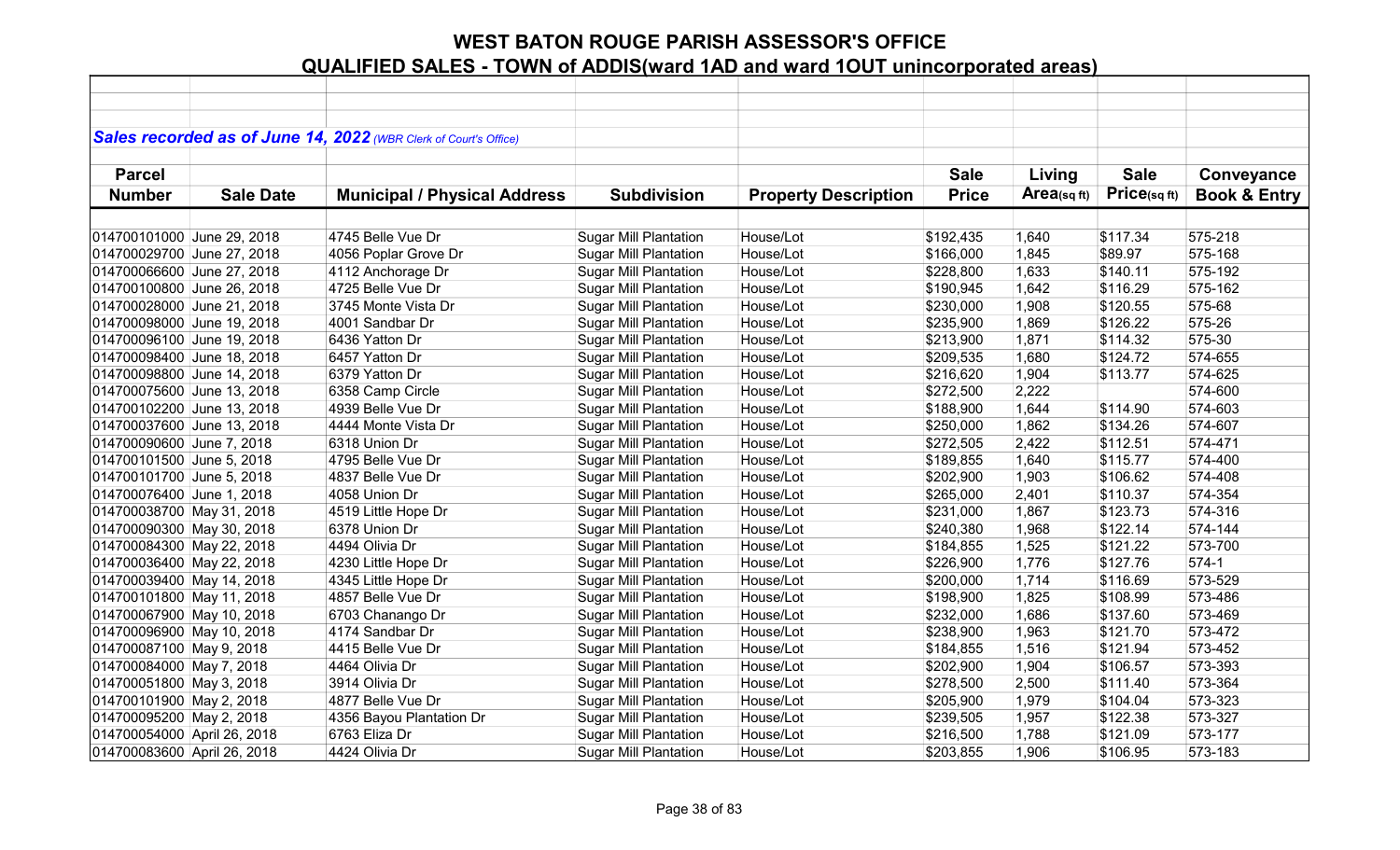|                             |                  | Sales recorded as of June 14, 2022 (WBR Clerk of Court's Office) |                              |                             |              |             |                   |                         |
|-----------------------------|------------------|------------------------------------------------------------------|------------------------------|-----------------------------|--------------|-------------|-------------------|-------------------------|
|                             |                  |                                                                  |                              |                             |              |             |                   |                         |
| <b>Parcel</b>               |                  |                                                                  |                              |                             | <b>Sale</b>  | Living      | <b>Sale</b>       | Conveyance              |
| <b>Number</b>               | <b>Sale Date</b> | <b>Municipal / Physical Address</b>                              | <b>Subdivision</b>           | <b>Property Description</b> | <b>Price</b> | Area(sq ft) | $Price_{(sq ft)}$ | <b>Book &amp; Entry</b> |
|                             |                  |                                                                  |                              |                             |              |             |                   |                         |
| 014700101000 June 29, 2018  |                  | 4745 Belle Vue Dr                                                | <b>Sugar Mill Plantation</b> | House/Lot                   | \$192,435    | 1,640       | \$117.34          | 575-218                 |
| 014700029700 June 27, 2018  |                  | 4056 Poplar Grove Dr                                             | <b>Sugar Mill Plantation</b> | House/Lot                   | \$166,000    | 1,845       | \$89.97           | 575-168                 |
| 014700066600 June 27, 2018  |                  | 4112 Anchorage Dr                                                | <b>Sugar Mill Plantation</b> | House/Lot                   | \$228,800    | 1,633       | \$140.11          | 575-192                 |
| 014700100800 June 26, 2018  |                  | 4725 Belle Vue Dr                                                | <b>Sugar Mill Plantation</b> | House/Lot                   | \$190,945    | 1,642       | \$116.29          | 575-162                 |
| 014700028000 June 21, 2018  |                  | 3745 Monte Vista Dr                                              | <b>Sugar Mill Plantation</b> | House/Lot                   | \$230,000    | 1,908       | \$120.55          | 575-68                  |
| 014700098000 June 19, 2018  |                  | 4001 Sandbar Dr                                                  | <b>Sugar Mill Plantation</b> | House/Lot                   | \$235,900    | 1,869       | \$126.22          | 575-26                  |
| 014700096100 June 19, 2018  |                  | 6436 Yatton Dr                                                   | <b>Sugar Mill Plantation</b> | House/Lot                   | \$213,900    | 1,871       | \$114.32          | 575-30                  |
| 014700098400 June 18, 2018  |                  | 6457 Yatton Dr                                                   | <b>Sugar Mill Plantation</b> | House/Lot                   | \$209,535    | 1,680       | \$124.72          | 574-655                 |
| 014700098800 June 14, 2018  |                  | 6379 Yatton Dr                                                   | <b>Sugar Mill Plantation</b> | House/Lot                   | \$216,620    | 1,904       | \$113.77          | 574-625                 |
| 014700075600 June 13, 2018  |                  | 6358 Camp Circle                                                 | <b>Sugar Mill Plantation</b> | House/Lot                   | \$272,500    | 2,222       |                   | 574-600                 |
| 014700102200 June 13, 2018  |                  | 4939 Belle Vue Dr                                                | <b>Sugar Mill Plantation</b> | House/Lot                   | \$188,900    | 1,644       | \$114.90          | 574-603                 |
| 014700037600 June 13, 2018  |                  | 4444 Monte Vista Dr                                              | <b>Sugar Mill Plantation</b> | House/Lot                   | \$250,000    | 1,862       | \$134.26          | 574-607                 |
| 014700090600 June 7, 2018   |                  | 6318 Union Dr                                                    | Sugar Mill Plantation        | House/Lot                   | \$272,505    | 2,422       | \$112.51          | 574-471                 |
| 014700101500 June 5, 2018   |                  | 4795 Belle Vue Dr                                                | <b>Sugar Mill Plantation</b> | House/Lot                   | \$189,855    | 1,640       | \$115.77          | 574-400                 |
| 014700101700 June 5, 2018   |                  | 4837 Belle Vue Dr                                                | <b>Sugar Mill Plantation</b> | House/Lot                   | \$202,900    | 1,903       | \$106.62          | 574-408                 |
| 014700076400 June 1, 2018   |                  | 4058 Union Dr                                                    | <b>Sugar Mill Plantation</b> | House/Lot                   | \$265,000    | 2,401       | \$110.37          | 574-354                 |
| 014700038700 May 31, 2018   |                  | 4519 Little Hope Dr                                              | <b>Sugar Mill Plantation</b> | House/Lot                   | \$231,000    | 1,867       | \$123.73          | 574-316                 |
| 014700090300 May 30, 2018   |                  | 6378 Union Dr                                                    | <b>Sugar Mill Plantation</b> | House/Lot                   | \$240,380    | 1,968       | \$122.14          | 574-144                 |
| 014700084300 May 22, 2018   |                  | 4494 Olivia Dr                                                   | <b>Sugar Mill Plantation</b> | House/Lot                   | \$184,855    | 1,525       | \$121.22          | 573-700                 |
| 014700036400 May 22, 2018   |                  | 4230 Little Hope Dr                                              | <b>Sugar Mill Plantation</b> | House/Lot                   | \$226,900    | 1,776       | \$127.76          | $574-1$                 |
| 014700039400 May 14, 2018   |                  | 4345 Little Hope Dr                                              | <b>Sugar Mill Plantation</b> | House/Lot                   | \$200,000    | 1,714       | \$116.69          | 573-529                 |
| 014700101800 May 11, 2018   |                  | 4857 Belle Vue Dr                                                | <b>Sugar Mill Plantation</b> | House/Lot                   | \$198,900    | 1,825       | \$108.99          | 573-486                 |
| 014700067900 May 10, 2018   |                  | 6703 Chanango Dr                                                 | <b>Sugar Mill Plantation</b> | House/Lot                   | \$232,000    | 1,686       | \$137.60          | 573-469                 |
| 014700096900 May 10, 2018   |                  | 4174 Sandbar Dr                                                  | <b>Sugar Mill Plantation</b> | House/Lot                   | \$238,900    | 1,963       | \$121.70          | 573-472                 |
| 014700087100 May 9, 2018    |                  | 4415 Belle Vue Dr                                                | <b>Sugar Mill Plantation</b> | House/Lot                   | \$184,855    | 1,516       | \$121.94          | 573-452                 |
| 014700084000 May 7, 2018    |                  | 4464 Olivia Dr                                                   | <b>Sugar Mill Plantation</b> | House/Lot                   | \$202,900    | 1,904       | \$106.57          | 573-393                 |
| 014700051800 May 3, 2018    |                  | 3914 Olivia Dr                                                   | <b>Sugar Mill Plantation</b> | House/Lot                   | \$278,500    | 2,500       | \$111.40          | 573-364                 |
| 014700101900 May 2, 2018    |                  | 4877 Belle Vue Dr                                                | <b>Sugar Mill Plantation</b> | House/Lot                   | \$205,900    | 1,979       | \$104.04          | 573-323                 |
| 014700095200 May 2, 2018    |                  | 4356 Bayou Plantation Dr                                         | <b>Sugar Mill Plantation</b> | House/Lot                   | \$239,505    | 1,957       | \$122.38          | 573-327                 |
| 014700054000 April 26, 2018 |                  | 6763 Eliza Dr                                                    | <b>Sugar Mill Plantation</b> | House/Lot                   | \$216,500    | 1,788       | \$121.09          | 573-177                 |
| 014700083600 April 26, 2018 |                  | 4424 Olivia Dr                                                   | <b>Sugar Mill Plantation</b> | House/Lot                   | \$203,855    | 1,906       | \$106.95          | 573-183                 |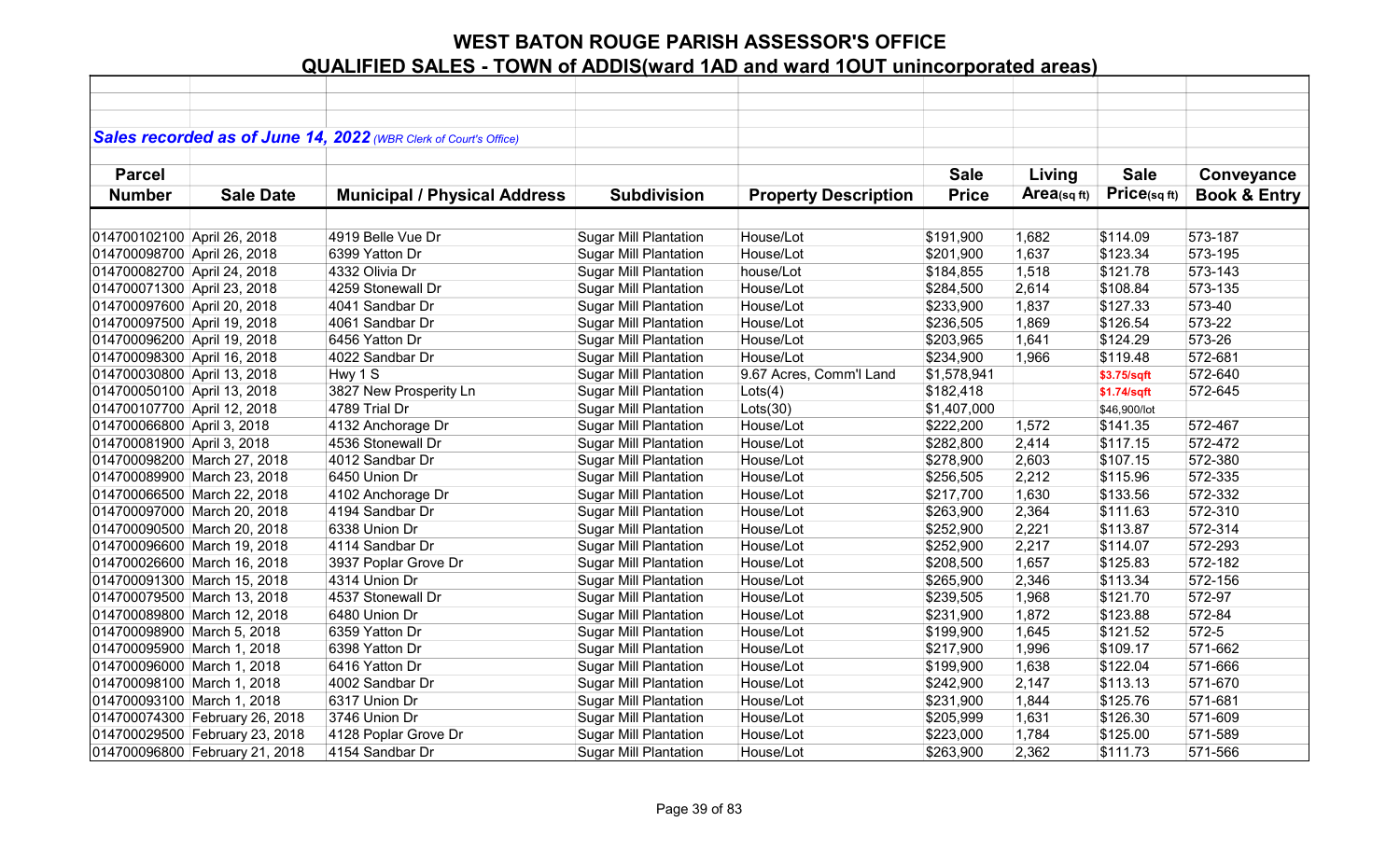|                             |                                | Sales recorded as of June 14, 2022 (WBR Clerk of Court's Office) |                              |                             |              |                |              |                         |
|-----------------------------|--------------------------------|------------------------------------------------------------------|------------------------------|-----------------------------|--------------|----------------|--------------|-------------------------|
|                             |                                |                                                                  |                              |                             |              |                |              |                         |
| <b>Parcel</b>               |                                |                                                                  |                              |                             | <b>Sale</b>  | Living         | <b>Sale</b>  | Conveyance              |
| <b>Number</b>               | <b>Sale Date</b>               | <b>Municipal / Physical Address</b>                              | <b>Subdivision</b>           | <b>Property Description</b> | <b>Price</b> | $Area$ (sq ft) | Price(sq ft) | <b>Book &amp; Entry</b> |
|                             |                                |                                                                  |                              |                             |              |                |              |                         |
| 014700102100 April 26, 2018 |                                | 4919 Belle Vue Dr                                                | <b>Sugar Mill Plantation</b> | House/Lot                   | \$191,900    | 1,682          | \$114.09     | 573-187                 |
| 014700098700 April 26, 2018 |                                | 6399 Yatton Dr                                                   | <b>Sugar Mill Plantation</b> | House/Lot                   | \$201,900    | 1,637          | \$123.34     | 573-195                 |
| 014700082700 April 24, 2018 |                                | 4332 Olivia Dr                                                   | <b>Sugar Mill Plantation</b> | house/Lot                   | \$184,855    | 1,518          | \$121.78     | 573-143                 |
| 014700071300 April 23, 2018 |                                | 4259 Stonewall Dr                                                | <b>Sugar Mill Plantation</b> | House/Lot                   | \$284,500    | 2,614          | \$108.84     | 573-135                 |
| 014700097600 April 20, 2018 |                                | 4041 Sandbar Dr                                                  | <b>Sugar Mill Plantation</b> | House/Lot                   | \$233,900    | 1,837          | \$127.33     | 573-40                  |
| 014700097500 April 19, 2018 |                                | 4061 Sandbar Dr                                                  | <b>Sugar Mill Plantation</b> | House/Lot                   | \$236,505    | 1,869          | \$126.54     | 573-22                  |
| 014700096200 April 19, 2018 |                                | 6456 Yatton Dr                                                   | <b>Sugar Mill Plantation</b> | House/Lot                   | \$203,965    | 1,641          | \$124.29     | 573-26                  |
| 014700098300 April 16, 2018 |                                | 4022 Sandbar Dr                                                  | <b>Sugar Mill Plantation</b> | House/Lot                   | \$234,900    | 1,966          | \$119.48     | 572-681                 |
| 014700030800 April 13, 2018 |                                | Hwy 1 S                                                          | <b>Sugar Mill Plantation</b> | 9.67 Acres, Comm'l Land     | \$1,578,941  |                | \$3.75/sqft  | 572-640                 |
| 014700050100 April 13, 2018 |                                | 3827 New Prosperity Ln                                           | <b>Sugar Mill Plantation</b> | Lots(4)                     | \$182,418    |                | \$1.74/sqft  | 572-645                 |
| 014700107700 April 12, 2018 |                                | 4789 Trial Dr                                                    | <b>Sugar Mill Plantation</b> | Lots(30)                    | \$1,407,000  |                | \$46,900/lot |                         |
| 014700066800 April 3, 2018  |                                | 4132 Anchorage Dr                                                | <b>Sugar Mill Plantation</b> | House/Lot                   | \$222,200    | 1,572          | \$141.35     | 572-467                 |
| 014700081900 April 3, 2018  |                                | 4536 Stonewall Dr                                                | <b>Sugar Mill Plantation</b> | House/Lot                   | \$282,800    | 2,414          | \$117.15     | 572-472                 |
|                             | 014700098200 March 27, 2018    | 4012 Sandbar Dr                                                  | <b>Sugar Mill Plantation</b> | House/Lot                   | \$278,900    | 2,603          | \$107.15     | 572-380                 |
|                             | 014700089900 March 23, 2018    | 6450 Union Dr                                                    | <b>Sugar Mill Plantation</b> | House/Lot                   | \$256,505    | 2,212          | \$115.96     | 572-335                 |
|                             | 014700066500 March 22, 2018    | 4102 Anchorage Dr                                                | <b>Sugar Mill Plantation</b> | House/Lot                   | \$217,700    | 1,630          | \$133.56     | 572-332                 |
|                             | 014700097000 March 20, 2018    | 4194 Sandbar Dr                                                  | <b>Sugar Mill Plantation</b> | House/Lot                   | \$263,900    | 2,364          | \$111.63     | 572-310                 |
|                             | 014700090500 March 20, 2018    | 6338 Union Dr                                                    | <b>Sugar Mill Plantation</b> | House/Lot                   | \$252,900    | 2,221          | \$113.87     | 572-314                 |
|                             | 014700096600 March 19, 2018    | 4114 Sandbar Dr                                                  | <b>Sugar Mill Plantation</b> | House/Lot                   | \$252,900    | 2,217          | \$114.07     | 572-293                 |
|                             | 014700026600 March 16, 2018    | 3937 Poplar Grove Dr                                             | <b>Sugar Mill Plantation</b> | House/Lot                   | \$208,500    | 1,657          | \$125.83     | 572-182                 |
|                             | 014700091300 March 15, 2018    | 4314 Union Dr                                                    | <b>Sugar Mill Plantation</b> | House/Lot                   | \$265,900    | 2,346          | \$113.34     | 572-156                 |
|                             | 014700079500 March 13, 2018    | 4537 Stonewall Dr                                                | <b>Sugar Mill Plantation</b> | House/Lot                   | \$239,505    | 1,968          | \$121.70     | 572-97                  |
|                             | 014700089800 March 12, 2018    | 6480 Union Dr                                                    | <b>Sugar Mill Plantation</b> | House/Lot                   | \$231,900    | 1,872          | \$123.88     | 572-84                  |
| 014700098900 March 5, 2018  |                                | 6359 Yatton Dr                                                   | <b>Sugar Mill Plantation</b> | House/Lot                   | \$199,900    | 1,645          | \$121.52     | 572-5                   |
| 014700095900 March 1, 2018  |                                | 6398 Yatton Dr                                                   | <b>Sugar Mill Plantation</b> | House/Lot                   | \$217,900    | 1,996          | \$109.17     | 571-662                 |
| 014700096000 March 1, 2018  |                                | 6416 Yatton Dr                                                   | <b>Sugar Mill Plantation</b> | House/Lot                   | \$199,900    | 1,638          | \$122.04     | 571-666                 |
| 014700098100 March 1, 2018  |                                | 4002 Sandbar Dr                                                  | <b>Sugar Mill Plantation</b> | House/Lot                   | \$242,900    | 2,147          | \$113.13     | 571-670                 |
| 014700093100 March 1, 2018  |                                | 6317 Union Dr                                                    | <b>Sugar Mill Plantation</b> | House/Lot                   | \$231,900    | 1,844          | \$125.76     | 571-681                 |
|                             | 014700074300 February 26, 2018 | 3746 Union Dr                                                    | <b>Sugar Mill Plantation</b> | House/Lot                   | \$205,999    | 1,631          | \$126.30     | 571-609                 |
|                             | 014700029500 February 23, 2018 | 4128 Poplar Grove Dr                                             | <b>Sugar Mill Plantation</b> | House/Lot                   | \$223,000    | 1,784          | \$125.00     | 571-589                 |
|                             | 014700096800 February 21, 2018 | 4154 Sandbar Dr                                                  | <b>Sugar Mill Plantation</b> | House/Lot                   | \$263,900    | 2,362          | \$111.73     | 571-566                 |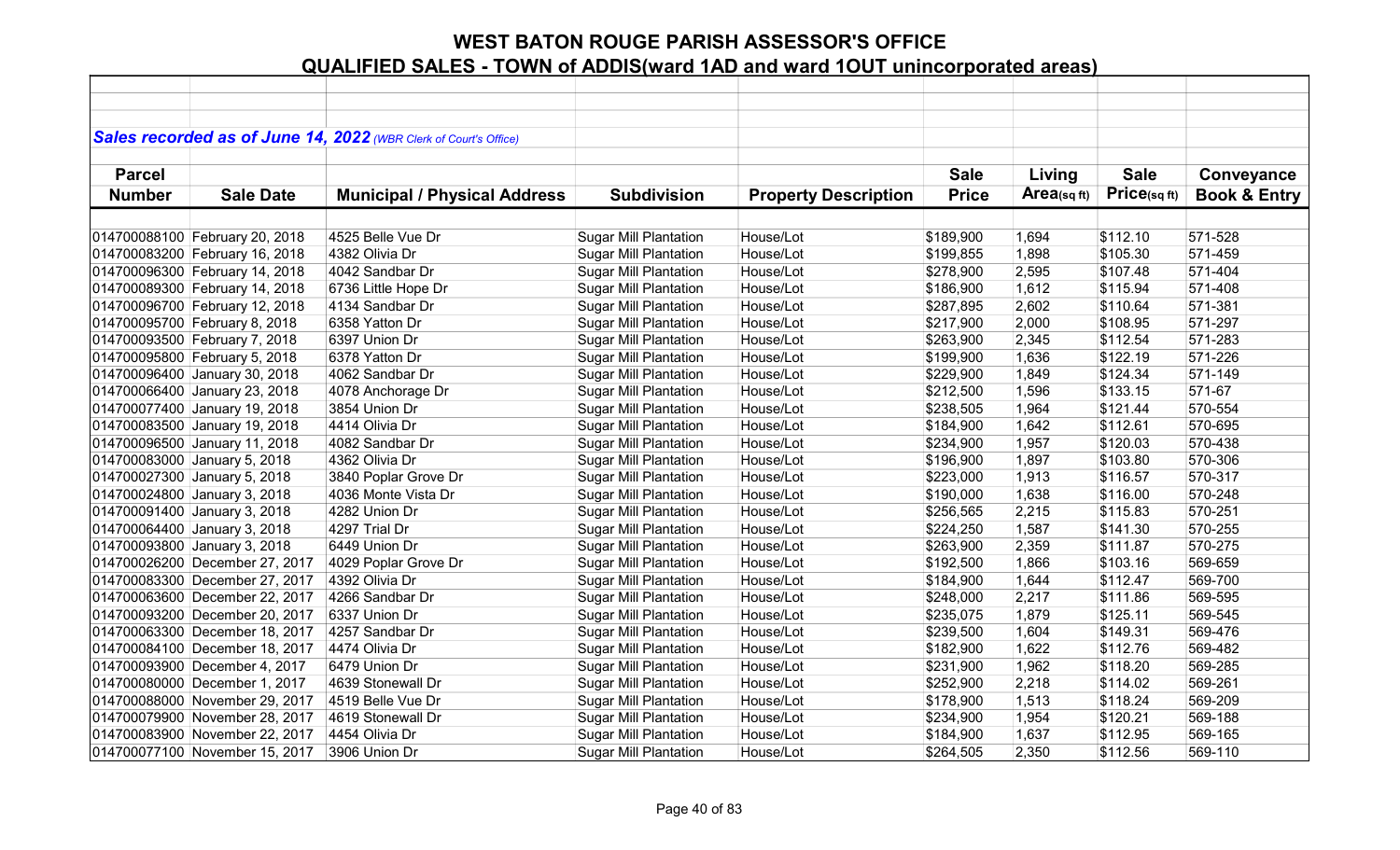|               |                                | Sales recorded as of June 14, 2022 (WBR Clerk of Court's Office) |                              |                             |              |            |             |                         |
|---------------|--------------------------------|------------------------------------------------------------------|------------------------------|-----------------------------|--------------|------------|-------------|-------------------------|
|               |                                |                                                                  |                              |                             |              |            |             |                         |
| <b>Parcel</b> |                                |                                                                  |                              |                             | <b>Sale</b>  | Living     | <b>Sale</b> | Conveyance              |
| <b>Number</b> | <b>Sale Date</b>               | <b>Municipal / Physical Address</b>                              | <b>Subdivision</b>           | <b>Property Description</b> | <b>Price</b> | Area(sqft) | Price(sqft) | <b>Book &amp; Entry</b> |
|               |                                |                                                                  |                              |                             |              |            |             |                         |
|               | 014700088100 February 20, 2018 | 4525 Belle Vue Dr                                                | <b>Sugar Mill Plantation</b> | House/Lot                   | \$189,900    | 1,694      | \$112.10    | 571-528                 |
|               | 014700083200 February 16, 2018 | 4382 Olivia Dr                                                   | <b>Sugar Mill Plantation</b> | House/Lot                   | \$199,855    | 1,898      | \$105.30    | 571-459                 |
|               | 014700096300 February 14, 2018 | 4042 Sandbar Dr                                                  | <b>Sugar Mill Plantation</b> | House/Lot                   | \$278,900    | 2,595      | \$107.48    | 571-404                 |
|               | 014700089300 February 14, 2018 | 6736 Little Hope Dr                                              | <b>Sugar Mill Plantation</b> | House/Lot                   | \$186,900    | 1,612      | \$115.94    | 571-408                 |
|               | 014700096700 February 12, 2018 | 4134 Sandbar Dr                                                  | <b>Sugar Mill Plantation</b> | House/Lot                   | \$287,895    | 2,602      | \$110.64    | 571-381                 |
|               | 014700095700 February 8, 2018  | 6358 Yatton Dr                                                   | <b>Sugar Mill Plantation</b> | House/Lot                   | \$217,900    | 2,000      | \$108.95    | 571-297                 |
|               | 014700093500 February 7, 2018  | 6397 Union Dr                                                    | Sugar Mill Plantation        | House/Lot                   | \$263,900    | 2,345      | \$112.54    | 571-283                 |
|               | 014700095800 February 5, 2018  | 6378 Yatton Dr                                                   | <b>Sugar Mill Plantation</b> | House/Lot                   | \$199,900    | 1,636      | \$122.19    | 571-226                 |
|               | 014700096400 January 30, 2018  | 4062 Sandbar Dr                                                  | <b>Sugar Mill Plantation</b> | House/Lot                   | \$229,900    | 1,849      | \$124.34    | 571-149                 |
|               | 014700066400 January 23, 2018  | 4078 Anchorage Dr                                                | <b>Sugar Mill Plantation</b> | House/Lot                   | \$212,500    | 1,596      | \$133.15    | 571-67                  |
|               | 014700077400 January 19, 2018  | 3854 Union Dr                                                    | <b>Sugar Mill Plantation</b> | House/Lot                   | \$238,505    | 1,964      | \$121.44    | 570-554                 |
|               | 014700083500 January 19, 2018  | 4414 Olivia Dr                                                   | <b>Sugar Mill Plantation</b> | House/Lot                   | \$184,900    | 1,642      | \$112.61    | 570-695                 |
|               | 014700096500 January 11, 2018  | 4082 Sandbar Dr                                                  | <b>Sugar Mill Plantation</b> | House/Lot                   | \$234,900    | 1,957      | \$120.03    | 570-438                 |
|               | 014700083000 January 5, 2018   | 4362 Olivia Dr                                                   | <b>Sugar Mill Plantation</b> | House/Lot                   | \$196,900    | 1,897      | \$103.80    | 570-306                 |
|               | 014700027300 January 5, 2018   | 3840 Poplar Grove Dr                                             | <b>Sugar Mill Plantation</b> | House/Lot                   | \$223,000    | 1,913      | \$116.57    | 570-317                 |
|               | 014700024800 January 3, 2018   | 4036 Monte Vista Dr                                              | <b>Sugar Mill Plantation</b> | House/Lot                   | \$190,000    | 1,638      | \$116.00    | 570-248                 |
|               | 014700091400 January 3, 2018   | 4282 Union Dr                                                    | <b>Sugar Mill Plantation</b> | House/Lot                   | \$256,565    | 2,215      | \$115.83    | 570-251                 |
|               | 014700064400 January 3, 2018   | 4297 Trial Dr                                                    | <b>Sugar Mill Plantation</b> | House/Lot                   | \$224,250    | 1,587      | \$141.30    | 570-255                 |
|               | 014700093800 January 3, 2018   | 6449 Union Dr                                                    | <b>Sugar Mill Plantation</b> | House/Lot                   | \$263,900    | 2,359      | \$111.87    | 570-275                 |
|               | 014700026200 December 27, 2017 | 4029 Poplar Grove Dr                                             | <b>Sugar Mill Plantation</b> | House/Lot                   | \$192,500    | 1,866      | \$103.16    | 569-659                 |
|               | 014700083300 December 27, 2017 | 4392 Olivia Dr                                                   | <b>Sugar Mill Plantation</b> | House/Lot                   | \$184,900    | 1,644      | \$112.47    | 569-700                 |
|               | 014700063600 December 22, 2017 | 4266 Sandbar Dr                                                  | <b>Sugar Mill Plantation</b> | House/Lot                   | \$248,000    | 2,217      | \$111.86    | 569-595                 |
|               | 014700093200 December 20, 2017 | 6337 Union Dr                                                    | <b>Sugar Mill Plantation</b> | House/Lot                   | \$235,075    | 1,879      | \$125.11    | 569-545                 |
|               | 014700063300 December 18, 2017 | 4257 Sandbar Dr                                                  | <b>Sugar Mill Plantation</b> | House/Lot                   | \$239,500    | 1,604      | \$149.31    | 569-476                 |
|               | 014700084100 December 18, 2017 | 4474 Olivia Dr                                                   | <b>Sugar Mill Plantation</b> | House/Lot                   | \$182,900    | 1,622      | \$112.76    | 569-482                 |
|               | 014700093900 December 4, 2017  | 6479 Union Dr                                                    | <b>Sugar Mill Plantation</b> | House/Lot                   | \$231,900    | 1,962      | \$118.20    | 569-285                 |
|               | 014700080000 December 1, 2017  | 4639 Stonewall Dr                                                | <b>Sugar Mill Plantation</b> | House/Lot                   | \$252,900    | 2,218      | \$114.02    | 569-261                 |
|               | 014700088000 November 29, 2017 | 4519 Belle Vue Dr                                                | <b>Sugar Mill Plantation</b> | House/Lot                   | \$178,900    | 1,513      | \$118.24    | 569-209                 |
|               | 014700079900 November 28, 2017 | 4619 Stonewall Dr                                                | <b>Sugar Mill Plantation</b> | House/Lot                   | \$234,900    | 1,954      | \$120.21    | 569-188                 |
|               | 014700083900 November 22, 2017 | 4454 Olivia Dr                                                   | <b>Sugar Mill Plantation</b> | House/Lot                   | \$184,900    | 1,637      | \$112.95    | 569-165                 |
|               | 014700077100 November 15, 2017 | 3906 Union Dr                                                    | <b>Sugar Mill Plantation</b> | House/Lot                   | \$264,505    | 2,350      | \$112.56    | 569-110                 |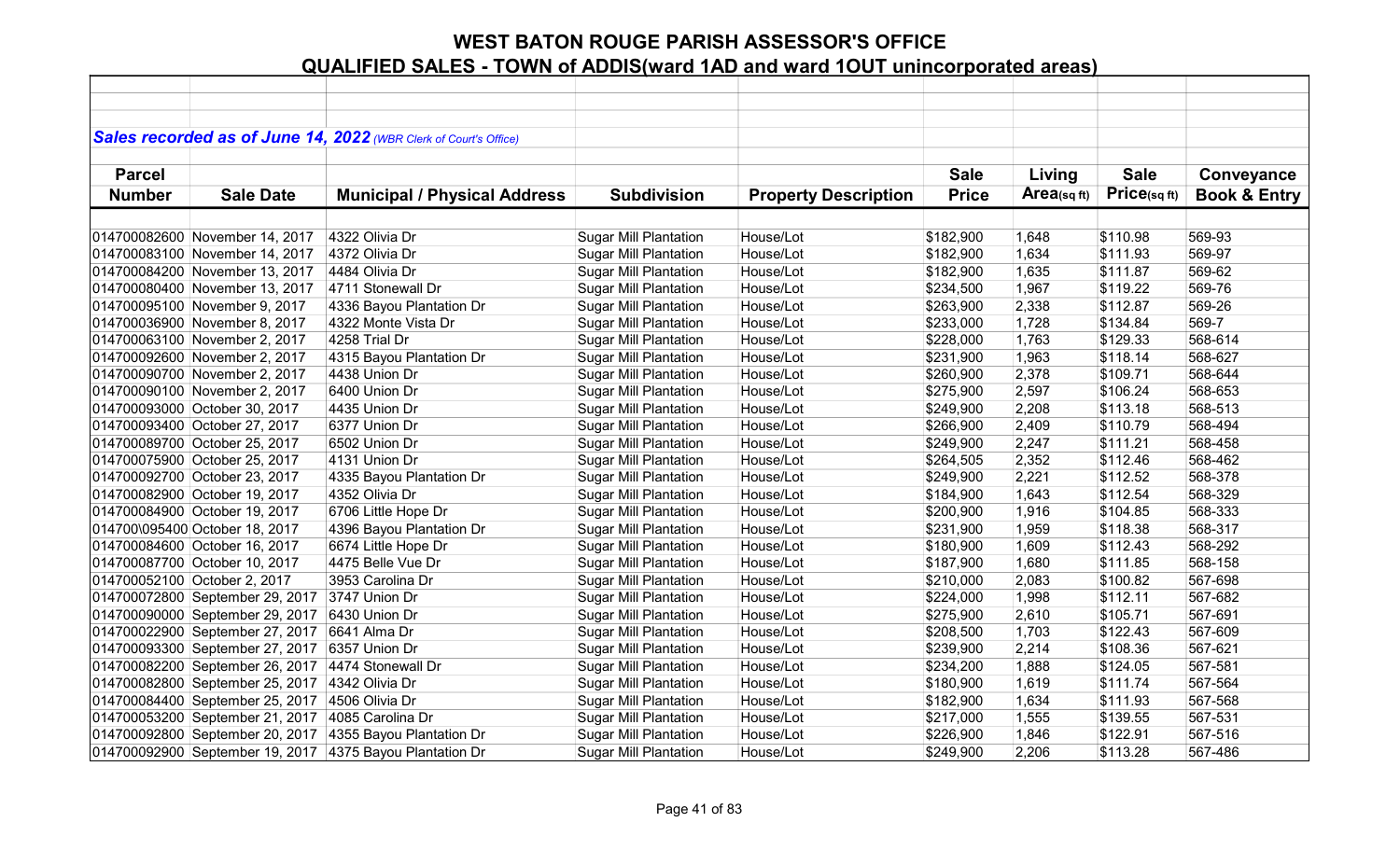|               |                                 | Sales recorded as of June 14, 2022 (WBR Clerk of Court's Office) |                              |                             |              |            |              |                         |
|---------------|---------------------------------|------------------------------------------------------------------|------------------------------|-----------------------------|--------------|------------|--------------|-------------------------|
|               |                                 |                                                                  |                              |                             |              |            |              |                         |
| <b>Parcel</b> |                                 |                                                                  |                              |                             | <b>Sale</b>  | Living     | <b>Sale</b>  | Conveyance              |
| <b>Number</b> | <b>Sale Date</b>                | <b>Municipal / Physical Address</b>                              | <b>Subdivision</b>           | <b>Property Description</b> | <b>Price</b> | Area(sqft) | Price(sq ft) | <b>Book &amp; Entry</b> |
|               |                                 |                                                                  |                              |                             |              |            |              |                         |
|               | 014700082600 November 14, 2017  | 4322 Olivia Dr                                                   | <b>Sugar Mill Plantation</b> | House/Lot                   | \$182,900    | 1,648      | \$110.98     | 569-93                  |
|               | 014700083100 November 14, 2017  | 4372 Olivia Dr                                                   | <b>Sugar Mill Plantation</b> | House/Lot                   | \$182,900    | 1,634      | \$111.93     | 569-97                  |
|               | 014700084200 November 13, 2017  | 4484 Olivia Dr                                                   | <b>Sugar Mill Plantation</b> | House/Lot                   | \$182,900    | 1,635      | \$111.87     | 569-62                  |
|               | 014700080400 November 13, 2017  | 4711 Stonewall Dr                                                | <b>Sugar Mill Plantation</b> | House/Lot                   | \$234,500    | 1,967      | \$119.22     | 569-76                  |
|               | 014700095100 November 9, 2017   | 4336 Bayou Plantation Dr                                         | <b>Sugar Mill Plantation</b> | House/Lot                   | \$263,900    | 2,338      | \$112.87     | 569-26                  |
|               | 014700036900 November 8, 2017   | 4322 Monte Vista Dr                                              | <b>Sugar Mill Plantation</b> | House/Lot                   | \$233,000    | 1,728      | \$134.84     | 569-7                   |
|               | 014700063100 November 2, 2017   | 4258 Trial Dr                                                    | <b>Sugar Mill Plantation</b> | House/Lot                   | \$228,000    | 1,763      | \$129.33     | 568-614                 |
|               | 014700092600 November 2, 2017   | 4315 Bayou Plantation Dr                                         | <b>Sugar Mill Plantation</b> | House/Lot                   | \$231,900    | 1,963      | \$118.14     | 568-627                 |
|               | 014700090700 November 2, 2017   | 4438 Union Dr                                                    | <b>Sugar Mill Plantation</b> | House/Lot                   | \$260,900    | 2,378      | \$109.71     | 568-644                 |
|               | 014700090100 November 2, 2017   | 6400 Union Dr                                                    | <b>Sugar Mill Plantation</b> | House/Lot                   | \$275,900    | 2,597      | \$106.24     | 568-653                 |
|               | 014700093000 October 30, 2017   | 4435 Union Dr                                                    | <b>Sugar Mill Plantation</b> | House/Lot                   | \$249,900    | 2,208      | \$113.18     | 568-513                 |
|               | 014700093400 October 27, 2017   | 6377 Union Dr                                                    | <b>Sugar Mill Plantation</b> | House/Lot                   | \$266,900    | 2,409      | \$110.79     | 568-494                 |
|               | 014700089700 October 25, 2017   | 6502 Union Dr                                                    | <b>Sugar Mill Plantation</b> | House/Lot                   | \$249,900    | 2,247      | \$111.21     | 568-458                 |
|               | 014700075900 October 25, 2017   | 4131 Union Dr                                                    | <b>Sugar Mill Plantation</b> | House/Lot                   | \$264,505    | 2,352      | \$112.46     | 568-462                 |
|               | 014700092700 October 23, 2017   | 4335 Bayou Plantation Dr                                         | <b>Sugar Mill Plantation</b> | House/Lot                   | \$249,900    | 2,221      | \$112.52     | 568-378                 |
|               | 014700082900 October 19, 2017   | 4352 Olivia Dr                                                   | <b>Sugar Mill Plantation</b> | House/Lot                   | \$184,900    | 1,643      | \$112.54     | 568-329                 |
|               | 014700084900 October 19, 2017   | 6706 Little Hope Dr                                              | <b>Sugar Mill Plantation</b> | House/Lot                   | \$200,900    | 1,916      | \$104.85     | 568-333                 |
|               | 014700\095400 October 18, 2017  | 4396 Bayou Plantation Dr                                         | <b>Sugar Mill Plantation</b> | House/Lot                   | \$231,900    | 1,959      | \$118.38     | 568-317                 |
|               | 014700084600 October 16, 2017   | 6674 Little Hope Dr                                              | <b>Sugar Mill Plantation</b> | House/Lot                   | \$180,900    | 1,609      | \$112.43     | 568-292                 |
|               | 014700087700 October 10, 2017   | 4475 Belle Vue Dr                                                | <b>Sugar Mill Plantation</b> | House/Lot                   | \$187,900    | 1,680      | \$111.85     | 568-158                 |
|               | 014700052100 October 2, 2017    | 3953 Carolina Dr                                                 | <b>Sugar Mill Plantation</b> | House/Lot                   | \$210,000    | 2,083      | \$100.82     | 567-698                 |
|               | 014700072800 September 29, 2017 | 3747 Union Dr                                                    | <b>Sugar Mill Plantation</b> | House/Lot                   | \$224,000    | 1,998      | \$112.11     | 567-682                 |
|               | 014700090000 September 29, 2017 | 6430 Union Dr                                                    | <b>Sugar Mill Plantation</b> | House/Lot                   | \$275,900    | 2,610      | \$105.71     | 567-691                 |
|               | 014700022900 September 27, 2017 | 6641 Alma Dr                                                     | <b>Sugar Mill Plantation</b> | House/Lot                   | \$208,500    | 1,703      | \$122.43     | 567-609                 |
|               | 014700093300 September 27, 2017 | 6357 Union Dr                                                    | <b>Sugar Mill Plantation</b> | House/Lot                   | \$239,900    | 2,214      | \$108.36     | 567-621                 |
|               | 014700082200 September 26, 2017 | 4474 Stonewall Dr                                                | <b>Sugar Mill Plantation</b> | House/Lot                   | \$234,200    | 1,888      | \$124.05     | 567-581                 |
|               | 014700082800 September 25, 2017 | 4342 Olivia Dr                                                   | <b>Sugar Mill Plantation</b> | House/Lot                   | \$180,900    | 1,619      | \$111.74     | 567-564                 |
|               | 014700084400 September 25, 2017 | 4506 Olivia Dr                                                   | <b>Sugar Mill Plantation</b> | House/Lot                   | \$182,900    | 1,634      | \$111.93     | 567-568                 |
|               | 014700053200 September 21, 2017 | 4085 Carolina Dr                                                 | <b>Sugar Mill Plantation</b> | House/Lot                   | \$217,000    | 1,555      | \$139.55     | 567-531                 |
|               | 014700092800 September 20, 2017 | 4355 Bayou Plantation Dr                                         | <b>Sugar Mill Plantation</b> | House/Lot                   | \$226,900    | 1,846      | \$122.91     | 567-516                 |
|               |                                 | 014700092900 September 19, 2017 4375 Bayou Plantation Dr         | <b>Sugar Mill Plantation</b> | House/Lot                   | \$249,900    | 2,206      | \$113.28     | 567-486                 |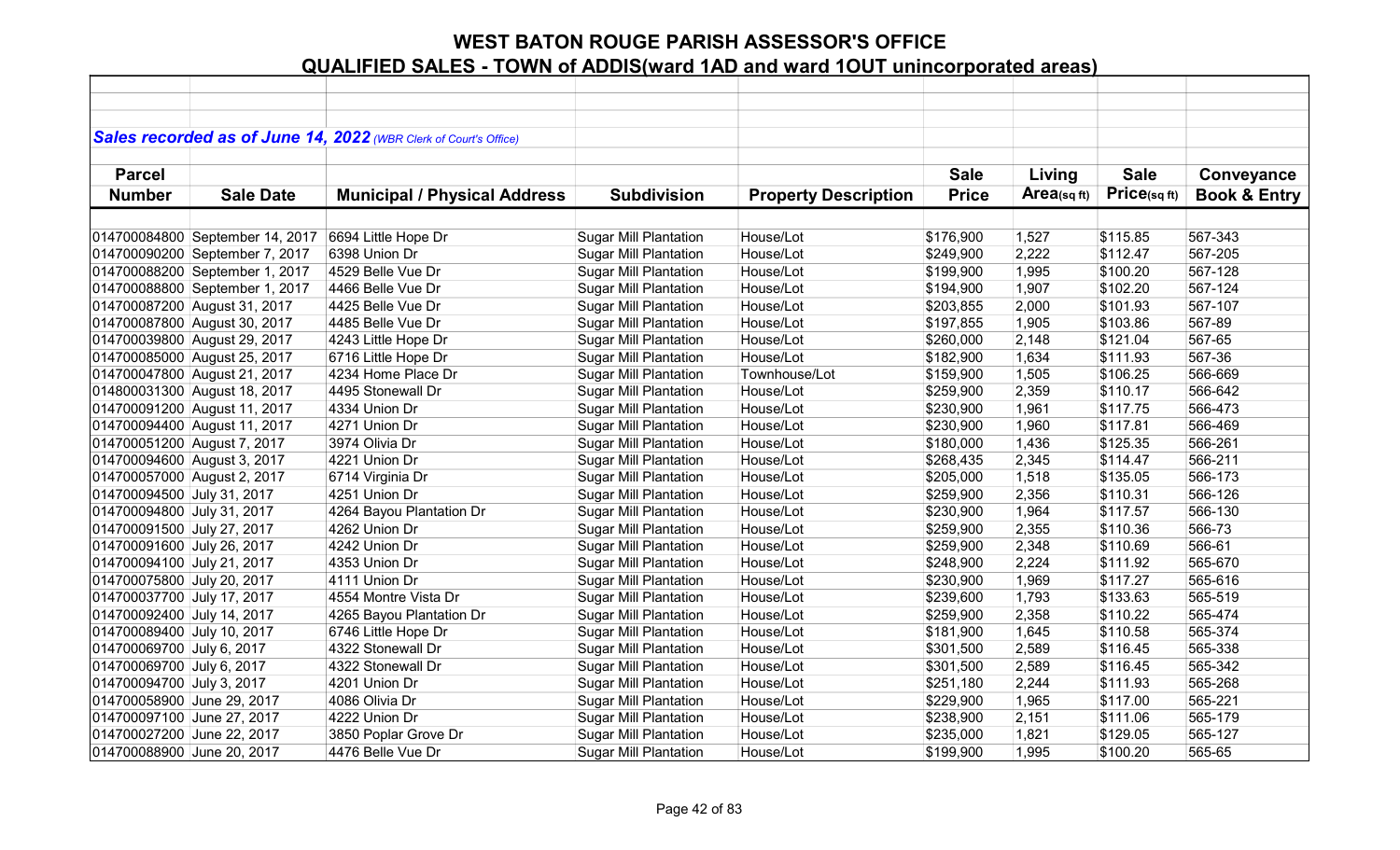|                             |                                 | Sales recorded as of June 14, 2022 (WBR Clerk of Court's Office) |                              |                             |              |             |                   |                         |
|-----------------------------|---------------------------------|------------------------------------------------------------------|------------------------------|-----------------------------|--------------|-------------|-------------------|-------------------------|
|                             |                                 |                                                                  |                              |                             |              |             |                   |                         |
| <b>Parcel</b>               |                                 |                                                                  |                              |                             | <b>Sale</b>  | Living      | <b>Sale</b>       | Conveyance              |
| <b>Number</b>               | <b>Sale Date</b>                | <b>Municipal / Physical Address</b>                              | <b>Subdivision</b>           | <b>Property Description</b> | <b>Price</b> | Area(sq ft) | $Price_{(sq ft)}$ | <b>Book &amp; Entry</b> |
|                             |                                 |                                                                  |                              |                             |              |             |                   |                         |
|                             | 014700084800 September 14, 2017 | 6694 Little Hope Dr                                              | <b>Sugar Mill Plantation</b> | House/Lot                   | \$176,900    | 1,527       | \$115.85          | 567-343                 |
|                             | 014700090200 September 7, 2017  | 6398 Union Dr                                                    | <b>Sugar Mill Plantation</b> | House/Lot                   | \$249,900    | 2,222       | \$112.47          | 567-205                 |
|                             | 014700088200 September 1, 2017  | 4529 Belle Vue Dr                                                | <b>Sugar Mill Plantation</b> | House/Lot                   | \$199,900    | 1,995       | \$100.20          | 567-128                 |
|                             | 014700088800 September 1, 2017  | 4466 Belle Vue Dr                                                | <b>Sugar Mill Plantation</b> | House/Lot                   | \$194,900    | 1,907       | \$102.20          | 567-124                 |
|                             | 014700087200 August 31, 2017    | 4425 Belle Vue Dr                                                | <b>Sugar Mill Plantation</b> | House/Lot                   | \$203,855    | 2,000       | \$101.93          | 567-107                 |
|                             | 014700087800 August 30, 2017    | 4485 Belle Vue Dr                                                | <b>Sugar Mill Plantation</b> | House/Lot                   | \$197,855    | 1,905       | \$103.86          | 567-89                  |
|                             | 014700039800 August 29, 2017    | 4243 Little Hope Dr                                              | Sugar Mill Plantation        | House/Lot                   | \$260,000    | 2,148       | \$121.04          | 567-65                  |
|                             | 014700085000 August 25, 2017    | 6716 Little Hope Dr                                              | <b>Sugar Mill Plantation</b> | House/Lot                   | \$182,900    | 1,634       | \$111.93          | 567-36                  |
|                             | 014700047800 August 21, 2017    | 4234 Home Place Dr                                               | <b>Sugar Mill Plantation</b> | Townhouse/Lot               | \$159,900    | 1,505       | \$106.25          | 566-669                 |
|                             | 014800031300 August 18, 2017    | 4495 Stonewall Dr                                                | <b>Sugar Mill Plantation</b> | House/Lot                   | \$259,900    | 2,359       | \$110.17          | 566-642                 |
|                             | 014700091200 August 11, 2017    | 4334 Union Dr                                                    | <b>Sugar Mill Plantation</b> | House/Lot                   | \$230,900    | 1,961       | \$117.75          | 566-473                 |
|                             | 014700094400 August 11, 2017    | 4271 Union Dr                                                    | <b>Sugar Mill Plantation</b> | House/Lot                   | \$230,900    | 1,960       | \$117.81          | 566-469                 |
| 014700051200 August 7, 2017 |                                 | 3974 Olivia Dr                                                   | <b>Sugar Mill Plantation</b> | House/Lot                   | \$180,000    | 1,436       | \$125.35          | 566-261                 |
| 014700094600 August 3, 2017 |                                 | 4221 Union Dr                                                    | <b>Sugar Mill Plantation</b> | House/Lot                   | \$268,435    | 2,345       | \$114.47          | 566-211                 |
| 014700057000 August 2, 2017 |                                 | 6714 Virginia Dr                                                 | <b>Sugar Mill Plantation</b> | House/Lot                   | \$205,000    | 1,518       | \$135.05          | 566-173                 |
| 014700094500 July 31, 2017  |                                 | 4251 Union Dr                                                    | <b>Sugar Mill Plantation</b> | House/Lot                   | \$259,900    | 2,356       | \$110.31          | 566-126                 |
| 014700094800 July 31, 2017  |                                 | 4264 Bayou Plantation Dr                                         | <b>Sugar Mill Plantation</b> | House/Lot                   | \$230,900    | 1,964       | \$117.57          | 566-130                 |
| 014700091500 July 27, 2017  |                                 | 4262 Union Dr                                                    | <b>Sugar Mill Plantation</b> | House/Lot                   | \$259,900    | 2,355       | \$110.36          | 566-73                  |
| 014700091600 July 26, 2017  |                                 | 4242 Union Dr                                                    | <b>Sugar Mill Plantation</b> | House/Lot                   | \$259,900    | 2,348       | \$110.69          | 566-61                  |
| 014700094100 July 21, 2017  |                                 | 4353 Union Dr                                                    | <b>Sugar Mill Plantation</b> | House/Lot                   | \$248,900    | 2,224       | \$111.92          | 565-670                 |
| 014700075800 July 20, 2017  |                                 | 4111 Union Dr                                                    | <b>Sugar Mill Plantation</b> | House/Lot                   | \$230,900    | 1,969       | \$117.27          | 565-616                 |
| 014700037700 July 17, 2017  |                                 | 4554 Montre Vista Dr                                             | <b>Sugar Mill Plantation</b> | House/Lot                   | \$239,600    | 1,793       | \$133.63          | 565-519                 |
| 014700092400 July 14, 2017  |                                 | 4265 Bayou Plantation Dr                                         | <b>Sugar Mill Plantation</b> | House/Lot                   | \$259,900    | 2,358       | \$110.22          | 565-474                 |
| 014700089400 July 10, 2017  |                                 | 6746 Little Hope Dr                                              | <b>Sugar Mill Plantation</b> | House/Lot                   | \$181,900    | 1,645       | \$110.58          | 565-374                 |
| 014700069700 July 6, 2017   |                                 | 4322 Stonewall Dr                                                | <b>Sugar Mill Plantation</b> | House/Lot                   | \$301,500    | 2,589       | \$116.45          | 565-338                 |
| 014700069700 July 6, 2017   |                                 | 4322 Stonewall Dr                                                | <b>Sugar Mill Plantation</b> | House/Lot                   | \$301,500    | 2,589       | \$116.45          | 565-342                 |
| 014700094700 July 3, 2017   |                                 | 4201 Union Dr                                                    | <b>Sugar Mill Plantation</b> | House/Lot                   | \$251,180    | 2,244       | \$111.93          | 565-268                 |
| 014700058900 June 29, 2017  |                                 | 4086 Olivia Dr                                                   | <b>Sugar Mill Plantation</b> | House/Lot                   | \$229,900    | 1,965       | \$117.00          | 565-221                 |
| 014700097100 June 27, 2017  |                                 | 4222 Union Dr                                                    | <b>Sugar Mill Plantation</b> | House/Lot                   | \$238,900    | 2,151       | \$111.06          | 565-179                 |
| 014700027200 June 22, 2017  |                                 | 3850 Poplar Grove Dr                                             | <b>Sugar Mill Plantation</b> | House/Lot                   | \$235,000    | 1,821       | \$129.05          | 565-127                 |
| 014700088900 June 20, 2017  |                                 | 4476 Belle Vue Dr                                                | <b>Sugar Mill Plantation</b> | House/Lot                   | \$199,900    | 1,995       | \$100.20          | 565-65                  |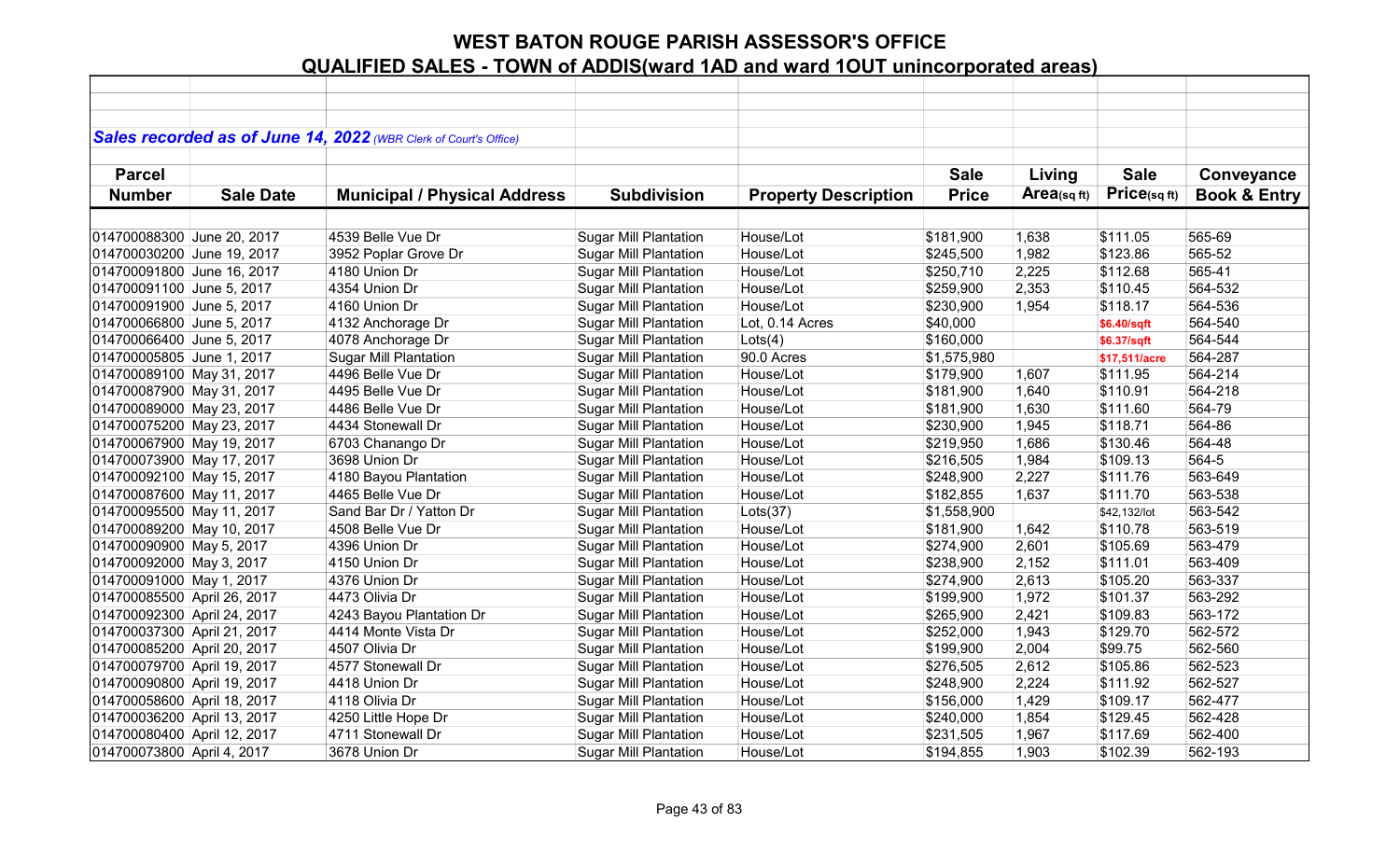|                             |                  | Sales recorded as of June 14, 2022 (WBR Clerk of Court's Office) |                              |                             |              |                |               |                         |
|-----------------------------|------------------|------------------------------------------------------------------|------------------------------|-----------------------------|--------------|----------------|---------------|-------------------------|
|                             |                  |                                                                  |                              |                             |              |                |               |                         |
| <b>Parcel</b>               |                  |                                                                  |                              |                             | <b>Sale</b>  | Living         | <b>Sale</b>   | Conveyance              |
| <b>Number</b>               | <b>Sale Date</b> | <b>Municipal / Physical Address</b>                              | <b>Subdivision</b>           | <b>Property Description</b> | <b>Price</b> | $Area$ (sq ft) | Price(sq ft)  | <b>Book &amp; Entry</b> |
|                             |                  |                                                                  |                              |                             |              |                |               |                         |
| 014700088300 June 20, 2017  |                  | 4539 Belle Vue Dr                                                | <b>Sugar Mill Plantation</b> | House/Lot                   | \$181,900    | 1,638          | \$111.05      | 565-69                  |
| 014700030200 June 19, 2017  |                  | 3952 Poplar Grove Dr                                             | <b>Sugar Mill Plantation</b> | House/Lot                   | \$245,500    | 1,982          | \$123.86      | 565-52                  |
| 014700091800 June 16, 2017  |                  | 4180 Union Dr                                                    | <b>Sugar Mill Plantation</b> | House/Lot                   | \$250,710    | 2,225          | \$112.68      | 565-41                  |
| 014700091100 June 5, 2017   |                  | 4354 Union Dr                                                    | <b>Sugar Mill Plantation</b> | House/Lot                   | \$259,900    | 2,353          | \$110.45      | 564-532                 |
| 014700091900 June 5, 2017   |                  | 4160 Union Dr                                                    | <b>Sugar Mill Plantation</b> | House/Lot                   | \$230,900    | 1,954          | \$118.17      | 564-536                 |
| 014700066800 June 5, 2017   |                  | 4132 Anchorage Dr                                                | <b>Sugar Mill Plantation</b> | Lot, 0.14 Acres             | \$40,000     |                | \$6.40/sqft   | 564-540                 |
| 014700066400 June 5, 2017   |                  | 4078 Anchorage Dr                                                | <b>Sugar Mill Plantation</b> | Lots(4)                     | \$160,000    |                | \$6.37/sqft   | 564-544                 |
| 014700005805 June 1, 2017   |                  | <b>Sugar Mill Plantation</b>                                     | <b>Sugar Mill Plantation</b> | 90.0 Acres                  | \$1,575,980  |                | \$17,511/acre | 564-287                 |
| 014700089100 May 31, 2017   |                  | 4496 Belle Vue Dr                                                | <b>Sugar Mill Plantation</b> | House/Lot                   | \$179,900    | 1,607          | \$111.95      | 564-214                 |
| 014700087900 May 31, 2017   |                  | 4495 Belle Vue Dr                                                | <b>Sugar Mill Plantation</b> | House/Lot                   | \$181,900    | 1,640          | \$110.91      | 564-218                 |
| 014700089000 May 23, 2017   |                  | 4486 Belle Vue Dr                                                | <b>Sugar Mill Plantation</b> | House/Lot                   | \$181,900    | 1,630          | \$111.60      | 564-79                  |
| 014700075200 May 23, 2017   |                  | 4434 Stonewall Dr                                                | <b>Sugar Mill Plantation</b> | House/Lot                   | \$230,900    | 1,945          | \$118.71      | 564-86                  |
| 014700067900 May 19, 2017   |                  | 6703 Chanango Dr                                                 | <b>Sugar Mill Plantation</b> | House/Lot                   | \$219,950    | 1,686          | \$130.46      | 564-48                  |
| 014700073900 May 17, 2017   |                  | 3698 Union Dr                                                    | <b>Sugar Mill Plantation</b> | House/Lot                   | \$216,505    | 1,984          | \$109.13      | 564-5                   |
| 014700092100 May 15, 2017   |                  | 4180 Bayou Plantation                                            | <b>Sugar Mill Plantation</b> | House/Lot                   | \$248,900    | 2,227          | \$111.76      | 563-649                 |
| 014700087600 May 11, 2017   |                  | 4465 Belle Vue Dr                                                | <b>Sugar Mill Plantation</b> | House/Lot                   | \$182,855    | 1,637          | \$111.70      | 563-538                 |
| 014700095500 May 11, 2017   |                  | Sand Bar Dr / Yatton Dr                                          | <b>Sugar Mill Plantation</b> | Lots(37)                    | \$1,558,900  |                | \$42,132/lot  | 563-542                 |
| 014700089200 May 10, 2017   |                  | 4508 Belle Vue Dr                                                | <b>Sugar Mill Plantation</b> | House/Lot                   | \$181,900    | 1,642          | \$110.78      | 563-519                 |
| 014700090900 May 5, 2017    |                  | 4396 Union Dr                                                    | <b>Sugar Mill Plantation</b> | House/Lot                   | \$274,900    | 2,601          | \$105.69      | 563-479                 |
| 014700092000 May 3, 2017    |                  | 4150 Union Dr                                                    | Sugar Mill Plantation        | House/Lot                   | \$238,900    | 2,152          | \$111.01      | 563-409                 |
| 014700091000 May 1, 2017    |                  | 4376 Union Dr                                                    | <b>Sugar Mill Plantation</b> | House/Lot                   | \$274,900    | 2,613          | \$105.20      | 563-337                 |
| 014700085500 April 26, 2017 |                  | 4473 Olivia Dr                                                   | <b>Sugar Mill Plantation</b> | House/Lot                   | \$199,900    | 1,972          | \$101.37      | 563-292                 |
| 014700092300 April 24, 2017 |                  | 4243 Bayou Plantation Dr                                         | <b>Sugar Mill Plantation</b> | House/Lot                   | \$265,900    | 2,421          | \$109.83      | 563-172                 |
| 014700037300 April 21, 2017 |                  | 4414 Monte Vista Dr                                              | <b>Sugar Mill Plantation</b> | House/Lot                   | \$252,000    | 1,943          | \$129.70      | 562-572                 |
| 014700085200 April 20, 2017 |                  | 4507 Olivia Dr                                                   | <b>Sugar Mill Plantation</b> | House/Lot                   | \$199,900    | 2,004          | \$99.75       | 562-560                 |
| 014700079700 April 19, 2017 |                  | 4577 Stonewall Dr                                                | <b>Sugar Mill Plantation</b> | House/Lot                   | \$276,505    | 2,612          | \$105.86      | 562-523                 |
| 014700090800 April 19, 2017 |                  | 4418 Union Dr                                                    | <b>Sugar Mill Plantation</b> | House/Lot                   | \$248,900    | 2,224          | \$111.92      | 562-527                 |
| 014700058600 April 18, 2017 |                  | 4118 Olivia Dr                                                   | <b>Sugar Mill Plantation</b> | House/Lot                   | \$156,000    | 1,429          | \$109.17      | 562-477                 |
| 014700036200 April 13, 2017 |                  | 4250 Little Hope Dr                                              | <b>Sugar Mill Plantation</b> | House/Lot                   | \$240,000    | 1,854          | \$129.45      | 562-428                 |
| 014700080400 April 12, 2017 |                  | 4711 Stonewall Dr                                                | <b>Sugar Mill Plantation</b> | House/Lot                   | \$231,505    | 1,967          | \$117.69      | 562-400                 |
| 014700073800 April 4, 2017  |                  | 3678 Union Dr                                                    | <b>Sugar Mill Plantation</b> | House/Lot                   | \$194,855    | 1,903          | \$102.39      | 562-193                 |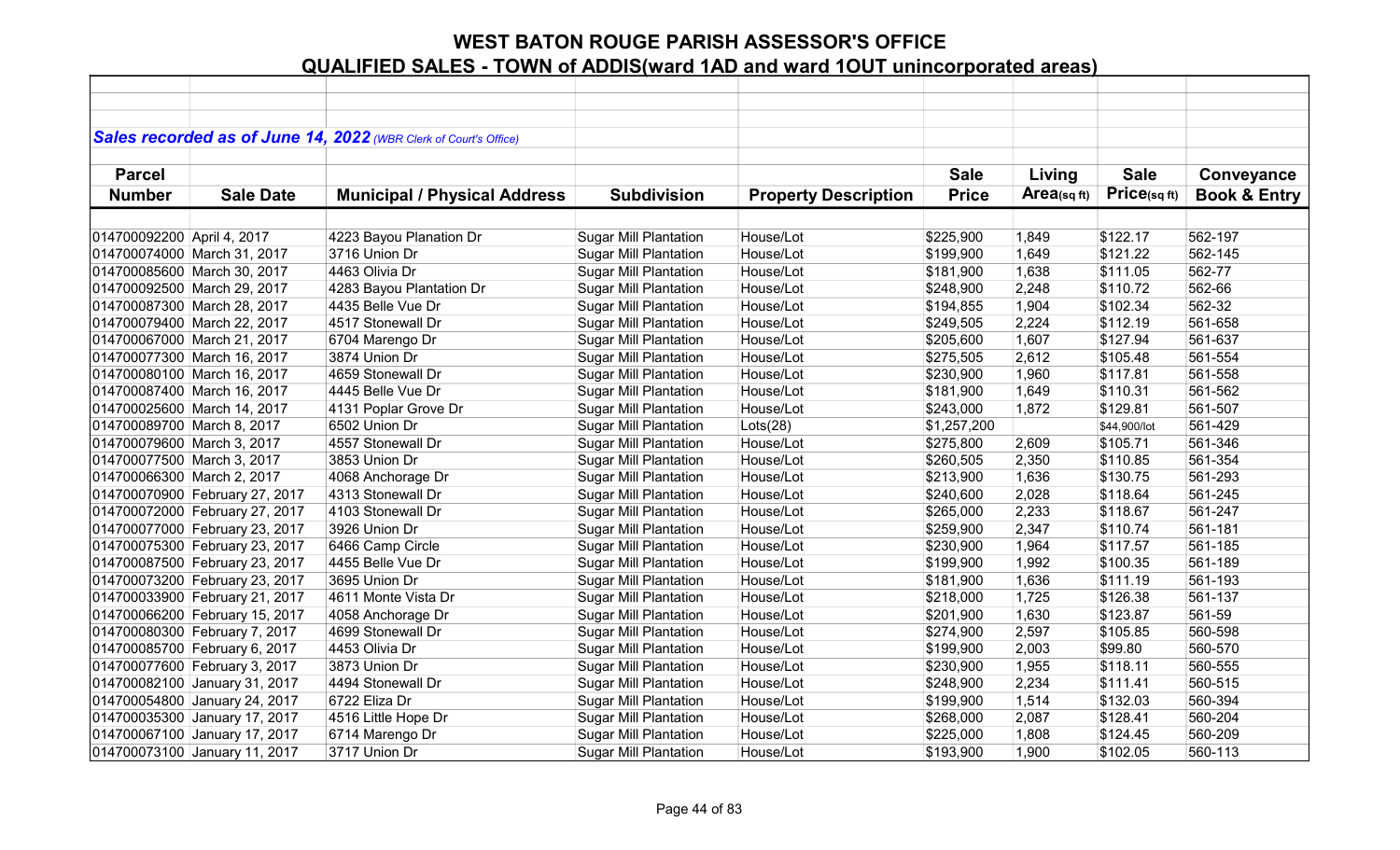|                            |                                | Sales recorded as of June 14, 2022 (WBR Clerk of Court's Office) |                              |                             |              |                |              |                         |
|----------------------------|--------------------------------|------------------------------------------------------------------|------------------------------|-----------------------------|--------------|----------------|--------------|-------------------------|
|                            |                                |                                                                  |                              |                             |              |                |              |                         |
| <b>Parcel</b>              |                                |                                                                  |                              |                             | <b>Sale</b>  | Living         | <b>Sale</b>  | Conveyance              |
| <b>Number</b>              | <b>Sale Date</b>               | <b>Municipal / Physical Address</b>                              | <b>Subdivision</b>           | <b>Property Description</b> | <b>Price</b> | $Area$ (sq ft) | Price(sq ft) | <b>Book &amp; Entry</b> |
|                            |                                |                                                                  |                              |                             |              |                |              |                         |
| 014700092200 April 4, 2017 |                                | 4223 Bayou Planation Dr                                          | <b>Sugar Mill Plantation</b> | House/Lot                   | \$225,900    | 1,849          | \$122.17     | 562-197                 |
|                            | 014700074000 March 31, 2017    | 3716 Union Dr                                                    | <b>Sugar Mill Plantation</b> | House/Lot                   | \$199,900    | 1,649          | \$121.22     | 562-145                 |
|                            | 014700085600 March 30, 2017    | 4463 Olivia Dr                                                   | <b>Sugar Mill Plantation</b> | House/Lot                   | \$181,900    | 1,638          | \$111.05     | 562-77                  |
|                            | 014700092500 March 29, 2017    | 4283 Bayou Plantation Dr                                         | <b>Sugar Mill Plantation</b> | House/Lot                   | \$248,900    | 2,248          | \$110.72     | 562-66                  |
|                            | 014700087300 March 28, 2017    | 4435 Belle Vue Dr                                                | <b>Sugar Mill Plantation</b> | House/Lot                   | \$194,855    | 1,904          | \$102.34     | 562-32                  |
|                            | 014700079400 March 22, 2017    | 4517 Stonewall Dr                                                | <b>Sugar Mill Plantation</b> | House/Lot                   | \$249,505    | 2,224          | \$112.19     | 561-658                 |
|                            | 014700067000 March 21, 2017    | 6704 Marengo Dr                                                  | <b>Sugar Mill Plantation</b> | House/Lot                   | \$205,600    | 1,607          | \$127.94     | 561-637                 |
|                            | 014700077300 March 16, 2017    | 3874 Union Dr                                                    | <b>Sugar Mill Plantation</b> | House/Lot                   | \$275,505    | 2,612          | \$105.48     | 561-554                 |
|                            | 014700080100 March 16, 2017    | 4659 Stonewall Dr                                                | <b>Sugar Mill Plantation</b> | House/Lot                   | \$230,900    | 1,960          | \$117.81     | 561-558                 |
|                            | 014700087400 March 16, 2017    | 4445 Belle Vue Dr                                                | <b>Sugar Mill Plantation</b> | House/Lot                   | \$181,900    | 1,649          | \$110.31     | 561-562                 |
|                            | 014700025600 March 14, 2017    | 4131 Poplar Grove Dr                                             | <b>Sugar Mill Plantation</b> | House/Lot                   | \$243,000    | 1,872          | \$129.81     | 561-507                 |
| 014700089700 March 8, 2017 |                                | 6502 Union Dr                                                    | <b>Sugar Mill Plantation</b> | Lots(28)                    | \$1,257,200  |                | \$44,900/lot | 561-429                 |
| 014700079600 March 3, 2017 |                                | 4557 Stonewall Dr                                                | <b>Sugar Mill Plantation</b> | House/Lot                   | \$275,800    | 2,609          | \$105.71     | 561-346                 |
| 014700077500 March 3, 2017 |                                | 3853 Union Dr                                                    | <b>Sugar Mill Plantation</b> | House/Lot                   | \$260,505    | 2,350          | \$110.85     | 561-354                 |
| 014700066300 March 2, 2017 |                                | 4068 Anchorage Dr                                                | <b>Sugar Mill Plantation</b> | House/Lot                   | \$213,900    | 1,636          | \$130.75     | 561-293                 |
|                            | 014700070900 February 27, 2017 | 4313 Stonewall Dr                                                | <b>Sugar Mill Plantation</b> | House/Lot                   | \$240,600    | 2,028          | \$118.64     | 561-245                 |
|                            | 014700072000 February 27, 2017 | 4103 Stonewall Dr                                                | <b>Sugar Mill Plantation</b> | House/Lot                   | \$265,000    | 2,233          | \$118.67     | 561-247                 |
|                            | 014700077000 February 23, 2017 | 3926 Union Dr                                                    | <b>Sugar Mill Plantation</b> | House/Lot                   | \$259,900    | 2,347          | \$110.74     | 561-181                 |
|                            | 014700075300 February 23, 2017 | 6466 Camp Circle                                                 | <b>Sugar Mill Plantation</b> | House/Lot                   | \$230,900    | 1,964          | \$117.57     | 561-185                 |
|                            | 014700087500 February 23, 2017 | 4455 Belle Vue Dr                                                | <b>Sugar Mill Plantation</b> | House/Lot                   | \$199,900    | 1,992          | \$100.35     | 561-189                 |
|                            | 014700073200 February 23, 2017 | 3695 Union Dr                                                    | <b>Sugar Mill Plantation</b> | House/Lot                   | \$181,900    | 1,636          | \$111.19     | 561-193                 |
|                            | 014700033900 February 21, 2017 | 4611 Monte Vista Dr                                              | <b>Sugar Mill Plantation</b> | House/Lot                   | \$218,000    | 1,725          | \$126.38     | 561-137                 |
|                            | 014700066200 February 15, 2017 | 4058 Anchorage Dr                                                | <b>Sugar Mill Plantation</b> | House/Lot                   | \$201,900    | 1,630          | \$123.87     | 561-59                  |
|                            | 014700080300 February 7, 2017  | 4699 Stonewall Dr                                                | <b>Sugar Mill Plantation</b> | House/Lot                   | \$274,900    | 2,597          | \$105.85     | 560-598                 |
|                            | 014700085700 February 6, 2017  | 4453 Olivia Dr                                                   | <b>Sugar Mill Plantation</b> | House/Lot                   | \$199,900    | 2,003          | \$99.80      | 560-570                 |
|                            | 014700077600 February 3, 2017  | 3873 Union Dr                                                    | <b>Sugar Mill Plantation</b> | House/Lot                   | \$230,900    | 1,955          | \$118.11     | 560-555                 |
|                            | 014700082100 January 31, 2017  | 4494 Stonewall Dr                                                | <b>Sugar Mill Plantation</b> | House/Lot                   | \$248,900    | 2,234          | \$111.41     | 560-515                 |
|                            | 014700054800 January 24, 2017  | 6722 Eliza Dr                                                    | <b>Sugar Mill Plantation</b> | House/Lot                   | \$199,900    | 1,514          | \$132.03     | 560-394                 |
|                            | 014700035300 January 17, 2017  | 4516 Little Hope Dr                                              | <b>Sugar Mill Plantation</b> | House/Lot                   | \$268,000    | 2,087          | \$128.41     | 560-204                 |
|                            | 014700067100 January 17, 2017  | 6714 Marengo Dr                                                  | <b>Sugar Mill Plantation</b> | House/Lot                   | \$225,000    | 1,808          | \$124.45     | 560-209                 |
|                            | 014700073100 January 11, 2017  | 3717 Union Dr                                                    | <b>Sugar Mill Plantation</b> | House/Lot                   | \$193,900    | 1,900          | \$102.05     | 560-113                 |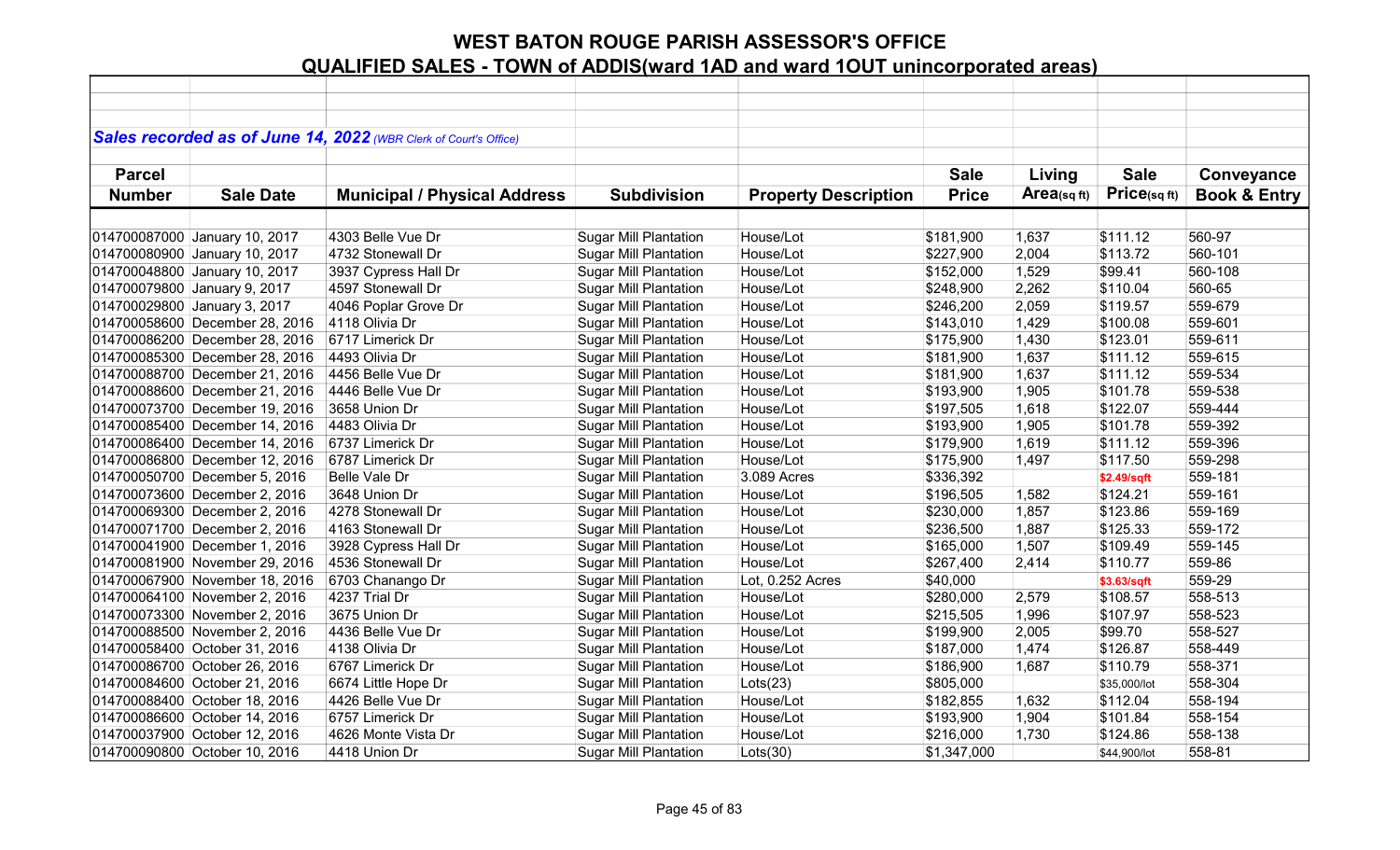|               |                                | Sales recorded as of June 14, 2022 (WBR Clerk of Court's Office) |                              |                             |              |            |              |                         |
|---------------|--------------------------------|------------------------------------------------------------------|------------------------------|-----------------------------|--------------|------------|--------------|-------------------------|
|               |                                |                                                                  |                              |                             |              |            |              |                         |
| <b>Parcel</b> |                                |                                                                  |                              |                             | <b>Sale</b>  | Living     | <b>Sale</b>  | Conveyance              |
| <b>Number</b> | <b>Sale Date</b>               | <b>Municipal / Physical Address</b>                              | <b>Subdivision</b>           | <b>Property Description</b> | <b>Price</b> | Area(sqft) | Price(sqft)  | <b>Book &amp; Entry</b> |
|               |                                |                                                                  |                              |                             |              |            |              |                         |
|               | 014700087000 January 10, 2017  | 4303 Belle Vue Dr                                                | <b>Sugar Mill Plantation</b> | House/Lot                   | \$181,900    | 1,637      | \$111.12     | 560-97                  |
|               | 014700080900 January 10, 2017  | 4732 Stonewall Dr                                                | <b>Sugar Mill Plantation</b> | House/Lot                   | \$227,900    | 2,004      | \$113.72     | 560-101                 |
|               | 014700048800 January 10, 2017  | 3937 Cypress Hall Dr                                             | <b>Sugar Mill Plantation</b> | House/Lot                   | \$152,000    | 1,529      | \$99.41      | 560-108                 |
|               | 014700079800 January 9, 2017   | 4597 Stonewall Dr                                                | <b>Sugar Mill Plantation</b> | House/Lot                   | \$248,900    | 2,262      | \$110.04     | 560-65                  |
|               | 014700029800 January 3, 2017   | 4046 Poplar Grove Dr                                             | <b>Sugar Mill Plantation</b> | House/Lot                   | \$246,200    | 2,059      | \$119.57     | 559-679                 |
|               | 014700058600 December 28, 2016 | 4118 Olivia Dr                                                   | <b>Sugar Mill Plantation</b> | House/Lot                   | \$143,010    | 1,429      | \$100.08     | 559-601                 |
|               | 014700086200 December 28, 2016 | 6717 Limerick Dr                                                 | <b>Sugar Mill Plantation</b> | House/Lot                   | \$175,900    | 1,430      | \$123.01     | 559-611                 |
|               | 014700085300 December 28, 2016 | 4493 Olivia Dr                                                   | <b>Sugar Mill Plantation</b> | House/Lot                   | \$181,900    | 1,637      | \$111.12     | 559-615                 |
|               | 014700088700 December 21, 2016 | 4456 Belle Vue Dr                                                | <b>Sugar Mill Plantation</b> | House/Lot                   | \$181,900    | 1,637      | \$111.12     | 559-534                 |
|               | 014700088600 December 21, 2016 | 4446 Belle Vue Dr                                                | <b>Sugar Mill Plantation</b> | House/Lot                   | \$193,900    | 1,905      | \$101.78     | 559-538                 |
|               | 014700073700 December 19, 2016 | 3658 Union Dr                                                    | <b>Sugar Mill Plantation</b> | House/Lot                   | \$197,505    | 1,618      | \$122.07     | 559-444                 |
|               | 014700085400 December 14, 2016 | 4483 Olivia Dr                                                   | <b>Sugar Mill Plantation</b> | House/Lot                   | \$193,900    | 1,905      | \$101.78     | 559-392                 |
|               | 014700086400 December 14, 2016 | 6737 Limerick Dr                                                 | <b>Sugar Mill Plantation</b> | House/Lot                   | \$179,900    | 1,619      | \$111.12     | 559-396                 |
|               | 014700086800 December 12, 2016 | 6787 Limerick Dr                                                 | <b>Sugar Mill Plantation</b> | House/Lot                   | \$175,900    | 1,497      | \$117.50     | 559-298                 |
|               | 014700050700 December 5, 2016  | Belle Vale Dr                                                    | <b>Sugar Mill Plantation</b> | 3.089 Acres                 | \$336,392    |            | \$2.49/sqft  | 559-181                 |
|               | 014700073600 December 2, 2016  | 3648 Union Dr                                                    | <b>Sugar Mill Plantation</b> | House/Lot                   | \$196,505    | 1,582      | \$124.21     | 559-161                 |
|               | 014700069300 December 2, 2016  | 4278 Stonewall Dr                                                | <b>Sugar Mill Plantation</b> | House/Lot                   | \$230,000    | 1,857      | \$123.86     | 559-169                 |
|               | 014700071700 December 2, 2016  | 4163 Stonewall Dr                                                | <b>Sugar Mill Plantation</b> | House/Lot                   | \$236,500    | 1,887      | \$125.33     | 559-172                 |
|               | 014700041900 December 1, 2016  | 3928 Cypress Hall Dr                                             | <b>Sugar Mill Plantation</b> | House/Lot                   | \$165,000    | 1,507      | \$109.49     | 559-145                 |
|               | 014700081900 November 29, 2016 | 4536 Stonewall Dr                                                | <b>Sugar Mill Plantation</b> | House/Lot                   | \$267,400    | 2,414      | \$110.77     | 559-86                  |
|               | 014700067900 November 18, 2016 | 6703 Chanango Dr                                                 | <b>Sugar Mill Plantation</b> | Lot, 0.252 Acres            | \$40,000     |            | \$3.63/sqft  | 559-29                  |
|               | 014700064100 November 2, 2016  | 4237 Trial Dr                                                    | <b>Sugar Mill Plantation</b> | House/Lot                   | \$280,000    | 2,579      | \$108.57     | 558-513                 |
|               | 014700073300 November 2, 2016  | 3675 Union Dr                                                    | <b>Sugar Mill Plantation</b> | House/Lot                   | \$215,505    | 1,996      | \$107.97     | 558-523                 |
|               | 014700088500 November 2, 2016  | 4436 Belle Vue Dr                                                | <b>Sugar Mill Plantation</b> | House/Lot                   | \$199,900    | 2,005      | \$99.70      | 558-527                 |
|               | 014700058400 October 31, 2016  | 4138 Olivia Dr                                                   | <b>Sugar Mill Plantation</b> | House/Lot                   | \$187,000    | 1,474      | \$126.87     | 558-449                 |
|               | 014700086700 October 26, 2016  | 6767 Limerick Dr                                                 | <b>Sugar Mill Plantation</b> | House/Lot                   | \$186,900    | 1,687      | \$110.79     | 558-371                 |
|               | 014700084600 October 21, 2016  | 6674 Little Hope Dr                                              | <b>Sugar Mill Plantation</b> | $ $ Lots $(23)$             | \$805,000    |            | \$35,000/lot | 558-304                 |
|               | 014700088400 October 18, 2016  | 4426 Belle Vue Dr                                                | <b>Sugar Mill Plantation</b> | House/Lot                   | \$182,855    | 1,632      | \$112.04     | 558-194                 |
|               | 014700086600 October 14, 2016  | 6757 Limerick Dr                                                 | <b>Sugar Mill Plantation</b> | House/Lot                   | \$193,900    | 1,904      | \$101.84     | 558-154                 |
|               | 014700037900 October 12, 2016  | 4626 Monte Vista Dr                                              | <b>Sugar Mill Plantation</b> | House/Lot                   | \$216,000    | 1,730      | \$124.86     | 558-138                 |
|               | 014700090800 October 10, 2016  | 4418 Union Dr                                                    | <b>Sugar Mill Plantation</b> | Lots(30)                    | \$1,347,000  |            | \$44,900/lot | 558-81                  |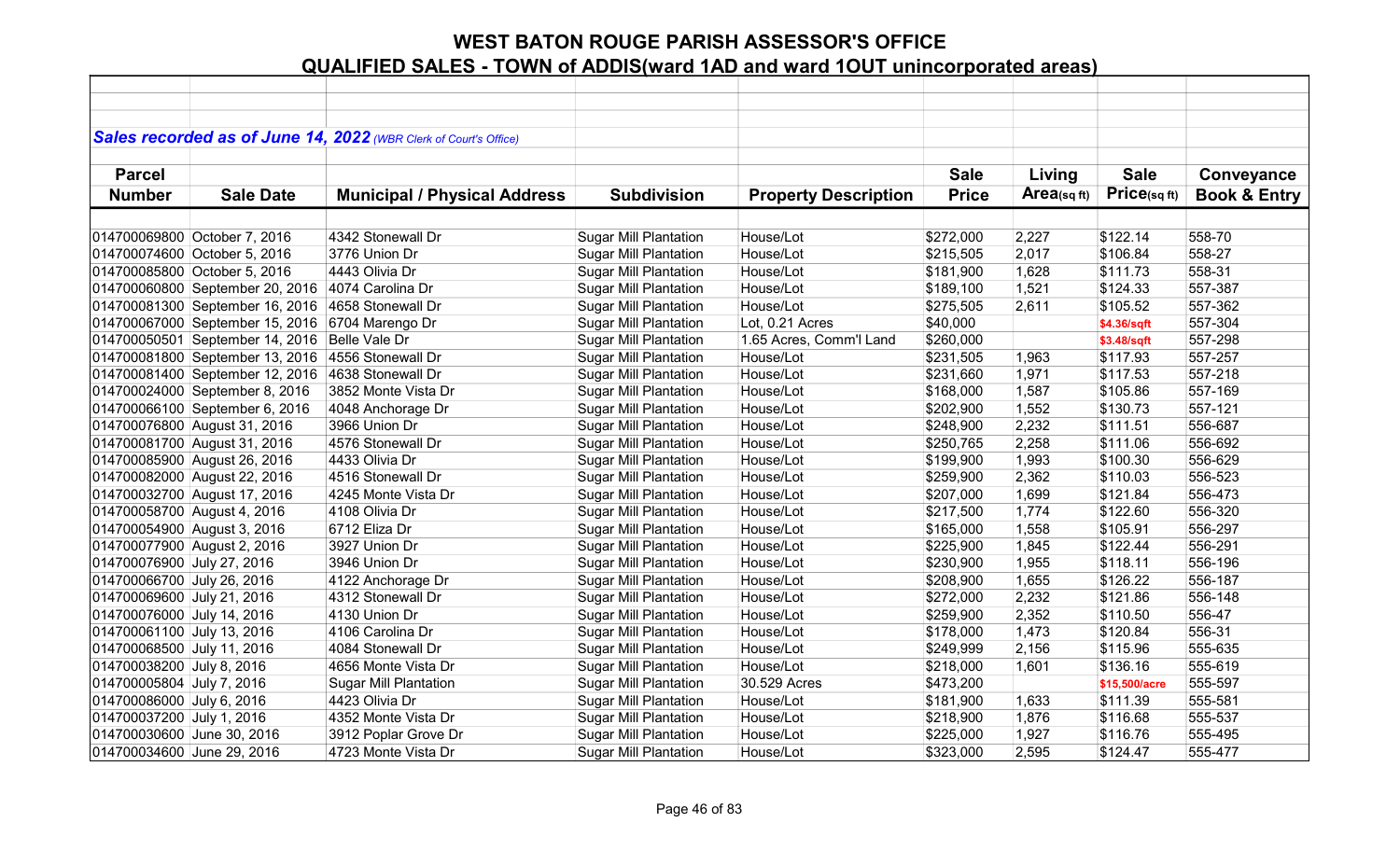|                             |                                 | Sales recorded as of June 14, 2022 (WBR Clerk of Court's Office) |                              |                             |              |             |               |                         |
|-----------------------------|---------------------------------|------------------------------------------------------------------|------------------------------|-----------------------------|--------------|-------------|---------------|-------------------------|
|                             |                                 |                                                                  |                              |                             |              |             |               |                         |
| <b>Parcel</b>               |                                 |                                                                  |                              |                             | <b>Sale</b>  | Living      | <b>Sale</b>   | Conveyance              |
| <b>Number</b>               | <b>Sale Date</b>                | <b>Municipal / Physical Address</b>                              | <b>Subdivision</b>           | <b>Property Description</b> | <b>Price</b> | Area(sq ft) | Price(sqft)   | <b>Book &amp; Entry</b> |
|                             |                                 |                                                                  |                              |                             |              |             |               |                         |
|                             | 014700069800 October 7, 2016    | 4342 Stonewall Dr                                                | <b>Sugar Mill Plantation</b> | House/Lot                   | \$272,000    | 2,227       | \$122.14      | 558-70                  |
|                             | 014700074600 October 5, 2016    | 3776 Union Dr                                                    | <b>Sugar Mill Plantation</b> | House/Lot                   | \$215,505    | 2,017       | \$106.84      | 558-27                  |
|                             | 014700085800 October 5, 2016    | 4443 Olivia Dr                                                   | <b>Sugar Mill Plantation</b> | House/Lot                   | \$181,900    | 1,628       | \$111.73      | 558-31                  |
|                             | 014700060800 September 20, 2016 | 4074 Carolina Dr                                                 | <b>Sugar Mill Plantation</b> | House/Lot                   | \$189,100    | 1,521       | \$124.33      | 557-387                 |
|                             | 014700081300 September 16, 2016 | 4658 Stonewall Dr                                                | <b>Sugar Mill Plantation</b> | House/Lot                   | \$275,505    | 2,611       | \$105.52      | 557-362                 |
|                             | 014700067000 September 15, 2016 | 6704 Marengo Dr                                                  | <b>Sugar Mill Plantation</b> | Lot, 0.21 Acres             | \$40,000     |             | \$4.36/sqft   | 557-304                 |
|                             | 014700050501 September 14, 2016 | Belle Vale Dr                                                    | <b>Sugar Mill Plantation</b> | 1.65 Acres, Comm'l Land     | \$260,000    |             | \$3.48/sqft   | 557-298                 |
|                             | 014700081800 September 13, 2016 | 4556 Stonewall Dr                                                | <b>Sugar Mill Plantation</b> | House/Lot                   | \$231,505    | 1,963       | \$117.93      | 557-257                 |
|                             | 014700081400 September 12, 2016 | 4638 Stonewall Dr                                                | <b>Sugar Mill Plantation</b> | House/Lot                   | \$231,660    | 1,971       | \$117.53      | 557-218                 |
|                             | 014700024000 September 8, 2016  | 3852 Monte Vista Dr                                              | <b>Sugar Mill Plantation</b> | House/Lot                   | \$168,000    | 1,587       | \$105.86      | 557-169                 |
|                             | 014700066100 September 6, 2016  | 4048 Anchorage Dr                                                | <b>Sugar Mill Plantation</b> | House/Lot                   | \$202,900    | 1,552       | \$130.73      | 557-121                 |
|                             | 014700076800 August 31, 2016    | 3966 Union Dr                                                    | <b>Sugar Mill Plantation</b> | House/Lot                   | \$248,900    | 2,232       | \$111.51      | 556-687                 |
|                             | 014700081700 August 31, 2016    | 4576 Stonewall Dr                                                | <b>Sugar Mill Plantation</b> | House/Lot                   | \$250,765    | 2,258       | \$111.06      | 556-692                 |
|                             | 014700085900 August 26, 2016    | 4433 Olivia Dr                                                   | <b>Sugar Mill Plantation</b> | House/Lot                   | \$199,900    | 1,993       | \$100.30      | 556-629                 |
|                             | 014700082000 August 22, 2016    | 4516 Stonewall Dr                                                | <b>Sugar Mill Plantation</b> | House/Lot                   | \$259,900    | 2,362       | \$110.03      | 556-523                 |
|                             | 014700032700 August 17, 2016    | 4245 Monte Vista Dr                                              | <b>Sugar Mill Plantation</b> | House/Lot                   | \$207,000    | 1,699       | \$121.84      | 556-473                 |
| 014700058700 August 4, 2016 |                                 | 4108 Olivia Dr                                                   | <b>Sugar Mill Plantation</b> | House/Lot                   | \$217,500    | 1,774       | \$122.60      | 556-320                 |
| 014700054900 August 3, 2016 |                                 | 6712 Eliza Dr                                                    | <b>Sugar Mill Plantation</b> | House/Lot                   | \$165,000    | 1,558       | \$105.91      | 556-297                 |
| 014700077900 August 2, 2016 |                                 | 3927 Union Dr                                                    | <b>Sugar Mill Plantation</b> | House/Lot                   | \$225,900    | 1,845       | \$122.44      | 556-291                 |
| 014700076900 July 27, 2016  |                                 | 3946 Union Dr                                                    | <b>Sugar Mill Plantation</b> | House/Lot                   | \$230,900    | 1,955       | \$118.11      | 556-196                 |
| 014700066700 July 26, 2016  |                                 | 4122 Anchorage Dr                                                | <b>Sugar Mill Plantation</b> | House/Lot                   | \$208,900    | 1,655       | \$126.22      | 556-187                 |
| 014700069600 July 21, 2016  |                                 | 4312 Stonewall Dr                                                | <b>Sugar Mill Plantation</b> | House/Lot                   | \$272,000    | 2,232       | \$121.86      | 556-148                 |
| 014700076000 July 14, 2016  |                                 | 4130 Union Dr                                                    | <b>Sugar Mill Plantation</b> | House/Lot                   | \$259,900    | 2,352       | \$110.50      | 556-47                  |
| 014700061100 July 13, 2016  |                                 | 4106 Carolina Dr                                                 | <b>Sugar Mill Plantation</b> | House/Lot                   | \$178,000    | 1,473       | \$120.84      | 556-31                  |
| 014700068500 July 11, 2016  |                                 | 4084 Stonewall Dr                                                | Sugar Mill Plantation        | House/Lot                   | \$249,999    | 2,156       | \$115.96      | 555-635                 |
| 014700038200 July 8, 2016   |                                 | 4656 Monte Vista Dr                                              | <b>Sugar Mill Plantation</b> | House/Lot                   | \$218,000    | 1,601       | \$136.16      | 555-619                 |
| 014700005804 July 7, 2016   |                                 | <b>Sugar Mill Plantation</b>                                     | <b>Sugar Mill Plantation</b> | 30.529 Acres                | \$473,200    |             | \$15,500/acre | 555-597                 |
| 014700086000 July 6, 2016   |                                 | 4423 Olivia Dr                                                   | <b>Sugar Mill Plantation</b> | House/Lot                   | \$181,900    | 1,633       | \$111.39      | 555-581                 |
| 014700037200 July 1, 2016   |                                 | 4352 Monte Vista Dr                                              | <b>Sugar Mill Plantation</b> | House/Lot                   | \$218,900    | 1,876       | \$116.68      | 555-537                 |
| 014700030600 June 30, 2016  |                                 | 3912 Poplar Grove Dr                                             | <b>Sugar Mill Plantation</b> | House/Lot                   | \$225,000    | 1,927       | \$116.76      | 555-495                 |
| 014700034600 June 29, 2016  |                                 | 4723 Monte Vista Dr                                              | <b>Sugar Mill Plantation</b> | House/Lot                   | \$323,000    | 2,595       | \$124.47      | 555-477                 |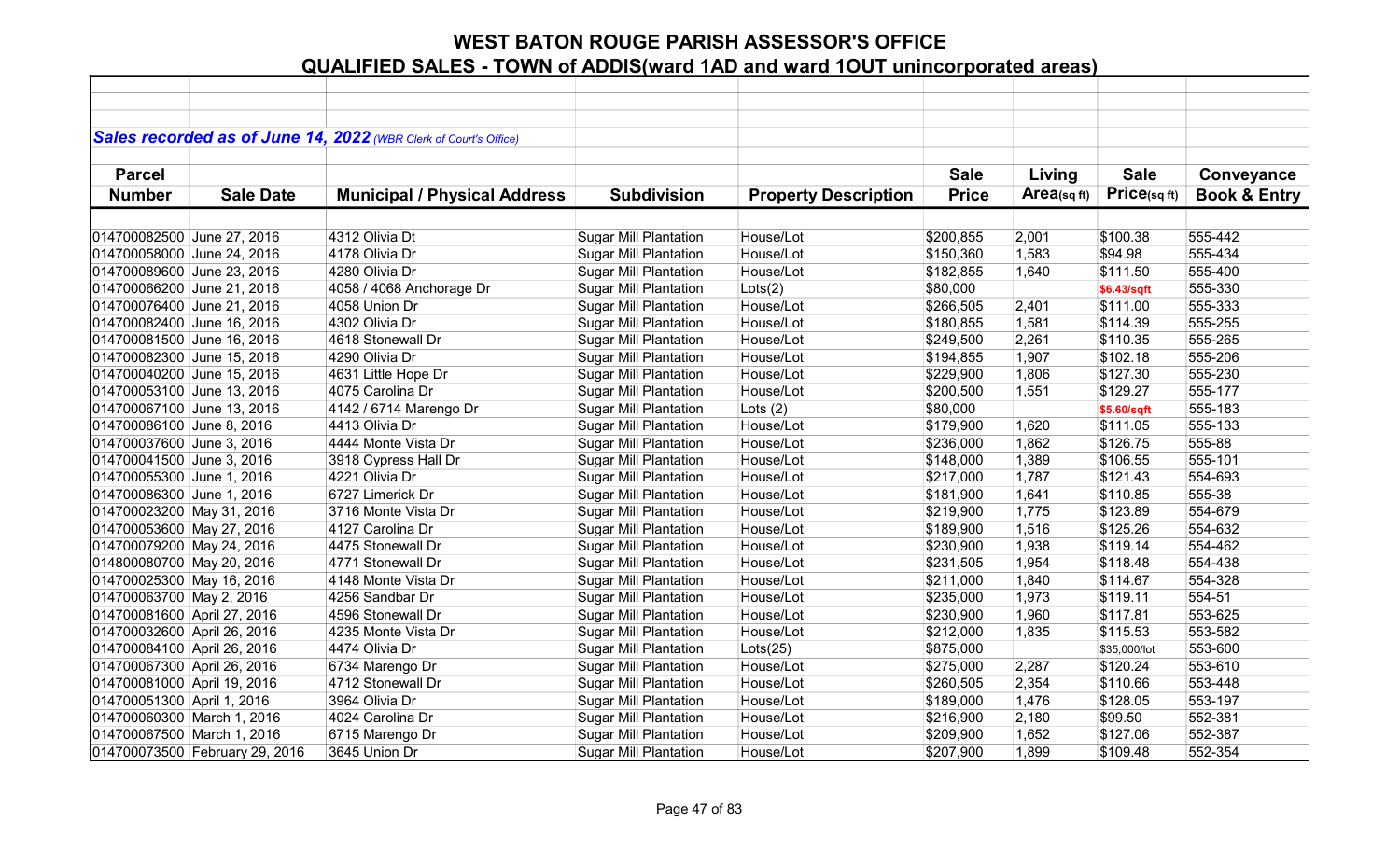|                             |                                | Sales recorded as of June 14, 2022 (WBR Clerk of Court's Office) |                              |                             |              |            |              |                         |
|-----------------------------|--------------------------------|------------------------------------------------------------------|------------------------------|-----------------------------|--------------|------------|--------------|-------------------------|
| <b>Parcel</b>               |                                |                                                                  |                              |                             | <b>Sale</b>  | Living     | <b>Sale</b>  | Conveyance              |
| <b>Number</b>               | <b>Sale Date</b>               | <b>Municipal / Physical Address</b>                              | <b>Subdivision</b>           | <b>Property Description</b> | <b>Price</b> | Area(sqft) | Price(sqft)  | <b>Book &amp; Entry</b> |
|                             |                                |                                                                  |                              |                             |              |            |              |                         |
| 014700082500 June 27, 2016  |                                | 4312 Olivia Dt                                                   | <b>Sugar Mill Plantation</b> | House/Lot                   | \$200,855    | 2,001      | \$100.38     | 555-442                 |
| 014700058000 June 24, 2016  |                                | 4178 Olivia Dr                                                   | <b>Sugar Mill Plantation</b> | House/Lot                   | \$150,360    | 1,583      | \$94.98      | 555-434                 |
| 014700089600 June 23, 2016  |                                | 4280 Olivia Dr                                                   | <b>Sugar Mill Plantation</b> | House/Lot                   | \$182,855    | 1,640      | \$111.50     | 555-400                 |
| 014700066200 June 21, 2016  |                                | 4058 / 4068 Anchorage Dr                                         | <b>Sugar Mill Plantation</b> | Lots(2)                     | \$80,000     |            | \$6.43/sqft  | 555-330                 |
| 014700076400 June 21, 2016  |                                | 4058 Union Dr                                                    | <b>Sugar Mill Plantation</b> | House/Lot                   | \$266,505    | 2,401      | \$111.00     | 555-333                 |
| 014700082400 June 16, 2016  |                                | 4302 Olivia Dr                                                   | <b>Sugar Mill Plantation</b> | House/Lot                   | \$180,855    | 1,581      | \$114.39     | 555-255                 |
| 014700081500 June 16, 2016  |                                | 4618 Stonewall Dr                                                | <b>Sugar Mill Plantation</b> | House/Lot                   | \$249,500    | 2,261      | \$110.35     | 555-265                 |
| 014700082300 June 15, 2016  |                                | 4290 Olivia Dr                                                   | <b>Sugar Mill Plantation</b> | House/Lot                   | \$194,855    | 1,907      | \$102.18     | 555-206                 |
| 014700040200 June 15, 2016  |                                | 4631 Little Hope Dr                                              | <b>Sugar Mill Plantation</b> | House/Lot                   | \$229,900    | 1,806      | \$127.30     | 555-230                 |
| 014700053100 June 13, 2016  |                                | 4075 Carolina Dr                                                 | <b>Sugar Mill Plantation</b> | House/Lot                   | \$200,500    | 1,551      | \$129.27     | 555-177                 |
| 014700067100 June 13, 2016  |                                | 4142 / 6714 Marengo Dr                                           | <b>Sugar Mill Plantation</b> | Lots $(2)$                  | \$80,000     |            | \$5.60/sqft  | 555-183                 |
| 014700086100 June 8, 2016   |                                | 4413 Olivia Dr                                                   | <b>Sugar Mill Plantation</b> | House/Lot                   | \$179,900    | 1,620      | \$111.05     | 555-133                 |
| 014700037600 June 3, 2016   |                                | 4444 Monte Vista Dr                                              | <b>Sugar Mill Plantation</b> | House/Lot                   | \$236,000    | 1,862      | \$126.75     | 555-88                  |
| 014700041500 June 3, 2016   |                                | 3918 Cypress Hall Dr                                             | <b>Sugar Mill Plantation</b> | House/Lot                   | \$148,000    | 1,389      | \$106.55     | 555-101                 |
| 014700055300 June 1, 2016   |                                | 4221 Olivia Dr                                                   | <b>Sugar Mill Plantation</b> | House/Lot                   | \$217,000    | 1,787      | \$121.43     | 554-693                 |
| 014700086300 June 1, 2016   |                                | 6727 Limerick Dr                                                 | <b>Sugar Mill Plantation</b> | House/Lot                   | \$181,900    | 1,641      | \$110.85     | 555-38                  |
| 014700023200 May 31, 2016   |                                | 3716 Monte Vista Dr                                              | <b>Sugar Mill Plantation</b> | House/Lot                   | \$219,900    | 1,775      | \$123.89     | 554-679                 |
| 014700053600 May 27, 2016   |                                | 4127 Carolina Dr                                                 | <b>Sugar Mill Plantation</b> | House/Lot                   | \$189,900    | 1,516      | \$125.26     | 554-632                 |
| 014700079200 May 24, 2016   |                                | 4475 Stonewall Dr                                                | <b>Sugar Mill Plantation</b> | House/Lot                   | \$230,900    | 1,938      | \$119.14     | 554-462                 |
| 014800080700 May 20, 2016   |                                | 4771 Stonewall Dr                                                | <b>Sugar Mill Plantation</b> | House/Lot                   | \$231,505    | 1,954      | \$118.48     | 554-438                 |
| 014700025300 May 16, 2016   |                                | 4148 Monte Vista Dr                                              | <b>Sugar Mill Plantation</b> | House/Lot                   | \$211,000    | 1,840      | \$114.67     | 554-328                 |
| 014700063700 May 2, 2016    |                                | 4256 Sandbar Dr                                                  | <b>Sugar Mill Plantation</b> | House/Lot                   | \$235,000    | 1,973      | \$119.11     | 554-51                  |
| 014700081600 April 27, 2016 |                                | 4596 Stonewall Dr                                                | <b>Sugar Mill Plantation</b> | House/Lot                   | \$230,900    | 1,960      | \$117.81     | 553-625                 |
| 014700032600 April 26, 2016 |                                | 4235 Monte Vista Dr                                              | <b>Sugar Mill Plantation</b> | House/Lot                   | \$212,000    | 1,835      | \$115.53     | 553-582                 |
| 014700084100 April 26, 2016 |                                | 4474 Olivia Dr                                                   | <b>Sugar Mill Plantation</b> | Lots(25)                    | \$875,000    |            | \$35,000/lot | 553-600                 |
| 014700067300 April 26, 2016 |                                | 6734 Marengo Dr                                                  | <b>Sugar Mill Plantation</b> | House/Lot                   | \$275,000    | 2,287      | \$120.24     | 553-610                 |
| 014700081000 April 19, 2016 |                                | 4712 Stonewall Dr                                                | <b>Sugar Mill Plantation</b> | House/Lot                   | \$260,505    | 2,354      | \$110.66     | 553-448                 |
| 014700051300 April 1, 2016  |                                | 3964 Olivia Dr                                                   | <b>Sugar Mill Plantation</b> | House/Lot                   | \$189,000    | 1,476      | \$128.05     | 553-197                 |
| 014700060300 March 1, 2016  |                                | 4024 Carolina Dr                                                 | <b>Sugar Mill Plantation</b> | House/Lot                   | \$216,900    | 2,180      | \$99.50      | 552-381                 |
| 014700067500 March 1, 2016  |                                | 6715 Marengo Dr                                                  | <b>Sugar Mill Plantation</b> | House/Lot                   | \$209,900    | 1,652      | \$127.06     | 552-387                 |
|                             | 014700073500 February 29, 2016 | 3645 Union Dr                                                    | <b>Sugar Mill Plantation</b> | House/Lot                   | \$207,900    | 1,899      | \$109.48     | 552-354                 |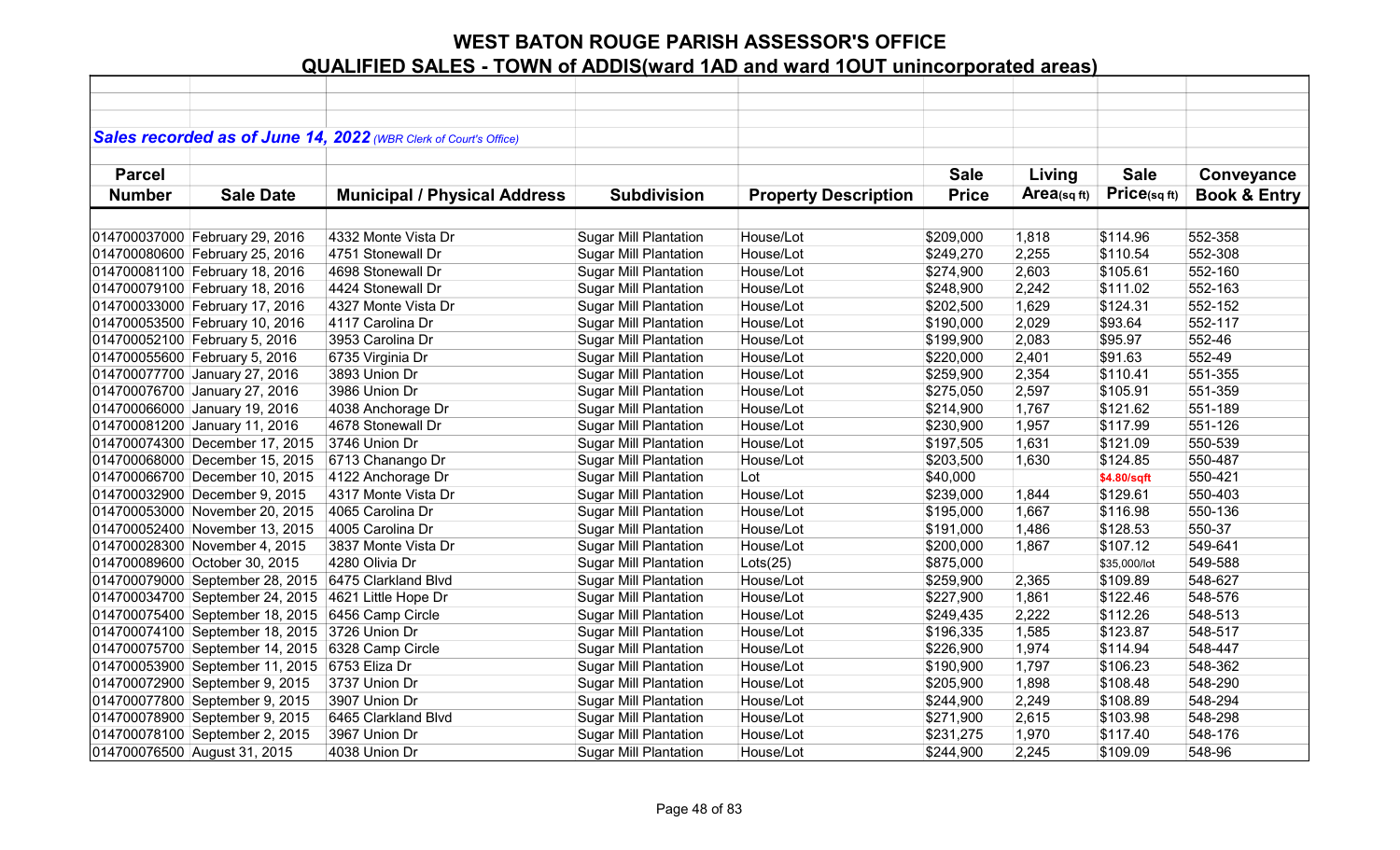|               |                                 | Sales recorded as of June 14, 2022 (WBR Clerk of Court's Office) |                              |                             |              |            |              |                         |
|---------------|---------------------------------|------------------------------------------------------------------|------------------------------|-----------------------------|--------------|------------|--------------|-------------------------|
|               |                                 |                                                                  |                              |                             |              |            |              |                         |
| <b>Parcel</b> |                                 |                                                                  |                              |                             | <b>Sale</b>  | Living     | <b>Sale</b>  | Conveyance              |
| <b>Number</b> | <b>Sale Date</b>                | <b>Municipal / Physical Address</b>                              | <b>Subdivision</b>           | <b>Property Description</b> | <b>Price</b> | Area(sqft) | Price(sqft)  | <b>Book &amp; Entry</b> |
|               |                                 |                                                                  |                              |                             |              |            |              |                         |
|               | 014700037000 February 29, 2016  | 4332 Monte Vista Dr                                              | <b>Sugar Mill Plantation</b> | House/Lot                   | \$209,000    | 1,818      | \$114.96     | 552-358                 |
|               | 014700080600 February 25, 2016  | 4751 Stonewall Dr                                                | <b>Sugar Mill Plantation</b> | House/Lot                   | \$249,270    | 2,255      | \$110.54     | 552-308                 |
|               | 014700081100 February 18, 2016  | 4698 Stonewall Dr                                                | <b>Sugar Mill Plantation</b> | House/Lot                   | \$274,900    | 2,603      | \$105.61     | 552-160                 |
|               | 014700079100 February 18, 2016  | 4424 Stonewall Dr                                                | <b>Sugar Mill Plantation</b> | House/Lot                   | \$248,900    | 2,242      | \$111.02     | 552-163                 |
|               | 014700033000 February 17, 2016  | 4327 Monte Vista Dr                                              | <b>Sugar Mill Plantation</b> | House/Lot                   | \$202,500    | 1,629      | \$124.31     | 552-152                 |
|               | 014700053500 February 10, 2016  | 4117 Carolina Dr                                                 | <b>Sugar Mill Plantation</b> | House/Lot                   | \$190,000    | 2,029      | \$93.64      | 552-117                 |
|               | 014700052100 February 5, 2016   | 3953 Carolina Dr                                                 | <b>Sugar Mill Plantation</b> | House/Lot                   | \$199,900    | 2,083      | \$95.97      | 552-46                  |
|               | 014700055600 February 5, 2016   | 6735 Virginia Dr                                                 | <b>Sugar Mill Plantation</b> | House/Lot                   | \$220,000    | 2,401      | \$91.63      | 552-49                  |
|               | 014700077700 January 27, 2016   | 3893 Union Dr                                                    | <b>Sugar Mill Plantation</b> | House/Lot                   | \$259,900    | 2,354      | \$110.41     | 551-355                 |
|               | 014700076700 January 27, 2016   | 3986 Union Dr                                                    | <b>Sugar Mill Plantation</b> | House/Lot                   | \$275,050    | 2,597      | \$105.91     | 551-359                 |
|               | 014700066000 January 19, 2016   | 4038 Anchorage Dr                                                | <b>Sugar Mill Plantation</b> | House/Lot                   | \$214,900    | 1,767      | \$121.62     | 551-189                 |
|               | 014700081200 January 11, 2016   | 4678 Stonewall Dr                                                | <b>Sugar Mill Plantation</b> | House/Lot                   | \$230,900    | 1,957      | \$117.99     | 551-126                 |
|               | 014700074300 December 17, 2015  | 3746 Union Dr                                                    | <b>Sugar Mill Plantation</b> | House/Lot                   | \$197,505    | 1,631      | \$121.09     | 550-539                 |
|               | 014700068000 December 15, 2015  | 6713 Chanango Dr                                                 | <b>Sugar Mill Plantation</b> | House/Lot                   | \$203,500    | 1,630      | \$124.85     | 550-487                 |
|               | 014700066700 December 10, 2015  | 4122 Anchorage Dr                                                | <b>Sugar Mill Plantation</b> | Lot                         | \$40,000     |            | \$4.80/sqft  | 550-421                 |
|               | 014700032900 December 9, 2015   | 4317 Monte Vista Dr                                              | <b>Sugar Mill Plantation</b> | House/Lot                   | \$239,000    | 1,844      | \$129.61     | 550-403                 |
|               | 014700053000 November 20, 2015  | 4065 Carolina Dr                                                 | <b>Sugar Mill Plantation</b> | House/Lot                   | \$195,000    | 1,667      | \$116.98     | 550-136                 |
|               | 014700052400 November 13, 2015  | 4005 Carolina Dr                                                 | <b>Sugar Mill Plantation</b> | House/Lot                   | \$191,000    | 1,486      | \$128.53     | 550-37                  |
|               | 014700028300 November 4, 2015   | 3837 Monte Vista Dr                                              | <b>Sugar Mill Plantation</b> | House/Lot                   | \$200,000    | 1,867      | \$107.12     | 549-641                 |
|               | 014700089600 October 30, 2015   | 4280 Olivia Dr                                                   | <b>Sugar Mill Plantation</b> | Lots(25)                    | \$875,000    |            | \$35,000/lot | 549-588                 |
|               | 014700079000 September 28, 2015 | 6475 Clarkland Blvd                                              | <b>Sugar Mill Plantation</b> | House/Lot                   | \$259,900    | 2,365      | \$109.89     | 548-627                 |
|               | 014700034700 September 24, 2015 | 4621 Little Hope Dr                                              | <b>Sugar Mill Plantation</b> | House/Lot                   | \$227,900    | 1,861      | \$122.46     | 548-576                 |
|               | 014700075400 September 18, 2015 | 6456 Camp Circle                                                 | <b>Sugar Mill Plantation</b> | House/Lot                   | \$249,435    | 2,222      | \$112.26     | 548-513                 |
|               | 014700074100 September 18, 2015 | 3726 Union Dr                                                    | <b>Sugar Mill Plantation</b> | House/Lot                   | \$196,335    | 1,585      | \$123.87     | 548-517                 |
|               | 014700075700 September 14, 2015 | 6328 Camp Circle                                                 | <b>Sugar Mill Plantation</b> | House/Lot                   | \$226,900    | 1,974      | \$114.94     | 548-447                 |
|               | 014700053900 September 11, 2015 | 6753 Eliza Dr                                                    | <b>Sugar Mill Plantation</b> | House/Lot                   | \$190,900    | 1,797      | \$106.23     | 548-362                 |
|               | 014700072900 September 9, 2015  | 3737 Union Dr                                                    | <b>Sugar Mill Plantation</b> | House/Lot                   | \$205,900    | 1,898      | \$108.48     | 548-290                 |
|               | 014700077800 September 9, 2015  | 3907 Union Dr                                                    | <b>Sugar Mill Plantation</b> | House/Lot                   | \$244,900    | 2,249      | \$108.89     | 548-294                 |
|               | 014700078900 September 9, 2015  | 6465 Clarkland Blvd                                              | <b>Sugar Mill Plantation</b> | House/Lot                   | \$271,900    | 2,615      | \$103.98     | 548-298                 |
|               | 014700078100 September 2, 2015  | 3967 Union Dr                                                    | <b>Sugar Mill Plantation</b> | House/Lot                   | \$231,275    | 1,970      | \$117.40     | 548-176                 |
|               | 014700076500 August 31, 2015    | 4038 Union Dr                                                    | <b>Sugar Mill Plantation</b> | House/Lot                   | \$244,900    | 2,245      | \$109.09     | 548-96                  |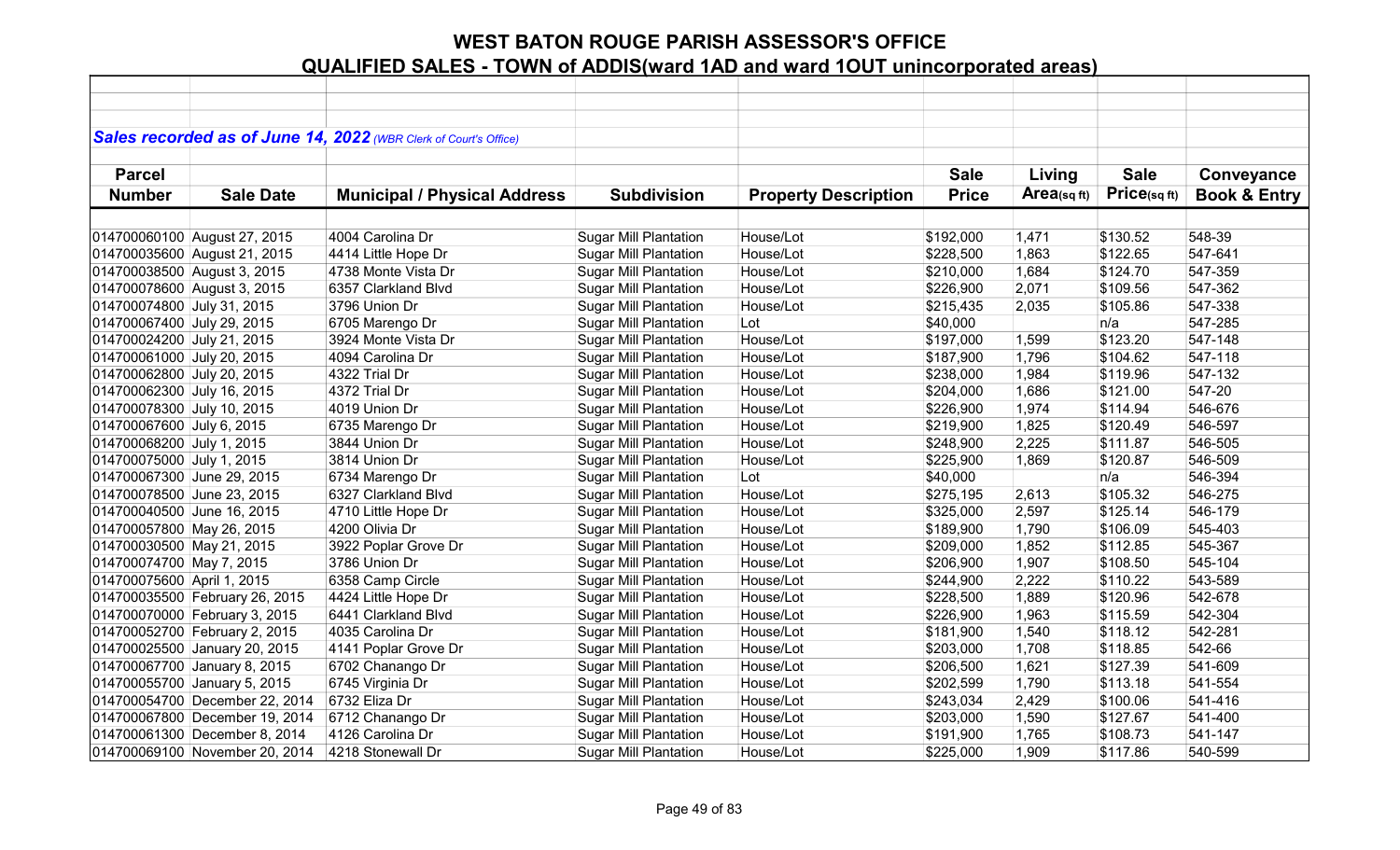|                             |                                | Sales recorded as of June 14, 2022 (WBR Clerk of Court's Office) |                              |                             |              |             |             |                         |
|-----------------------------|--------------------------------|------------------------------------------------------------------|------------------------------|-----------------------------|--------------|-------------|-------------|-------------------------|
|                             |                                |                                                                  |                              |                             |              |             |             |                         |
| <b>Parcel</b>               |                                |                                                                  |                              |                             | <b>Sale</b>  | Living      | <b>Sale</b> | Conveyance              |
| <b>Number</b>               | <b>Sale Date</b>               | <b>Municipal / Physical Address</b>                              | <b>Subdivision</b>           | <b>Property Description</b> | <b>Price</b> | Area(sq ft) | Price(sqft) | <b>Book &amp; Entry</b> |
|                             |                                |                                                                  |                              |                             |              |             |             |                         |
|                             | 014700060100 August 27, 2015   | 4004 Carolina Dr                                                 | <b>Sugar Mill Plantation</b> | House/Lot                   | \$192,000    | 1,471       | \$130.52    | 548-39                  |
|                             | 014700035600 August 21, 2015   | 4414 Little Hope Dr                                              | <b>Sugar Mill Plantation</b> | House/Lot                   | \$228,500    | 1,863       | \$122.65    | 547-641                 |
| 014700038500 August 3, 2015 |                                | 4738 Monte Vista Dr                                              | <b>Sugar Mill Plantation</b> | House/Lot                   | \$210,000    | 1,684       | \$124.70    | 547-359                 |
| 014700078600 August 3, 2015 |                                | 6357 Clarkland Blvd                                              | <b>Sugar Mill Plantation</b> | House/Lot                   | \$226,900    | 2,071       | \$109.56    | 547-362                 |
| 014700074800 July 31, 2015  |                                | 3796 Union Dr                                                    | <b>Sugar Mill Plantation</b> | House/Lot                   | \$215,435    | 2,035       | \$105.86    | 547-338                 |
| 014700067400 July 29, 2015  |                                | 6705 Marengo Dr                                                  | <b>Sugar Mill Plantation</b> | Lot                         | \$40,000     |             | n/a         | 547-285                 |
| 014700024200 July 21, 2015  |                                | 3924 Monte Vista Dr                                              | Sugar Mill Plantation        | House/Lot                   | \$197,000    | 1,599       | \$123.20    | 547-148                 |
| 014700061000 July 20, 2015  |                                | 4094 Carolina Dr                                                 | <b>Sugar Mill Plantation</b> | House/Lot                   | \$187,900    | 1,796       | \$104.62    | 547-118                 |
| 014700062800 July 20, 2015  |                                | 4322 Trial Dr                                                    | <b>Sugar Mill Plantation</b> | House/Lot                   | \$238,000    | 1,984       | \$119.96    | 547-132                 |
| 014700062300 July 16, 2015  |                                | 4372 Trial Dr                                                    | <b>Sugar Mill Plantation</b> | House/Lot                   | \$204,000    | 1,686       | \$121.00    | 547-20                  |
| 014700078300 July 10, 2015  |                                | 4019 Union Dr                                                    | <b>Sugar Mill Plantation</b> | House/Lot                   | \$226,900    | 1,974       | \$114.94    | 546-676                 |
| 014700067600 July 6, 2015   |                                | 6735 Marengo Dr                                                  | <b>Sugar Mill Plantation</b> | House/Lot                   | \$219,900    | 1,825       | \$120.49    | 546-597                 |
| 014700068200 July 1, 2015   |                                | 3844 Union Dr                                                    | <b>Sugar Mill Plantation</b> | House/Lot                   | \$248,900    | 2,225       | \$111.87    | 546-505                 |
| 014700075000 July 1, 2015   |                                | 3814 Union Dr                                                    | <b>Sugar Mill Plantation</b> | House/Lot                   | \$225,900    | 1,869       | \$120.87    | 546-509                 |
| 014700067300 June 29, 2015  |                                | 6734 Marengo Dr                                                  | <b>Sugar Mill Plantation</b> | Lot                         | \$40,000     |             | n/a         | 546-394                 |
| 014700078500 June 23, 2015  |                                | 6327 Clarkland Blvd                                              | <b>Sugar Mill Plantation</b> | House/Lot                   | \$275,195    | 2,613       | \$105.32    | 546-275                 |
| 014700040500 June 16, 2015  |                                | 4710 Little Hope Dr                                              | <b>Sugar Mill Plantation</b> | House/Lot                   | \$325,000    | 2,597       | \$125.14    | 546-179                 |
| 014700057800 May 26, 2015   |                                | 4200 Olivia Dr                                                   | <b>Sugar Mill Plantation</b> | House/Lot                   | \$189,900    | 1,790       | \$106.09    | 545-403                 |
| 014700030500 May 21, 2015   |                                | 3922 Poplar Grove Dr                                             | <b>Sugar Mill Plantation</b> | House/Lot                   | \$209,000    | 1,852       | \$112.85    | 545-367                 |
| 014700074700 May 7, 2015    |                                | 3786 Union Dr                                                    | <b>Sugar Mill Plantation</b> | House/Lot                   | \$206,900    | 1,907       | \$108.50    | 545-104                 |
| 014700075600 April 1, 2015  |                                | 6358 Camp Circle                                                 | <b>Sugar Mill Plantation</b> | House/Lot                   | \$244,900    | 2,222       | \$110.22    | 543-589                 |
|                             | 014700035500 February 26, 2015 | 4424 Little Hope Dr                                              | <b>Sugar Mill Plantation</b> | House/Lot                   | \$228,500    | 1,889       | \$120.96    | 542-678                 |
|                             | 014700070000 February 3, 2015  | 6441 Clarkland Blvd                                              | <b>Sugar Mill Plantation</b> | House/Lot                   | \$226,900    | 1,963       | \$115.59    | 542-304                 |
|                             | 014700052700 February 2, 2015  | 4035 Carolina Dr                                                 | <b>Sugar Mill Plantation</b> | House/Lot                   | \$181,900    | 1,540       | \$118.12    | 542-281                 |
|                             | 014700025500 January 20, 2015  | 4141 Poplar Grove Dr                                             | <b>Sugar Mill Plantation</b> | House/Lot                   | \$203,000    | 1,708       | \$118.85    | 542-66                  |
|                             | 014700067700 January 8, 2015   | 6702 Chanango Dr                                                 | <b>Sugar Mill Plantation</b> | House/Lot                   | \$206,500    | 1,621       | \$127.39    | 541-609                 |
|                             | 014700055700 January 5, 2015   | 6745 Virginia Dr                                                 | <b>Sugar Mill Plantation</b> | House/Lot                   | \$202,599    | 1,790       | \$113.18    | 541-554                 |
|                             | 014700054700 December 22, 2014 | 6732 Eliza Dr                                                    | <b>Sugar Mill Plantation</b> | House/Lot                   | \$243,034    | 2,429       | \$100.06    | 541-416                 |
|                             | 014700067800 December 19, 2014 | 6712 Chanango Dr                                                 | <b>Sugar Mill Plantation</b> | House/Lot                   | \$203,000    | 1,590       | \$127.67    | 541-400                 |
|                             | 014700061300 December 8, 2014  | 4126 Carolina Dr                                                 | <b>Sugar Mill Plantation</b> | House/Lot                   | \$191,900    | 1,765       | \$108.73    | 541-147                 |
|                             | 014700069100 November 20, 2014 | 4218 Stonewall Dr                                                | <b>Sugar Mill Plantation</b> | House/Lot                   | \$225,000    | 1,909       | \$117.86    | 540-599                 |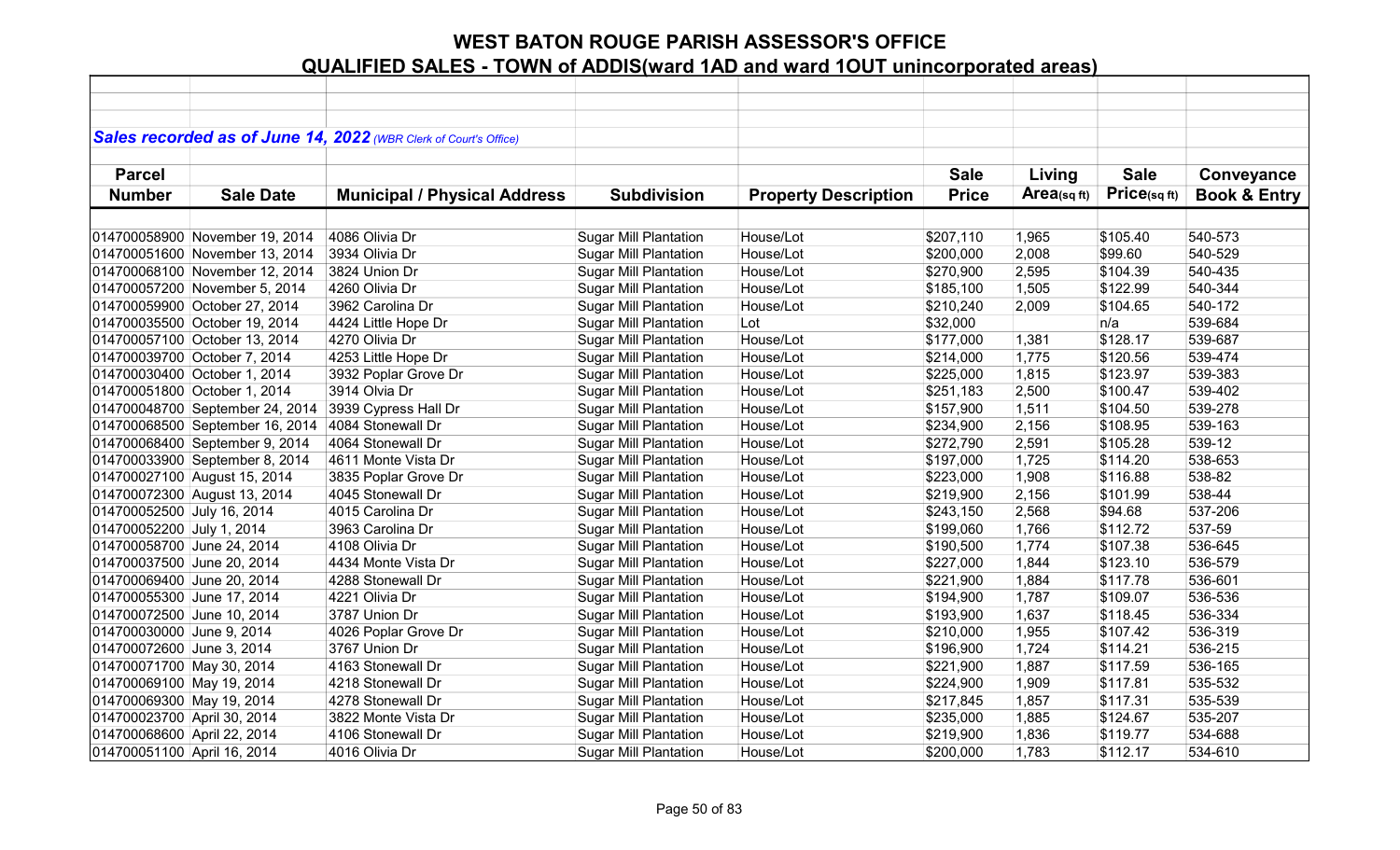|                             |                                 | Sales recorded as of June 14, 2022 (WBR Clerk of Court's Office) |                              |                             |              |            |             |                         |
|-----------------------------|---------------------------------|------------------------------------------------------------------|------------------------------|-----------------------------|--------------|------------|-------------|-------------------------|
|                             |                                 |                                                                  |                              |                             |              |            |             |                         |
| <b>Parcel</b>               |                                 |                                                                  |                              |                             | <b>Sale</b>  | Living     | <b>Sale</b> | Conveyance              |
| <b>Number</b>               | <b>Sale Date</b>                | <b>Municipal / Physical Address</b>                              | <b>Subdivision</b>           | <b>Property Description</b> | <b>Price</b> | Area(sqft) | Price(sqft) | <b>Book &amp; Entry</b> |
|                             |                                 |                                                                  |                              |                             |              |            |             |                         |
|                             | 014700058900 November 19, 2014  | 4086 Olivia Dr                                                   | <b>Sugar Mill Plantation</b> | House/Lot                   | \$207,110    | 1,965      | \$105.40    | 540-573                 |
|                             | 014700051600 November 13, 2014  | 3934 Olivia Dr                                                   | <b>Sugar Mill Plantation</b> | House/Lot                   | \$200,000    | 2,008      | \$99.60     | 540-529                 |
|                             | 014700068100 November 12, 2014  | 3824 Union Dr                                                    | <b>Sugar Mill Plantation</b> | House/Lot                   | \$270,900    | 2,595      | \$104.39    | 540-435                 |
|                             | 014700057200 November 5, 2014   | 4260 Olivia Dr                                                   | <b>Sugar Mill Plantation</b> | House/Lot                   | \$185,100    | 1,505      | \$122.99    | 540-344                 |
|                             | 014700059900 October 27, 2014   | 3962 Carolina Dr                                                 | <b>Sugar Mill Plantation</b> | House/Lot                   | \$210,240    | 2,009      | \$104.65    | 540-172                 |
|                             | 014700035500 October 19, 2014   | 4424 Little Hope Dr                                              | <b>Sugar Mill Plantation</b> | Lot                         | \$32,000     |            | n/a         | 539-684                 |
|                             | 014700057100 October 13, 2014   | 4270 Olivia Dr                                                   | <b>Sugar Mill Plantation</b> | House/Lot                   | \$177,000    | 1,381      | \$128.17    | 539-687                 |
|                             | 014700039700 October 7, 2014    | 4253 Little Hope Dr                                              | <b>Sugar Mill Plantation</b> | House/Lot                   | \$214,000    | 1,775      | \$120.56    | 539-474                 |
|                             | 014700030400 October 1, 2014    | 3932 Poplar Grove Dr                                             | <b>Sugar Mill Plantation</b> | House/Lot                   | \$225,000    | 1,815      | \$123.97    | 539-383                 |
|                             | 014700051800 October 1, 2014    | 3914 Olvia Dr                                                    | <b>Sugar Mill Plantation</b> | House/Lot                   | \$251,183    | 2,500      | \$100.47    | 539-402                 |
|                             | 014700048700 September 24, 2014 | 3939 Cypress Hall Dr                                             | <b>Sugar Mill Plantation</b> | House/Lot                   | \$157,900    | 1,511      | \$104.50    | 539-278                 |
|                             | 014700068500 September 16, 2014 | 4084 Stonewall Dr                                                | <b>Sugar Mill Plantation</b> | House/Lot                   | \$234,900    | 2,156      | \$108.95    | 539-163                 |
|                             | 014700068400 September 9, 2014  | 4064 Stonewall Dr                                                | <b>Sugar Mill Plantation</b> | House/Lot                   | \$272,790    | 2,591      | \$105.28    | 539-12                  |
|                             | 014700033900 September 8, 2014  | 4611 Monte Vista Dr                                              | <b>Sugar Mill Plantation</b> | House/Lot                   | \$197,000    | 1,725      | \$114.20    | 538-653                 |
|                             | 014700027100 August 15, 2014    | 3835 Poplar Grove Dr                                             | <b>Sugar Mill Plantation</b> | House/Lot                   | \$223,000    | 1,908      | \$116.88    | 538-82                  |
|                             | 014700072300 August 13, 2014    | 4045 Stonewall Dr                                                | <b>Sugar Mill Plantation</b> | House/Lot                   | \$219,900    | 2,156      | \$101.99    | 538-44                  |
| 014700052500 July 16, 2014  |                                 | 4015 Carolina Dr                                                 | <b>Sugar Mill Plantation</b> | House/Lot                   | \$243,150    | 2,568      | \$94.68     | 537-206                 |
| 014700052200 July 1, 2014   |                                 | 3963 Carolina Dr                                                 | <b>Sugar Mill Plantation</b> | House/Lot                   | \$199,060    | 1,766      | \$112.72    | 537-59                  |
| 014700058700 June 24, 2014  |                                 | 4108 Olivia Dr                                                   | <b>Sugar Mill Plantation</b> | House/Lot                   | \$190,500    | 1,774      | \$107.38    | 536-645                 |
| 014700037500 June 20, 2014  |                                 | 4434 Monte Vista Dr                                              | <b>Sugar Mill Plantation</b> | House/Lot                   | \$227,000    | 1,844      | \$123.10    | 536-579                 |
| 014700069400 June 20, 2014  |                                 | 4288 Stonewall Dr                                                | <b>Sugar Mill Plantation</b> | House/Lot                   | \$221,900    | 1,884      | \$117.78    | 536-601                 |
| 014700055300 June 17, 2014  |                                 | 4221 Olivia Dr                                                   | <b>Sugar Mill Plantation</b> | House/Lot                   | \$194,900    | 1,787      | \$109.07    | 536-536                 |
| 014700072500 June 10, 2014  |                                 | 3787 Union Dr                                                    | <b>Sugar Mill Plantation</b> | House/Lot                   | \$193,900    | 1,637      | \$118.45    | 536-334                 |
| 014700030000 June 9, 2014   |                                 | 4026 Poplar Grove Dr                                             | <b>Sugar Mill Plantation</b> | House/Lot                   | \$210,000    | 1,955      | \$107.42    | 536-319                 |
| 014700072600 June 3, 2014   |                                 | 3767 Union Dr                                                    | <b>Sugar Mill Plantation</b> | House/Lot                   | \$196,900    | 1,724      | \$114.21    | 536-215                 |
| 014700071700 May 30, 2014   |                                 | 4163 Stonewall Dr                                                | Sugar Mill Plantation        | House/Lot                   | \$221,900    | 1,887      | \$117.59    | 536-165                 |
| 014700069100 May 19, 2014   |                                 | 4218 Stonewall Dr                                                | <b>Sugar Mill Plantation</b> | House/Lot                   | \$224,900    | 1,909      | \$117.81    | 535-532                 |
| 014700069300 May 19, 2014   |                                 | 4278 Stonewall Dr                                                | <b>Sugar Mill Plantation</b> | House/Lot                   | \$217,845    | 1,857      | \$117.31    | 535-539                 |
| 014700023700 April 30, 2014 |                                 | 3822 Monte Vista Dr                                              | <b>Sugar Mill Plantation</b> | House/Lot                   | \$235,000    | 1,885      | \$124.67    | 535-207                 |
| 014700068600 April 22, 2014 |                                 | 4106 Stonewall Dr                                                | <b>Sugar Mill Plantation</b> | House/Lot                   | \$219,900    | 1,836      | \$119.77    | 534-688                 |
| 014700051100 April 16, 2014 |                                 | 4016 Olivia Dr                                                   | <b>Sugar Mill Plantation</b> | House/Lot                   | \$200,000    | 1,783      | \$112.17    | 534-610                 |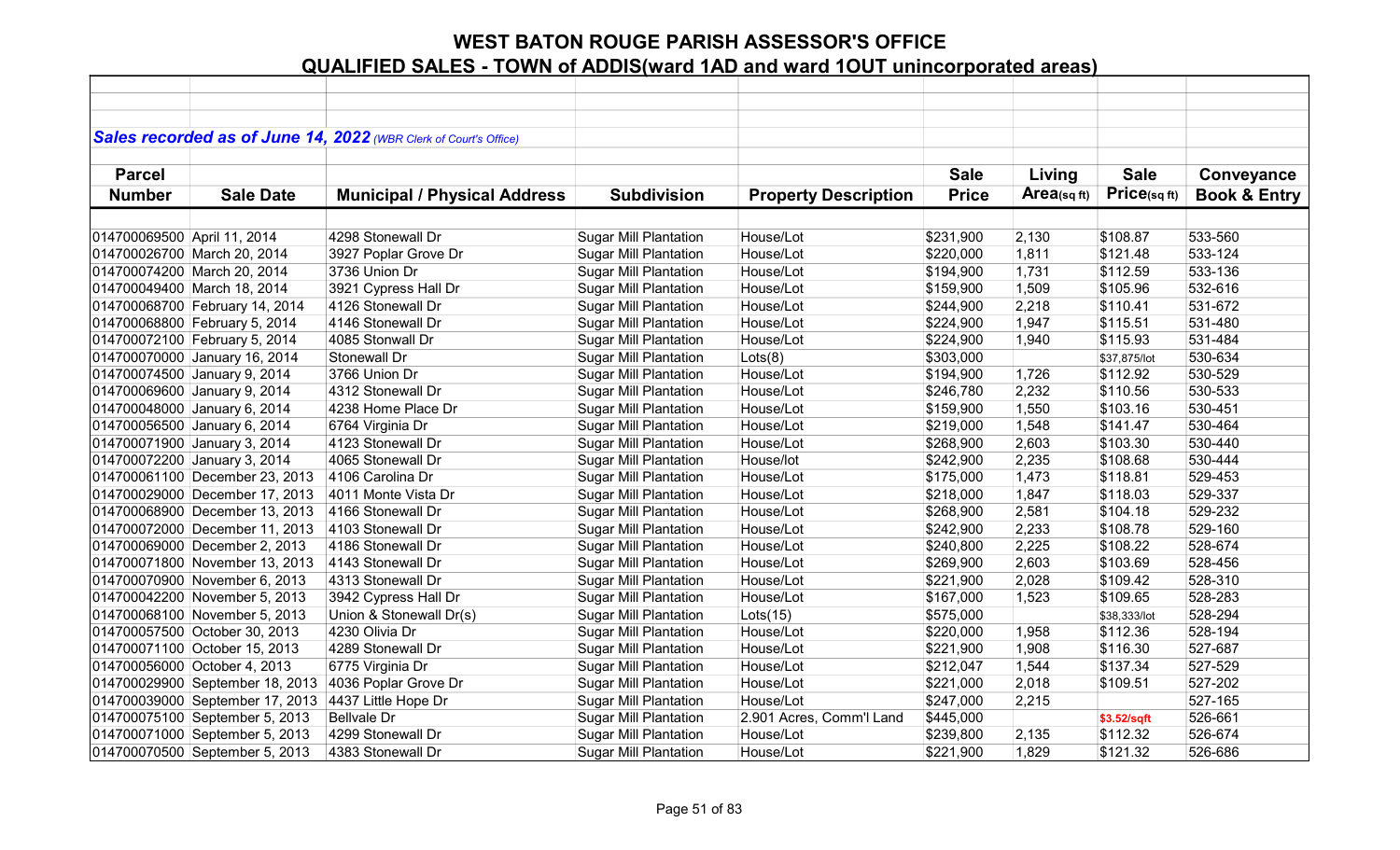|                             |                                 | Sales recorded as of June 14, 2022 (WBR Clerk of Court's Office) |                              |                             |              |            |              |                         |
|-----------------------------|---------------------------------|------------------------------------------------------------------|------------------------------|-----------------------------|--------------|------------|--------------|-------------------------|
|                             |                                 |                                                                  |                              |                             |              |            |              |                         |
| <b>Parcel</b>               |                                 |                                                                  |                              |                             | <b>Sale</b>  | Living     | <b>Sale</b>  | Conveyance              |
| <b>Number</b>               | <b>Sale Date</b>                | <b>Municipal / Physical Address</b>                              | <b>Subdivision</b>           | <b>Property Description</b> | <b>Price</b> | Area(sqft) | Price(sqft)  | <b>Book &amp; Entry</b> |
|                             |                                 |                                                                  |                              |                             |              |            |              |                         |
| 014700069500 April 11, 2014 |                                 | 4298 Stonewall Dr                                                | <b>Sugar Mill Plantation</b> | House/Lot                   | \$231,900    | 2,130      | \$108.87     | 533-560                 |
|                             | 014700026700 March 20, 2014     | 3927 Poplar Grove Dr                                             | <b>Sugar Mill Plantation</b> | House/Lot                   | \$220,000    | 1,811      | \$121.48     | 533-124                 |
|                             | 014700074200 March 20, 2014     | 3736 Union Dr                                                    | <b>Sugar Mill Plantation</b> | House/Lot                   | \$194,900    | 1,731      | \$112.59     | 533-136                 |
|                             | 014700049400 March 18, 2014     | 3921 Cypress Hall Dr                                             | <b>Sugar Mill Plantation</b> | House/Lot                   | \$159,900    | 1,509      | \$105.96     | 532-616                 |
|                             | 014700068700 February 14, 2014  | 4126 Stonewall Dr                                                | <b>Sugar Mill Plantation</b> | House/Lot                   | \$244,900    | 2,218      | \$110.41     | 531-672                 |
|                             | 014700068800 February 5, 2014   | 4146 Stonewall Dr                                                | <b>Sugar Mill Plantation</b> | House/Lot                   | \$224,900    | 1,947      | \$115.51     | 531-480                 |
|                             | 014700072100 February 5, 2014   | 4085 Stonwall Dr                                                 | <b>Sugar Mill Plantation</b> | House/Lot                   | \$224,900    | 1,940      | \$115.93     | 531-484                 |
|                             | 014700070000 January 16, 2014   | Stonewall Dr                                                     | <b>Sugar Mill Plantation</b> | Lots(8)                     | \$303,000    |            | \$37,875/lot | 530-634                 |
|                             | 014700074500 January 9, 2014    | 3766 Union Dr                                                    | <b>Sugar Mill Plantation</b> | House/Lot                   | \$194,900    | 1,726      | \$112.92     | 530-529                 |
|                             | 014700069600 January 9, 2014    | 4312 Stonewall Dr                                                | <b>Sugar Mill Plantation</b> | House/Lot                   | \$246,780    | 2,232      | \$110.56     | 530-533                 |
|                             | 014700048000 January 6, 2014    | 4238 Home Place Dr                                               | <b>Sugar Mill Plantation</b> | House/Lot                   | \$159,900    | 1,550      | \$103.16     | 530-451                 |
|                             | 014700056500 January 6, 2014    | 6764 Virginia Dr                                                 | <b>Sugar Mill Plantation</b> | House/Lot                   | \$219,000    | 1,548      | \$141.47     | 530-464                 |
|                             | 014700071900 January 3, 2014    | 4123 Stonewall Dr                                                | <b>Sugar Mill Plantation</b> | House/Lot                   | \$268,900    | 2,603      | \$103.30     | 530-440                 |
|                             | 014700072200 January 3, 2014    | 4065 Stonewall Dr                                                | <b>Sugar Mill Plantation</b> | House/lot                   | \$242,900    | 2,235      | \$108.68     | 530-444                 |
|                             | 014700061100 December 23, 2013  | 4106 Carolina Dr                                                 | <b>Sugar Mill Plantation</b> | House/Lot                   | \$175,000    | 1,473      | \$118.81     | 529-453                 |
|                             | 014700029000 December 17, 2013  | 4011 Monte Vista Dr                                              | <b>Sugar Mill Plantation</b> | House/Lot                   | \$218,000    | 1,847      | \$118.03     | 529-337                 |
|                             | 014700068900 December 13, 2013  | 4166 Stonewall Dr                                                | <b>Sugar Mill Plantation</b> | House/Lot                   | \$268,900    | 2,581      | \$104.18     | 529-232                 |
|                             | 014700072000 December 11, 2013  | 4103 Stonewall Dr                                                | <b>Sugar Mill Plantation</b> | House/Lot                   | \$242,900    | 2,233      | \$108.78     | 529-160                 |
|                             | 014700069000 December 2, 2013   | 4186 Stonewall Dr                                                | <b>Sugar Mill Plantation</b> | House/Lot                   | \$240,800    | 2,225      | \$108.22     | 528-674                 |
|                             | 014700071800 November 13, 2013  | 4143 Stonewall Dr                                                | <b>Sugar Mill Plantation</b> | House/Lot                   | \$269,900    | 2,603      | \$103.69     | 528-456                 |
|                             | 014700070900 November 6, 2013   | 4313 Stonewall Dr                                                | <b>Sugar Mill Plantation</b> | House/Lot                   | \$221,900    | 2,028      | \$109.42     | 528-310                 |
|                             | 014700042200 November 5, 2013   | 3942 Cypress Hall Dr                                             | <b>Sugar Mill Plantation</b> | House/Lot                   | \$167,000    | 1,523      | \$109.65     | 528-283                 |
|                             | 014700068100 November 5, 2013   | Union & Stonewall Dr(s)                                          | <b>Sugar Mill Plantation</b> | Lots(15)                    | \$575,000    |            | \$38,333/lot | 528-294                 |
|                             | 014700057500 October 30, 2013   | 4230 Olivia Dr                                                   | <b>Sugar Mill Plantation</b> | House/Lot                   | \$220,000    | 1,958      | \$112.36     | 528-194                 |
|                             | 014700071100 October 15, 2013   | 4289 Stonewall Dr                                                | <b>Sugar Mill Plantation</b> | House/Lot                   | \$221,900    | 1,908      | \$116.30     | 527-687                 |
|                             | 014700056000 October 4, 2013    | 6775 Virginia Dr                                                 | <b>Sugar Mill Plantation</b> | House/Lot                   | \$212,047    | 1,544      | \$137.34     | 527-529                 |
|                             | 014700029900 September 18, 2013 | 4036 Poplar Grove Dr                                             | <b>Sugar Mill Plantation</b> | House/Lot                   | \$221,000    | 2,018      | \$109.51     | 527-202                 |
|                             | 014700039000 September 17, 2013 | 4437 Little Hope Dr                                              | <b>Sugar Mill Plantation</b> | House/Lot                   | \$247,000    | 2,215      |              | 527-165                 |
|                             | 014700075100 September 5, 2013  | <b>Bellvale Dr</b>                                               | <b>Sugar Mill Plantation</b> | 2.901 Acres, Comm'l Land    | \$445,000    |            | \$3.52/sqft  | 526-661                 |
|                             | 014700071000 September 5, 2013  | 4299 Stonewall Dr                                                | <b>Sugar Mill Plantation</b> | House/Lot                   | \$239,800    | 2,135      | \$112.32     | 526-674                 |
|                             | 014700070500 September 5, 2013  | 4383 Stonewall Dr                                                | <b>Sugar Mill Plantation</b> | House/Lot                   | \$221,900    | 1,829      | \$121.32     | 526-686                 |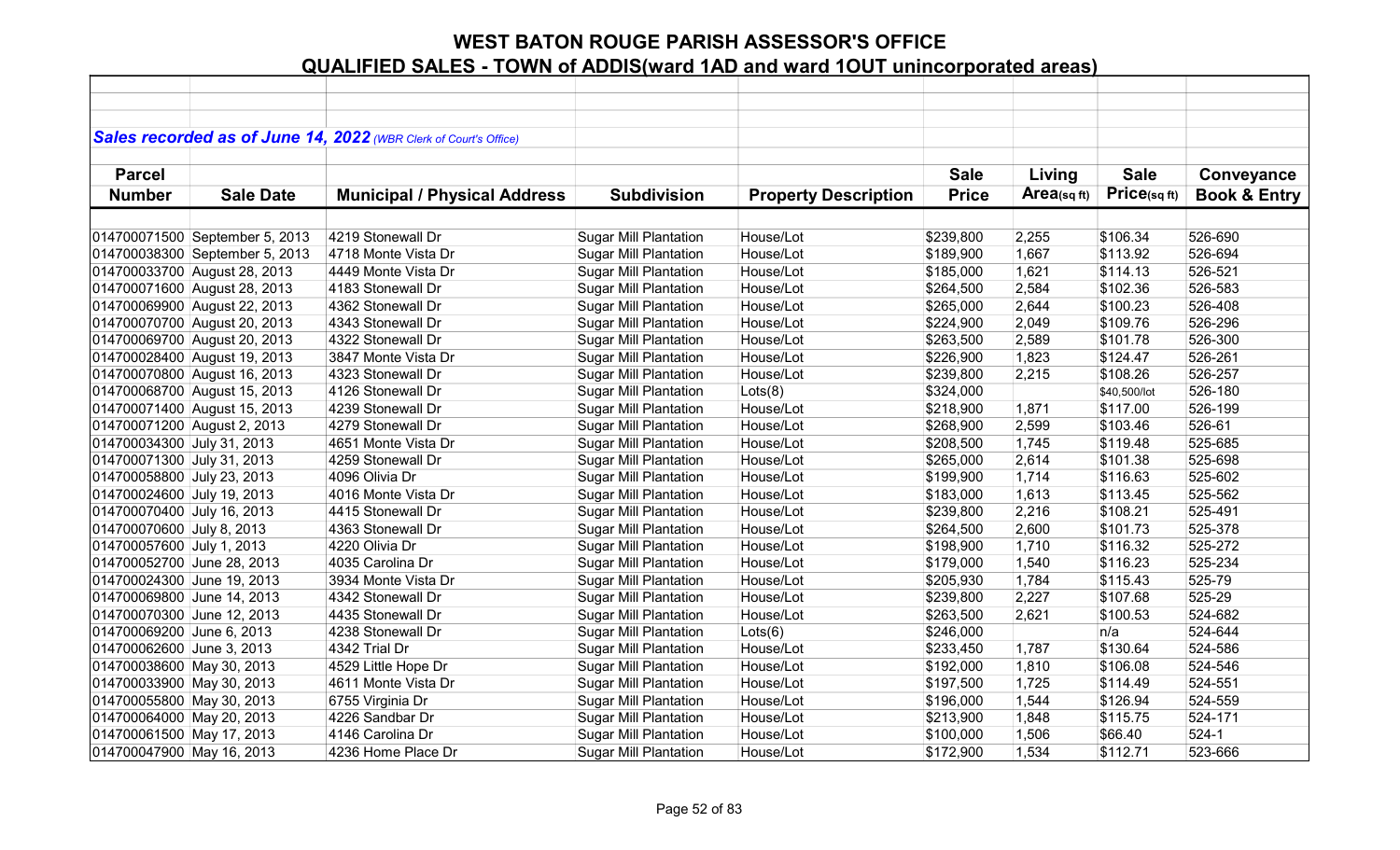|                             |                                | Sales recorded as of June 14, 2022 (WBR Clerk of Court's Office) |                              |                             |              |            |              |                         |
|-----------------------------|--------------------------------|------------------------------------------------------------------|------------------------------|-----------------------------|--------------|------------|--------------|-------------------------|
|                             |                                |                                                                  |                              |                             |              |            |              |                         |
| <b>Parcel</b>               |                                |                                                                  |                              |                             | <b>Sale</b>  | Living     | <b>Sale</b>  | Conveyance              |
| <b>Number</b>               | <b>Sale Date</b>               | <b>Municipal / Physical Address</b>                              | <b>Subdivision</b>           | <b>Property Description</b> | <b>Price</b> | Area(sqft) | Price(sqft)  | <b>Book &amp; Entry</b> |
|                             |                                |                                                                  |                              |                             |              |            |              |                         |
|                             | 014700071500 September 5, 2013 | 4219 Stonewall Dr                                                | <b>Sugar Mill Plantation</b> | House/Lot                   | \$239,800    | 2,255      | \$106.34     | 526-690                 |
|                             | 014700038300 September 5, 2013 | 4718 Monte Vista Dr                                              | <b>Sugar Mill Plantation</b> | House/Lot                   | \$189,900    | 1,667      | \$113.92     | 526-694                 |
|                             | 014700033700 August 28, 2013   | 4449 Monte Vista Dr                                              | <b>Sugar Mill Plantation</b> | House/Lot                   | \$185,000    | 1,621      | \$114.13     | 526-521                 |
|                             | 014700071600 August 28, 2013   | 4183 Stonewall Dr                                                | <b>Sugar Mill Plantation</b> | House/Lot                   | \$264,500    | 2,584      | \$102.36     | 526-583                 |
|                             | 014700069900 August 22, 2013   | 4362 Stonewall Dr                                                | <b>Sugar Mill Plantation</b> | House/Lot                   | \$265,000    | 2,644      | \$100.23     | 526-408                 |
|                             | 014700070700 August 20, 2013   | 4343 Stonewall Dr                                                | <b>Sugar Mill Plantation</b> | House/Lot                   | \$224,900    | 2,049      | \$109.76     | 526-296                 |
|                             | 014700069700 August 20, 2013   | 4322 Stonewall Dr                                                | <b>Sugar Mill Plantation</b> | House/Lot                   | \$263,500    | 2,589      | \$101.78     | 526-300                 |
|                             | 014700028400 August 19, 2013   | 3847 Monte Vista Dr                                              | <b>Sugar Mill Plantation</b> | House/Lot                   | \$226,900    | 1,823      | \$124.47     | 526-261                 |
|                             | 014700070800 August 16, 2013   | 4323 Stonewall Dr                                                | <b>Sugar Mill Plantation</b> | House/Lot                   | \$239,800    | 2,215      | \$108.26     | 526-257                 |
|                             | 014700068700 August 15, 2013   | 4126 Stonewall Dr                                                | <b>Sugar Mill Plantation</b> | Lots(8)                     | \$324,000    |            | \$40,500/lot | 526-180                 |
|                             | 014700071400 August 15, 2013   | 4239 Stonewall Dr                                                | <b>Sugar Mill Plantation</b> | House/Lot                   | \$218,900    | 1,871      | \$117.00     | 526-199                 |
| 014700071200 August 2, 2013 |                                | 4279 Stonewall Dr                                                | <b>Sugar Mill Plantation</b> | House/Lot                   | \$268,900    | 2,599      | \$103.46     | 526-61                  |
| 014700034300 July 31, 2013  |                                | 4651 Monte Vista Dr                                              | <b>Sugar Mill Plantation</b> | House/Lot                   | \$208,500    | 1,745      | \$119.48     | 525-685                 |
| 014700071300 July 31, 2013  |                                | 4259 Stonewall Dr                                                | <b>Sugar Mill Plantation</b> | House/Lot                   | \$265,000    | 2,614      | \$101.38     | 525-698                 |
| 014700058800 July 23, 2013  |                                | 4096 Olivia Dr                                                   | <b>Sugar Mill Plantation</b> | House/Lot                   | \$199,900    | 1,714      | \$116.63     | 525-602                 |
| 014700024600 July 19, 2013  |                                | 4016 Monte Vista Dr                                              | <b>Sugar Mill Plantation</b> | House/Lot                   | \$183,000    | 1,613      | \$113.45     | 525-562                 |
| 014700070400 July 16, 2013  |                                | 4415 Stonewall Dr                                                | <b>Sugar Mill Plantation</b> | House/Lot                   | \$239,800    | 2,216      | \$108.21     | 525-491                 |
| 014700070600 July 8, 2013   |                                | 4363 Stonewall Dr                                                | <b>Sugar Mill Plantation</b> | House/Lot                   | \$264,500    | 2,600      | \$101.73     | 525-378                 |
| 014700057600 July 1, 2013   |                                | 4220 Olivia Dr                                                   | <b>Sugar Mill Plantation</b> | House/Lot                   | \$198,900    | 1,710      | \$116.32     | 525-272                 |
| 014700052700 June 28, 2013  |                                | 4035 Carolina Dr                                                 | <b>Sugar Mill Plantation</b> | House/Lot                   | \$179,000    | 1,540      | \$116.23     | 525-234                 |
| 014700024300 June 19, 2013  |                                | 3934 Monte Vista Dr                                              | <b>Sugar Mill Plantation</b> | House/Lot                   | \$205,930    | 1,784      | \$115.43     | 525-79                  |
| 014700069800 June 14, 2013  |                                | 4342 Stonewall Dr                                                | <b>Sugar Mill Plantation</b> | House/Lot                   | \$239,800    | 2,227      | \$107.68     | 525-29                  |
| 014700070300 June 12, 2013  |                                | 4435 Stonewall Dr                                                | <b>Sugar Mill Plantation</b> | House/Lot                   | \$263,500    | 2,621      | \$100.53     | 524-682                 |
| 014700069200 June 6, 2013   |                                | 4238 Stonewall Dr                                                | <b>Sugar Mill Plantation</b> | Lots(6)                     | \$246,000    |            | n/a          | 524-644                 |
| 014700062600 June 3, 2013   |                                | 4342 Trial Dr                                                    | <b>Sugar Mill Plantation</b> | House/Lot                   | \$233,450    | 1,787      | \$130.64     | 524-586                 |
| 014700038600 May 30, 2013   |                                | 4529 Little Hope Dr                                              | <b>Sugar Mill Plantation</b> | House/Lot                   | \$192,000    | 1,810      | \$106.08     | 524-546                 |
| 014700033900 May 30, 2013   |                                | 4611 Monte Vista Dr                                              | <b>Sugar Mill Plantation</b> | House/Lot                   | \$197,500    | 1,725      | \$114.49     | 524-551                 |
| 014700055800 May 30, 2013   |                                | 6755 Virginia Dr                                                 | <b>Sugar Mill Plantation</b> | House/Lot                   | \$196,000    | 1,544      | \$126.94     | 524-559                 |
| 014700064000 May 20, 2013   |                                | 4226 Sandbar Dr                                                  | <b>Sugar Mill Plantation</b> | House/Lot                   | \$213,900    | 1,848      | \$115.75     | 524-171                 |
| 014700061500 May 17, 2013   |                                | 4146 Carolina Dr                                                 | <b>Sugar Mill Plantation</b> | House/Lot                   | \$100,000    | 1,506      | \$66.40      | $524-1$                 |
| 014700047900 May 16, 2013   |                                | 4236 Home Place Dr                                               | <b>Sugar Mill Plantation</b> | House/Lot                   | \$172,900    | 1,534      | \$112.71     | 523-666                 |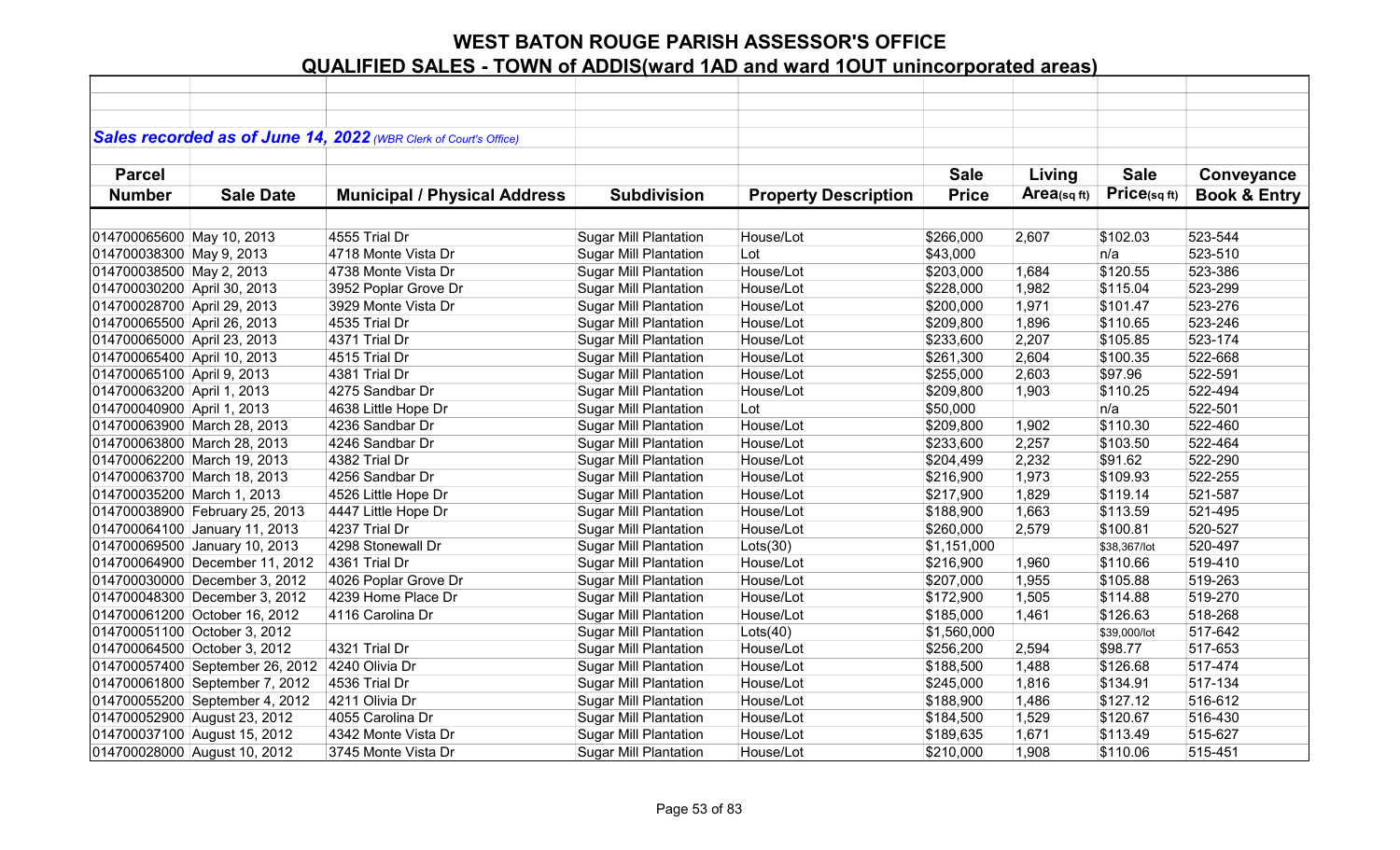|                             |                                 | Sales recorded as of June 14, 2022 (WBR Clerk of Court's Office) |                              |                             |              |            |              |                         |
|-----------------------------|---------------------------------|------------------------------------------------------------------|------------------------------|-----------------------------|--------------|------------|--------------|-------------------------|
| <b>Parcel</b>               |                                 |                                                                  |                              |                             | <b>Sale</b>  | Living     | <b>Sale</b>  | Conveyance              |
| <b>Number</b>               | <b>Sale Date</b>                | <b>Municipal / Physical Address</b>                              | <b>Subdivision</b>           | <b>Property Description</b> | <b>Price</b> | Area(sqft) | Price(sqft)  | <b>Book &amp; Entry</b> |
|                             |                                 |                                                                  |                              |                             |              |            |              |                         |
| 014700065600 May 10, 2013   |                                 | 4555 Trial Dr                                                    | <b>Sugar Mill Plantation</b> | House/Lot                   | \$266,000    | 2,607      | \$102.03     | 523-544                 |
| 014700038300 May 9, 2013    |                                 | 4718 Monte Vista Dr                                              | <b>Sugar Mill Plantation</b> | Lot                         | \$43,000     |            | n/a          | 523-510                 |
| 014700038500 May 2, 2013    |                                 | 4738 Monte Vista Dr                                              | <b>Sugar Mill Plantation</b> | House/Lot                   | \$203,000    | 1,684      | \$120.55     | 523-386                 |
| 014700030200 April 30, 2013 |                                 | 3952 Poplar Grove Dr                                             | <b>Sugar Mill Plantation</b> | House/Lot                   | \$228,000    | 1,982      | \$115.04     | 523-299                 |
| 014700028700 April 29, 2013 |                                 | 3929 Monte Vista Dr                                              | <b>Sugar Mill Plantation</b> | House/Lot                   | \$200,000    | 1,971      | \$101.47     | 523-276                 |
| 014700065500 April 26, 2013 |                                 | 4535 Trial Dr                                                    | <b>Sugar Mill Plantation</b> | House/Lot                   | \$209,800    | 1,896      | \$110.65     | 523-246                 |
| 014700065000 April 23, 2013 |                                 | 4371 Trial Dr                                                    | <b>Sugar Mill Plantation</b> | House/Lot                   | \$233,600    | 2,207      | \$105.85     | 523-174                 |
| 014700065400 April 10, 2013 |                                 | 4515 Trial Dr                                                    | <b>Sugar Mill Plantation</b> | House/Lot                   | \$261,300    | 2,604      | \$100.35     | 522-668                 |
| 014700065100 April 9, 2013  |                                 | 4381 Trial Dr                                                    | <b>Sugar Mill Plantation</b> | House/Lot                   | \$255,000    | 2,603      | \$97.96      | 522-591                 |
| 014700063200 April 1, 2013  |                                 | 4275 Sandbar Dr                                                  | <b>Sugar Mill Plantation</b> | House/Lot                   | \$209,800    | 1,903      | \$110.25     | 522-494                 |
| 014700040900 April 1, 2013  |                                 | 4638 Little Hope Dr                                              | <b>Sugar Mill Plantation</b> | Lot                         | \$50,000     |            | n/a          | 522-501                 |
|                             | 014700063900 March 28, 2013     | 4236 Sandbar Dr                                                  | <b>Sugar Mill Plantation</b> | House/Lot                   | \$209,800    | 1,902      | \$110.30     | 522-460                 |
|                             | 014700063800 March 28, 2013     | 4246 Sandbar Dr                                                  | <b>Sugar Mill Plantation</b> | House/Lot                   | \$233,600    | 2,257      | \$103.50     | 522-464                 |
|                             | 014700062200 March 19, 2013     | 4382 Trial Dr                                                    | <b>Sugar Mill Plantation</b> | House/Lot                   | \$204,499    | 2,232      | \$91.62      | 522-290                 |
|                             | 014700063700 March 18, 2013     | 4256 Sandbar Dr                                                  | <b>Sugar Mill Plantation</b> | House/Lot                   | \$216,900    | 1,973      | \$109.93     | 522-255                 |
| 014700035200 March 1, 2013  |                                 | 4526 Little Hope Dr                                              | <b>Sugar Mill Plantation</b> | House/Lot                   | \$217,900    | 1,829      | \$119.14     | 521-587                 |
|                             | 014700038900 February 25, 2013  | 4447 Little Hope Dr                                              | <b>Sugar Mill Plantation</b> | House/Lot                   | \$188,900    | 1,663      | \$113.59     | 521-495                 |
|                             | 014700064100 January 11, 2013   | 4237 Trial Dr                                                    | <b>Sugar Mill Plantation</b> | House/Lot                   | \$260,000    | 2,579      | \$100.81     | 520-527                 |
|                             | 014700069500 January 10, 2013   | 4298 Stonewall Dr                                                | <b>Sugar Mill Plantation</b> | Lots(30)                    | \$1,151,000  |            | \$38,367/lot | 520-497                 |
|                             | 014700064900 December 11, 2012  | 4361 Trial Dr                                                    | <b>Sugar Mill Plantation</b> | House/Lot                   | \$216,900    | 1,960      | \$110.66     | 519-410                 |
|                             | 014700030000 December 3, 2012   | 4026 Poplar Grove Dr                                             | <b>Sugar Mill Plantation</b> | House/Lot                   | \$207,000    | 1,955      | \$105.88     | 519-263                 |
|                             | 014700048300 December 3, 2012   | 4239 Home Place Dr                                               | <b>Sugar Mill Plantation</b> | House/Lot                   | \$172,900    | 1,505      | \$114.88     | 519-270                 |
|                             | 014700061200 October 16, 2012   | 4116 Carolina Dr                                                 | <b>Sugar Mill Plantation</b> | House/Lot                   | \$185,000    | 1,461      | \$126.63     | 518-268                 |
|                             | 014700051100 October 3, 2012    |                                                                  | <b>Sugar Mill Plantation</b> | Lots(40)                    | \$1,560,000  |            | \$39,000/lot | 517-642                 |
|                             | 014700064500 October 3, 2012    | 4321 Trial Dr                                                    | <b>Sugar Mill Plantation</b> | House/Lot                   | \$256,200    | 2,594      | \$98.77      | 517-653                 |
|                             | 014700057400 September 26, 2012 | 4240 Olivia Dr                                                   | Sugar Mill Plantation        | House/Lot                   | \$188,500    | 1,488      | \$126.68     | 517-474                 |
|                             | 014700061800 September 7, 2012  | 4536 Trial Dr                                                    | Sugar Mill Plantation        | House/Lot                   | \$245,000    | 1,816      | \$134.91     | 517-134                 |
|                             | 014700055200 September 4, 2012  | 4211 Olivia Dr                                                   | <b>Sugar Mill Plantation</b> | House/Lot                   | \$188,900    | 1,486      | \$127.12     | 516-612                 |
|                             | 014700052900 August 23, 2012    | 4055 Carolina Dr                                                 | <b>Sugar Mill Plantation</b> | House/Lot                   | \$184,500    | 1,529      | \$120.67     | 516-430                 |
|                             | 014700037100 August 15, 2012    | 4342 Monte Vista Dr                                              | <b>Sugar Mill Plantation</b> | House/Lot                   | \$189,635    | 1,671      | \$113.49     | 515-627                 |
|                             | 014700028000 August 10, 2012    | 3745 Monte Vista Dr                                              | <b>Sugar Mill Plantation</b> | House/Lot                   | \$210,000    | 1,908      | \$110.06     | 515-451                 |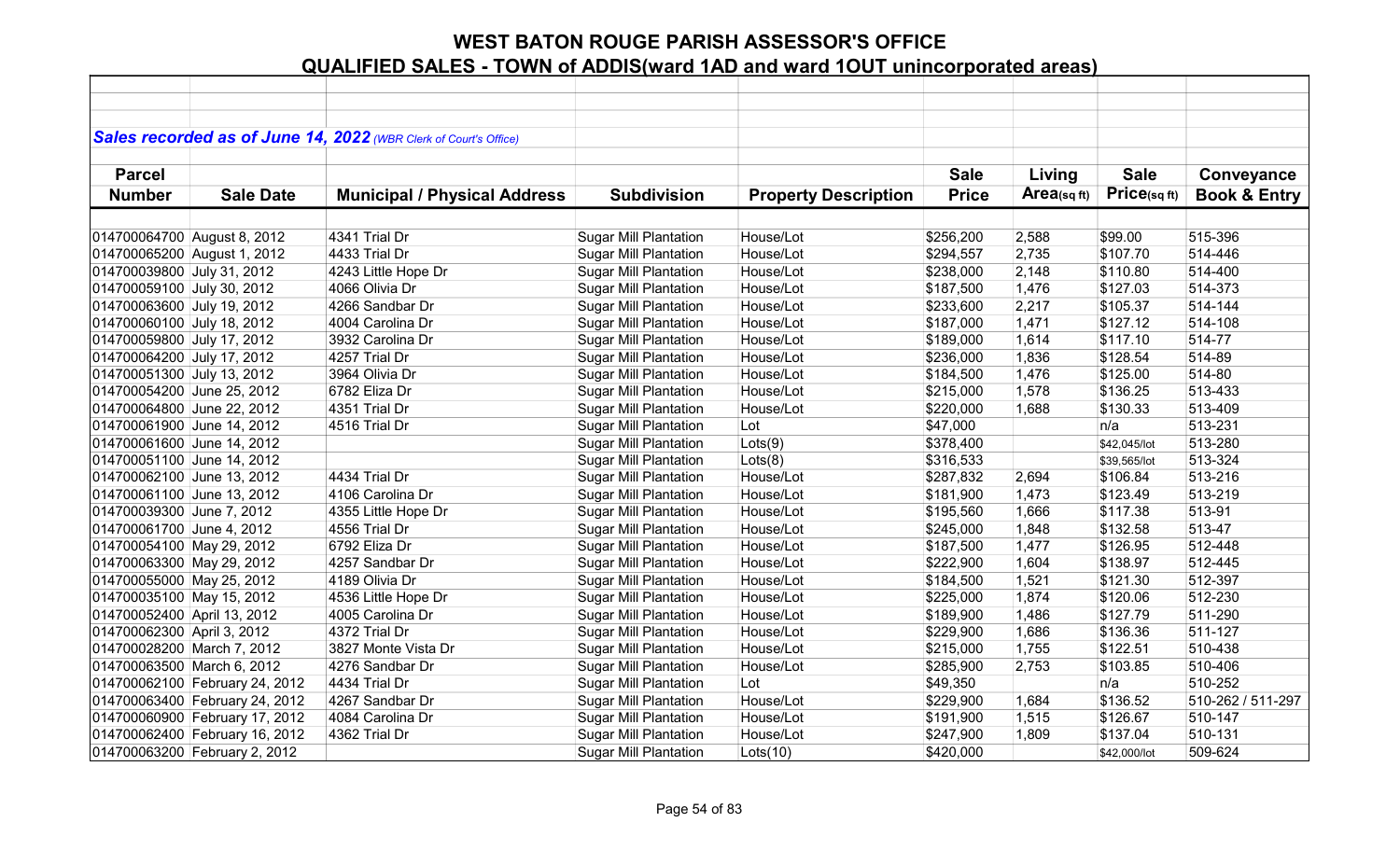|                             |                                | Sales recorded as of June 14, 2022 (WBR Clerk of Court's Office) |                              |                             |              |            |              |                         |
|-----------------------------|--------------------------------|------------------------------------------------------------------|------------------------------|-----------------------------|--------------|------------|--------------|-------------------------|
| <b>Parcel</b>               |                                |                                                                  |                              |                             | <b>Sale</b>  | Living     | <b>Sale</b>  | Conveyance              |
| <b>Number</b>               | <b>Sale Date</b>               | <b>Municipal / Physical Address</b>                              | <b>Subdivision</b>           | <b>Property Description</b> | <b>Price</b> | Area(sqft) | Price(sqft)  | <b>Book &amp; Entry</b> |
|                             |                                |                                                                  |                              |                             |              |            |              |                         |
| 014700064700 August 8, 2012 |                                | 4341 Trial Dr                                                    | <b>Sugar Mill Plantation</b> | House/Lot                   | \$256,200    | 2,588      | \$99.00      | 515-396                 |
| 014700065200 August 1, 2012 |                                | 4433 Trial Dr                                                    | <b>Sugar Mill Plantation</b> | House/Lot                   | \$294,557    | 2,735      | \$107.70     | 514-446                 |
| 014700039800 July 31, 2012  |                                | 4243 Little Hope Dr                                              | <b>Sugar Mill Plantation</b> | House/Lot                   | \$238,000    | 2,148      | \$110.80     | 514-400                 |
| 014700059100 July 30, 2012  |                                | 4066 Olivia Dr                                                   | <b>Sugar Mill Plantation</b> | House/Lot                   | \$187,500    | 1,476      | \$127.03     | 514-373                 |
| 014700063600 July 19, 2012  |                                | 4266 Sandbar Dr                                                  | <b>Sugar Mill Plantation</b> | House/Lot                   | \$233,600    | 2,217      | \$105.37     | 514-144                 |
| 014700060100 July 18, 2012  |                                | 4004 Carolina Dr                                                 | <b>Sugar Mill Plantation</b> | House/Lot                   | \$187,000    | 1,471      | \$127.12     | 514-108                 |
| 014700059800 July 17, 2012  |                                | 3932 Carolina Dr                                                 | <b>Sugar Mill Plantation</b> | House/Lot                   | \$189,000    | 1,614      | \$117.10     | 514-77                  |
| 014700064200 July 17, 2012  |                                | 4257 Trial Dr                                                    | Sugar Mill Plantation        | House/Lot                   | \$236,000    | 1,836      | \$128.54     | 514-89                  |
| 014700051300 July 13, 2012  |                                | 3964 Olivia Dr                                                   | <b>Sugar Mill Plantation</b> | House/Lot                   | \$184,500    | 1,476      | \$125.00     | 514-80                  |
| 014700054200 June 25, 2012  |                                | 6782 Eliza Dr                                                    | <b>Sugar Mill Plantation</b> | House/Lot                   | \$215,000    | 1,578      | \$136.25     | 513-433                 |
| 014700064800 June 22, 2012  |                                | 4351 Trial Dr                                                    | <b>Sugar Mill Plantation</b> | House/Lot                   | \$220,000    | 1,688      | \$130.33     | 513-409                 |
| 014700061900 June 14, 2012  |                                | 4516 Trial Dr                                                    | <b>Sugar Mill Plantation</b> | Lot                         | \$47,000     |            | n/a          | 513-231                 |
| 014700061600 June 14, 2012  |                                |                                                                  | <b>Sugar Mill Plantation</b> | Lots(9)                     | \$378,400    |            | \$42,045/lot | 513-280                 |
| 014700051100 June 14, 2012  |                                |                                                                  | Sugar Mill Plantation        | Lots(8)                     | \$316,533    |            | \$39,565/lot | 513-324                 |
| 014700062100 June 13, 2012  |                                | 4434 Trial Dr                                                    | <b>Sugar Mill Plantation</b> | House/Lot                   | \$287,832    | 2,694      | \$106.84     | 513-216                 |
| 014700061100 June 13, 2012  |                                | 4106 Carolina Dr                                                 | <b>Sugar Mill Plantation</b> | House/Lot                   | \$181,900    | 1,473      | \$123.49     | 513-219                 |
| 014700039300 June 7, 2012   |                                | 4355 Little Hope Dr                                              | <b>Sugar Mill Plantation</b> | House/Lot                   | \$195,560    | 1,666      | \$117.38     | 513-91                  |
| 014700061700 June 4, 2012   |                                | 4556 Trial Dr                                                    | <b>Sugar Mill Plantation</b> | House/Lot                   | \$245,000    | 1,848      | \$132.58     | 513-47                  |
| 014700054100 May 29, 2012   |                                | 6792 Eliza Dr                                                    | <b>Sugar Mill Plantation</b> | House/Lot                   | \$187,500    | 1,477      | \$126.95     | 512-448                 |
| 014700063300 May 29, 2012   |                                | 4257 Sandbar Dr                                                  | <b>Sugar Mill Plantation</b> | House/Lot                   | \$222,900    | 1,604      | \$138.97     | 512-445                 |
| 014700055000 May 25, 2012   |                                | 4189 Olivia Dr                                                   | <b>Sugar Mill Plantation</b> | House/Lot                   | \$184,500    | 1,521      | \$121.30     | 512-397                 |
| 014700035100 May 15, 2012   |                                | 4536 Little Hope Dr                                              | <b>Sugar Mill Plantation</b> | House/Lot                   | \$225,000    | 1,874      | \$120.06     | 512-230                 |
| 014700052400 April 13, 2012 |                                | 4005 Carolina Dr                                                 | <b>Sugar Mill Plantation</b> | House/Lot                   | \$189,900    | 1,486      | \$127.79     | 511-290                 |
| 014700062300 April 3, 2012  |                                | 4372 Trial Dr                                                    | <b>Sugar Mill Plantation</b> | House/Lot                   | \$229,900    | 1,686      | \$136.36     | 511-127                 |
| 014700028200 March 7, 2012  |                                | 3827 Monte Vista Dr                                              | <b>Sugar Mill Plantation</b> | House/Lot                   | \$215,000    | 1,755      | \$122.51     | 510-438                 |
| 014700063500 March 6, 2012  |                                | 4276 Sandbar Dr                                                  | <b>Sugar Mill Plantation</b> | House/Lot                   | \$285,900    | 2,753      | \$103.85     | 510-406                 |
|                             | 014700062100 February 24, 2012 | 4434 Trial Dr                                                    | <b>Sugar Mill Plantation</b> | Lot                         | \$49,350     |            | n/a          | 510-252                 |
|                             | 014700063400 February 24, 2012 | 4267 Sandbar Dr                                                  | <b>Sugar Mill Plantation</b> | House/Lot                   | \$229,900    | 1,684      | \$136.52     | 510-262 / 511-297       |
|                             | 014700060900 February 17, 2012 | 4084 Carolina Dr                                                 | <b>Sugar Mill Plantation</b> | House/Lot                   | \$191,900    | 1,515      | \$126.67     | 510-147                 |
|                             | 014700062400 February 16, 2012 | 4362 Trial Dr                                                    | <b>Sugar Mill Plantation</b> | House/Lot                   | \$247,900    | 1,809      | \$137.04     | 510-131                 |
|                             | 014700063200 February 2, 2012  |                                                                  | <b>Sugar Mill Plantation</b> | Lots(10)                    | \$420,000    |            | \$42,000/lot | 509-624                 |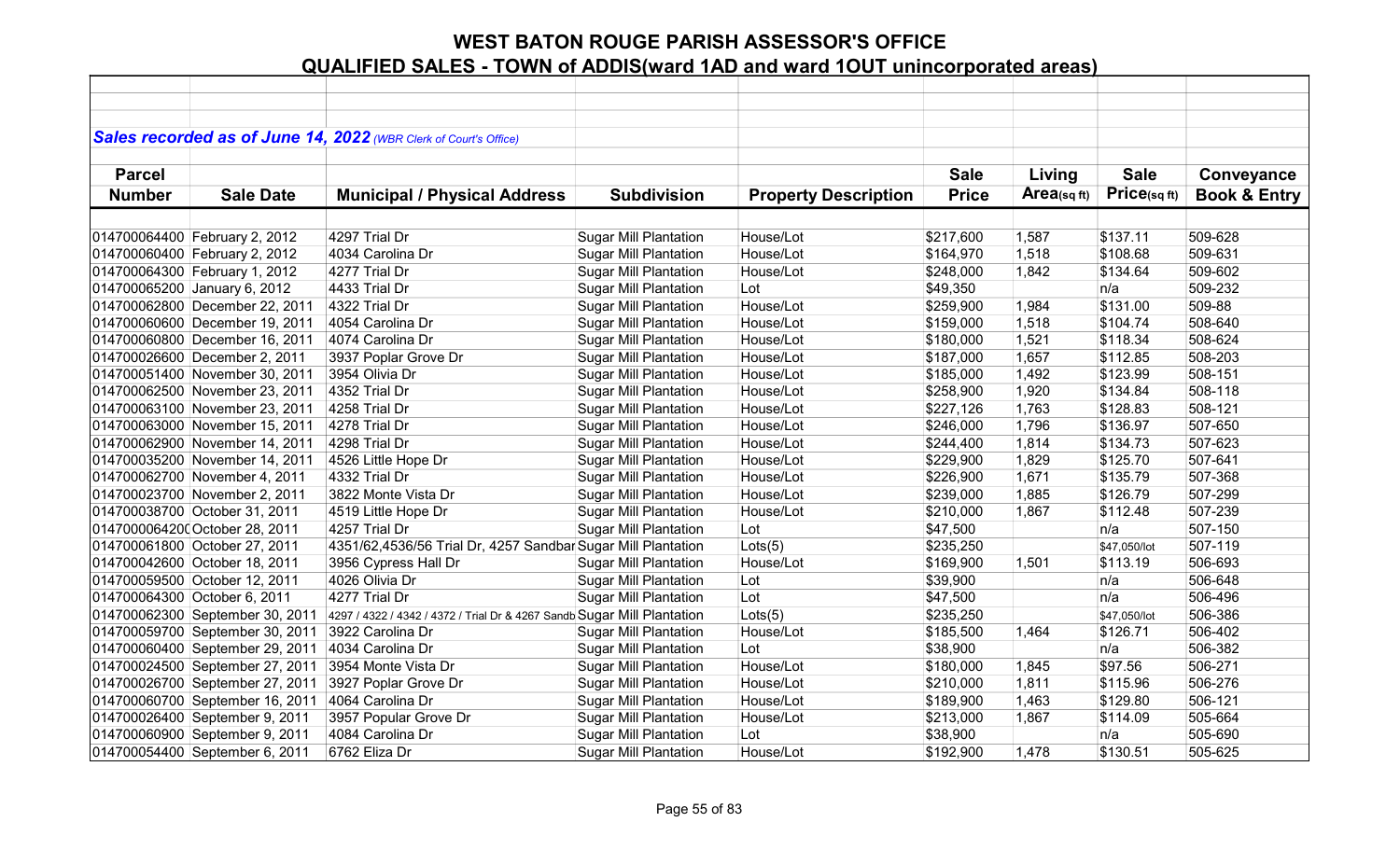|               |                                 | Sales recorded as of June 14, 2022 (WBR Clerk of Court's Office)        |                              |                             |              |            |              |                         |
|---------------|---------------------------------|-------------------------------------------------------------------------|------------------------------|-----------------------------|--------------|------------|--------------|-------------------------|
|               |                                 |                                                                         |                              |                             |              |            |              |                         |
| <b>Parcel</b> |                                 |                                                                         |                              |                             | <b>Sale</b>  | Living     | <b>Sale</b>  | Conveyance              |
| <b>Number</b> | <b>Sale Date</b>                | <b>Municipal / Physical Address</b>                                     | <b>Subdivision</b>           | <b>Property Description</b> | <b>Price</b> | Area(sqft) | Price(sqft)  | <b>Book &amp; Entry</b> |
|               |                                 |                                                                         |                              |                             |              |            |              |                         |
|               | 014700064400 February 2, 2012   | 4297 Trial Dr                                                           | <b>Sugar Mill Plantation</b> | House/Lot                   | \$217,600    | 1,587      | \$137.11     | 509-628                 |
|               | 014700060400 February 2, 2012   | 4034 Carolina Dr                                                        | <b>Sugar Mill Plantation</b> | House/Lot                   | \$164,970    | 1,518      | \$108.68     | 509-631                 |
|               | 014700064300 February 1, 2012   | 4277 Trial Dr                                                           | <b>Sugar Mill Plantation</b> | House/Lot                   | \$248,000    | 1,842      | \$134.64     | 509-602                 |
|               | 014700065200 January 6, 2012    | 4433 Trial Dr                                                           | <b>Sugar Mill Plantation</b> | Lot                         | \$49,350     |            | n/a          | 509-232                 |
|               | 014700062800 December 22, 2011  | 4322 Trial Dr                                                           | <b>Sugar Mill Plantation</b> | House/Lot                   | \$259,900    | 1,984      | \$131.00     | 509-88                  |
|               | 014700060600 December 19, 2011  | 4054 Carolina Dr                                                        | <b>Sugar Mill Plantation</b> | House/Lot                   | \$159,000    | 1,518      | \$104.74     | 508-640                 |
|               | 014700060800 December 16, 2011  | 4074 Carolina Dr                                                        | Sugar Mill Plantation        | House/Lot                   | \$180,000    | 1,521      | \$118.34     | 508-624                 |
|               | 014700026600 December 2, 2011   | 3937 Poplar Grove Dr                                                    | <b>Sugar Mill Plantation</b> | House/Lot                   | \$187,000    | 1,657      | \$112.85     | 508-203                 |
|               | 014700051400 November 30, 2011  | 3954 Olivia Dr                                                          | <b>Sugar Mill Plantation</b> | House/Lot                   | \$185,000    | 1,492      | \$123.99     | 508-151                 |
|               | 014700062500 November 23, 2011  | 4352 Trial Dr                                                           | <b>Sugar Mill Plantation</b> | House/Lot                   | \$258,900    | 1,920      | \$134.84     | 508-118                 |
|               | 014700063100 November 23, 2011  | 4258 Trial Dr                                                           | <b>Sugar Mill Plantation</b> | House/Lot                   | \$227,126    | 1,763      | \$128.83     | 508-121                 |
|               | 014700063000 November 15, 2011  | 4278 Trial Dr                                                           | <b>Sugar Mill Plantation</b> | House/Lot                   | \$246,000    | 1,796      | \$136.97     | 507-650                 |
|               | 014700062900 November 14, 2011  | 4298 Trial Dr                                                           | <b>Sugar Mill Plantation</b> | House/Lot                   | \$244,400    | 1,814      | \$134.73     | 507-623                 |
|               | 014700035200 November 14, 2011  | 4526 Little Hope Dr                                                     | <b>Sugar Mill Plantation</b> | House/Lot                   | \$229,900    | 1,829      | \$125.70     | 507-641                 |
|               | 014700062700 November 4, 2011   | 4332 Trial Dr                                                           | <b>Sugar Mill Plantation</b> | House/Lot                   | \$226,900    | 1,671      | \$135.79     | 507-368                 |
|               | 014700023700 November 2, 2011   | 3822 Monte Vista Dr                                                     | <b>Sugar Mill Plantation</b> | House/Lot                   | \$239,000    | 1,885      | \$126.79     | 507-299                 |
|               | 014700038700 October 31, 2011   | 4519 Little Hope Dr                                                     | <b>Sugar Mill Plantation</b> | House/Lot                   | \$210,000    | 1,867      | \$112.48     | 507-239                 |
|               | 0147000064200 October 28, 2011  | 4257 Trial Dr                                                           | <b>Sugar Mill Plantation</b> | Lot                         | \$47,500     |            | n/a          | 507-150                 |
|               | 014700061800 October 27, 2011   | 4351/62,4536/56 Trial Dr, 4257 Sandbar Sugar Mill Plantation            |                              | Lots(5)                     | \$235,250    |            | \$47,050/lot | 507-119                 |
|               | 014700042600 October 18, 2011   | 3956 Cypress Hall Dr                                                    | <b>Sugar Mill Plantation</b> | House/Lot                   | \$169,900    | 1,501      | \$113.19     | 506-693                 |
|               | 014700059500 October 12, 2011   | 4026 Olivia Dr                                                          | <b>Sugar Mill Plantation</b> | Lot                         | \$39,900     |            | n/a          | 506-648                 |
|               | 014700064300 October 6, 2011    | 4277 Trial Dr                                                           | <b>Sugar Mill Plantation</b> | Lot                         | \$47,500     |            | n/a          | 506-496                 |
|               | 014700062300 September 30, 2011 | 4297 / 4322 / 4342 / 4372 / Trial Dr & 4267 Sandb Sugar Mill Plantation |                              | Lots(5)                     | \$235,250    |            | \$47,050/lot | 506-386                 |
|               | 014700059700 September 30, 2011 | 3922 Carolina Dr                                                        | <b>Sugar Mill Plantation</b> | House/Lot                   | \$185,500    | 1,464      | \$126.71     | 506-402                 |
|               | 014700060400 September 29, 2011 | 4034 Carolina Dr                                                        | <b>Sugar Mill Plantation</b> | Lot                         | \$38,900     |            | n/a          | 506-382                 |
|               | 014700024500 September 27, 2011 | 3954 Monte Vista Dr                                                     | <b>Sugar Mill Plantation</b> | House/Lot                   | \$180,000    | 1,845      | \$97.56      | 506-271                 |
|               | 014700026700 September 27, 2011 | 3927 Poplar Grove Dr                                                    | <b>Sugar Mill Plantation</b> | House/Lot                   | \$210,000    | 1,811      | \$115.96     | 506-276                 |
|               | 014700060700 September 16, 2011 | 4064 Carolina Dr                                                        | <b>Sugar Mill Plantation</b> | House/Lot                   | \$189,900    | 1,463      | \$129.80     | 506-121                 |
|               | 014700026400 September 9, 2011  | 3957 Popular Grove Dr                                                   | <b>Sugar Mill Plantation</b> | House/Lot                   | \$213,000    | 1,867      | \$114.09     | 505-664                 |
|               | 014700060900 September 9, 2011  | 4084 Carolina Dr                                                        | <b>Sugar Mill Plantation</b> | Lot                         | \$38,900     |            | n/a          | 505-690                 |
|               | 014700054400 September 6, 2011  | 6762 Eliza Dr                                                           | <b>Sugar Mill Plantation</b> | House/Lot                   | \$192,900    | 1,478      | \$130.51     | 505-625                 |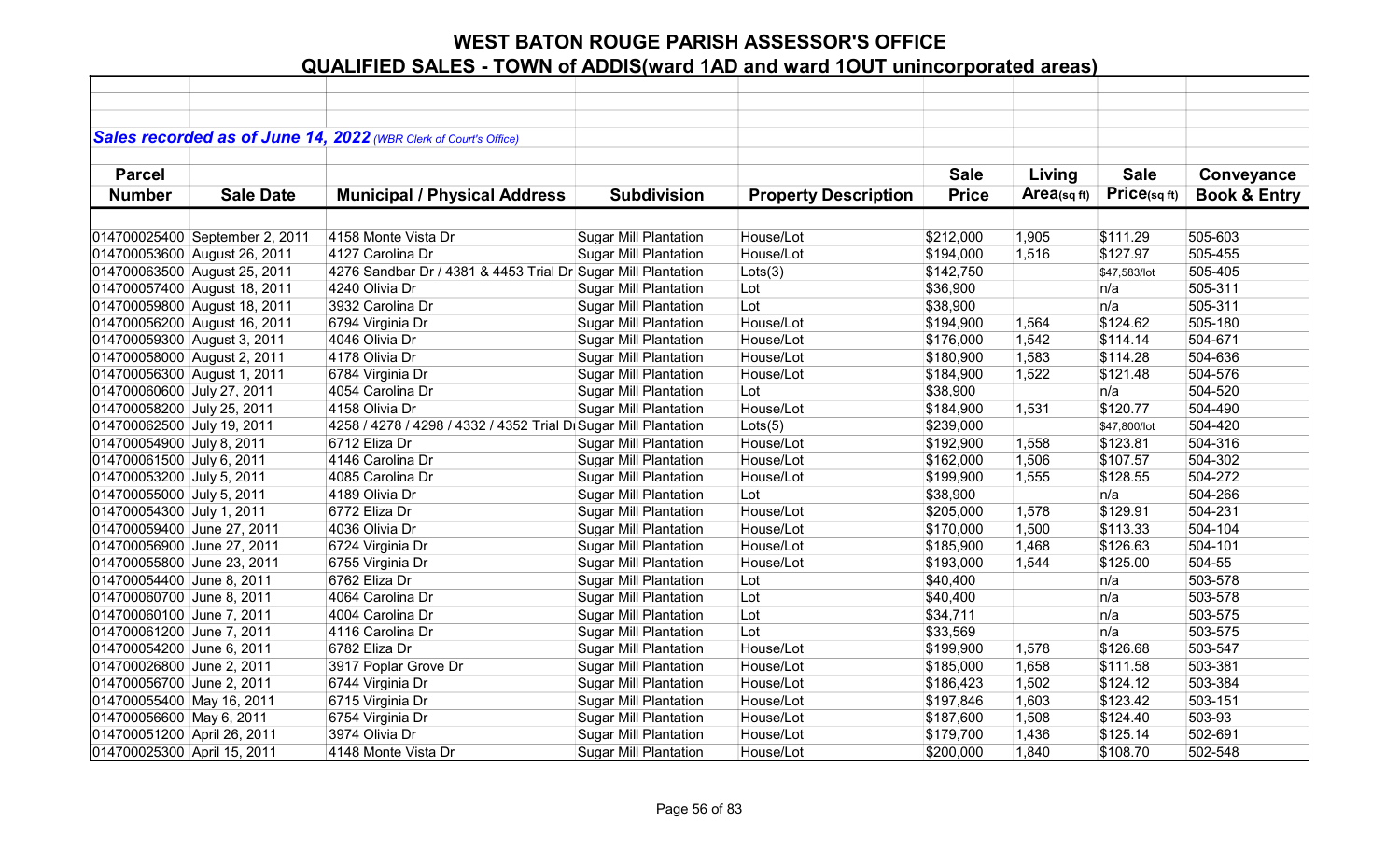|                             |                                | Sales recorded as of June 14, 2022 (WBR Clerk of Court's Office) |                              |                             |              |            |              |                         |
|-----------------------------|--------------------------------|------------------------------------------------------------------|------------------------------|-----------------------------|--------------|------------|--------------|-------------------------|
|                             |                                |                                                                  |                              |                             |              |            |              |                         |
| <b>Parcel</b>               |                                |                                                                  |                              |                             | <b>Sale</b>  | Living     | <b>Sale</b>  | Conveyance              |
| <b>Number</b>               | <b>Sale Date</b>               | <b>Municipal / Physical Address</b>                              | <b>Subdivision</b>           | <b>Property Description</b> | <b>Price</b> | Area(sqft) | Price(sq ft) | <b>Book &amp; Entry</b> |
|                             |                                |                                                                  |                              |                             |              |            |              |                         |
|                             | 014700025400 September 2, 2011 | 4158 Monte Vista Dr                                              | <b>Sugar Mill Plantation</b> | House/Lot                   | \$212,000    | 1,905      | \$111.29     | 505-603                 |
|                             | 014700053600 August 26, 2011   | 4127 Carolina Dr                                                 | <b>Sugar Mill Plantation</b> | House/Lot                   | \$194,000    | 1,516      | \$127.97     | 505-455                 |
|                             | 014700063500 August 25, 2011   | 4276 Sandbar Dr / 4381 & 4453 Trial Dr Sugar Mill Plantation     |                              | Lots(3)                     | \$142,750    |            | \$47,583/lot | 505-405                 |
|                             | 014700057400 August 18, 2011   | 4240 Olivia Dr                                                   | <b>Sugar Mill Plantation</b> | Lot                         | \$36,900     |            | n/a          | 505-311                 |
|                             | 014700059800 August 18, 2011   | 3932 Carolina Dr                                                 | <b>Sugar Mill Plantation</b> | Lot                         | \$38,900     |            | n/a          | 505-311                 |
|                             | 014700056200 August 16, 2011   | 6794 Virginia Dr                                                 | <b>Sugar Mill Plantation</b> | House/Lot                   | \$194,900    | 1,564      | \$124.62     | 505-180                 |
| 014700059300 August 3, 2011 |                                | 4046 Olivia Dr                                                   | <b>Sugar Mill Plantation</b> | House/Lot                   | \$176,000    | 1,542      | \$114.14     | 504-671                 |
| 014700058000 August 2, 2011 |                                | 4178 Olivia Dr                                                   | <b>Sugar Mill Plantation</b> | House/Lot                   | \$180,900    | 1,583      | \$114.28     | 504-636                 |
| 014700056300 August 1, 2011 |                                | 6784 Virginia Dr                                                 | <b>Sugar Mill Plantation</b> | House/Lot                   | \$184,900    | 1,522      | \$121.48     | 504-576                 |
| 014700060600 July 27, 2011  |                                | 4054 Carolina Dr                                                 | <b>Sugar Mill Plantation</b> | Lot                         | \$38,900     |            | n/a          | 504-520                 |
| 014700058200 July 25, 2011  |                                | 4158 Olivia Dr                                                   | <b>Sugar Mill Plantation</b> | House/Lot                   | \$184,900    | 1,531      | \$120.77     | 504-490                 |
| 014700062500 July 19, 2011  |                                | 4258 / 4278 / 4298 / 4332 / 4352 Trial D Sugar Mill Plantation   |                              | Lots(5)                     | \$239,000    |            | \$47,800/lot | 504-420                 |
| 014700054900 July 8, 2011   |                                | 6712 Eliza Dr                                                    | <b>Sugar Mill Plantation</b> | House/Lot                   | \$192,900    | 1,558      | \$123.81     | 504-316                 |
| 014700061500 July 6, 2011   |                                | 4146 Carolina Dr                                                 | <b>Sugar Mill Plantation</b> | House/Lot                   | \$162,000    | 1,506      | \$107.57     | 504-302                 |
| 014700053200 July 5, 2011   |                                | 4085 Carolina Dr                                                 | <b>Sugar Mill Plantation</b> | House/Lot                   | \$199,900    | 1,555      | \$128.55     | 504-272                 |
| 014700055000 July 5, 2011   |                                | 4189 Olivia Dr                                                   | <b>Sugar Mill Plantation</b> | Lot                         | \$38,900     |            | n/a          | 504-266                 |
| 014700054300 July 1, 2011   |                                | 6772 Eliza Dr                                                    | <b>Sugar Mill Plantation</b> | House/Lot                   | \$205,000    | 1,578      | \$129.91     | 504-231                 |
| 014700059400 June 27, 2011  |                                | 4036 Olivia Dr                                                   | <b>Sugar Mill Plantation</b> | House/Lot                   | \$170,000    | 1,500      | \$113.33     | 504-104                 |
| 014700056900 June 27, 2011  |                                | 6724 Virginia Dr                                                 | <b>Sugar Mill Plantation</b> | House/Lot                   | \$185,900    | 1,468      | \$126.63     | 504-101                 |
| 014700055800 June 23, 2011  |                                | 6755 Virginia Dr                                                 | <b>Sugar Mill Plantation</b> | House/Lot                   | \$193,000    | 1,544      | \$125.00     | 504-55                  |
| 014700054400 June 8, 2011   |                                | 6762 Eliza Dr                                                    | <b>Sugar Mill Plantation</b> | Lot                         | \$40,400     |            | n/a          | 503-578                 |
| 014700060700 June 8, 2011   |                                | 4064 Carolina Dr                                                 | <b>Sugar Mill Plantation</b> | Lot                         | \$40,400     |            | n/a          | 503-578                 |
| 014700060100 June 7, 2011   |                                | 4004 Carolina Dr                                                 | <b>Sugar Mill Plantation</b> | Lot                         | \$34,711     |            | n/a          | 503-575                 |
| 014700061200 June 7, 2011   |                                | 4116 Carolina Dr                                                 | <b>Sugar Mill Plantation</b> | Lot                         | \$33,569     |            | n/a          | 503-575                 |
| 014700054200 June 6, 2011   |                                | 6782 Eliza Dr                                                    | <b>Sugar Mill Plantation</b> | House/Lot                   | \$199,900    | 1,578      | \$126.68     | 503-547                 |
| 014700026800 June 2, 2011   |                                | 3917 Poplar Grove Dr                                             | Sugar Mill Plantation        | House/Lot                   | \$185,000    | 1,658      | \$111.58     | 503-381                 |
| 014700056700 June 2, 2011   |                                | 6744 Virginia Dr                                                 | <b>Sugar Mill Plantation</b> | House/Lot                   | \$186,423    | 1,502      | \$124.12     | 503-384                 |
| 014700055400 May 16, 2011   |                                | 6715 Virginia Dr                                                 | <b>Sugar Mill Plantation</b> | House/Lot                   | \$197,846    | 1,603      | \$123.42     | 503-151                 |
| 014700056600 May 6, 2011    |                                | 6754 Virginia Dr                                                 | <b>Sugar Mill Plantation</b> | House/Lot                   | \$187,600    | 1,508      | \$124.40     | 503-93                  |
| 014700051200 April 26, 2011 |                                | 3974 Olivia Dr                                                   | <b>Sugar Mill Plantation</b> | House/Lot                   | \$179,700    | 1,436      | \$125.14     | 502-691                 |
| 014700025300 April 15, 2011 |                                | 4148 Monte Vista Dr                                              | <b>Sugar Mill Plantation</b> | House/Lot                   | \$200,000    | 1,840      | \$108.70     | 502-548                 |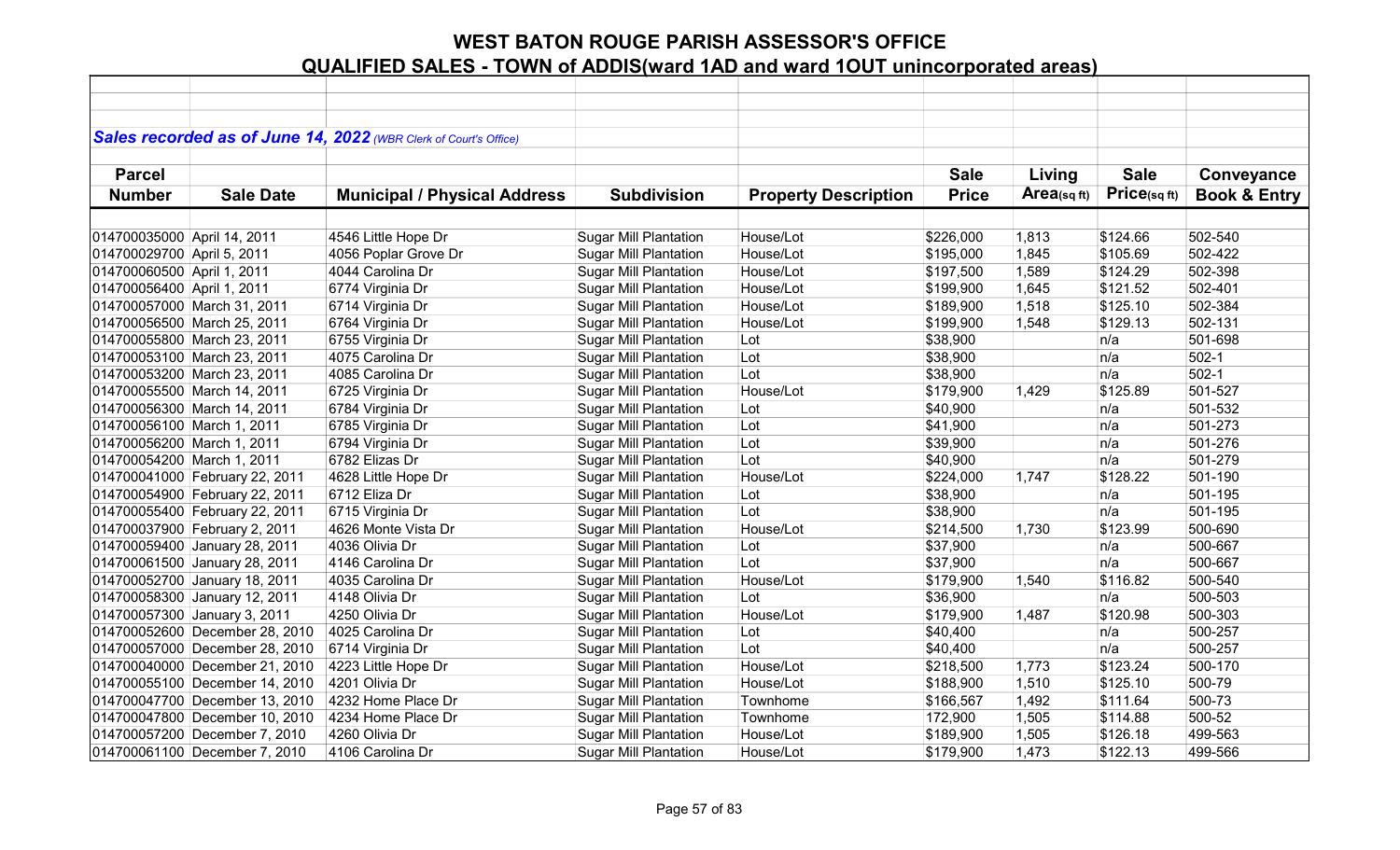|                             |                                | Sales recorded as of June 14, 2022 (WBR Clerk of Court's Office) |                              |                             |              |             |             |                         |
|-----------------------------|--------------------------------|------------------------------------------------------------------|------------------------------|-----------------------------|--------------|-------------|-------------|-------------------------|
|                             |                                |                                                                  |                              |                             |              |             |             |                         |
| <b>Parcel</b>               |                                |                                                                  |                              |                             | <b>Sale</b>  | Living      | <b>Sale</b> | Conveyance              |
| <b>Number</b>               | <b>Sale Date</b>               | <b>Municipal / Physical Address</b>                              | <b>Subdivision</b>           | <b>Property Description</b> | <b>Price</b> | Area(sq ft) | Price(sqft) | <b>Book &amp; Entry</b> |
|                             |                                |                                                                  |                              |                             |              |             |             |                         |
| 014700035000 April 14, 2011 |                                | 4546 Little Hope Dr                                              | <b>Sugar Mill Plantation</b> | House/Lot                   | \$226,000    | 1,813       | \$124.66    | 502-540                 |
| 014700029700 April 5, 2011  |                                | 4056 Poplar Grove Dr                                             | <b>Sugar Mill Plantation</b> | House/Lot                   | \$195,000    | 1,845       | \$105.69    | 502-422                 |
| 014700060500 April 1, 2011  |                                | 4044 Carolina Dr                                                 | <b>Sugar Mill Plantation</b> | House/Lot                   | \$197,500    | 1,589       | \$124.29    | 502-398                 |
| 014700056400 April 1, 2011  |                                | 6774 Virginia Dr                                                 | <b>Sugar Mill Plantation</b> | House/Lot                   | \$199,900    | 1,645       | \$121.52    | 502-401                 |
| 014700057000 March 31, 2011 |                                | 6714 Virginia Dr                                                 | <b>Sugar Mill Plantation</b> | House/Lot                   | \$189,900    | 1,518       | \$125.10    | 502-384                 |
| 014700056500 March 25, 2011 |                                | 6764 Virginia Dr                                                 | <b>Sugar Mill Plantation</b> | House/Lot                   | \$199,900    | 1,548       | \$129.13    | 502-131                 |
| 014700055800 March 23, 2011 |                                | 6755 Virginia Dr                                                 | <b>Sugar Mill Plantation</b> | Lot                         | \$38,900     |             | n/a         | 501-698                 |
|                             | 014700053100 March 23, 2011    | 4075 Carolina Dr                                                 | <b>Sugar Mill Plantation</b> | Lot                         | \$38,900     |             | n/a         | $502-1$                 |
| 014700053200 March 23, 2011 |                                | 4085 Carolina Dr                                                 | <b>Sugar Mill Plantation</b> | Lot                         | \$38,900     |             | n/a         | $502-1$                 |
| 014700055500 March 14, 2011 |                                | 6725 Virginia Dr                                                 | <b>Sugar Mill Plantation</b> | House/Lot                   | \$179,900    | 1,429       | \$125.89    | 501-527                 |
| 014700056300 March 14, 2011 |                                | 6784 Virginia Dr                                                 | <b>Sugar Mill Plantation</b> | Lot                         | \$40,900     |             | n/a         | 501-532                 |
| 014700056100 March 1, 2011  |                                | 6785 Virginia Dr                                                 | <b>Sugar Mill Plantation</b> | Lot                         | \$41,900     |             | n/a         | 501-273                 |
| 014700056200 March 1, 2011  |                                | 6794 Virginia Dr                                                 | <b>Sugar Mill Plantation</b> | Lot                         | \$39,900     |             | n/a         | 501-276                 |
| 014700054200 March 1, 2011  |                                | 6782 Elizas Dr                                                   | <b>Sugar Mill Plantation</b> | Lot                         | \$40,900     |             | n/a         | 501-279                 |
|                             | 014700041000 February 22, 2011 | 4628 Little Hope Dr                                              | <b>Sugar Mill Plantation</b> | House/Lot                   | \$224,000    | 1,747       | \$128.22    | 501-190                 |
|                             | 014700054900 February 22, 2011 | 6712 Eliza Dr                                                    | <b>Sugar Mill Plantation</b> | Lot                         | \$38,900     |             | n/a         | 501-195                 |
|                             | 014700055400 February 22, 2011 | 6715 Virginia Dr                                                 | <b>Sugar Mill Plantation</b> | Lot                         | \$38,900     |             | n/a         | 501-195                 |
|                             | 014700037900 February 2, 2011  | 4626 Monte Vista Dr                                              | <b>Sugar Mill Plantation</b> | House/Lot                   | \$214,500    | 1,730       | \$123.99    | 500-690                 |
|                             | 014700059400 January 28, 2011  | 4036 Olivia Dr                                                   | <b>Sugar Mill Plantation</b> | Lot                         | \$37,900     |             | n/a         | 500-667                 |
|                             | 014700061500 January 28, 2011  | 4146 Carolina Dr                                                 | <b>Sugar Mill Plantation</b> | Lot                         | \$37,900     |             | n/a         | 500-667                 |
|                             | 014700052700 January 18, 2011  | 4035 Carolina Dr                                                 | <b>Sugar Mill Plantation</b> | House/Lot                   | \$179,900    | 1,540       | \$116.82    | 500-540                 |
|                             | 014700058300 January 12, 2011  | 4148 Olivia Dr                                                   | <b>Sugar Mill Plantation</b> | Lot                         | \$36,900     |             | n/a         | 500-503                 |
|                             | 014700057300 January 3, 2011   | 4250 Olivia Dr                                                   | <b>Sugar Mill Plantation</b> | House/Lot                   | \$179,900    | 1,487       | \$120.98    | 500-303                 |
|                             | 014700052600 December 28, 2010 | 4025 Carolina Dr                                                 | <b>Sugar Mill Plantation</b> | Lot                         | \$40,400     |             | n/a         | 500-257                 |
|                             | 014700057000 December 28, 2010 | 6714 Virginia Dr                                                 | <b>Sugar Mill Plantation</b> | Lot                         | \$40,400     |             | n/a         | 500-257                 |
|                             | 014700040000 December 21, 2010 | 4223 Little Hope Dr                                              | <b>Sugar Mill Plantation</b> | House/Lot                   | \$218,500    | 1,773       | \$123.24    | 500-170                 |
|                             | 014700055100 December 14, 2010 | 4201 Olivia Dr                                                   | <b>Sugar Mill Plantation</b> | House/Lot                   | \$188,900    | 1,510       | \$125.10    | 500-79                  |
|                             | 014700047700 December 13, 2010 | 4232 Home Place Dr                                               | <b>Sugar Mill Plantation</b> | Townhome                    | \$166,567    | 1,492       | \$111.64    | 500-73                  |
|                             | 014700047800 December 10, 2010 | 4234 Home Place Dr                                               | <b>Sugar Mill Plantation</b> | Townhome                    | 172,900      | 1,505       | \$114.88    | 500-52                  |
|                             | 014700057200 December 7, 2010  | 4260 Olivia Dr                                                   | <b>Sugar Mill Plantation</b> | House/Lot                   | \$189,900    | 1,505       | \$126.18    | 499-563                 |
|                             | 014700061100 December 7, 2010  | 4106 Carolina Dr                                                 | <b>Sugar Mill Plantation</b> | House/Lot                   | \$179,900    | 1,473       | \$122.13    | 499-566                 |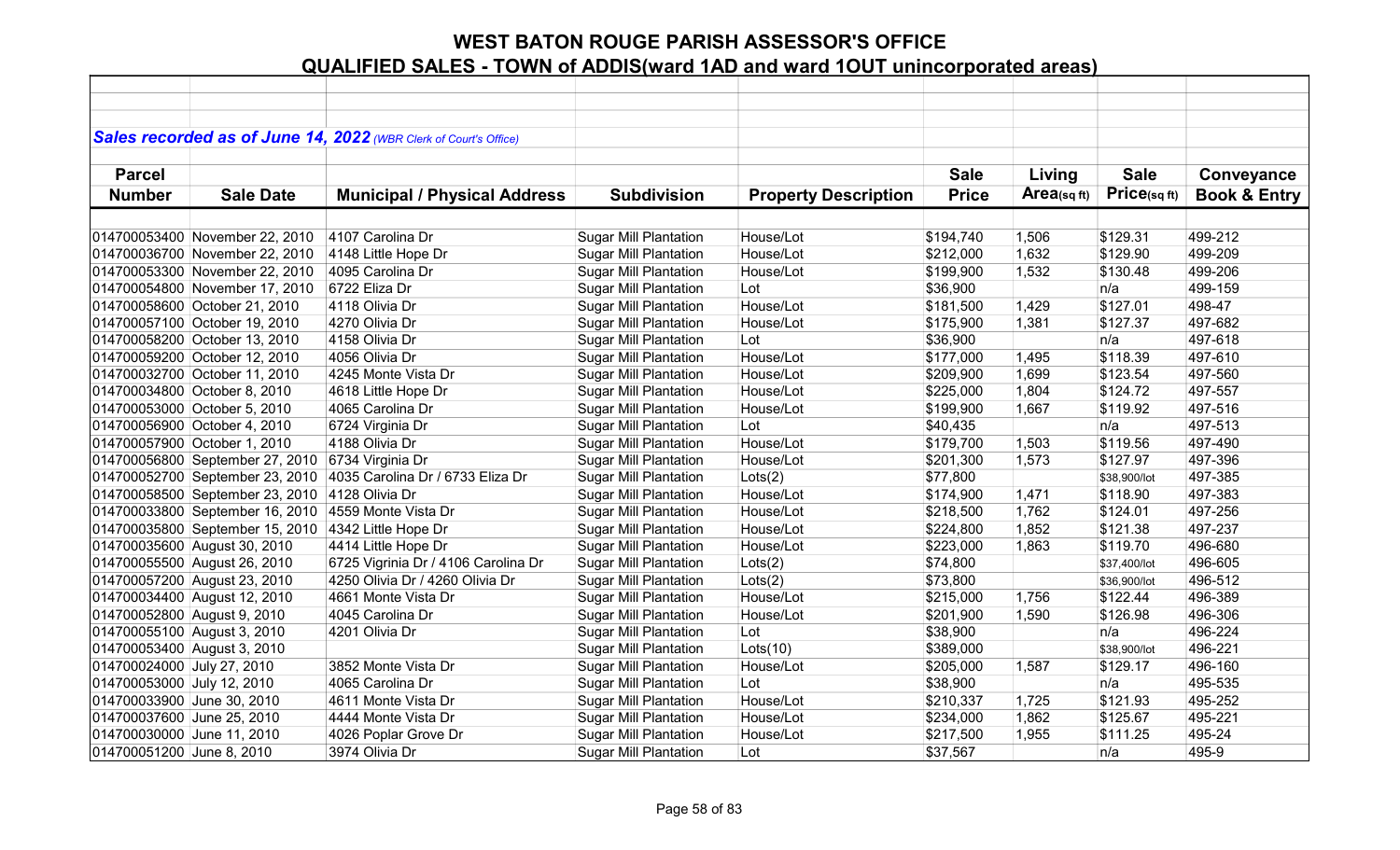|                             |                                 | Sales recorded as of June 14, 2022 (WBR Clerk of Court's Office) |                              |                             |              |                |              |                         |
|-----------------------------|---------------------------------|------------------------------------------------------------------|------------------------------|-----------------------------|--------------|----------------|--------------|-------------------------|
|                             |                                 |                                                                  |                              |                             |              |                |              |                         |
| <b>Parcel</b>               |                                 |                                                                  |                              |                             | <b>Sale</b>  | Living         | <b>Sale</b>  | Conveyance              |
| <b>Number</b>               | <b>Sale Date</b>                | <b>Municipal / Physical Address</b>                              | <b>Subdivision</b>           | <b>Property Description</b> | <b>Price</b> | Area(sq $ft$ ) | Price(sqft)  | <b>Book &amp; Entry</b> |
|                             |                                 |                                                                  |                              |                             |              |                |              |                         |
|                             | 014700053400 November 22, 2010  | 4107 Carolina Dr                                                 | <b>Sugar Mill Plantation</b> | House/Lot                   | \$194,740    | 1,506          | \$129.31     | 499-212                 |
|                             | 014700036700 November 22, 2010  | 4148 Little Hope Dr                                              | <b>Sugar Mill Plantation</b> | House/Lot                   | \$212,000    | 1,632          | \$129.90     | 499-209                 |
|                             | 014700053300 November 22, 2010  | 4095 Carolina Dr                                                 | <b>Sugar Mill Plantation</b> | House/Lot                   | \$199,900    | 1,532          | \$130.48     | 499-206                 |
|                             | 014700054800 November 17, 2010  | 6722 Eliza Dr                                                    | <b>Sugar Mill Plantation</b> | Lot                         | \$36,900     |                | n/a          | 499-159                 |
|                             | 014700058600 October 21, 2010   | 4118 Olivia Dr                                                   | <b>Sugar Mill Plantation</b> | House/Lot                   | \$181,500    | 1,429          | \$127.01     | 498-47                  |
|                             | 014700057100 October 19, 2010   | 4270 Olivia Dr                                                   | <b>Sugar Mill Plantation</b> | House/Lot                   | \$175,900    | 1,381          | \$127.37     | 497-682                 |
|                             | 014700058200 October 13, 2010   | 4158 Olivia Dr                                                   | <b>Sugar Mill Plantation</b> | Lot                         | \$36,900     |                | n/a          | 497-618                 |
|                             | 014700059200 October 12, 2010   | 4056 Olivia Dr                                                   | <b>Sugar Mill Plantation</b> | House/Lot                   | \$177,000    | 1,495          | \$118.39     | 497-610                 |
|                             | 014700032700 October 11, 2010   | 4245 Monte Vista Dr                                              | Sugar Mill Plantation        | House/Lot                   | \$209,900    | 1,699          | \$123.54     | 497-560                 |
|                             | 014700034800 October 8, 2010    | 4618 Little Hope Dr                                              | <b>Sugar Mill Plantation</b> | House/Lot                   | \$225,000    | 1,804          | \$124.72     | 497-557                 |
|                             | 014700053000 October 5, 2010    | 4065 Carolina Dr                                                 | <b>Sugar Mill Plantation</b> | House/Lot                   | \$199,900    | 1,667          | \$119.92     | 497-516                 |
|                             | 014700056900 October 4, 2010    | 6724 Virginia Dr                                                 | <b>Sugar Mill Plantation</b> | Lot                         | \$40,435     |                | n/a          | 497-513                 |
|                             | 014700057900 October 1, 2010    | 4188 Olivia Dr                                                   | <b>Sugar Mill Plantation</b> | House/Lot                   | \$179,700    | 1,503          | \$119.56     | 497-490                 |
|                             | 014700056800 September 27, 2010 | 6734 Virginia Dr                                                 | <b>Sugar Mill Plantation</b> | House/Lot                   | \$201,300    | 1,573          | \$127.97     | 497-396                 |
|                             | 014700052700 September 23, 2010 | 4035 Carolina Dr / 6733 Eliza Dr                                 | <b>Sugar Mill Plantation</b> | Lots(2)                     | \$77,800     |                | \$38,900/lot | 497-385                 |
|                             | 014700058500 September 23, 2010 | 4128 Olivia Dr                                                   | <b>Sugar Mill Plantation</b> | House/Lot                   | \$174,900    | 1,471          | \$118.90     | 497-383                 |
|                             | 014700033800 September 16, 2010 | 4559 Monte Vista Dr                                              | <b>Sugar Mill Plantation</b> | House/Lot                   | \$218,500    | 1,762          | \$124.01     | 497-256                 |
|                             | 014700035800 September 15, 2010 | 4342 Little Hope Dr                                              | <b>Sugar Mill Plantation</b> | House/Lot                   | \$224,800    | 1,852          | \$121.38     | 497-237                 |
|                             | 014700035600 August 30, 2010    | 4414 Little Hope Dr                                              | <b>Sugar Mill Plantation</b> | House/Lot                   | \$223,000    | 1,863          | \$119.70     | 496-680                 |
|                             | 014700055500 August 26, 2010    | 6725 Vigrinia Dr / 4106 Carolina Dr                              | <b>Sugar Mill Plantation</b> | Lots(2)                     | \$74,800     |                | \$37,400/lot | 496-605                 |
|                             | 014700057200 August 23, 2010    | 4250 Olivia Dr / 4260 Olivia Dr                                  | <b>Sugar Mill Plantation</b> | Lots(2)                     | \$73,800     |                | \$36,900/lot | 496-512                 |
|                             | 014700034400 August 12, 2010    | 4661 Monte Vista Dr                                              | <b>Sugar Mill Plantation</b> | House/Lot                   | \$215,000    | 1,756          | \$122.44     | 496-389                 |
| 014700052800 August 9, 2010 |                                 | 4045 Carolina Dr                                                 | <b>Sugar Mill Plantation</b> | House/Lot                   | \$201,900    | 1,590          | \$126.98     | 496-306                 |
| 014700055100 August 3, 2010 |                                 | 4201 Olivia Dr                                                   | <b>Sugar Mill Plantation</b> | Lot                         | \$38,900     |                | n/a          | 496-224                 |
|                             | 014700053400 August 3, 2010     |                                                                  | <b>Sugar Mill Plantation</b> | Lots(10)                    | \$389,000    |                | \$38,900/lot | 496-221                 |
| 014700024000 July 27, 2010  |                                 | 3852 Monte Vista Dr                                              | Sugar Mill Plantation        | House/Lot                   | \$205,000    | 1,587          | \$129.17     | 496-160                 |
| 014700053000 July 12, 2010  |                                 | 4065 Carolina Dr                                                 | <b>Sugar Mill Plantation</b> | Lot                         | \$38,900     |                | n/a          | 495-535                 |
| 014700033900 June 30, 2010  |                                 | 4611 Monte Vista Dr                                              | <b>Sugar Mill Plantation</b> | House/Lot                   | \$210,337    | 1,725          | \$121.93     | 495-252                 |
| 014700037600 June 25, 2010  |                                 | 4444 Monte Vista Dr                                              | <b>Sugar Mill Plantation</b> | House/Lot                   | \$234,000    | 1,862          | \$125.67     | 495-221                 |
| 014700030000 June 11, 2010  |                                 | 4026 Poplar Grove Dr                                             | <b>Sugar Mill Plantation</b> | House/Lot                   | \$217,500    | 1,955          | \$111.25     | 495-24                  |
| 014700051200 June 8, 2010   |                                 | 3974 Olivia Dr                                                   | <b>Sugar Mill Plantation</b> | Lot                         | \$37,567     |                | n/a          | 495-9                   |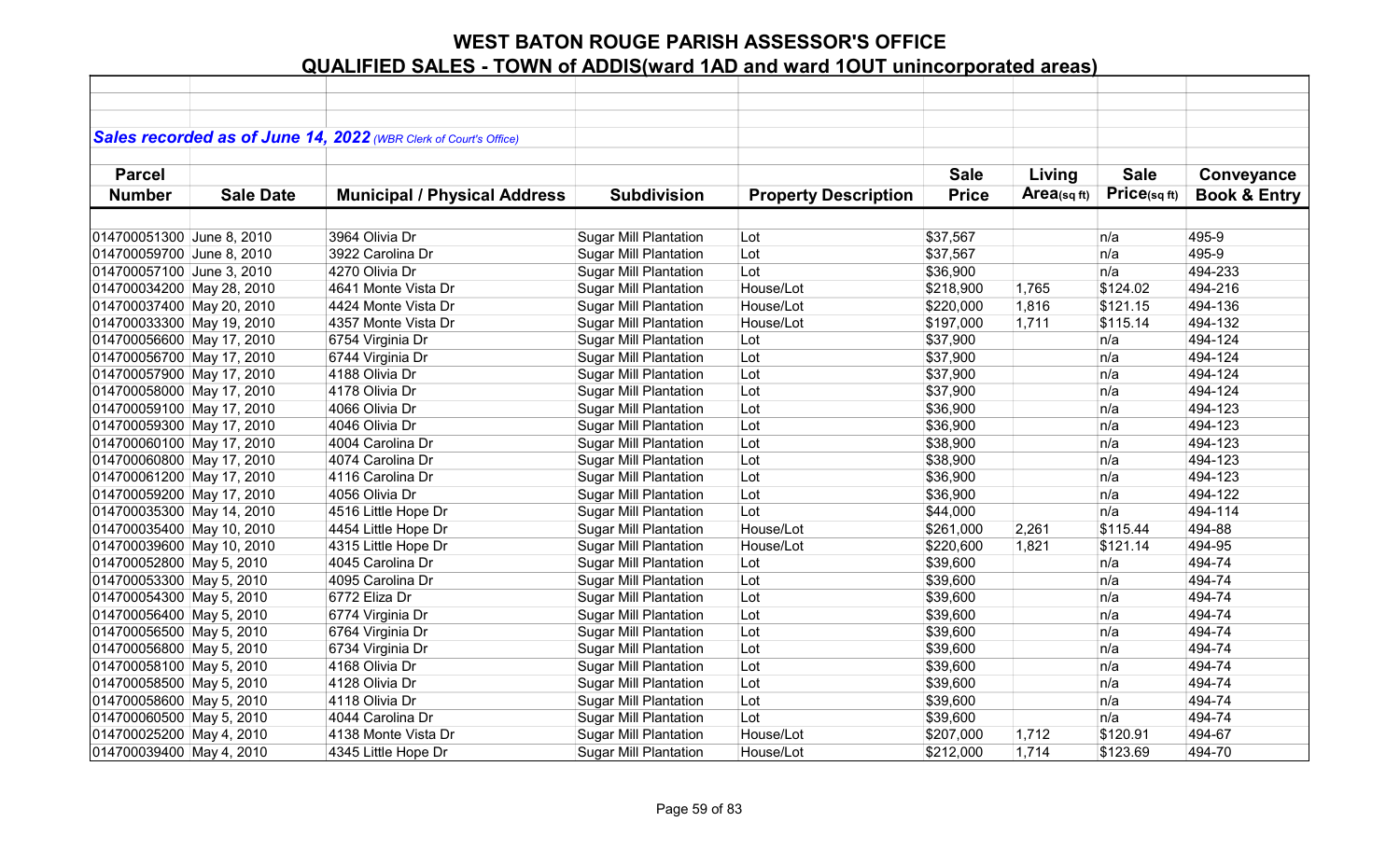|                           |                  | Sales recorded as of June 14, 2022 (WBR Clerk of Court's Office) |                              |                             |              |                |             |                         |
|---------------------------|------------------|------------------------------------------------------------------|------------------------------|-----------------------------|--------------|----------------|-------------|-------------------------|
|                           |                  |                                                                  |                              |                             |              |                |             |                         |
| <b>Parcel</b>             |                  |                                                                  |                              |                             | <b>Sale</b>  | Living         | <b>Sale</b> | Conveyance              |
| <b>Number</b>             | <b>Sale Date</b> | <b>Municipal / Physical Address</b>                              | <b>Subdivision</b>           | <b>Property Description</b> | <b>Price</b> | Area(sq $ft$ ) | Price(sqft) | <b>Book &amp; Entry</b> |
|                           |                  |                                                                  |                              |                             |              |                |             |                         |
| 014700051300 June 8, 2010 |                  | 3964 Olivia Dr                                                   | <b>Sugar Mill Plantation</b> | Lot                         | \$37,567     |                | n/a         | 495-9                   |
| 014700059700 June 8, 2010 |                  | 3922 Carolina Dr                                                 | <b>Sugar Mill Plantation</b> | Lot                         | \$37,567     |                | n/a         | 495-9                   |
| 014700057100 June 3, 2010 |                  | 4270 Olivia Dr                                                   | <b>Sugar Mill Plantation</b> | Lot                         | \$36,900     |                | n/a         | 494-233                 |
| 014700034200 May 28, 2010 |                  | 4641 Monte Vista Dr                                              | <b>Sugar Mill Plantation</b> | House/Lot                   | \$218,900    | 1,765          | \$124.02    | 494-216                 |
| 014700037400 May 20, 2010 |                  | 4424 Monte Vista Dr                                              | <b>Sugar Mill Plantation</b> | House/Lot                   | \$220,000    | 1,816          | \$121.15    | 494-136                 |
| 014700033300 May 19, 2010 |                  | 4357 Monte Vista Dr                                              | <b>Sugar Mill Plantation</b> | House/Lot                   | \$197,000    | 1,711          | \$115.14    | 494-132                 |
| 014700056600 May 17, 2010 |                  | 6754 Virginia Dr                                                 | <b>Sugar Mill Plantation</b> | Lot                         | \$37,900     |                | n/a         | 494-124                 |
| 014700056700 May 17, 2010 |                  | 6744 Virginia Dr                                                 | <b>Sugar Mill Plantation</b> | Lot                         | \$37,900     |                | n/a         | 494-124                 |
| 014700057900 May 17, 2010 |                  | 4188 Olivia Dr                                                   | <b>Sugar Mill Plantation</b> | Lot                         | \$37,900     |                | n/a         | 494-124                 |
| 014700058000 May 17, 2010 |                  | 4178 Olivia Dr                                                   | <b>Sugar Mill Plantation</b> | Lot                         | \$37,900     |                | n/a         | 494-124                 |
| 014700059100 May 17, 2010 |                  | 4066 Olivia Dr                                                   | <b>Sugar Mill Plantation</b> | Lot                         | \$36,900     |                | n/a         | 494-123                 |
| 014700059300 May 17, 2010 |                  | 4046 Olivia Dr                                                   | <b>Sugar Mill Plantation</b> | Lot                         | \$36,900     |                | n/a         | 494-123                 |
| 014700060100 May 17, 2010 |                  | 4004 Carolina Dr                                                 | <b>Sugar Mill Plantation</b> | Lot                         | \$38,900     |                | n/a         | 494-123                 |
| 014700060800 May 17, 2010 |                  | 4074 Carolina Dr                                                 | Sugar Mill Plantation        | Lot                         | \$38,900     |                | n/a         | 494-123                 |
| 014700061200 May 17, 2010 |                  | 4116 Carolina Dr                                                 | <b>Sugar Mill Plantation</b> | Lot                         | \$36,900     |                | n/a         | 494-123                 |
| 014700059200 May 17, 2010 |                  | 4056 Olivia Dr                                                   | <b>Sugar Mill Plantation</b> | Lot                         | \$36,900     |                | n/a         | 494-122                 |
| 014700035300 May 14, 2010 |                  | 4516 Little Hope Dr                                              | <b>Sugar Mill Plantation</b> | Lot                         | \$44,000     |                | n/a         | 494-114                 |
| 014700035400 May 10, 2010 |                  | 4454 Little Hope Dr                                              | <b>Sugar Mill Plantation</b> | House/Lot                   | \$261,000    | 2,261          | \$115.44    | 494-88                  |
| 014700039600 May 10, 2010 |                  | 4315 Little Hope Dr                                              | <b>Sugar Mill Plantation</b> | House/Lot                   | \$220,600    | 1,821          | \$121.14    | 494-95                  |
| 014700052800 May 5, 2010  |                  | 4045 Carolina Dr                                                 | <b>Sugar Mill Plantation</b> | Lot                         | \$39,600     |                | n/a         | 494-74                  |
| 014700053300 May 5, 2010  |                  | 4095 Carolina Dr                                                 | <b>Sugar Mill Plantation</b> | Lot                         | \$39,600     |                | n/a         | 494-74                  |
| 014700054300 May 5, 2010  |                  | 6772 Eliza Dr                                                    | <b>Sugar Mill Plantation</b> | Lot                         | \$39,600     |                | n/a         | 494-74                  |
| 014700056400 May 5, 2010  |                  | 6774 Virginia Dr                                                 | <b>Sugar Mill Plantation</b> | Lot                         | \$39,600     |                | n/a         | 494-74                  |
| 014700056500 May 5, 2010  |                  | 6764 Virginia Dr                                                 | <b>Sugar Mill Plantation</b> | Lot                         | \$39,600     |                | n/a         | 494-74                  |
| 014700056800 May 5, 2010  |                  | 6734 Virginia Dr                                                 | <b>Sugar Mill Plantation</b> | Lot                         | \$39,600     |                | n/a         | 494-74                  |
| 014700058100 May 5, 2010  |                  | 4168 Olivia Dr                                                   | Sugar Mill Plantation        | Lot                         | \$39,600     |                | n/a         | 494-74                  |
| 014700058500 May 5, 2010  |                  | 4128 Olivia Dr                                                   | <b>Sugar Mill Plantation</b> | Lot                         | \$39,600     |                | n/a         | 494-74                  |
| 014700058600 May 5, 2010  |                  | 4118 Olivia Dr                                                   | <b>Sugar Mill Plantation</b> | Lot                         | \$39,600     |                | n/a         | 494-74                  |
| 014700060500 May 5, 2010  |                  | 4044 Carolina Dr                                                 | <b>Sugar Mill Plantation</b> | Lot                         | \$39,600     |                | n/a         | 494-74                  |
| 014700025200 May 4, 2010  |                  | 4138 Monte Vista Dr                                              | <b>Sugar Mill Plantation</b> | House/Lot                   | \$207,000    | 1,712          | \$120.91    | 494-67                  |
| 014700039400 May 4, 2010  |                  | 4345 Little Hope Dr                                              | <b>Sugar Mill Plantation</b> | House/Lot                   | \$212,000    | 1,714          | \$123.69    | 494-70                  |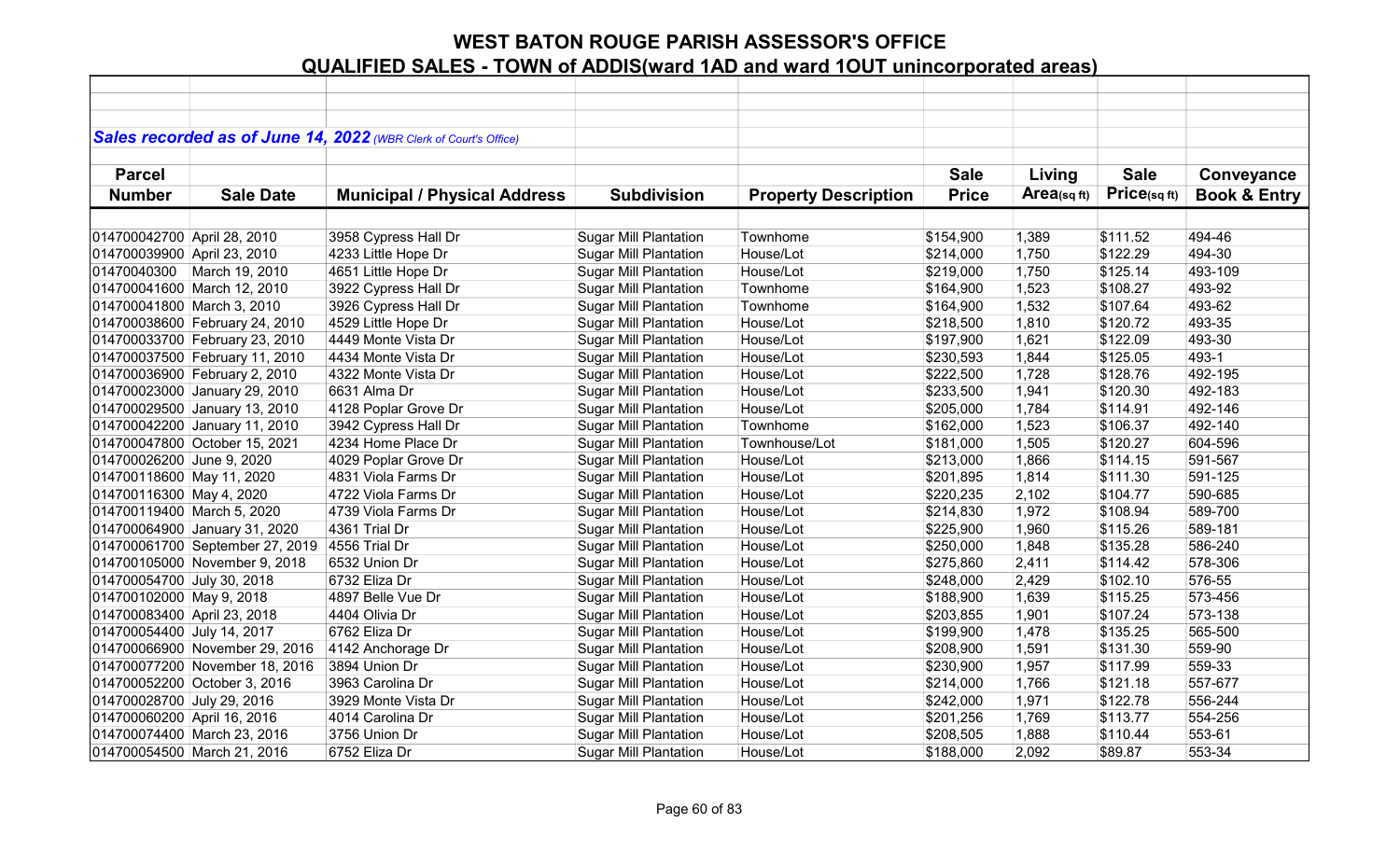|                             |                                 | Sales recorded as of June 14, 2022 (WBR Clerk of Court's Office) |                              |                             |              |                |              |                         |
|-----------------------------|---------------------------------|------------------------------------------------------------------|------------------------------|-----------------------------|--------------|----------------|--------------|-------------------------|
|                             |                                 |                                                                  |                              |                             |              |                |              |                         |
| <b>Parcel</b>               |                                 |                                                                  |                              |                             | <b>Sale</b>  | Living         | <b>Sale</b>  | Conveyance              |
| <b>Number</b>               | <b>Sale Date</b>                | <b>Municipal / Physical Address</b>                              | <b>Subdivision</b>           | <b>Property Description</b> | <b>Price</b> | $Area$ (sq ft) | Price(sq ft) | <b>Book &amp; Entry</b> |
|                             |                                 |                                                                  |                              |                             |              |                |              |                         |
| 014700042700 April 28, 2010 |                                 | 3958 Cypress Hall Dr                                             | <b>Sugar Mill Plantation</b> | Townhome                    | \$154,900    | 1,389          | \$111.52     | 494-46                  |
| 014700039900 April 23, 2010 |                                 | 4233 Little Hope Dr                                              | <b>Sugar Mill Plantation</b> | House/Lot                   | \$214,000    | 1,750          | \$122.29     | 494-30                  |
|                             | 01470040300   March 19, 2010    | 4651 Little Hope Dr                                              | <b>Sugar Mill Plantation</b> | House/Lot                   | \$219,000    | 1,750          | \$125.14     | 493-109                 |
|                             | 014700041600 March 12, 2010     | 3922 Cypress Hall Dr                                             | <b>Sugar Mill Plantation</b> | Townhome                    | \$164,900    | 1,523          | \$108.27     | 493-92                  |
| 014700041800 March 3, 2010  |                                 | 3926 Cypress Hall Dr                                             | <b>Sugar Mill Plantation</b> | Townhome                    | \$164,900    | 1,532          | \$107.64     | 493-62                  |
|                             | 014700038600 February 24, 2010  | 4529 Little Hope Dr                                              | <b>Sugar Mill Plantation</b> | House/Lot                   | \$218,500    | 1,810          | \$120.72     | 493-35                  |
|                             | 014700033700 February 23, 2010  | 4449 Monte Vista Dr                                              | <b>Sugar Mill Plantation</b> | House/Lot                   | \$197,900    | 1,621          | \$122.09     | 493-30                  |
|                             | 014700037500 February 11, 2010  | 4434 Monte Vista Dr                                              | <b>Sugar Mill Plantation</b> | House/Lot                   | \$230,593    | 1,844          | \$125.05     | 493-1                   |
|                             | 014700036900 February 2, 2010   | 4322 Monte Vista Dr                                              | <b>Sugar Mill Plantation</b> | House/Lot                   | \$222,500    | 1,728          | \$128.76     | 492-195                 |
|                             | 014700023000 January 29, 2010   | 6631 Alma Dr                                                     | <b>Sugar Mill Plantation</b> | House/Lot                   | \$233,500    | 1,941          | \$120.30     | 492-183                 |
|                             | 014700029500 January 13, 2010   | 4128 Poplar Grove Dr                                             | <b>Sugar Mill Plantation</b> | House/Lot                   | \$205,000    | 1,784          | \$114.91     | 492-146                 |
|                             | 014700042200 January 11, 2010   | 3942 Cypress Hall Dr                                             | <b>Sugar Mill Plantation</b> | Townhome                    | \$162,000    | 1,523          | \$106.37     | 492-140                 |
|                             | 014700047800 October 15, 2021   | 4234 Home Place Dr                                               | <b>Sugar Mill Plantation</b> | Townhouse/Lot               | \$181,000    | 1,505          | \$120.27     | 604-596                 |
| 014700026200 June 9, 2020   |                                 | 4029 Poplar Grove Dr                                             | <b>Sugar Mill Plantation</b> | House/Lot                   | \$213,000    | 1,866          | \$114.15     | 591-567                 |
| 014700118600 May 11, 2020   |                                 | 4831 Viola Farms Dr                                              | <b>Sugar Mill Plantation</b> | House/Lot                   | \$201,895    | 1,814          | \$111.30     | 591-125                 |
| 014700116300 May 4, 2020    |                                 | 4722 Viola Farms Dr                                              | <b>Sugar Mill Plantation</b> | House/Lot                   | \$220,235    | 2,102          | \$104.77     | 590-685                 |
| 014700119400 March 5, 2020  |                                 | 4739 Viola Farms Dr                                              | <b>Sugar Mill Plantation</b> | House/Lot                   | \$214,830    | 1,972          | \$108.94     | 589-700                 |
|                             | 014700064900 January 31, 2020   | 4361 Trial Dr                                                    | <b>Sugar Mill Plantation</b> | House/Lot                   | \$225,900    | 1,960          | \$115.26     | 589-181                 |
|                             | 014700061700 September 27, 2019 | 4556 Trial Dr                                                    | <b>Sugar Mill Plantation</b> | House/Lot                   | \$250,000    | 1,848          | \$135.28     | 586-240                 |
|                             | 014700105000 November 9, 2018   | 6532 Union Dr                                                    | <b>Sugar Mill Plantation</b> | House/Lot                   | \$275,860    | 2,411          | \$114.42     | 578-306                 |
| 014700054700 July 30, 2018  |                                 | 6732 Eliza Dr                                                    | <b>Sugar Mill Plantation</b> | House/Lot                   | \$248,000    | 2,429          | \$102.10     | 576-55                  |
| 014700102000 May 9, 2018    |                                 | 4897 Belle Vue Dr                                                | <b>Sugar Mill Plantation</b> | House/Lot                   | \$188,900    | 1,639          | \$115.25     | 573-456                 |
| 014700083400 April 23, 2018 |                                 | 4404 Olivia Dr                                                   | <b>Sugar Mill Plantation</b> | House/Lot                   | \$203,855    | 1,901          | \$107.24     | 573-138                 |
| 014700054400 July 14, 2017  |                                 | 6762 Eliza Dr                                                    | <b>Sugar Mill Plantation</b> | House/Lot                   | \$199,900    | 1,478          | \$135.25     | 565-500                 |
|                             | 014700066900 November 29, 2016  | 4142 Anchorage Dr                                                | <b>Sugar Mill Plantation</b> | House/Lot                   | \$208,900    | 1,591          | \$131.30     | 559-90                  |
|                             | 014700077200 November 18, 2016  | 3894 Union Dr                                                    | <b>Sugar Mill Plantation</b> | House/Lot                   | \$230,900    | 1,957          | \$117.99     | 559-33                  |
|                             | 014700052200 October 3, 2016    | 3963 Carolina Dr                                                 | <b>Sugar Mill Plantation</b> | House/Lot                   | \$214,000    | 1,766          | \$121.18     | 557-677                 |
| 014700028700 July 29, 2016  |                                 | 3929 Monte Vista Dr                                              | <b>Sugar Mill Plantation</b> | House/Lot                   | \$242,000    | 1,971          | \$122.78     | 556-244                 |
| 014700060200 April 16, 2016 |                                 | 4014 Carolina Dr                                                 | <b>Sugar Mill Plantation</b> | House/Lot                   | \$201,256    | 1,769          | \$113.77     | 554-256                 |
|                             | 014700074400 March 23, 2016     | 3756 Union Dr                                                    | <b>Sugar Mill Plantation</b> | House/Lot                   | \$208,505    | 1,888          | \$110.44     | 553-61                  |
|                             | 014700054500 March 21, 2016     | 6752 Eliza Dr                                                    | <b>Sugar Mill Plantation</b> | House/Lot                   | \$188,000    | 2,092          | \$89.87      | 553-34                  |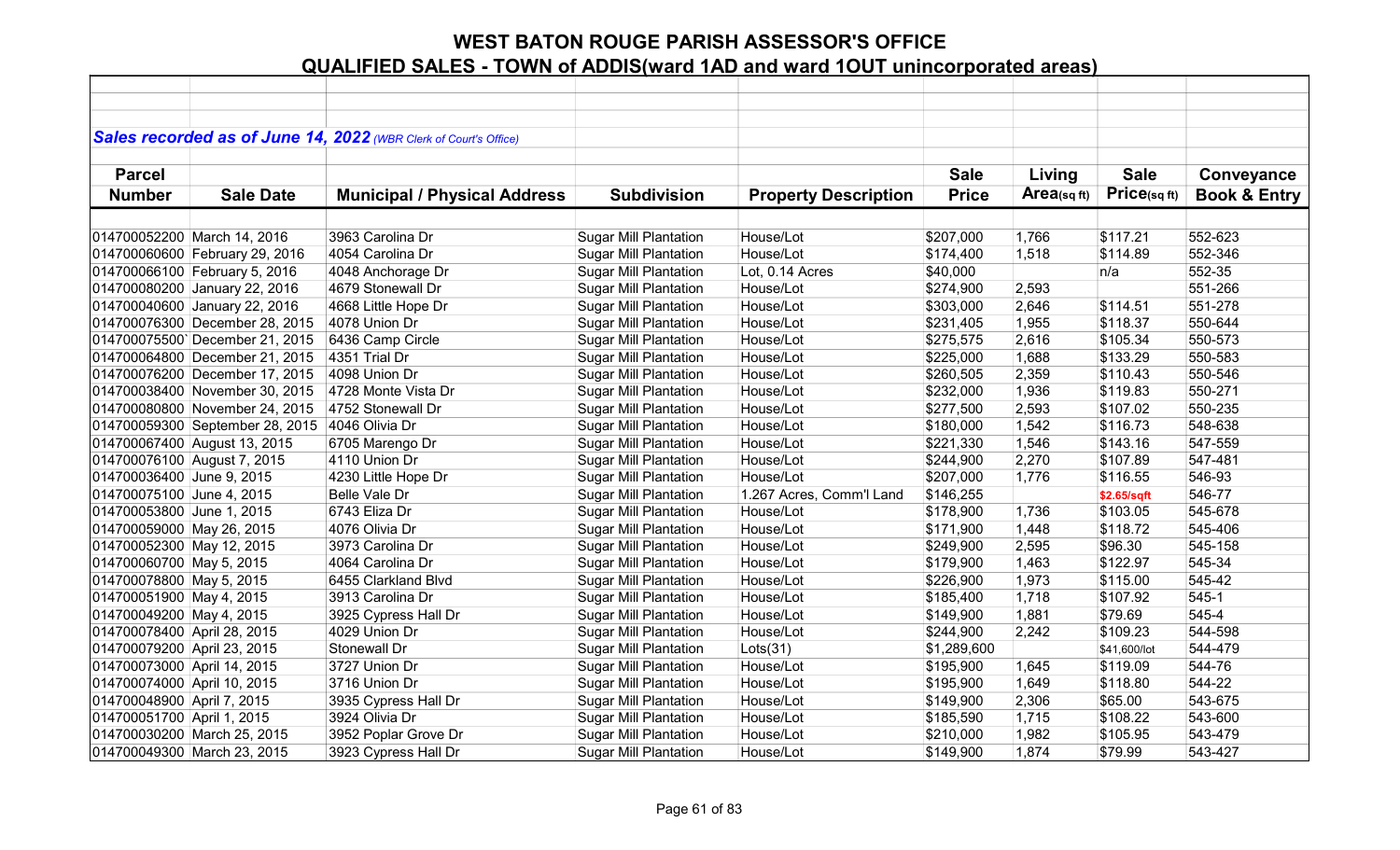|                             |                                 | Sales recorded as of June 14, 2022 (WBR Clerk of Court's Office) |                              |                             |              |            |              |                         |
|-----------------------------|---------------------------------|------------------------------------------------------------------|------------------------------|-----------------------------|--------------|------------|--------------|-------------------------|
|                             |                                 |                                                                  |                              |                             |              |            |              |                         |
| <b>Parcel</b>               |                                 |                                                                  |                              |                             | <b>Sale</b>  | Living     | <b>Sale</b>  | Conveyance              |
| <b>Number</b>               | <b>Sale Date</b>                | <b>Municipal / Physical Address</b>                              | <b>Subdivision</b>           | <b>Property Description</b> | <b>Price</b> | Area(sqft) | Price(sq ft) | <b>Book &amp; Entry</b> |
|                             |                                 |                                                                  |                              |                             |              |            |              |                         |
|                             | 014700052200 March 14, 2016     | 3963 Carolina Dr                                                 | <b>Sugar Mill Plantation</b> | House/Lot                   | \$207,000    | 1,766      | \$117.21     | 552-623                 |
|                             | 014700060600 February 29, 2016  | 4054 Carolina Dr                                                 | <b>Sugar Mill Plantation</b> | House/Lot                   | \$174,400    | 1,518      | \$114.89     | 552-346                 |
|                             | 014700066100 February 5, 2016   | 4048 Anchorage Dr                                                | <b>Sugar Mill Plantation</b> | Lot, 0.14 Acres             | \$40,000     |            | n/a          | 552-35                  |
|                             | 014700080200 January 22, 2016   | 4679 Stonewall Dr                                                | <b>Sugar Mill Plantation</b> | House/Lot                   | \$274,900    | 2,593      |              | 551-266                 |
|                             | 014700040600 January 22, 2016   | 4668 Little Hope Dr                                              | <b>Sugar Mill Plantation</b> | House/Lot                   | \$303,000    | 2,646      | \$114.51     | 551-278                 |
|                             | 014700076300 December 28, 2015  | 4078 Union Dr                                                    | <b>Sugar Mill Plantation</b> | House/Lot                   | \$231,405    | 1,955      | \$118.37     | 550-644                 |
|                             | 014700075500 December 21, 2015  | 6436 Camp Circle                                                 | <b>Sugar Mill Plantation</b> | House/Lot                   | \$275,575    | 2,616      | \$105.34     | 550-573                 |
|                             | 014700064800 December 21, 2015  | 4351 Trial Dr                                                    | <b>Sugar Mill Plantation</b> | House/Lot                   | \$225,000    | 1,688      | \$133.29     | 550-583                 |
|                             | 014700076200 December 17, 2015  | 4098 Union Dr                                                    | <b>Sugar Mill Plantation</b> | House/Lot                   | \$260,505    | 2,359      | \$110.43     | 550-546                 |
|                             | 014700038400 November 30, 2015  | 4728 Monte Vista Dr                                              | <b>Sugar Mill Plantation</b> | House/Lot                   | \$232,000    | 1,936      | \$119.83     | 550-271                 |
|                             | 014700080800 November 24, 2015  | 4752 Stonewall Dr                                                | <b>Sugar Mill Plantation</b> | House/Lot                   | \$277,500    | 2,593      | \$107.02     | 550-235                 |
|                             | 014700059300 September 28, 2015 | 4046 Olivia Dr                                                   | <b>Sugar Mill Plantation</b> | House/Lot                   | \$180,000    | 1,542      | \$116.73     | 548-638                 |
|                             | 014700067400 August 13, 2015    | 6705 Marengo Dr                                                  | <b>Sugar Mill Plantation</b> | House/Lot                   | \$221,330    | 1,546      | \$143.16     | 547-559                 |
| 014700076100 August 7, 2015 |                                 | 4110 Union Dr                                                    | <b>Sugar Mill Plantation</b> | House/Lot                   | \$244,900    | 2,270      | \$107.89     | 547-481                 |
| 014700036400 June 9, 2015   |                                 | 4230 Little Hope Dr                                              | <b>Sugar Mill Plantation</b> | House/Lot                   | \$207,000    | 1,776      | \$116.55     | 546-93                  |
| 014700075100 June 4, 2015   |                                 | Belle Vale Dr                                                    | <b>Sugar Mill Plantation</b> | 1.267 Acres, Comm'l Land    | \$146,255    |            | \$2.65/sqft  | 546-77                  |
| 014700053800 June 1, 2015   |                                 | 6743 Eliza Dr                                                    | <b>Sugar Mill Plantation</b> | House/Lot                   | \$178,900    | 1,736      | \$103.05     | 545-678                 |
| 014700059000 May 26, 2015   |                                 | 4076 Olivia Dr                                                   | <b>Sugar Mill Plantation</b> | House/Lot                   | \$171,900    | 1,448      | \$118.72     | 545-406                 |
| 014700052300 May 12, 2015   |                                 | 3973 Carolina Dr                                                 | <b>Sugar Mill Plantation</b> | House/Lot                   | \$249,900    | 2,595      | \$96.30      | 545-158                 |
| 014700060700 May 5, 2015    |                                 | 4064 Carolina Dr                                                 | <b>Sugar Mill Plantation</b> | House/Lot                   | \$179,900    | 1,463      | \$122.97     | 545-34                  |
| 014700078800 May 5, 2015    |                                 | 6455 Clarkland Blvd                                              | <b>Sugar Mill Plantation</b> | House/Lot                   | \$226,900    | 1,973      | \$115.00     | 545-42                  |
| 014700051900 May 4, 2015    |                                 | 3913 Carolina Dr                                                 | <b>Sugar Mill Plantation</b> | House/Lot                   | \$185,400    | 1,718      | \$107.92     | $545-1$                 |
| 014700049200 May 4, 2015    |                                 | 3925 Cypress Hall Dr                                             | <b>Sugar Mill Plantation</b> | House/Lot                   | \$149,900    | 1,881      | \$79.69      | 545-4                   |
| 014700078400 April 28, 2015 |                                 | 4029 Union Dr                                                    | <b>Sugar Mill Plantation</b> | House/Lot                   | \$244,900    | 2,242      | \$109.23     | 544-598                 |
| 014700079200 April 23, 2015 |                                 | Stonewall Dr                                                     | <b>Sugar Mill Plantation</b> | Lots(31)                    | \$1,289,600  |            | \$41,600/lot | 544-479                 |
| 014700073000 April 14, 2015 |                                 | 3727 Union Dr                                                    | Sugar Mill Plantation        | House/Lot                   | \$195,900    | 1,645      | \$119.09     | 544-76                  |
| 014700074000 April 10, 2015 |                                 | 3716 Union Dr                                                    | <b>Sugar Mill Plantation</b> | House/Lot                   | \$195,900    | 1,649      | \$118.80     | 544-22                  |
| 014700048900 April 7, 2015  |                                 | 3935 Cypress Hall Dr                                             | <b>Sugar Mill Plantation</b> | House/Lot                   | \$149,900    | 2,306      | \$65.00      | 543-675                 |
| 014700051700 April 1, 2015  |                                 | 3924 Olivia Dr                                                   | <b>Sugar Mill Plantation</b> | House/Lot                   | \$185,590    | 1,715      | \$108.22     | 543-600                 |
|                             | 014700030200 March 25, 2015     | 3952 Poplar Grove Dr                                             | <b>Sugar Mill Plantation</b> | House/Lot                   | \$210,000    | 1,982      | \$105.95     | 543-479                 |
|                             | 014700049300 March 23, 2015     | 3923 Cypress Hall Dr                                             | <b>Sugar Mill Plantation</b> | House/Lot                   | \$149,900    | 1,874      | \$79.99      | 543-427                 |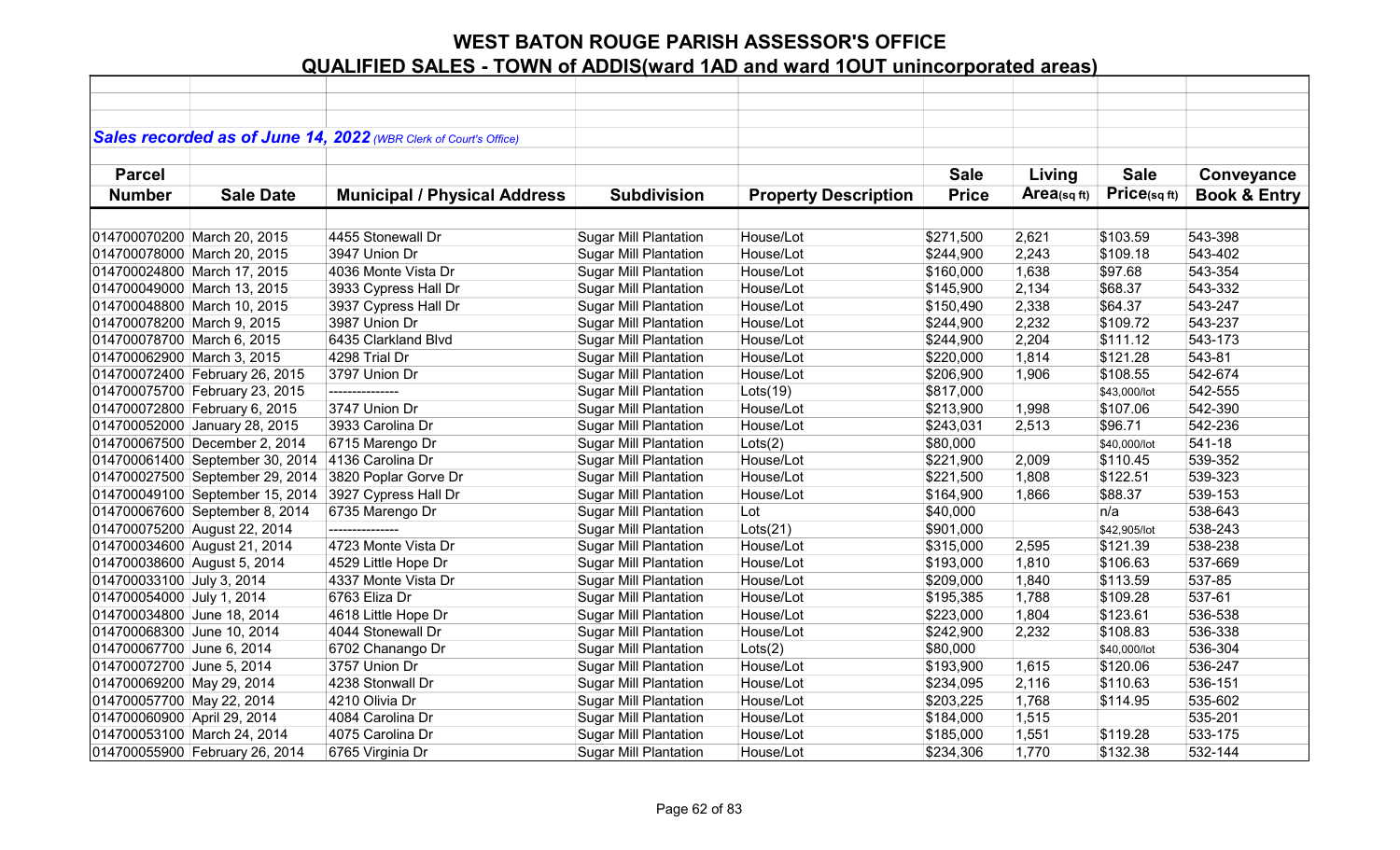|                             |                                 | Sales recorded as of June 14, 2022 (WBR Clerk of Court's Office) |                              |                             |              |            |              |                         |
|-----------------------------|---------------------------------|------------------------------------------------------------------|------------------------------|-----------------------------|--------------|------------|--------------|-------------------------|
|                             |                                 |                                                                  |                              |                             |              |            |              |                         |
| <b>Parcel</b>               |                                 |                                                                  |                              |                             | <b>Sale</b>  | Living     | <b>Sale</b>  | Conveyance              |
| <b>Number</b>               | <b>Sale Date</b>                | <b>Municipal / Physical Address</b>                              | <b>Subdivision</b>           | <b>Property Description</b> | <b>Price</b> | Area(sqft) | Price(sq ft) | <b>Book &amp; Entry</b> |
|                             |                                 |                                                                  |                              |                             |              |            |              |                         |
|                             | 014700070200 March 20, 2015     | 4455 Stonewall Dr                                                | <b>Sugar Mill Plantation</b> | House/Lot                   | \$271,500    | 2,621      | \$103.59     | 543-398                 |
|                             | 014700078000 March 20, 2015     | 3947 Union Dr                                                    | <b>Sugar Mill Plantation</b> | House/Lot                   | \$244,900    | 2,243      | \$109.18     | 543-402                 |
|                             | 014700024800 March 17, 2015     | 4036 Monte Vista Dr                                              | <b>Sugar Mill Plantation</b> | House/Lot                   | \$160,000    | 1,638      | \$97.68      | 543-354                 |
|                             | 014700049000 March 13, 2015     | 3933 Cypress Hall Dr                                             | <b>Sugar Mill Plantation</b> | House/Lot                   | \$145,900    | 2,134      | \$68.37      | 543-332                 |
|                             | 014700048800 March 10, 2015     | 3937 Cypress Hall Dr                                             | <b>Sugar Mill Plantation</b> | House/Lot                   | \$150,490    | 2,338      | \$64.37      | 543-247                 |
| 014700078200 March 9, 2015  |                                 | 3987 Union Dr                                                    | <b>Sugar Mill Plantation</b> | House/Lot                   | \$244,900    | 2,232      | \$109.72     | 543-237                 |
| 014700078700 March 6, 2015  |                                 | 6435 Clarkland Blvd                                              | <b>Sugar Mill Plantation</b> | House/Lot                   | \$244,900    | 2,204      | \$111.12     | 543-173                 |
| 014700062900 March 3, 2015  |                                 | 4298 Trial Dr                                                    | <b>Sugar Mill Plantation</b> | House/Lot                   | \$220,000    | 1,814      | \$121.28     | 543-81                  |
|                             | 014700072400 February 26, 2015  | 3797 Union Dr                                                    | <b>Sugar Mill Plantation</b> | House/Lot                   | \$206,900    | 1,906      | \$108.55     | 542-674                 |
|                             | 014700075700 February 23, 2015  | ---------------                                                  | <b>Sugar Mill Plantation</b> | Lots(19)                    | \$817,000    |            | \$43,000/lot | 542-555                 |
|                             | 014700072800 February 6, 2015   | 3747 Union Dr                                                    | <b>Sugar Mill Plantation</b> | House/Lot                   | \$213,900    | 1,998      | \$107.06     | 542-390                 |
|                             | 014700052000 January 28, 2015   | 3933 Carolina Dr                                                 | <b>Sugar Mill Plantation</b> | House/Lot                   | \$243,031    | 2,513      | \$96.71      | 542-236                 |
|                             | 014700067500 December 2, 2014   | 6715 Marengo Dr                                                  | <b>Sugar Mill Plantation</b> | Lots(2)                     | \$80,000     |            | \$40,000/lot | 541-18                  |
|                             | 014700061400 September 30, 2014 | 4136 Carolina Dr                                                 | <b>Sugar Mill Plantation</b> | House/Lot                   | \$221,900    | 2,009      | \$110.45     | 539-352                 |
|                             | 014700027500 September 29, 2014 | 3820 Poplar Gorve Dr                                             | <b>Sugar Mill Plantation</b> | House/Lot                   | \$221,500    | 1,808      | \$122.51     | 539-323                 |
|                             | 014700049100 September 15, 2014 | 3927 Cypress Hall Dr                                             | <b>Sugar Mill Plantation</b> | House/Lot                   | \$164,900    | 1,866      | \$88.37      | 539-153                 |
|                             | 014700067600 September 8, 2014  | 6735 Marengo Dr                                                  | <b>Sugar Mill Plantation</b> | Lot                         | \$40,000     |            | n/a          | 538-643                 |
|                             | 014700075200 August 22, 2014    | ---------------                                                  | <b>Sugar Mill Plantation</b> | Lots(21)                    | \$901,000    |            | \$42,905/lot | 538-243                 |
|                             | 014700034600 August 21, 2014    | 4723 Monte Vista Dr                                              | <b>Sugar Mill Plantation</b> | House/Lot                   | \$315,000    | 2,595      | \$121.39     | 538-238                 |
| 014700038600 August 5, 2014 |                                 | 4529 Little Hope Dr                                              | <b>Sugar Mill Plantation</b> | House/Lot                   | \$193,000    | 1,810      | \$106.63     | 537-669                 |
| 014700033100 July 3, 2014   |                                 | 4337 Monte Vista Dr                                              | <b>Sugar Mill Plantation</b> | House/Lot                   | \$209,000    | 1,840      | \$113.59     | 537-85                  |
| 014700054000 July 1, 2014   |                                 | 6763 Eliza Dr                                                    | <b>Sugar Mill Plantation</b> | House/Lot                   | \$195,385    | 1,788      | \$109.28     | 537-61                  |
| 014700034800 June 18, 2014  |                                 | 4618 Little Hope Dr                                              | <b>Sugar Mill Plantation</b> | House/Lot                   | \$223,000    | 1,804      | \$123.61     | 536-538                 |
| 014700068300 June 10, 2014  |                                 | 4044 Stonewall Dr                                                | <b>Sugar Mill Plantation</b> | House/Lot                   | \$242,900    | 2,232      | \$108.83     | 536-338                 |
| 014700067700 June 6, 2014   |                                 | 6702 Chanango Dr                                                 | <b>Sugar Mill Plantation</b> | Lots(2)                     | \$80,000     |            | \$40,000/lot | 536-304                 |
| 014700072700 June 5, 2014   |                                 | 3757 Union Dr                                                    | <b>Sugar Mill Plantation</b> | House/Lot                   | \$193,900    | 1,615      | \$120.06     | 536-247                 |
| 014700069200 May 29, 2014   |                                 | 4238 Stonwall Dr                                                 | <b>Sugar Mill Plantation</b> | House/Lot                   | \$234,095    | 2,116      | \$110.63     | 536-151                 |
| 014700057700 May 22, 2014   |                                 | 4210 Olivia Dr                                                   | <b>Sugar Mill Plantation</b> | House/Lot                   | \$203,225    | 1,768      | \$114.95     | 535-602                 |
| 014700060900 April 29, 2014 |                                 | 4084 Carolina Dr                                                 | <b>Sugar Mill Plantation</b> | House/Lot                   | \$184,000    | 1,515      |              | 535-201                 |
|                             | 014700053100 March 24, 2014     | 4075 Carolina Dr                                                 | <b>Sugar Mill Plantation</b> | House/Lot                   | \$185,000    | 1,551      | \$119.28     | 533-175                 |
|                             | 014700055900 February 26, 2014  | 6765 Virginia Dr                                                 | <b>Sugar Mill Plantation</b> | House/Lot                   | \$234,306    | 1,770      | \$132.38     | 532-144                 |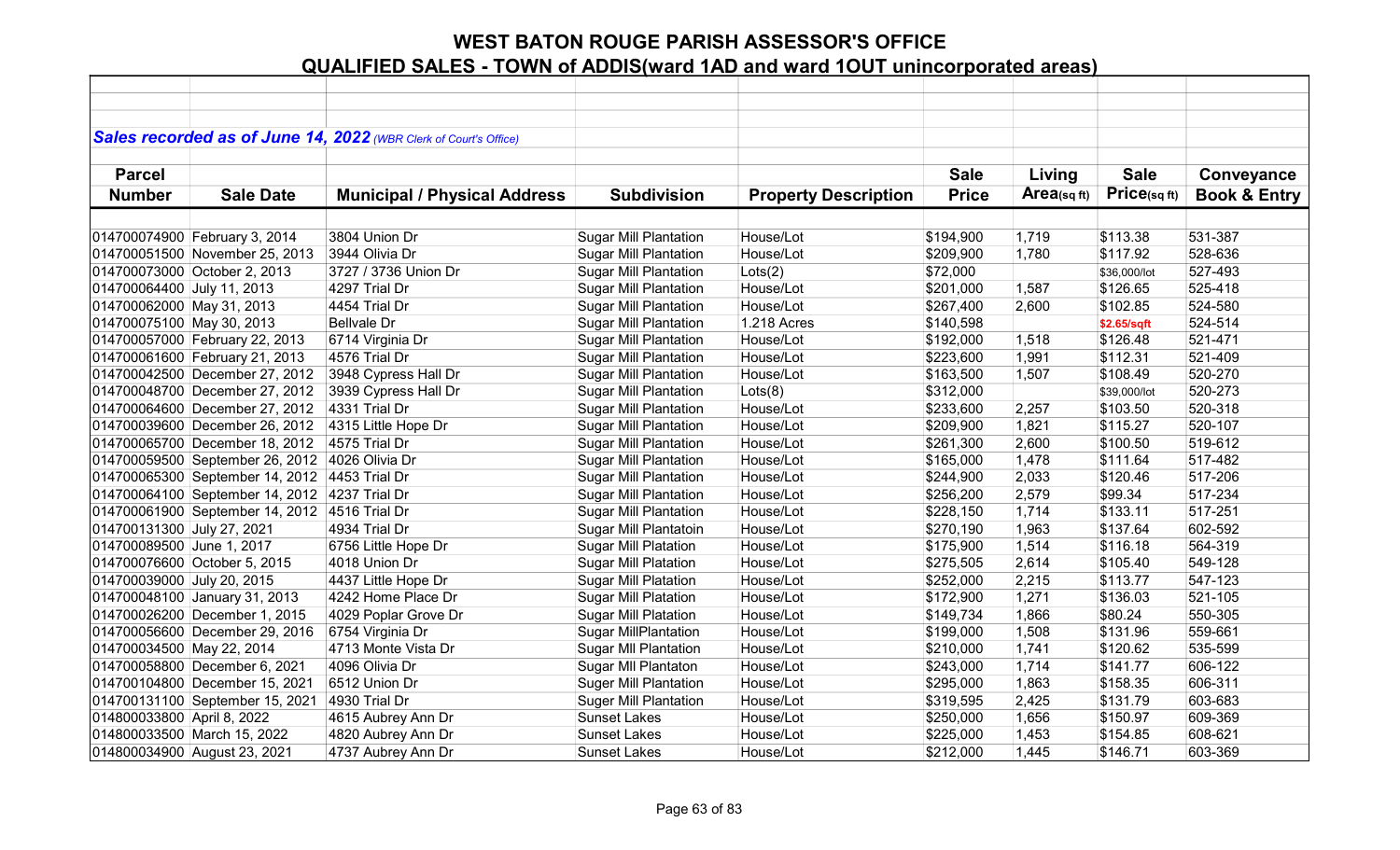|                            |                                 | Sales recorded as of June 14, 2022 (WBR Clerk of Court's Office) |                              |                             |              |            |              |                         |
|----------------------------|---------------------------------|------------------------------------------------------------------|------------------------------|-----------------------------|--------------|------------|--------------|-------------------------|
|                            |                                 |                                                                  |                              |                             |              |            |              |                         |
| <b>Parcel</b>              |                                 |                                                                  |                              |                             | <b>Sale</b>  | Living     | <b>Sale</b>  | Conveyance              |
| <b>Number</b>              | <b>Sale Date</b>                | <b>Municipal / Physical Address</b>                              | <b>Subdivision</b>           | <b>Property Description</b> | <b>Price</b> | Area(sqft) | Price(sqft)  | <b>Book &amp; Entry</b> |
|                            |                                 |                                                                  |                              |                             |              |            |              |                         |
|                            | 014700074900 February 3, 2014   | 3804 Union Dr                                                    | <b>Sugar Mill Plantation</b> | House/Lot                   | \$194,900    | 1,719      | \$113.38     | 531-387                 |
|                            | 014700051500 November 25, 2013  | 3944 Olivia Dr                                                   | <b>Sugar Mill Plantation</b> | House/Lot                   | \$209,900    | 1,780      | \$117.92     | 528-636                 |
|                            | 014700073000 October 2, 2013    | 3727 / 3736 Union Dr                                             | <b>Sugar Mill Plantation</b> | Lots(2)                     | \$72,000     |            | \$36,000/lot | 527-493                 |
| 014700064400 July 11, 2013 |                                 | 4297 Trial Dr                                                    | <b>Sugar Mill Plantation</b> | House/Lot                   | \$201,000    | 1,587      | \$126.65     | 525-418                 |
| 014700062000 May 31, 2013  |                                 | 4454 Trial Dr                                                    | <b>Sugar Mill Plantation</b> | House/Lot                   | \$267,400    | 2,600      | \$102.85     | 524-580                 |
| 014700075100 May 30, 2013  |                                 | <b>Bellvale Dr</b>                                               | <b>Sugar Mill Plantation</b> | 1.218 Acres                 | \$140,598    |            | \$2.65/sqft  | 524-514                 |
|                            | 014700057000 February 22, 2013  | 6714 Virginia Dr                                                 | <b>Sugar Mill Plantation</b> | House/Lot                   | \$192,000    | 1,518      | \$126.48     | 521-471                 |
|                            | 014700061600 February 21, 2013  | 4576 Trial Dr                                                    | <b>Sugar Mill Plantation</b> | House/Lot                   | \$223,600    | 1,991      | \$112.31     | 521-409                 |
|                            | 014700042500 December 27, 2012  | 3948 Cypress Hall Dr                                             | Sugar Mill Plantation        | House/Lot                   | \$163,500    | 1,507      | \$108.49     | 520-270                 |
|                            | 014700048700 December 27, 2012  | 3939 Cypress Hall Dr                                             | <b>Sugar Mill Plantation</b> | Lots(8)                     | \$312,000    |            | \$39,000/lot | 520-273                 |
|                            | 014700064600 December 27, 2012  | 4331 Trial Dr                                                    | <b>Sugar Mill Plantation</b> | House/Lot                   | \$233,600    | 2,257      | \$103.50     | 520-318                 |
|                            | 014700039600 December 26, 2012  | 4315 Little Hope Dr                                              | <b>Sugar Mill Plantation</b> | House/Lot                   | \$209,900    | 1,821      | \$115.27     | 520-107                 |
|                            | 014700065700 December 18, 2012  | 4575 Trial Dr                                                    | <b>Sugar Mill Plantation</b> | House/Lot                   | \$261,300    | 2,600      | \$100.50     | 519-612                 |
|                            | 014700059500 September 26, 2012 | 4026 Olivia Dr                                                   | <b>Sugar Mill Plantation</b> | House/Lot                   | \$165,000    | 1,478      | \$111.64     | 517-482                 |
|                            | 014700065300 September 14, 2012 | 4453 Trial Dr                                                    | <b>Sugar Mill Plantation</b> | House/Lot                   | \$244,900    | 2,033      | \$120.46     | 517-206                 |
|                            | 014700064100 September 14, 2012 | 4237 Trial Dr                                                    | <b>Sugar Mill Plantation</b> | House/Lot                   | \$256,200    | 2,579      | \$99.34      | 517-234                 |
|                            | 014700061900 September 14, 2012 | 4516 Trial Dr                                                    | <b>Sugar Mill Plantation</b> | House/Lot                   | \$228,150    | 1,714      | \$133.11     | 517-251                 |
| 014700131300 July 27, 2021 |                                 | 4934 Trial Dr                                                    | Sugar Mill Plantatoin        | House/Lot                   | \$270,190    | 1,963      | \$137.64     | 602-592                 |
| 014700089500 June 1, 2017  |                                 | 6756 Little Hope Dr                                              | <b>Sugar Mill Platation</b>  | House/Lot                   | \$175,900    | 1,514      | \$116.18     | 564-319                 |
|                            | 014700076600 October 5, 2015    | 4018 Union Dr                                                    | <b>Sugar Mill Platation</b>  | House/Lot                   | \$275,505    | 2,614      | \$105.40     | 549-128                 |
| 014700039000 July 20, 2015 |                                 | 4437 Little Hope Dr                                              | <b>Sugar Mill Platation</b>  | House/Lot                   | \$252,000    | 2,215      | \$113.77     | 547-123                 |
|                            | 014700048100 January 31, 2013   | 4242 Home Place Dr                                               | Sugar Mill Platation         | House/Lot                   | \$172,900    | 1,271      | \$136.03     | 521-105                 |
|                            | 014700026200 December 1, 2015   | 4029 Poplar Grove Dr                                             | <b>Sugar Mill Platation</b>  | House/Lot                   | \$149,734    | 1,866      | \$80.24      | 550-305                 |
|                            | 014700056600 December 29, 2016  | 6754 Virginia Dr                                                 | <b>Sugar MillPlantation</b>  | House/Lot                   | \$199,000    | 1,508      | \$131.96     | 559-661                 |
| 014700034500 May 22, 2014  |                                 | 4713 Monte Vista Dr                                              | <b>Sugar MII Plantation</b>  | House/Lot                   | \$210,000    | 1,741      | \$120.62     | 535-599                 |
|                            | 014700058800 December 6, 2021   | 4096 Olivia Dr                                                   | Sugar MII Plantaton          | House/Lot                   | \$243,000    | 1,714      | \$141.77     | 606-122                 |
|                            | 014700104800 December 15, 2021  | 6512 Union Dr                                                    | <b>Suger Mill Plantation</b> | House/Lot                   | \$295,000    | 1,863      | \$158.35     | 606-311                 |
|                            | 014700131100 September 15, 2021 | 4930 Trial Dr                                                    | <b>Suger Mill Plantation</b> | House/Lot                   | \$319,595    | 2,425      | \$131.79     | 603-683                 |
| 014800033800 April 8, 2022 |                                 | 4615 Aubrey Ann Dr                                               | <b>Sunset Lakes</b>          | House/Lot                   | \$250,000    | 1,656      | \$150.97     | 609-369                 |
|                            | 014800033500 March 15, 2022     | 4820 Aubrey Ann Dr                                               | <b>Sunset Lakes</b>          | House/Lot                   | \$225,000    | 1,453      | \$154.85     | 608-621                 |
|                            | 014800034900 August 23, 2021    | 4737 Aubrey Ann Dr                                               | <b>Sunset Lakes</b>          | House/Lot                   | \$212,000    | 1,445      | \$146.71     | 603-369                 |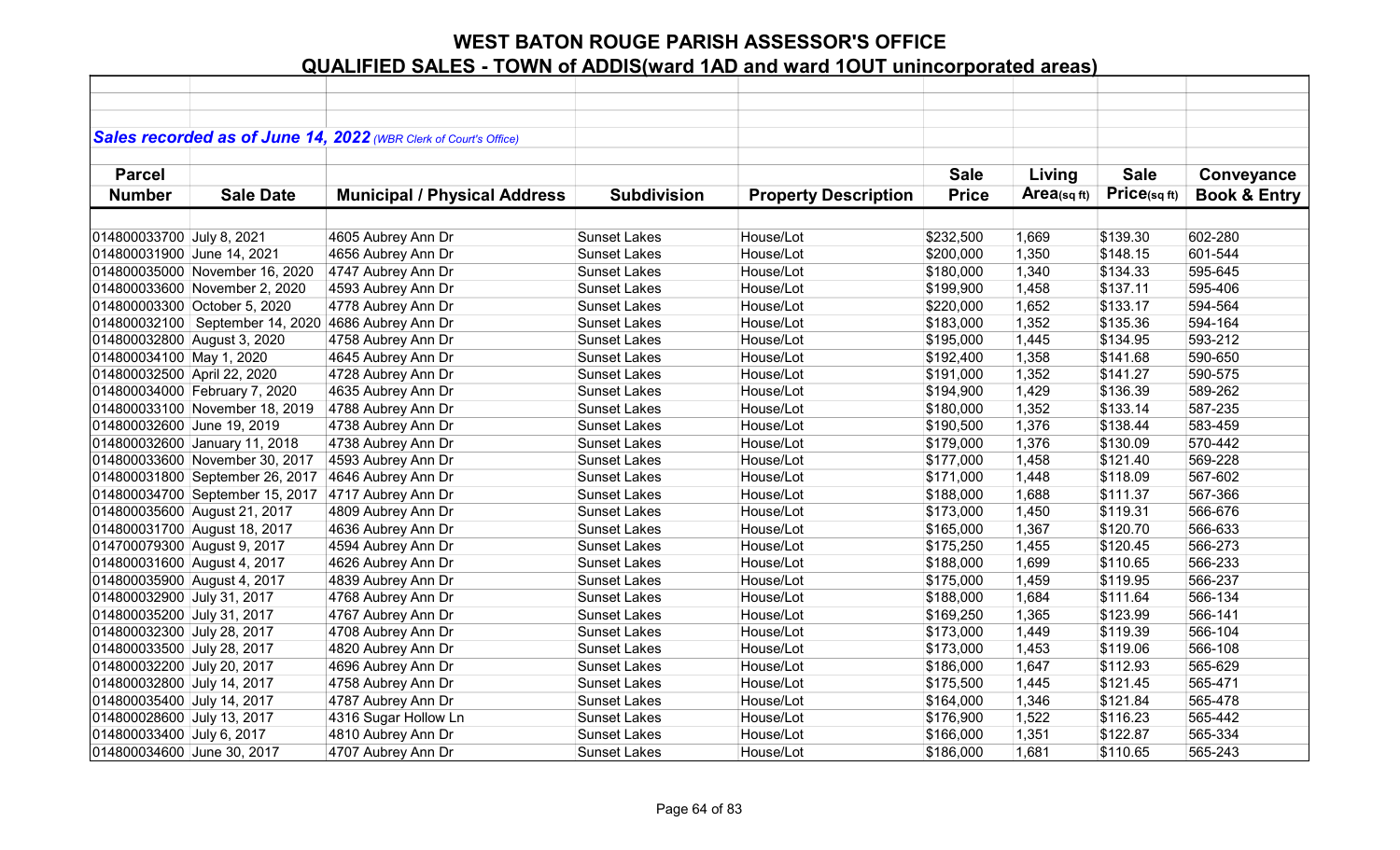|                             |                                                    | Sales recorded as of June 14, 2022 (WBR Clerk of Court's Office) |                     |                             |              |             |             |                         |
|-----------------------------|----------------------------------------------------|------------------------------------------------------------------|---------------------|-----------------------------|--------------|-------------|-------------|-------------------------|
|                             |                                                    |                                                                  |                     |                             |              |             |             |                         |
| <b>Parcel</b>               |                                                    |                                                                  |                     |                             | <b>Sale</b>  | Living      | <b>Sale</b> | Conveyance              |
| <b>Number</b>               | <b>Sale Date</b>                                   | <b>Municipal / Physical Address</b>                              | <b>Subdivision</b>  | <b>Property Description</b> | <b>Price</b> | Area(sq ft) | Price(sqft) | <b>Book &amp; Entry</b> |
|                             |                                                    |                                                                  |                     |                             |              |             |             |                         |
| 014800033700 July 8, 2021   |                                                    | 4605 Aubrey Ann Dr                                               | <b>Sunset Lakes</b> | House/Lot                   | \$232,500    | 1,669       | \$139.30    | 602-280                 |
| 014800031900 June 14, 2021  |                                                    | 4656 Aubrey Ann Dr                                               | <b>Sunset Lakes</b> | House/Lot                   | \$200,000    | 1,350       | \$148.15    | 601-544                 |
|                             | 014800035000 November 16, 2020                     | 4747 Aubrey Ann Dr                                               | <b>Sunset Lakes</b> | House/Lot                   | \$180,000    | 1,340       | \$134.33    | 595-645                 |
|                             | 014800033600 November 2, 2020                      | 4593 Aubrey Ann Dr                                               | <b>Sunset Lakes</b> | House/Lot                   | \$199,900    | 1,458       | \$137.11    | 595-406                 |
|                             | 014800003300 October 5, 2020                       | 4778 Aubrey Ann Dr                                               | <b>Sunset Lakes</b> | House/Lot                   | \$220,000    | 1,652       | \$133.17    | 594-564                 |
|                             | 014800032100 September 14, 2020 4686 Aubrey Ann Dr |                                                                  | <b>Sunset Lakes</b> | House/Lot                   | \$183,000    | 1,352       | \$135.36    | 594-164                 |
| 014800032800 August 3, 2020 |                                                    | 4758 Aubrey Ann Dr                                               | <b>Sunset Lakes</b> | House/Lot                   | \$195,000    | 1,445       | \$134.95    | 593-212                 |
| 014800034100 May 1, 2020    |                                                    | 4645 Aubrey Ann Dr                                               | <b>Sunset Lakes</b> | House/Lot                   | \$192,400    | 1,358       | \$141.68    | 590-650                 |
| 014800032500 April 22, 2020 |                                                    | 4728 Aubrey Ann Dr                                               | <b>Sunset Lakes</b> | House/Lot                   | \$191,000    | 1,352       | \$141.27    | 590-575                 |
|                             | 014800034000 February 7, 2020                      | 4635 Aubrey Ann Dr                                               | <b>Sunset Lakes</b> | House/Lot                   | \$194,900    | 1,429       | \$136.39    | 589-262                 |
|                             | 014800033100 November 18, 2019                     | 4788 Aubrey Ann Dr                                               | <b>Sunset Lakes</b> | House/Lot                   | \$180,000    | 1,352       | \$133.14    | 587-235                 |
| 014800032600 June 19, 2019  |                                                    | 4738 Aubrey Ann Dr                                               | <b>Sunset Lakes</b> | House/Lot                   | \$190,500    | 1,376       | \$138.44    | 583-459                 |
|                             | 014800032600 January 11, 2018                      | 4738 Aubrey Ann Dr                                               | <b>Sunset Lakes</b> | House/Lot                   | \$179,000    | 1,376       | \$130.09    | 570-442                 |
|                             | 014800033600 November 30, 2017                     | 4593 Aubrey Ann Dr                                               | <b>Sunset Lakes</b> | House/Lot                   | \$177,000    | 1,458       | \$121.40    | 569-228                 |
|                             | 014800031800 September 26, 2017                    | 4646 Aubrey Ann Dr                                               | <b>Sunset Lakes</b> | House/Lot                   | \$171,000    | 1,448       | \$118.09    | 567-602                 |
|                             | 014800034700 September 15, 2017                    | 4717 Aubrey Ann Dr                                               | <b>Sunset Lakes</b> | House/Lot                   | \$188,000    | 1,688       | \$111.37    | 567-366                 |
|                             | 014800035600 August 21, 2017                       | 4809 Aubrey Ann Dr                                               | <b>Sunset Lakes</b> | House/Lot                   | \$173,000    | 1,450       | \$119.31    | 566-676                 |
|                             | 014800031700 August 18, 2017                       | 4636 Aubrey Ann Dr                                               | <b>Sunset Lakes</b> | House/Lot                   | \$165,000    | 1,367       | \$120.70    | 566-633                 |
| 014700079300 August 9, 2017 |                                                    | 4594 Aubrey Ann Dr                                               | <b>Sunset Lakes</b> | House/Lot                   | \$175,250    | 1,455       | \$120.45    | 566-273                 |
| 014800031600 August 4, 2017 |                                                    | 4626 Aubrey Ann Dr                                               | <b>Sunset Lakes</b> | House/Lot                   | \$188,000    | 1,699       | \$110.65    | 566-233                 |
| 014800035900 August 4, 2017 |                                                    | 4839 Aubrey Ann Dr                                               | <b>Sunset Lakes</b> | House/Lot                   | \$175,000    | 1,459       | \$119.95    | 566-237                 |
| 014800032900 July 31, 2017  |                                                    | 4768 Aubrey Ann Dr                                               | <b>Sunset Lakes</b> | House/Lot                   | \$188,000    | 1,684       | \$111.64    | 566-134                 |
| 014800035200 July 31, 2017  |                                                    | 4767 Aubrey Ann Dr                                               | <b>Sunset Lakes</b> | House/Lot                   | \$169,250    | 1,365       | \$123.99    | 566-141                 |
| 014800032300 July 28, 2017  |                                                    | 4708 Aubrey Ann Dr                                               | <b>Sunset Lakes</b> | House/Lot                   | \$173,000    | 1,449       | \$119.39    | 566-104                 |
| 014800033500 July 28, 2017  |                                                    | 4820 Aubrey Ann Dr                                               | <b>Sunset Lakes</b> | House/Lot                   | \$173,000    | 1,453       | \$119.06    | 566-108                 |
| 014800032200 July 20, 2017  |                                                    | 4696 Aubrey Ann Dr                                               | <b>Sunset Lakes</b> | House/Lot                   | \$186,000    | 1,647       | \$112.93    | 565-629                 |
| 014800032800 July 14, 2017  |                                                    | 4758 Aubrey Ann Dr                                               | <b>Sunset Lakes</b> | House/Lot                   | \$175,500    | 1,445       | \$121.45    | 565-471                 |
| 014800035400 July 14, 2017  |                                                    | 4787 Aubrey Ann Dr                                               | <b>Sunset Lakes</b> | House/Lot                   | \$164,000    | 1,346       | \$121.84    | 565-478                 |
| 014800028600 July 13, 2017  |                                                    | 4316 Sugar Hollow Ln                                             | <b>Sunset Lakes</b> | House/Lot                   | \$176,900    | 1,522       | \$116.23    | 565-442                 |
| 014800033400 July 6, 2017   |                                                    | 4810 Aubrey Ann Dr                                               | <b>Sunset Lakes</b> | House/Lot                   | \$166,000    | 1,351       | \$122.87    | 565-334                 |
| 014800034600 June 30, 2017  |                                                    | 4707 Aubrey Ann Dr                                               | <b>Sunset Lakes</b> | House/Lot                   | \$186,000    | 1,681       | \$110.65    | 565-243                 |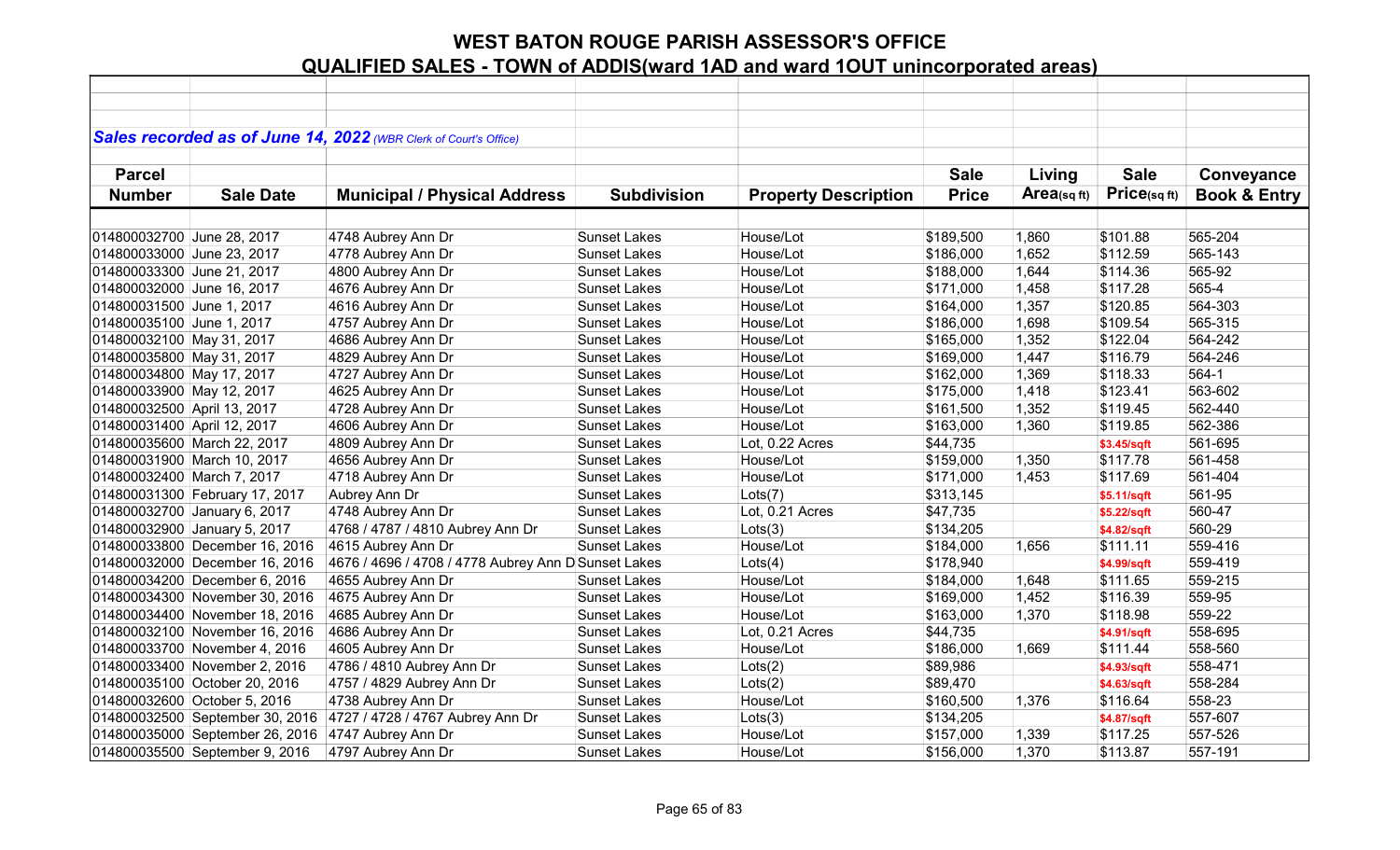|                             |                                 | Sales recorded as of June 14, 2022 (WBR Clerk of Court's Office) |                     |                             |              |            |              |                         |
|-----------------------------|---------------------------------|------------------------------------------------------------------|---------------------|-----------------------------|--------------|------------|--------------|-------------------------|
| <b>Parcel</b>               |                                 |                                                                  |                     |                             | <b>Sale</b>  | Living     | <b>Sale</b>  | Conveyance              |
| <b>Number</b>               | <b>Sale Date</b>                | <b>Municipal / Physical Address</b>                              | <b>Subdivision</b>  | <b>Property Description</b> | <b>Price</b> | Area(sqft) | Price(sq ft) | <b>Book &amp; Entry</b> |
|                             |                                 |                                                                  |                     |                             |              |            |              |                         |
| 014800032700 June 28, 2017  |                                 | 4748 Aubrey Ann Dr                                               | <b>Sunset Lakes</b> | House/Lot                   | \$189,500    | 1,860      | \$101.88     | 565-204                 |
| 014800033000 June 23, 2017  |                                 | 4778 Aubrey Ann Dr                                               | <b>Sunset Lakes</b> | House/Lot                   | \$186,000    | 1,652      | \$112.59     | 565-143                 |
| 014800033300 June 21, 2017  |                                 | 4800 Aubrey Ann Dr                                               | <b>Sunset Lakes</b> | House/Lot                   | \$188,000    | 1,644      | \$114.36     | 565-92                  |
| 014800032000 June 16, 2017  |                                 | 4676 Aubrey Ann Dr                                               | <b>Sunset Lakes</b> | House/Lot                   | \$171,000    | 1,458      | \$117.28     | 565-4                   |
| 014800031500 June 1, 2017   |                                 | 4616 Aubrey Ann Dr                                               | <b>Sunset Lakes</b> | House/Lot                   | \$164,000    | 1,357      | \$120.85     | 564-303                 |
| 014800035100 June 1, 2017   |                                 | 4757 Aubrey Ann Dr                                               | <b>Sunset Lakes</b> | House/Lot                   | \$186,000    | 1,698      | \$109.54     | 565-315                 |
| 014800032100 May 31, 2017   |                                 | 4686 Aubrey Ann Dr                                               | <b>Sunset Lakes</b> | House/Lot                   | \$165,000    | 1,352      | \$122.04     | 564-242                 |
| 014800035800 May 31, 2017   |                                 | 4829 Aubrey Ann Dr                                               | <b>Sunset Lakes</b> | House/Lot                   | \$169,000    | 1,447      | \$116.79     | 564-246                 |
| 014800034800 May 17, 2017   |                                 | 4727 Aubrey Ann Dr                                               | <b>Sunset Lakes</b> | House/Lot                   | \$162,000    | 1,369      | \$118.33     | 564-1                   |
| 014800033900 May 12, 2017   |                                 | 4625 Aubrey Ann Dr                                               | <b>Sunset Lakes</b> | House/Lot                   | \$175,000    | 1,418      | \$123.41     | 563-602                 |
| 014800032500 April 13, 2017 |                                 | 4728 Aubrey Ann Dr                                               | <b>Sunset Lakes</b> | House/Lot                   | \$161,500    | 1,352      | \$119.45     | 562-440                 |
| 014800031400 April 12, 2017 |                                 | 4606 Aubrey Ann Dr                                               | <b>Sunset Lakes</b> | House/Lot                   | \$163,000    | 1,360      | \$119.85     | 562-386                 |
|                             | 014800035600 March 22, 2017     | 4809 Aubrey Ann Dr                                               | <b>Sunset Lakes</b> | Lot, 0.22 Acres             | \$44,735     |            | \$3.45/sqft  | 561-695                 |
|                             | 014800031900 March 10, 2017     | 4656 Aubrey Ann Dr                                               | <b>Sunset Lakes</b> | House/Lot                   | \$159,000    | 1,350      | \$117.78     | 561-458                 |
| 014800032400 March 7, 2017  |                                 | 4718 Aubrey Ann Dr                                               | <b>Sunset Lakes</b> | House/Lot                   | \$171,000    | 1,453      | \$117.69     | 561-404                 |
|                             | 014800031300 February 17, 2017  | Aubrey Ann Dr                                                    | <b>Sunset Lakes</b> | Lots(7)                     | \$313,145    |            | \$5.11/sqft  | 561-95                  |
|                             | 014800032700 January 6, 2017    | 4748 Aubrey Ann Dr                                               | <b>Sunset Lakes</b> | Lot, 0.21 Acres             | \$47,735     |            | \$5.22/sqft  | 560-47                  |
|                             | 014800032900 January 5, 2017    | 4768 / 4787 / 4810 Aubrey Ann Dr                                 | <b>Sunset Lakes</b> | Lots(3)                     | \$134,205    |            | \$4.82/sqft  | 560-29                  |
|                             | 014800033800 December 16, 2016  | 4615 Aubrey Ann Dr                                               | <b>Sunset Lakes</b> | House/Lot                   | \$184,000    | 1,656      | \$111.11     | 559-416                 |
|                             | 014800032000 December 16, 2016  | 4676 / 4696 / 4708 / 4778 Aubrey Ann D Sunset Lakes              |                     | Lots(4)                     | \$178,940    |            | \$4.99/sqft  | 559-419                 |
|                             | 014800034200 December 6, 2016   | 4655 Aubrey Ann Dr                                               | <b>Sunset Lakes</b> | House/Lot                   | \$184,000    | 1,648      | \$111.65     | 559-215                 |
|                             | 014800034300 November 30, 2016  | 4675 Aubrey Ann Dr                                               | <b>Sunset Lakes</b> | House/Lot                   | \$169,000    | 1,452      | \$116.39     | 559-95                  |
|                             | 014800034400 November 18, 2016  | 4685 Aubrey Ann Dr                                               | <b>Sunset Lakes</b> | House/Lot                   | \$163,000    | 1,370      | \$118.98     | 559-22                  |
|                             | 014800032100 November 16, 2016  | 4686 Aubrey Ann Dr                                               | <b>Sunset Lakes</b> | Lot, 0.21 Acres             | \$44,735     |            | \$4.91/sqft  | 558-695                 |
|                             | 014800033700 November 4, 2016   | 4605 Aubrey Ann Dr                                               | <b>Sunset Lakes</b> | House/Lot                   | \$186,000    | 1,669      | \$111.44     | 558-560                 |
|                             | 014800033400 November 2, 2016   | 4786 / 4810 Aubrey Ann Dr                                        | <b>Sunset Lakes</b> | Lots(2)                     | \$89,986     |            | \$4.93/sqft  | 558-471                 |
|                             | 014800035100 October 20, 2016   | 4757 / 4829 Aubrey Ann Dr                                        | <b>Sunset Lakes</b> | Lots(2)                     | \$89,470     |            | \$4.63/sqft  | 558-284                 |
|                             | 014800032600 October 5, 2016    | 4738 Aubrey Ann Dr                                               | <b>Sunset Lakes</b> | House/Lot                   | \$160,500    | 1,376      | \$116.64     | 558-23                  |
|                             | 014800032500 September 30, 2016 | 4727 / 4728 / 4767 Aubrey Ann Dr                                 | <b>Sunset Lakes</b> | Lots(3)                     | \$134,205    |            | \$4.87/sqft  | 557-607                 |
|                             | 014800035000 September 26, 2016 | 4747 Aubrey Ann Dr                                               | <b>Sunset Lakes</b> | House/Lot                   | \$157,000    | 1,339      | \$117.25     | 557-526                 |
|                             | 014800035500 September 9, 2016  | 4797 Aubrey Ann Dr                                               | <b>Sunset Lakes</b> | House/Lot                   | \$156,000    | 1,370      | \$113.87     | 557-191                 |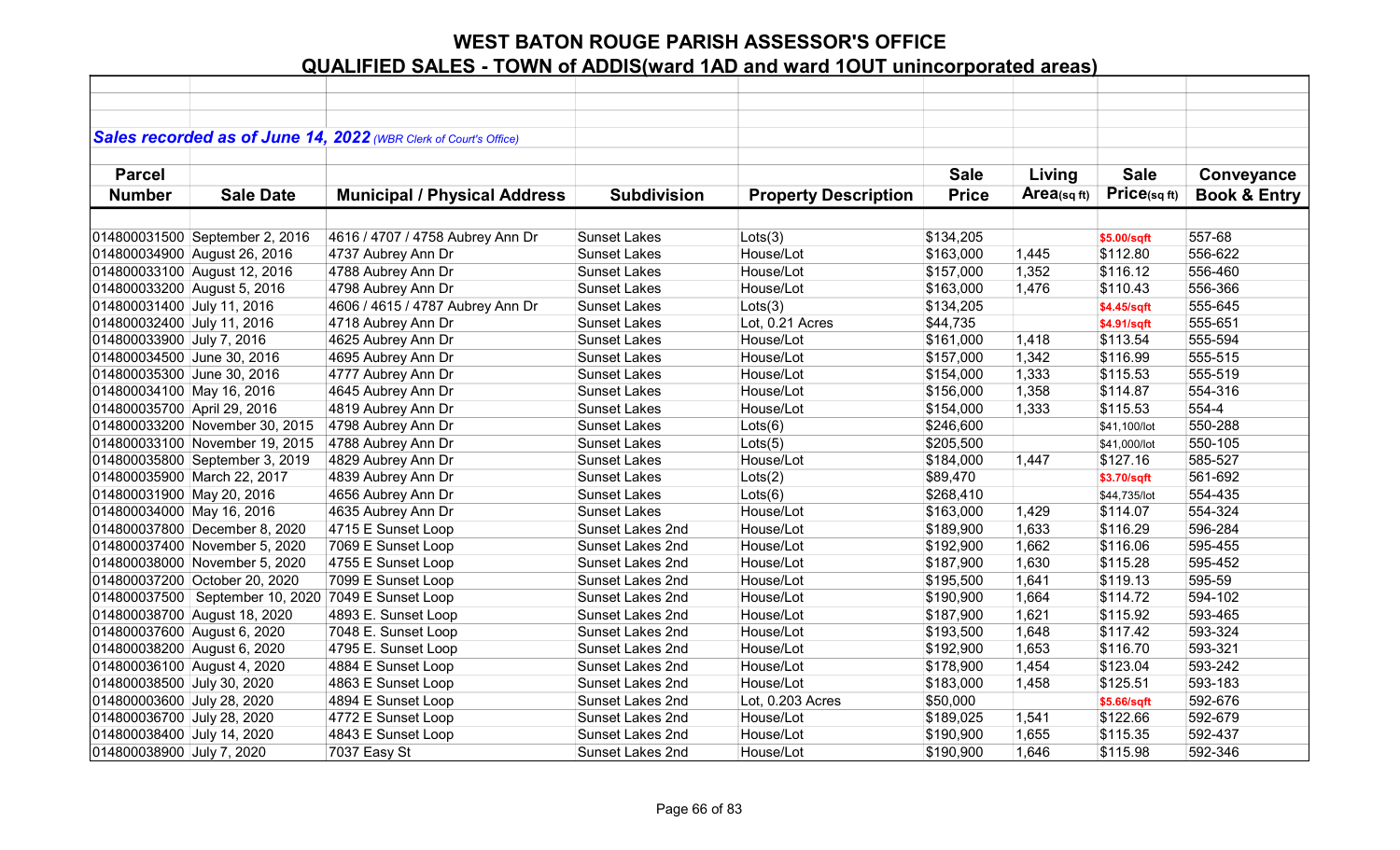|                             |                                                    | Sales recorded as of June 14, 2022 (WBR Clerk of Court's Office) |                         |                             |              |             |              |                         |
|-----------------------------|----------------------------------------------------|------------------------------------------------------------------|-------------------------|-----------------------------|--------------|-------------|--------------|-------------------------|
|                             |                                                    |                                                                  |                         |                             |              |             |              |                         |
| <b>Parcel</b>               |                                                    |                                                                  |                         |                             | <b>Sale</b>  | Living      | <b>Sale</b>  | Conveyance              |
| <b>Number</b>               | <b>Sale Date</b>                                   | <b>Municipal / Physical Address</b>                              | <b>Subdivision</b>      | <b>Property Description</b> | <b>Price</b> | Area(sq ft) | Price(sqft)  | <b>Book &amp; Entry</b> |
|                             |                                                    |                                                                  |                         |                             |              |             |              |                         |
|                             | 014800031500 September 2, 2016                     | 4616 / 4707 / 4758 Aubrey Ann Dr                                 | <b>Sunset Lakes</b>     | Lots(3)                     | \$134,205    |             | \$5.00/sqft  | 557-68                  |
|                             | 014800034900 August 26, 2016                       | 4737 Aubrey Ann Dr                                               | <b>Sunset Lakes</b>     | House/Lot                   | \$163,000    | 1,445       | \$112.80     | 556-622                 |
|                             | 014800033100 August 12, 2016                       | 4788 Aubrey Ann Dr                                               | <b>Sunset Lakes</b>     | House/Lot                   | \$157,000    | 1,352       | \$116.12     | 556-460                 |
| 014800033200 August 5, 2016 |                                                    | 4798 Aubrey Ann Dr                                               | <b>Sunset Lakes</b>     | House/Lot                   | \$163,000    | 1,476       | \$110.43     | 556-366                 |
| 014800031400 July 11, 2016  |                                                    | 4606 / 4615 / 4787 Aubrey Ann Dr                                 | <b>Sunset Lakes</b>     | Lots(3)                     | \$134,205    |             | \$4.45/sqft  | 555-645                 |
| 014800032400 July 11, 2016  |                                                    | 4718 Aubrey Ann Dr                                               | <b>Sunset Lakes</b>     | Lot, 0.21 Acres             | \$44,735     |             | \$4.91/sqft  | 555-651                 |
| 014800033900 July 7, 2016   |                                                    | 4625 Aubrey Ann Dr                                               | <b>Sunset Lakes</b>     | House/Lot                   | \$161,000    | 1,418       | \$113.54     | 555-594                 |
| 014800034500 June 30, 2016  |                                                    | 4695 Aubrey Ann Dr                                               | <b>Sunset Lakes</b>     | House/Lot                   | \$157,000    | 1,342       | \$116.99     | 555-515                 |
| 014800035300 June 30, 2016  |                                                    | 4777 Aubrey Ann Dr                                               | <b>Sunset Lakes</b>     | House/Lot                   | \$154,000    | 1,333       | \$115.53     | 555-519                 |
| 014800034100 May 16, 2016   |                                                    | 4645 Aubrey Ann Dr                                               | <b>Sunset Lakes</b>     | House/Lot                   | \$156,000    | 1,358       | \$114.87     | 554-316                 |
| 014800035700 April 29, 2016 |                                                    | 4819 Aubrey Ann Dr                                               | <b>Sunset Lakes</b>     | House/Lot                   | \$154,000    | 1,333       | \$115.53     | 554-4                   |
|                             | 014800033200 November 30, 2015                     | 4798 Aubrey Ann Dr                                               | <b>Sunset Lakes</b>     | Lots(6)                     | \$246,600    |             | \$41,100/lot | 550-288                 |
|                             | 014800033100 November 19, 2015                     | 4788 Aubrey Ann Dr                                               | <b>Sunset Lakes</b>     | Lots(5)                     | \$205,500    |             | \$41,000/lot | 550-105                 |
|                             | 014800035800 September 3, 2019                     | 4829 Aubrey Ann Dr                                               | <b>Sunset Lakes</b>     | House/Lot                   | \$184,000    | 1,447       | \$127.16     | 585-527                 |
|                             | 014800035900 March 22, 2017                        | 4839 Aubrey Ann Dr                                               | <b>Sunset Lakes</b>     | Lots(2)                     | \$89,470     |             | \$3.70/sqft  | 561-692                 |
| 014800031900 May 20, 2016   |                                                    | 4656 Aubrey Ann Dr                                               | <b>Sunset Lakes</b>     | Lots(6)                     | \$268,410    |             | \$44,735/lot | 554-435                 |
| 014800034000 May 16, 2016   |                                                    | 4635 Aubrey Ann Dr                                               | <b>Sunset Lakes</b>     | House/Lot                   | \$163,000    | 1,429       | \$114.07     | 554-324                 |
|                             | 014800037800 December 8, 2020                      | 4715 E Sunset Loop                                               | Sunset Lakes 2nd        | House/Lot                   | \$189,900    | 1,633       | \$116.29     | 596-284                 |
|                             | 014800037400 November 5, 2020                      | 7069 E Sunset Loop                                               | Sunset Lakes 2nd        | House/Lot                   | \$192,900    | 1,662       | \$116.06     | 595-455                 |
|                             | 014800038000 November 5, 2020                      | 4755 E Sunset Loop                                               | Sunset Lakes 2nd        | House/Lot                   | \$187,900    | 1,630       | \$115.28     | 595-452                 |
|                             | 014800037200 October 20, 2020                      | 7099 E Sunset Loop                                               | Sunset Lakes 2nd        | House/Lot                   | \$195,500    | 1,641       | \$119.13     | 595-59                  |
|                             | 014800037500 September 10, 2020 7049 E Sunset Loop |                                                                  | Sunset Lakes 2nd        | House/Lot                   | \$190,900    | 1,664       | \$114.72     | 594-102                 |
|                             | 014800038700 August 18, 2020                       | 4893 E. Sunset Loop                                              | Sunset Lakes 2nd        | House/Lot                   | \$187,900    | 1,621       | \$115.92     | 593-465                 |
| 014800037600 August 6, 2020 |                                                    | 7048 E. Sunset Loop                                              | <b>Sunset Lakes 2nd</b> | House/Lot                   | \$193,500    | 1,648       | \$117.42     | 593-324                 |
| 014800038200 August 6, 2020 |                                                    | 4795 E. Sunset Loop                                              | Sunset Lakes 2nd        | House/Lot                   | \$192,900    | 1,653       | \$116.70     | 593-321                 |
| 014800036100 August 4, 2020 |                                                    | 4884 E Sunset Loop                                               | Sunset Lakes 2nd        | House/Lot                   | \$178,900    | 1,454       | \$123.04     | 593-242                 |
| 014800038500 July 30, 2020  |                                                    | 4863 E Sunset Loop                                               | Sunset Lakes 2nd        | House/Lot                   | \$183,000    | 1,458       | \$125.51     | 593-183                 |
| 014800003600 July 28, 2020  |                                                    | 4894 E Sunset Loop                                               | Sunset Lakes 2nd        | Lot, 0.203 Acres            | \$50,000     |             | \$5.66/sqft  | 592-676                 |
| 014800036700 July 28, 2020  |                                                    | 4772 E Sunset Loop                                               | Sunset Lakes 2nd        | House/Lot                   | \$189,025    | 1,541       | \$122.66     | 592-679                 |
| 014800038400 July 14, 2020  |                                                    | 4843 E Sunset Loop                                               | <b>Sunset Lakes 2nd</b> | House/Lot                   | \$190,900    | 1,655       | \$115.35     | 592-437                 |
| 014800038900 July 7, 2020   |                                                    | 7037 Easy St                                                     | <b>Sunset Lakes 2nd</b> | House/Lot                   | \$190,900    | 1,646       | \$115.98     | 592-346                 |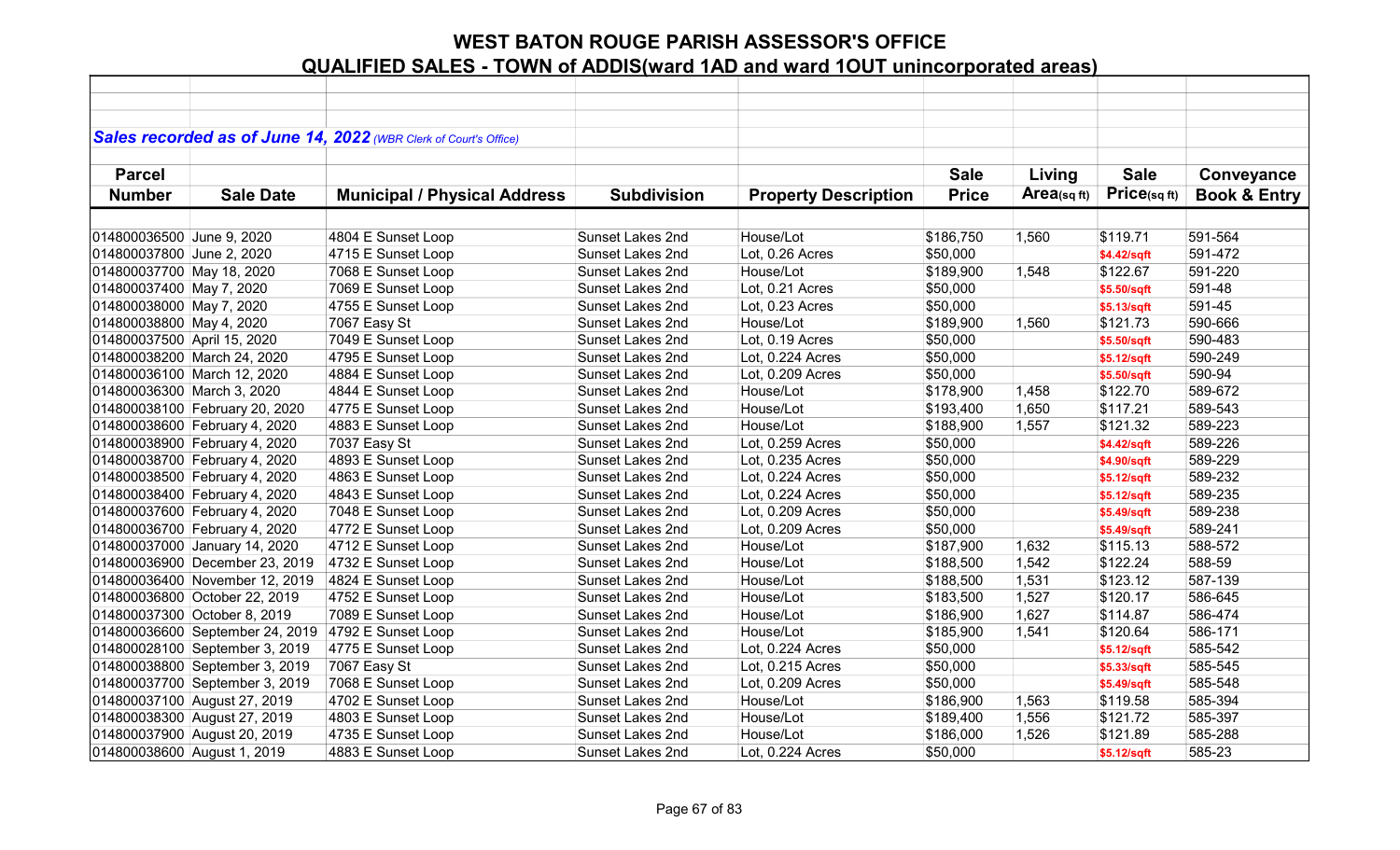|                             |                                 | Sales recorded as of June 14, 2022 (WBR Clerk of Court's Office) |                         |                             |              |             |             |                         |
|-----------------------------|---------------------------------|------------------------------------------------------------------|-------------------------|-----------------------------|--------------|-------------|-------------|-------------------------|
|                             |                                 |                                                                  |                         |                             |              |             |             |                         |
| <b>Parcel</b>               |                                 |                                                                  |                         |                             | <b>Sale</b>  | Living      | <b>Sale</b> | Conveyance              |
| <b>Number</b>               | <b>Sale Date</b>                | <b>Municipal / Physical Address</b>                              | <b>Subdivision</b>      | <b>Property Description</b> | <b>Price</b> | Area(sq ft) | Price(sqft) | <b>Book &amp; Entry</b> |
|                             |                                 |                                                                  |                         |                             |              |             |             |                         |
| 014800036500 June 9, 2020   |                                 | 4804 E Sunset Loop                                               | Sunset Lakes 2nd        | House/Lot                   | \$186,750    | 1,560       | \$119.71    | 591-564                 |
| 014800037800 June 2, 2020   |                                 | 4715 E Sunset Loop                                               | <b>Sunset Lakes 2nd</b> | Lot, 0.26 Acres             | \$50,000     |             | \$4.42/sqft | 591-472                 |
| 014800037700 May 18, 2020   |                                 | 7068 E Sunset Loop                                               | Sunset Lakes 2nd        | House/Lot                   | \$189,900    | 1,548       | \$122.67    | 591-220                 |
| 014800037400 May 7, 2020    |                                 | 7069 E Sunset Loop                                               | Sunset Lakes 2nd        | Lot, 0.21 Acres             | \$50,000     |             | \$5.50/sqft | 591-48                  |
| 014800038000 May 7, 2020    |                                 | 4755 E Sunset Loop                                               | Sunset Lakes 2nd        | Lot, 0.23 Acres             | \$50,000     |             | \$5.13/sqft | 591-45                  |
| 014800038800 May 4, 2020    |                                 | 7067 Easy St                                                     | Sunset Lakes 2nd        | House/Lot                   | \$189,900    | 1,560       | \$121.73    | 590-666                 |
| 014800037500 April 15, 2020 |                                 | 7049 E Sunset Loop                                               | Sunset Lakes 2nd        | Lot, 0.19 Acres             | \$50,000     |             | \$5.50/sqft | 590-483                 |
|                             | 014800038200 March 24, 2020     | 4795 E Sunset Loop                                               | <b>Sunset Lakes 2nd</b> | Lot, 0.224 Acres            | \$50,000     |             | \$5.12/sqft | 590-249                 |
|                             | 014800036100 March 12, 2020     | 4884 E Sunset Loop                                               | Sunset Lakes 2nd        | Lot, 0.209 Acres            | \$50,000     |             | \$5.50/sqft | 590-94                  |
| 014800036300 March 3, 2020  |                                 | 4844 E Sunset Loop                                               | <b>Sunset Lakes 2nd</b> | House/Lot                   | \$178,900    | 1,458       | \$122.70    | 589-672                 |
|                             | 014800038100 February 20, 2020  | 4775 E Sunset Loop                                               | Sunset Lakes 2nd        | House/Lot                   | \$193,400    | 1,650       | \$117.21    | 589-543                 |
|                             | 014800038600 February 4, 2020   | 4883 E Sunset Loop                                               | Sunset Lakes 2nd        | House/Lot                   | \$188,900    | 1,557       | \$121.32    | 589-223                 |
|                             | 014800038900 February 4, 2020   | 7037 Easy St                                                     | Sunset Lakes 2nd        | Lot, 0.259 Acres            | \$50,000     |             | \$4.42/sqft | 589-226                 |
|                             | 014800038700 February 4, 2020   | 4893 E Sunset Loop                                               | Sunset Lakes 2nd        | Lot, 0.235 Acres            | \$50,000     |             | \$4.90/sqft | 589-229                 |
|                             | 014800038500 February 4, 2020   | 4863 E Sunset Loop                                               | Sunset Lakes 2nd        | Lot, 0.224 Acres            | \$50,000     |             | \$5.12/sqft | 589-232                 |
|                             | 014800038400 February 4, 2020   | 4843 E Sunset Loop                                               | Sunset Lakes 2nd        | Lot, 0.224 Acres            | \$50,000     |             | \$5.12/sqft | 589-235                 |
|                             | 014800037600 February 4, 2020   | 7048 E Sunset Loop                                               | Sunset Lakes 2nd        | Lot, 0.209 Acres            | \$50,000     |             | \$5.49/sqft | 589-238                 |
|                             | 014800036700 February 4, 2020   | 4772 E Sunset Loop                                               | Sunset Lakes 2nd        | Lot, 0.209 Acres            | \$50,000     |             | \$5.49/sqft | 589-241                 |
|                             | 014800037000 January 14, 2020   | 4712 E Sunset Loop                                               | Sunset Lakes 2nd        | House/Lot                   | \$187,900    | 1,632       | \$115.13    | 588-572                 |
|                             | 014800036900 December 23, 2019  | 4732 E Sunset Loop                                               | Sunset Lakes 2nd        | House/Lot                   | \$188,500    | 1,542       | \$122.24    | 588-59                  |
|                             | 014800036400 November 12, 2019  | 4824 E Sunset Loop                                               | Sunset Lakes 2nd        | House/Lot                   | \$188,500    | 1,531       | \$123.12    | 587-139                 |
|                             | 014800036800 October 22, 2019   | 4752 E Sunset Loop                                               | Sunset Lakes 2nd        | House/Lot                   | \$183,500    | 1,527       | \$120.17    | 586-645                 |
|                             | 014800037300 October 8, 2019    | 7089 E Sunset Loop                                               | Sunset Lakes 2nd        | House/Lot                   | \$186,900    | 1,627       | \$114.87    | 586-474                 |
|                             | 014800036600 September 24, 2019 | 4792 E Sunset Loop                                               | <b>Sunset Lakes 2nd</b> | House/Lot                   | \$185,900    | 1,541       | \$120.64    | 586-171                 |
|                             | 014800028100 September 3, 2019  | 4775 E Sunset Loop                                               | Sunset Lakes 2nd        | Lot, 0.224 Acres            | \$50,000     |             | \$5.12/sqft | 585-542                 |
|                             | 014800038800 September 3, 2019  | 7067 Easy St                                                     | Sunset Lakes 2nd        | Lot, 0.215 Acres            | \$50,000     |             | \$5.33/sqft | 585-545                 |
|                             | 014800037700 September 3, 2019  | 7068 E Sunset Loop                                               | Sunset Lakes 2nd        | Lot, 0.209 Acres            | \$50,000     |             | \$5.49/sqft | 585-548                 |
|                             | 014800037100 August 27, 2019    | 4702 E Sunset Loop                                               | Sunset Lakes 2nd        | House/Lot                   | \$186,900    | 1,563       | \$119.58    | 585-394                 |
|                             | 014800038300 August 27, 2019    | 4803 E Sunset Loop                                               | Sunset Lakes 2nd        | House/Lot                   | \$189,400    | 1,556       | \$121.72    | 585-397                 |
|                             | 014800037900 August 20, 2019    | 4735 E Sunset Loop                                               | <b>Sunset Lakes 2nd</b> | House/Lot                   | \$186,000    | 1,526       | \$121.89    | 585-288                 |
| 014800038600 August 1, 2019 |                                 | 4883 E Sunset Loop                                               | <b>Sunset Lakes 2nd</b> | Lot, 0.224 Acres            | \$50,000     |             | \$5.12/sqft | 585-23                  |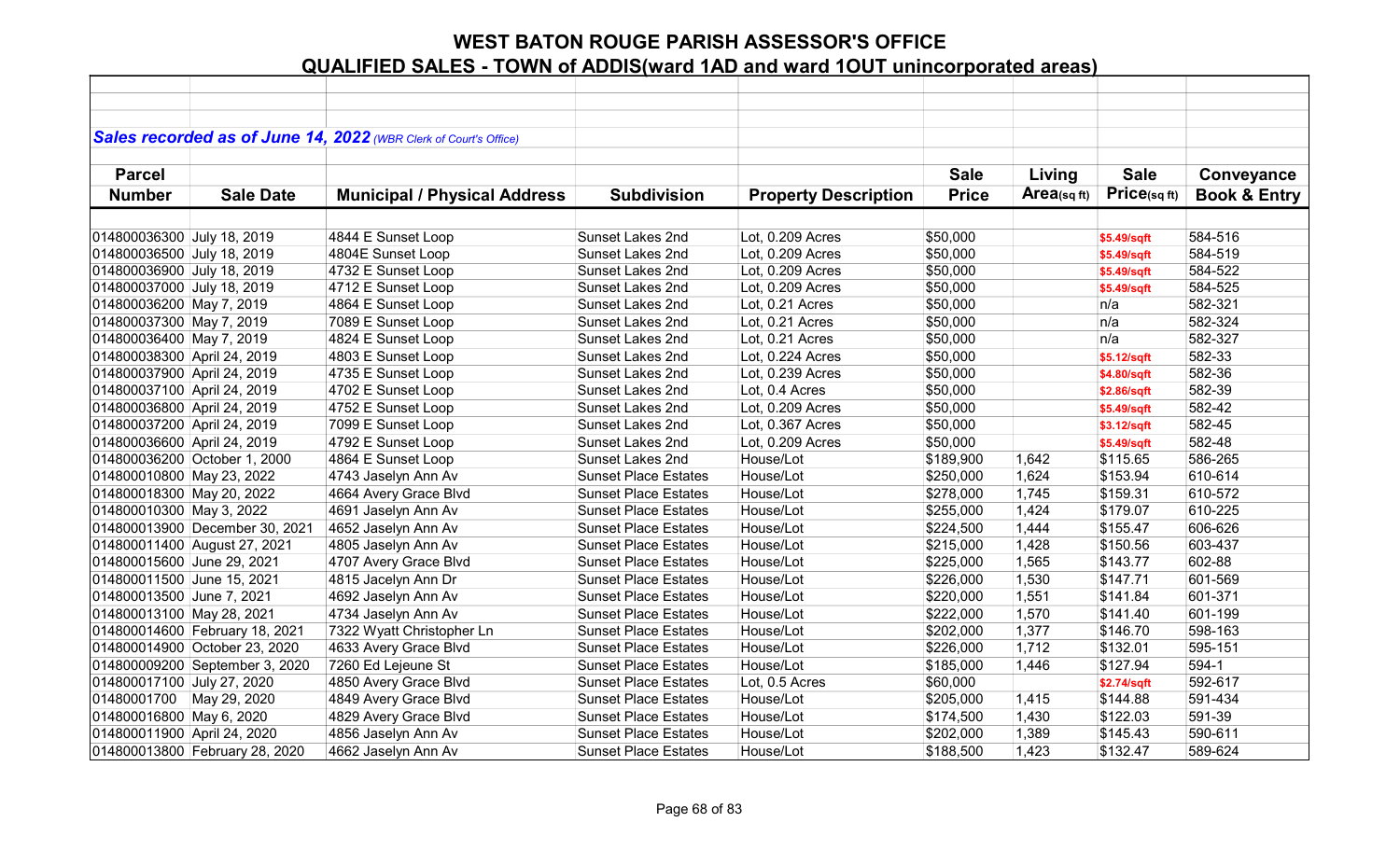|                             |                                | Sales recorded as of June 14, 2022 (WBR Clerk of Court's Office) |                             |                             |              |             |             |                         |
|-----------------------------|--------------------------------|------------------------------------------------------------------|-----------------------------|-----------------------------|--------------|-------------|-------------|-------------------------|
|                             |                                |                                                                  |                             |                             |              |             |             |                         |
| <b>Parcel</b>               |                                |                                                                  |                             |                             | <b>Sale</b>  | Living      | <b>Sale</b> | Conveyance              |
| <b>Number</b>               | <b>Sale Date</b>               | <b>Municipal / Physical Address</b>                              | <b>Subdivision</b>          | <b>Property Description</b> | <b>Price</b> | Area(sq ft) | Price(sqft) | <b>Book &amp; Entry</b> |
|                             |                                |                                                                  |                             |                             |              |             |             |                         |
| 014800036300 July 18, 2019  |                                | 4844 E Sunset Loop                                               | Sunset Lakes 2nd            | Lot, 0.209 Acres            | \$50,000     |             | \$5.49/sqft | 584-516                 |
| 014800036500 July 18, 2019  |                                | 4804E Sunset Loop                                                | Sunset Lakes 2nd            | Lot, 0.209 Acres            | \$50,000     |             | \$5.49/sqft | 584-519                 |
| 014800036900 July 18, 2019  |                                | 4732 E Sunset Loop                                               | Sunset Lakes 2nd            | Lot, 0.209 Acres            | \$50,000     |             | \$5.49/sqft | 584-522                 |
| 014800037000 July 18, 2019  |                                | 4712 E Sunset Loop                                               | <b>Sunset Lakes 2nd</b>     | Lot, 0.209 Acres            | \$50,000     |             | \$5.49/sqft | 584-525                 |
| 014800036200 May 7, 2019    |                                | 4864 E Sunset Loop                                               | Sunset Lakes 2nd            | Lot, 0.21 Acres             | \$50,000     |             | n/a         | 582-321                 |
| 014800037300 May 7, 2019    |                                | 7089 E Sunset Loop                                               | <b>Sunset Lakes 2nd</b>     | Lot, 0.21 Acres             | \$50,000     |             | n/a         | 582-324                 |
| 014800036400 May 7, 2019    |                                | 4824 E Sunset Loop                                               | Sunset Lakes 2nd            | Lot, 0.21 Acres             | \$50,000     |             | n/a         | 582-327                 |
| 014800038300 April 24, 2019 |                                | 4803 E Sunset Loop                                               | Sunset Lakes 2nd            | Lot, 0.224 Acres            | \$50,000     |             | \$5.12/sqft | 582-33                  |
| 014800037900 April 24, 2019 |                                | 4735 E Sunset Loop                                               | Sunset Lakes 2nd            | Lot, 0.239 Acres            | \$50,000     |             | \$4.80/sqft | 582-36                  |
| 014800037100 April 24, 2019 |                                | 4702 E Sunset Loop                                               | <b>Sunset Lakes 2nd</b>     | Lot, 0.4 Acres              | \$50,000     |             | \$2.86/sqft | 582-39                  |
| 014800036800 April 24, 2019 |                                | 4752 E Sunset Loop                                               | Sunset Lakes 2nd            | Lot, 0.209 Acres            | \$50,000     |             | \$5.49/sqft | 582-42                  |
| 014800037200 April 24, 2019 |                                | 7099 E Sunset Loop                                               | Sunset Lakes 2nd            | Lot, 0.367 Acres            | \$50,000     |             | \$3.12/sqft | 582-45                  |
| 014800036600 April 24, 2019 |                                | 4792 E Sunset Loop                                               | <b>Sunset Lakes 2nd</b>     | Lot, 0.209 Acres            | \$50,000     |             | \$5.49/sqft | 582-48                  |
|                             | 014800036200 October 1, 2000   | 4864 E Sunset Loop                                               | Sunset Lakes 2nd            | House/Lot                   | \$189,900    | 1,642       | \$115.65    | 586-265                 |
| 014800010800 May 23, 2022   |                                | 4743 Jaselyn Ann Av                                              | <b>Sunset Place Estates</b> | House/Lot                   | \$250,000    | 1,624       | \$153.94    | 610-614                 |
| 014800018300 May 20, 2022   |                                | 4664 Avery Grace Blvd                                            | <b>Sunset Place Estates</b> | House/Lot                   | \$278,000    | 1,745       | \$159.31    | 610-572                 |
| 014800010300 May 3, 2022    |                                | 4691 Jaselyn Ann Av                                              | <b>Sunset Place Estates</b> | House/Lot                   | \$255,000    | 1,424       | \$179.07    | 610-225                 |
|                             | 014800013900 December 30, 2021 | 4652 Jaselyn Ann Av                                              | <b>Sunset Place Estates</b> | House/Lot                   | \$224,500    | 1,444       | \$155.47    | 606-626                 |
|                             | 014800011400 August 27, 2021   | 4805 Jaselyn Ann Av                                              | <b>Sunset Place Estates</b> | House/Lot                   | \$215,000    | 1,428       | \$150.56    | 603-437                 |
| 014800015600 June 29, 2021  |                                | 4707 Avery Grace Blvd                                            | <b>Sunset Place Estates</b> | House/Lot                   | \$225,000    | 1,565       | \$143.77    | 602-88                  |
| 014800011500 June 15, 2021  |                                | 4815 Jacelyn Ann Dr                                              | <b>Sunset Place Estates</b> | House/Lot                   | \$226,000    | 1,530       | \$147.71    | 601-569                 |
| 014800013500 June 7, 2021   |                                | 4692 Jaselyn Ann Av                                              | <b>Sunset Place Estates</b> | House/Lot                   | \$220,000    | 1,551       | \$141.84    | 601-371                 |
| 014800013100 May 28, 2021   |                                | 4734 Jaselyn Ann Av                                              | <b>Sunset Place Estates</b> | House/Lot                   | \$222,000    | 1,570       | \$141.40    | 601-199                 |
|                             | 014800014600 February 18, 2021 | 7322 Wyatt Christopher Ln                                        | <b>Sunset Place Estates</b> | House/Lot                   | \$202,000    | 1,377       | \$146.70    | 598-163                 |
|                             | 014800014900 October 23, 2020  | 4633 Avery Grace Blvd                                            | <b>Sunset Place Estates</b> | House/Lot                   | \$226,000    | 1,712       | \$132.01    | 595-151                 |
|                             | 014800009200 September 3, 2020 | 7260 Ed Lejeune St                                               | <b>Sunset Place Estates</b> | House/Lot                   | \$185,000    | 1,446       | \$127.94    | 594-1                   |
| 014800017100 July 27, 2020  |                                | 4850 Avery Grace Blvd                                            | <b>Sunset Place Estates</b> | Lot, 0.5 Acres              | \$60,000     |             | \$2.74/sqft | 592-617                 |
| 01480001700 May 29, 2020    |                                | 4849 Avery Grace Blvd                                            | <b>Sunset Place Estates</b> | House/Lot                   | \$205,000    | 1,415       | \$144.88    | 591-434                 |
| 014800016800 May 6, 2020    |                                | 4829 Avery Grace Blvd                                            | <b>Sunset Place Estates</b> | House/Lot                   | \$174,500    | 1,430       | \$122.03    | 591-39                  |
| 014800011900 April 24, 2020 |                                | 4856 Jaselyn Ann Av                                              | <b>Sunset Place Estates</b> | House/Lot                   | \$202,000    | 1,389       | \$145.43    | 590-611                 |
|                             | 014800013800 February 28, 2020 | 4662 Jaselyn Ann Av                                              | <b>Sunset Place Estates</b> | House/Lot                   | \$188,500    | 1,423       | \$132.47    | 589-624                 |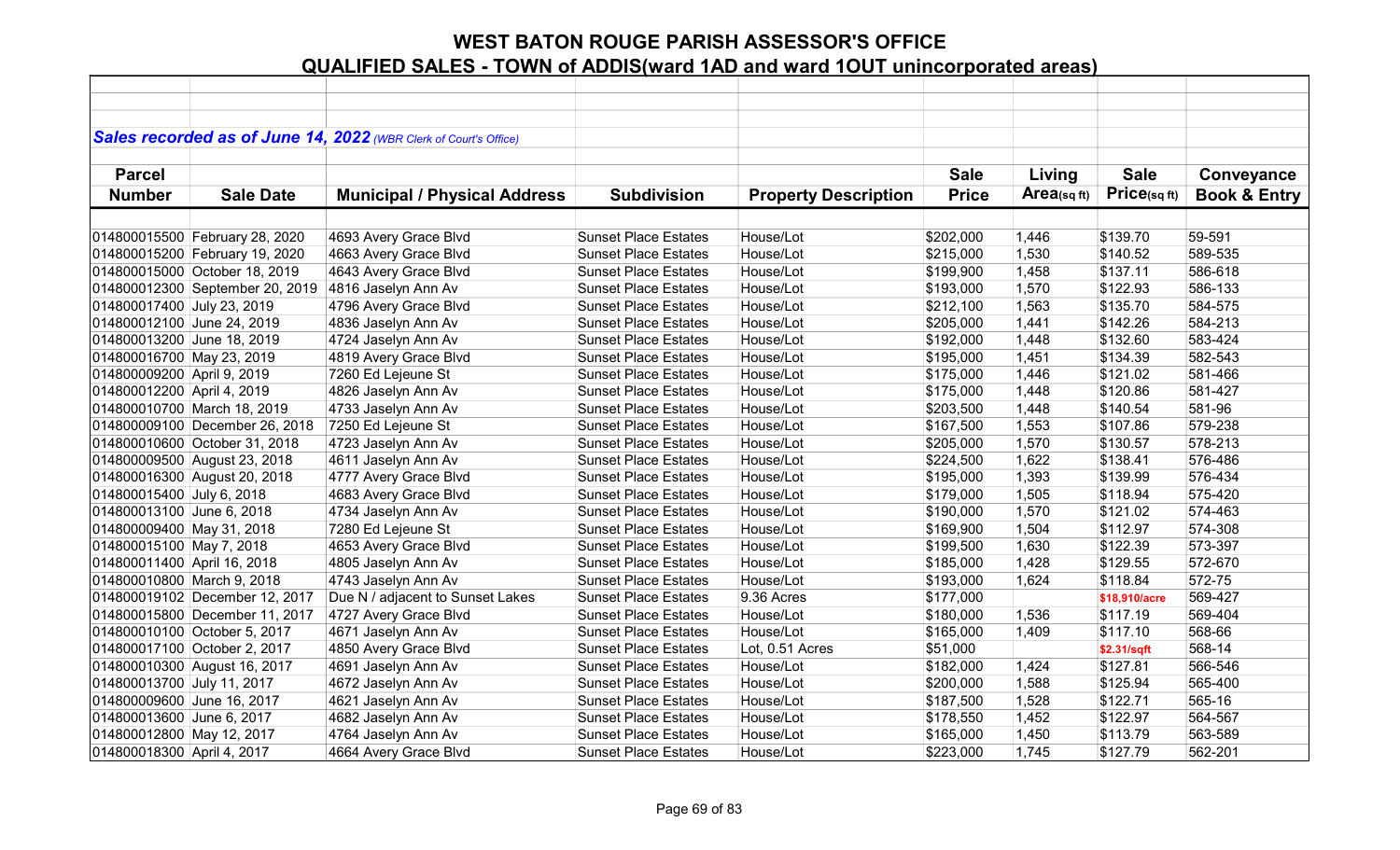|                             |                                 | Sales recorded as of June 14, 2022 (WBR Clerk of Court's Office) |                             |                             |              |            |               |                         |
|-----------------------------|---------------------------------|------------------------------------------------------------------|-----------------------------|-----------------------------|--------------|------------|---------------|-------------------------|
|                             |                                 |                                                                  |                             |                             |              |            |               |                         |
| <b>Parcel</b>               |                                 |                                                                  |                             |                             | <b>Sale</b>  | Living     | <b>Sale</b>   | Conveyance              |
| <b>Number</b>               | <b>Sale Date</b>                | <b>Municipal / Physical Address</b>                              | <b>Subdivision</b>          | <b>Property Description</b> | <b>Price</b> | Area(sqft) | Price(sqft)   | <b>Book &amp; Entry</b> |
|                             |                                 |                                                                  |                             |                             |              |            |               |                         |
|                             | 014800015500 February 28, 2020  | 4693 Avery Grace Blvd                                            | <b>Sunset Place Estates</b> | House/Lot                   | \$202,000    | 1,446      | \$139.70      | 59-591                  |
|                             | 014800015200 February 19, 2020  | 4663 Avery Grace Blvd                                            | <b>Sunset Place Estates</b> | House/Lot                   | \$215,000    | 1,530      | \$140.52      | 589-535                 |
|                             | 014800015000 October 18, 2019   | 4643 Avery Grace Blvd                                            | <b>Sunset Place Estates</b> | House/Lot                   | \$199,900    | 1,458      | \$137.11      | 586-618                 |
|                             | 014800012300 September 20, 2019 | 4816 Jaselyn Ann Av                                              | <b>Sunset Place Estates</b> | House/Lot                   | \$193,000    | 1,570      | \$122.93      | 586-133                 |
| 014800017400 July 23, 2019  |                                 | 4796 Avery Grace Blvd                                            | <b>Sunset Place Estates</b> | House/Lot                   | \$212,100    | 1,563      | \$135.70      | 584-575                 |
| 014800012100 June 24, 2019  |                                 | 4836 Jaselyn Ann Av                                              | <b>Sunset Place Estates</b> | House/Lot                   | \$205,000    | 1,441      | \$142.26      | 584-213                 |
| 014800013200 June 18, 2019  |                                 | 4724 Jaselyn Ann Av                                              | <b>Sunset Place Estates</b> | House/Lot                   | \$192,000    | 1,448      | \$132.60      | 583-424                 |
| 014800016700 May 23, 2019   |                                 | 4819 Avery Grace Blvd                                            | <b>Sunset Place Estates</b> | House/Lot                   | \$195,000    | 1,451      | \$134.39      | 582-543                 |
| 014800009200 April 9, 2019  |                                 | 7260 Ed Lejeune St                                               | <b>Sunset Place Estates</b> | House/Lot                   | \$175,000    | 1,446      | \$121.02      | 581-466                 |
| 014800012200 April 4, 2019  |                                 | 4826 Jaselyn Ann Av                                              | <b>Sunset Place Estates</b> | House/Lot                   | \$175,000    | 1,448      | \$120.86      | 581-427                 |
|                             | 014800010700 March 18, 2019     | 4733 Jaselyn Ann Av                                              | <b>Sunset Place Estates</b> | House/Lot                   | \$203,500    | 1,448      | \$140.54      | 581-96                  |
|                             | 014800009100 December 26, 2018  | 7250 Ed Lejeune St                                               | <b>Sunset Place Estates</b> | House/Lot                   | \$167,500    | 1,553      | \$107.86      | 579-238                 |
|                             | 014800010600 October 31, 2018   | 4723 Jaselyn Ann Av                                              | <b>Sunset Place Estates</b> | House/Lot                   | \$205,000    | 1,570      | \$130.57      | 578-213                 |
|                             | 014800009500 August 23, 2018    | 4611 Jaselyn Ann Av                                              | <b>Sunset Place Estates</b> | House/Lot                   | \$224,500    | 1,622      | \$138.41      | 576-486                 |
|                             | 014800016300 August 20, 2018    | 4777 Avery Grace Blvd                                            | <b>Sunset Place Estates</b> | House/Lot                   | \$195,000    | 1,393      | \$139.99      | 576-434                 |
| 014800015400 July 6, 2018   |                                 | 4683 Avery Grace Blvd                                            | <b>Sunset Place Estates</b> | House/Lot                   | \$179,000    | 1,505      | \$118.94      | 575-420                 |
| 014800013100 June 6, 2018   |                                 | 4734 Jaselyn Ann Av                                              | <b>Sunset Place Estates</b> | House/Lot                   | \$190,000    | 1,570      | \$121.02      | 574-463                 |
| 014800009400 May 31, 2018   |                                 | 7280 Ed Lejeune St                                               | <b>Sunset Place Estates</b> | House/Lot                   | \$169,900    | 1,504      | \$112.97      | 574-308                 |
| 014800015100 May 7, 2018    |                                 | 4653 Avery Grace Blvd                                            | <b>Sunset Place Estates</b> | House/Lot                   | \$199,500    | 1,630      | \$122.39      | 573-397                 |
| 014800011400 April 16, 2018 |                                 | 4805 Jaselyn Ann Av                                              | <b>Sunset Place Estates</b> | House/Lot                   | \$185,000    | 1,428      | \$129.55      | 572-670                 |
| 014800010800 March 9, 2018  |                                 | 4743 Jaselyn Ann Av                                              | <b>Sunset Place Estates</b> | House/Lot                   | \$193,000    | 1,624      | \$118.84      | 572-75                  |
|                             | 014800019102 December 12, 2017  | Due N / adjacent to Sunset Lakes                                 | <b>Sunset Place Estates</b> | 9.36 Acres                  | \$177,000    |            | \$18,910/acre | 569-427                 |
|                             | 014800015800 December 11, 2017  | 4727 Avery Grace Blvd                                            | <b>Sunset Place Estates</b> | House/Lot                   | \$180,000    | 1,536      | \$117.19      | 569-404                 |
|                             | 014800010100 October 5, 2017    | 4671 Jaselyn Ann Av                                              | <b>Sunset Place Estates</b> | House/Lot                   | \$165,000    | 1,409      | \$117.10      | 568-66                  |
|                             | 014800017100 October 2, 2017    | 4850 Avery Grace Blvd                                            | <b>Sunset Place Estates</b> | Lot, 0.51 Acres             | \$51,000     |            | \$2.31/sqft   | 568-14                  |
|                             | 014800010300 August 16, 2017    | 4691 Jaselyn Ann Av                                              | <b>Sunset Place Estates</b> | House/Lot                   | \$182,000    | 1,424      | \$127.81      | 566-546                 |
| 014800013700 July 11, 2017  |                                 | 4672 Jaselyn Ann Av                                              | <b>Sunset Place Estates</b> | House/Lot                   | \$200,000    | 1,588      | \$125.94      | 565-400                 |
| 014800009600 June 16, 2017  |                                 | 4621 Jaselyn Ann Av                                              | <b>Sunset Place Estates</b> | House/Lot                   | \$187,500    | 1,528      | \$122.71      | 565-16                  |
| 014800013600 June 6, 2017   |                                 | 4682 Jaselyn Ann Av                                              | <b>Sunset Place Estates</b> | House/Lot                   | \$178,550    | 1,452      | \$122.97      | 564-567                 |
| 014800012800 May 12, 2017   |                                 | 4764 Jaselyn Ann Av                                              | <b>Sunset Place Estates</b> | House/Lot                   | \$165,000    | 1,450      | \$113.79      | 563-589                 |
| 014800018300 April 4, 2017  |                                 | 4664 Avery Grace Blvd                                            | <b>Sunset Place Estates</b> | House/Lot                   | \$223,000    | 1,745      | \$127.79      | 562-201                 |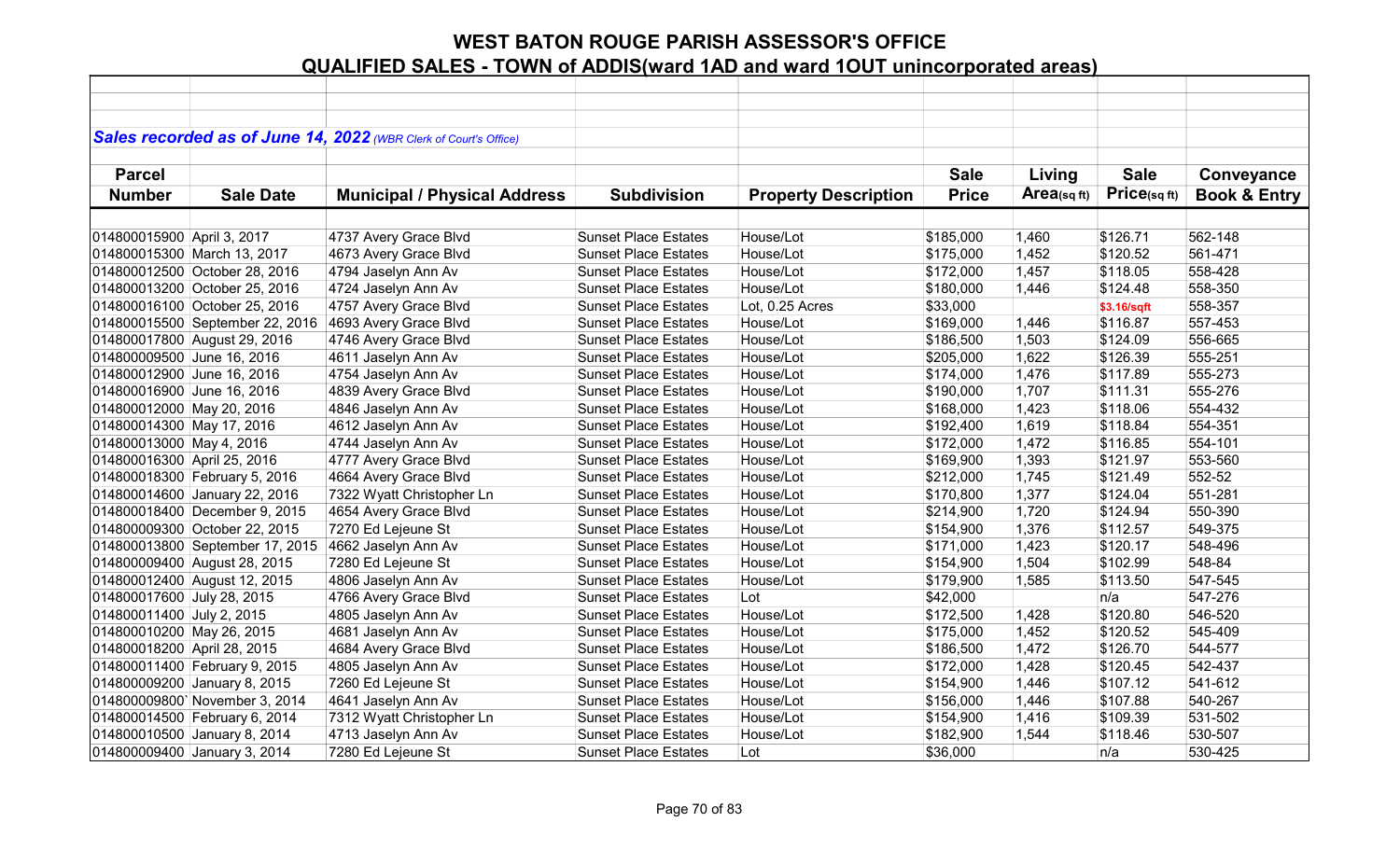|                             |                                 | Sales recorded as of June 14, 2022 (WBR Clerk of Court's Office) |                             |                             |              |            |              |                         |
|-----------------------------|---------------------------------|------------------------------------------------------------------|-----------------------------|-----------------------------|--------------|------------|--------------|-------------------------|
|                             |                                 |                                                                  |                             |                             |              |            |              |                         |
| <b>Parcel</b>               |                                 |                                                                  |                             |                             | <b>Sale</b>  | Living     | <b>Sale</b>  | Conveyance              |
| <b>Number</b>               | <b>Sale Date</b>                | <b>Municipal / Physical Address</b>                              | <b>Subdivision</b>          | <b>Property Description</b> | <b>Price</b> | Area(sqft) | Price(sq ft) | <b>Book &amp; Entry</b> |
|                             |                                 |                                                                  |                             |                             |              |            |              |                         |
| 014800015900 April 3, 2017  |                                 | 4737 Avery Grace Blvd                                            | <b>Sunset Place Estates</b> | House/Lot                   | \$185,000    | 1,460      | \$126.71     | 562-148                 |
|                             | 014800015300 March 13, 2017     | 4673 Avery Grace Blvd                                            | <b>Sunset Place Estates</b> | House/Lot                   | \$175,000    | 1,452      | \$120.52     | 561-471                 |
|                             | 014800012500 October 28, 2016   | 4794 Jaselyn Ann Av                                              | <b>Sunset Place Estates</b> | House/Lot                   | \$172,000    | 1,457      | \$118.05     | 558-428                 |
|                             | 014800013200 October 25, 2016   | 4724 Jaselyn Ann Av                                              | <b>Sunset Place Estates</b> | House/Lot                   | \$180,000    | 1,446      | \$124.48     | 558-350                 |
|                             | 014800016100 October 25, 2016   | 4757 Avery Grace Blvd                                            | <b>Sunset Place Estates</b> | Lot, 0.25 Acres             | \$33,000     |            | \$3.16/sqft  | 558-357                 |
|                             | 014800015500 September 22, 2016 | 4693 Avery Grace Blvd                                            | <b>Sunset Place Estates</b> | House/Lot                   | \$169,000    | 1,446      | \$116.87     | 557-453                 |
|                             | 014800017800 August 29, 2016    | 4746 Avery Grace Blvd                                            | <b>Sunset Place Estates</b> | House/Lot                   | \$186,500    | 1,503      | \$124.09     | 556-665                 |
| 014800009500 June 16, 2016  |                                 | 4611 Jaselyn Ann Av                                              | <b>Sunset Place Estates</b> | House/Lot                   | \$205,000    | 1,622      | \$126.39     | 555-251                 |
| 014800012900 June 16, 2016  |                                 | 4754 Jaselyn Ann Av                                              | <b>Sunset Place Estates</b> | House/Lot                   | \$174,000    | 1,476      | \$117.89     | 555-273                 |
| 014800016900 June 16, 2016  |                                 | 4839 Avery Grace Blvd                                            | <b>Sunset Place Estates</b> | House/Lot                   | \$190,000    | 1,707      | \$111.31     | 555-276                 |
| 014800012000 May 20, 2016   |                                 | 4846 Jaselyn Ann Av                                              | <b>Sunset Place Estates</b> | House/Lot                   | \$168,000    | 1,423      | \$118.06     | 554-432                 |
| 014800014300 May 17, 2016   |                                 | 4612 Jaselyn Ann Av                                              | <b>Sunset Place Estates</b> | House/Lot                   | \$192,400    | 1,619      | \$118.84     | 554-351                 |
| 014800013000 May 4, 2016    |                                 | 4744 Jaselyn Ann Av                                              | <b>Sunset Place Estates</b> | House/Lot                   | \$172,000    | 1,472      | \$116.85     | 554-101                 |
| 014800016300 April 25, 2016 |                                 | 4777 Avery Grace Blvd                                            | <b>Sunset Place Estates</b> | House/Lot                   | \$169,900    | 1,393      | \$121.97     | 553-560                 |
|                             | 014800018300 February 5, 2016   | 4664 Avery Grace Blvd                                            | <b>Sunset Place Estates</b> | House/Lot                   | \$212,000    | 1,745      | \$121.49     | 552-52                  |
|                             | 014800014600 January 22, 2016   | 7322 Wyatt Christopher Ln                                        | <b>Sunset Place Estates</b> | House/Lot                   | \$170,800    | 1,377      | \$124.04     | 551-281                 |
|                             | 014800018400 December 9, 2015   | 4654 Avery Grace Blvd                                            | <b>Sunset Place Estates</b> | House/Lot                   | \$214,900    | 1,720      | \$124.94     | 550-390                 |
|                             | 014800009300 October 22, 2015   | 7270 Ed Lejeune St                                               | <b>Sunset Place Estates</b> | House/Lot                   | \$154,900    | 1,376      | \$112.57     | 549-375                 |
|                             | 014800013800 September 17, 2015 | 4662 Jaselyn Ann Av                                              | <b>Sunset Place Estates</b> | House/Lot                   | \$171,000    | 1,423      | \$120.17     | 548-496                 |
|                             | 014800009400 August 28, 2015    | 7280 Ed Lejeune St                                               | <b>Sunset Place Estates</b> | House/Lot                   | \$154,900    | 1,504      | \$102.99     | 548-84                  |
|                             | 014800012400 August 12, 2015    | 4806 Jaselyn Ann Av                                              | <b>Sunset Place Estates</b> | House/Lot                   | \$179,900    | 1,585      | \$113.50     | 547-545                 |
| 014800017600 July 28, 2015  |                                 | 4766 Avery Grace Blvd                                            | <b>Sunset Place Estates</b> | Lot                         | \$42,000     |            | n/a          | 547-276                 |
| 014800011400 July 2, 2015   |                                 | 4805 Jaselyn Ann Av                                              | <b>Sunset Place Estates</b> | House/Lot                   | \$172,500    | 1,428      | \$120.80     | 546-520                 |
| 014800010200 May 26, 2015   |                                 | 4681 Jaselyn Ann Av                                              | <b>Sunset Place Estates</b> | House/Lot                   | \$175,000    | 1,452      | \$120.52     | 545-409                 |
| 014800018200 April 28, 2015 |                                 | 4684 Avery Grace Blvd                                            | <b>Sunset Place Estates</b> | House/Lot                   | \$186,500    | 1,472      | \$126.70     | 544-577                 |
|                             | 014800011400 February 9, 2015   | 4805 Jaselyn Ann Av                                              | <b>Sunset Place Estates</b> | House/Lot                   | \$172,000    | 1,428      | \$120.45     | 542-437                 |
|                             | 014800009200 January 8, 2015    | 7260 Ed Lejeune St                                               | <b>Sunset Place Estates</b> | House/Lot                   | \$154,900    | 1,446      | \$107.12     | 541-612                 |
|                             | 014800009800'November 3, 2014   | 4641 Jaselyn Ann Av                                              | <b>Sunset Place Estates</b> | House/Lot                   | \$156,000    | 1,446      | \$107.88     | 540-267                 |
|                             | 014800014500 February 6, 2014   | 7312 Wyatt Christopher Ln                                        | <b>Sunset Place Estates</b> | House/Lot                   | \$154,900    | 1,416      | \$109.39     | 531-502                 |
|                             | 014800010500 January 8, 2014    | 4713 Jaselyn Ann Av                                              | <b>Sunset Place Estates</b> | House/Lot                   | \$182,900    | 1,544      | \$118.46     | 530-507                 |
|                             | 014800009400 January 3, 2014    | 7280 Ed Lejeune St                                               | <b>Sunset Place Estates</b> | Lot                         | \$36,000     |            | n/a          | 530-425                 |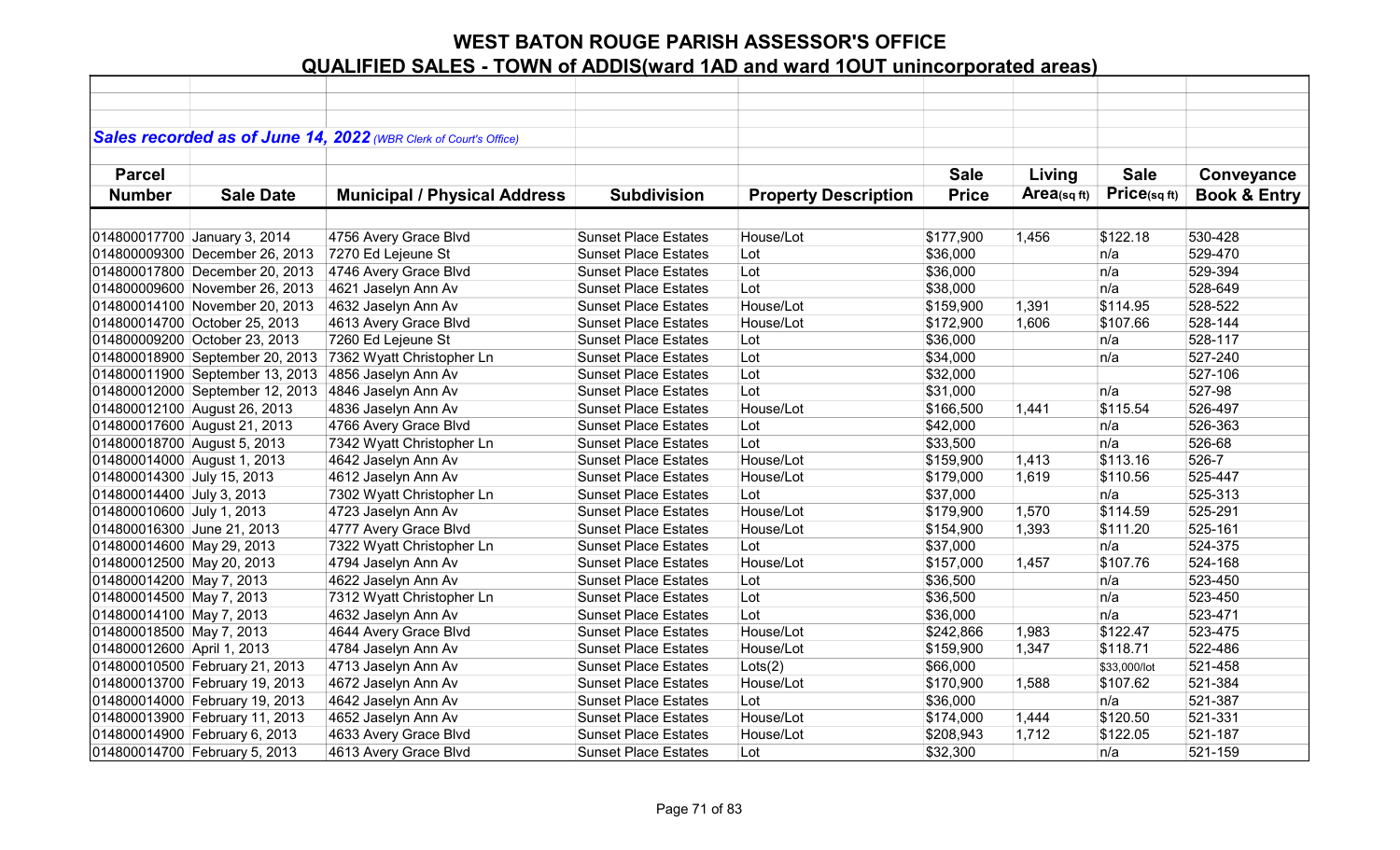|                             |                                 | Sales recorded as of June 14, 2022 (WBR Clerk of Court's Office) |                             |                             |              |                |              |                         |
|-----------------------------|---------------------------------|------------------------------------------------------------------|-----------------------------|-----------------------------|--------------|----------------|--------------|-------------------------|
|                             |                                 |                                                                  |                             |                             |              |                |              |                         |
| <b>Parcel</b>               |                                 |                                                                  |                             |                             | <b>Sale</b>  | Living         | <b>Sale</b>  | Conveyance              |
| <b>Number</b>               | <b>Sale Date</b>                | <b>Municipal / Physical Address</b>                              | <b>Subdivision</b>          | <b>Property Description</b> | <b>Price</b> | Area(sq $ft$ ) | Price(sqft)  | <b>Book &amp; Entry</b> |
|                             |                                 |                                                                  |                             |                             |              |                |              |                         |
|                             |                                 |                                                                  | <b>Sunset Place Estates</b> | House/Lot                   |              |                |              | 530-428                 |
|                             | 014800017700 January 3, 2014    | 4756 Avery Grace Blvd                                            |                             |                             | \$177,900    | 1,456          | \$122.18     |                         |
|                             | 014800009300 December 26, 2013  | 7270 Ed Lejeune St                                               | <b>Sunset Place Estates</b> | Lot                         | \$36,000     |                | n/a          | 529-470                 |
|                             | 014800017800 December 20, 2013  | 4746 Avery Grace Blvd                                            | <b>Sunset Place Estates</b> | Lot                         | \$36,000     |                | n/a          | 529-394                 |
|                             | 014800009600 November 26, 2013  | 4621 Jaselyn Ann Av                                              | <b>Sunset Place Estates</b> | Lot                         | \$38,000     |                | n/a          | 528-649                 |
|                             | 014800014100 November 20, 2013  | 4632 Jaselyn Ann Av                                              | <b>Sunset Place Estates</b> | House/Lot                   | \$159,900    | 1,391          | \$114.95     | 528-522                 |
|                             | 014800014700 October 25, 2013   | 4613 Avery Grace Blvd                                            | <b>Sunset Place Estates</b> | House/Lot                   | \$172,900    | 1,606          | \$107.66     | 528-144                 |
|                             | 014800009200 October 23, 2013   | 7260 Ed Lejeune St                                               | <b>Sunset Place Estates</b> | Lot                         | \$36,000     |                | n/a          | 528-117                 |
|                             | 014800018900 September 20, 2013 | 7362 Wyatt Christopher Ln                                        | <b>Sunset Place Estates</b> | Lot                         | \$34,000     |                | n/a          | 527-240                 |
|                             | 014800011900 September 13, 2013 | 4856 Jaselyn Ann Av                                              | <b>Sunset Place Estates</b> | Lot                         | \$32,000     |                |              | 527-106                 |
|                             | 014800012000 September 12, 2013 | 4846 Jaselyn Ann Av                                              | <b>Sunset Place Estates</b> | Lot                         | \$31,000     |                | n/a          | 527-98                  |
|                             | 014800012100 August 26, 2013    | 4836 Jaselyn Ann Av                                              | <b>Sunset Place Estates</b> | House/Lot                   | \$166,500    | 1,441          | \$115.54     | 526-497                 |
|                             | 014800017600 August 21, 2013    | 4766 Avery Grace Blvd                                            | <b>Sunset Place Estates</b> | Lot                         | \$42,000     |                | n/a          | 526-363                 |
| 014800018700 August 5, 2013 |                                 | 7342 Wyatt Christopher Ln                                        | <b>Sunset Place Estates</b> | Lot                         | \$33,500     |                | n/a          | 526-68                  |
| 014800014000 August 1, 2013 |                                 | 4642 Jaselyn Ann Av                                              | <b>Sunset Place Estates</b> | House/Lot                   | \$159,900    | 1,413          | \$113.16     | $526 - 7$               |
| 014800014300 July 15, 2013  |                                 | 4612 Jaselyn Ann Av                                              | <b>Sunset Place Estates</b> | House/Lot                   | \$179,000    | 1,619          | \$110.56     | 525-447                 |
| 014800014400 July 3, 2013   |                                 | 7302 Wyatt Christopher Ln                                        | <b>Sunset Place Estates</b> | Lot                         | \$37,000     |                | n/a          | 525-313                 |
| 014800010600 July 1, 2013   |                                 | 4723 Jaselyn Ann Av                                              | <b>Sunset Place Estates</b> | House/Lot                   | \$179,900    | 1,570          | \$114.59     | 525-291                 |
| 014800016300 June 21, 2013  |                                 | 4777 Avery Grace Blvd                                            | <b>Sunset Place Estates</b> | House/Lot                   | \$154,900    | 1,393          | \$111.20     | 525-161                 |
| 014800014600 May 29, 2013   |                                 | 7322 Wyatt Christopher Ln                                        | <b>Sunset Place Estates</b> | Lot                         | \$37,000     |                | n/a          | 524-375                 |
| 014800012500 May 20, 2013   |                                 | 4794 Jaselyn Ann Av                                              | <b>Sunset Place Estates</b> | House/Lot                   | \$157,000    | 1,457          | \$107.76     | 524-168                 |
| 014800014200 May 7, 2013    |                                 | 4622 Jaselyn Ann Av                                              | <b>Sunset Place Estates</b> | Lot                         | \$36,500     |                | n/a          | 523-450                 |
| 014800014500 May 7, 2013    |                                 | 7312 Wyatt Christopher Ln                                        | <b>Sunset Place Estates</b> | Lot                         | \$36,500     |                | n/a          | 523-450                 |
| 014800014100 May 7, 2013    |                                 | 4632 Jaselyn Ann Av                                              | <b>Sunset Place Estates</b> | Lot                         | \$36,000     |                | n/a          | 523-471                 |
| 014800018500 May 7, 2013    |                                 | 4644 Avery Grace Blvd                                            | <b>Sunset Place Estates</b> | House/Lot                   | \$242,866    | 1,983          | \$122.47     | 523-475                 |
| 014800012600 April 1, 2013  |                                 | 4784 Jaselyn Ann Av                                              | <b>Sunset Place Estates</b> | House/Lot                   | \$159,900    | 1,347          | \$118.71     | 522-486                 |
|                             | 014800010500 February 21, 2013  | 4713 Jaselyn Ann Av                                              | <b>Sunset Place Estates</b> | Lots(2)                     | \$66,000     |                | \$33,000/lot | 521-458                 |
|                             | 014800013700 February 19, 2013  | 4672 Jaselyn Ann Av                                              | <b>Sunset Place Estates</b> | House/Lot                   | \$170,900    | 1,588          | \$107.62     | 521-384                 |
|                             | 014800014000 February 19, 2013  | 4642 Jaselyn Ann Av                                              | <b>Sunset Place Estates</b> | Lot                         | \$36,000     |                | n/a          | 521-387                 |
|                             | 014800013900 February 11, 2013  | 4652 Jaselyn Ann Av                                              | <b>Sunset Place Estates</b> | House/Lot                   | \$174,000    | 1,444          | \$120.50     | 521-331                 |
|                             | 014800014900 February 6, 2013   | 4633 Avery Grace Blvd                                            | <b>Sunset Place Estates</b> | House/Lot                   | \$208,943    | 1,712          | \$122.05     | 521-187                 |
|                             | 014800014700 February 5, 2013   | 4613 Avery Grace Blvd                                            | <b>Sunset Place Estates</b> | Lot                         | \$32,300     |                | n/a          | 521-159                 |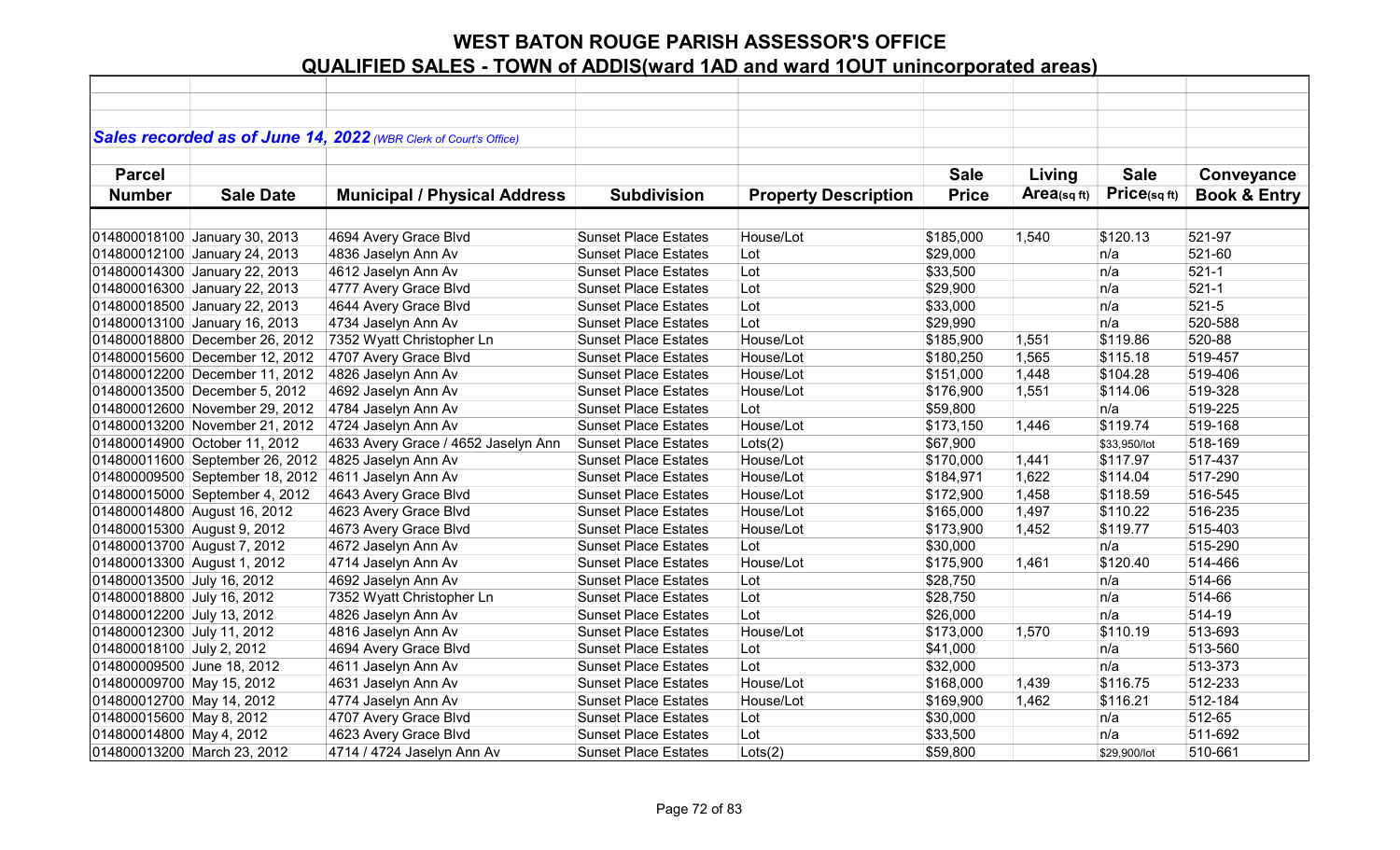|                             |                                 | Sales recorded as of June 14, 2022 (WBR Clerk of Court's Office) |                             |                             |              |                |              |                         |
|-----------------------------|---------------------------------|------------------------------------------------------------------|-----------------------------|-----------------------------|--------------|----------------|--------------|-------------------------|
| <b>Parcel</b>               |                                 |                                                                  |                             |                             | <b>Sale</b>  |                | <b>Sale</b>  |                         |
|                             |                                 |                                                                  |                             |                             |              | Living         |              | Conveyance              |
| <b>Number</b>               | <b>Sale Date</b>                | <b>Municipal / Physical Address</b>                              | <b>Subdivision</b>          | <b>Property Description</b> | <b>Price</b> | Area(sq $ft$ ) | Price(sq ft) | <b>Book &amp; Entry</b> |
|                             |                                 |                                                                  |                             |                             |              |                |              |                         |
|                             | 014800018100 January 30, 2013   | 4694 Avery Grace Blvd                                            | <b>Sunset Place Estates</b> | House/Lot                   | \$185,000    | 1,540          | \$120.13     | 521-97                  |
|                             | 014800012100 January 24, 2013   | 4836 Jaselyn Ann Av                                              | <b>Sunset Place Estates</b> | Lot                         | \$29,000     |                | n/a          | 521-60                  |
|                             | 014800014300 January 22, 2013   | 4612 Jaselyn Ann Av                                              | <b>Sunset Place Estates</b> | Lot                         | \$33,500     |                | n/a          | $521 - 1$               |
|                             | 014800016300 January 22, 2013   | 4777 Avery Grace Blvd                                            | <b>Sunset Place Estates</b> | Lot                         | \$29,900     |                | n/a          | $521 - 1$               |
|                             | 014800018500 January 22, 2013   | 4644 Avery Grace Blvd                                            | <b>Sunset Place Estates</b> | Lot                         | \$33,000     |                | n/a          | $521 - 5$               |
|                             | 014800013100 January 16, 2013   | 4734 Jaselyn Ann Av                                              | <b>Sunset Place Estates</b> | Lot                         | \$29,990     |                | n/a          | 520-588                 |
|                             | 014800018800 December 26, 2012  | 7352 Wyatt Christopher Ln                                        | <b>Sunset Place Estates</b> | House/Lot                   | \$185,900    | 1,551          | \$119.86     | 520-88                  |
|                             | 014800015600 December 12, 2012  | 4707 Avery Grace Blvd                                            | <b>Sunset Place Estates</b> | House/Lot                   | \$180,250    | 1,565          | \$115.18     | 519-457                 |
|                             | 014800012200 December 11, 2012  | 4826 Jaselyn Ann Av                                              | <b>Sunset Place Estates</b> | House/Lot                   | \$151,000    | 1,448          | \$104.28     | 519-406                 |
|                             | 014800013500 December 5, 2012   | 4692 Jaselyn Ann Av                                              | <b>Sunset Place Estates</b> | House/Lot                   | \$176,900    | 1,551          | \$114.06     | 519-328                 |
|                             | 014800012600 November 29, 2012  | 4784 Jaselyn Ann Av                                              | <b>Sunset Place Estates</b> | Lot                         | \$59,800     |                | n/a          | 519-225                 |
|                             | 014800013200 November 21, 2012  | 4724 Jaselyn Ann Av                                              | <b>Sunset Place Estates</b> | House/Lot                   | \$173,150    | 1,446          | \$119.74     | 519-168                 |
|                             | 014800014900 October 11, 2012   | 4633 Avery Grace / 4652 Jaselyn Ann                              | <b>Sunset Place Estates</b> | Lots(2)                     | \$67,900     |                | \$33,950/lot | 518-169                 |
|                             | 014800011600 September 26, 2012 | 4825 Jaselyn Ann Av                                              | <b>Sunset Place Estates</b> | House/Lot                   | \$170,000    | 1,441          | \$117.97     | 517-437                 |
|                             | 014800009500 September 18, 2012 | 4611 Jaselyn Ann Av                                              | <b>Sunset Place Estates</b> | House/Lot                   | \$184,971    | 1,622          | \$114.04     | 517-290                 |
|                             | 014800015000 September 4, 2012  | 4643 Avery Grace Blvd                                            | <b>Sunset Place Estates</b> | House/Lot                   | \$172,900    | 1,458          | \$118.59     | 516-545                 |
|                             | 014800014800 August 16, 2012    | 4623 Avery Grace Blvd                                            | <b>Sunset Place Estates</b> | House/Lot                   | \$165,000    | 1,497          | \$110.22     | 516-235                 |
| 014800015300 August 9, 2012 |                                 | 4673 Avery Grace Blvd                                            | <b>Sunset Place Estates</b> | House/Lot                   | \$173,900    | 1,452          | \$119.77     | 515-403                 |
| 014800013700 August 7, 2012 |                                 | 4672 Jaselyn Ann Av                                              | <b>Sunset Place Estates</b> | Lot                         | \$30,000     |                | n/a          | 515-290                 |
| 014800013300 August 1, 2012 |                                 | 4714 Jaselyn Ann Av                                              | <b>Sunset Place Estates</b> | House/Lot                   | \$175,900    | 1,461          | \$120.40     | 514-466                 |
| 014800013500 July 16, 2012  |                                 | 4692 Jaselyn Ann Av                                              | <b>Sunset Place Estates</b> | Lot                         | \$28,750     |                | n/a          | 514-66                  |
| 014800018800 July 16, 2012  |                                 | 7352 Wyatt Christopher Ln                                        | <b>Sunset Place Estates</b> | Lot                         | \$28,750     |                | n/a          | 514-66                  |
| 014800012200 July 13, 2012  |                                 | 4826 Jaselyn Ann Av                                              | <b>Sunset Place Estates</b> | Lot                         | \$26,000     |                | n/a          | 514-19                  |
| 014800012300 July 11, 2012  |                                 | 4816 Jaselyn Ann Av                                              | <b>Sunset Place Estates</b> | House/Lot                   | \$173,000    | 1,570          | \$110.19     | 513-693                 |
| 014800018100 July 2, 2012   |                                 | 4694 Avery Grace Blvd                                            | <b>Sunset Place Estates</b> | Lot                         | \$41,000     |                | n/a          | 513-560                 |
| 014800009500 June 18, 2012  |                                 | 4611 Jaselyn Ann Av                                              | <b>Sunset Place Estates</b> | Lot                         | \$32,000     |                | n/a          | 513-373                 |
| 014800009700 May 15, 2012   |                                 | 4631 Jaselyn Ann Av                                              | <b>Sunset Place Estates</b> | House/Lot                   | \$168,000    | 1,439          | \$116.75     | 512-233                 |
| 014800012700 May 14, 2012   |                                 | 4774 Jaselyn Ann Av                                              | <b>Sunset Place Estates</b> | House/Lot                   | \$169,900    | 1,462          | \$116.21     | 512-184                 |
| 014800015600 May 8, 2012    |                                 | 4707 Avery Grace Blvd                                            | <b>Sunset Place Estates</b> | Lot                         | \$30,000     |                | n/a          | 512-65                  |
| 014800014800 May 4, 2012    |                                 | 4623 Avery Grace Blvd                                            | <b>Sunset Place Estates</b> | Lot                         | \$33,500     |                | n/a          | 511-692                 |
| 014800013200 March 23, 2012 |                                 | 4714 / 4724 Jaselyn Ann Av                                       | <b>Sunset Place Estates</b> | Lots(2)                     | \$59,800     |                | \$29,900/lot | 510-661                 |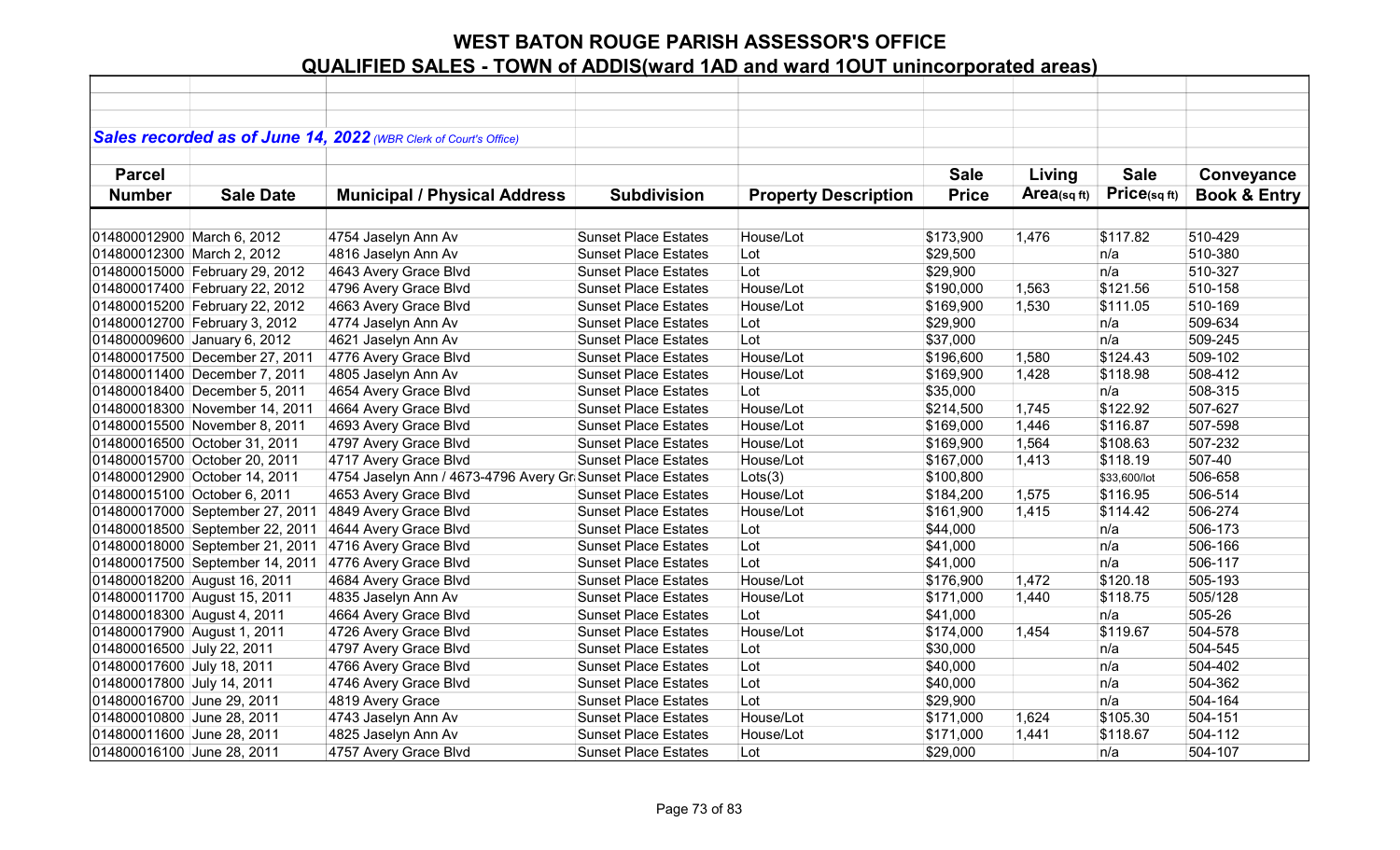|                             |                                 | Sales recorded as of June 14, 2022 (WBR Clerk of Court's Office) |                             |                             |              |            |              |                         |
|-----------------------------|---------------------------------|------------------------------------------------------------------|-----------------------------|-----------------------------|--------------|------------|--------------|-------------------------|
|                             |                                 |                                                                  |                             |                             |              |            |              |                         |
| <b>Parcel</b>               |                                 |                                                                  |                             |                             | <b>Sale</b>  | Living     | <b>Sale</b>  | Conveyance              |
| <b>Number</b>               | <b>Sale Date</b>                | <b>Municipal / Physical Address</b>                              | <b>Subdivision</b>          | <b>Property Description</b> | <b>Price</b> | Area(sqft) | Price(sq ft) | <b>Book &amp; Entry</b> |
|                             |                                 |                                                                  |                             |                             |              |            |              |                         |
| 014800012900 March 6, 2012  |                                 | 4754 Jaselyn Ann Av                                              | <b>Sunset Place Estates</b> | House/Lot                   | \$173,900    | 1,476      | \$117.82     | 510-429                 |
| 014800012300 March 2, 2012  |                                 | 4816 Jaselyn Ann Av                                              | <b>Sunset Place Estates</b> | Lot                         | \$29,500     |            | n/a          | 510-380                 |
|                             | 014800015000 February 29, 2012  | 4643 Avery Grace Blvd                                            | <b>Sunset Place Estates</b> | Lot                         | \$29,900     |            | n/a          | 510-327                 |
|                             | 014800017400 February 22, 2012  | 4796 Avery Grace Blvd                                            | <b>Sunset Place Estates</b> | House/Lot                   | \$190,000    | 1,563      | \$121.56     | 510-158                 |
|                             | 014800015200 February 22, 2012  | 4663 Avery Grace Blvd                                            | <b>Sunset Place Estates</b> | House/Lot                   | \$169,900    | 1,530      | \$111.05     | 510-169                 |
|                             | 014800012700 February 3, 2012   | 4774 Jaselyn Ann Av                                              | <b>Sunset Place Estates</b> | Lot                         | \$29,900     |            | n/a          | 509-634                 |
|                             | 014800009600 January 6, 2012    | 4621 Jaselyn Ann Av                                              | <b>Sunset Place Estates</b> | Lot                         | \$37,000     |            | n/a          | 509-245                 |
|                             | 014800017500 December 27, 2011  | 4776 Avery Grace Blvd                                            | <b>Sunset Place Estates</b> | House/Lot                   | \$196,600    | 1,580      | \$124.43     | 509-102                 |
|                             | 014800011400 December 7, 2011   | 4805 Jaselyn Ann Av                                              | <b>Sunset Place Estates</b> | House/Lot                   | \$169,900    | 1,428      | \$118.98     | 508-412                 |
|                             | 014800018400 December 5, 2011   | 4654 Avery Grace Blvd                                            | <b>Sunset Place Estates</b> | Lot                         | \$35,000     |            | n/a          | 508-315                 |
|                             | 014800018300 November 14, 2011  | 4664 Avery Grace Blvd                                            | <b>Sunset Place Estates</b> | House/Lot                   | \$214,500    | 1,745      | \$122.92     | 507-627                 |
|                             | 014800015500 November 8, 2011   | 4693 Avery Grace Blvd                                            | <b>Sunset Place Estates</b> | House/Lot                   | \$169,000    | 1,446      | \$116.87     | 507-598                 |
|                             | 014800016500 October 31, 2011   | 4797 Avery Grace Blvd                                            | <b>Sunset Place Estates</b> | House/Lot                   | \$169,900    | 1,564      | \$108.63     | 507-232                 |
|                             | 014800015700 October 20, 2011   | 4717 Avery Grace Blvd                                            | <b>Sunset Place Estates</b> | House/Lot                   | \$167,000    | 1,413      | \$118.19     | 507-40                  |
|                             | 014800012900 October 14, 2011   | 4754 Jaselyn Ann / 4673-4796 Avery Gr Sunset Place Estates       |                             | Lots(3)                     | \$100,800    |            | \$33,600/lot | 506-658                 |
|                             | 014800015100 October 6, 2011    | 4653 Avery Grace Blvd                                            | <b>Sunset Place Estates</b> | House/Lot                   | \$184,200    | 1,575      | \$116.95     | 506-514                 |
|                             | 014800017000 September 27, 2011 | 4849 Avery Grace Blvd                                            | <b>Sunset Place Estates</b> | House/Lot                   | \$161,900    | 1,415      | \$114.42     | 506-274                 |
|                             | 014800018500 September 22, 2011 | 4644 Avery Grace Blvd                                            | <b>Sunset Place Estates</b> | Lot                         | \$44,000     |            | n/a          | 506-173                 |
|                             | 014800018000 September 21, 2011 | 4716 Avery Grace Blvd                                            | <b>Sunset Place Estates</b> | Lot                         | \$41,000     |            | n/a          | 506-166                 |
|                             | 014800017500 September 14, 2011 | 4776 Avery Grace Blvd                                            | <b>Sunset Place Estates</b> | Lot                         | \$41,000     |            | n/a          | 506-117                 |
|                             | 014800018200 August 16, 2011    | 4684 Avery Grace Blvd                                            | <b>Sunset Place Estates</b> | House/Lot                   | \$176,900    | 1,472      | \$120.18     | 505-193                 |
|                             | 014800011700 August 15, 2011    | 4835 Jaselyn Ann Av                                              | <b>Sunset Place Estates</b> | House/Lot                   | \$171,000    | 1,440      | \$118.75     | 505/128                 |
| 014800018300 August 4, 2011 |                                 | 4664 Avery Grace Blvd                                            | <b>Sunset Place Estates</b> | Lot                         | \$41,000     |            | n/a          | 505-26                  |
| 014800017900 August 1, 2011 |                                 | 4726 Avery Grace Blvd                                            | <b>Sunset Place Estates</b> | House/Lot                   | \$174,000    | 1,454      | \$119.67     | 504-578                 |
| 014800016500 July 22, 2011  |                                 | 4797 Avery Grace Blvd                                            | <b>Sunset Place Estates</b> | Lot                         | \$30,000     |            | n/a          | 504-545                 |
| 014800017600 July 18, 2011  |                                 | 4766 Avery Grace Blvd                                            | <b>Sunset Place Estates</b> | Lot                         | \$40,000     |            | n/a          | 504-402                 |
| 014800017800 July 14, 2011  |                                 | 4746 Avery Grace Blvd                                            | <b>Sunset Place Estates</b> | Lot                         | \$40,000     |            | n/a          | 504-362                 |
| 014800016700 June 29, 2011  |                                 | 4819 Avery Grace                                                 | <b>Sunset Place Estates</b> | Lot                         | \$29,900     |            | n/a          | 504-164                 |
| 014800010800 June 28, 2011  |                                 | 4743 Jaselyn Ann Av                                              | <b>Sunset Place Estates</b> | House/Lot                   | \$171,000    | 1,624      | \$105.30     | 504-151                 |
| 014800011600 June 28, 2011  |                                 | 4825 Jaselyn Ann Av                                              | <b>Sunset Place Estates</b> | House/Lot                   | \$171,000    | 1,441      | \$118.67     | 504-112                 |
| 014800016100 June 28, 2011  |                                 | 4757 Avery Grace Blvd                                            | <b>Sunset Place Estates</b> | Lot                         | \$29,000     |            | n/a          | 504-107                 |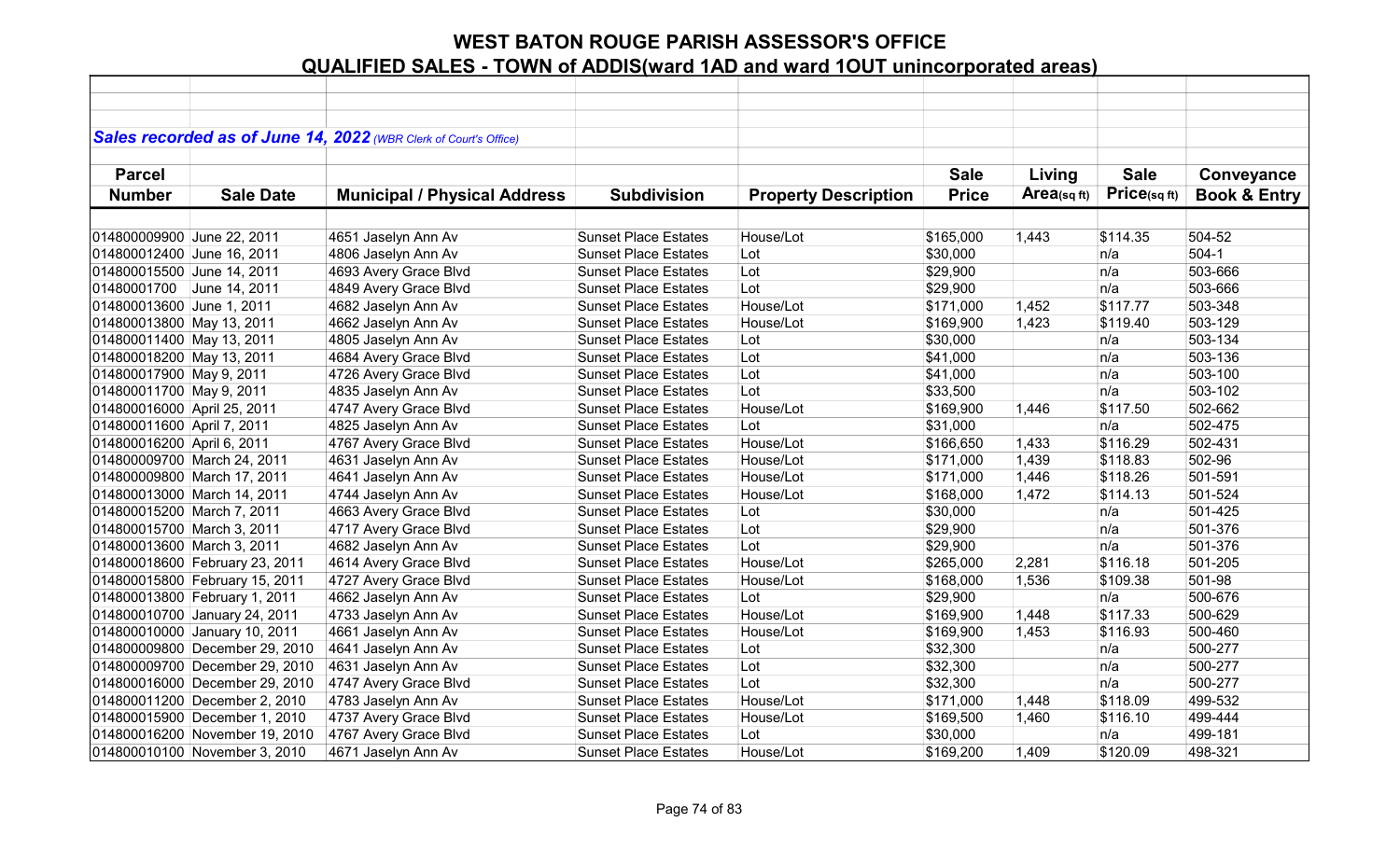|                             |                                | Sales recorded as of June 14, 2022 (WBR Clerk of Court's Office) |                             |                             |              |                |             |                         |
|-----------------------------|--------------------------------|------------------------------------------------------------------|-----------------------------|-----------------------------|--------------|----------------|-------------|-------------------------|
|                             |                                |                                                                  |                             |                             |              |                |             |                         |
| <b>Parcel</b>               |                                |                                                                  |                             |                             | <b>Sale</b>  | Living         | <b>Sale</b> | Conveyance              |
| <b>Number</b>               | <b>Sale Date</b>               | <b>Municipal / Physical Address</b>                              | <b>Subdivision</b>          | <b>Property Description</b> | <b>Price</b> | Area(sq $ft$ ) | Price(sqft) | <b>Book &amp; Entry</b> |
|                             |                                |                                                                  |                             |                             |              |                |             |                         |
| 014800009900 June 22, 2011  |                                | 4651 Jaselyn Ann Av                                              | <b>Sunset Place Estates</b> | House/Lot                   | \$165,000    | 1,443          | \$114.35    | 504-52                  |
| 014800012400 June 16, 2011  |                                | 4806 Jaselyn Ann Av                                              | <b>Sunset Place Estates</b> | Lot                         | \$30,000     |                | n/a         | $504-1$                 |
| 014800015500 June 14, 2011  |                                | 4693 Avery Grace Blvd                                            | <b>Sunset Place Estates</b> | Lot                         | \$29,900     |                | n/a         | 503-666                 |
| 01480001700 June 14, 2011   |                                | 4849 Avery Grace Blvd                                            | <b>Sunset Place Estates</b> | Lot                         | \$29,900     |                | n/a         | 503-666                 |
| 014800013600 June 1, 2011   |                                | 4682 Jaselyn Ann Av                                              | <b>Sunset Place Estates</b> | House/Lot                   | \$171,000    | 1,452          | \$117.77    | 503-348                 |
| 014800013800 May 13, 2011   |                                | 4662 Jaselyn Ann Av                                              | <b>Sunset Place Estates</b> | House/Lot                   | \$169,900    | 1,423          | \$119.40    | 503-129                 |
| 014800011400 May 13, 2011   |                                | 4805 Jaselyn Ann Av                                              | <b>Sunset Place Estates</b> | Lot                         | \$30,000     |                | n/a         | 503-134                 |
| 014800018200 May 13, 2011   |                                | 4684 Avery Grace Blvd                                            | <b>Sunset Place Estates</b> | Lot                         | \$41,000     |                | n/a         | 503-136                 |
| 014800017900 May 9, 2011    |                                | 4726 Avery Grace Blvd                                            | <b>Sunset Place Estates</b> | Lot                         | \$41,000     |                | n/a         | 503-100                 |
| 014800011700 May 9, 2011    |                                | 4835 Jaselyn Ann Av                                              | <b>Sunset Place Estates</b> | Lot                         | \$33,500     |                | n/a         | 503-102                 |
| 014800016000 April 25, 2011 |                                | 4747 Avery Grace Blvd                                            | <b>Sunset Place Estates</b> | House/Lot                   | \$169,900    | 1,446          | \$117.50    | 502-662                 |
| 014800011600 April 7, 2011  |                                | 4825 Jaselyn Ann Av                                              | <b>Sunset Place Estates</b> | Lot                         | \$31,000     |                | n/a         | 502-475                 |
| 014800016200 April 6, 2011  |                                | 4767 Avery Grace Blvd                                            | <b>Sunset Place Estates</b> | House/Lot                   | \$166,650    | 1,433          | \$116.29    | 502-431                 |
|                             | 014800009700 March 24, 2011    | 4631 Jaselyn Ann Av                                              | <b>Sunset Place Estates</b> | House/Lot                   | \$171,000    | 1,439          | \$118.83    | 502-96                  |
|                             | 014800009800 March 17, 2011    | 4641 Jaselyn Ann Av                                              | <b>Sunset Place Estates</b> | House/Lot                   | \$171,000    | 1,446          | \$118.26    | 501-591                 |
|                             | 014800013000 March 14, 2011    | 4744 Jaselyn Ann Av                                              | <b>Sunset Place Estates</b> | House/Lot                   | \$168,000    | 1,472          | \$114.13    | 501-524                 |
| 014800015200 March 7, 2011  |                                | 4663 Avery Grace Blvd                                            | <b>Sunset Place Estates</b> | Lot                         | \$30,000     |                | n/a         | 501-425                 |
| 014800015700 March 3, 2011  |                                | 4717 Avery Grace Blvd                                            | <b>Sunset Place Estates</b> | Lot                         | \$29,900     |                | n/a         | 501-376                 |
| 014800013600 March 3, 2011  |                                | 4682 Jaselyn Ann Av                                              | <b>Sunset Place Estates</b> | Lot                         | \$29,900     |                | n/a         | 501-376                 |
|                             | 014800018600 February 23, 2011 | 4614 Avery Grace Blvd                                            | <b>Sunset Place Estates</b> | House/Lot                   | \$265,000    | 2,281          | \$116.18    | 501-205                 |
|                             | 014800015800 February 15, 2011 | 4727 Avery Grace Blvd                                            | <b>Sunset Place Estates</b> | House/Lot                   | \$168,000    | 1,536          | \$109.38    | 501-98                  |
|                             | 014800013800 February 1, 2011  | 4662 Jaselyn Ann Av                                              | <b>Sunset Place Estates</b> | Lot                         | \$29,900     |                | n/a         | 500-676                 |
|                             | 014800010700 January 24, 2011  | 4733 Jaselyn Ann Av                                              | <b>Sunset Place Estates</b> | House/Lot                   | \$169,900    | 1,448          | \$117.33    | 500-629                 |
|                             | 014800010000 January 10, 2011  | 4661 Jaselyn Ann Av                                              | <b>Sunset Place Estates</b> | House/Lot                   | \$169,900    | 1,453          | \$116.93    | 500-460                 |
|                             | 014800009800 December 29, 2010 | 4641 Jaselyn Ann Av                                              | <b>Sunset Place Estates</b> | Lot                         | \$32,300     |                | n/a         | 500-277                 |
|                             | 014800009700 December 29, 2010 | 4631 Jaselyn Ann Av                                              | <b>Sunset Place Estates</b> | Lot                         | \$32,300     |                | n/a         | 500-277                 |
|                             | 014800016000 December 29, 2010 | 4747 Avery Grace Blvd                                            | <b>Sunset Place Estates</b> | Lot                         | \$32,300     |                | n/a         | 500-277                 |
|                             | 014800011200 December 2, 2010  | 4783 Jaselyn Ann Av                                              | <b>Sunset Place Estates</b> | House/Lot                   | \$171,000    | 1,448          | \$118.09    | 499-532                 |
|                             | 014800015900 December 1, 2010  | 4737 Avery Grace Blvd                                            | <b>Sunset Place Estates</b> | House/Lot                   | \$169,500    | 1,460          | \$116.10    | 499-444                 |
|                             | 014800016200 November 19, 2010 | 4767 Avery Grace Blvd                                            | <b>Sunset Place Estates</b> | Lot                         | \$30,000     |                | n/a         | 499-181                 |
|                             | 014800010100 November 3, 2010  | 4671 Jaselyn Ann Av                                              | <b>Sunset Place Estates</b> | House/Lot                   | \$169,200    | 1,409          | \$120.09    | 498-321                 |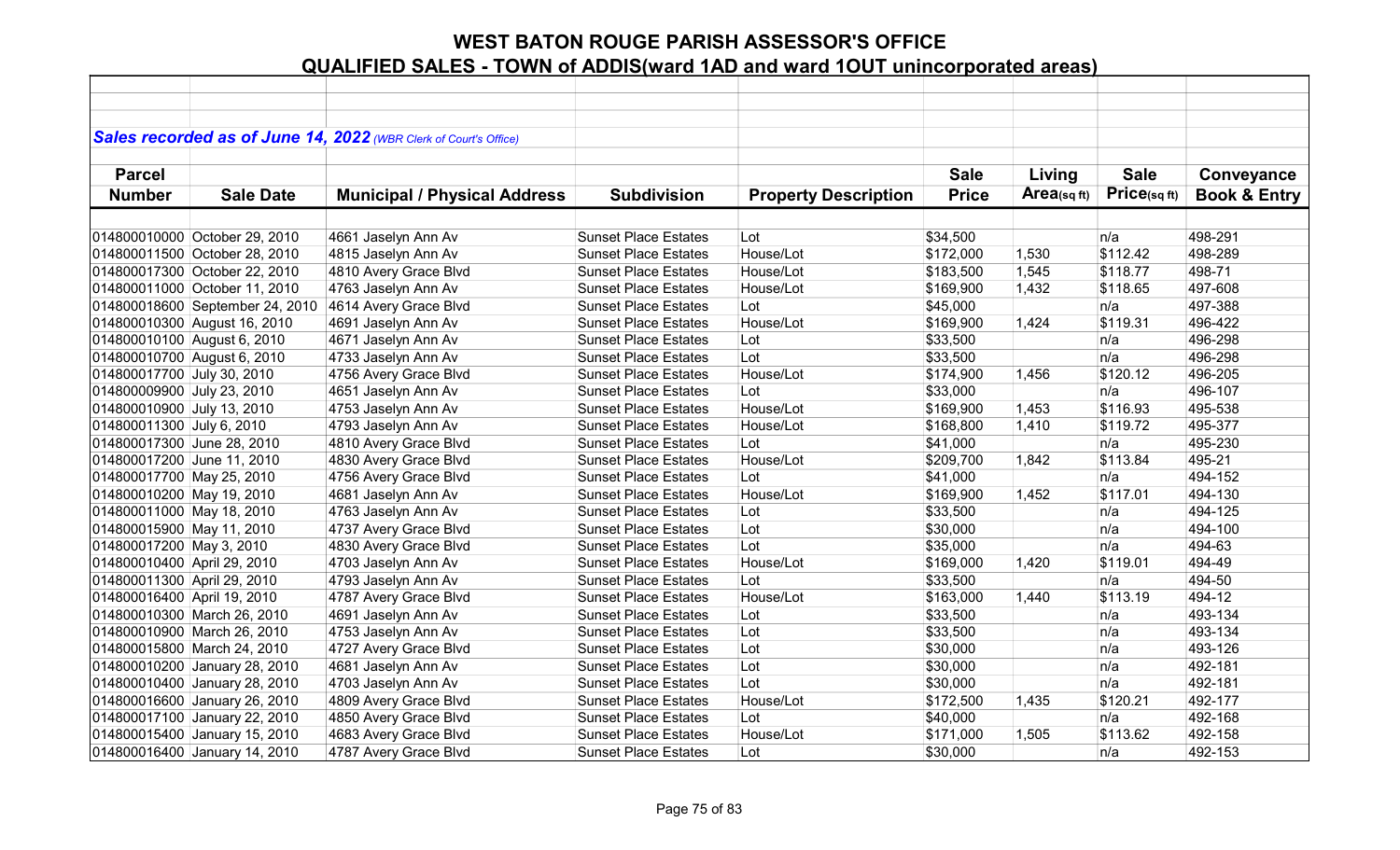|                             |                                 | Sales recorded as of June 14, 2022 (WBR Clerk of Court's Office) |                             |                             |              |                |             |                         |
|-----------------------------|---------------------------------|------------------------------------------------------------------|-----------------------------|-----------------------------|--------------|----------------|-------------|-------------------------|
|                             |                                 |                                                                  |                             |                             |              |                |             |                         |
| <b>Parcel</b>               |                                 |                                                                  |                             |                             | <b>Sale</b>  | Living         | <b>Sale</b> | Conveyance              |
| <b>Number</b>               | <b>Sale Date</b>                | <b>Municipal / Physical Address</b>                              | <b>Subdivision</b>          | <b>Property Description</b> | <b>Price</b> | Area(sq $ft$ ) | Price(sqft) | <b>Book &amp; Entry</b> |
|                             |                                 |                                                                  |                             |                             |              |                |             |                         |
|                             | 014800010000 October 29, 2010   | 4661 Jaselyn Ann Av                                              | <b>Sunset Place Estates</b> | Lot                         | \$34,500     |                | n/a         | 498-291                 |
|                             | 014800011500 October 28, 2010   | 4815 Jaselyn Ann Av                                              | <b>Sunset Place Estates</b> | House/Lot                   | \$172,000    | 1,530          | \$112.42    | 498-289                 |
|                             | 014800017300 October 22, 2010   | 4810 Avery Grace Blvd                                            | <b>Sunset Place Estates</b> | House/Lot                   | \$183,500    | 1,545          | \$118.77    | 498-71                  |
|                             | 014800011000 October 11, 2010   | 4763 Jaselyn Ann Av                                              | <b>Sunset Place Estates</b> | House/Lot                   | \$169,900    | 1,432          | \$118.65    | 497-608                 |
|                             | 014800018600 September 24, 2010 | 4614 Avery Grace Blvd                                            | <b>Sunset Place Estates</b> | Lot                         | \$45,000     |                | n/a         | 497-388                 |
|                             | 014800010300 August 16, 2010    | 4691 Jaselyn Ann Av                                              | <b>Sunset Place Estates</b> | House/Lot                   | \$169,900    | 1,424          | \$119.31    | 496-422                 |
| 014800010100 August 6, 2010 |                                 | 4671 Jaselyn Ann Av                                              | <b>Sunset Place Estates</b> | Lot                         | \$33,500     |                | n/a         | 496-298                 |
| 014800010700 August 6, 2010 |                                 | 4733 Jaselyn Ann Av                                              | <b>Sunset Place Estates</b> | Lot                         | \$33,500     |                | n/a         | 496-298                 |
| 014800017700 July 30, 2010  |                                 | 4756 Avery Grace Blvd                                            | <b>Sunset Place Estates</b> | House/Lot                   | \$174,900    | 1,456          | \$120.12    | 496-205                 |
| 014800009900 July 23, 2010  |                                 | 4651 Jaselyn Ann Av                                              | <b>Sunset Place Estates</b> | Lot                         | \$33,000     |                | n/a         | 496-107                 |
| 014800010900 July 13, 2010  |                                 | 4753 Jaselyn Ann Av                                              | <b>Sunset Place Estates</b> | House/Lot                   | \$169,900    | 1,453          | \$116.93    | 495-538                 |
| 014800011300 July 6, 2010   |                                 | 4793 Jaselyn Ann Av                                              | <b>Sunset Place Estates</b> | House/Lot                   | \$168,800    | 1,410          | \$119.72    | 495-377                 |
| 014800017300 June 28, 2010  |                                 | 4810 Avery Grace Blvd                                            | <b>Sunset Place Estates</b> | Lot                         | \$41,000     |                | n/a         | 495-230                 |
| 014800017200 June 11, 2010  |                                 | 4830 Avery Grace Blvd                                            | <b>Sunset Place Estates</b> | House/Lot                   | \$209,700    | 1,842          | \$113.84    | 495-21                  |
| 014800017700 May 25, 2010   |                                 | 4756 Avery Grace Blvd                                            | <b>Sunset Place Estates</b> | Lot                         | \$41,000     |                | n/a         | 494-152                 |
| 014800010200 May 19, 2010   |                                 | 4681 Jaselyn Ann Av                                              | <b>Sunset Place Estates</b> | House/Lot                   | \$169,900    | 1,452          | \$117.01    | 494-130                 |
| 014800011000 May 18, 2010   |                                 | 4763 Jaselyn Ann Av                                              | <b>Sunset Place Estates</b> | Lot                         | \$33,500     |                | n/a         | 494-125                 |
| 014800015900 May 11, 2010   |                                 | 4737 Avery Grace Blvd                                            | <b>Sunset Place Estates</b> | Lot                         | \$30,000     |                | n/a         | 494-100                 |
| 014800017200 May 3, 2010    |                                 | 4830 Avery Grace Blvd                                            | <b>Sunset Place Estates</b> | Lot                         | \$35,000     |                | n/a         | 494-63                  |
| 014800010400 April 29, 2010 |                                 | 4703 Jaselyn Ann Av                                              | <b>Sunset Place Estates</b> | House/Lot                   | \$169,000    | 1,420          | \$119.01    | 494-49                  |
| 014800011300 April 29, 2010 |                                 | 4793 Jaselyn Ann Av                                              | <b>Sunset Place Estates</b> | Lot                         | \$33,500     |                | n/a         | 494-50                  |
| 014800016400 April 19, 2010 |                                 | 4787 Avery Grace Blvd                                            | <b>Sunset Place Estates</b> | House/Lot                   | \$163,000    | 1,440          | \$113.19    | 494-12                  |
|                             | 014800010300 March 26, 2010     | 4691 Jaselyn Ann Av                                              | <b>Sunset Place Estates</b> | Lot                         | \$33,500     |                | n/a         | 493-134                 |
|                             | 014800010900 March 26, 2010     | 4753 Jaselyn Ann Av                                              | <b>Sunset Place Estates</b> | Lot                         | \$33,500     |                | n/a         | 493-134                 |
|                             | 014800015800 March 24, 2010     | 4727 Avery Grace Blvd                                            | <b>Sunset Place Estates</b> | Lot                         | \$30,000     |                | n/a         | 493-126                 |
|                             | 014800010200 January 28, 2010   | 4681 Jaselyn Ann Av                                              | <b>Sunset Place Estates</b> | Lot                         | \$30,000     |                | n/a         | 492-181                 |
|                             | 014800010400 January 28, 2010   | 4703 Jaselyn Ann Av                                              | <b>Sunset Place Estates</b> | Lot                         | \$30,000     |                | n/a         | 492-181                 |
|                             | 014800016600 January 26, 2010   | 4809 Avery Grace Blvd                                            | <b>Sunset Place Estates</b> | House/Lot                   | \$172,500    | 1,435          | \$120.21    | 492-177                 |
|                             | 014800017100 January 22, 2010   | 4850 Avery Grace Blvd                                            | <b>Sunset Place Estates</b> | Lot                         | \$40,000     |                | n/a         | 492-168                 |
|                             | 014800015400 January 15, 2010   | 4683 Avery Grace Blvd                                            | <b>Sunset Place Estates</b> | House/Lot                   | \$171,000    | 1,505          | \$113.62    | 492-158                 |
|                             | 014800016400 January 14, 2010   | 4787 Avery Grace Blvd                                            | <b>Sunset Place Estates</b> | Lot                         | \$30,000     |                | n/a         | 492-153                 |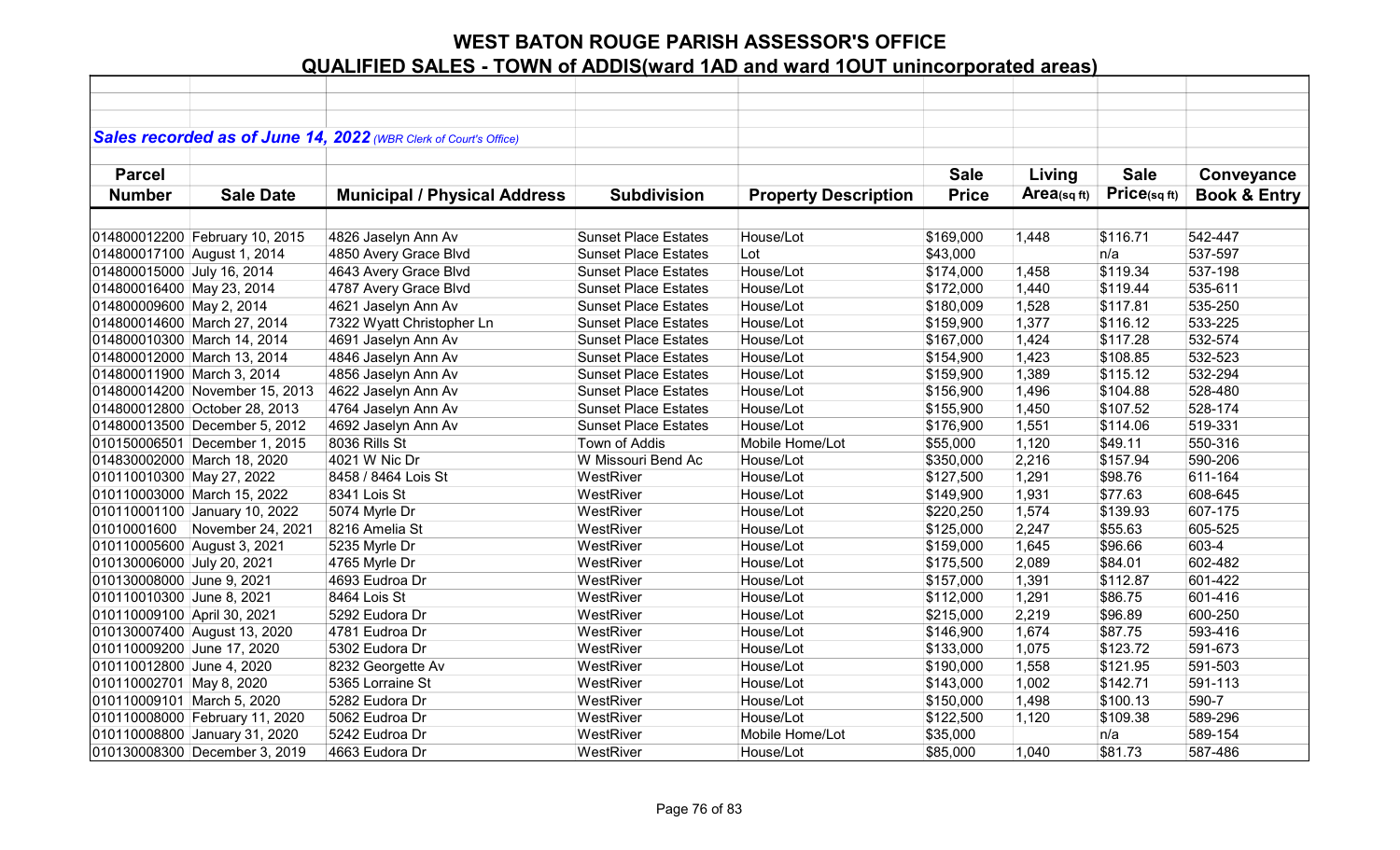|                             |                                | Sales recorded as of June 14, 2022 (WBR Clerk of Court's Office) |                             |                             |                       |            |             |                         |
|-----------------------------|--------------------------------|------------------------------------------------------------------|-----------------------------|-----------------------------|-----------------------|------------|-------------|-------------------------|
|                             |                                |                                                                  |                             |                             |                       |            |             |                         |
| <b>Parcel</b>               |                                |                                                                  |                             |                             | <b>Sale</b>           | Living     | <b>Sale</b> | Conveyance              |
| <b>Number</b>               | <b>Sale Date</b>               | <b>Municipal / Physical Address</b>                              | <b>Subdivision</b>          | <b>Property Description</b> | <b>Price</b>          | Area(sqft) | Price(sqft) | <b>Book &amp; Entry</b> |
|                             |                                |                                                                  |                             |                             |                       |            |             |                         |
|                             | 014800012200 February 10, 2015 |                                                                  | <b>Sunset Place Estates</b> | House/Lot                   | \$169,000             | 1,448      | \$116.71    | 542-447                 |
|                             |                                | 4826 Jaselyn Ann Av                                              | <b>Sunset Place Estates</b> | Lot                         |                       |            | n/a         | 537-597                 |
| 014800017100 August 1, 2014 |                                | 4850 Avery Grace Blvd                                            | <b>Sunset Place Estates</b> | House/Lot                   | \$43,000<br>\$174,000 | 1,458      | \$119.34    | 537-198                 |
| 014800015000 July 16, 2014  |                                | 4643 Avery Grace Blvd                                            |                             | House/Lot                   |                       |            |             |                         |
| 014800016400 May 23, 2014   |                                | 4787 Avery Grace Blvd                                            | <b>Sunset Place Estates</b> |                             | \$172,000             | 1,440      | \$119.44    | 535-611                 |
| 014800009600 May 2, 2014    |                                | 4621 Jaselyn Ann Av                                              | <b>Sunset Place Estates</b> | House/Lot                   | \$180,009             | 1,528      | \$117.81    | 535-250                 |
| 014800014600 March 27, 2014 |                                | 7322 Wyatt Christopher Ln                                        | <b>Sunset Place Estates</b> | House/Lot                   | \$159,900             | 1,377      | \$116.12    | 533-225                 |
| 014800010300 March 14, 2014 |                                | 4691 Jaselyn Ann Av                                              | <b>Sunset Place Estates</b> | House/Lot                   | \$167,000             | 1,424      | \$117.28    | 532-574                 |
| 014800012000 March 13, 2014 |                                | 4846 Jaselyn Ann Av                                              | <b>Sunset Place Estates</b> | House/Lot                   | \$154,900             | 1,423      | \$108.85    | 532-523                 |
| 014800011900 March 3, 2014  |                                | 4856 Jaselyn Ann Av                                              | <b>Sunset Place Estates</b> | House/Lot                   | \$159,900             | 1,389      | \$115.12    | 532-294                 |
|                             | 014800014200 November 15, 2013 | 4622 Jaselyn Ann Av                                              | <b>Sunset Place Estates</b> | House/Lot                   | \$156,900             | 1,496      | \$104.88    | 528-480                 |
|                             | 014800012800 October 28, 2013  | 4764 Jaselyn Ann Av                                              | <b>Sunset Place Estates</b> | House/Lot                   | \$155,900             | 1,450      | \$107.52    | 528-174                 |
|                             | 014800013500 December 5, 2012  | 4692 Jaselyn Ann Av                                              | <b>Sunset Place Estates</b> | House/Lot                   | \$176,900             | 1,551      | \$114.06    | 519-331                 |
|                             | 010150006501 December 1, 2015  | 8036 Rills St                                                    | Town of Addis               | Mobile Home/Lot             | \$55,000              | 1,120      | \$49.11     | 550-316                 |
|                             | 014830002000 March 18, 2020    | 4021 W Nic Dr                                                    | W Missouri Bend Ac          | House/Lot                   | \$350,000             | 2,216      | \$157.94    | 590-206                 |
| 010110010300 May 27, 2022   |                                | 8458 / 8464 Lois St                                              | WestRiver                   | House/Lot                   | \$127,500             | 1,291      | \$98.76     | 611-164                 |
|                             | 010110003000 March 15, 2022    | 8341 Lois St                                                     | WestRiver                   | House/Lot                   | \$149,900             | 1,931      | \$77.63     | 608-645                 |
|                             | 010110001100 January 10, 2022  | 5074 Myrle Dr                                                    | WestRiver                   | House/Lot                   | \$220,250             | 1,574      | \$139.93    | 607-175                 |
| 01010001600                 | November 24, 2021              | 8216 Amelia St                                                   | WestRiver                   | House/Lot                   | \$125,000             | 2,247      | \$55.63     | 605-525                 |
| 010110005600 August 3, 2021 |                                | 5235 Myrle Dr                                                    | WestRiver                   | House/Lot                   | \$159,000             | 1,645      | \$96.66     | 603-4                   |
| 010130006000 July 20, 2021  |                                | 4765 Myrle Dr                                                    | WestRiver                   | House/Lot                   | \$175,500             | 2,089      | \$84.01     | 602-482                 |
| 010130008000 June 9, 2021   |                                | 4693 Eudroa Dr                                                   | WestRiver                   | House/Lot                   | \$157,000             | 1,391      | \$112.87    | 601-422                 |
| 010110010300 June 8, 2021   |                                | 8464 Lois St                                                     | WestRiver                   | House/Lot                   | \$112,000             | 1,291      | \$86.75     | 601-416                 |
| 010110009100 April 30, 2021 |                                | 5292 Eudora Dr                                                   | WestRiver                   | House/Lot                   | \$215,000             | 2,219      | \$96.89     | 600-250                 |
|                             | 010130007400 August 13, 2020   | 4781 Eudroa Dr                                                   | WestRiver                   | House/Lot                   | \$146,900             | 1,674      | \$87.75     | 593-416                 |
| 010110009200 June 17, 2020  |                                | 5302 Eudora Dr                                                   | WestRiver                   | House/Lot                   | \$133,000             | 1,075      | \$123.72    | 591-673                 |
| 010110012800 June 4, 2020   |                                | 8232 Georgette Av                                                | WestRiver                   | House/Lot                   | \$190,000             | 1,558      | \$121.95    | 591-503                 |
| 010110002701 May 8, 2020    |                                | 5365 Lorraine St                                                 | WestRiver                   | House/Lot                   | \$143,000             | 1,002      | \$142.71    | 591-113                 |
| 010110009101 March 5, 2020  |                                | 5282 Eudora Dr                                                   | WestRiver                   | House/Lot                   | \$150,000             | 1,498      | \$100.13    | 590-7                   |
|                             | 010110008000 February 11, 2020 | 5062 Eudroa Dr                                                   | WestRiver                   | House/Lot                   | \$122,500             | 1,120      | \$109.38    | 589-296                 |
|                             | 010110008800 January 31, 2020  | 5242 Eudroa Dr                                                   | WestRiver                   | Mobile Home/Lot             | \$35,000              |            | n/a         | 589-154                 |
|                             | 010130008300 December 3, 2019  | 4663 Eudora Dr                                                   | WestRiver                   | House/Lot                   | \$85,000              | 1,040      | \$81.73     | 587-486                 |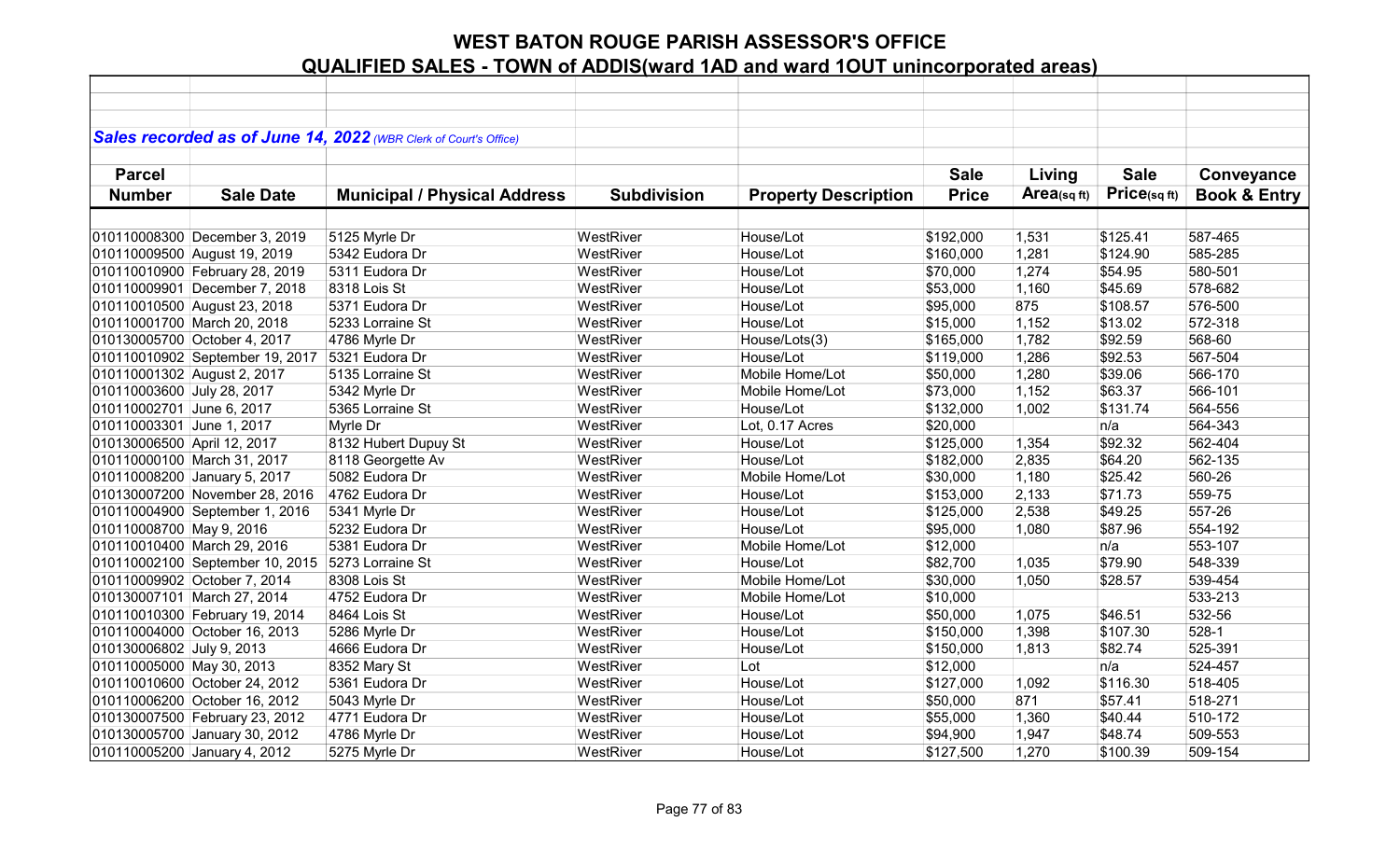|                             |                                 | Sales recorded as of June 14, 2022 (WBR Clerk of Court's Office) |                        |                             |              |            |                      |                         |
|-----------------------------|---------------------------------|------------------------------------------------------------------|------------------------|-----------------------------|--------------|------------|----------------------|-------------------------|
|                             |                                 |                                                                  |                        |                             |              |            |                      |                         |
| <b>Parcel</b>               |                                 |                                                                  |                        |                             | <b>Sale</b>  | Living     | <b>Sale</b>          | Conveyance              |
| <b>Number</b>               | <b>Sale Date</b>                | <b>Municipal / Physical Address</b>                              | <b>Subdivision</b>     | <b>Property Description</b> | <b>Price</b> | Area(sqft) | Price(sqft)          | <b>Book &amp; Entry</b> |
|                             |                                 |                                                                  |                        |                             |              |            |                      |                         |
|                             |                                 |                                                                  |                        | House/Lot                   |              |            |                      | 587-465                 |
|                             | 010110008300 December 3, 2019   | 5125 Myrle Dr                                                    | WestRiver<br>WestRiver | House/Lot                   | \$192,000    | 1,531      | \$125.41<br>\$124.90 | 585-285                 |
|                             | 010110009500 August 19, 2019    | 5342 Eudora Dr                                                   |                        |                             | \$160,000    | 1,281      |                      |                         |
|                             | 010110010900 February 28, 2019  | 5311 Eudora Dr                                                   | WestRiver              | House/Lot                   | \$70,000     | 1,274      | \$54.95              | 580-501                 |
|                             | 010110009901 December 7, 2018   | 8318 Lois St                                                     | WestRiver              | House/Lot                   | \$53,000     | 1,160      | \$45.69              | 578-682                 |
|                             | 010110010500 August 23, 2018    | 5371 Eudora Dr                                                   | WestRiver              | House/Lot                   | \$95,000     | 875        | \$108.57             | 576-500                 |
|                             | 010110001700 March 20, 2018     | 5233 Lorraine St                                                 | WestRiver              | House/Lot                   | \$15,000     | 1,152      | \$13.02              | 572-318                 |
|                             | 010130005700 October 4, 2017    | 4786 Myrle Dr                                                    | WestRiver              | House/Lots(3)               | \$165,000    | 1,782      | \$92.59              | 568-60                  |
|                             | 010110010902 September 19, 2017 | 5321 Eudora Dr                                                   | WestRiver              | House/Lot                   | \$119,000    | 1,286      | \$92.53              | 567-504                 |
| 010110001302 August 2, 2017 |                                 | 5135 Lorraine St                                                 | WestRiver              | Mobile Home/Lot             | \$50,000     | 1,280      | \$39.06              | 566-170                 |
| 010110003600 July 28, 2017  |                                 | 5342 Myrle Dr                                                    | WestRiver              | Mobile Home/Lot             | \$73,000     | 1,152      | \$63.37              | 566-101                 |
| 010110002701 June 6, 2017   |                                 | 5365 Lorraine St                                                 | WestRiver              | House/Lot                   | \$132,000    | 1,002      | \$131.74             | 564-556                 |
| 010110003301 June 1, 2017   |                                 | Myrle Dr                                                         | WestRiver              | Lot, 0.17 Acres             | \$20,000     |            | n/a                  | 564-343                 |
| 010130006500 April 12, 2017 |                                 | 8132 Hubert Dupuy St                                             | WestRiver              | House/Lot                   | \$125,000    | 1,354      | \$92.32              | 562-404                 |
|                             | 010110000100 March 31, 2017     | 8118 Georgette Av                                                | WestRiver              | House/Lot                   | \$182,000    | 2,835      | \$64.20              | 562-135                 |
|                             | 010110008200 January 5, 2017    | 5082 Eudora Dr                                                   | WestRiver              | Mobile Home/Lot             | \$30,000     | 1,180      | \$25.42              | 560-26                  |
|                             | 010130007200 November 28, 2016  | 4762 Eudora Dr                                                   | WestRiver              | House/Lot                   | \$153,000    | 2,133      | \$71.73              | 559-75                  |
|                             | 010110004900 September 1, 2016  | 5341 Myrle Dr                                                    | WestRiver              | House/Lot                   | \$125,000    | 2,538      | \$49.25              | 557-26                  |
| 010110008700 May 9, 2016    |                                 | 5232 Eudora Dr                                                   | WestRiver              | House/Lot                   | \$95,000     | 1,080      | \$87.96              | 554-192                 |
|                             | 010110010400 March 29, 2016     | 5381 Eudora Dr                                                   | WestRiver              | Mobile Home/Lot             | \$12,000     |            | n/a                  | 553-107                 |
|                             | 010110002100 September 10, 2015 | 5273 Lorraine St                                                 | WestRiver              | House/Lot                   | \$82,700     | 1,035      | \$79.90              | 548-339                 |
|                             | 010110009902 October 7, 2014    | 8308 Lois St                                                     | WestRiver              | Mobile Home/Lot             | \$30,000     | 1,050      | \$28.57              | 539-454                 |
|                             | 010130007101 March 27, 2014     | 4752 Eudora Dr                                                   | WestRiver              | Mobile Home/Lot             | \$10,000     |            |                      | 533-213                 |
|                             | 010110010300 February 19, 2014  | 8464 Lois St                                                     | WestRiver              | House/Lot                   | \$50,000     | 1,075      | \$46.51              | 532-56                  |
|                             | 010110004000 October 16, 2013   | 5286 Myrle Dr                                                    | WestRiver              | House/Lot                   | \$150,000    | 1,398      | \$107.30             | $528-1$                 |
| 010130006802 July 9, 2013   |                                 | 4666 Eudora Dr                                                   | WestRiver              | House/Lot                   | \$150,000    | 1,813      | \$82.74              | 525-391                 |
| 010110005000 May 30, 2013   |                                 | 8352 Mary St                                                     | WestRiver              | Lot                         | \$12,000     |            | n/a                  | 524-457                 |
|                             | 010110010600 October 24, 2012   | 5361 Eudora Dr                                                   | WestRiver              | House/Lot                   | \$127,000    | 1,092      | \$116.30             | 518-405                 |
|                             | 010110006200 October 16, 2012   | 5043 Myrle Dr                                                    | WestRiver              | House/Lot                   | \$50,000     | 871        | \$57.41              | 518-271                 |
|                             | 010130007500 February 23, 2012  | 4771 Eudora Dr                                                   | WestRiver              | House/Lot                   | \$55,000     | 1,360      | \$40.44              | 510-172                 |
|                             | 010130005700 January 30, 2012   | 4786 Myrle Dr                                                    | WestRiver              | House/Lot                   | \$94,900     | 1,947      | \$48.74              | 509-553                 |
|                             |                                 |                                                                  |                        |                             |              |            |                      | 509-154                 |
|                             | 010110005200 January 4, 2012    | 5275 Myrle Dr                                                    | WestRiver              | House/Lot                   | \$127,500    | 1,270      | \$100.39             |                         |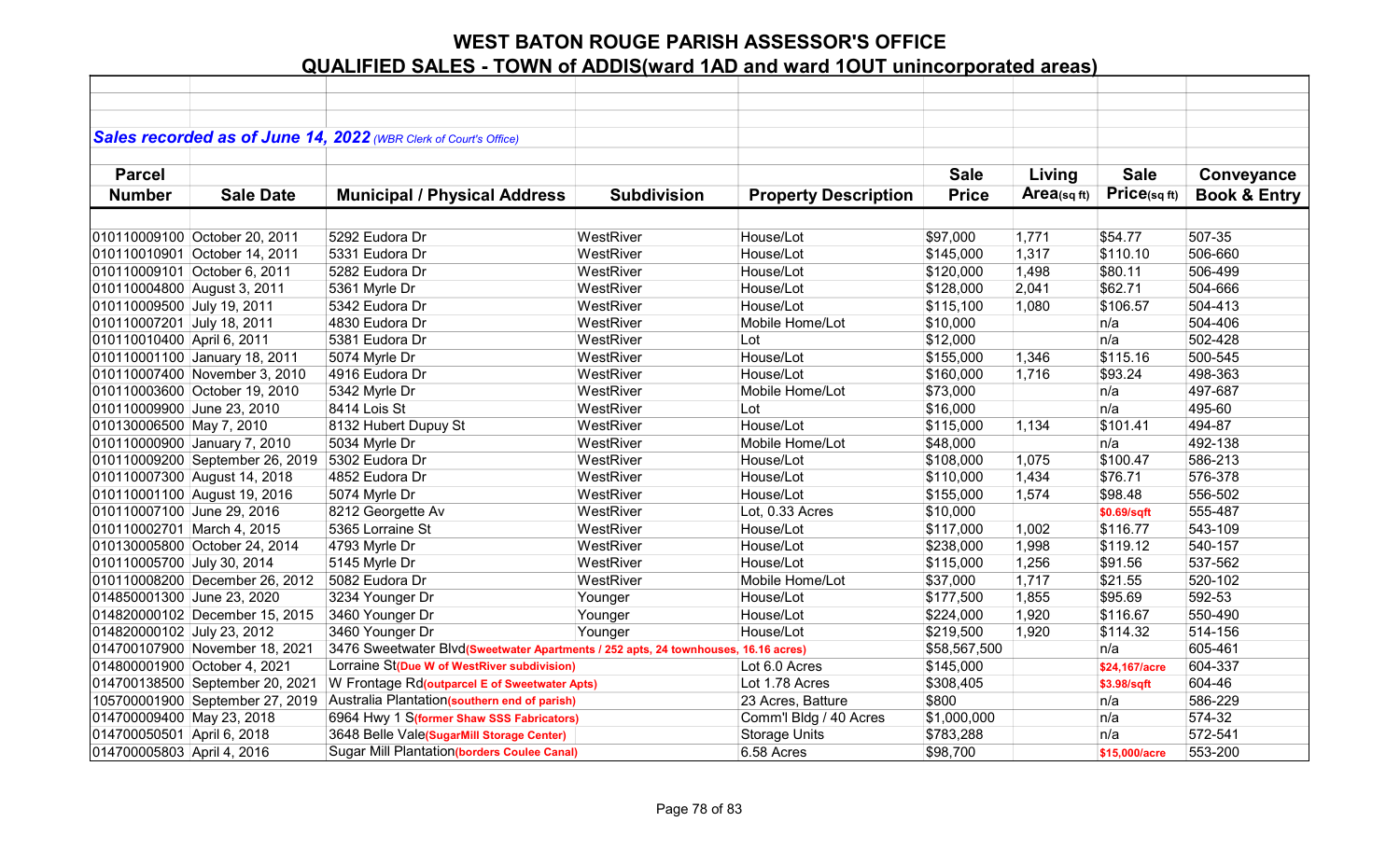|                             |                                 | Sales recorded as of June 14, 2022 (WBR Clerk of Court's Office)                   |                    |                             |              |            |               |                         |
|-----------------------------|---------------------------------|------------------------------------------------------------------------------------|--------------------|-----------------------------|--------------|------------|---------------|-------------------------|
|                             |                                 |                                                                                    |                    |                             |              |            |               |                         |
| <b>Parcel</b>               |                                 |                                                                                    |                    |                             | <b>Sale</b>  | Living     | <b>Sale</b>   | Conveyance              |
| <b>Number</b>               | <b>Sale Date</b>                | <b>Municipal / Physical Address</b>                                                | <b>Subdivision</b> | <b>Property Description</b> | <b>Price</b> | Area(sqft) | Price(sqft)   | <b>Book &amp; Entry</b> |
|                             |                                 |                                                                                    |                    |                             |              |            |               |                         |
|                             | 010110009100 October 20, 2011   | 5292 Eudora Dr                                                                     | WestRiver          | House/Lot                   | \$97,000     | 1,771      | \$54.77       | 507-35                  |
|                             | 010110010901 October 14, 2011   | 5331 Eudora Dr                                                                     | WestRiver          | House/Lot                   | \$145,000    | 1,317      | \$110.10      | 506-660                 |
|                             | 010110009101 October 6, 2011    | 5282 Eudora Dr                                                                     | WestRiver          | House/Lot                   | \$120,000    | 1,498      | \$80.11       | 506-499                 |
| 010110004800 August 3, 2011 |                                 | 5361 Myrle Dr                                                                      | WestRiver          | House/Lot                   | \$128,000    | 2,041      | \$62.71       | 504-666                 |
| 010110009500 July 19, 2011  |                                 | 5342 Eudora Dr                                                                     | WestRiver          | House/Lot                   | \$115,100    | 1,080      | \$106.57      | 504-413                 |
| 010110007201 July 18, 2011  |                                 | 4830 Eudora Dr                                                                     | WestRiver          | Mobile Home/Lot             | \$10,000     |            | n/a           | 504-406                 |
| 010110010400 April 6, 2011  |                                 | 5381 Eudora Dr                                                                     | WestRiver          | Lot                         | \$12,000     |            | n/a           | 502-428                 |
|                             | 010110001100 January 18, 2011   | 5074 Myrle Dr                                                                      | WestRiver          | House/Lot                   | \$155,000    | 1,346      | \$115.16      | 500-545                 |
|                             | 010110007400 November 3, 2010   | 4916 Eudora Dr                                                                     | WestRiver          | House/Lot                   | \$160,000    | 1,716      | \$93.24       | 498-363                 |
|                             | 010110003600 October 19, 2010   | 5342 Myrle Dr                                                                      | WestRiver          | Mobile Home/Lot             | \$73,000     |            | n/a           | 497-687                 |
| 010110009900 June 23, 2010  |                                 | 8414 Lois St                                                                       | WestRiver          | Lot                         | \$16,000     |            | n/a           | 495-60                  |
| 010130006500 May 7, 2010    |                                 | 8132 Hubert Dupuy St                                                               | WestRiver          | House/Lot                   | \$115,000    | 1,134      | \$101.41      | 494-87                  |
|                             | 010110000900 January 7, 2010    | 5034 Myrle Dr                                                                      | WestRiver          | Mobile Home/Lot             | \$48,000     |            | n/a           | 492-138                 |
|                             | 010110009200 September 26, 2019 | 5302 Eudora Dr                                                                     | WestRiver          | House/Lot                   | \$108,000    | 1,075      | \$100.47      | 586-213                 |
|                             | 010110007300 August 14, 2018    | 4852 Eudora Dr                                                                     | WestRiver          | House/Lot                   | \$110,000    | 1,434      | \$76.71       | 576-378                 |
|                             | 010110001100 August 19, 2016    | 5074 Myrle Dr                                                                      | WestRiver          | House/Lot                   | \$155,000    | 1,574      | \$98.48       | 556-502                 |
| 010110007100 June 29, 2016  |                                 | 8212 Georgette Av                                                                  | WestRiver          | Lot, 0.33 Acres             | \$10,000     |            | \$0.69/sqft   | 555-487                 |
| 010110002701 March 4, 2015  |                                 | 5365 Lorraine St                                                                   | WestRiver          | House/Lot                   | \$117,000    | 1,002      | \$116.77      | 543-109                 |
|                             | 010130005800 October 24, 2014   | 4793 Myrle Dr                                                                      | WestRiver          | House/Lot                   | \$238,000    | 1,998      | \$119.12      | 540-157                 |
| 010110005700 July 30, 2014  |                                 | 5145 Myrle Dr                                                                      | WestRiver          | House/Lot                   | \$115,000    | 1,256      | \$91.56       | 537-562                 |
|                             | 010110008200 December 26, 2012  | 5082 Eudora Dr                                                                     | WestRiver          | Mobile Home/Lot             | \$37,000     | 1,717      | \$21.55       | 520-102                 |
| 014850001300 June 23, 2020  |                                 | 3234 Younger Dr                                                                    | Younger            | House/Lot                   | \$177,500    | 1,855      | \$95.69       | 592-53                  |
|                             | 014820000102 December 15, 2015  | 3460 Younger Dr                                                                    | Younger            | House/Lot                   | \$224,000    | 1,920      | \$116.67      | 550-490                 |
| 014820000102 July 23, 2012  |                                 | 3460 Younger Dr                                                                    | Younger            | House/Lot                   | \$219,500    | 1,920      | \$114.32      | 514-156                 |
|                             | 014700107900 November 18, 2021  | 3476 Sweetwater Blvd(Sweetwater Apartments / 252 apts, 24 townhouses, 16.16 acres) |                    |                             | \$58,567,500 |            | n/a           | 605-461                 |
|                             | 014800001900 October 4, 2021    | Lorraine St(Due W of WestRiver subdivision)                                        |                    | Lot 6.0 Acres               | \$145,000    |            | \$24,167/acre | 604-337                 |
|                             | 014700138500 September 20, 2021 | W Frontage Rd(outparcel E of Sweetwater Apts)                                      |                    | Lot 1.78 Acres              | \$308,405    |            | \$3.98/sqft   | 604-46                  |
|                             | 105700001900 September 27, 2019 | Australia Plantation(southern end of parish)                                       |                    | 23 Acres, Batture           | \$800        |            | n/a           | 586-229                 |
| 014700009400 May 23, 2018   |                                 | 6964 Hwy 1 S(former Shaw SSS Fabricators)                                          |                    | Comm'l Bldg / 40 Acres      | \$1,000,000  |            | n/a           | 574-32                  |
| 014700050501 April 6, 2018  |                                 | 3648 Belle Vale(SugarMill Storage Center)                                          |                    | <b>Storage Units</b>        | \$783,288    |            | n/a           | 572-541                 |
| 014700005803 April 4, 2016  |                                 | Sugar Mill Plantation(borders Coulee Canal)                                        |                    | 6.58 Acres                  | \$98,700     |            | \$15,000/acre | 553-200                 |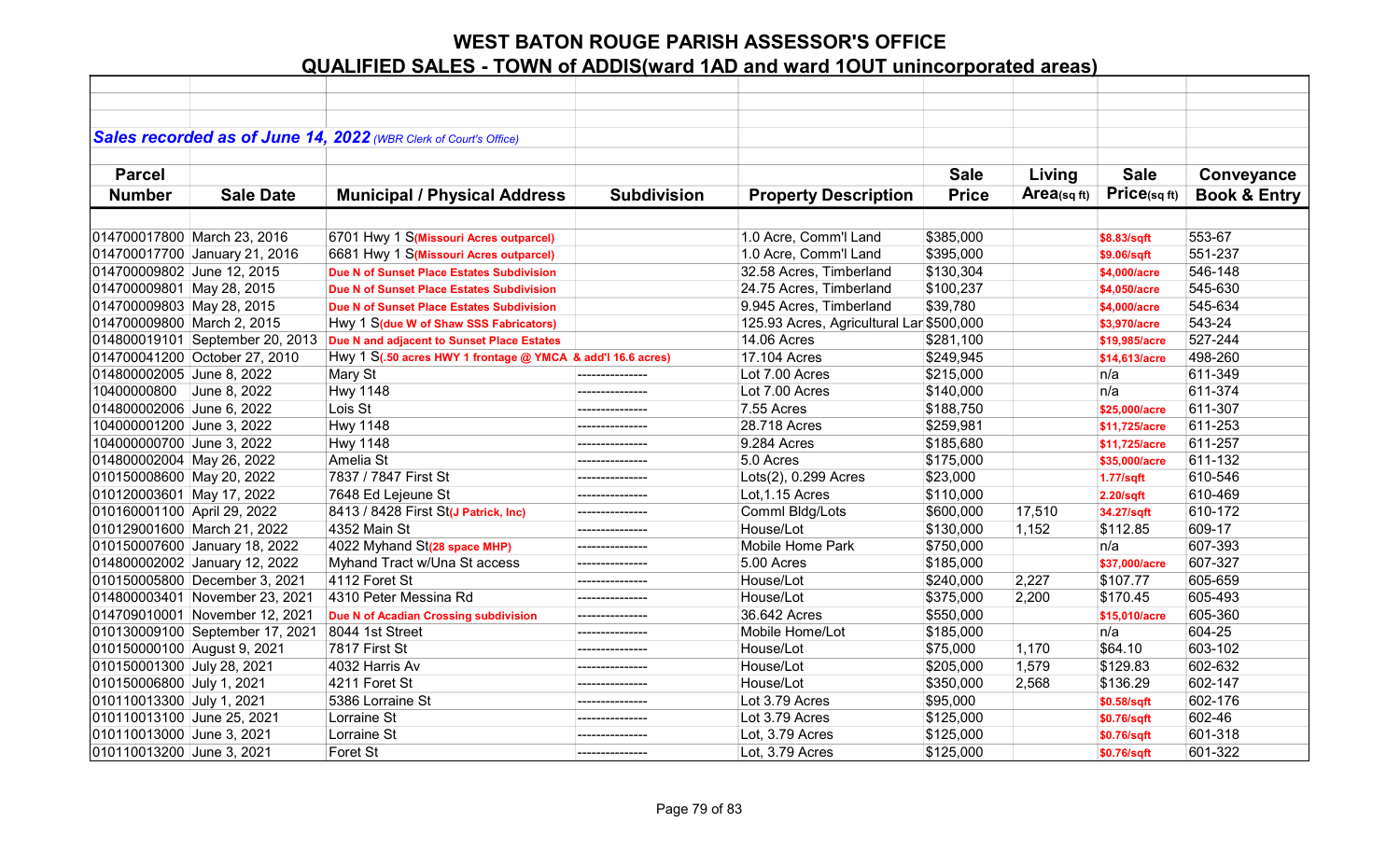|                             |                                 | Sales recorded as of June 14, 2022 (WBR Clerk of Court's Office) |                    |                                          |              |            |                  |                         |
|-----------------------------|---------------------------------|------------------------------------------------------------------|--------------------|------------------------------------------|--------------|------------|------------------|-------------------------|
|                             |                                 |                                                                  |                    |                                          |              |            |                  |                         |
| <b>Parcel</b>               |                                 |                                                                  |                    |                                          | <b>Sale</b>  | Living     | <b>Sale</b>      | Conveyance              |
| <b>Number</b>               | <b>Sale Date</b>                | <b>Municipal / Physical Address</b>                              | <b>Subdivision</b> | <b>Property Description</b>              | <b>Price</b> | Area(sqft) | Price(sqft)      | <b>Book &amp; Entry</b> |
|                             |                                 |                                                                  |                    |                                          |              |            |                  |                         |
| 014700017800 March 23, 2016 |                                 | 6701 Hwy 1 S(Missouri Acres outparcel)                           |                    | 1.0 Acre, Comm'l Land                    | \$385,000    |            |                  | 553-67                  |
|                             |                                 | 6681 Hwy 1 S(Missouri Acres outparcel)                           |                    |                                          |              |            | \$8.83/sqft      | 551-237                 |
|                             | 014700017700 January 21, 2016   |                                                                  |                    | 1.0 Acre, Comm'l Land                    | \$395,000    |            | \$9.06/sqft      |                         |
| 014700009802 June 12, 2015  |                                 | Due N of Sunset Place Estates Subdivision                        |                    | 32.58 Acres, Timberland                  | \$130,304    |            | \$4,000/acre     | 546-148                 |
| 014700009801 May 28, 2015   |                                 | Due N of Sunset Place Estates Subdivision                        |                    | 24.75 Acres, Timberland                  | \$100,237    |            | \$4,050/acre     | 545-630                 |
| 014700009803 May 28, 2015   |                                 | Due N of Sunset Place Estates Subdivision                        |                    | 9.945 Acres, Timberland                  | \$39,780     |            | \$4,000/acre     | 545-634                 |
| 014700009800 March 2, 2015  |                                 | Hwy 1 S(due W of Shaw SSS Fabricators)                           |                    | 125.93 Acres, Agricultural Lar \$500,000 |              |            | \$3,970/acre     | 543-24                  |
|                             | 014800019101 September 20, 2013 | Due N and adjacent to Sunset Place Estates                       |                    | 14.06 Acres                              | \$281,100    |            | \$19,985/acre    | 527-244                 |
|                             | 014700041200 October 27, 2010   | Hwy 1 S(.50 acres HWY 1 frontage @ YMCA & add'l 16.6 acres)      |                    | 17.104 Acres                             | \$249,945    |            | \$14,613/acre    | 498-260                 |
| 014800002005 June 8, 2022   |                                 | Mary St                                                          |                    | Lot 7.00 Acres                           | \$215,000    |            | n/a              | 611-349                 |
| 10400000800                 | June 8, 2022                    | <b>Hwy 1148</b>                                                  |                    | Lot 7.00 Acres                           | \$140,000    |            | n/a              | 611-374                 |
| 014800002006 June 6, 2022   |                                 | Lois St                                                          |                    | 7.55 Acres                               | \$188,750    |            | \$25,000/acre    | 611-307                 |
| 104000001200 June 3, 2022   |                                 | <b>Hwy 1148</b>                                                  | ---------------    | 28.718 Acres                             | \$259,981    |            | \$11,725/acre    | 611-253                 |
| 104000000700 June 3, 2022   |                                 | <b>Hwy 1148</b>                                                  | ---------------    | 9.284 Acres                              | \$185,680    |            | \$11,725/acre    | 611-257                 |
| 014800002004 May 26, 2022   |                                 | Amelia St                                                        | ---------------    | 5.0 Acres                                | \$175,000    |            | \$35,000/acre    | 611-132                 |
| 010150008600 May 20, 2022   |                                 | 7837 / 7847 First St                                             | ---------------    | Lots(2), 0.299 Acres                     | \$23,000     |            | <b>1.77/sqft</b> | 610-546                 |
| 010120003601 May 17, 2022   |                                 | 7648 Ed Lejeune St                                               | ---------------    | Lot, 1.15 Acres                          | \$110,000    |            | $2.20$ /sqft     | 610-469                 |
| 010160001100 April 29, 2022 |                                 | 8413 / 8428 First St(J Patrick, Inc)                             |                    | Comml Bldg/Lots                          | \$600,000    | 17,510     | 34.27/sqft       | 610-172                 |
| 010129001600 March 21, 2022 |                                 | 4352 Main St                                                     |                    | House/Lot                                | \$130,000    | 1,152      | \$112.85         | 609-17                  |
|                             | 010150007600 January 18, 2022   | 4022 Myhand St(28 space MHP)                                     |                    | Mobile Home Park                         | \$750,000    |            | n/a              | 607-393                 |
|                             | 014800002002 January 12, 2022   | Myhand Tract w/Una St access                                     |                    | 5.00 Acres                               | \$185,000    |            | \$37,000/acre    | 607-327                 |
|                             | 010150005800 December 3, 2021   | 4112 Foret St                                                    |                    | House/Lot                                | \$240,000    | 2,227      | \$107.77         | 605-659                 |
|                             | 014800003401 November 23, 2021  | 4310 Peter Messina Rd                                            | ---------------    | House/Lot                                | \$375,000    | 2,200      | \$170.45         | 605-493                 |
|                             | 014709010001 November 12, 2021  | Due N of Acadian Crossing subdivision                            |                    | 36.642 Acres                             | \$550,000    |            | \$15,010/acre    | 605-360                 |
|                             | 010130009100 September 17, 2021 | 8044 1st Street                                                  | ---------------    | Mobile Home/Lot                          | \$185,000    |            | n/a              | 604-25                  |
| 010150000100 August 9, 2021 |                                 | 7817 First St                                                    | .                  | House/Lot                                | \$75,000     | 1,170      | \$64.10          | 603-102                 |
| 010150001300 July 28, 2021  |                                 | 4032 Harris Av                                                   |                    | House/Lot                                | \$205,000    | 1,579      | \$129.83         | 602-632                 |
| 010150006800 July 1, 2021   |                                 | 4211 Foret St                                                    |                    | House/Lot                                | \$350,000    | 2,568      | \$136.29         | 602-147                 |
| 010110013300 July 1, 2021   |                                 | 5386 Lorraine St                                                 | ---------------    | Lot 3.79 Acres                           | \$95,000     |            | \$0.58/sqft      | 602-176                 |
| 010110013100 June 25, 2021  |                                 | Lorraine St                                                      | ---------------    | Lot 3.79 Acres                           | \$125,000    |            | \$0.76/sqft      | 602-46                  |
| 010110013000 June 3, 2021   |                                 | Lorraine St                                                      |                    | Lot, 3.79 Acres                          | \$125,000    |            | \$0.76/sqft      | 601-318                 |
| 010110013200 June 3, 2021   |                                 | Foret St                                                         | ---------------    | Lot, 3.79 Acres                          | \$125,000    |            | \$0.76/sqft      | 601-322                 |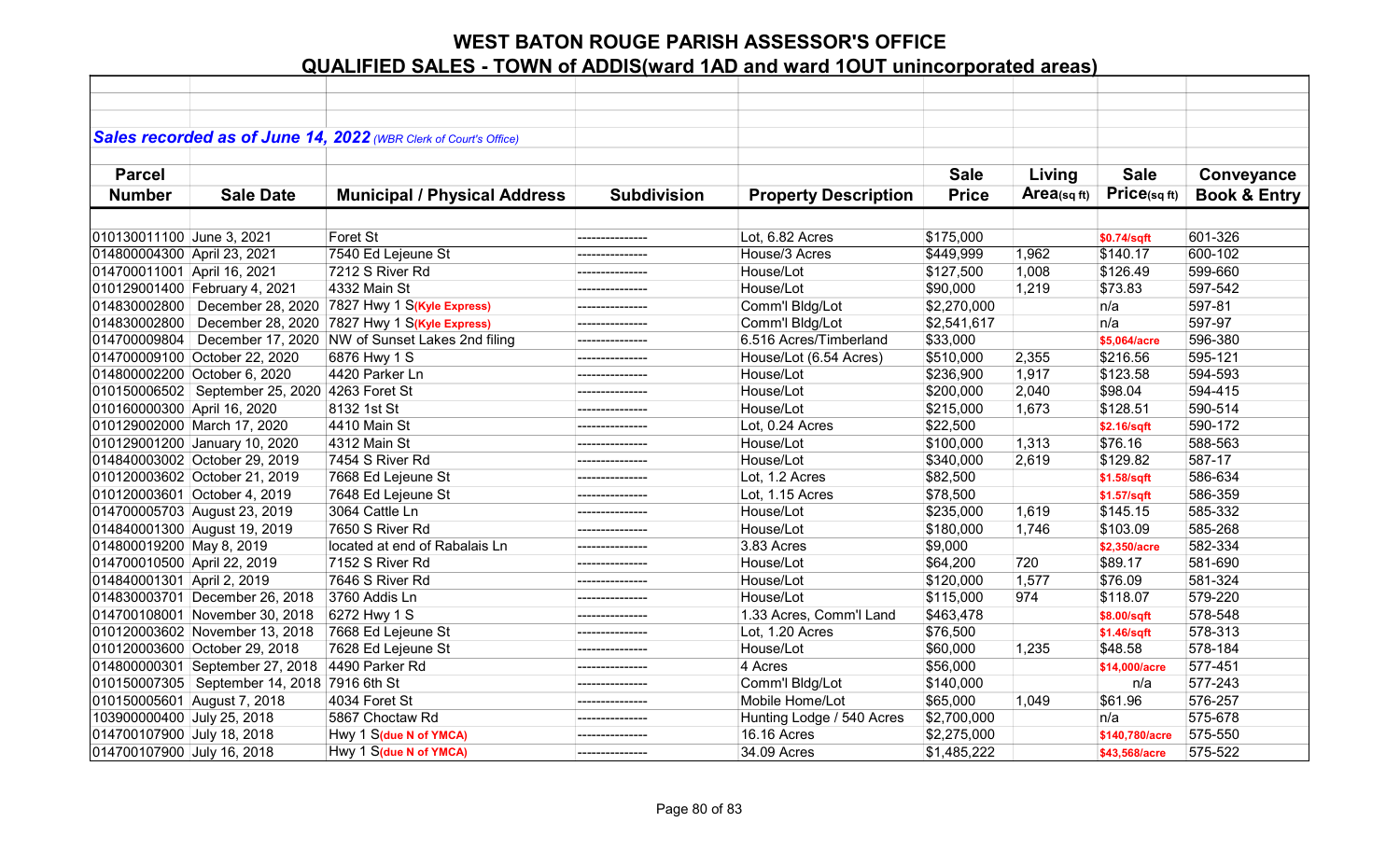|                             |                                                 | Sales recorded as of June 14, 2022 (WBR Clerk of Court's Office) |                    |                             |              |                |                |                         |
|-----------------------------|-------------------------------------------------|------------------------------------------------------------------|--------------------|-----------------------------|--------------|----------------|----------------|-------------------------|
|                             |                                                 |                                                                  |                    |                             |              |                |                |                         |
| <b>Parcel</b>               |                                                 |                                                                  |                    |                             | <b>Sale</b>  | Living         | <b>Sale</b>    | Conveyance              |
| <b>Number</b>               | <b>Sale Date</b>                                | <b>Municipal / Physical Address</b>                              | <b>Subdivision</b> | <b>Property Description</b> | <b>Price</b> | Area(sq $ft$ ) | Price(sqft)    | <b>Book &amp; Entry</b> |
|                             |                                                 |                                                                  |                    |                             |              |                |                |                         |
| 010130011100 June 3, 2021   |                                                 | Foret St                                                         | ---------------    | Lot, 6.82 Acres             | \$175,000    |                | \$0.74/sqft    | 601-326                 |
| 014800004300 April 23, 2021 |                                                 | 7540 Ed Lejeune St                                               | ---------------    | House/3 Acres               | \$449,999    | 1,962          | \$140.17       | 600-102                 |
| 014700011001 April 16, 2021 |                                                 | 7212 S River Rd                                                  |                    | House/Lot                   | \$127,500    | 1,008          | \$126.49       | 599-660                 |
|                             | 010129001400 February 4, 2021                   | 4332 Main St                                                     | ---------------    | House/Lot                   | \$90,000     | 1,219          | \$73.83        | 597-542                 |
| 014830002800                | December 28, 2020                               | 7827 Hwy 1 S(Kyle Express)                                       |                    | Comm'l Bldg/Lot             | \$2,270,000  |                | n/a            | 597-81                  |
| 014830002800                |                                                 | December 28, 2020 7827 Hwy 1 S(Kyle Express)                     | ---------------    | Comm'l Bldg/Lot             | \$2,541,617  |                | n/a            | 597-97                  |
| 014700009804                |                                                 | December 17, 2020 NW of Sunset Lakes 2nd filing                  |                    | 6.516 Acres/Timberland      | \$33,000     |                | \$5,064/acre   | 596-380                 |
|                             | 014700009100 October 22, 2020                   | 6876 Hwy 1 S                                                     |                    | House/Lot (6.54 Acres)      | \$510,000    | 2,355          | \$216.56       | 595-121                 |
|                             | 014800002200 October 6, 2020                    | 4420 Parker Ln                                                   |                    | House/Lot                   | \$236,900    | 1,917          | \$123.58       | 594-593                 |
|                             | 010150006502   September 25, 2020 4263 Foret St |                                                                  |                    | House/Lot                   | \$200,000    | 2,040          | \$98.04        | 594-415                 |
| 010160000300 April 16, 2020 |                                                 | 8132 1st St                                                      | ---------------    | House/Lot                   | \$215,000    | 1,673          | \$128.51       | 590-514                 |
|                             | 010129002000 March 17, 2020                     | 4410 Main St                                                     | ---------------    | Lot, 0.24 Acres             | \$22,500     |                | \$2.16/sqft    | 590-172                 |
|                             | 010129001200 January 10, 2020                   | 4312 Main St                                                     |                    | House/Lot                   | \$100,000    | 1,313          | \$76.16        | 588-563                 |
|                             | 014840003002 October 29, 2019                   | 7454 S River Rd                                                  | ---------------    | House/Lot                   | \$340,000    | 2,619          | \$129.82       | 587-17                  |
|                             | 010120003602 October 21, 2019                   | 7668 Ed Lejeune St                                               | ---------------    | Lot, 1.2 Acres              | \$82,500     |                | \$1.58/sqft    | 586-634                 |
|                             | 010120003601 October 4, 2019                    | 7648 Ed Lejeune St                                               | ---------------    | Lot, 1.15 Acres             | \$78,500     |                | \$1.57/sqft    | 586-359                 |
|                             | 014700005703 August 23, 2019                    | 3064 Cattle Ln                                                   |                    | House/Lot                   | \$235,000    | 1,619          | \$145.15       | 585-332                 |
|                             | 014840001300 August 19, 2019                    | 7650 S River Rd                                                  |                    | House/Lot                   | \$180,000    | 1,746          | \$103.09       | 585-268                 |
| 014800019200 May 8, 2019    |                                                 | located at end of Rabalais Ln                                    | ---------------    | 3.83 Acres                  | \$9,000      |                | \$2,350/acre   | 582-334                 |
| 014700010500 April 22, 2019 |                                                 | 7152 S River Rd                                                  | ---------------    | House/Lot                   | \$64,200     | 720            | \$89.17        | 581-690                 |
| 014840001301 April 2, 2019  |                                                 | 7646 S River Rd                                                  | --------------     | House/Lot                   | \$120,000    | 1,577          | \$76.09        | 581-324                 |
|                             | 014830003701 December 26, 2018                  | 3760 Addis Ln                                                    | --------------     | House/Lot                   | \$115,000    | 974            | \$118.07       | 579-220                 |
|                             | 014700108001 November 30, 2018                  | 6272 Hwy 1 S                                                     | ---------------    | 1.33 Acres, Comm'l Land     | \$463,478    |                | \$8.00/sqft    | 578-548                 |
|                             | 010120003602 November 13, 2018                  | 7668 Ed Lejeune St                                               | ---------------    | Lot, 1.20 Acres             | \$76,500     |                | \$1.46/sqft    | 578-313                 |
|                             | 010120003600 October 29, 2018                   | 7628 Ed Lejeune St                                               |                    | House/Lot                   | \$60,000     | 1,235          | \$48.58        | 578-184                 |
|                             | 014800000301 September 27, 2018                 | 4490 Parker Rd                                                   |                    | 4 Acres                     | \$56,000     |                | \$14,000/acre  | 577-451                 |
|                             | 010150007305   September 14, 2018 7916 6th St   |                                                                  | ---------------    | Comm'l Bldg/Lot             | \$140,000    |                | n/a            | 577-243                 |
| 010150005601 August 7, 2018 |                                                 | 4034 Foret St                                                    | ----------------   | Mobile Home/Lot             | \$65,000     | 1,049          | \$61.96        | 576-257                 |
| 103900000400 July 25, 2018  |                                                 | 5867 Choctaw Rd                                                  | ---------------    | Hunting Lodge / 540 Acres   | \$2,700,000  |                | n/a            | 575-678                 |
| 014700107900 July 18, 2018  |                                                 | Hwy 1 S(due N of YMCA)                                           |                    | 16.16 Acres                 | \$2,275,000  |                | \$140,780/acre | 575-550                 |
| 014700107900 July 16, 2018  |                                                 | Hwy 1 S(due N of YMCA)                                           | ---------------    | 34.09 Acres                 | \$1,485,222  |                | \$43,568/acre  | 575-522                 |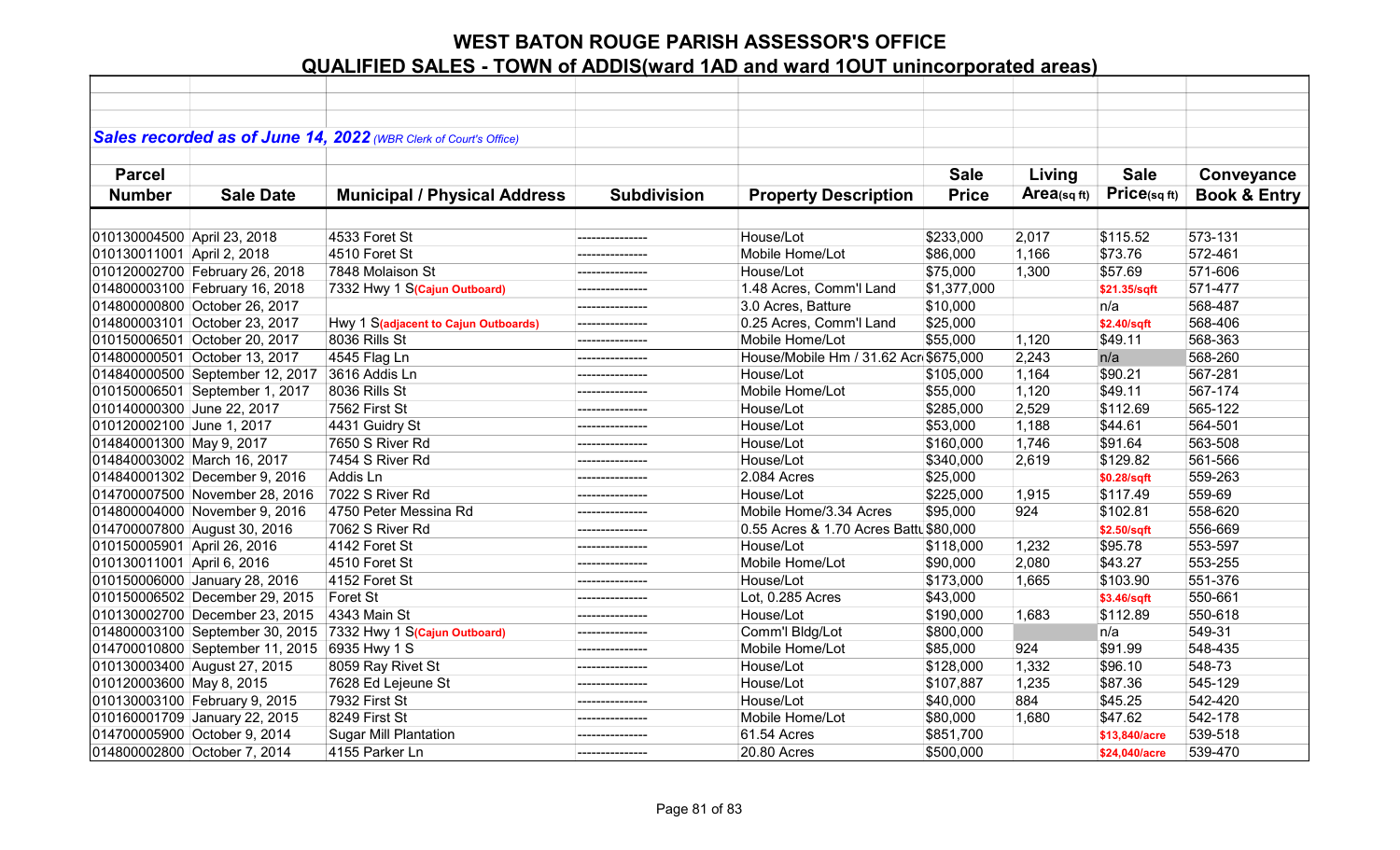|                             |                                 | Sales recorded as of June 14, 2022 (WBR Clerk of Court's Office) |                    |                                        |              |                |               |                         |
|-----------------------------|---------------------------------|------------------------------------------------------------------|--------------------|----------------------------------------|--------------|----------------|---------------|-------------------------|
|                             |                                 |                                                                  |                    |                                        |              |                |               |                         |
| <b>Parcel</b>               |                                 |                                                                  |                    |                                        | <b>Sale</b>  | Living         | <b>Sale</b>   | Conveyance              |
| <b>Number</b>               | <b>Sale Date</b>                | <b>Municipal / Physical Address</b>                              | <b>Subdivision</b> | <b>Property Description</b>            | <b>Price</b> | Area(sq $ft$ ) | Price(sqft)   | <b>Book &amp; Entry</b> |
|                             |                                 |                                                                  |                    |                                        |              |                |               |                         |
| 010130004500 April 23, 2018 |                                 | 4533 Foret St                                                    |                    | House/Lot                              | \$233,000    | 2,017          | \$115.52      | 573-131                 |
| 010130011001 April 2, 2018  |                                 | 4510 Foret St                                                    | ---------------    | Mobile Home/Lot                        | \$86,000     | 1,166          | \$73.76       | 572-461                 |
|                             | 010120002700 February 26, 2018  | 7848 Molaison St                                                 | ---------------    | House/Lot                              | \$75,000     | 1,300          | \$57.69       | 571-606                 |
|                             | 014800003100 February 16, 2018  | 7332 Hwy 1 S(Cajun Outboard)                                     | --------------     | 1.48 Acres, Comm'l Land                | \$1,377,000  |                | \$21.35/sqft  | 571-477                 |
|                             | 014800000800 October 26, 2017   |                                                                  |                    | 3.0 Acres, Batture                     | \$10,000     |                | n/a           | 568-487                 |
|                             | 014800003101 October 23, 2017   | Hwy 1 S(adjacent to Cajun Outboards)                             | ---------------    | 0.25 Acres, Comm'l Land                | \$25,000     |                | \$2.40/sqft   | 568-406                 |
|                             | 010150006501 October 20, 2017   | 8036 Rills St                                                    | ---------------    | Mobile Home/Lot                        | \$55,000     | 1,120          | \$49.11       | 568-363                 |
|                             | 014800000501 October 13, 2017   | 4545 Flag Ln                                                     | ---------------    | House/Mobile Hm / 31.62 Acr \$675,000  |              | 2,243          | n/a           | 568-260                 |
|                             | 014840000500 September 12, 2017 | 3616 Addis Ln                                                    |                    | House/Lot                              | \$105,000    | 1,164          | \$90.21       | 567-281                 |
|                             | 010150006501 September 1, 2017  | 8036 Rills St                                                    |                    | Mobile Home/Lot                        | \$55,000     | 1,120          | \$49.11       | 567-174                 |
| 010140000300 June 22, 2017  |                                 | 7562 First St                                                    |                    | House/Lot                              | \$285,000    | 2,529          | \$112.69      | 565-122                 |
| 010120002100 June 1, 2017   |                                 | 4431 Guidry St                                                   | ---------------    | House/Lot                              | \$53,000     | 1,188          | \$44.61       | 564-501                 |
| 014840001300 May 9, 2017    |                                 | 7650 S River Rd                                                  | ---------------    | House/Lot                              | \$160,000    | 1,746          | \$91.64       | 563-508                 |
|                             | 014840003002 March 16, 2017     | 7454 S River Rd                                                  | ---------------    | House/Lot                              | \$340,000    | 2,619          | \$129.82      | 561-566                 |
|                             | 014840001302 December 9, 2016   | Addis Ln                                                         | ----------------   | 2.084 Acres                            | \$25,000     |                | \$0.28/sqft   | 559-263                 |
|                             | 014700007500 November 28, 2016  | 7022 S River Rd                                                  | ---------------    | House/Lot                              | \$225,000    | 1,915          | \$117.49      | 559-69                  |
|                             | 014800004000 November 9, 2016   | 4750 Peter Messina Rd                                            |                    | Mobile Home/3.34 Acres                 | \$95,000     | 924            | \$102.81      | 558-620                 |
|                             | 014700007800 August 30, 2016    | 7062 S River Rd                                                  |                    | 0.55 Acres & 1.70 Acres Battl \$80,000 |              |                | \$2.50/sqft   | 556-669                 |
| 010150005901 April 26, 2016 |                                 | 4142 Foret St                                                    |                    | House/Lot                              | \$118,000    | 1,232          | \$95.78       | 553-597                 |
| 010130011001 April 6, 2016  |                                 | 4510 Foret St                                                    | ---------------    | Mobile Home/Lot                        | \$90,000     | 2,080          | \$43.27       | 553-255                 |
|                             | 010150006000 January 28, 2016   | 4152 Foret St                                                    |                    | House/Lot                              | \$173,000    | 1,665          | \$103.90      | 551-376                 |
|                             | 010150006502 December 29, 2015  | Foret St                                                         |                    | Lot, 0.285 Acres                       | \$43,000     |                | \$3.46/sqft   | 550-661                 |
|                             | 010130002700 December 23, 2015  | 4343 Main St                                                     |                    | House/Lot                              | \$190,000    | 1,683          | \$112.89      | 550-618                 |
|                             | 014800003100 September 30, 2015 | 7332 Hwy 1 S(Cajun Outboard)                                     |                    | Comm'l Bldg/Lot                        | \$800,000    |                | n/a           | 549-31                  |
|                             | 014700010800 September 11, 2015 | 6935 Hwy 1 S                                                     |                    | Mobile Home/Lot                        | \$85,000     | 924            | \$91.99       | 548-435                 |
|                             | 010130003400 August 27, 2015    | 8059 Ray Rivet St                                                |                    | House/Lot                              | \$128,000    | 1,332          | \$96.10       | 548-73                  |
| 010120003600 May 8, 2015    |                                 | 7628 Ed Lejeune St                                               |                    | House/Lot                              | \$107,887    | 1,235          | \$87.36       | 545-129                 |
|                             | 010130003100 February 9, 2015   | 7932 First St                                                    | ---------------    | House/Lot                              | \$40,000     | 884            | \$45.25       | 542-420                 |
|                             | 010160001709 January 22, 2015   | 8249 First St                                                    | ---------------    | Mobile Home/Lot                        | \$80,000     | 1,680          | \$47.62       | 542-178                 |
|                             | 014700005900 October 9, 2014    | <b>Sugar Mill Plantation</b>                                     |                    | 61.54 Acres                            | \$851,700    |                | \$13,840/acre | 539-518                 |
|                             | 014800002800 October 7, 2014    | 4155 Parker Ln                                                   | ---------------    | 20.80 Acres                            | \$500,000    |                | \$24,040/acre | 539-470                 |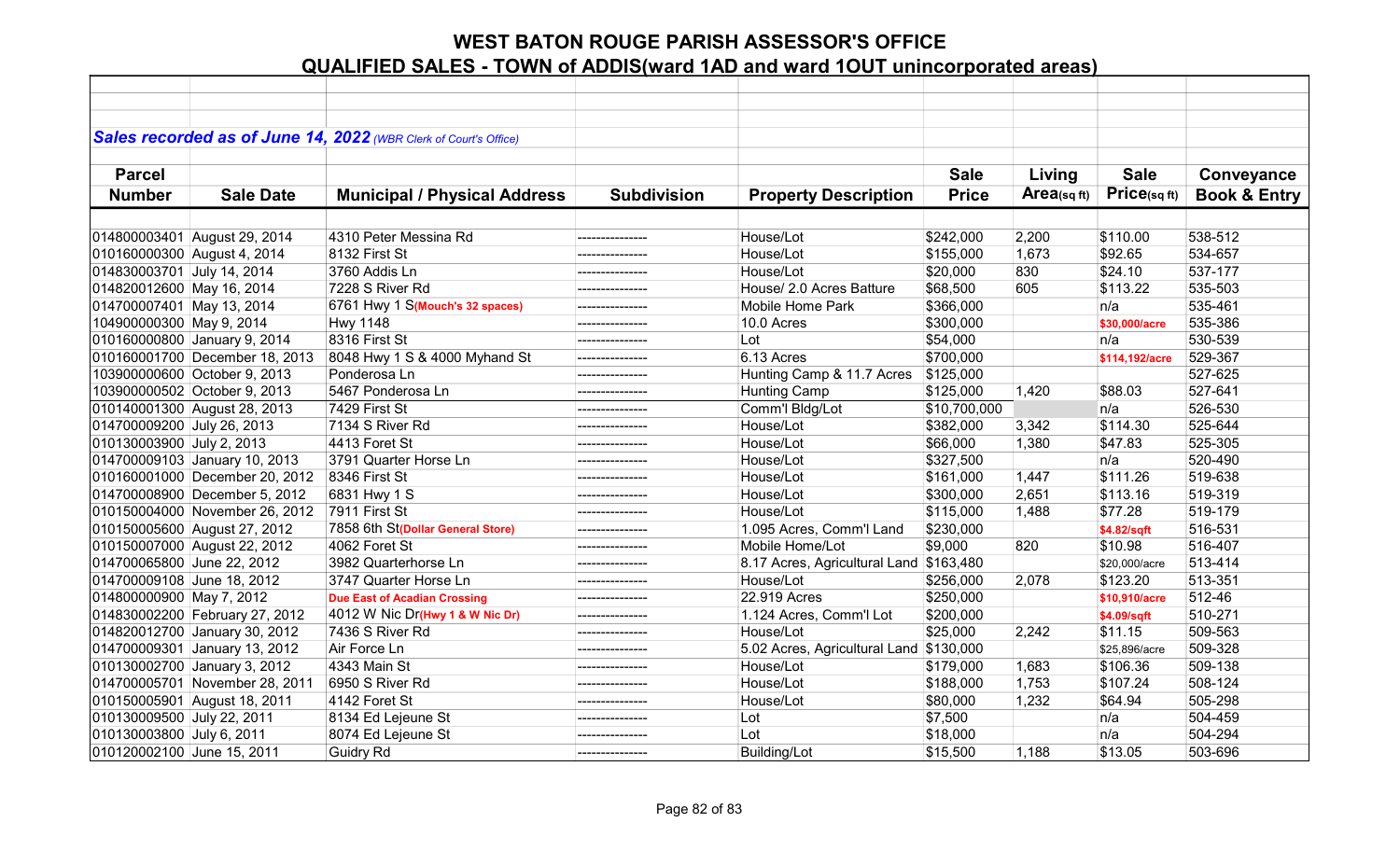|                                |                                | Sales recorded as of June 14, 2022 (WBR Clerk of Court's Office) |                    |                                         |              |                |                |                         |
|--------------------------------|--------------------------------|------------------------------------------------------------------|--------------------|-----------------------------------------|--------------|----------------|----------------|-------------------------|
|                                |                                |                                                                  |                    |                                         |              |                |                |                         |
| <b>Parcel</b>                  |                                |                                                                  |                    |                                         | <b>Sale</b>  | Living         | <b>Sale</b>    | Conveyance              |
| <b>Number</b>                  | <b>Sale Date</b>               | <b>Municipal / Physical Address</b>                              | <b>Subdivision</b> | <b>Property Description</b>             | <b>Price</b> | Area(sq $ft$ ) | Price(sqft)    | <b>Book &amp; Entry</b> |
|                                |                                |                                                                  |                    |                                         |              |                |                |                         |
| 014800003401 August 29, 2014   |                                | 4310 Peter Messina Rd                                            | ---------------    | House/Lot                               | \$242,000    | 2,200          | \$110.00       | 538-512                 |
| 010160000300 August 4, 2014    |                                | 8132 First St                                                    | --------------     | House/Lot                               | \$155,000    | 1,673          | \$92.65        | 534-657                 |
| 014830003701 July 14, 2014     |                                | 3760 Addis Ln                                                    |                    | House/Lot                               | \$20,000     | 830            | \$24.10        | 537-177                 |
| 014820012600 May 16, 2014      |                                | 7228 S River Rd                                                  | ---------------    | House/ 2.0 Acres Batture                | \$68,500     | 605            | \$113.22       | 535-503                 |
|                                |                                | 6761 Hwy 1 S(Mouch's 32 spaces)                                  |                    |                                         |              |                |                | 535-461                 |
| 014700007401 May 13, 2014      |                                |                                                                  |                    | <b>Mobile Home Park</b>                 | \$366,000    |                | n/a            |                         |
| 104900000300 May 9, 2014       |                                | <b>Hwy 1148</b>                                                  |                    | 10.0 Acres                              | \$300,000    |                | \$30,000/acre  | 535-386                 |
| 010160000800 January 9, 2014   |                                | 8316 First St                                                    |                    | Lot                                     | \$54,000     |                | n/a            | 530-539                 |
|                                | 010160001700 December 18, 2013 | 8048 Hwy 1 S & 4000 Myhand St                                    |                    | 6.13 Acres                              | \$700,000    |                | \$114,192/acre | 529-367                 |
| 103900000600 October 9, 2013   |                                | Ponderosa Ln                                                     | --------------     | Hunting Camp & 11.7 Acres \$125,000     |              |                |                | 527-625                 |
| 103900000502 October 9, 2013   |                                | 5467 Ponderosa Ln                                                |                    | <b>Hunting Camp</b>                     | \$125,000    | 1,420          | \$88.03        | 527-641                 |
| 010140001300 August 28, 2013   |                                | 7429 First St                                                    | --------------     | Comm'l Bldg/Lot                         | \$10,700,000 |                | n/a            | 526-530                 |
| 014700009200 July 26, 2013     |                                | 7134 S River Rd                                                  | ---------------    | House/Lot                               | \$382,000    | 3,342          | \$114.30       | 525-644                 |
| 010130003900 July 2, 2013      |                                | 4413 Foret St                                                    | ---------------    | House/Lot                               | \$66,000     | 1,380          | \$47.83        | 525-305                 |
| 014700009103 January 10, 2013  |                                | 3791 Quarter Horse Ln                                            | ---------------    | House/Lot                               | \$327,500    |                | n/a            | 520-490                 |
|                                | 010160001000 December 20, 2012 | 8346 First St                                                    | ---------------    | House/Lot                               | \$161,000    | 1,447          | \$111.26       | 519-638                 |
|                                | 014700008900 December 5, 2012  | 6831 Hwy 1 S                                                     |                    | House/Lot                               | \$300,000    | 2,651          | \$113.16       | 519-319                 |
|                                | 010150004000 November 26, 2012 | 7911 First St                                                    | ---------------    | House/Lot                               | \$115,000    | 1,488          | \$77.28        | 519-179                 |
| 010150005600 August 27, 2012   |                                | 7858 6th St(Dollar General Store)                                | ---------------    | 1.095 Acres, Comm'l Land                | \$230,000    |                | \$4.82/sqft    | 516-531                 |
| 010150007000 August 22, 2012   |                                | 4062 Foret St                                                    | ---------------    | Mobile Home/Lot                         | \$9,000      | 820            | \$10.98        | 516-407                 |
| 014700065800 June 22, 2012     |                                | 3982 Quarterhorse Ln                                             |                    | 8.17 Acres, Agricultural Land \$163,480 |              |                | \$20,000/acre  | 513-414                 |
| 014700009108 June 18, 2012     |                                | 3747 Quarter Horse Ln                                            | --------------     | House/Lot                               | \$256,000    | 2,078          | \$123.20       | 513-351                 |
| 014800000900 May 7, 2012       |                                | <b>Due East of Acadian Crossing</b>                              |                    | 22.919 Acres                            | \$250,000    |                | \$10,910/acre  | 512-46                  |
| 014830002200 February 27, 2012 |                                | 4012 W Nic Dr(Hwy 1 & W Nic Dr)                                  | ---------------    | 1.124 Acres, Comm'l Lot                 | \$200,000    |                | \$4.09/sqft    | 510-271                 |
| 014820012700 January 30, 2012  |                                | 7436 S River Rd                                                  | ---------------    | House/Lot                               | \$25,000     | 2,242          | \$11.15        | 509-563                 |
| 014700009301 January 13, 2012  |                                | Air Force Ln                                                     |                    | 5.02 Acres, Agricultural Land \$130,000 |              |                | \$25,896/acre  | 509-328                 |
| 010130002700 January 3, 2012   |                                | 4343 Main St                                                     |                    | House/Lot                               | \$179,000    | 1,683          | \$106.36       | 509-138                 |
|                                | 014700005701 November 28, 2011 | 6950 S River Rd                                                  |                    | House/Lot                               | \$188,000    | 1,753          | \$107.24       | 508-124                 |
| 010150005901 August 18, 2011   |                                | 4142 Foret St                                                    | --------------     | House/Lot                               | \$80,000     | 1,232          | \$64.94        | 505-298                 |
| 010130009500 July 22, 2011     |                                | 8134 Ed Lejeune St                                               | ---------------    | Lot                                     | \$7,500      |                | n/a            | 504-459                 |
| 010130003800 July 6, 2011      |                                | 8074 Ed Lejeune St                                               | --------------     | Lot                                     | \$18,000     |                | n/a            | 504-294                 |
| 010120002100 June 15, 2011     |                                | <b>Guidry Rd</b>                                                 | ---------------    | <b>Building/Lot</b>                     | \$15,500     | 1,188          | \$13.05        | 503-696                 |